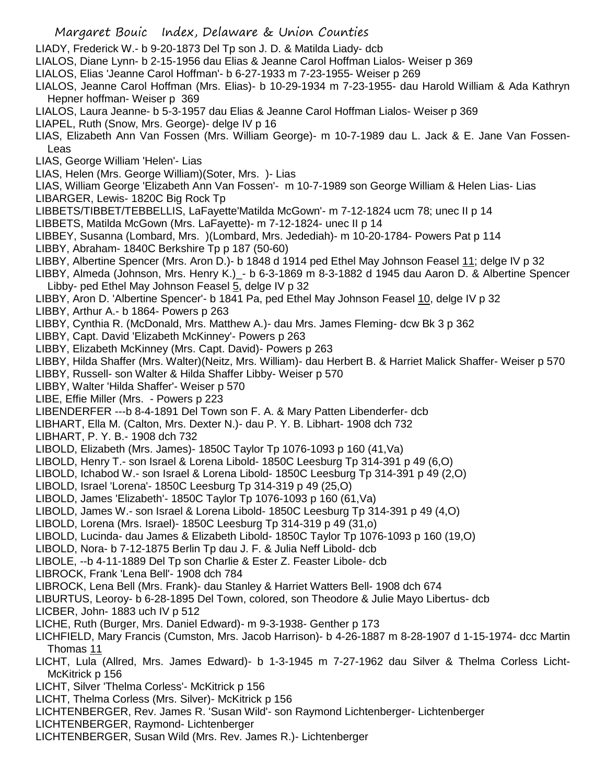- Margaret Bouic Index, Delaware & Union Counties
- LIADY, Frederick W.- b 9-20-1873 Del Tp son J. D. & Matilda Liady- dcb
- LIALOS, Diane Lynn- b 2-15-1956 dau Elias & Jeanne Carol Hoffman Lialos- Weiser p 369
- LIALOS, Elias 'Jeanne Carol Hoffman'- b 6-27-1933 m 7-23-1955- Weiser p 269
- LIALOS, Jeanne Carol Hoffman (Mrs. Elias)- b 10-29-1934 m 7-23-1955- dau Harold William & Ada Kathryn Hepner hoffman- Weiser p 369
- LIALOS, Laura Jeanne- b 5-3-1957 dau Elias & Jeanne Carol Hoffman Lialos- Weiser p 369
- LIAPEL, Ruth (Snow, Mrs. George)- delge IV p 16
- LIAS, Elizabeth Ann Van Fossen (Mrs. William George)- m 10-7-1989 dau L. Jack & E. Jane Van Fossen-Leas
- LIAS, George William 'Helen'- Lias
- LIAS, Helen (Mrs. George William)(Soter, Mrs. )- Lias
- LIAS, William George 'Elizabeth Ann Van Fossen'- m 10-7-1989 son George William & Helen Lias- Lias LIBARGER, Lewis- 1820C Big Rock Tp
- LIBBETS/TIBBET/TEBBELLIS, LaFayette'Matilda McGown'- m 7-12-1824 ucm 78; unec II p 14
- LIBBETS, Matilda McGown (Mrs. LaFayette)- m 7-12-1824- unec II p 14
- LIBBEY, Susanna (Lombard, Mrs. )(Lombard, Mrs. Jedediah)- m 10-20-1784- Powers Pat p 114 LIBBY, Abraham- 1840C Berkshire Tp p 187 (50-60)
- LIBBY, Albertine Spencer (Mrs. Aron D.)- b 1848 d 1914 ped Ethel May Johnson Feasel 11; delge IV p 32
- LIBBY, Almeda (Johnson, Mrs. Henry K.)\_- b 6-3-1869 m 8-3-1882 d 1945 dau Aaron D. & Albertine Spencer Libby- ped Ethel May Johnson Feasel 5, delge IV p 32
- LIBBY, Aron D. 'Albertine Spencer'- b 1841 Pa, ped Ethel May Johnson Feasel 10, delge IV p 32
- LIBBY, Arthur A.- b 1864- Powers p 263
- LIBBY, Cynthia R. (McDonald, Mrs. Matthew A.)- dau Mrs. James Fleming- dcw Bk 3 p 362
- LIBBY, Capt. David 'Elizabeth McKinney'- Powers p 263
- LIBBY, Elizabeth McKinney (Mrs. Capt. David)- Powers p 263
- LIBBY, Hilda Shaffer (Mrs. Walter)(Neitz, Mrs. William)- dau Herbert B. & Harriet Malick Shaffer- Weiser p 570
- LIBBY, Russell- son Walter & Hilda Shaffer Libby- Weiser p 570
- LIBBY, Walter 'Hilda Shaffer'- Weiser p 570
- LIBE, Effie Miller (Mrs. Powers p 223
- LIBENDERFER ---b 8-4-1891 Del Town son F. A. & Mary Patten Libenderfer- dcb
- LIBHART, Ella M. (Calton, Mrs. Dexter N.)- dau P. Y. B. Libhart- 1908 dch 732
- LIBHART, P. Y. B.- 1908 dch 732
- LIBOLD, Elizabeth (Mrs. James)- 1850C Taylor Tp 1076-1093 p 160 (41,Va)
- LIBOLD, Henry T.- son Israel & Lorena Libold- 1850C Leesburg Tp 314-391 p 49 (6,O)
- LIBOLD, Ichabod W.- son Israel & Lorena Libold- 1850C Leesburg Tp 314-391 p 49 (2,O)
- LIBOLD, Israel 'Lorena'- 1850C Leesburg Tp 314-319 p 49 (25,O)
- LIBOLD, James 'Elizabeth'- 1850C Taylor Tp 1076-1093 p 160 (61,Va)
- LIBOLD, James W.- son Israel & Lorena Libold- 1850C Leesburg Tp 314-391 p 49 (4,O)
- LIBOLD, Lorena (Mrs. Israel)- 1850C Leesburg Tp 314-319 p 49 (31,o)
- LIBOLD, Lucinda- dau James & Elizabeth Libold- 1850C Taylor Tp 1076-1093 p 160 (19,O)
- LIBOLD, Nora- b 7-12-1875 Berlin Tp dau J. F. & Julia Neff Libold- dcb
- LIBOLE, --b 4-11-1889 Del Tp son Charlie & Ester Z. Feaster Libole- dcb
- LIBROCK, Frank 'Lena Bell'- 1908 dch 784
- LIBROCK, Lena Bell (Mrs. Frank)- dau Stanley & Harriet Watters Bell- 1908 dch 674
- LIBURTUS, Leoroy- b 6-28-1895 Del Town, colored, son Theodore & Julie Mayo Libertus- dcb
- LICBER, John- 1883 uch IV p 512
- LICHE, Ruth (Burger, Mrs. Daniel Edward)- m 9-3-1938- Genther p 173
- LICHFIELD, Mary Francis (Cumston, Mrs. Jacob Harrison)- b 4-26-1887 m 8-28-1907 d 1-15-1974- dcc Martin Thomas 11
- LICHT, Lula (Allred, Mrs. James Edward)- b 1-3-1945 m 7-27-1962 dau Silver & Thelma Corless Licht-McKitrick p 156
- LICHT, Silver 'Thelma Corless'- McKitrick p 156
- LICHT, Thelma Corless (Mrs. Silver)- McKitrick p 156
- LICHTENBERGER, Rev. James R. 'Susan Wild'- son Raymond Lichtenberger- Lichtenberger
- LICHTENBERGER, Raymond- Lichtenberger
- LICHTENBERGER, Susan Wild (Mrs. Rev. James R.)- Lichtenberger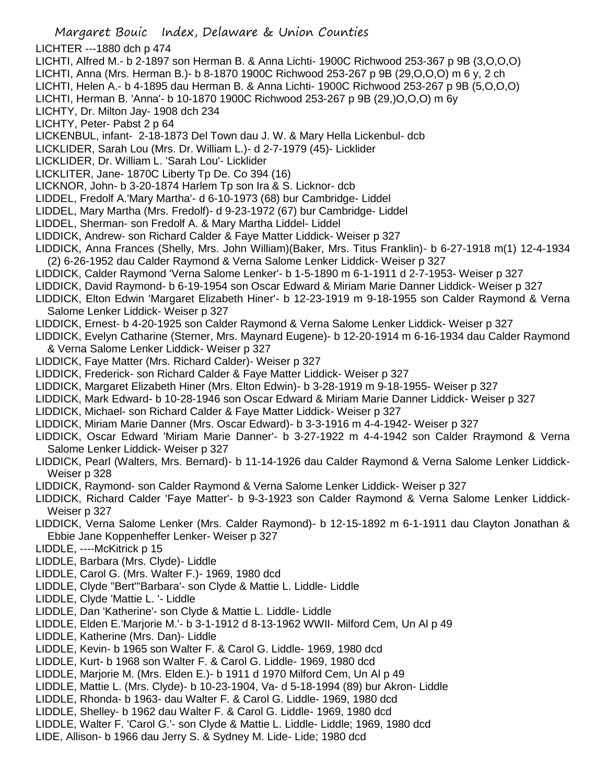- Margaret Bouic Index, Delaware & Union Counties LICHTER ---1880 dch p 474 LICHTI, Alfred M.- b 2-1897 son Herman B. & Anna Lichti- 1900C Richwood 253-367 p 9B (3,O,O,O) LICHTI, Anna (Mrs. Herman B.)- b 8-1870 1900C Richwood 253-267 p 9B (29,O,O,O) m 6 y, 2 ch LICHTI, Helen A.- b 4-1895 dau Herman B. & Anna Lichti- 1900C Richwood 253-267 p 9B (5,O,O,O) LICHTI, Herman B. 'Anna'- b 10-1870 1900C Richwood 253-267 p 9B (29,)O,O,O) m 6y LICHTY, Dr. Milton Jay- 1908 dch 234 LICHTY, Peter- Pabst 2 p 64 LICKENBUL, infant- 2-18-1873 Del Town dau J. W. & Mary Hella Lickenbul- dcb LICKLIDER, Sarah Lou (Mrs. Dr. William L.)- d 2-7-1979 (45)- Licklider LICKLIDER, Dr. William L. 'Sarah Lou'- Licklider LICKLITER, Jane- 1870C Liberty Tp De. Co 394 (16) LICKNOR, John- b 3-20-1874 Harlem Tp son Ira & S. Licknor- dcb LIDDEL, Fredolf A.'Mary Martha'- d 6-10-1973 (68) bur Cambridge- Liddel LIDDEL, Mary Martha (Mrs. Fredolf)- d 9-23-1972 (67) bur Cambridge- Liddel LIDDEL, Sherman- son Fredolf A. & Mary Martha Liddel- Liddel LIDDICK, Andrew- son Richard Calder & Faye Matter Liddick- Weiser p 327 LIDDICK, Anna Frances (Shelly, Mrs. John William)(Baker, Mrs. Titus Franklin)- b 6-27-1918 m(1) 12-4-1934 (2) 6-26-1952 dau Calder Raymond & Verna Salome Lenker Liddick- Weiser p 327 LIDDICK, Calder Raymond 'Verna Salome Lenker'- b 1-5-1890 m 6-1-1911 d 2-7-1953- Weiser p 327 LIDDICK, David Raymond- b 6-19-1954 son Oscar Edward & Miriam Marie Danner Liddick- Weiser p 327 LIDDICK, Elton Edwin 'Margaret Elizabeth Hiner'- b 12-23-1919 m 9-18-1955 son Calder Raymond & Verna Salome Lenker Liddick- Weiser p 327 LIDDICK, Ernest- b 4-20-1925 son Calder Raymond & Verna Salome Lenker Liddick- Weiser p 327 LIDDICK, Evelyn Catharine (Sterner, Mrs. Maynard Eugene)- b 12-20-1914 m 6-16-1934 dau Calder Raymond & Verna Salome Lenker Liddick- Weiser p 327 LIDDICK, Faye Matter (Mrs. Richard Calder)- Weiser p 327 LIDDICK, Frederick- son Richard Calder & Faye Matter Liddick- Weiser p 327 LIDDICK, Margaret Elizabeth Hiner (Mrs. Elton Edwin)- b 3-28-1919 m 9-18-1955- Weiser p 327 LIDDICK, Mark Edward- b 10-28-1946 son Oscar Edward & Miriam Marie Danner Liddick- Weiser p 327 LIDDICK, Michael- son Richard Calder & Faye Matter Liddick- Weiser p 327 LIDDICK, Miriam Marie Danner (Mrs. Oscar Edward)- b 3-3-1916 m 4-4-1942- Weiser p 327 LIDDICK, Oscar Edward 'Miriam Marie Danner'- b 3-27-1922 m 4-4-1942 son Calder Rraymond & Verna Salome Lenker Liddick- Weiser p 327 LIDDICK, Pearl (Walters, Mrs. Bernard)- b 11-14-1926 dau Calder Raymond & Verna Salome Lenker Liddick-Weiser p 328 LIDDICK, Raymond- son Calder Raymond & Verna Salome Lenker Liddick- Weiser p 327 LIDDICK, Richard Calder 'Faye Matter'- b 9-3-1923 son Calder Raymond & Verna Salome Lenker Liddick-Weiser p 327 LIDDICK, Verna Salome Lenker (Mrs. Calder Raymond)- b 12-15-1892 m 6-1-1911 dau Clayton Jonathan & Ebbie Jane Koppenheffer Lenker- Weiser p 327 LIDDLE, ----McKitrick p 15 LIDDLE, Barbara (Mrs. Clyde)- Liddle LIDDLE, Carol G. (Mrs. Walter F.)- 1969, 1980 dcd LIDDLE, Clyde "Bert"'Barbara'- son Clyde & Mattie L. Liddle- Liddle LIDDLE, Clyde 'Mattie L. '- Liddle LIDDLE, Dan 'Katherine'- son Clyde & Mattie L. Liddle- Liddle LIDDLE, Elden E.'Marjorie M.'- b 3-1-1912 d 8-13-1962 WWII- Milford Cem, Un Al p 49 LIDDLE, Katherine (Mrs. Dan)- Liddle LIDDLE, Kevin- b 1965 son Walter F. & Carol G. Liddle- 1969, 1980 dcd LIDDLE, Kurt- b 1968 son Walter F. & Carol G. Liddle- 1969, 1980 dcd LIDDLE, Marjorie M. (Mrs. Elden E.)- b 1911 d 1970 Milford Cem, Un Al p 49
- LIDDLE, Mattie L. (Mrs. Clyde)- b 10-23-1904, Va- d 5-18-1994 (89) bur Akron- Liddle
- LIDDLE, Rhonda- b 1963- dau Walter F. & Carol G. Liddle- 1969, 1980 dcd LIDDLE, Shelley- b 1962 dau Walter F. & Carol G. Liddle- 1969, 1980 dcd
- 
- LIDDLE, Walter F. 'Carol G.'- son Clyde & Mattie L. Liddle- Liddle; 1969, 1980 dcd
- LIDE, Allison- b 1966 dau Jerry S. & Sydney M. Lide- Lide; 1980 dcd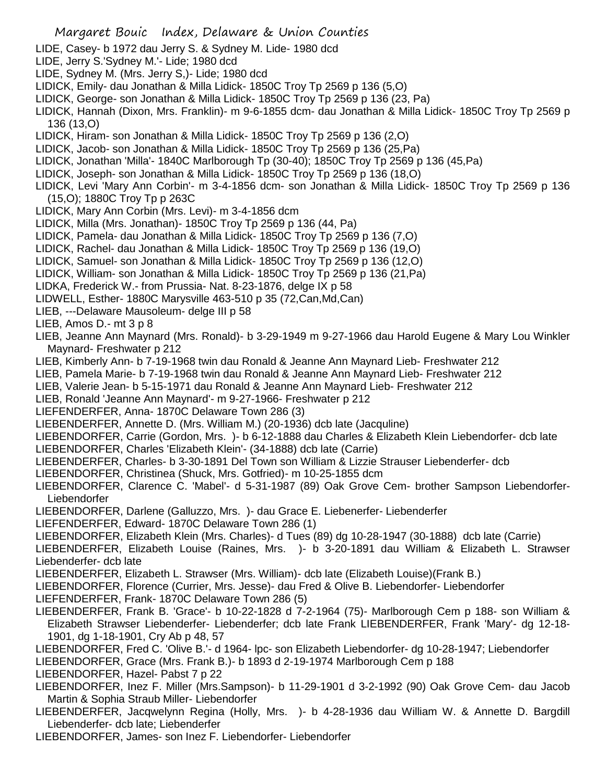- Margaret Bouic Index, Delaware & Union Counties LIDE, Casey- b 1972 dau Jerry S. & Sydney M. Lide- 1980 dcd LIDE, Jerry S.'Sydney M.'- Lide; 1980 dcd LIDE, Sydney M. (Mrs. Jerry S,)- Lide; 1980 dcd LIDICK, Emily- dau Jonathan & Milla Lidick- 1850C Troy Tp 2569 p 136 (5,O) LIDICK, George- son Jonathan & Milla Lidick- 1850C Troy Tp 2569 p 136 (23, Pa) LIDICK, Hannah (Dixon, Mrs. Franklin)- m 9-6-1855 dcm- dau Jonathan & Milla Lidick- 1850C Troy Tp 2569 p 136 (13,O) LIDICK, Hiram- son Jonathan & Milla Lidick- 1850C Troy Tp 2569 p 136 (2,O) LIDICK, Jacob- son Jonathan & Milla Lidick- 1850C Troy Tp 2569 p 136 (25,Pa) LIDICK, Jonathan 'Milla'- 1840C Marlborough Tp (30-40); 1850C Troy Tp 2569 p 136 (45,Pa) LIDICK, Joseph- son Jonathan & Milla Lidick- 1850C Troy Tp 2569 p 136 (18,O) LIDICK, Levi 'Mary Ann Corbin'- m 3-4-1856 dcm- son Jonathan & Milla Lidick- 1850C Troy Tp 2569 p 136 (15,O); 1880C Troy Tp p 263C LIDICK, Mary Ann Corbin (Mrs. Levi)- m 3-4-1856 dcm LIDICK, Milla (Mrs. Jonathan)- 1850C Troy Tp 2569 p 136 (44, Pa) LIDICK, Pamela- dau Jonathan & Milla Lidick- 1850C Troy Tp 2569 p 136 (7,O) LIDICK, Rachel- dau Jonathan & Milla Lidick- 1850C Troy Tp 2569 p 136 (19,O) LIDICK, Samuel- son Jonathan & Milla Lidick- 1850C Troy Tp 2569 p 136 (12,O) LIDICK, William- son Jonathan & Milla Lidick- 1850C Troy Tp 2569 p 136 (21,Pa) LIDKA, Frederick W.- from Prussia- Nat. 8-23-1876, delge IX p 58 LIDWELL, Esther- 1880C Marysville 463-510 p 35 (72,Can,Md,Can) LIEB, ---Delaware Mausoleum- delge III p 58 LIEB, Amos D.- mt 3 p 8 LIEB, Jeanne Ann Maynard (Mrs. Ronald)- b 3-29-1949 m 9-27-1966 dau Harold Eugene & Mary Lou Winkler Maynard- Freshwater p 212 LIEB, Kimberly Ann- b 7-19-1968 twin dau Ronald & Jeanne Ann Maynard Lieb- Freshwater 212 LIEB, Pamela Marie- b 7-19-1968 twin dau Ronald & Jeanne Ann Maynard Lieb- Freshwater 212 LIEB, Valerie Jean- b 5-15-1971 dau Ronald & Jeanne Ann Maynard Lieb- Freshwater 212 LIEB, Ronald 'Jeanne Ann Maynard'- m 9-27-1966- Freshwater p 212 LIEFENDERFER, Anna- 1870C Delaware Town 286 (3) LIEBENDERFER, Annette D. (Mrs. William M.) (20-1936) dcb late (Jacquline) LIEBENDORFER, Carrie (Gordon, Mrs. )- b 6-12-1888 dau Charles & Elizabeth Klein Liebendorfer- dcb late LIEBENDORFER, Charles 'Elizabeth Klein'- (34-1888) dcb late (Carrie) LIEBENDERFER, Charles- b 3-30-1891 Del Town son William & Lizzie Strauser Liebenderfer- dcb LIEBENDORFER, Christinea (Shuck, Mrs. Gotfried)- m 10-25-1855 dcm LIEBENDORFER, Clarence C. 'Mabel'- d 5-31-1987 (89) Oak Grove Cem- brother Sampson Liebendorfer-Liebendorfer LIEBENDORFER, Darlene (Galluzzo, Mrs. )- dau Grace E. Liebenerfer- Liebenderfer LIEFENDERFER, Edward- 1870C Delaware Town 286 (1) LIEBENDORFER, Elizabeth Klein (Mrs. Charles)- d Tues (89) dg 10-28-1947 (30-1888) dcb late (Carrie) LIEBENDERFER, Elizabeth Louise (Raines, Mrs. )- b 3-20-1891 dau William & Elizabeth L. Strawser Liebenderfer- dcb late LIEBENDERFER, Elizabeth L. Strawser (Mrs. William)- dcb late (Elizabeth Louise)(Frank B.) LIEBENDORFER, Florence (Currier, Mrs. Jesse)- dau Fred & Olive B. Liebendorfer- Liebendorfer LIEFENDERFER, Frank- 1870C Delaware Town 286 (5) LIEBENDERFER, Frank B. 'Grace'- b 10-22-1828 d 7-2-1964 (75)- Marlborough Cem p 188- son William & Elizabeth Strawser Liebenderfer- Liebenderfer; dcb late Frank LIEBENDERFER, Frank 'Mary'- dg 12-18- 1901, dg 1-18-1901, Cry Ab p 48, 57 LIEBENDORFER, Fred C. 'Olive B.'- d 1964- lpc- son Elizabeth Liebendorfer- dg 10-28-1947; Liebendorfer LIEBENDORFER, Grace (Mrs. Frank B.)- b 1893 d 2-19-1974 Marlborough Cem p 188 LIEBENDORFER, Hazel- Pabst 7 p 22 LIEBENDORFER, Inez F. Miller (Mrs.Sampson)- b 11-29-1901 d 3-2-1992 (90) Oak Grove Cem- dau Jacob Martin & Sophia Straub Miller- Liebendorfer LIEBENDERFER, Jacqwelynn Regina (Holly, Mrs. )- b 4-28-1936 dau William W. & Annette D. Bargdill Liebenderfer- dcb late; Liebenderfer
- LIEBENDORFER, James- son Inez F. Liebendorfer- Liebendorfer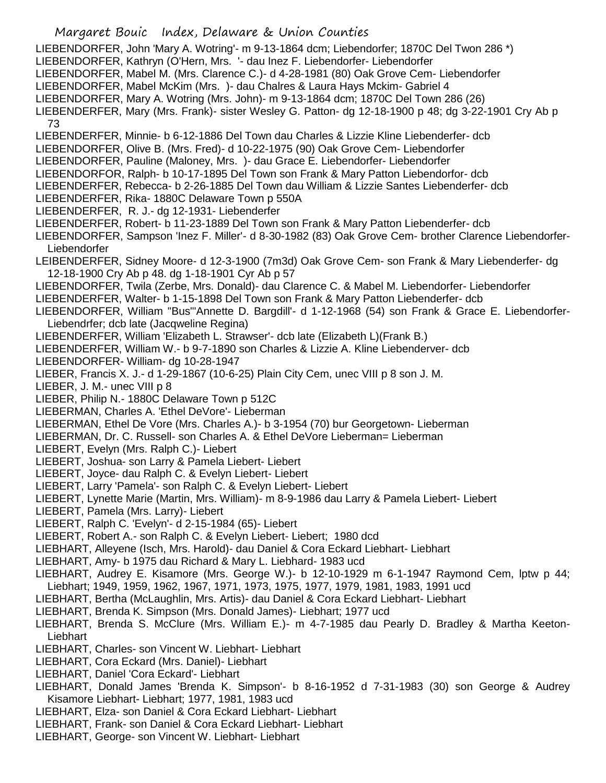- Margaret Bouic Index, Delaware & Union Counties LIEBENDORFER, John 'Mary A. Wotring'- m 9-13-1864 dcm; Liebendorfer; 1870C Del Twon 286 \*) LIEBENDORFER, Kathryn (O'Hern, Mrs. '- dau Inez F. Liebendorfer- Liebendorfer LIEBENDORFER, Mabel M. (Mrs. Clarence C.)- d 4-28-1981 (80) Oak Grove Cem- Liebendorfer LIEBENDORFER, Mabel McKim (Mrs. )- dau Chalres & Laura Hays Mckim- Gabriel 4 LIEBENDORFER, Mary A. Wotring (Mrs. John)- m 9-13-1864 dcm; 1870C Del Town 286 (26) LIEBENDERFER, Mary (Mrs. Frank)- sister Wesley G. Patton- dg 12-18-1900 p 48; dg 3-22-1901 Cry Ab p 73 LIEBENDERFER, Minnie- b 6-12-1886 Del Town dau Charles & Lizzie Kline Liebenderfer- dcb LIEBENDORFER, Olive B. (Mrs. Fred)- d 10-22-1975 (90) Oak Grove Cem- Liebendorfer LIEBENDORFER, Pauline (Maloney, Mrs. )- dau Grace E. Liebendorfer- Liebendorfer LIEBENDORFOR, Ralph- b 10-17-1895 Del Town son Frank & Mary Patton Liebendorfor- dcb LIEBENDERFER, Rebecca- b 2-26-1885 Del Town dau William & Lizzie Santes Liebenderfer- dcb LIEBENDERFER, Rika- 1880C Delaware Town p 550A LIEBENDERFER, R. J.- dg 12-1931- Liebenderfer LIEBENDERFER, Robert- b 11-23-1889 Del Town son Frank & Mary Patton Liebenderfer- dcb LIEBENDORFER, Sampson 'Inez F. Miller'- d 8-30-1982 (83) Oak Grove Cem- brother Clarence Liebendorfer-Liebendorfer LEIBENDERFER, Sidney Moore- d 12-3-1900 (7m3d) Oak Grove Cem- son Frank & Mary Liebenderfer- dg 12-18-1900 Cry Ab p 48. dg 1-18-1901 Cyr Ab p 57 LIEBENDORFER, Twila (Zerbe, Mrs. Donald)- dau Clarence C. & Mabel M. Liebendorfer- Liebendorfer LIEBENDERFER, Walter- b 1-15-1898 Del Town son Frank & Mary Patton Liebenderfer- dcb LIEBENDORFER, William "Bus"'Annette D. Bargdill'- d 1-12-1968 (54) son Frank & Grace E. Liebendorfer-Liebendrfer; dcb late (Jacqweline Regina) LIEBENDERFER, William 'Elizabeth L. Strawser'- dcb late (Elizabeth L)(Frank B.) LIEBENDERFER, William W.- b 9-7-1890 son Charles & Lizzie A. Kline Liebenderver- dcb LIEBENDORFER- William- dg 10-28-1947 LIEBER, Francis X. J.- d 1-29-1867 (10-6-25) Plain City Cem, unec VIII p 8 son J. M. LIEBER, J. M.- unec VIII p 8 LIEBER, Philip N.- 1880C Delaware Town p 512C LIEBERMAN, Charles A. 'Ethel DeVore'- Lieberman LIEBERMAN, Ethel De Vore (Mrs. Charles A.)- b 3-1954 (70) bur Georgetown- Lieberman LIEBERMAN, Dr. C. Russell- son Charles A. & Ethel DeVore Lieberman= Lieberman LIEBERT, Evelyn (Mrs. Ralph C.)- Liebert LIEBERT, Joshua- son Larry & Pamela Liebert- Liebert LIEBERT, Joyce- dau Ralph C. & Evelyn Liebert- Liebert LIEBERT, Larry 'Pamela'- son Ralph C. & Evelyn Liebert- Liebert LIEBERT, Lynette Marie (Martin, Mrs. William)- m 8-9-1986 dau Larry & Pamela Liebert- Liebert LIEBERT, Pamela (Mrs. Larry)- Liebert LIEBERT, Ralph C. 'Evelyn'- d 2-15-1984 (65)- Liebert LIEBERT, Robert A.- son Ralph C. & Evelyn Liebert- Liebert; 1980 dcd LIEBHART, Alleyene (Isch, Mrs. Harold)- dau Daniel & Cora Eckard Liebhart- Liebhart LIEBHART, Amy- b 1975 dau Richard & Mary L. Liebhard- 1983 ucd LIEBHART, Audrey E. Kisamore (Mrs. George W.)- b 12-10-1929 m 6-1-1947 Raymond Cem, lptw p 44; Liebhart; 1949, 1959, 1962, 1967, 1971, 1973, 1975, 1977, 1979, 1981, 1983, 1991 ucd LIEBHART, Bertha (McLaughlin, Mrs. Artis)- dau Daniel & Cora Eckard Liebhart- Liebhart LIEBHART, Brenda K. Simpson (Mrs. Donald James)- Liebhart; 1977 ucd LIEBHART, Brenda S. McClure (Mrs. William E.)- m 4-7-1985 dau Pearly D. Bradley & Martha Keeton-Liebhart LIEBHART, Charles- son Vincent W. Liebhart- Liebhart LIEBHART, Cora Eckard (Mrs. Daniel)- Liebhart LIEBHART, Daniel 'Cora Eckard'- Liebhart LIEBHART, Donald James 'Brenda K. Simpson'- b 8-16-1952 d 7-31-1983 (30) son George & Audrey Kisamore Liebhart- Liebhart; 1977, 1981, 1983 ucd
- LIEBHART, Elza- son Daniel & Cora Eckard Liebhart- Liebhart
- LIEBHART, Frank- son Daniel & Cora Eckard Liebhart- Liebhart
- LIEBHART, George- son Vincent W. Liebhart- Liebhart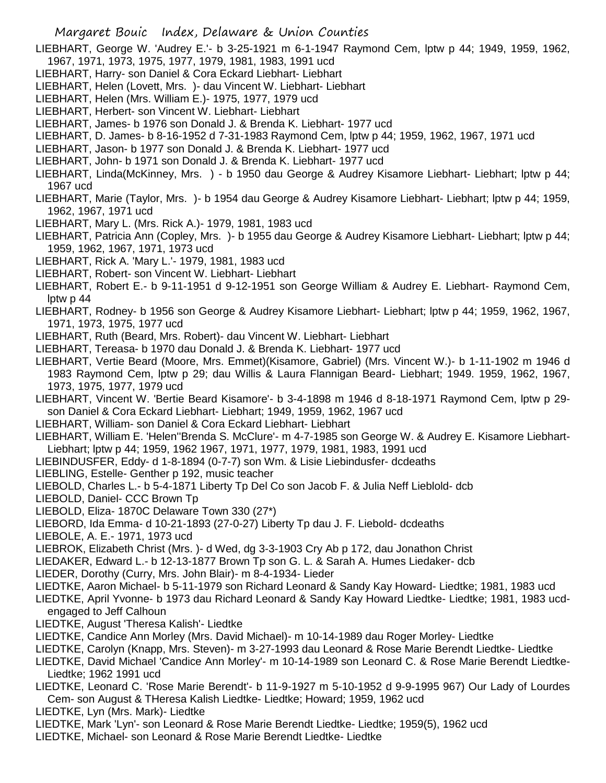LIEBHART, George W. 'Audrey E.'- b 3-25-1921 m 6-1-1947 Raymond Cem, lptw p 44; 1949, 1959, 1962, 1967, 1971, 1973, 1975, 1977, 1979, 1981, 1983, 1991 ucd

- LIEBHART, Harry- son Daniel & Cora Eckard Liebhart- Liebhart
- LIEBHART, Helen (Lovett, Mrs. )- dau Vincent W. Liebhart- Liebhart
- LIEBHART, Helen (Mrs. William E.)- 1975, 1977, 1979 ucd
- LIEBHART, Herbert- son Vincent W. Liebhart- Liebhart
- LIEBHART, James- b 1976 son Donald J. & Brenda K. Liebhart- 1977 ucd
- LIEBHART, D. James- b 8-16-1952 d 7-31-1983 Raymond Cem, lptw p 44; 1959, 1962, 1967, 1971 ucd
- LIEBHART, Jason- b 1977 son Donald J. & Brenda K. Liebhart- 1977 ucd
- LIEBHART, John- b 1971 son Donald J. & Brenda K. Liebhart- 1977 ucd
- LIEBHART, Linda(McKinney, Mrs. ) b 1950 dau George & Audrey Kisamore Liebhart- Liebhart; lptw p 44; 1967 ucd
- LIEBHART, Marie (Taylor, Mrs. )- b 1954 dau George & Audrey Kisamore Liebhart- Liebhart; lptw p 44; 1959, 1962, 1967, 1971 ucd
- LIEBHART, Mary L. (Mrs. Rick A.)- 1979, 1981, 1983 ucd
- LIEBHART, Patricia Ann (Copley, Mrs. )- b 1955 dau George & Audrey Kisamore Liebhart- Liebhart; lptw p 44; 1959, 1962, 1967, 1971, 1973 ucd
- LIEBHART, Rick A. 'Mary L.'- 1979, 1981, 1983 ucd
- LIEBHART, Robert- son Vincent W. Liebhart- Liebhart
- LIEBHART, Robert E.- b 9-11-1951 d 9-12-1951 son George William & Audrey E. Liebhart- Raymond Cem, lptw p 44
- LIEBHART, Rodney- b 1956 son George & Audrey Kisamore Liebhart- Liebhart; lptw p 44; 1959, 1962, 1967, 1971, 1973, 1975, 1977 ucd
- LIEBHART, Ruth (Beard, Mrs. Robert)- dau Vincent W. Liebhart- Liebhart
- LIEBHART, Tereasa- b 1970 dau Donald J. & Brenda K. Liebhart- 1977 ucd
- LIEBHART, Vertie Beard (Moore, Mrs. Emmet)(Kisamore, Gabriel) (Mrs. Vincent W.)- b 1-11-1902 m 1946 d 1983 Raymond Cem, lptw p 29; dau Willis & Laura Flannigan Beard- Liebhart; 1949. 1959, 1962, 1967, 1973, 1975, 1977, 1979 ucd
- LIEBHART, Vincent W. 'Bertie Beard Kisamore'- b 3-4-1898 m 1946 d 8-18-1971 Raymond Cem, lptw p 29 son Daniel & Cora Eckard Liebhart- Liebhart; 1949, 1959, 1962, 1967 ucd
- LIEBHART, William- son Daniel & Cora Eckard Liebhart- Liebhart
- LIEBHART, William E. 'Helen''Brenda S. McClure'- m 4-7-1985 son George W. & Audrey E. Kisamore Liebhart-Liebhart; lptw p 44; 1959, 1962 1967, 1971, 1977, 1979, 1981, 1983, 1991 ucd
- LIEBINDUSFER, Eddy- d 1-8-1894 (0-7-7) son Wm. & Lisie Liebindusfer- dcdeaths
- LIEBLING, Estelle- Genther p 192, music teacher
- LIEBOLD, Charles L.- b 5-4-1871 Liberty Tp Del Co son Jacob F. & Julia Neff Lieblold- dcb
- LIEBOLD, Daniel- CCC Brown Tp
- LIEBOLD, Eliza- 1870C Delaware Town 330 (27\*)
- LIEBORD, Ida Emma- d 10-21-1893 (27-0-27) Liberty Tp dau J. F. Liebold- dcdeaths
- LIEBOLE, A. E.- 1971, 1973 ucd
- LIEBROK, Elizabeth Christ (Mrs. )- d Wed, dg 3-3-1903 Cry Ab p 172, dau Jonathon Christ
- LIEDAKER, Edward L.- b 12-13-1877 Brown Tp son G. L. & Sarah A. Humes Liedaker- dcb
- LIEDER, Dorothy (Curry, Mrs. John Blair)- m 8-4-1934- Lieder
- LIEDTKE, Aaron Michael- b 5-11-1979 son Richard Leonard & Sandy Kay Howard- Liedtke; 1981, 1983 ucd
- LIEDTKE, April Yvonne- b 1973 dau Richard Leonard & Sandy Kay Howard Liedtke- Liedtke; 1981, 1983 ucdengaged to Jeff Calhoun
- LIEDTKE, August 'Theresa Kalish'- Liedtke
- LIEDTKE, Candice Ann Morley (Mrs. David Michael)- m 10-14-1989 dau Roger Morley- Liedtke
- LIEDTKE, Carolyn (Knapp, Mrs. Steven)- m 3-27-1993 dau Leonard & Rose Marie Berendt Liedtke- Liedtke
- LIEDTKE, David Michael 'Candice Ann Morley'- m 10-14-1989 son Leonard C. & Rose Marie Berendt Liedtke-Liedtke; 1962 1991 ucd
- LIEDTKE, Leonard C. 'Rose Marie Berendt'- b 11-9-1927 m 5-10-1952 d 9-9-1995 967) Our Lady of Lourdes Cem- son August & THeresa Kalish Liedtke- Liedtke; Howard; 1959, 1962 ucd
- LIEDTKE, Lyn (Mrs. Mark)- Liedtke
- LIEDTKE, Mark 'Lyn'- son Leonard & Rose Marie Berendt Liedtke- Liedtke; 1959(5), 1962 ucd
- LIEDTKE, Michael- son Leonard & Rose Marie Berendt Liedtke- Liedtke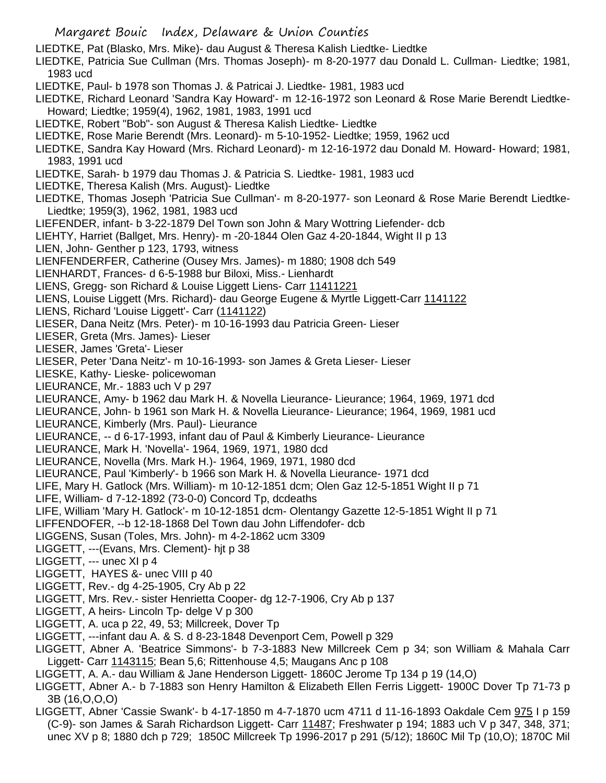- LIEDTKE, Pat (Blasko, Mrs. Mike)- dau August & Theresa Kalish Liedtke- Liedtke
- LIEDTKE, Patricia Sue Cullman (Mrs. Thomas Joseph)- m 8-20-1977 dau Donald L. Cullman- Liedtke; 1981, 1983 ucd
- LIEDTKE, Paul- b 1978 son Thomas J. & Patricai J. Liedtke- 1981, 1983 ucd
- LIEDTKE, Richard Leonard 'Sandra Kay Howard'- m 12-16-1972 son Leonard & Rose Marie Berendt Liedtke-Howard; Liedtke; 1959(4), 1962, 1981, 1983, 1991 ucd
- LIEDTKE, Robert "Bob"- son August & Theresa Kalish Liedtke- Liedtke
- LIEDTKE, Rose Marie Berendt (Mrs. Leonard)- m 5-10-1952- Liedtke; 1959, 1962 ucd
- LIEDTKE, Sandra Kay Howard (Mrs. Richard Leonard)- m 12-16-1972 dau Donald M. Howard- Howard; 1981, 1983, 1991 ucd
- LIEDTKE, Sarah- b 1979 dau Thomas J. & Patricia S. Liedtke- 1981, 1983 ucd
- LIEDTKE, Theresa Kalish (Mrs. August)- Liedtke
- LIEDTKE, Thomas Joseph 'Patricia Sue Cullman'- m 8-20-1977- son Leonard & Rose Marie Berendt Liedtke-Liedtke; 1959(3), 1962, 1981, 1983 ucd
- LIEFENDER, infant- b 3-22-1879 Del Town son John & Mary Wottring Liefender- dcb
- LIEHTY, Harriet (Ballget, Mrs. Henry)- m -20-1844 Olen Gaz 4-20-1844, Wight II p 13
- LIEN, John- Genther p 123, 1793, witness
- LIENFENDERFER, Catherine (Ousey Mrs. James)- m 1880; 1908 dch 549
- LIENHARDT, Frances- d 6-5-1988 bur Biloxi, Miss.- Lienhardt
- LIENS, Gregg- son Richard & Louise Liggett Liens- Carr 11411221
- LIENS, Louise Liggett (Mrs. Richard)- dau George Eugene & Myrtle Liggett-Carr 1141122
- LIENS, Richard 'Louise Liggett'- Carr (1141122)
- LIESER, Dana Neitz (Mrs. Peter)- m 10-16-1993 dau Patricia Green- Lieser
- LIESER, Greta (Mrs. James)- Lieser
- LIESER, James 'Greta'- Lieser
- LIESER, Peter 'Dana Neitz'- m 10-16-1993- son James & Greta Lieser- Lieser
- LIESKE, Kathy- Lieske- policewoman
- LIEURANCE, Mr.- 1883 uch V p 297
- LIEURANCE, Amy- b 1962 dau Mark H. & Novella Lieurance- Lieurance; 1964, 1969, 1971 dcd
- LIEURANCE, John- b 1961 son Mark H. & Novella Lieurance- Lieurance; 1964, 1969, 1981 ucd LIEURANCE, Kimberly (Mrs. Paul)- Lieurance
- LIEURANCE, -- d 6-17-1993, infant dau of Paul & Kimberly Lieurance- Lieurance
- LIEURANCE, Mark H. 'Novella'- 1964, 1969, 1971, 1980 dcd
- LIEURANCE, Novella (Mrs. Mark H.)- 1964, 1969, 1971, 1980 dcd
- LIEURANCE, Paul 'Kimberly'- b 1966 son Mark H. & Novella Lieurance- 1971 dcd
- LIFE, Mary H. Gatlock (Mrs. William)- m 10-12-1851 dcm; Olen Gaz 12-5-1851 Wight II p 71
- LIFE, William- d 7-12-1892 (73-0-0) Concord Tp, dcdeaths
- LIFE, William 'Mary H. Gatlock'- m 10-12-1851 dcm- Olentangy Gazette 12-5-1851 Wight II p 71
- LIFFENDOFER, --b 12-18-1868 Del Town dau John Liffendofer- dcb
- LIGGENS, Susan (Toles, Mrs. John)- m 4-2-1862 ucm 3309
- LIGGETT, ---(Evans, Mrs. Clement)- hjt p 38
- LIGGETT, --- unec XI p 4
- LIGGETT, HAYES &- unec VIII p 40
- LIGGETT, Rev.- dg 4-25-1905, Cry Ab p 22
- LIGGETT, Mrs. Rev.- sister Henrietta Cooper- dg 12-7-1906, Cry Ab p 137
- LIGGETT, A heirs- Lincoln Tp- delge V p 300
- LIGGETT, A. uca p 22, 49, 53; Millcreek, Dover Tp
- LIGGETT, ---infant dau A. & S. d 8-23-1848 Devenport Cem, Powell p 329
- LIGGETT, Abner A. 'Beatrice Simmons'- b 7-3-1883 New Millcreek Cem p 34; son William & Mahala Carr Liggett- Carr 1143115; Bean 5,6; Rittenhouse 4,5; Maugans Anc p 108
- LIGGETT, A. A.- dau William & Jane Henderson Liggett- 1860C Jerome Tp 134 p 19 (14,O)
- LIGGETT, Abner A.- b 7-1883 son Henry Hamilton & Elizabeth Ellen Ferris Liggett- 1900C Dover Tp 71-73 p 3B (16,O,O,O)
- LIGGETT, Abner 'Cassie Swank'- b 4-17-1850 m 4-7-1870 ucm 4711 d 11-16-1893 Oakdale Cem 975 I p 159 (C-9)- son James & Sarah Richardson Liggett- Carr 11487; Freshwater p 194; 1883 uch V p 347, 348, 371; unec XV p 8; 1880 dch p 729; 1850C Millcreek Tp 1996-2017 p 291 (5/12); 1860C Mil Tp (10,O); 1870C Mil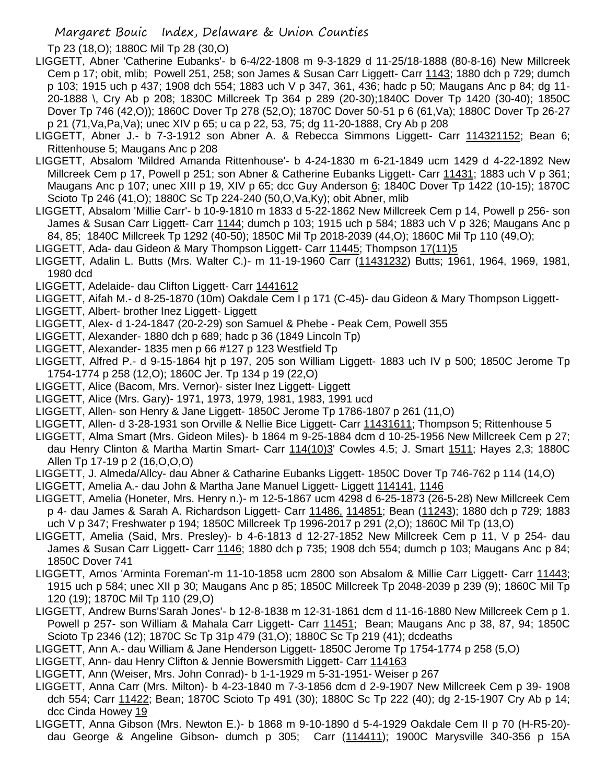Tp 23 (18,O); 1880C Mil Tp 28 (30,O)

- LIGGETT, Abner 'Catherine Eubanks'- b 6-4/22-1808 m 9-3-1829 d 11-25/18-1888 (80-8-16) New Millcreek Cem p 17; obit, mlib; Powell 251, 258; son James & Susan Carr Liggett- Carr 1143; 1880 dch p 729; dumch p 103; 1915 uch p 437; 1908 dch 554; 1883 uch V p 347, 361, 436; hadc p 50; Maugans Anc p 84; dg 11- 20-1888 \, Cry Ab p 208; 1830C Millcreek Tp 364 p 289 (20-30);1840C Dover Tp 1420 (30-40); 1850C Dover Tp 746 (42,O)); 1860C Dover Tp 278 (52,O); 1870C Dover 50-51 p 6 (61,Va); 1880C Dover Tp 26-27 p 21 (71,Va,Pa,Va); unec XIV p 65; u ca p 22, 53, 75; dg 11-20-1888, Cry Ab p 208
- LIGGETT, Abner J.- b 7-3-1912 son Abner A. & Rebecca Simmons Liggett- Carr 114321152; Bean 6; Rittenhouse 5; Maugans Anc p 208
- LIGGETT, Absalom 'Mildred Amanda Rittenhouse'- b 4-24-1830 m 6-21-1849 ucm 1429 d 4-22-1892 New Millcreek Cem p 17, Powell p 251; son Abner & Catherine Eubanks Liggett- Carr 11431; 1883 uch V p 361; Maugans Anc p 107; unec XIII p 19, XIV p 65; dcc Guy Anderson 6; 1840C Dover Tp 1422 (10-15); 1870C Scioto Tp 246 (41,O); 1880C Sc Tp 224-240 (50,O,Va,Ky); obit Abner, mlib
- LIGGETT, Absalom 'Millie Carr'- b 10-9-1810 m 1833 d 5-22-1862 New Millcreek Cem p 14, Powell p 256- son James & Susan Carr Liggett- Carr 1144; dumch p 103; 1915 uch p 584; 1883 uch V p 326; Maugans Anc p 84, 85; 1840C Millcreek Tp 1292 (40-50); 1850C Mil Tp 2018-2039 (44,O); 1860C Mil Tp 110 (49,O);
- LIGGETT, Ada- dau Gideon & Mary Thompson Liggett- Carr 11445; Thompson 17(11)5
- LIGGETT, Adalin L. Butts (Mrs. Walter C.)- m 11-19-1960 Carr (11431232) Butts; 1961, 1964, 1969, 1981, 1980 dcd
- LIGGETT, Adelaide- dau Clifton Liggett- Carr 1441612
- LIGGETT, Aifah M.- d 8-25-1870 (10m) Oakdale Cem I p 171 (C-45)- dau Gideon & Mary Thompson Liggett-
- LIGGETT, Albert- brother Inez Liggett- Liggett
- LIGGETT, Alex- d 1-24-1847 (20-2-29) son Samuel & Phebe Peak Cem, Powell 355
- LIGGETT, Alexander- 1880 dch p 689; hadc p 36 (1849 Lincoln Tp)
- LIGGETT, Alexander- 1835 men p 66 #127 p 123 Westfield Tp
- LIGGETT, Alfred P.- d 9-15-1864 hjt p 197, 205 son William Liggett- 1883 uch IV p 500; 1850C Jerome Tp 1754-1774 p 258 (12,O); 1860C Jer. Tp 134 p 19 (22,O)
- LIGGETT, Alice (Bacom, Mrs. Vernor)- sister Inez Liggett- Liggett
- LIGGETT, Alice (Mrs. Gary)- 1971, 1973, 1979, 1981, 1983, 1991 ucd
- LIGGETT, Allen- son Henry & Jane Liggett- 1850C Jerome Tp 1786-1807 p 261 (11,O)
- LIGGETT, Allen- d 3-28-1931 son Orville & Nellie Bice Liggett- Carr 11431611; Thompson 5; Rittenhouse 5
- LIGGETT, Alma Smart (Mrs. Gideon Miles)- b 1864 m 9-25-1884 dcm d 10-25-1956 New Millcreek Cem p 27; dau Henry Clinton & Martha Martin Smart- Carr 114(10)3' Cowles 4.5; J. Smart 1511; Hayes 2,3; 1880C Allen Tp 17-19 p 2 (16,O,O,O)
- LIGGETT, J. Almeda/Allcy- dau Abner & Catharine Eubanks Liggett- 1850C Dover Tp 746-762 p 114 (14,O)
- LIGGETT, Amelia A.- dau John & Martha Jane Manuel Liggett- Liggett 114141, 1146
- LIGGETT, Amelia (Honeter, Mrs. Henry n.)- m 12-5-1867 ucm 4298 d 6-25-1873 (26-5-28) New Millcreek Cem p 4- dau James & Sarah A. Richardson Liggett- Carr 11486, 114851; Bean (11243); 1880 dch p 729; 1883 uch V p 347; Freshwater p 194; 1850C Millcreek Tp 1996-2017 p 291 (2,O); 1860C Mil Tp (13,O)
- LIGGETT, Amelia (Said, Mrs. Presley)- b 4-6-1813 d 12-27-1852 New Millcreek Cem p 11, V p 254- dau James & Susan Carr Liggett- Carr 1146; 1880 dch p 735; 1908 dch 554; dumch p 103; Maugans Anc p 84; 1850C Dover 741
- LIGGETT, Amos 'Arminta Foreman'-m 11-10-1858 ucm 2800 son Absalom & Millie Carr Liggett- Carr 11443; 1915 uch p 584; unec XII p 30; Maugans Anc p 85; 1850C Millcreek Tp 2048-2039 p 239 (9); 1860C Mil Tp 120 (19); 1870C Mil Tp 110 (29,O)
- LIGGETT, Andrew Burns'Sarah Jones'- b 12-8-1838 m 12-31-1861 dcm d 11-16-1880 New Millcreek Cem p 1. Powell p 257- son William & Mahala Carr Liggett- Carr 11451; Bean; Maugans Anc p 38, 87, 94; 1850C Scioto Tp 2346 (12); 1870C Sc Tp 31p 479 (31,O); 1880C Sc Tp 219 (41); dcdeaths
- LIGGETT, Ann A.- dau William & Jane Henderson Liggett- 1850C Jerome Tp 1754-1774 p 258 (5,O)
- LIGGETT, Ann- dau Henry Clifton & Jennie Bowersmith Liggett- Carr 114163
- LIGGETT, Ann (Weiser, Mrs. John Conrad)- b 1-1-1929 m 5-31-1951- Weiser p 267
- LIGGETT, Anna Carr (Mrs. Milton)- b 4-23-1840 m 7-3-1856 dcm d 2-9-1907 New Millcreek Cem p 39- 1908 dch 554; Carr 11422; Bean; 1870C Scioto Tp 491 (30); 1880C Sc Tp 222 (40); dg 2-15-1907 Cry Ab p 14; dcc Cinda Howey 19
- LIGGETT, Anna Gibson (Mrs. Newton E.)- b 1868 m 9-10-1890 d 5-4-1929 Oakdale Cem II p 70 (H-R5-20) dau George & Angeline Gibson- dumch p 305; Carr (114411); 1900C Marysville 340-356 p 15A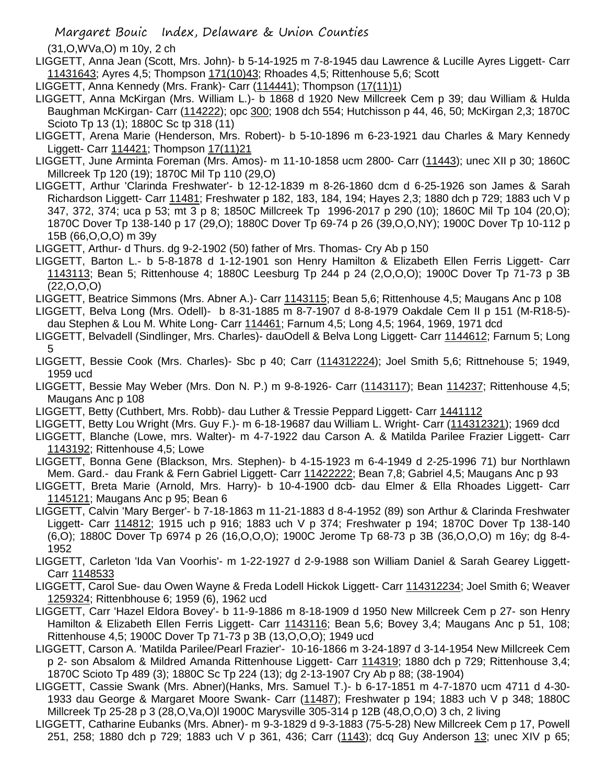(31,O,WVa,O) m 10y, 2 ch

- LIGGETT, Anna Jean (Scott, Mrs. John)- b 5-14-1925 m 7-8-1945 dau Lawrence & Lucille Ayres Liggett- Carr 11431643; Ayres 4,5; Thompson 171(10)43; Rhoades 4,5; Rittenhouse 5,6; Scott
- LIGGETT, Anna Kennedy (Mrs. Frank)- Carr (114441); Thompson (17(11)1)
- LIGGETT, Anna McKirgan (Mrs. William L.)- b 1868 d 1920 New Millcreek Cem p 39; dau William & Hulda Baughman McKirgan- Carr (114222); opc 300; 1908 dch 554; Hutchisson p 44, 46, 50; McKirgan 2,3; 1870C Scioto Tp 13 (1); 1880C Sc tp 318 (11)
- LIGGETT, Arena Marie (Henderson, Mrs. Robert)- b 5-10-1896 m 6-23-1921 dau Charles & Mary Kennedy Liggett- Carr 114421; Thompson 17(11)21
- LIGGETT, June Arminta Foreman (Mrs. Amos)- m 11-10-1858 ucm 2800- Carr (11443); unec XII p 30; 1860C Millcreek Tp 120 (19); 1870C Mil Tp 110 (29,O)
- LIGGETT, Arthur 'Clarinda Freshwater'- b 12-12-1839 m 8-26-1860 dcm d 6-25-1926 son James & Sarah Richardson Liggett- Carr 11481; Freshwater p 182, 183, 184, 194; Hayes 2,3; 1880 dch p 729; 1883 uch V p 347, 372, 374; uca p 53; mt 3 p 8; 1850C Millcreek Tp 1996-2017 p 290 (10); 1860C Mil Tp 104 (20,O); 1870C Dover Tp 138-140 p 17 (29,O); 1880C Dover Tp 69-74 p 26 (39,O,O,NY); 1900C Dover Tp 10-112 p 15B (66,O,O,O) m 39y
- LIGGETT, Arthur- d Thurs. dg 9-2-1902 (50) father of Mrs. Thomas- Cry Ab p 150
- LIGGETT, Barton L.- b 5-8-1878 d 1-12-1901 son Henry Hamilton & Elizabeth Ellen Ferris Liggett- Carr 1143113; Bean 5; Rittenhouse 4; 1880C Leesburg Tp 244 p 24 (2,O,O,O); 1900C Dover Tp 71-73 p 3B  $(22, 0, 0, 0)$
- LIGGETT, Beatrice Simmons (Mrs. Abner A.)- Carr 1143115; Bean 5,6; Rittenhouse 4,5; Maugans Anc p 108
- LIGGETT, Belva Long (Mrs. Odell)- b 8-31-1885 m 8-7-1907 d 8-8-1979 Oakdale Cem II p 151 (M-R18-5) dau Stephen & Lou M. White Long- Carr 114461; Farnum 4,5; Long 4,5; 1964, 1969, 1971 dcd
- LIGGETT, Belvadell (Sindlinger, Mrs. Charles)- dauOdell & Belva Long Liggett- Carr 1144612; Farnum 5; Long 5
- LIGGETT, Bessie Cook (Mrs. Charles)- Sbc p 40; Carr (114312224); Joel Smith 5,6; Rittnehouse 5; 1949, 1959 ucd
- LIGGETT, Bessie May Weber (Mrs. Don N. P.) m 9-8-1926- Carr (1143117); Bean 114237; Rittenhouse 4,5; Maugans Anc p 108
- LIGGETT, Betty (Cuthbert, Mrs. Robb)- dau Luther & Tressie Peppard Liggett- Carr 1441112
- LIGGETT, Betty Lou Wright (Mrs. Guy F.)- m 6-18-19687 dau William L. Wright- Carr (114312321); 1969 dcd
- LIGGETT, Blanche (Lowe, mrs. Walter)- m 4-7-1922 dau Carson A. & Matilda Parilee Frazier Liggett- Carr 1143192; Rittenhouse 4,5; Lowe
- LIGGETT, Bonna Gene (Blackson, Mrs. Stephen)- b 4-15-1923 m 6-4-1949 d 2-25-1996 71) bur Northlawn Mem. Gard.- dau Frank & Fern Gabriel Liggett- Carr 11422222; Bean 7,8; Gabriel 4,5; Maugans Anc p 93
- LIGGETT, Breta Marie (Arnold, Mrs. Harry)- b 10-4-1900 dcb- dau Elmer & Ella Rhoades Liggett- Carr 1145121; Maugans Anc p 95; Bean 6
- LIGGETT, Calvin 'Mary Berger'- b 7-18-1863 m 11-21-1883 d 8-4-1952 (89) son Arthur & Clarinda Freshwater Liggett- Carr 114812; 1915 uch p 916; 1883 uch V p 374; Freshwater p 194; 1870C Dover Tp 138-140 (6,O); 1880C Dover Tp 6974 p 26 (16,O,O,O); 1900C Jerome Tp 68-73 p 3B (36,O,O,O) m 16y; dg 8-4- 1952
- LIGGETT, Carleton 'Ida Van Voorhis'- m 1-22-1927 d 2-9-1988 son William Daniel & Sarah Gearey Liggett-Carr 1148533
- LIGGETT, Carol Sue- dau Owen Wayne & Freda Lodell Hickok Liggett- Carr 114312234; Joel Smith 6; Weaver 1259324; Rittenbhouse 6; 1959 (6), 1962 ucd
- LIGGETT, Carr 'Hazel Eldora Bovey'- b 11-9-1886 m 8-18-1909 d 1950 New Millcreek Cem p 27- son Henry Hamilton & Elizabeth Ellen Ferris Liggett- Carr 1143116; Bean 5,6; Bovey 3,4; Maugans Anc p 51, 108; Rittenhouse 4,5; 1900C Dover Tp 71-73 p 3B (13,O,O,O); 1949 ucd
- LIGGETT, Carson A. 'Matilda Parilee/Pearl Frazier'- 10-16-1866 m 3-24-1897 d 3-14-1954 New Millcreek Cem p 2- son Absalom & Mildred Amanda Rittenhouse Liggett- Carr 114319; 1880 dch p 729; Rittenhouse 3,4; 1870C Scioto Tp 489 (3); 1880C Sc Tp 224 (13); dg 2-13-1907 Cry Ab p 88; (38-1904)
- LIGGETT, Cassie Swank (Mrs. Abner)(Hanks, Mrs. Samuel T.)- b 6-17-1851 m 4-7-1870 ucm 4711 d 4-30- 1933 dau George & Margaret Moore Swank- Carr (11487); Freshwater p 194; 1883 uch V p 348; 1880C Millcreek Tp 25-28 p 3 (28,O,Va,O)l 1900C Marysville 305-314 p 12B (48,O,O,O) 3 ch, 2 living
- LIGGETT, Catharine Eubanks (Mrs. Abner)- m 9-3-1829 d 9-3-1883 (75-5-28) New Millcreek Cem p 17, Powell 251, 258; 1880 dch p 729; 1883 uch V p 361, 436; Carr (1143); dcq Guy Anderson 13; unec XIV p 65;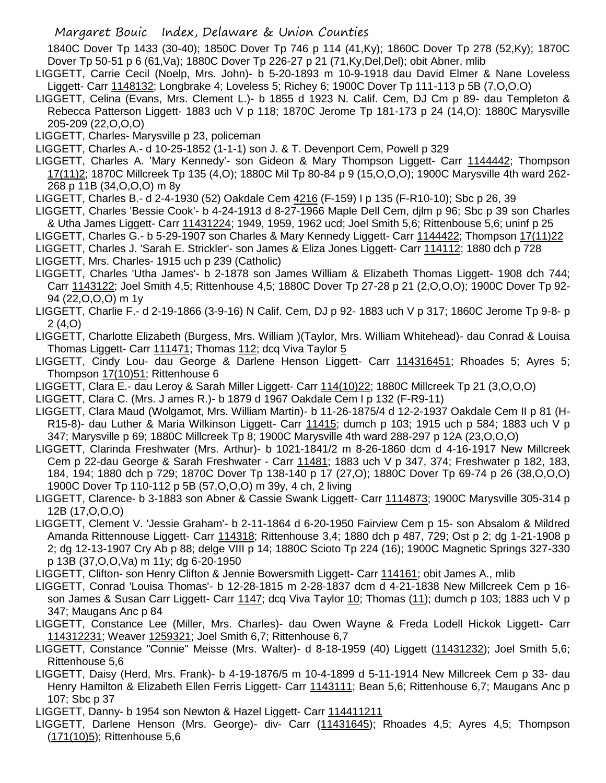1840C Dover Tp 1433 (30-40); 1850C Dover Tp 746 p 114 (41,Ky); 1860C Dover Tp 278 (52,Ky); 1870C Dover Tp 50-51 p 6 (61,Va); 1880C Dover Tp 226-27 p 21 (71,Ky,Del,Del); obit Abner, mlib

- LIGGETT, Carrie Cecil (Noelp, Mrs. John)- b 5-20-1893 m 10-9-1918 dau David Elmer & Nane Loveless Liggett- Carr 1148132; Longbrake 4; Loveless 5; Richey 6; 1900C Dover Tp 111-113 p 5B (7,O,O,O)
- LIGGETT, Celina (Evans, Mrs. Clement L.)- b 1855 d 1923 N. Calif. Cem, DJ Cm p 89- dau Templeton & Rebecca Patterson Liggett- 1883 uch V p 118; 1870C Jerome Tp 181-173 p 24 (14,O): 1880C Marysville 205-209 (22,O,O,O)
- LIGGETT, Charles- Marysville p 23, policeman
- LIGGETT, Charles A.- d 10-25-1852 (1-1-1) son J. & T. Devenport Cem, Powell p 329
- LIGGETT, Charles A. 'Mary Kennedy'- son Gideon & Mary Thompson Liggett- Carr 1144442; Thompson 17(11)2; 1870C Millcreek Tp 135 (4,O); 1880C Mil Tp 80-84 p 9 (15,O,O,O); 1900C Marysville 4th ward 262- 268 p 11B (34,O,O,O) m 8y
- LIGGETT, Charles B.- d 2-4-1930 (52) Oakdale Cem 4216 (F-159) I p 135 (F-R10-10); Sbc p 26, 39
- LIGGETT, Charles 'Bessie Cook'- b 4-24-1913 d 8-27-1966 Maple Dell Cem, djlm p 96; Sbc p 39 son Charles & Utha James Liggett- Carr 11431224; 1949, 1959, 1962 ucd; Joel Smith 5,6; Rittenbouse 5,6; uninf p 25
- LIGGETT, Charles G.- b 5-29-1907 son Charles & Mary Kennedy Liggett- Carr 1144422; Thompson 17(11)22
- LIGGETT, Charles J. 'Sarah E. Strickler'- son James & Eliza Jones Liggett- Carr 114112; 1880 dch p 728 LIGGETT, Mrs. Charles- 1915 uch p 239 (Catholic)
- LIGGETT, Charles 'Utha James'- b 2-1878 son James William & Elizabeth Thomas Liggett- 1908 dch 744; Carr 1143122; Joel Smith 4,5; Rittenhouse 4,5; 1880C Dover Tp 27-28 p 21 (2,O,O,O); 1900C Dover Tp 92- 94 (22,O,O,O) m 1y
- LIGGETT, Charlie F.- d 2-19-1866 (3-9-16) N Calif. Cem, DJ p 92- 1883 uch V p 317; 1860C Jerome Tp 9-8- p 2 (4,O)
- LIGGETT, Charlotte Elizabeth (Burgess, Mrs. William )(Taylor, Mrs. William Whitehead)- dau Conrad & Louisa Thomas Liggett- Carr 111471; Thomas 112; dcq Viva Taylor 5
- LIGGETT, Cindy Lou- dau George & Darlene Henson Liggett- Carr 114316451; Rhoades 5; Ayres 5; Thompson 17(10)51; Rittenhouse 6
- LIGGETT, Clara E.- dau Leroy & Sarah Miller Liggett- Carr 114(10)22; 1880C Millcreek Tp 21 (3,O,O,O)
- LIGGETT, Clara C. (Mrs. J ames R.)- b 1879 d 1967 Oakdale Cem I p 132 (F-R9-11)
- LIGGETT, Clara Maud (Wolgamot, Mrs. William Martin)- b 11-26-1875/4 d 12-2-1937 Oakdale Cem II p 81 (H-R15-8)- dau Luther & Maria Wilkinson Liggett- Carr 11415; dumch p 103; 1915 uch p 584; 1883 uch V p 347; Marysville p 69; 1880C Millcreek Tp 8; 1900C Marysville 4th ward 288-297 p 12A (23,O,O,O)
- LIGGETT, Clarinda Freshwater (Mrs. Arthur)- b 1021-1841/2 m 8-26-1860 dcm d 4-16-1917 New Millcreek Cem p 22-dau George & Sarah Freshwater - Carr 11481; 1883 uch V p 347, 374; Freshwater p 182, 183, 184, 194; 1880 dch p 729; 1870C Dover Tp 138-140 p 17 (27,O); 1880C Dover Tp 69-74 p 26 (38,O,O,O) 1900C Dover Tp 110-112 p 5B (57,O,O,O) m 39y, 4 ch, 2 living
- LIGGETT, Clarence- b 3-1883 son Abner & Cassie Swank Liggett- Carr 1114873; 1900C Marysville 305-314 p 12B (17,O,O,O)
- LIGGETT, Clement V. 'Jessie Graham'- b 2-11-1864 d 6-20-1950 Fairview Cem p 15- son Absalom & Mildred Amanda Rittennouse Liggett- Carr 114318; Rittenhouse 3,4; 1880 dch p 487, 729; Ost p 2; dg 1-21-1908 p 2; dg 12-13-1907 Cry Ab p 88; delge VIII p 14; 1880C Scioto Tp 224 (16); 1900C Magnetic Springs 327-330 p 13B (37,O,O,Va) m 11y; dg 6-20-1950
- LIGGETT, Clifton- son Henry Clifton & Jennie Bowersmith Liggett- Carr 114161; obit James A., mlib
- LIGGETT, Conrad 'Louisa Thomas'- b 12-28-1815 m 2-28-1837 dcm d 4-21-1838 New Millcreek Cem p 16 son James & Susan Carr Liggett- Carr 1147; dcq Viva Taylor 10; Thomas (11); dumch p 103; 1883 uch V p 347; Maugans Anc p 84
- LIGGETT, Constance Lee (Miller, Mrs. Charles)- dau Owen Wayne & Freda Lodell Hickok Liggett- Carr 114312231; Weaver 1259321; Joel Smith 6,7; Rittenhouse 6,7
- LIGGETT, Constance "Connie" Meisse (Mrs. Walter)- d 8-18-1959 (40) Liggett (11431232); Joel Smith 5,6; Rittenhouse 5,6
- LIGGETT, Daisy (Herd, Mrs. Frank)- b 4-19-1876/5 m 10-4-1899 d 5-11-1914 New Millcreek Cem p 33- dau Henry Hamilton & Elizabeth Ellen Ferris Liggett- Carr 1143111; Bean 5,6; Rittenhouse 6,7; Maugans Anc p 107; Sbc p 37
- LIGGETT, Danny- b 1954 son Newton & Hazel Liggett- Carr 114411211
- LIGGETT, Darlene Henson (Mrs. George)- div- Carr (11431645); Rhoades 4,5; Ayres 4,5; Thompson (171(10)5); Rittenhouse 5,6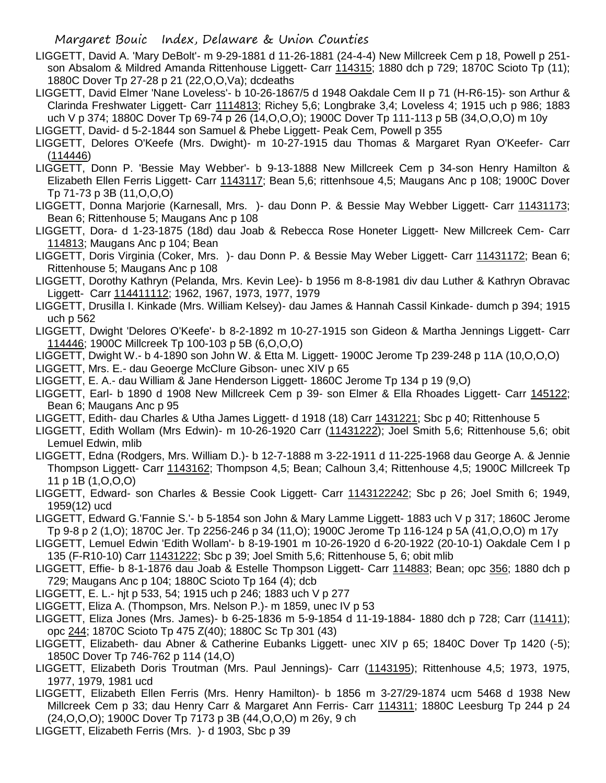- LIGGETT, David A. 'Mary DeBolt'- m 9-29-1881 d 11-26-1881 (24-4-4) New Millcreek Cem p 18, Powell p 251 son Absalom & Mildred Amanda Rittenhouse Liggett- Carr 114315; 1880 dch p 729; 1870C Scioto Tp (11); 1880C Dover Tp 27-28 p 21 (22,O,O,Va); dcdeaths
- LIGGETT, David Elmer 'Nane Loveless'- b 10-26-1867/5 d 1948 Oakdale Cem II p 71 (H-R6-15)- son Arthur & Clarinda Freshwater Liggett- Carr 1114813; Richey 5,6; Longbrake 3,4; Loveless 4; 1915 uch p 986; 1883 uch V p 374; 1880C Dover Tp 69-74 p 26 (14,O,O,O); 1900C Dover Tp 111-113 p 5B (34,O,O,O) m 10y
- LIGGETT, David- d 5-2-1844 son Samuel & Phebe Liggett- Peak Cem, Powell p 355
- LIGGETT, Delores O'Keefe (Mrs. Dwight)- m 10-27-1915 dau Thomas & Margaret Ryan O'Keefer- Carr (114446)
- LIGGETT, Donn P. 'Bessie May Webber'- b 9-13-1888 New Millcreek Cem p 34-son Henry Hamilton & Elizabeth Ellen Ferris Liggett- Carr 1143117; Bean 5,6; rittenhsoue 4,5; Maugans Anc p 108; 1900C Dover Tp 71-73 p 3B (11,O,O,O)
- LIGGETT, Donna Marjorie (Karnesall, Mrs. )- dau Donn P. & Bessie May Webber Liggett- Carr 11431173; Bean 6; Rittenhouse 5; Maugans Anc p 108
- LIGGETT, Dora- d 1-23-1875 (18d) dau Joab & Rebecca Rose Honeter Liggett- New Millcreek Cem- Carr 114813; Maugans Anc p 104; Bean
- LIGGETT, Doris Virginia (Coker, Mrs.)- dau Donn P. & Bessie May Weber Liggett- Carr 11431172; Bean 6; Rittenhouse 5; Maugans Anc p 108
- LIGGETT, Dorothy Kathryn (Pelanda, Mrs. Kevin Lee)- b 1956 m 8-8-1981 div dau Luther & Kathryn Obravac Liggett- Carr 114411112; 1962, 1967, 1973, 1977, 1979
- LIGGETT, Drusilla I. Kinkade (Mrs. William Kelsey)- dau James & Hannah Cassil Kinkade- dumch p 394; 1915 uch p 562
- LIGGETT, Dwight 'Delores O'Keefe'- b 8-2-1892 m 10-27-1915 son Gideon & Martha Jennings Liggett- Carr 114446; 1900C Millcreek Tp 100-103 p 5B (6,O,O,O)
- LIGGETT, Dwight W.- b 4-1890 son John W. & Etta M. Liggett- 1900C Jerome Tp 239-248 p 11A (10,O,O,O)
- LIGGETT, Mrs. E.- dau Geoerge McClure Gibson- unec XIV p 65
- LIGGETT, E. A.- dau William & Jane Henderson Liggett- 1860C Jerome Tp 134 p 19 (9,O)
- LIGGETT, Earl- b 1890 d 1908 New Millcreek Cem p 39- son Elmer & Ella Rhoades Liggett- Carr 145122; Bean 6; Maugans Anc p 95
- LIGGETT, Edith- dau Charles & Utha James Liggett- d 1918 (18) Carr 1431221; Sbc p 40; Rittenhouse 5
- LIGGETT, Edith Wollam (Mrs Edwin)- m 10-26-1920 Carr (11431222); Joel Smith 5,6; Rittenhouse 5,6; obit Lemuel Edwin, mlib
- LIGGETT, Edna (Rodgers, Mrs. William D.)- b 12-7-1888 m 3-22-1911 d 11-225-1968 dau George A. & Jennie Thompson Liggett- Carr 1143162; Thompson 4,5; Bean; Calhoun 3,4; Rittenhouse 4,5; 1900C Millcreek Tp 11 p 1B (1,O,O,O)
- LIGGETT, Edward- son Charles & Bessie Cook Liggett- Carr 1143122242; Sbc p 26; Joel Smith 6; 1949, 1959(12) ucd
- LIGGETT, Edward G.'Fannie S.'- b 5-1854 son John & Mary Lamme Liggett- 1883 uch V p 317; 1860C Jerome Tp 9-8 p 2 (1,O); 1870C Jer. Tp 2256-246 p 34 (11,O); 1900C Jerome Tp 116-124 p 5A (41,O,O,O) m 17y
- LIGGETT, Lemuel Edwin 'Edith Wollam'- b 8-19-1901 m 10-26-1920 d 6-20-1922 (20-10-1) Oakdale Cem I p 135 (F-R10-10) Carr 11431222; Sbc p 39; Joel Smith 5,6; Rittenhouse 5, 6; obit mlib
- LIGGETT, Effie- b 8-1-1876 dau Joab & Estelle Thompson Liggett- Carr 114883; Bean; opc 356; 1880 dch p 729; Maugans Anc p 104; 1880C Scioto Tp 164 (4); dcb
- LIGGETT, E. L.- hjt p 533, 54; 1915 uch p 246; 1883 uch V p 277
- LIGGETT, Eliza A. (Thompson, Mrs. Nelson P.)- m 1859, unec IV p 53
- LIGGETT, Eliza Jones (Mrs. James)- b 6-25-1836 m 5-9-1854 d 11-19-1884- 1880 dch p 728; Carr (11411); opc 244; 1870C Scioto Tp 475 Z(40); 1880C Sc Tp 301 (43)
- LIGGETT, Elizabeth- dau Abner & Catherine Eubanks Liggett- unec XIV p 65; 1840C Dover Tp 1420 (-5); 1850C Dover Tp 746-762 p 114 (14,O)
- LIGGETT, Elizabeth Doris Troutman (Mrs. Paul Jennings)- Carr (1143195); Rittenhouse 4,5; 1973, 1975, 1977, 1979, 1981 ucd
- LIGGETT, Elizabeth Ellen Ferris (Mrs. Henry Hamilton)- b 1856 m 3-27/29-1874 ucm 5468 d 1938 New Millcreek Cem p 33; dau Henry Carr & Margaret Ann Ferris- Carr 114311; 1880C Leesburg Tp 244 p 24 (24,O,O,O); 1900C Dover Tp 7173 p 3B (44,O,O,O) m 26y, 9 ch
- LIGGETT, Elizabeth Ferris (Mrs. )- d 1903, Sbc p 39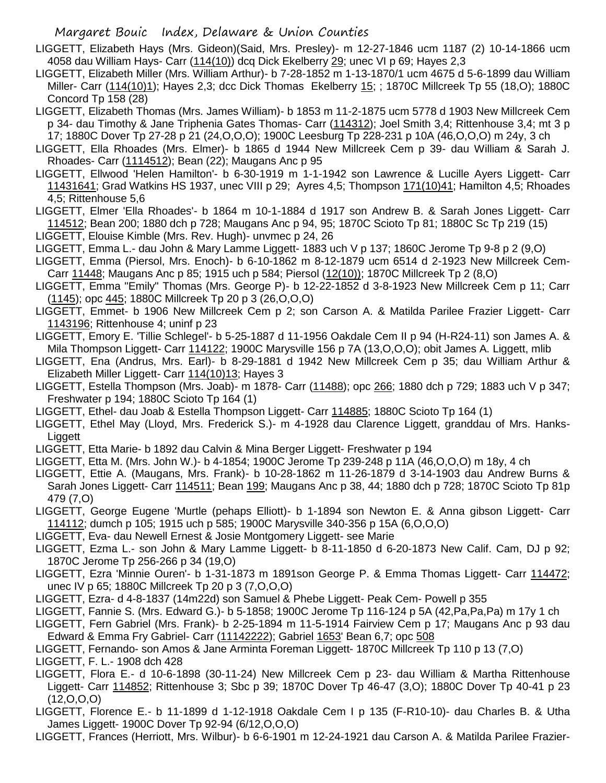- LIGGETT, Elizabeth Hays (Mrs. Gideon)(Said, Mrs. Presley)- m 12-27-1846 ucm 1187 (2) 10-14-1866 ucm 4058 dau William Hays- Carr (114(10)) dcq Dick Ekelberry 29; unec VI p 69; Hayes 2,3
- LIGGETT, Elizabeth Miller (Mrs. William Arthur)- b 7-28-1852 m 1-13-1870/1 ucm 4675 d 5-6-1899 dau William Miller- Carr (114(10)1); Hayes 2,3; dcc Dick Thomas Ekelberry 15; ; 1870C Millcreek Tp 55 (18,O); 1880C Concord Tp 158 (28)
- LIGGETT, Elizabeth Thomas (Mrs. James William)- b 1853 m 11-2-1875 ucm 5778 d 1903 New Millcreek Cem p 34- dau Timothy & Jane Triphenia Gates Thomas- Carr (114312); Joel Smith 3,4; Rittenhouse 3,4; mt 3 p 17; 1880C Dover Tp 27-28 p 21 (24,O,O,O); 1900C Leesburg Tp 228-231 p 10A (46,O,O,O) m 24y, 3 ch
- LIGGETT, Ella Rhoades (Mrs. Elmer)- b 1865 d 1944 New Millcreek Cem p 39- dau William & Sarah J. Rhoades- Carr (1114512); Bean (22); Maugans Anc p 95
- LIGGETT, Ellwood 'Helen Hamilton'- b 6-30-1919 m 1-1-1942 son Lawrence & Lucille Ayers Liggett- Carr 11431641; Grad Watkins HS 1937, unec VIII p 29; Ayres 4,5; Thompson 171(10)41; Hamilton 4,5; Rhoades 4,5; Rittenhouse 5,6
- LIGGETT, Elmer 'Ella Rhoades'- b 1864 m 10-1-1884 d 1917 son Andrew B. & Sarah Jones Liggett- Carr 114512; Bean 200; 1880 dch p 728; Maugans Anc p 94, 95; 1870C Scioto Tp 81; 1880C Sc Tp 219 (15)
- LIGGETT, Elouise Kimble (Mrs. Rev. Hugh)- unvmec p 24, 26
- LIGGETT, Emma L.- dau John & Mary Lamme Liggett- 1883 uch V p 137; 1860C Jerome Tp 9-8 p 2 (9,O)
- LIGGETT, Emma (Piersol, Mrs. Enoch)- b 6-10-1862 m 8-12-1879 ucm 6514 d 2-1923 New Millcreek Cem-Carr 11448; Maugans Anc p 85; 1915 uch p 584; Piersol (12(10)); 1870C Millcreek Tp 2 (8,O)
- LIGGETT, Emma "Emily" Thomas (Mrs. George P)- b 12-22-1852 d 3-8-1923 New Millcreek Cem p 11; Carr (1145); opc 445; 1880C Millcreek Tp 20 p 3 (26,O,O,O)
- LIGGETT, Emmet- b 1906 New Millcreek Cem p 2; son Carson A. & Matilda Parilee Frazier Liggett- Carr 1143196; Rittenhouse 4; uninf p 23
- LIGGETT, Emory E. 'Tillie Schlegel'- b 5-25-1887 d 11-1956 Oakdale Cem II p 94 (H-R24-11) son James A. & Mila Thompson Liggett- Carr 114122; 1900C Marysville 156 p 7A (13,O,O,O); obit James A. Liggett, mlib
- LIGGETT, Ena (Andrus, Mrs. Earl)- b 8-29-1881 d 1942 New Millcreek Cem p 35; dau William Arthur & Elizabeth Miller Liggett- Carr 114(10)13; Hayes 3
- LIGGETT, Estella Thompson (Mrs. Joab)- m 1878- Carr (11488); opc 266; 1880 dch p 729; 1883 uch V p 347; Freshwater p 194; 1880C Scioto Tp 164 (1)
- LIGGETT, Ethel- dau Joab & Estella Thompson Liggett- Carr 114885; 1880C Scioto Tp 164 (1)
- LIGGETT, Ethel May (Lloyd, Mrs. Frederick S.)- m 4-1928 dau Clarence Liggett, granddau of Mrs. Hanks-Liggett
- LIGGETT, Etta Marie- b 1892 dau Calvin & Mina Berger Liggett- Freshwater p 194
- LIGGETT, Etta M. (Mrs. John W.)- b 4-1854; 1900C Jerome Tp 239-248 p 11A (46,O,O,O) m 18y, 4 ch
- LIGGETT, Ettie A. (Maugans, Mrs. Frank)- b 10-28-1862 m 11-26-1879 d 3-14-1903 dau Andrew Burns & Sarah Jones Liggett- Carr 114511; Bean 199; Maugans Anc p 38, 44; 1880 dch p 728; 1870C Scioto Tp 81p 479 (7,O)
- LIGGETT, George Eugene 'Murtle (pehaps Elliott)- b 1-1894 son Newton E. & Anna gibson Liggett- Carr 114112; dumch p 105; 1915 uch p 585; 1900C Marysville 340-356 p 15A (6,O,O,O)
- LIGGETT, Eva- dau Newell Ernest & Josie Montgomery Liggett- see Marie
- LIGGETT, Ezma L.- son John & Mary Lamme Liggett- b 8-11-1850 d 6-20-1873 New Calif. Cam, DJ p 92; 1870C Jerome Tp 256-266 p 34 (19,O)
- LIGGETT, Ezra 'Minnie Ouren'- b 1-31-1873 m 1891son George P. & Emma Thomas Liggett- Carr 114472; unec IV p 65; 1880C Millcreek Tp 20 p 3 (7,O,O,O)
- LIGGETT, Ezra- d 4-8-1837 (14m22d) son Samuel & Phebe Liggett- Peak Cem- Powell p 355
- LIGGETT, Fannie S. (Mrs. Edward G.)- b 5-1858; 1900C Jerome Tp 116-124 p 5A (42,Pa,Pa,Pa) m 17y 1 ch
- LIGGETT, Fern Gabriel (Mrs. Frank)- b 2-25-1894 m 11-5-1914 Fairview Cem p 17; Maugans Anc p 93 dau Edward & Emma Fry Gabriel- Carr (11142222); Gabriel 1653' Bean 6,7; opc 508
- LIGGETT, Fernando- son Amos & Jane Arminta Foreman Liggett- 1870C Millcreek Tp 110 p 13 (7,O)
- LIGGETT, F. L.- 1908 dch 428
- LIGGETT, Flora E.- d 10-6-1898 (30-11-24) New Millcreek Cem p 23- dau William & Martha Rittenhouse Liggett- Carr 114852; Rittenhouse 3; Sbc p 39; 1870C Dover Tp 46-47 (3,O); 1880C Dover Tp 40-41 p 23 (12,O,O,O)
- LIGGETT, Florence E.- b 11-1899 d 1-12-1918 Oakdale Cem I p 135 (F-R10-10)- dau Charles B. & Utha James Liggett- 1900C Dover Tp 92-94 (6/12,O,O,O)
- LIGGETT, Frances (Herriott, Mrs. Wilbur)- b 6-6-1901 m 12-24-1921 dau Carson A. & Matilda Parilee Frazier-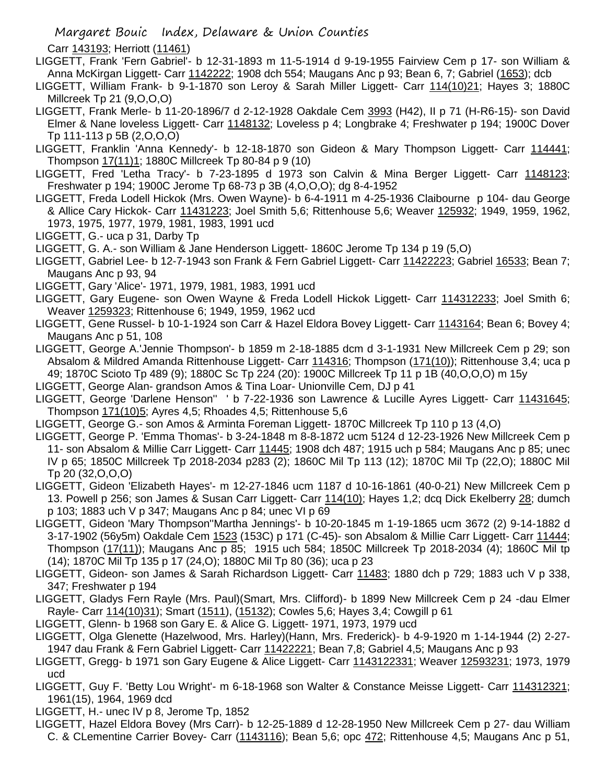Carr 143193; Herriott (11461)

- LIGGETT, Frank 'Fern Gabriel'- b 12-31-1893 m 11-5-1914 d 9-19-1955 Fairview Cem p 17- son William & Anna McKirgan Liggett- Carr 1142222; 1908 dch 554; Maugans Anc p 93; Bean 6, 7; Gabriel (1653); dcb
- LIGGETT, William Frank- b 9-1-1870 son Leroy & Sarah Miller Liggett- Carr 114(10)21; Hayes 3; 1880C Millcreek Tp 21 (9,O,O,O)
- LIGGETT, Frank Merle- b 11-20-1896/7 d 2-12-1928 Oakdale Cem 3993 (H42), II p 71 (H-R6-15)- son David Elmer & Nane loveless Liggett- Carr 1148132; Loveless p 4; Longbrake 4; Freshwater p 194; 1900C Dover Tp 111-113 p 5B (2,O,O,O)
- LIGGETT, Franklin 'Anna Kennedy'- b 12-18-1870 son Gideon & Mary Thompson Liggett- Carr 114441; Thompson 17(11)1; 1880C Millcreek Tp 80-84 p 9 (10)
- LIGGETT, Fred 'Letha Tracy'- b 7-23-1895 d 1973 son Calvin & Mina Berger Liggett- Carr 1148123; Freshwater p 194; 1900C Jerome Tp 68-73 p 3B (4,O,O,O); dg 8-4-1952
- LIGGETT, Freda Lodell Hickok (Mrs. Owen Wayne)- b 6-4-1911 m 4-25-1936 Claibourne p 104- dau George & Allice Cary Hickok- Carr 11431223; Joel Smith 5,6; Rittenhouse 5,6; Weaver 125932; 1949, 1959, 1962, 1973, 1975, 1977, 1979, 1981, 1983, 1991 ucd
- LIGGETT, G.- uca p 31, Darby Tp
- LIGGETT, G. A.- son William & Jane Henderson Liggett- 1860C Jerome Tp 134 p 19 (5,O)
- LIGGETT, Gabriel Lee- b 12-7-1943 son Frank & Fern Gabriel Liggett- Carr 11422223; Gabriel 16533; Bean 7; Maugans Anc p 93, 94
- LIGGETT, Gary 'Alice'- 1971, 1979, 1981, 1983, 1991 ucd
- LIGGETT, Gary Eugene- son Owen Wayne & Freda Lodell Hickok Liggett- Carr 114312233; Joel Smith 6; Weaver 1259323; Rittenhouse 6; 1949, 1959, 1962 ucd
- LIGGETT, Gene Russel- b 10-1-1924 son Carr & Hazel Eldora Bovey Liggett- Carr 1143164; Bean 6; Bovey 4; Maugans Anc p 51, 108
- LIGGETT, George A.'Jennie Thompson'- b 1859 m 2-18-1885 dcm d 3-1-1931 New Millcreek Cem p 29; son Absalom & Mildred Amanda Rittenhouse Liggett- Carr 114316; Thompson (171(10)); Rittenhouse 3,4; uca p 49; 1870C Scioto Tp 489 (9); 1880C Sc Tp 224 (20): 1900C Millcreek Tp 11 p 1B (40,O,O,O) m 15y
- LIGGETT, George Alan- grandson Amos & Tina Loar- Unionville Cem, DJ p 41
- LIGGETT, George 'Darlene Henson'' ' b 7-22-1936 son Lawrence & Lucille Ayres Liggett- Carr 11431645; Thompson 171(10)5; Ayres 4,5; Rhoades 4,5; Rittenhouse 5,6
- LIGGETT, George G.- son Amos & Arminta Foreman Liggett- 1870C Millcreek Tp 110 p 13 (4,O)
- LIGGETT, George P. 'Emma Thomas'- b 3-24-1848 m 8-8-1872 ucm 5124 d 12-23-1926 New Millcreek Cem p 11- son Absalom & Millie Carr Liggett- Carr 11445; 1908 dch 487; 1915 uch p 584; Maugans Anc p 85; unec IV p 65; 1850C Millcreek Tp 2018-2034 p283 (2); 1860C Mil Tp 113 (12); 1870C Mil Tp (22,O); 1880C Mil Tp 20 (32,O,O,O)
- LIGGETT, Gideon 'Elizabeth Hayes'- m 12-27-1846 ucm 1187 d 10-16-1861 (40-0-21) New Millcreek Cem p 13. Powell p 256; son James & Susan Carr Liggett- Carr 114(10); Hayes 1,2; dcq Dick Ekelberry 28; dumch p 103; 1883 uch V p 347; Maugans Anc p 84; unec VI p 69
- LIGGETT, Gideon 'Mary Thompson''Martha Jennings'- b 10-20-1845 m 1-19-1865 ucm 3672 (2) 9-14-1882 d 3-17-1902 (56y5m) Oakdale Cem 1523 (153C) p 171 (C-45)- son Absalom & Millie Carr Liggett- Carr 11444; Thompson (17(11)); Maugans Anc p 85; 1915 uch 584; 1850C Millcreek Tp 2018-2034 (4); 1860C Mil tp (14); 1870C Mil Tp 135 p 17 (24,O); 1880C Mil Tp 80 (36); uca p 23
- LIGGETT, Gideon- son James & Sarah Richardson Liggett- Carr 11483; 1880 dch p 729; 1883 uch V p 338, 347; Freshwater p 194
- LIGGETT, Gladys Fern Rayle (Mrs. Paul)(Smart, Mrs. Clifford)- b 1899 New Millcreek Cem p 24 -dau Elmer Rayle- Carr 114(10)31); Smart (1511), (15132); Cowles 5,6; Hayes 3,4; Cowgill p 61
- LIGGETT, Glenn- b 1968 son Gary E. & Alice G. Liggett- 1971, 1973, 1979 ucd
- LIGGETT, Olga Glenette (Hazelwood, Mrs. Harley)(Hann, Mrs. Frederick)- b 4-9-1920 m 1-14-1944 (2) 2-27- 1947 dau Frank & Fern Gabriel Liggett- Carr 11422221; Bean 7,8; Gabriel 4,5; Maugans Anc p 93
- LIGGETT, Gregg- b 1971 son Gary Eugene & Alice Liggett- Carr 1143122331; Weaver 12593231; 1973, 1979 ucd
- LIGGETT, Guy F. 'Betty Lou Wright'- m 6-18-1968 son Walter & Constance Meisse Liggett- Carr 114312321; 1961(15), 1964, 1969 dcd
- LIGGETT, H.- unec IV p 8, Jerome Tp, 1852
- LIGGETT, Hazel Eldora Bovey (Mrs Carr)- b 12-25-1889 d 12-28-1950 New Millcreek Cem p 27- dau William C. & CLementine Carrier Bovey- Carr (1143116); Bean 5,6; opc 472; Rittenhouse 4,5; Maugans Anc p 51,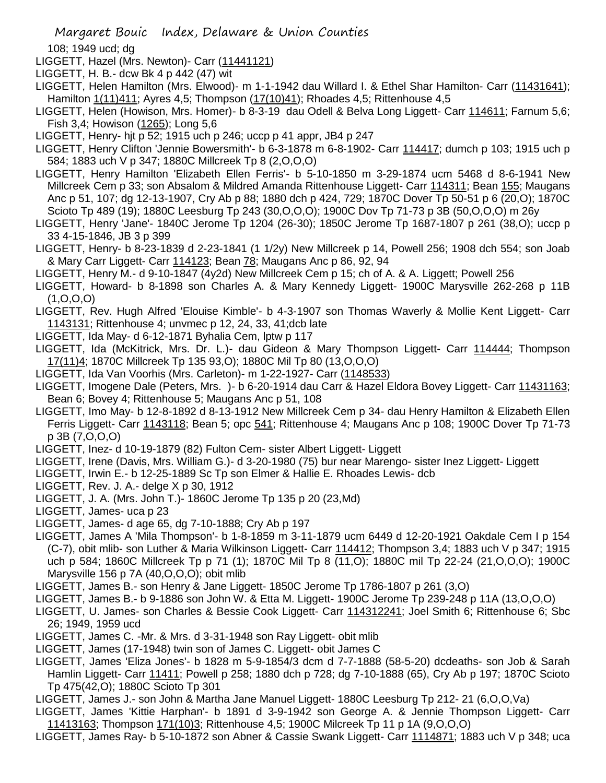108; 1949 ucd; dg

LIGGETT, Hazel (Mrs. Newton)- Carr (11441121)

- LIGGETT, H. B.- dcw Bk 4 p 442 (47) wit
- LIGGETT, Helen Hamilton (Mrs. Elwood)- m 1-1-1942 dau Willard I. & Ethel Shar Hamilton- Carr (11431641); Hamilton 1(11)411; Ayres 4,5; Thompson (17(10)41); Rhoades 4,5; Rittenhouse 4,5
- LIGGETT, Helen (Howison, Mrs. Homer)- b 8-3-19 dau Odell & Belva Long Liggett- Carr 114611; Farnum 5,6; Fish 3,4; Howison (1265); Long 5,6
- LIGGETT, Henry- hjt p 52; 1915 uch p 246; uccp p 41 appr, JB4 p 247
- LIGGETT, Henry Clifton 'Jennie Bowersmith'- b 6-3-1878 m 6-8-1902- Carr 114417; dumch p 103; 1915 uch p 584; 1883 uch V p 347; 1880C Millcreek Tp 8 (2,O,O,O)
- LIGGETT, Henry Hamilton 'Elizabeth Ellen Ferris'- b 5-10-1850 m 3-29-1874 ucm 5468 d 8-6-1941 New Millcreek Cem p 33; son Absalom & Mildred Amanda Rittenhouse Liggett- Carr 114311; Bean 155; Maugans Anc p 51, 107; dg 12-13-1907, Cry Ab p 88; 1880 dch p 424, 729; 1870C Dover Tp 50-51 p 6 (20,O); 1870C Scioto Tp 489 (19); 1880C Leesburg Tp 243 (30,O,O,O); 1900C Dov Tp 71-73 p 3B (50,O,O,O) m 26y
- LIGGETT, Henry 'Jane'- 1840C Jerome Tp 1204 (26-30); 1850C Jerome Tp 1687-1807 p 261 (38,O); uccp p 33 4-15-1846, JB 3 p 399
- LIGGETT, Henry- b 8-23-1839 d 2-23-1841 (1 1/2y) New Millcreek p 14, Powell 256; 1908 dch 554; son Joab & Mary Carr Liggett- Carr 114123; Bean 78; Maugans Anc p 86, 92, 94
- LIGGETT, Henry M.- d 9-10-1847 (4y2d) New Millcreek Cem p 15; ch of A. & A. Liggett; Powell 256
- LIGGETT, Howard- b 8-1898 son Charles A. & Mary Kennedy Liggett- 1900C Marysville 262-268 p 11B (1,O,O,O)
- LIGGETT, Rev. Hugh Alfred 'Elouise Kimble'- b 4-3-1907 son Thomas Waverly & Mollie Kent Liggett- Carr 1143131; Rittenhouse 4; unvmec p 12, 24, 33, 41;dcb late
- LIGGETT, Ida May- d 6-12-1871 Byhalia Cem, lptw p 117
- LIGGETT, Ida (McKitrick, Mrs. Dr. L.)- dau Gideon & Mary Thompson Liggett- Carr 114444; Thompson 17(11)4; 1870C Millcreek Tp 135 93,O); 1880C Mil Tp 80 (13,O,O,O)
- LIGGETT, Ida Van Voorhis (Mrs. Carleton)- m 1-22-1927- Carr (1148533)
- LIGGETT, Imogene Dale (Peters, Mrs. )- b 6-20-1914 dau Carr & Hazel Eldora Bovey Liggett- Carr 11431163; Bean 6; Bovey 4; Rittenhouse 5; Maugans Anc p 51, 108
- LIGGETT, Imo May- b 12-8-1892 d 8-13-1912 New Millcreek Cem p 34- dau Henry Hamilton & Elizabeth Ellen Ferris Liggett- Carr 1143118; Bean 5; opc 541; Rittenhouse 4; Maugans Anc p 108; 1900C Dover Tp 71-73 p 3B (7,O,O,O)
- LIGGETT, Inez- d 10-19-1879 (82) Fulton Cem- sister Albert Liggett- Liggett
- LIGGETT, Irene (Davis, Mrs. William G.)- d 3-20-1980 (75) bur near Marengo- sister Inez Liggett- Liggett
- LIGGETT, Irwin E.- b 12-25-1889 Sc Tp son Elmer & Hallie E. Rhoades Lewis- dcb
- LIGGETT, Rev. J. A.- delge X p 30, 1912
- LIGGETT, J. A. (Mrs. John T.)- 1860C Jerome Tp 135 p 20 (23,Md)
- LIGGETT, James- uca p 23
- LIGGETT, James- d age 65, dg 7-10-1888; Cry Ab p 197
- LIGGETT, James A 'Mila Thompson'- b 1-8-1859 m 3-11-1879 ucm 6449 d 12-20-1921 Oakdale Cem I p 154 (C-7), obit mlib- son Luther & Maria Wilkinson Liggett- Carr 114412; Thompson 3,4; 1883 uch V p 347; 1915 uch p 584; 1860C Millcreek Tp p 71 (1); 1870C Mil Tp 8 (11,O); 1880C mil Tp 22-24 (21,O,O,O); 1900C Marysville 156 p 7A (40,O,O,O); obit mlib
- LIGGETT, James B.- son Henry & Jane Liggett- 1850C Jerome Tp 1786-1807 p 261 (3,O)
- LIGGETT, James B.- b 9-1886 son John W. & Etta M. Liggett- 1900C Jerome Tp 239-248 p 11A (13,O,O,O)
- LIGGETT, U. James- son Charles & Bessie Cook Liggett- Carr 114312241; Joel Smith 6; Rittenhouse 6; Sbc 26; 1949, 1959 ucd
- LIGGETT, James C. -Mr. & Mrs. d 3-31-1948 son Ray Liggett- obit mlib
- LIGGETT, James (17-1948) twin son of James C. Liggett- obit James C
- LIGGETT, James 'Eliza Jones'- b 1828 m 5-9-1854/3 dcm d 7-7-1888 (58-5-20) dcdeaths- son Job & Sarah Hamlin Liggett- Carr 11411; Powell p 258; 1880 dch p 728; dg 7-10-1888 (65), Cry Ab p 197; 1870C Scioto Tp 475(42,O); 1880C Scioto Tp 301
- LIGGETT, James J.- son John & Martha Jane Manuel Liggett- 1880C Leesburg Tp 212- 21 (6,O,O,Va)
- LIGGETT, James 'Kittie Harphan'- b 1891 d 3-9-1942 son George A. & Jennie Thompson Liggett- Carr 11413163; Thompson 171(10)3; Rittenhouse 4,5; 1900C Milcreek Tp 11 p 1A (9,O,O,O)
- LIGGETT, James Ray- b 5-10-1872 son Abner & Cassie Swank Liggett- Carr 1114871; 1883 uch V p 348; uca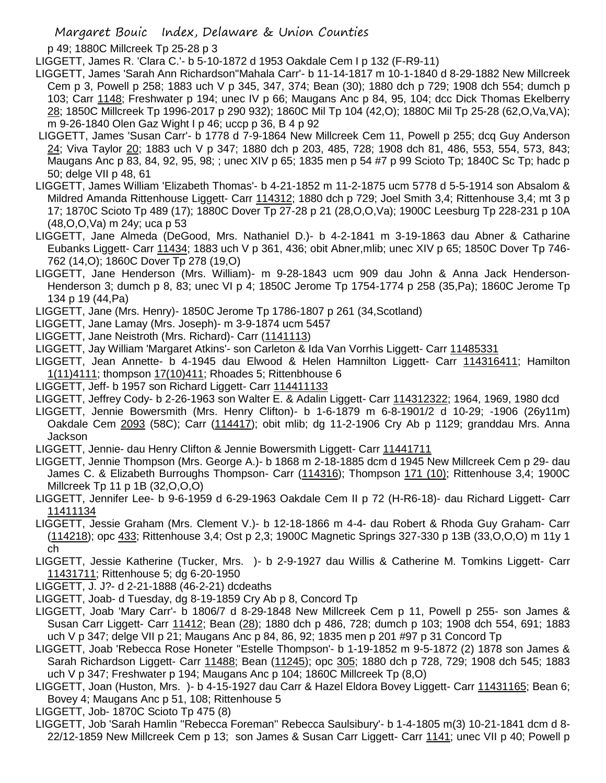p 49; 1880C Millcreek Tp 25-28 p 3

LIGGETT, James R. 'Clara C.'- b 5-10-1872 d 1953 Oakdale Cem I p 132 (F-R9-11)

- LIGGETT, James 'Sarah Ann Richardson''Mahala Carr'- b 11-14-1817 m 10-1-1840 d 8-29-1882 New Millcreek Cem p 3, Powell p 258; 1883 uch V p 345, 347, 374; Bean (30); 1880 dch p 729; 1908 dch 554; dumch p 103; Carr 1148; Freshwater p 194; unec IV p 66; Maugans Anc p 84, 95, 104; dcc Dick Thomas Ekelberry 28; 1850C Millcreek Tp 1996-2017 p 290 932); 1860C Mil Tp 104 (42,O); 1880C Mil Tp 25-28 (62,O,Va,VA); m 9-26-1840 Olen Gaz Wight I p 46; uccp p 36, B 4 p 92
- LIGGETT, James 'Susan Carr'- b 1778 d 7-9-1864 New Millcreek Cem 11, Powell p 255; dcq Guy Anderson 24; Viva Taylor 20; 1883 uch V p 347; 1880 dch p 203, 485, 728; 1908 dch 81, 486, 553, 554, 573, 843; Maugans Anc p 83, 84, 92, 95, 98; ; unec XIV p 65; 1835 men p 54 #7 p 99 Scioto Tp; 1840C Sc Tp; hadc p 50; delge VII p 48, 61
- LIGGETT, James William 'Elizabeth Thomas'- b 4-21-1852 m 11-2-1875 ucm 5778 d 5-5-1914 son Absalom & Mildred Amanda Rittenhouse Liggett- Carr 114312; 1880 dch p 729; Joel Smith 3,4; Rittenhouse 3,4; mt 3 p 17; 1870C Scioto Tp 489 (17); 1880C Dover Tp 27-28 p 21 (28,O,O,Va); 1900C Leesburg Tp 228-231 p 10A (48,O,O,Va) m 24y; uca p 53
- LIGGETT, Jane Almeda (DeGood, Mrs. Nathaniel D.)- b 4-2-1841 m 3-19-1863 dau Abner & Catharine Eubanks Liggett- Carr 11434; 1883 uch V p 361, 436; obit Abner,mlib; unec XIV p 65; 1850C Dover Tp 746- 762 (14,O); 1860C Dover Tp 278 (19,O)
- LIGGETT, Jane Henderson (Mrs. William)- m 9-28-1843 ucm 909 dau John & Anna Jack Henderson-Henderson 3; dumch p 8, 83; unec VI p 4; 1850C Jerome Tp 1754-1774 p 258 (35,Pa); 1860C Jerome Tp 134 p 19 (44,Pa)
- LIGGETT, Jane (Mrs. Henry)- 1850C Jerome Tp 1786-1807 p 261 (34,Scotland)
- LIGGETT, Jane Lamay (Mrs. Joseph)- m 3-9-1874 ucm 5457
- LIGGETT, Jane Neistroth (Mrs. Richard)- Carr (1141113)
- LIGGETT, Jay William 'Margaret Atkins'- son Carleton & Ida Van Vorrhis Liggett- Carr 11485331
- LIGGETT, Jean Annette- b 4-1945 dau Elwood & Helen Hamnilton Liggett- Carr 114316411; Hamilton 1(11)4111; thompson 17(10)411; Rhoades 5; Rittenbhouse 6
- LIGGETT, Jeff- b 1957 son Richard Liggett- Carr 114411133
- LIGGETT, Jeffrey Cody- b 2-26-1963 son Walter E. & Adalin Liggett- Carr 114312322; 1964, 1969, 1980 dcd
- LIGGETT, Jennie Bowersmith (Mrs. Henry Clifton)- b 1-6-1879 m 6-8-1901/2 d 10-29; -1906 (26y11m) Oakdale Cem 2093 (58C); Carr (114417); obit mlib; dg 11-2-1906 Cry Ab p 1129; granddau Mrs. Anna Jackson
- LIGGETT, Jennie- dau Henry Clifton & Jennie Bowersmith Liggett- Carr 11441711
- LIGGETT, Jennie Thompson (Mrs. George A.)- b 1868 m 2-18-1885 dcm d 1945 New Millcreek Cem p 29- dau James C. & Elizabeth Burroughs Thompson- Carr (114316); Thompson 171 (10); Rittenhouse 3,4; 1900C Millcreek Tp 11 p 1B (32,O,O,O)
- LIGGETT, Jennifer Lee- b 9-6-1959 d 6-29-1963 Oakdale Cem II p 72 (H-R6-18)- dau Richard Liggett- Carr 11411134
- LIGGETT, Jessie Graham (Mrs. Clement V.)- b 12-18-1866 m 4-4- dau Robert & Rhoda Guy Graham- Carr (114218); opc 433; Rittenhouse 3,4; Ost p 2,3; 1900C Magnetic Springs 327-330 p 13B (33,O,O,O) m 11y 1 ch
- LIGGETT, Jessie Katherine (Tucker, Mrs. )- b 2-9-1927 dau Willis & Catherine M. Tomkins Liggett- Carr 11431711; Rittenhouse 5; dg 6-20-1950
- LIGGETT, J. J?- d 2-21-1888 (46-2-21) dcdeaths
- LIGGETT, Joab- d Tuesday, dg 8-19-1859 Cry Ab p 8, Concord Tp
- LIGGETT, Joab 'Mary Carr'- b 1806/7 d 8-29-1848 New Millcreek Cem p 11, Powell p 255- son James & Susan Carr Liggett- Carr 11412; Bean (28); 1880 dch p 486, 728; dumch p 103; 1908 dch 554, 691; 1883 uch V p 347; delge VII p 21; Maugans Anc p 84, 86, 92; 1835 men p 201 #97 p 31 Concord Tp
- LIGGETT, Joab 'Rebecca Rose Honeter ''Estelle Thompson'- b 1-19-1852 m 9-5-1872 (2) 1878 son James & Sarah Richardson Liggett- Carr 11488; Bean (11245); opc 305; 1880 dch p 728, 729; 1908 dch 545; 1883 uch V p 347; Freshwater p 194; Maugans Anc p 104; 1860C Millcreek Tp (8,O)
- LIGGETT, Joan (Huston, Mrs. )- b 4-15-1927 dau Carr & Hazel Eldora Bovey Liggett- Carr 11431165; Bean 6; Bovey 4; Maugans Anc p 51, 108; Rittenhouse 5
- LIGGETT, Job- 1870C Scioto Tp 475 (8)
- LIGGETT, Job 'Sarah Hamlin ''Rebecca Foreman'' Rebecca Saulsibury'- b 1-4-1805 m(3) 10-21-1841 dcm d 8- 22/12-1859 New Millcreek Cem p 13; son James & Susan Carr Liggett- Carr 1141; unec VII p 40; Powell p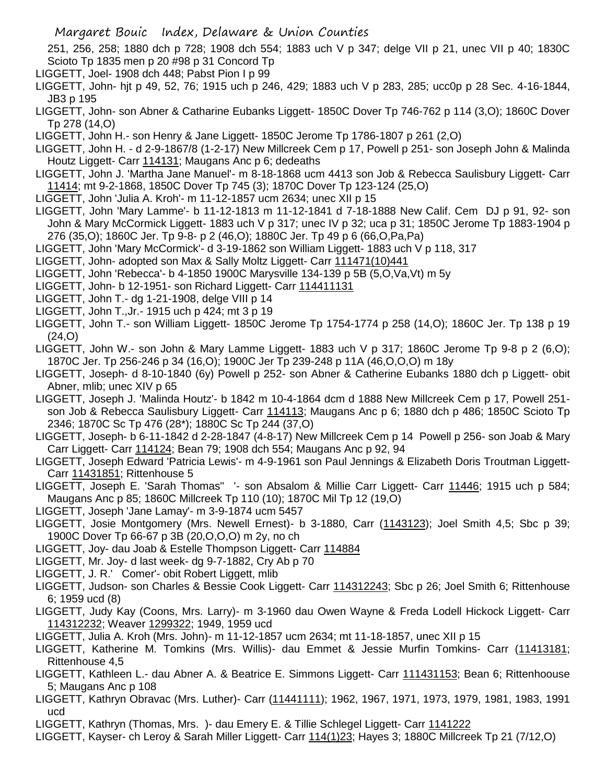251, 256, 258; 1880 dch p 728; 1908 dch 554; 1883 uch V p 347; delge VII p 21, unec VII p 40; 1830C Scioto Tp 1835 men p 20 #98 p 31 Concord Tp

- LIGGETT, Joel- 1908 dch 448; Pabst Pion I p 99
- LIGGETT, John- hjt p 49, 52, 76; 1915 uch p 246, 429; 1883 uch V p 283, 285; ucc0p p 28 Sec. 4-16-1844, JB3 p 195
- LIGGETT, John- son Abner & Catharine Eubanks Liggett- 1850C Dover Tp 746-762 p 114 (3,O); 1860C Dover Tp 278 (14,O)
- LIGGETT, John H.- son Henry & Jane Liggett- 1850C Jerome Tp 1786-1807 p 261 (2,O)
- LIGGETT, John H. d 2-9-1867/8 (1-2-17) New Millcreek Cem p 17, Powell p 251- son Joseph John & Malinda Houtz Liggett- Carr 114131; Maugans Anc p 6; dedeaths
- LIGGETT, John J. 'Martha Jane Manuel'- m 8-18-1868 ucm 4413 son Job & Rebecca Saulisbury Liggett- Carr 11414; mt 9-2-1868, 1850C Dover Tp 745 (3); 1870C Dover Tp 123-124 (25,O)
- LIGGETT, John 'Julia A. Kroh'- m 11-12-1857 ucm 2634; unec XII p 15
- LIGGETT, John 'Mary Lamme'- b 11-12-1813 m 11-12-1841 d 7-18-1888 New Calif. Cem DJ p 91, 92- son John & Mary McCormick Liggett- 1883 uch V p 317; unec IV p 32; uca p 31; 1850C Jerome Tp 1883-1904 p 276 (35,O); 1860C Jer. Tp 9-8- p 2 (46,O); 1880C Jer. Tp 49 p 6 (66,O,Pa,Pa)
- LIGGETT, John 'Mary McCormick'- d 3-19-1862 son William Liggett- 1883 uch V p 118, 317
- LIGGETT, John- adopted son Max & Sally Moltz Liggett- Carr 111471(10)441
- LIGGETT, John 'Rebecca'- b 4-1850 1900C Marysville 134-139 p 5B (5,O,Va,Vt) m 5y
- LIGGETT, John- b 12-1951- son Richard Liggett- Carr 114411131
- LIGGETT, John T.- dg 1-21-1908, delge VIII p 14
- LIGGETT, John T.,Jr.- 1915 uch p 424; mt 3 p 19
- LIGGETT, John T.- son William Liggett- 1850C Jerome Tp 1754-1774 p 258 (14,O); 1860C Jer. Tp 138 p 19 (24,O)
- LIGGETT, John W.- son John & Mary Lamme Liggett- 1883 uch V p 317; 1860C Jerome Tp 9-8 p 2 (6,O); 1870C Jer. Tp 256-246 p 34 (16,O); 1900C Jer Tp 239-248 p 11A (46,O,O,O) m 18y
- LIGGETT, Joseph- d 8-10-1840 (6y) Powell p 252- son Abner & Catherine Eubanks 1880 dch p Liggett- obit Abner, mlib; unec XIV p 65
- LIGGETT, Joseph J. 'Malinda Houtz'- b 1842 m 10-4-1864 dcm d 1888 New Millcreek Cem p 17, Powell 251 son Job & Rebecca Saulisbury Liggett- Carr 114113; Maugans Anc p 6; 1880 dch p 486; 1850C Scioto Tp 2346; 1870C Sc Tp 476 (28\*); 1880C Sc Tp 244 (37,O)
- LIGGETT, Joseph- b 6-11-1842 d 2-28-1847 (4-8-17) New Millcreek Cem p 14 Powell p 256- son Joab & Mary Carr Liggett- Carr 114124; Bean 79; 1908 dch 554; Maugans Anc p 92, 94
- LIGGETT, Joseph Edward 'Patricia Lewis'- m 4-9-1961 son Paul Jennings & Elizabeth Doris Troutman Liggett-Carr 11431851; Rittenhouse 5
- LIGGETT, Joseph E. 'Sarah Thomas'' '- son Absalom & Millie Carr Liggett- Carr 11446; 1915 uch p 584; Maugans Anc p 85; 1860C Millcreek Tp 110 (10); 1870C Mil Tp 12 (19,O)
- LIGGETT, Joseph 'Jane Lamay'- m 3-9-1874 ucm 5457
- LIGGETT, Josie Montgomery (Mrs. Newell Ernest)- b 3-1880, Carr (1143123); Joel Smith 4,5; Sbc p 39; 1900C Dover Tp 66-67 p 3B (20,O,O,O) m 2y, no ch
- LIGGETT, Joy- dau Joab & Estelle Thompson Liggett- Carr 114884
- LIGGETT, Mr. Joy- d last week- dg 9-7-1882, Cry Ab p 70
- LIGGETT, J. R.' Comer'- obit Robert Liggett, mlib
- LIGGETT, Judson- son Charles & Bessie Cook Liggett- Carr 114312243; Sbc p 26; Joel Smith 6; Rittenhouse 6; 1959 ucd (8)
- LIGGETT, Judy Kay (Coons, Mrs. Larry)- m 3-1960 dau Owen Wayne & Freda Lodell Hickock Liggett- Carr 114312232; Weaver 1299322; 1949, 1959 ucd
- LIGGETT, Julia A. Kroh (Mrs. John)- m 11-12-1857 ucm 2634; mt 11-18-1857, unec XII p 15
- LIGGETT, Katherine M. Tomkins (Mrs. Willis)- dau Emmet & Jessie Murfin Tomkins- Carr (11413181; Rittenhouse 4,5
- LIGGETT, Kathleen L.- dau Abner A. & Beatrice E. Simmons Liggett- Carr 111431153; Bean 6; Rittenhoouse 5; Maugans Anc p 108
- LIGGETT, Kathryn Obravac (Mrs. Luther)- Carr (11441111); 1962, 1967, 1971, 1973, 1979, 1981, 1983, 1991 ucd
- LIGGETT, Kathryn (Thomas, Mrs. )- dau Emery E. & Tillie Schlegel Liggett- Carr 1141222
- LIGGETT, Kayser- ch Leroy & Sarah Miller Liggett- Carr 114(1)23; Hayes 3; 1880C Millcreek Tp 21 (7/12,O)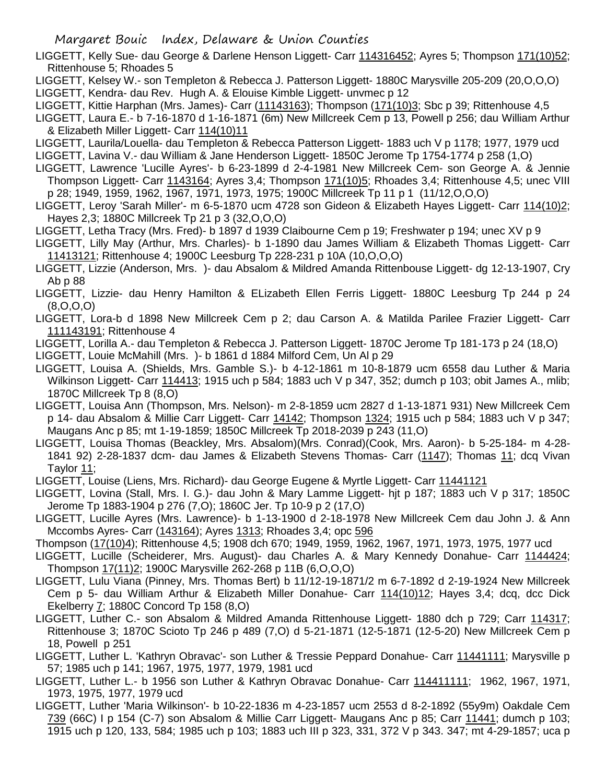- LIGGETT, Kelly Sue- dau George & Darlene Henson Liggett- Carr 114316452; Ayres 5; Thompson 171(10)52; Rittenhouse 5; Rhoades 5
- LIGGETT, Kelsey W.- son Templeton & Rebecca J. Patterson Liggett- 1880C Marysville 205-209 (20,O,O,O) LIGGETT, Kendra- dau Rev. Hugh A. & Elouise Kimble Liggett- unvmec p 12
- LIGGETT, Kittie Harphan (Mrs. James)- Carr (11143163); Thompson (171(10)3; Sbc p 39; Rittenhouse 4,5
- LIGGETT, Laura E.- b 7-16-1870 d 1-16-1871 (6m) New Millcreek Cem p 13, Powell p 256; dau William Arthur & Elizabeth Miller Liggett- Carr 114(10)11
- LIGGETT, Laurila/Louella- dau Templeton & Rebecca Patterson Liggett- 1883 uch V p 1178; 1977, 1979 ucd
- LIGGETT, Lavina V.- dau William & Jane Henderson Liggett- 1850C Jerome Tp 1754-1774 p 258 (1,O)
- LIGGETT, Lawrence 'Lucille Ayres'- b 6-23-1899 d 2-4-1981 New Millcreek Cem- son George A. & Jennie Thompson Liggett- Carr 1143164; Ayres 3,4; Thompson 171(10)5; Rhoades 3,4; Rittenhouse 4,5; unec VIII p 28; 1949, 1959, 1962, 1967, 1971, 1973, 1975; 1900C Millcreek Tp 11 p 1 (11/12,O,O,O)
- LIGGETT, Leroy 'Sarah Miller'- m 6-5-1870 ucm 4728 son Gideon & Elizabeth Hayes Liggett- Carr 114(10)2; Hayes 2,3; 1880C Millcreek Tp 21 p 3 (32,O,O,O)
- LIGGETT, Letha Tracy (Mrs. Fred)- b 1897 d 1939 Claibourne Cem p 19; Freshwater p 194; unec XV p 9
- LIGGETT, Lilly May (Arthur, Mrs. Charles)- b 1-1890 dau James William & Elizabeth Thomas Liggett- Carr 11413121; Rittenhouse 4; 1900C Leesburg Tp 228-231 p 10A (10,O,O,O)
- LIGGETT, Lizzie (Anderson, Mrs. )- dau Absalom & Mildred Amanda Rittenbouse Liggett- dg 12-13-1907, Cry Ab p 88
- LIGGETT, Lizzie- dau Henry Hamilton & ELizabeth Ellen Ferris Liggett- 1880C Leesburg Tp 244 p 24 (8,O,O,O)
- LIGGETT, Lora-b d 1898 New Millcreek Cem p 2; dau Carson A. & Matilda Parilee Frazier Liggett- Carr 111143191; Rittenhouse 4
- LIGGETT, Lorilla A.- dau Templeton & Rebecca J. Patterson Liggett- 1870C Jerome Tp 181-173 p 24 (18,O)
- LIGGETT, Louie McMahill (Mrs. )- b 1861 d 1884 Milford Cem, Un Al p 29
- LIGGETT, Louisa A. (Shields, Mrs. Gamble S.)- b 4-12-1861 m 10-8-1879 ucm 6558 dau Luther & Maria Wilkinson Liggett- Carr 114413; 1915 uch p 584; 1883 uch V p 347, 352; dumch p 103; obit James A., mlib: 1870C Millcreek Tp 8 (8,O)
- LIGGETT, Louisa Ann (Thompson, Mrs. Nelson)- m 2-8-1859 ucm 2827 d 1-13-1871 931) New Millcreek Cem p 14- dau Absalom & Millie Carr Liggett- Carr 14142; Thompson 1324; 1915 uch p 584; 1883 uch V p 347; Maugans Anc p 85; mt 1-19-1859; 1850C Millcreek Tp 2018-2039 p 243 (11,O)
- LIGGETT, Louisa Thomas (Beackley, Mrs. Absalom)(Mrs. Conrad)(Cook, Mrs. Aaron)- b 5-25-184- m 4-28- 1841 92) 2-28-1837 dcm- dau James & Elizabeth Stevens Thomas- Carr (1147); Thomas 11; dcq Vivan Taylor 11;
- LIGGETT, Louise (Liens, Mrs. Richard)- dau George Eugene & Myrtle Liggett- Carr 11441121
- LIGGETT, Lovina (Stall, Mrs. I. G.)- dau John & Mary Lamme Liggett- hjt p 187; 1883 uch V p 317; 1850C Jerome Tp 1883-1904 p 276 (7,O); 1860C Jer. Tp 10-9 p 2 (17,O)
- LIGGETT, Lucille Ayres (Mrs. Lawrence)- b 1-13-1900 d 2-18-1978 New Millcreek Cem dau John J. & Ann Mccombs Ayres- Carr (143164); Ayres 1313; Rhoades 3,4; opc 596
- Thompson (17(10)4); Rittenhouse 4,5; 1908 dch 670; 1949, 1959, 1962, 1967, 1971, 1973, 1975, 1977 ucd
- LIGGETT, Lucille (Scheiderer, Mrs. August)- dau Charles A. & Mary Kennedy Donahue- Carr 1144424; Thompson 17(11)2; 1900C Marysville 262-268 p 11B (6,O,O,O)
- LIGGETT, Lulu Viana (Pinney, Mrs. Thomas Bert) b 11/12-19-1871/2 m 6-7-1892 d 2-19-1924 New Millcreek Cem p 5- dau William Arthur & Elizabeth Miller Donahue- Carr 114(10)12; Hayes 3,4; dcq, dcc Dick Ekelberry 7; 1880C Concord Tp 158 (8,O)
- LIGGETT, Luther C.- son Absalom & Mildred Amanda Rittenhouse Liggett- 1880 dch p 729; Carr 114317; Rittenhouse 3; 1870C Scioto Tp 246 p 489 (7,O) d 5-21-1871 (12-5-1871 (12-5-20) New Millcreek Cem p 18, Powell p 251
- LIGGETT, Luther L. 'Kathryn Obravac'- son Luther & Tressie Peppard Donahue- Carr 11441111; Marysville p 57; 1985 uch p 141; 1967, 1975, 1977, 1979, 1981 ucd
- LIGGETT, Luther L.- b 1956 son Luther & Kathryn Obravac Donahue- Carr 114411111; 1962, 1967, 1971, 1973, 1975, 1977, 1979 ucd
- LIGGETT, Luther 'Maria Wilkinson'- b 10-22-1836 m 4-23-1857 ucm 2553 d 8-2-1892 (55y9m) Oakdale Cem 739 (66C) I p 154 (C-7) son Absalom & Millie Carr Liggett- Maugans Anc p 85; Carr 11441; dumch p 103; 1915 uch p 120, 133, 584; 1985 uch p 103; 1883 uch III p 323, 331, 372 V p 343. 347; mt 4-29-1857; uca p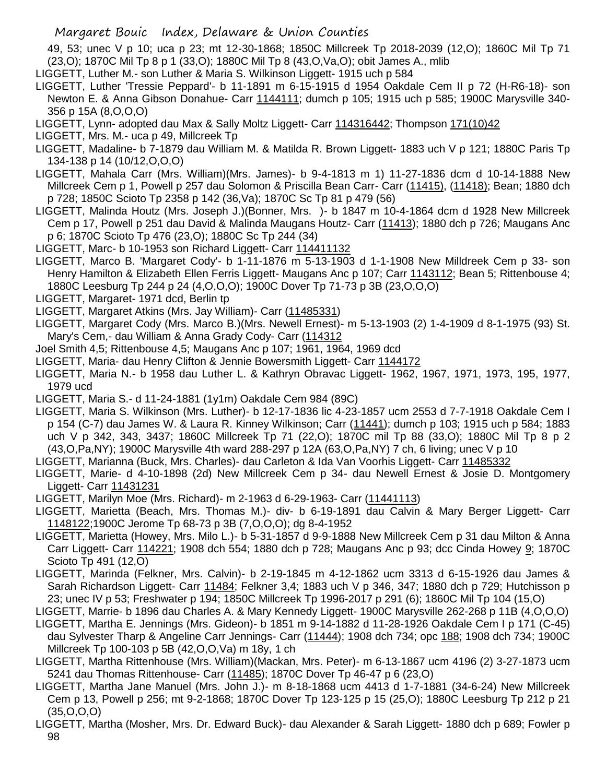49, 53; unec V p 10; uca p 23; mt 12-30-1868; 1850C Millcreek Tp 2018-2039 (12,O); 1860C Mil Tp 71 (23,O); 1870C Mil Tp 8 p 1 (33,O); 1880C Mil Tp 8 (43,O,Va,O); obit James A., mlib

- LIGGETT, Luther M.- son Luther & Maria S. Wilkinson Liggett- 1915 uch p 584
- LIGGETT, Luther 'Tressie Peppard'- b 11-1891 m 6-15-1915 d 1954 Oakdale Cem II p 72 (H-R6-18)- son Newton E. & Anna Gibson Donahue- Carr 1144111; dumch p 105; 1915 uch p 585; 1900C Marysville 340- 356 p 15A (8,O,O,O)
- LIGGETT, Lynn- adopted dau Max & Sally Moltz Liggett- Carr 114316442; Thompson 171(10)42
- LIGGETT, Mrs. M.- uca p 49, Millcreek Tp
- LIGGETT, Madaline- b 7-1879 dau William M. & Matilda R. Brown Liggett- 1883 uch V p 121; 1880C Paris Tp 134-138 p 14 (10/12,O,O,O)
- LIGGETT, Mahala Carr (Mrs. William)(Mrs. James)- b 9-4-1813 m 1) 11-27-1836 dcm d 10-14-1888 New Millcreek Cem p 1, Powell p 257 dau Solomon & Priscilla Bean Carr- Carr (11415), (11418); Bean; 1880 dch p 728; 1850C Scioto Tp 2358 p 142 (36,Va); 1870C Sc Tp 81 p 479 (56)
- LIGGETT, Malinda Houtz (Mrs. Joseph J.)(Bonner, Mrs. )- b 1847 m 10-4-1864 dcm d 1928 New Millcreek Cem p 17, Powell p 251 dau David & Malinda Maugans Houtz- Carr (11413); 1880 dch p 726; Maugans Anc p 6; 1870C Scioto Tp 476 (23,O); 1880C Sc Tp 244 (34)
- LIGGETT, Marc- b 10-1953 son Richard Liggett- Carr 114411132
- LIGGETT, Marco B. 'Margaret Cody'- b 1-11-1876 m 5-13-1903 d 1-1-1908 New Milldreek Cem p 33- son Henry Hamilton & Elizabeth Ellen Ferris Liggett- Maugans Anc p 107; Carr 1143112; Bean 5; Rittenbouse 4; 1880C Leesburg Tp 244 p 24 (4,O,O,O); 1900C Dover Tp 71-73 p 3B (23,O,O,O)
- LIGGETT, Margaret- 1971 dcd, Berlin tp
- LIGGETT, Margaret Atkins (Mrs. Jay William)- Carr (11485331)
- LIGGETT, Margaret Cody (Mrs. Marco B.)(Mrs. Newell Ernest)- m 5-13-1903 (2) 1-4-1909 d 8-1-1975 (93) St. Mary's Cem,- dau William & Anna Grady Cody- Carr (114312
- Joel Smith 4,5; Rittenbouse 4,5; Maugans Anc p 107; 1961, 1964, 1969 dcd
- LIGGETT, Maria- dau Henry Clifton & Jennie Bowersmith Liggett- Carr 1144172
- LIGGETT, Maria N.- b 1958 dau Luther L. & Kathryn Obravac Liggett- 1962, 1967, 1971, 1973, 195, 1977, 1979 ucd
- LIGGETT, Maria S.- d 11-24-1881 (1y1m) Oakdale Cem 984 (89C)
- LIGGETT, Maria S. Wilkinson (Mrs. Luther)- b 12-17-1836 lic 4-23-1857 ucm 2553 d 7-7-1918 Oakdale Cem I p 154 (C-7) dau James W. & Laura R. Kinney Wilkinson; Carr (11441); dumch p 103; 1915 uch p 584; 1883 uch V p 342, 343, 3437; 1860C Millcreek Tp 71 (22,O); 1870C mil Tp 88 (33,O); 1880C Mil Tp 8 p 2 (43,O,Pa,NY); 1900C Marysville 4th ward 288-297 p 12A (63,O,Pa,NY) 7 ch, 6 living; unec V p 10
- LIGGETT, Marianna (Buck, Mrs. Charles)- dau Carleton & Ida Van Voorhis Liggett- Carr 11485332
- LIGGETT, Marie- d 4-10-1898 (2d) New Millcreek Cem p 34- dau Newell Ernest & Josie D. Montgomery Liggett- Carr 11431231
- LIGGETT, Marilyn Moe (Mrs. Richard)- m 2-1963 d 6-29-1963- Carr (11441113)
- LIGGETT, Marietta (Beach, Mrs. Thomas M.)- div- b 6-19-1891 dau Calvin & Mary Berger Liggett- Carr 1148122;1900C Jerome Tp 68-73 p 3B (7,O,O,O); dg 8-4-1952
- LIGGETT, Marietta (Howey, Mrs. Milo L.)- b 5-31-1857 d 9-9-1888 New Millcreek Cem p 31 dau Milton & Anna Carr Liggett- Carr 114221; 1908 dch 554; 1880 dch p 728; Maugans Anc p 93; dcc Cinda Howey 9; 1870C Scioto Tp 491 (12,O)
- LIGGETT, Marinda (Felkner, Mrs. Calvin)- b 2-19-1845 m 4-12-1862 ucm 3313 d 6-15-1926 dau James & Sarah Richardson Liggett- Carr 11484; Felkner 3,4; 1883 uch V p 346, 347; 1880 dch p 729; Hutchisson p 23; unec IV p 53; Freshwater p 194; 1850C Millcreek Tp 1996-2017 p 291 (6); 1860C Mil Tp 104 (15,O)
- LIGGETT, Marrie- b 1896 dau Charles A. & Mary Kennedy Liggett- 1900C Marysville 262-268 p 11B (4,O,O,O)
- LIGGETT, Martha E. Jennings (Mrs. Gideon)- b 1851 m 9-14-1882 d 11-28-1926 Oakdale Cem I p 171 (C-45) dau Sylvester Tharp & Angeline Carr Jennings- Carr (11444); 1908 dch 734; opc 188; 1908 dch 734; 1900C Millcreek Tp 100-103 p 5B (42,O,O,Va) m 18y, 1 ch
- LIGGETT, Martha Rittenhouse (Mrs. William)(Mackan, Mrs. Peter)- m 6-13-1867 ucm 4196 (2) 3-27-1873 ucm 5241 dau Thomas Rittenhouse- Carr (11485); 1870C Dover Tp 46-47 p 6 (23,0)
- LIGGETT, Martha Jane Manuel (Mrs. John J.)- m 8-18-1868 ucm 4413 d 1-7-1881 (34-6-24) New Millcreek Cem p 13, Powell p 256; mt 9-2-1868; 1870C Dover Tp 123-125 p 15 (25,O); 1880C Leesburg Tp 212 p 21  $(35, 0, 0, 0)$
- LIGGETT, Martha (Mosher, Mrs. Dr. Edward Buck)- dau Alexander & Sarah Liggett- 1880 dch p 689; Fowler p 98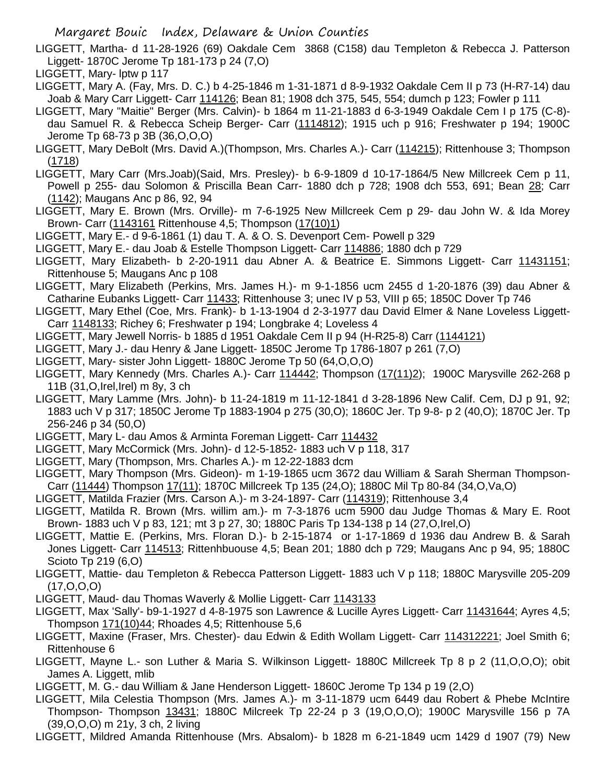- LIGGETT, Martha- d 11-28-1926 (69) Oakdale Cem 3868 (C158) dau Templeton & Rebecca J. Patterson Liggett- 1870C Jerome Tp 181-173 p 24 (7,O)
- LIGGETT, Mary- lptw p 117
- LIGGETT, Mary A. (Fay, Mrs. D. C.) b 4-25-1846 m 1-31-1871 d 8-9-1932 Oakdale Cem II p 73 (H-R7-14) dau Joab & Mary Carr Liggett- Carr 114126; Bean 81; 1908 dch 375, 545, 554; dumch p 123; Fowler p 111
- LIGGETT, Mary "Maitie" Berger (Mrs. Calvin)- b 1864 m 11-21-1883 d 6-3-1949 Oakdale Cem I p 175 (C-8) dau Samuel R. & Rebecca Scheip Berger- Carr (1114812); 1915 uch p 916; Freshwater p 194; 1900C Jerome Tp 68-73 p 3B (36,O,O,O)
- LIGGETT, Mary DeBolt (Mrs. David A.)(Thompson, Mrs. Charles A.)- Carr (114215); Rittenhouse 3; Thompson (1718)
- LIGGETT, Mary Carr (Mrs.Joab)(Said, Mrs. Presley)- b 6-9-1809 d 10-17-1864/5 New Millcreek Cem p 11, Powell p 255- dau Solomon & Priscilla Bean Carr- 1880 dch p 728; 1908 dch 553, 691; Bean 28; Carr (1142); Maugans Anc p 86, 92, 94
- LIGGETT, Mary E. Brown (Mrs. Orville)- m 7-6-1925 New Millcreek Cem p 29- dau John W. & Ida Morey Brown- Carr (1143161 Rittenhouse 4,5; Thompson (17(10)1)
- LIGGETT, Mary E.- d 9-6-1861 (1) dau T. A. & O. S. Devenport Cem- Powell p 329
- LIGGETT, Mary E.- dau Joab & Estelle Thompson Liggett- Carr 114886; 1880 dch p 729
- LIGGETT, Mary Elizabeth- b 2-20-1911 dau Abner A. & Beatrice E. Simmons Liggett- Carr 11431151; Rittenhouse 5; Maugans Anc p 108
- LIGGETT, Mary Elizabeth (Perkins, Mrs. James H.)- m 9-1-1856 ucm 2455 d 1-20-1876 (39) dau Abner & Catharine Eubanks Liggett- Carr 11433; Rittenhouse 3; unec IV p 53, VIII p 65; 1850C Dover Tp 746
- LIGGETT, Mary Ethel (Coe, Mrs. Frank)- b 1-13-1904 d 2-3-1977 dau David Elmer & Nane Loveless Liggett-Carr 1148133; Richey 6; Freshwater p 194; Longbrake 4; Loveless 4
- LIGGETT, Mary Jewell Norris- b 1885 d 1951 Oakdale Cem II p 94 (H-R25-8) Carr (1144121)
- LIGGETT, Mary J.- dau Henry & Jane Liggett- 1850C Jerome Tp 1786-1807 p 261 (7,O)
- LIGGETT, Mary- sister John Liggett- 1880C Jerome Tp 50 (64,O,O,O)
- LIGGETT, Mary Kennedy (Mrs. Charles A.)- Carr 114442; Thompson (17(11)2); 1900C Marysville 262-268 p 11B (31,O,Irel,Irel) m 8y, 3 ch
- LIGGETT, Mary Lamme (Mrs. John)- b 11-24-1819 m 11-12-1841 d 3-28-1896 New Calif. Cem, DJ p 91, 92; 1883 uch V p 317; 1850C Jerome Tp 1883-1904 p 275 (30,O); 1860C Jer. Tp 9-8- p 2 (40,O); 1870C Jer. Tp 256-246 p 34 (50,O)
- LIGGETT, Mary L- dau Amos & Arminta Foreman Liggett- Carr 114432
- LIGGETT, Mary McCormick (Mrs. John)- d 12-5-1852- 1883 uch V p 118, 317
- LIGGETT, Mary (Thompson, Mrs. Charles A.)- m 12-22-1883 dcm
- LIGGETT, Mary Thompson (Mrs. Gideon)- m 1-19-1865 ucm 3672 dau William & Sarah Sherman Thompson-Carr (11444) Thompson 17(11); 1870C Millcreek Tp 135 (24,O); 1880C Mil Tp 80-84 (34,O,Va,O)
- LIGGETT, Matilda Frazier (Mrs. Carson A.)- m 3-24-1897- Carr (114319); Rittenhouse 3,4
- LIGGETT, Matilda R. Brown (Mrs. willim am.)- m 7-3-1876 ucm 5900 dau Judge Thomas & Mary E. Root Brown- 1883 uch V p 83, 121; mt 3 p 27, 30; 1880C Paris Tp 134-138 p 14 (27,O,Irel,O)
- LIGGETT, Mattie E. (Perkins, Mrs. Floran D.)- b 2-15-1874 or 1-17-1869 d 1936 dau Andrew B. & Sarah Jones Liggett- Carr 114513; Rittenhbuouse 4,5; Bean 201; 1880 dch p 729; Maugans Anc p 94, 95; 1880C Scioto Tp 219 (6,O)
- LIGGETT, Mattie- dau Templeton & Rebecca Patterson Liggett- 1883 uch V p 118; 1880C Marysville 205-209 (17,O,O,O)
- LIGGETT, Maud- dau Thomas Waverly & Mollie Liggett- Carr 1143133
- LIGGETT, Max 'Sally'- b9-1-1927 d 4-8-1975 son Lawrence & Lucille Ayres Liggett- Carr 11431644; Ayres 4,5; Thompson 171(10)44; Rhoades 4,5; Rittenhouse 5,6
- LIGGETT, Maxine (Fraser, Mrs. Chester)- dau Edwin & Edith Wollam Liggett- Carr 114312221; Joel Smith 6; Rittenhouse 6
- LIGGETT, Mayne L.- son Luther & Maria S. Wilkinson Liggett- 1880C Millcreek Tp 8 p 2 (11,O,O,O); obit James A. Liggett, mlib
- LIGGETT, M. G.- dau William & Jane Henderson Liggett- 1860C Jerome Tp 134 p 19 (2,O)
- LIGGETT, Mila Celestia Thompson (Mrs. James A.)- m 3-11-1879 ucm 6449 dau Robert & Phebe McIntire Thompson- Thompson 13431; 1880C Milcreek Tp 22-24 p 3 (19,O,O,O); 1900C Marysville 156 p 7A (39,O,O,O) m 21y, 3 ch, 2 living
- LIGGETT, Mildred Amanda Rittenhouse (Mrs. Absalom)- b 1828 m 6-21-1849 ucm 1429 d 1907 (79) New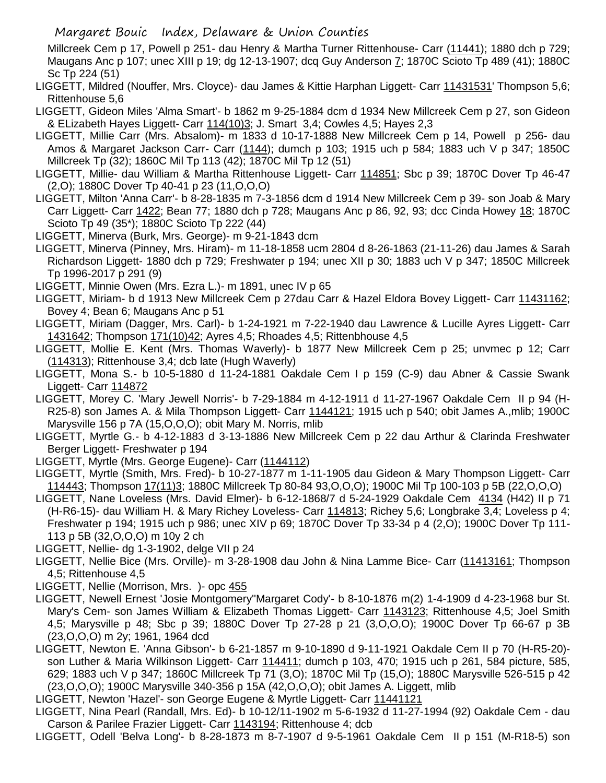Millcreek Cem p 17, Powell p 251- dau Henry & Martha Turner Rittenhouse- Carr (11441); 1880 dch p 729; Maugans Anc p 107; unec XIII p 19; dg 12-13-1907; dcq Guy Anderson 7; 1870C Scioto Tp 489 (41); 1880C Sc Tp 224 (51)

LIGGETT, Mildred (Nouffer, Mrs. Cloyce)- dau James & Kittie Harphan Liggett- Carr 11431531' Thompson 5,6; Rittenhouse 5,6

LIGGETT, Gideon Miles 'Alma Smart'- b 1862 m 9-25-1884 dcm d 1934 New Millcreek Cem p 27, son Gideon & ELizabeth Hayes Liggett- Carr 114(10)3; J. Smart 3,4; Cowles 4,5; Hayes 2,3

- LIGGETT, Millie Carr (Mrs. Absalom)- m 1833 d 10-17-1888 New Millcreek Cem p 14, Powell p 256- dau Amos & Margaret Jackson Carr- Carr (1144); dumch p 103; 1915 uch p 584; 1883 uch V p 347; 1850C Millcreek Tp (32); 1860C Mil Tp 113 (42); 1870C Mil Tp 12 (51)
- LIGGETT, Millie- dau William & Martha Rittenhouse Liggett- Carr 114851; Sbc p 39; 1870C Dover Tp 46-47 (2,O); 1880C Dover Tp 40-41 p 23 (11,O,O,O)
- LIGGETT, Milton 'Anna Carr'- b 8-28-1835 m 7-3-1856 dcm d 1914 New Millcreek Cem p 39- son Joab & Mary Carr Liggett- Carr 1422; Bean 77; 1880 dch p 728; Maugans Anc p 86, 92, 93; dcc Cinda Howey 18; 1870C Scioto Tp 49 (35\*); 1880C Scioto Tp 222 (44)
- LIGGETT, Minerva (Burk, Mrs. George)- m 9-21-1843 dcm
- LIGGETT, Minerva (Pinney, Mrs. Hiram)- m 11-18-1858 ucm 2804 d 8-26-1863 (21-11-26) dau James & Sarah Richardson Liggett- 1880 dch p 729; Freshwater p 194; unec XII p 30; 1883 uch V p 347; 1850C Millcreek Tp 1996-2017 p 291 (9)
- LIGGETT, Minnie Owen (Mrs. Ezra L.)- m 1891, unec IV p 65
- LIGGETT, Miriam- b d 1913 New Millcreek Cem p 27dau Carr & Hazel Eldora Bovey Liggett- Carr 11431162; Bovey 4; Bean 6; Maugans Anc p 51
- LIGGETT, Miriam (Dagger, Mrs. Carl)- b 1-24-1921 m 7-22-1940 dau Lawrence & Lucille Ayres Liggett- Carr 1431642; Thompson 171(10)42; Ayres 4,5; Rhoades 4,5; Rittenbhouse 4,5
- LIGGETT, Mollie E. Kent (Mrs. Thomas Waverly)- b 1877 New Millcreek Cem p 25; unvmec p 12; Carr (114313); Rittenhouse 3,4; dcb late (Hugh Waverly)
- LIGGETT, Mona S.- b 10-5-1880 d 11-24-1881 Oakdale Cem I p 159 (C-9) dau Abner & Cassie Swank Liggett- Carr 114872
- LIGGETT, Morey C. 'Mary Jewell Norris'- b 7-29-1884 m 4-12-1911 d 11-27-1967 Oakdale Cem II p 94 (H-R25-8) son James A. & Mila Thompson Liggett- Carr 1144121; 1915 uch p 540; obit James A.,mlib; 1900C Marysville 156 p 7A (15,O,O,O); obit Mary M. Norris, mlib
- LIGGETT, Myrtle G.- b 4-12-1883 d 3-13-1886 New Millcreek Cem p 22 dau Arthur & Clarinda Freshwater Berger Liggett- Freshwater p 194
- LIGGETT, Myrtle (Mrs. George Eugene)- Carr (1144112)
- LIGGETT, Myrtle (Smith, Mrs. Fred)- b 10-27-1877 m 1-11-1905 dau Gideon & Mary Thompson Liggett- Carr 114443; Thompson 17(11)3; 1880C Millcreek Tp 80-84 93,O,O,O); 1900C Mil Tp 100-103 p 5B (22,O,O,O)
- LIGGETT, Nane Loveless (Mrs. David Elmer)- b 6-12-1868/7 d 5-24-1929 Oakdale Cem 4134 (H42) II p 71 (H-R6-15)- dau William H. & Mary Richey Loveless- Carr 114813; Richey 5,6; Longbrake 3,4; Loveless p 4; Freshwater p 194; 1915 uch p 986; unec XIV p 69; 1870C Dover Tp 33-34 p 4 (2,O); 1900C Dover Tp 111- 113 p 5B (32,O,O,O) m 10y 2 ch
- LIGGETT, Nellie- dg 1-3-1902, delge VII p 24
- LIGGETT, Nellie Bice (Mrs. Orville)- m 3-28-1908 dau John & Nina Lamme Bice- Carr (11413161; Thompson 4,5; Rittenhouse 4,5
- LIGGETT, Nellie (Morrison, Mrs. )- opc 455
- LIGGETT, Newell Ernest 'Josie Montgomery''Margaret Cody'- b 8-10-1876 m(2) 1-4-1909 d 4-23-1968 bur St. Mary's Cem- son James William & Elizabeth Thomas Liggett- Carr 1143123; Rittenhouse 4,5; Joel Smith 4,5; Marysville p 48; Sbc p 39; 1880C Dover Tp 27-28 p 21 (3,O,O,O); 1900C Dover Tp 66-67 p 3B (23,O,O,O) m 2y; 1961, 1964 dcd
- LIGGETT, Newton E. 'Anna Gibson'- b 6-21-1857 m 9-10-1890 d 9-11-1921 Oakdale Cem II p 70 (H-R5-20) son Luther & Maria Wilkinson Liggett- Carr 114411; dumch p 103, 470; 1915 uch p 261, 584 picture, 585, 629; 1883 uch V p 347; 1860C Millcreek Tp 71 (3,O); 1870C Mil Tp (15,O); 1880C Marysville 526-515 p 42 (23,O,O,O); 1900C Marysville 340-356 p 15A (42,O,O,O); obit James A. Liggett, mlib

LIGGETT, Newton 'Hazel'- son George Eugene & Myrtle Liggett- Carr 11441121

- LIGGETT, Nina Pearl (Randall, Mrs. Ed)- b 10-12/11-1902 m 5-6-1932 d 11-27-1994 (92) Oakdale Cem dau Carson & Parilee Frazier Liggett- Carr 1143194; Rittenhouse 4; dcb
- LIGGETT, Odell 'Belva Long'- b 8-28-1873 m 8-7-1907 d 9-5-1961 Oakdale Cem II p 151 (M-R18-5) son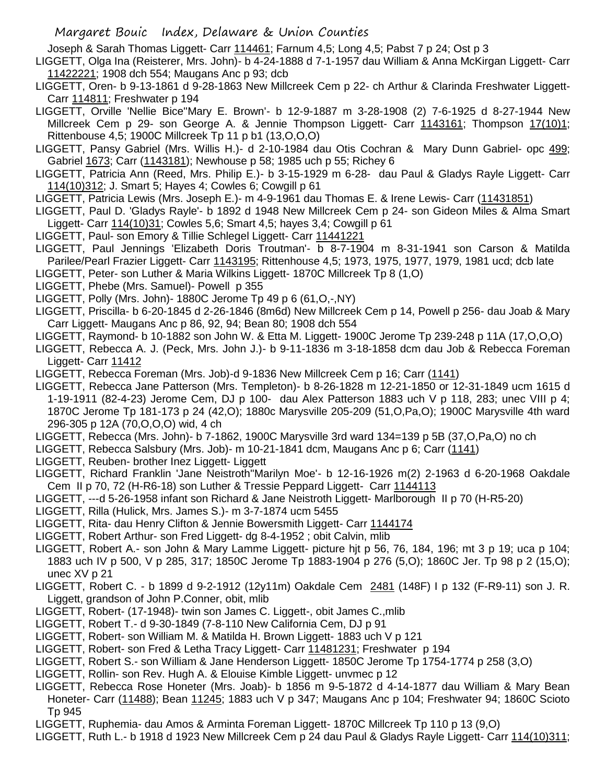Joseph & Sarah Thomas Liggett- Carr 114461; Farnum 4,5; Long 4,5; Pabst 7 p 24; Ost p 3

- LIGGETT, Olga Ina (Reisterer, Mrs. John)- b 4-24-1888 d 7-1-1957 dau William & Anna McKirgan Liggett- Carr 11422221; 1908 dch 554; Maugans Anc p 93; dcb
- LIGGETT, Oren- b 9-13-1861 d 9-28-1863 New Millcreek Cem p 22- ch Arthur & Clarinda Freshwater Liggett-Carr 114811; Freshwater p 194
- LIGGETT, Orville 'Nellie Bice''Mary E. Brown'- b 12-9-1887 m 3-28-1908 (2) 7-6-1925 d 8-27-1944 New Millcreek Cem p 29- son George A. & Jennie Thompson Liggett- Carr 1143161; Thompson 17(10)1; Rittenbouse 4,5; 1900C Millcreek Tp 11 p b1 (13,O,O,O)
- LIGGETT, Pansy Gabriel (Mrs. Willis H.)- d 2-10-1984 dau Otis Cochran & Mary Dunn Gabriel- opc 499; Gabriel 1673; Carr (1143181); Newhouse p 58; 1985 uch p 55; Richey 6
- LIGGETT, Patricia Ann (Reed, Mrs. Philip E.)- b 3-15-1929 m 6-28- dau Paul & Gladys Rayle Liggett- Carr 114(10)312; J. Smart 5; Hayes 4; Cowles 6; Cowgill p 61
- LIGGETT, Patricia Lewis (Mrs. Joseph E.)- m 4-9-1961 dau Thomas E. & Irene Lewis- Carr (11431851)
- LIGGETT, Paul D. 'Gladys Rayle'- b 1892 d 1948 New Millcreek Cem p 24- son Gideon Miles & Alma Smart Liggett- Carr 114(10)31; Cowles 5,6; Smart 4,5; hayes 3,4; Cowgill p 61
- LIGGETT, Paul- son Emory & Tillie Schlegel Liggett- Carr 11441221
- LIGGETT, Paul Jennings 'Elizabeth Doris Troutman'- b 8-7-1904 m 8-31-1941 son Carson & Matilda Parilee/Pearl Frazier Liggett- Carr 1143195; Rittenhouse 4,5; 1973, 1975, 1977, 1979, 1981 ucd; dcb late LIGGETT, Peter- son Luther & Maria Wilkins Liggett- 1870C Millcreek Tp 8 (1,O)
- LIGGETT, Phebe (Mrs. Samuel)- Powell p 355
- LIGGETT, Polly (Mrs. John)- 1880C Jerome Tp 49 p 6 (61,O,-,NY)
- LIGGETT, Priscilla- b 6-20-1845 d 2-26-1846 (8m6d) New Millcreek Cem p 14, Powell p 256- dau Joab & Mary Carr Liggett- Maugans Anc p 86, 92, 94; Bean 80; 1908 dch 554
- LIGGETT, Raymond- b 10-1882 son John W. & Etta M. Liggett- 1900C Jerome Tp 239-248 p 11A (17,O,O,O)
- LIGGETT, Rebecca A. J. (Peck, Mrs. John J.)- b 9-11-1836 m 3-18-1858 dcm dau Job & Rebecca Foreman Liggett- Carr 11412
- LIGGETT, Rebecca Foreman (Mrs. Job)-d 9-1836 New Millcreek Cem p 16; Carr (1141)
- LIGGETT, Rebecca Jane Patterson (Mrs. Templeton)- b 8-26-1828 m 12-21-1850 or 12-31-1849 ucm 1615 d 1-19-1911 (82-4-23) Jerome Cem, DJ p 100- dau Alex Patterson 1883 uch V p 118, 283; unec VIII p 4; 1870C Jerome Tp 181-173 p 24 (42,O); 1880c Marysville 205-209 (51,O,Pa,O); 1900C Marysville 4th ward 296-305 p 12A (70,O,O,O) wid, 4 ch
- LIGGETT, Rebecca (Mrs. John)- b 7-1862, 1900C Marysville 3rd ward 134=139 p 5B (37,O,Pa,O) no ch
- LIGGETT, Rebecca Salsbury (Mrs. Job)- m 10-21-1841 dcm, Maugans Anc p 6; Carr (1141)
- LIGGETT, Reuben- brother Inez Liggett- Liggett
- LIGGETT, Richard Franklin 'Jane Neistroth''Marilyn Moe'- b 12-16-1926 m(2) 2-1963 d 6-20-1968 Oakdale Cem II p 70, 72 (H-R6-18) son Luther & Tressie Peppard Liggett- Carr 1144113
- LIGGETT, ---d 5-26-1958 infant son Richard & Jane Neistroth Liggett- Marlborough II p 70 (H-R5-20)
- LIGGETT, Rilla (Hulick, Mrs. James S.)- m 3-7-1874 ucm 5455
- LIGGETT, Rita- dau Henry Clifton & Jennie Bowersmith Liggett- Carr 1144174
- LIGGETT, Robert Arthur- son Fred Liggett- dg 8-4-1952 ; obit Calvin, mlib
- LIGGETT, Robert A.- son John & Mary Lamme Liggett- picture hjt p 56, 76, 184, 196; mt 3 p 19; uca p 104; 1883 uch IV p 500, V p 285, 317; 1850C Jerome Tp 1883-1904 p 276 (5,O); 1860C Jer. Tp 98 p 2 (15,O); unec XV p 21
- LIGGETT, Robert C. b 1899 d 9-2-1912 (12y11m) Oakdale Cem 2481 (148F) I p 132 (F-R9-11) son J. R. Liggett, grandson of John P.Conner, obit, mlib
- LIGGETT, Robert- (17-1948)- twin son James C. Liggett-, obit James C.,mlib
- LIGGETT, Robert T.- d 9-30-1849 (7-8-110 New California Cem, DJ p 91
- LIGGETT, Robert- son William M. & Matilda H. Brown Liggett- 1883 uch V p 121
- LIGGETT, Robert- son Fred & Letha Tracy Liggett- Carr 11481231; Freshwater p 194
- LIGGETT, Robert S.- son William & Jane Henderson Liggett- 1850C Jerome Tp 1754-1774 p 258 (3,O)
- LIGGETT, Rollin- son Rev. Hugh A. & Elouise Kimble Liggett- unvmec p 12
- LIGGETT, Rebecca Rose Honeter (Mrs. Joab)- b 1856 m 9-5-1872 d 4-14-1877 dau William & Mary Bean Honeter- Carr (11488); Bean 11245; 1883 uch V p 347; Maugans Anc p 104; Freshwater 94; 1860C Scioto Tp 945
- LIGGETT, Ruphemia- dau Amos & Arminta Foreman Liggett- 1870C Millcreek Tp 110 p 13 (9,O)
- LIGGETT, Ruth L.- b 1918 d 1923 New Millcreek Cem p 24 dau Paul & Gladys Rayle Liggett- Carr 114(10)311;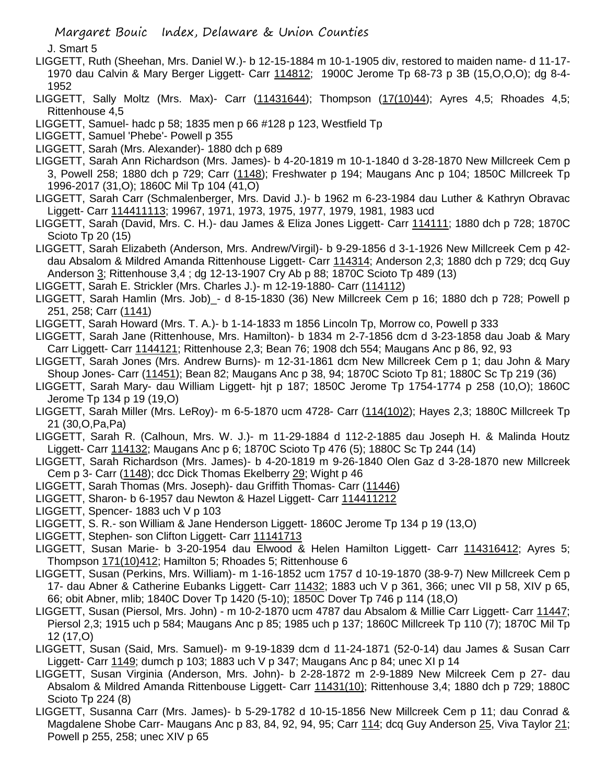J. Smart 5

- LIGGETT, Ruth (Sheehan, Mrs. Daniel W.)- b 12-15-1884 m 10-1-1905 div, restored to maiden name- d 11-17- 1970 dau Calvin & Mary Berger Liggett- Carr 114812; 1900C Jerome Tp 68-73 p 3B (15,O,O,O); dg 8-4- 1952
- LIGGETT, Sally Moltz (Mrs. Max)- Carr (11431644); Thompson (17(10)44); Ayres 4,5; Rhoades 4,5; Rittenhouse 4,5
- LIGGETT, Samuel- hadc p 58; 1835 men p 66 #128 p 123, Westfield Tp
- LIGGETT, Samuel 'Phebe'- Powell p 355
- LIGGETT, Sarah (Mrs. Alexander)- 1880 dch p 689
- LIGGETT, Sarah Ann Richardson (Mrs. James)- b 4-20-1819 m 10-1-1840 d 3-28-1870 New Millcreek Cem p 3, Powell 258; 1880 dch p 729; Carr (1148); Freshwater p 194; Maugans Anc p 104; 1850C Millcreek Tp 1996-2017 (31,O); 1860C Mil Tp 104 (41,O)
- LIGGETT, Sarah Carr (Schmalenberger, Mrs. David J.)- b 1962 m 6-23-1984 dau Luther & Kathryn Obravac Liggett- Carr 114411113; 19967, 1971, 1973, 1975, 1977, 1979, 1981, 1983 ucd
- LIGGETT, Sarah (David, Mrs. C. H.)- dau James & Eliza Jones Liggett- Carr 114111; 1880 dch p 728; 1870C Scioto Tp 20 (15)
- LIGGETT, Sarah Elizabeth (Anderson, Mrs. Andrew/Virgil)- b 9-29-1856 d 3-1-1926 New Millcreek Cem p 42 dau Absalom & Mildred Amanda Rittenhouse Liggett- Carr 114314; Anderson 2,3; 1880 dch p 729; dcq Guy Anderson 3; Rittenhouse 3,4 ; dg 12-13-1907 Cry Ab p 88; 1870C Scioto Tp 489 (13)
- LIGGETT, Sarah E. Strickler (Mrs. Charles J.)- m 12-19-1880- Carr (114112)
- LIGGETT, Sarah Hamlin (Mrs. Job)\_- d 8-15-1830 (36) New Millcreek Cem p 16; 1880 dch p 728; Powell p 251, 258; Carr (1141)
- LIGGETT, Sarah Howard (Mrs. T. A.)- b 1-14-1833 m 1856 Lincoln Tp, Morrow co, Powell p 333
- LIGGETT, Sarah Jane (Rittenhouse, Mrs. Hamilton)- b 1834 m 2-7-1856 dcm d 3-23-1858 dau Joab & Mary Carr Liggett- Carr 1144121; Rittenhouse 2,3; Bean 76; 1908 dch 554; Maugans Anc p 86, 92, 93
- LIGGETT, Sarah Jones (Mrs. Andrew Burns)- m 12-31-1861 dcm New Millcreek Cem p 1; dau John & Mary Shoup Jones- Carr (11451); Bean 82; Maugans Anc p 38, 94; 1870C Scioto Tp 81; 1880C Sc Tp 219 (36)
- LIGGETT, Sarah Mary- dau William Liggett- hjt p 187; 1850C Jerome Tp 1754-1774 p 258 (10,O); 1860C Jerome Tp 134 p 19 (19,O)
- LIGGETT, Sarah Miller (Mrs. LeRoy)- m 6-5-1870 ucm 4728- Carr (114(10)2); Hayes 2,3; 1880C Millcreek Tp 21 (30,O,Pa,Pa)
- LIGGETT, Sarah R. (Calhoun, Mrs. W. J.)- m 11-29-1884 d 112-2-1885 dau Joseph H. & Malinda Houtz Liggett- Carr 114132; Maugans Anc p 6; 1870C Scioto Tp 476 (5); 1880C Sc Tp 244 (14)
- LIGGETT, Sarah Richardson (Mrs. James)- b 4-20-1819 m 9-26-1840 Olen Gaz d 3-28-1870 new Millcreek Cem p 3- Carr (1148); dcc Dick Thomas Ekelberry 29; Wight p 46
- LIGGETT, Sarah Thomas (Mrs. Joseph)- dau Griffith Thomas- Carr (11446)
- LIGGETT, Sharon- b 6-1957 dau Newton & Hazel Liggett- Carr 114411212
- LIGGETT, Spencer- 1883 uch V p 103
- LIGGETT, S. R.- son William & Jane Henderson Liggett- 1860C Jerome Tp 134 p 19 (13,O)
- LIGGETT, Stephen- son Clifton Liggett- Carr 11141713
- LIGGETT, Susan Marie- b 3-20-1954 dau Elwood & Helen Hamilton Liggett- Carr 114316412; Ayres 5; Thompson 171(10)412; Hamilton 5; Rhoades 5; Rittenhouse 6
- LIGGETT, Susan (Perkins, Mrs. William)- m 1-16-1852 ucm 1757 d 10-19-1870 (38-9-7) New Millcreek Cem p 17- dau Abner & Catherine Eubanks Liggett- Carr 11432; 1883 uch V p 361, 366; unec VII p 58, XIV p 65, 66; obit Abner, mlib; 1840C Dover Tp 1420 (5-10); 1850C Dover Tp 746 p 114 (18,O)
- LIGGETT, Susan (Piersol, Mrs. John) m 10-2-1870 ucm 4787 dau Absalom & Millie Carr Liggett- Carr 11447; Piersol 2,3; 1915 uch p 584; Maugans Anc p 85; 1985 uch p 137; 1860C Millcreek Tp 110 (7); 1870C Mil Tp 12 (17,O)
- LIGGETT, Susan (Said, Mrs. Samuel)- m 9-19-1839 dcm d 11-24-1871 (52-0-14) dau James & Susan Carr Liggett- Carr 1149; dumch p 103; 1883 uch V p 347; Maugans Anc p 84; unec XI p 14
- LIGGETT, Susan Virginia (Anderson, Mrs. John)- b 2-28-1872 m 2-9-1889 New Milcreek Cem p 27- dau Absalom & Mildred Amanda Rittenbouse Liggett- Carr 11431(10); Rittenhouse 3,4; 1880 dch p 729; 1880C Scioto Tp 224 (8)
- LIGGETT, Susanna Carr (Mrs. James)- b 5-29-1782 d 10-15-1856 New Millcreek Cem p 11; dau Conrad & Magdalene Shobe Carr- Maugans Anc p 83, 84, 92, 94, 95; Carr 114; dcq Guy Anderson 25, Viva Taylor 21; Powell p 255, 258; unec XIV p 65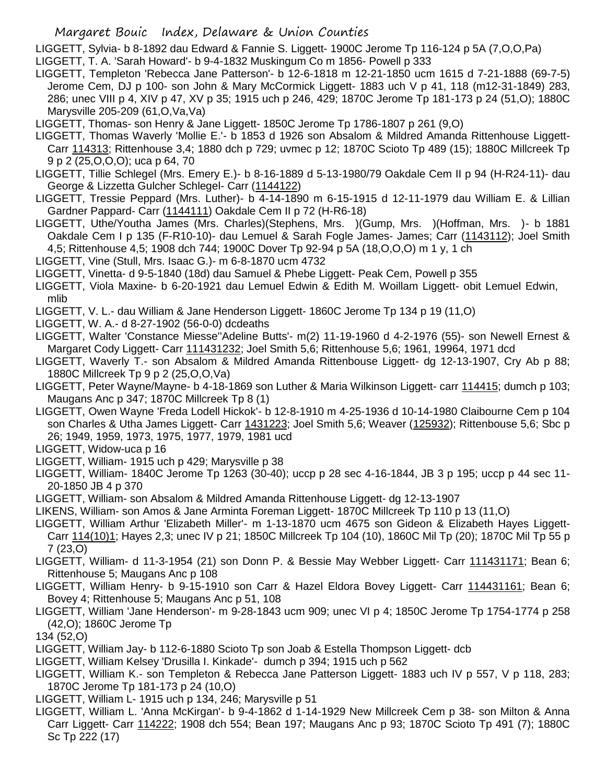LIGGETT, Sylvia- b 8-1892 dau Edward & Fannie S. Liggett- 1900C Jerome Tp 116-124 p 5A (7,O,O,Pa) LIGGETT, T. A. 'Sarah Howard'- b 9-4-1832 Muskingum Co m 1856- Powell p 333

- LIGGETT, Templeton 'Rebecca Jane Patterson'- b 12-6-1818 m 12-21-1850 ucm 1615 d 7-21-1888 (69-7-5) Jerome Cem, DJ p 100- son John & Mary McCormick Liggett- 1883 uch V p 41, 118 (m12-31-1849) 283, 286; unec VIII p 4, XIV p 47, XV p 35; 1915 uch p 246, 429; 1870C Jerome Tp 181-173 p 24 (51,O); 1880C Marysville 205-209 (61,O,Va,Va)
- LIGGETT, Thomas- son Henry & Jane Liggett- 1850C Jerome Tp 1786-1807 p 261 (9,O)
- LIGGETT, Thomas Waverly 'Mollie E.'- b 1853 d 1926 son Absalom & Mildred Amanda Rittenhouse Liggett-Carr 114313; Rittenhouse 3,4; 1880 dch p 729; uvmec p 12; 1870C Scioto Tp 489 (15); 1880C Millcreek Tp 9 p 2 (25,O,O,O); uca p 64, 70
- LIGGETT, Tillie Schlegel (Mrs. Emery E.)- b 8-16-1889 d 5-13-1980/79 Oakdale Cem II p 94 (H-R24-11)- dau George & Lizzetta Gulcher Schlegel- Carr (1144122)
- LIGGETT, Tressie Peppard (Mrs. Luther)- b 4-14-1890 m 6-15-1915 d 12-11-1979 dau William E. & Lillian Gardner Pappard- Carr (1144111) Oakdale Cem II p 72 (H-R6-18)
- LIGGETT, Uthe/Youtha James (Mrs. Charles)(Stephens, Mrs. )(Gump, Mrs. )(Hoffman, Mrs. )- b 1881 Oakdale Cem I p 135 (F-R10-10)- dau Lemuel & Sarah Fogle James- James; Carr (1143112); Joel Smith 4,5; Rittenhouse 4,5; 1908 dch 744; 1900C Dover Tp 92-94 p 5A (18,O,O,O) m 1 y, 1 ch
- LIGGETT, Vine (Stull, Mrs. Isaac G.)- m 6-8-1870 ucm 4732
- LIGGETT, Vinetta- d 9-5-1840 (18d) dau Samuel & Phebe Liggett- Peak Cem, Powell p 355
- LIGGETT, Viola Maxine- b 6-20-1921 dau Lemuel Edwin & Edith M. Woillam Liggett- obit Lemuel Edwin, mlib
- LIGGETT, V. L.- dau William & Jane Henderson Liggett- 1860C Jerome Tp 134 p 19 (11,O)
- LIGGETT, W. A.- d 8-27-1902 (56-0-0) dcdeaths
- LIGGETT, Walter 'Constance Miesse''Adeline Butts'- m(2) 11-19-1960 d 4-2-1976 (55)- son Newell Ernest & Margaret Cody Liggett- Carr 111431232; Joel Smith 5,6; Rittenhouse 5,6; 1961, 19964, 1971 dcd
- LIGGETT, Waverly T.- son Absalom & Mildred Amanda Rittenbouse Liggett- dg 12-13-1907, Cry Ab p 88; 1880C Millcreek Tp 9 p 2 (25,O,O,Va)
- LIGGETT, Peter Wayne/Mayne- b 4-18-1869 son Luther & Maria Wilkinson Liggett- carr 114415; dumch p 103; Maugans Anc p 347: 1870C Millcreek Tp 8 (1)
- LIGGETT, Owen Wayne 'Freda Lodell Hickok'- b 12-8-1910 m 4-25-1936 d 10-14-1980 Claibourne Cem p 104 son Charles & Utha James Liggett- Carr 1431223; Joel Smith 5,6; Weaver (125932); Rittenbouse 5,6; Sbc p 26; 1949, 1959, 1973, 1975, 1977, 1979, 1981 ucd
- LIGGETT, Widow-uca p 16
- LIGGETT, William- 1915 uch p 429; Marysville p 38
- LIGGETT, William- 1840C Jerome Tp 1263 (30-40); uccp p 28 sec 4-16-1844, JB 3 p 195; uccp p 44 sec 11- 20-1850 JB 4 p 370
- LIGGETT, William- son Absalom & Mildred Amanda Rittenhouse Liggett- dg 12-13-1907
- LIKENS, William- son Amos & Jane Arminta Foreman Liggett- 1870C Millcreek Tp 110 p 13 (11,O)
- LIGGETT, William Arthur 'Elizabeth Miller'- m 1-13-1870 ucm 4675 son Gideon & Elizabeth Hayes Liggett-Carr 114(10)1; Hayes 2,3; unec IV p 21; 1850C Millcreek Tp 104 (10), 1860C Mil Tp (20); 1870C Mil Tp 55 p 7 (23,O)
- LIGGETT, William- d 11-3-1954 (21) son Donn P. & Bessie May Webber Liggett- Carr 111431171; Bean 6; Rittenhouse 5; Maugans Anc p 108
- LIGGETT, William Henry- b 9-15-1910 son Carr & Hazel Eldora Bovey Liggett- Carr 114431161; Bean 6; Bovey 4; Rittenhouse 5; Maugans Anc p 51, 108
- LIGGETT, William 'Jane Henderson'- m 9-28-1843 ucm 909; unec VI p 4; 1850C Jerome Tp 1754-1774 p 258 (42,O); 1860C Jerome Tp
- 134 (52,O)
- LIGGETT, William Jay- b 112-6-1880 Scioto Tp son Joab & Estella Thompson Liggett- dcb
- LIGGETT, William Kelsey 'Drusilla I. Kinkade'- dumch p 394; 1915 uch p 562
- LIGGETT, William K.- son Templeton & Rebecca Jane Patterson Liggett- 1883 uch IV p 557, V p 118, 283; 1870C Jerome Tp 181-173 p 24 (10,O)
- LIGGETT, William L- 1915 uch p 134, 246; Marysville p 51
- LIGGETT, William L. 'Anna McKirgan'- b 9-4-1862 d 1-14-1929 New Millcreek Cem p 38- son Milton & Anna Carr Liggett- Carr 114222; 1908 dch 554; Bean 197; Maugans Anc p 93; 1870C Scioto Tp 491 (7); 1880C Sc Tp 222 (17)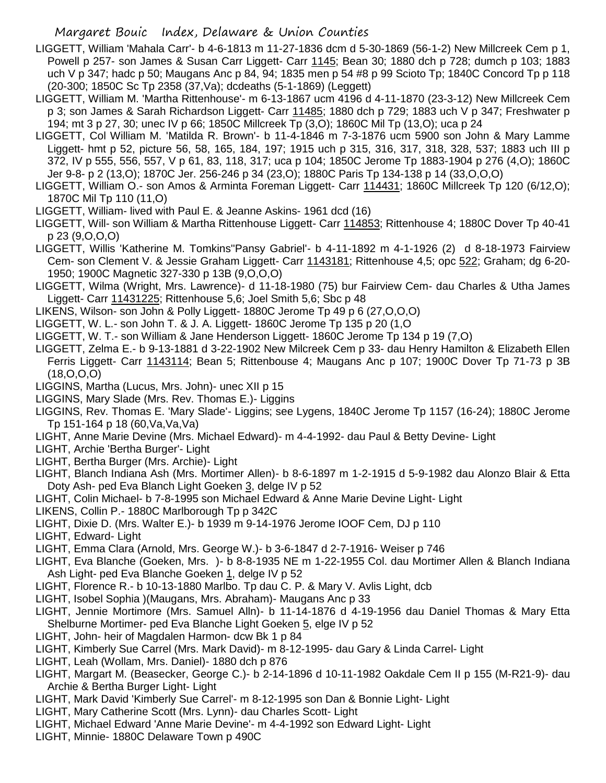- LIGGETT, William 'Mahala Carr'- b 4-6-1813 m 11-27-1836 dcm d 5-30-1869 (56-1-2) New Millcreek Cem p 1, Powell p 257- son James & Susan Carr Liggett- Carr 1145; Bean 30; 1880 dch p 728; dumch p 103; 1883 uch V p 347; hadc p 50; Maugans Anc p 84, 94; 1835 men p 54 #8 p 99 Scioto Tp; 1840C Concord Tp p 118 (20-300; 1850C Sc Tp 2358 (37,Va); dcdeaths (5-1-1869) (Leggett)
- LIGGETT, William M. 'Martha Rittenhouse'- m 6-13-1867 ucm 4196 d 4-11-1870 (23-3-12) New Millcreek Cem p 3; son James & Sarah Richardson Liggett- Carr 11485; 1880 dch p 729; 1883 uch V p 347; Freshwater p 194; mt 3 p 27, 30; unec IV p 66; 1850C Millcreek Tp (3,O); 1860C Mil Tp (13,O); uca p 24
- LIGGETT, Col William M. 'Matilda R. Brown'- b 11-4-1846 m 7-3-1876 ucm 5900 son John & Mary Lamme Liggett- hmt p 52, picture 56, 58, 165, 184, 197; 1915 uch p 315, 316, 317, 318, 328, 537; 1883 uch III p 372, IV p 555, 556, 557, V p 61, 83, 118, 317; uca p 104; 1850C Jerome Tp 1883-1904 p 276 (4,O); 1860C Jer 9-8- p 2 (13,O); 1870C Jer. 256-246 p 34 (23,O); 1880C Paris Tp 134-138 p 14 (33,O,O,O)
- LIGGETT, William O.- son Amos & Arminta Foreman Liggett- Carr 114431; 1860C Millcreek Tp 120 (6/12,O); 1870C Mil Tp 110 (11,O)
- LIGGETT, William- lived with Paul E. & Jeanne Askins- 1961 dcd (16)
- LIGGETT, Will- son William & Martha Rittenhouse Liggett- Carr 114853; Rittenhouse 4; 1880C Dover Tp 40-41 p 23 (9,O,O,O)
- LIGGETT, Willis 'Katherine M. Tomkins''Pansy Gabriel'- b 4-11-1892 m 4-1-1926 (2) d 8-18-1973 Fairview Cem- son Clement V. & Jessie Graham Liggett- Carr 1143181; Rittenhouse 4,5; opc 522; Graham; dg 6-20- 1950; 1900C Magnetic 327-330 p 13B (9,O,O,O)

LIGGETT, Wilma (Wright, Mrs. Lawrence)- d 11-18-1980 (75) bur Fairview Cem- dau Charles & Utha James Liggett- Carr 11431225; Rittenhouse 5,6; Joel Smith 5,6; Sbc p 48

- LIKENS, Wilson- son John & Polly Liggett- 1880C Jerome Tp 49 p 6 (27,O,O,O)
- LIGGETT, W. L.- son John T. & J. A. Liggett- 1860C Jerome Tp 135 p 20 (1,O
- LIGGETT, W. T.- son William & Jane Henderson Liggett- 1860C Jerome Tp 134 p 19 (7,O)
- LIGGETT, Zelma E.- b 9-13-1881 d 3-22-1902 New Milcreek Cem p 33- dau Henry Hamilton & Elizabeth Ellen Ferris Liggett- Carr 1143114; Bean 5; Rittenbouse 4; Maugans Anc p 107; 1900C Dover Tp 71-73 p 3B (18,O,O,O)
- LIGGINS, Martha (Lucus, Mrs. John)- unec XII p 15
- LIGGINS, Mary Slade (Mrs. Rev. Thomas E.)- Liggins
- LIGGINS, Rev. Thomas E. 'Mary Slade'- Liggins; see Lygens, 1840C Jerome Tp 1157 (16-24); 1880C Jerome Tp 151-164 p 18 (60,Va,Va,Va)
- LIGHT, Anne Marie Devine (Mrs. Michael Edward)- m 4-4-1992- dau Paul & Betty Devine- Light
- LIGHT, Archie 'Bertha Burger'- Light
- LIGHT, Bertha Burger (Mrs. Archie)- Light
- LIGHT, Blanch Indiana Ash (Mrs. Mortimer Allen)- b 8-6-1897 m 1-2-1915 d 5-9-1982 dau Alonzo Blair & Etta Doty Ash- ped Eva Blanch Light Goeken 3, delge IV p 52
- LIGHT, Colin Michael- b 7-8-1995 son Michael Edward & Anne Marie Devine Light- Light
- LIKENS, Collin P.- 1880C Marlborough Tp p 342C
- LIGHT, Dixie D. (Mrs. Walter E.)- b 1939 m 9-14-1976 Jerome IOOF Cem, DJ p 110
- LIGHT, Edward- Light
- LIGHT, Emma Clara (Arnold, Mrs. George W.)- b 3-6-1847 d 2-7-1916- Weiser p 746
- LIGHT, Eva Blanche (Goeken, Mrs. )- b 8-8-1935 NE m 1-22-1955 Col. dau Mortimer Allen & Blanch Indiana Ash Light- ped Eva Blanche Goeken 1, delge IV p 52
- LIGHT, Florence R.- b 10-13-1880 Marlbo. Tp dau C. P. & Mary V. Avlis Light, dcb
- LIGHT, Isobel Sophia )(Maugans, Mrs. Abraham)- Maugans Anc p 33
- LIGHT, Jennie Mortimore (Mrs. Samuel Alln)- b 11-14-1876 d 4-19-1956 dau Daniel Thomas & Mary Etta Shelburne Mortimer- ped Eva Blanche Light Goeken 5, elge IV p 52
- LIGHT, John- heir of Magdalen Harmon- dcw Bk 1 p 84
- LIGHT, Kimberly Sue Carrel (Mrs. Mark David)- m 8-12-1995- dau Gary & Linda Carrel- Light
- LIGHT, Leah (Wollam, Mrs. Daniel)- 1880 dch p 876
- LIGHT, Margart M. (Beasecker, George C.)- b 2-14-1896 d 10-11-1982 Oakdale Cem II p 155 (M-R21-9)- dau Archie & Bertha Burger Light- Light
- LIGHT, Mark David 'Kimberly Sue Carrel'- m 8-12-1995 son Dan & Bonnie Light- Light
- LIGHT, Mary Catherine Scott (Mrs. Lynn)- dau Charles Scott- Light
- LIGHT, Michael Edward 'Anne Marie Devine'- m 4-4-1992 son Edward Light- Light
- LIGHT, Minnie- 1880C Delaware Town p 490C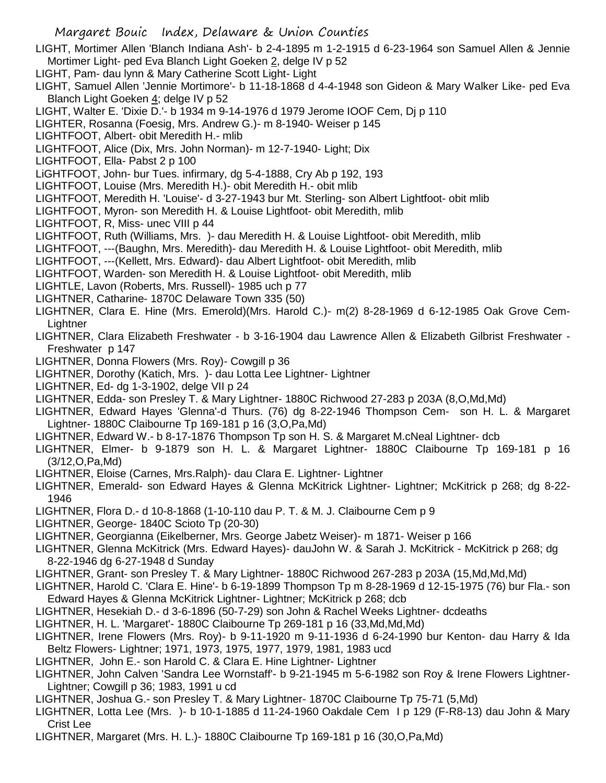LIGHT, Mortimer Allen 'Blanch Indiana Ash'- b 2-4-1895 m 1-2-1915 d 6-23-1964 son Samuel Allen & Jennie Mortimer Light- ped Eva Blanch Light Goeken 2, delge IV p 52

- LIGHT, Pam- dau lynn & Mary Catherine Scott Light- Light
- LIGHT, Samuel Allen 'Jennie Mortimore'- b 11-18-1868 d 4-4-1948 son Gideon & Mary Walker Like- ped Eva Blanch Light Goeken 4; delge IV p 52
- LIGHT, Walter E. 'Dixie D.'- b 1934 m 9-14-1976 d 1979 Jerome IOOF Cem, Dj p 110
- LIGHTER, Rosanna (Foesig, Mrs. Andrew G.)- m 8-1940- Weiser p 145
- LIGHTFOOT, Albert- obit Meredith H.- mlib
- LIGHTFOOT, Alice (Dix, Mrs. John Norman)- m 12-7-1940- Light; Dix
- LIGHTFOOT, Ella- Pabst 2 p 100
- LiGHTFOOT, John- bur Tues. infirmary, dg 5-4-1888, Cry Ab p 192, 193
- LIGHTFOOT, Louise (Mrs. Meredith H.)- obit Meredith H.- obit mlib
- LIGHTFOOT, Meredith H. 'Louise'- d 3-27-1943 bur Mt. Sterling- son Albert Lightfoot- obit mlib
- LIGHTFOOT, Myron- son Meredith H. & Louise Lightfoot- obit Meredith, mlib
- LIGHTFOOT, R, Miss- unec VIII p 44
- LIGHTFOOT, Ruth (Williams, Mrs. )- dau Meredith H. & Louise Lightfoot- obit Meredith, mlib
- LIGHTFOOT, ---(Baughn, Mrs. Meredith)- dau Meredith H. & Louise Lightfoot- obit Meredith, mlib
- LIGHTFOOT, ---(Kellett, Mrs. Edward)- dau Albert Lightfoot- obit Meredith, mlib
- LIGHTFOOT, Warden- son Meredith H. & Louise Lightfoot- obit Meredith, mlib
- LIGHTLE, Lavon (Roberts, Mrs. Russell)- 1985 uch p 77
- LIGHTNER, Catharine- 1870C Delaware Town 335 (50)
- LIGHTNER, Clara E. Hine (Mrs. Emerold)(Mrs. Harold C.)- m(2) 8-28-1969 d 6-12-1985 Oak Grove Cem-**Lightner**
- LIGHTNER, Clara Elizabeth Freshwater b 3-16-1904 dau Lawrence Allen & Elizabeth Gilbrist Freshwater Freshwater p 147
- LIGHTNER, Donna Flowers (Mrs. Roy)- Cowgill p 36
- LIGHTNER, Dorothy (Katich, Mrs. )- dau Lotta Lee Lightner- Lightner
- LIGHTNER, Ed- dg 1-3-1902, delge VII p 24
- LIGHTNER, Edda- son Presley T. & Mary Lightner- 1880C Richwood 27-283 p 203A (8,O,Md,Md)
- LIGHTNER, Edward Hayes 'Glenna'-d Thurs. (76) dg 8-22-1946 Thompson Cem- son H. L. & Margaret Lightner- 1880C Claibourne Tp 169-181 p 16 (3,O,Pa,Md)
- LIGHTNER, Edward W.- b 8-17-1876 Thompson Tp son H. S. & Margaret M.cNeal Lightner- dcb
- LIGHTNER, Elmer- b 9-1879 son H. L. & Margaret Lightner- 1880C Claibourne Tp 169-181 p 16 (3/12,O,Pa,Md)
- LIGHTNER, Eloise (Carnes, Mrs.Ralph)- dau Clara E. Lightner- Lightner
- LIGHTNER, Emerald- son Edward Hayes & Glenna McKitrick Lightner- Lightner; McKitrick p 268; dg 8-22- 1946
- LIGHTNER, Flora D.- d 10-8-1868 (1-10-110 dau P. T. & M. J. Claibourne Cem p 9
- LIGHTNER, George- 1840C Scioto Tp (20-30)
- LIGHTNER, Georgianna (Eikelberner, Mrs. George Jabetz Weiser)- m 1871- Weiser p 166
- LIGHTNER, Glenna McKitrick (Mrs. Edward Hayes)- dauJohn W. & Sarah J. McKitrick McKitrick p 268; dg 8-22-1946 dg 6-27-1948 d Sunday
- LIGHTNER, Grant- son Presley T. & Mary Lightner- 1880C Richwood 267-283 p 203A (15,Md,Md,Md)
- LIGHTNER, Harold C. 'Clara E. Hine'- b 6-19-1899 Thompson Tp m 8-28-1969 d 12-15-1975 (76) bur Fla.- son Edward Hayes & Glenna McKitrick Lightner- Lightner; McKitrick p 268; dcb
- LIGHTNER, Hesekiah D.- d 3-6-1896 (50-7-29) son John & Rachel Weeks Lightner- dcdeaths
- LIGHTNER, H. L. 'Margaret'- 1880C Claibourne Tp 269-181 p 16 (33,Md,Md,Md)
- LIGHTNER, Irene Flowers (Mrs. Roy)- b 9-11-1920 m 9-11-1936 d 6-24-1990 bur Kenton- dau Harry & Ida Beltz Flowers- Lightner; 1971, 1973, 1975, 1977, 1979, 1981, 1983 ucd
- LIGHTNER, John E.- son Harold C. & Clara E. Hine Lightner- Lightner
- LIGHTNER, John Calven 'Sandra Lee Wornstaff'- b 9-21-1945 m 5-6-1982 son Roy & Irene Flowers Lightner-Lightner; Cowgill p 36; 1983, 1991 u cd
- LIGHTNER, Joshua G.- son Presley T. & Mary Lightner- 1870C Claibourne Tp 75-71 (5,Md)
- LIGHTNER, Lotta Lee (Mrs. )- b 10-1-1885 d 11-24-1960 Oakdale Cem I p 129 (F-R8-13) dau John & Mary Crist Lee
- LIGHTNER, Margaret (Mrs. H. L.)- 1880C Claibourne Tp 169-181 p 16 (30,O,Pa,Md)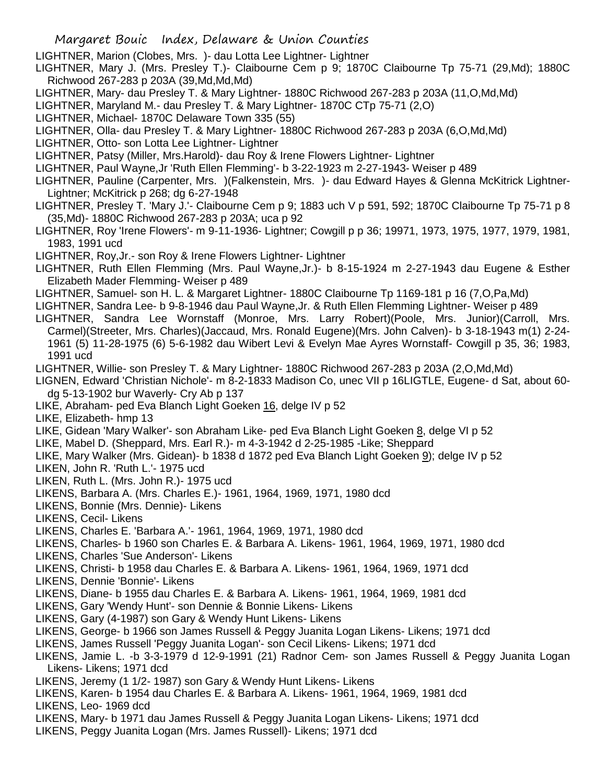LIGHTNER, Marion (Clobes, Mrs. )- dau Lotta Lee Lightner- Lightner

- LIGHTNER, Mary J. (Mrs. Presley T.)- Claibourne Cem p 9; 1870C Claibourne Tp 75-71 (29,Md); 1880C Richwood 267-283 p 203A (39,Md,Md,Md)
- LIGHTNER, Mary- dau Presley T. & Mary Lightner- 1880C Richwood 267-283 p 203A (11,O,Md,Md)
- LIGHTNER, Maryland M.- dau Presley T. & Mary Lightner- 1870C CTp 75-71 (2,O)
- LIGHTNER, Michael- 1870C Delaware Town 335 (55)
- LIGHTNER, Olla- dau Presley T. & Mary Lightner- 1880C Richwood 267-283 p 203A (6,O,Md,Md)
- LIGHTNER, Otto- son Lotta Lee Lightner- Lightner
- LIGHTNER, Patsy (Miller, Mrs.Harold)- dau Roy & Irene Flowers Lightner- Lightner
- LIGHTNER, Paul Wayne,Jr 'Ruth Ellen Flemming'- b 3-22-1923 m 2-27-1943- Weiser p 489
- LIGHTNER, Pauline (Carpenter, Mrs. )(Falkenstein, Mrs. )- dau Edward Hayes & Glenna McKitrick Lightner-Lightner; McKitrick p 268; dg 6-27-1948
- LIGHTNER, Presley T. 'Mary J.'- Claibourne Cem p 9; 1883 uch V p 591, 592; 1870C Claibourne Tp 75-71 p 8 (35,Md)- 1880C Richwood 267-283 p 203A; uca p 92
- LIGHTNER, Roy 'Irene Flowers'- m 9-11-1936- Lightner; Cowgill p p 36; 19971, 1973, 1975, 1977, 1979, 1981, 1983, 1991 ucd
- LIGHTNER, Roy,Jr.- son Roy & Irene Flowers Lightner- Lightner
- LIGHTNER, Ruth Ellen Flemming (Mrs. Paul Wayne,Jr.)- b 8-15-1924 m 2-27-1943 dau Eugene & Esther Elizabeth Mader Flemming- Weiser p 489
- LIGHTNER, Samuel- son H. L. & Margaret Lightner- 1880C Claibourne Tp 1169-181 p 16 (7,O,Pa,Md)
- LIGHTNER, Sandra Lee- b 9-8-1946 dau Paul Wayne,Jr. & Ruth Ellen Flemming Lightner- Weiser p 489
- LIGHTNER, Sandra Lee Wornstaff (Monroe, Mrs. Larry Robert)(Poole, Mrs. Junior)(Carroll, Mrs. Carmel)(Streeter, Mrs. Charles)(Jaccaud, Mrs. Ronald Eugene)(Mrs. John Calven)- b 3-18-1943 m(1) 2-24- 1961 (5) 11-28-1975 (6) 5-6-1982 dau Wibert Levi & Evelyn Mae Ayres Wornstaff- Cowgill p 35, 36; 1983, 1991 ucd
- LIGHTNER, Willie- son Presley T. & Mary Lightner- 1880C Richwood 267-283 p 203A (2,O,Md,Md)
- LIGNEN, Edward 'Christian Nichole'- m 8-2-1833 Madison Co, unec VII p 16LIGTLE, Eugene- d Sat, about 60 dg 5-13-1902 bur Waverly- Cry Ab p 137
- LIKE, Abraham- ped Eva Blanch Light Goeken 16, delge IV p 52
- LIKE, Elizabeth- hmp 13
- LIKE, Gidean 'Mary Walker'- son Abraham Like- ped Eva Blanch Light Goeken 8, delge VI p 52
- LIKE, Mabel D. (Sheppard, Mrs. Earl R.)- m 4-3-1942 d 2-25-1985 -Like; Sheppard
- LIKE, Mary Walker (Mrs. Gidean)- b 1838 d 1872 ped Eva Blanch Light Goeken 9); delge IV p 52
- LIKEN, John R. 'Ruth L.'- 1975 ucd
- LIKEN, Ruth L. (Mrs. John R.)- 1975 ucd
- LIKENS, Barbara A. (Mrs. Charles E.)- 1961, 1964, 1969, 1971, 1980 dcd
- LIKENS, Bonnie (Mrs. Dennie)- Likens
- LIKENS, Cecil- Likens
- LIKENS, Charles E. 'Barbara A.'- 1961, 1964, 1969, 1971, 1980 dcd
- LIKENS, Charles- b 1960 son Charles E. & Barbara A. Likens- 1961, 1964, 1969, 1971, 1980 dcd
- LIKENS, Charles 'Sue Anderson'- Likens
- LIKENS, Christi- b 1958 dau Charles E. & Barbara A. Likens- 1961, 1964, 1969, 1971 dcd
- LIKENS, Dennie 'Bonnie'- Likens
- LIKENS, Diane- b 1955 dau Charles E. & Barbara A. Likens- 1961, 1964, 1969, 1981 dcd
- LIKENS, Gary 'Wendy Hunt'- son Dennie & Bonnie Likens- Likens
- LIKENS, Gary (4-1987) son Gary & Wendy Hunt Likens- Likens
- LIKENS, George- b 1966 son James Russell & Peggy Juanita Logan Likens- Likens; 1971 dcd
- LIKENS, James Russell 'Peggy Juanita Logan'- son Cecil Likens- Likens; 1971 dcd
- LIKENS, Jamie L. -b 3-3-1979 d 12-9-1991 (21) Radnor Cem- son James Russell & Peggy Juanita Logan Likens- Likens; 1971 dcd
- LIKENS, Jeremy (1 1/2- 1987) son Gary & Wendy Hunt Likens- Likens
- LIKENS, Karen- b 1954 dau Charles E. & Barbara A. Likens- 1961, 1964, 1969, 1981 dcd
- LIKENS, Leo- 1969 dcd
- LIKENS, Mary- b 1971 dau James Russell & Peggy Juanita Logan Likens- Likens; 1971 dcd
- LIKENS, Peggy Juanita Logan (Mrs. James Russell)- Likens; 1971 dcd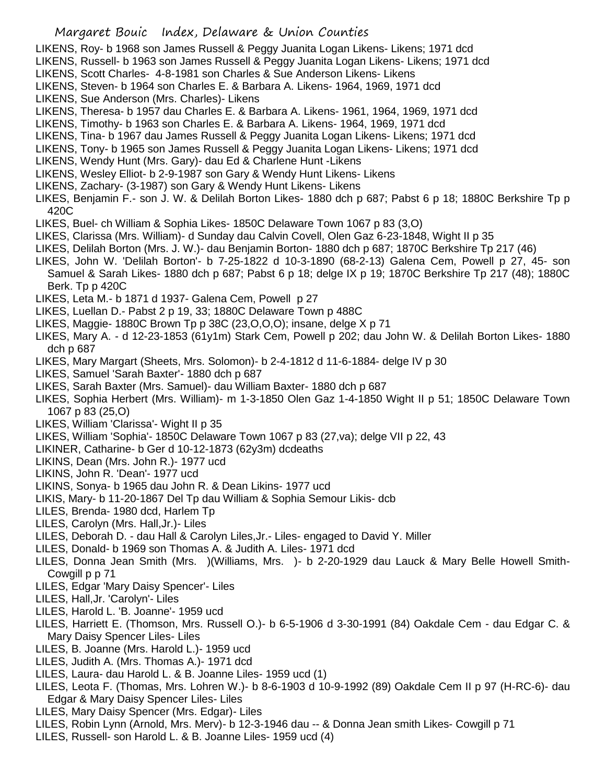LIKENS, Roy- b 1968 son James Russell & Peggy Juanita Logan Likens- Likens; 1971 dcd

- LIKENS, Russell- b 1963 son James Russell & Peggy Juanita Logan Likens- Likens; 1971 dcd
- LIKENS, Scott Charles- 4-8-1981 son Charles & Sue Anderson Likens- Likens
- LIKENS, Steven- b 1964 son Charles E. & Barbara A. Likens- 1964, 1969, 1971 dcd
- LIKENS, Sue Anderson (Mrs. Charles)- Likens
- LIKENS, Theresa- b 1957 dau Charles E. & Barbara A. Likens- 1961, 1964, 1969, 1971 dcd
- LIKENS, Timothy- b 1963 son Charles E. & Barbara A. Likens- 1964, 1969, 1971 dcd
- LIKENS, Tina- b 1967 dau James Russell & Peggy Juanita Logan Likens- Likens; 1971 dcd
- LIKENS, Tony- b 1965 son James Russell & Peggy Juanita Logan Likens- Likens; 1971 dcd
- LIKENS, Wendy Hunt (Mrs. Gary)- dau Ed & Charlene Hunt -Likens
- LIKENS, Wesley Elliot- b 2-9-1987 son Gary & Wendy Hunt Likens- Likens
- LIKENS, Zachary- (3-1987) son Gary & Wendy Hunt Likens- Likens
- LIKES, Benjamin F.- son J. W. & Delilah Borton Likes- 1880 dch p 687; Pabst 6 p 18; 1880C Berkshire Tp p 420C
- LIKES, Buel- ch William & Sophia Likes- 1850C Delaware Town 1067 p 83 (3,O)
- LIKES, Clarissa (Mrs. William)- d Sunday dau Calvin Covell, Olen Gaz 6-23-1848, Wight II p 35
- LIKES, Delilah Borton (Mrs. J. W.)- dau Benjamin Borton- 1880 dch p 687; 1870C Berkshire Tp 217 (46)
- LIKES, John W. 'Delilah Borton'- b 7-25-1822 d 10-3-1890 (68-2-13) Galena Cem, Powell p 27, 45- son Samuel & Sarah Likes- 1880 dch p 687; Pabst 6 p 18; delge IX p 19; 1870C Berkshire Tp 217 (48); 1880C Berk. Tp p 420C
- LIKES, Leta M.- b 1871 d 1937- Galena Cem, Powell p 27
- LIKES, Luellan D.- Pabst 2 p 19, 33; 1880C Delaware Town p 488C
- LIKES, Maggie- 1880C Brown Tp p 38C (23,O,O,O); insane, delge X p 71
- LIKES, Mary A. d 12-23-1853 (61y1m) Stark Cem, Powell p 202; dau John W. & Delilah Borton Likes- 1880 dch p 687
- LIKES, Mary Margart (Sheets, Mrs. Solomon)- b 2-4-1812 d 11-6-1884- delge IV p 30
- LIKES, Samuel 'Sarah Baxter'- 1880 dch p 687
- LIKES, Sarah Baxter (Mrs. Samuel)- dau William Baxter- 1880 dch p 687
- LIKES, Sophia Herbert (Mrs. William)- m 1-3-1850 Olen Gaz 1-4-1850 Wight II p 51; 1850C Delaware Town 1067 p 83 (25,O)
- LIKES, William 'Clarissa'- Wight II p 35
- LIKES, William 'Sophia'- 1850C Delaware Town 1067 p 83 (27,va); delge VII p 22, 43
- LIKINER, Catharine- b Ger d 10-12-1873 (62y3m) dcdeaths
- LIKINS, Dean (Mrs. John R.)- 1977 ucd
- LIKINS, John R. 'Dean'- 1977 ucd
- LIKINS, Sonya- b 1965 dau John R. & Dean Likins- 1977 ucd
- LIKIS, Mary- b 11-20-1867 Del Tp dau William & Sophia Semour Likis- dcb
- LILES, Brenda- 1980 dcd, Harlem Tp
- LILES, Carolyn (Mrs. Hall,Jr.)- Liles
- LILES, Deborah D. dau Hall & Carolyn Liles,Jr.- Liles- engaged to David Y. Miller
- LILES, Donald- b 1969 son Thomas A. & Judith A. Liles- 1971 dcd
- LILES, Donna Jean Smith (Mrs. )(Williams, Mrs. )- b 2-20-1929 dau Lauck & Mary Belle Howell Smith-Cowgill p p 71
- LILES, Edgar 'Mary Daisy Spencer'- Liles
- LILES, Hall,Jr. 'Carolyn'- Liles
- LILES, Harold L. 'B. Joanne'- 1959 ucd
- LILES, Harriett E. (Thomson, Mrs. Russell O.)- b 6-5-1906 d 3-30-1991 (84) Oakdale Cem dau Edgar C. & Mary Daisy Spencer Liles- Liles
- LILES, B. Joanne (Mrs. Harold L.)- 1959 ucd
- LILES, Judith A. (Mrs. Thomas A.)- 1971 dcd
- LILES, Laura- dau Harold L. & B. Joanne Liles- 1959 ucd (1)
- LILES, Leota F. (Thomas, Mrs. Lohren W.)- b 8-6-1903 d 10-9-1992 (89) Oakdale Cem II p 97 (H-RC-6)- dau Edgar & Mary Daisy Spencer Liles- Liles
- LILES, Mary Daisy Spencer (Mrs. Edgar)- Liles
- LILES, Robin Lynn (Arnold, Mrs. Merv)- b 12-3-1946 dau -- & Donna Jean smith Likes- Cowgill p 71
- LILES, Russell- son Harold L. & B. Joanne Liles- 1959 ucd (4)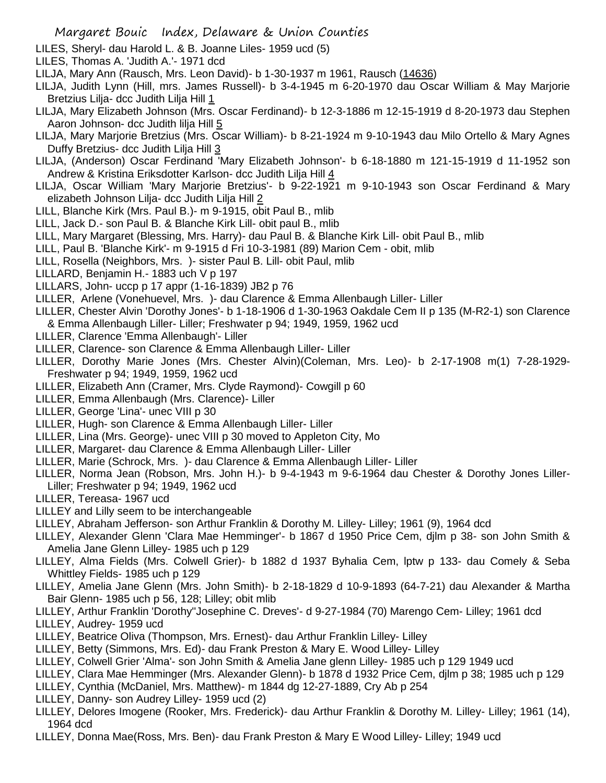- LILES, Sheryl- dau Harold L. & B. Joanne Liles- 1959 ucd (5)
- LILES, Thomas A. 'Judith A.'- 1971 dcd
- LILJA, Mary Ann (Rausch, Mrs. Leon David)- b 1-30-1937 m 1961, Rausch (14636)
- LILJA, Judith Lynn (Hill, mrs. James Russell)- b 3-4-1945 m 6-20-1970 dau Oscar William & May Marjorie Bretzius Lilja- dcc Judith Lilja Hill 1
- LILJA, Mary Elizabeth Johnson (Mrs. Oscar Ferdinand)- b 12-3-1886 m 12-15-1919 d 8-20-1973 dau Stephen Aaron Johnson- dcc Judith lilja Hill 5
- LILJA, Mary Marjorie Bretzius (Mrs. Oscar William)- b 8-21-1924 m 9-10-1943 dau Milo Ortello & Mary Agnes Duffy Bretzius- dcc Judith Lilja Hill 3
- LILJA, (Anderson) Oscar Ferdinand 'Mary Elizabeth Johnson'- b 6-18-1880 m 121-15-1919 d 11-1952 son Andrew & Kristina Eriksdotter Karlson- dcc Judith Lilja Hill 4
- LILJA, Oscar William 'Mary Marjorie Bretzius'- b 9-22-1921 m 9-10-1943 son Oscar Ferdinand & Mary elizabeth Johnson Lilja- dcc Judith Lilja Hill 2
- LILL, Blanche Kirk (Mrs. Paul B.)- m 9-1915, obit Paul B., mlib
- LILL, Jack D.- son Paul B. & Blanche Kirk Lill- obit paul B., mlib
- LILL, Mary Margaret (Blessing, Mrs. Harry)- dau Paul B. & Blanche Kirk Lill- obit Paul B., mlib
- LILL, Paul B. 'Blanche Kirk'- m 9-1915 d Fri 10-3-1981 (89) Marion Cem obit, mlib
- LILL, Rosella (Neighbors, Mrs. )- sister Paul B. Lill- obit Paul, mlib
- LILLARD, Benjamin H.- 1883 uch V p 197
- LILLARS, John- uccp p 17 appr (1-16-1839) JB2 p 76
- LILLER, Arlene (Vonehuevel, Mrs. )- dau Clarence & Emma Allenbaugh Liller- Liller
- LILLER, Chester Alvin 'Dorothy Jones'- b 1-18-1906 d 1-30-1963 Oakdale Cem II p 135 (M-R2-1) son Clarence & Emma Allenbaugh Liller- Liller; Freshwater p 94; 1949, 1959, 1962 ucd
- LILLER, Clarence 'Emma Allenbaugh'- Liller
- LILLER, Clarence- son Clarence & Emma Allenbaugh Liller- Liller
- LILLER, Dorothy Marie Jones (Mrs. Chester Alvin)(Coleman, Mrs. Leo)- b 2-17-1908 m(1) 7-28-1929- Freshwater p 94; 1949, 1959, 1962 ucd
- LILLER, Elizabeth Ann (Cramer, Mrs. Clyde Raymond)- Cowgill p 60
- LILLER, Emma Allenbaugh (Mrs. Clarence)- Liller
- LILLER, George 'Lina'- unec VIII p 30
- LILLER, Hugh- son Clarence & Emma Allenbaugh Liller- Liller
- LILLER, Lina (Mrs. George)- unec VIII p 30 moved to Appleton City, Mo
- LILLER, Margaret- dau Clarence & Emma Allenbaugh Liller- Liller
- LILLER, Marie (Schrock, Mrs. )- dau Clarence & Emma Allenbaugh Liller- Liller
- LILLER, Norma Jean (Robson, Mrs. John H.)- b 9-4-1943 m 9-6-1964 dau Chester & Dorothy Jones Liller-Liller; Freshwater p 94; 1949, 1962 ucd
- LILLER, Tereasa- 1967 ucd
- LILLEY and Lilly seem to be interchangeable
- LILLEY, Abraham Jefferson- son Arthur Franklin & Dorothy M. Lilley- Lilley; 1961 (9), 1964 dcd
- LILLEY, Alexander Glenn 'Clara Mae Hemminger'- b 1867 d 1950 Price Cem, djlm p 38- son John Smith & Amelia Jane Glenn Lilley- 1985 uch p 129
- LILLEY, Alma Fields (Mrs. Colwell Grier)- b 1882 d 1937 Byhalia Cem, lptw p 133- dau Comely & Seba Whittley Fields- 1985 uch p 129
- LILLEY, Amelia Jane Glenn (Mrs. John Smith)- b 2-18-1829 d 10-9-1893 (64-7-21) dau Alexander & Martha Bair Glenn- 1985 uch p 56, 128; Lilley; obit mlib
- LILLEY, Arthur Franklin 'Dorothy''Josephine C. Dreves'- d 9-27-1984 (70) Marengo Cem- Lilley; 1961 dcd
- LILLEY, Audrey- 1959 ucd
- LILLEY, Beatrice Oliva (Thompson, Mrs. Ernest)- dau Arthur Franklin Lilley- Lilley
- LILLEY, Betty (Simmons, Mrs. Ed)- dau Frank Preston & Mary E. Wood Lilley- Lilley
- LILLEY, Colwell Grier 'Alma'- son John Smith & Amelia Jane glenn Lilley- 1985 uch p 129 1949 ucd
- LILLEY, Clara Mae Hemminger (Mrs. Alexander Glenn)- b 1878 d 1932 Price Cem, djlm p 38; 1985 uch p 129
- LILLEY, Cynthia (McDaniel, Mrs. Matthew)- m 1844 dg 12-27-1889, Cry Ab p 254
- LILLEY, Danny- son Audrey Lilley- 1959 ucd (2)
- LILLEY, Delores Imogene (Rooker, Mrs. Frederick)- dau Arthur Franklin & Dorothy M. Lilley- Lilley; 1961 (14), 1964 dcd
- LILLEY, Donna Mae(Ross, Mrs. Ben)- dau Frank Preston & Mary E Wood Lilley- Lilley; 1949 ucd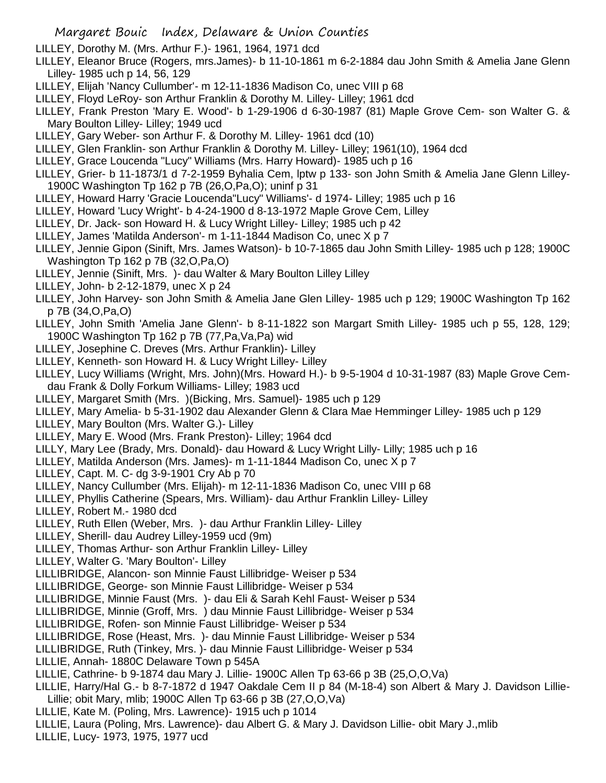LILLEY, Dorothy M. (Mrs. Arthur F.)- 1961, 1964, 1971 dcd

- LILLEY, Eleanor Bruce (Rogers, mrs.James)- b 11-10-1861 m 6-2-1884 dau John Smith & Amelia Jane Glenn Lilley- 1985 uch p 14, 56, 129
- LILLEY, Elijah 'Nancy Cullumber'- m 12-11-1836 Madison Co, unec VIII p 68
- LILLEY, Floyd LeRoy- son Arthur Franklin & Dorothy M. Lilley- Lilley; 1961 dcd
- LILLEY, Frank Preston 'Mary E. Wood'- b 1-29-1906 d 6-30-1987 (81) Maple Grove Cem- son Walter G. & Mary Boulton Lilley- Lilley; 1949 ucd
- LILLEY, Gary Weber- son Arthur F. & Dorothy M. Lilley- 1961 dcd (10)
- LILLEY, Glen Franklin- son Arthur Franklin & Dorothy M. Lilley- Lilley; 1961(10), 1964 dcd
- LILLEY, Grace Loucenda "Lucy" Williams (Mrs. Harry Howard)- 1985 uch p 16
- LILLEY, Grier- b 11-1873/1 d 7-2-1959 Byhalia Cem, lptw p 133- son John Smith & Amelia Jane Glenn Lilley-1900C Washington Tp 162 p 7B (26,O,Pa,O); uninf p 31
- LILLEY, Howard Harry 'Gracie Loucenda"Lucy" Williams'- d 1974- Lilley; 1985 uch p 16
- LILLEY, Howard 'Lucy Wright'- b 4-24-1900 d 8-13-1972 Maple Grove Cem, Lilley
- LILLEY, Dr. Jack- son Howard H. & Lucy Wright Lilley- Lilley; 1985 uch p 42
- LILLEY, James 'Matilda Anderson'- m 1-11-1844 Madison Co, unec X p 7
- LILLEY, Jennie Gipon (Sinift, Mrs. James Watson)- b 10-7-1865 dau John Smith Lilley- 1985 uch p 128; 1900C Washington Tp 162 p 7B (32,O,Pa,O)
- LILLEY, Jennie (Sinift, Mrs. )- dau Walter & Mary Boulton Lilley Lilley
- LILLEY, John- b 2-12-1879, unec X p 24
- LILLEY, John Harvey- son John Smith & Amelia Jane Glen Lilley- 1985 uch p 129; 1900C Washington Tp 162 p 7B (34,O,Pa,O)
- LILLEY, John Smith 'Amelia Jane Glenn'- b 8-11-1822 son Margart Smith Lilley- 1985 uch p 55, 128, 129; 1900C Washington Tp 162 p 7B (77,Pa,Va,Pa) wid
- LILLEY, Josephine C. Dreves (Mrs. Arthur Franklin)- Lilley
- LILLEY, Kenneth- son Howard H. & Lucy Wright Lilley- Lilley
- LILLEY, Lucy Williams (Wright, Mrs. John)(Mrs. Howard H.)- b 9-5-1904 d 10-31-1987 (83) Maple Grove Cemdau Frank & Dolly Forkum Williams- Lilley; 1983 ucd
- LILLEY, Margaret Smith (Mrs. )(Bicking, Mrs. Samuel)- 1985 uch p 129
- LILLEY, Mary Amelia- b 5-31-1902 dau Alexander Glenn & Clara Mae Hemminger Lilley- 1985 uch p 129
- LILLEY, Mary Boulton (Mrs. Walter G.)- Lilley
- LILLEY, Mary E. Wood (Mrs. Frank Preston)- Lilley; 1964 dcd
- LILLY, Mary Lee (Brady, Mrs. Donald)- dau Howard & Lucy Wright Lilly- Lilly; 1985 uch p 16
- LILLEY, Matilda Anderson (Mrs. James)- m 1-11-1844 Madison Co, unec X p 7
- LILLEY, Capt. M. C- dg 3-9-1901 Cry Ab p 70
- LILLEY, Nancy Cullumber (Mrs. Elijah)- m 12-11-1836 Madison Co, unec VIII p 68
- LILLEY, Phyllis Catherine (Spears, Mrs. William)- dau Arthur Franklin Lilley- Lilley
- LILLEY, Robert M.- 1980 dcd
- LILLEY, Ruth Ellen (Weber, Mrs. )- dau Arthur Franklin Lilley- Lilley
- LILLEY, Sherill- dau Audrey Lilley-1959 ucd (9m)
- LILLEY, Thomas Arthur- son Arthur Franklin Lilley- Lilley
- LILLEY, Walter G. 'Mary Boulton'- Lilley
- LILLIBRIDGE, Alancon- son Minnie Faust Lillibridge- Weiser p 534
- LILLIBRIDGE, George- son Minnie Faust Lillibridge- Weiser p 534
- LILLIBRIDGE, Minnie Faust (Mrs. )- dau Eli & Sarah Kehl Faust- Weiser p 534
- LILLIBRIDGE, Minnie (Groff, Mrs. ) dau Minnie Faust Lillibridge- Weiser p 534
- LILLIBRIDGE, Rofen- son Minnie Faust Lillibridge- Weiser p 534
- LILLIBRIDGE, Rose (Heast, Mrs. )- dau Minnie Faust Lillibridge- Weiser p 534
- LILLIBRIDGE, Ruth (Tinkey, Mrs. )- dau Minnie Faust Lillibridge- Weiser p 534
- LILLIE, Annah- 1880C Delaware Town p 545A
- LILLIE, Cathrine- b 9-1874 dau Mary J. Lillie- 1900C Allen Tp 63-66 p 3B (25,O,O,Va)
- LILLIE, Harry/Hal G.- b 8-7-1872 d 1947 Oakdale Cem II p 84 (M-18-4) son Albert & Mary J. Davidson Lillie-Lillie; obit Mary, mlib; 1900C Allen Tp 63-66 p 3B (27,O,O,Va)
- LILLIE, Kate M. (Poling, Mrs. Lawrence)- 1915 uch p 1014
- LILLIE, Laura (Poling, Mrs. Lawrence)- dau Albert G. & Mary J. Davidson Lillie- obit Mary J.,mlib
- LILLIE, Lucy- 1973, 1975, 1977 ucd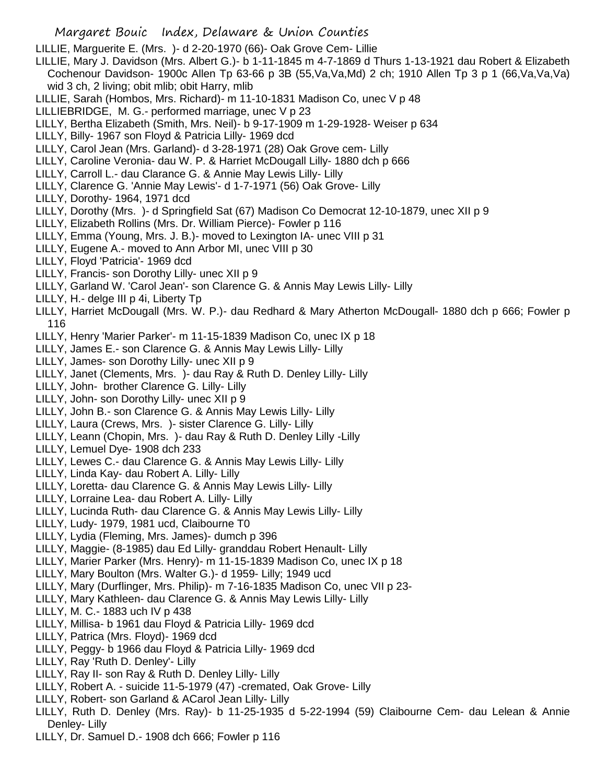LILLIE, Marguerite E. (Mrs. )- d 2-20-1970 (66)- Oak Grove Cem- Lillie

- LILLIE, Mary J. Davidson (Mrs. Albert G.)- b 1-11-1845 m 4-7-1869 d Thurs 1-13-1921 dau Robert & Elizabeth Cochenour Davidson- 1900c Allen Tp 63-66 p 3B (55,Va,Va,Md) 2 ch; 1910 Allen Tp 3 p 1 (66,Va,Va,Va) wid 3 ch, 2 living; obit mlib; obit Harry, mlib
- LILLIE, Sarah (Hombos, Mrs. Richard)- m 11-10-1831 Madison Co, unec V p 48
- LILLIEBRIDGE, M. G.- performed marriage, unec V p 23
- LILLY, Bertha Elizabeth (Smith, Mrs. Neil)- b 9-17-1909 m 1-29-1928- Weiser p 634
- LILLY, Billy- 1967 son Floyd & Patricia Lilly- 1969 dcd
- LILLY, Carol Jean (Mrs. Garland)- d 3-28-1971 (28) Oak Grove cem- Lilly
- LILLY, Caroline Veronia- dau W. P. & Harriet McDougall Lilly- 1880 dch p 666
- LILLY, Carroll L.- dau Clarance G. & Annie May Lewis Lilly- Lilly
- LILLY, Clarence G. 'Annie May Lewis'- d 1-7-1971 (56) Oak Grove- Lilly
- LILLY, Dorothy- 1964, 1971 dcd
- LILLY, Dorothy (Mrs. )- d Springfield Sat (67) Madison Co Democrat 12-10-1879, unec XII p 9
- LILLY, Elizabeth Rollins (Mrs. Dr. William Pierce)- Fowler p 116
- LILLY, Emma (Young, Mrs. J. B.)- moved to Lexington IA- unec VIII p 31
- LILLY, Eugene A.- moved to Ann Arbor MI, unec VIII p 30
- LILLY, Floyd 'Patricia'- 1969 dcd
- LILLY, Francis- son Dorothy Lilly- unec XII p 9
- LILLY, Garland W. 'Carol Jean'- son Clarence G. & Annis May Lewis Lilly- Lilly
- LILLY, H.- delge III p 4i, Liberty Tp
- LILLY, Harriet McDougall (Mrs. W. P.)- dau Redhard & Mary Atherton McDougall- 1880 dch p 666; Fowler p 116
- LILLY, Henry 'Marier Parker'- m 11-15-1839 Madison Co, unec IX p 18
- LILLY, James E.- son Clarence G. & Annis May Lewis Lilly- Lilly
- LILLY, James- son Dorothy Lilly- unec XII p 9
- LILLY, Janet (Clements, Mrs. )- dau Ray & Ruth D. Denley Lilly- Lilly
- LILLY, John- brother Clarence G. Lilly- Lilly
- LILLY, John- son Dorothy Lilly- unec XII p 9
- LILLY, John B.- son Clarence G. & Annis May Lewis Lilly- Lilly
- LILLY, Laura (Crews, Mrs. )- sister Clarence G. Lilly- Lilly
- LILLY, Leann (Chopin, Mrs. )- dau Ray & Ruth D. Denley Lilly -Lilly
- LILLY, Lemuel Dye- 1908 dch 233
- LILLY, Lewes C.- dau Clarence G. & Annis May Lewis Lilly- Lilly
- LILLY, Linda Kay- dau Robert A. Lilly- Lilly
- LILLY, Loretta- dau Clarence G. & Annis May Lewis Lilly- Lilly
- LILLY, Lorraine Lea- dau Robert A. Lilly- Lilly
- LILLY, Lucinda Ruth- dau Clarence G. & Annis May Lewis Lilly- Lilly
- LILLY, Ludy- 1979, 1981 ucd, Claibourne T0
- LILLY, Lydia (Fleming, Mrs. James)- dumch p 396
- LILLY, Maggie- (8-1985) dau Ed Lilly- granddau Robert Henault- Lilly
- LILLY, Marier Parker (Mrs. Henry)- m 11-15-1839 Madison Co, unec IX p 18
- LILLY, Mary Boulton (Mrs. Walter G.)- d 1959- Lilly; 1949 ucd
- LILLY, Mary (Durflinger, Mrs. Philip)- m 7-16-1835 Madison Co, unec VII p 23-
- LILLY, Mary Kathleen- dau Clarence G. & Annis May Lewis Lilly- Lilly
- LILLY, M. C.- 1883 uch IV p 438
- LILLY, Millisa- b 1961 dau Floyd & Patricia Lilly- 1969 dcd
- LILLY, Patrica (Mrs. Floyd)- 1969 dcd
- LILLY, Peggy- b 1966 dau Floyd & Patricia Lilly- 1969 dcd
- LILLY, Ray 'Ruth D. Denley'- Lilly
- LILLY, Ray II- son Ray & Ruth D. Denley Lilly- Lilly
- LILLY, Robert A. suicide 11-5-1979 (47) -cremated, Oak Grove- Lilly
- LILLY, Robert- son Garland & ACarol Jean Lilly- Lilly
- LILLY, Ruth D. Denley (Mrs. Ray)- b 11-25-1935 d 5-22-1994 (59) Claibourne Cem- dau Lelean & Annie Denley- Lilly
- LILLY, Dr. Samuel D.- 1908 dch 666; Fowler p 116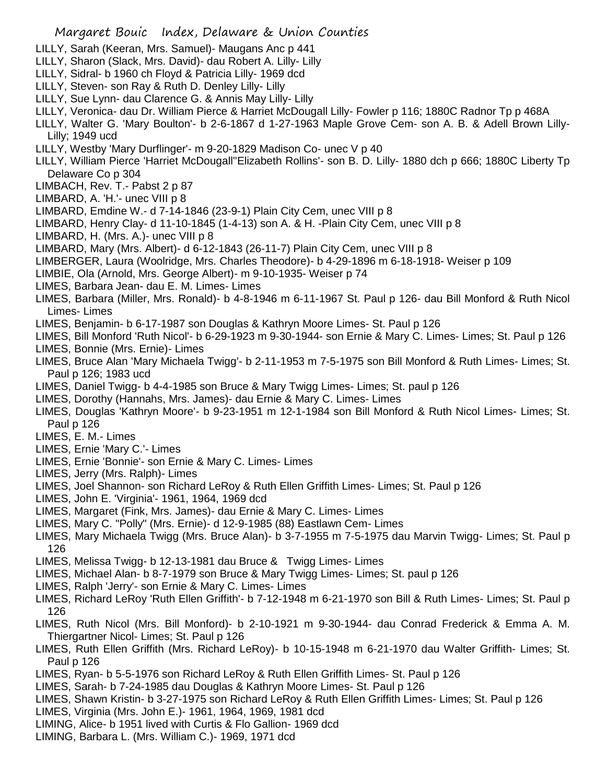- LILLY, Sarah (Keeran, Mrs. Samuel)- Maugans Anc p 441
- LILLY, Sharon (Slack, Mrs. David)- dau Robert A. Lilly- Lilly
- LILLY, Sidral- b 1960 ch Floyd & Patricia Lilly- 1969 dcd
- LILLY, Steven- son Ray & Ruth D. Denley Lilly- Lilly
- LILLY, Sue Lynn- dau Clarence G. & Annis May Lilly- Lilly
- LILLY, Veronica- dau Dr. William Pierce & Harriet McDougall Lilly- Fowler p 116; 1880C Radnor Tp p 468A
- LILLY, Walter G. 'Mary Boulton'- b 2-6-1867 d 1-27-1963 Maple Grove Cem- son A. B. & Adell Brown Lilly-Lilly; 1949 ucd
- LILLY, Westby 'Mary Durflinger'- m 9-20-1829 Madison Co- unec V p 40
- LILLY, William Pierce 'Harriet McDougall''Elizabeth Rollins'- son B. D. Lilly- 1880 dch p 666; 1880C Liberty Tp Delaware Co p 304
- LIMBACH, Rev. T.- Pabst 2 p 87
- LIMBARD, A. 'H.'- unec VIII p 8
- LIMBARD, Emdine W.- d 7-14-1846 (23-9-1) Plain City Cem, unec VIII p 8
- LIMBARD, Henry Clay- d 11-10-1845 (1-4-13) son A. & H. -Plain City Cem, unec VIII p 8
- LIMBARD, H. (Mrs. A.)- unec VIII p 8
- LIMBARD, Mary (Mrs. Albert)- d 6-12-1843 (26-11-7) Plain City Cem, unec VIII p 8
- LIMBERGER, Laura (Woolridge, Mrs. Charles Theodore)- b 4-29-1896 m 6-18-1918- Weiser p 109
- LIMBIE, Ola (Arnold, Mrs. George Albert)- m 9-10-1935- Weiser p 74
- LIMES, Barbara Jean- dau E. M. Limes- Limes
- LIMES, Barbara (Miller, Mrs. Ronald)- b 4-8-1946 m 6-11-1967 St. Paul p 126- dau Bill Monford & Ruth Nicol Limes- Limes
- LIMES, Benjamin- b 6-17-1987 son Douglas & Kathryn Moore Limes- St. Paul p 126
- LIMES, Bill Monford 'Ruth Nicol'- b 6-29-1923 m 9-30-1944- son Ernie & Mary C. Limes- Limes; St. Paul p 126 LIMES, Bonnie (Mrs. Ernie)- Limes
- LIMES, Bruce Alan 'Mary Michaela Twigg'- b 2-11-1953 m 7-5-1975 son Bill Monford & Ruth Limes- Limes; St. Paul p 126; 1983 ucd
- LIMES, Daniel Twigg- b 4-4-1985 son Bruce & Mary Twigg Limes- Limes; St. paul p 126
- LIMES, Dorothy (Hannahs, Mrs. James)- dau Ernie & Mary C. Limes- Limes
- LIMES, Douglas 'Kathryn Moore'- b 9-23-1951 m 12-1-1984 son Bill Monford & Ruth Nicol Limes- Limes; St. Paul p 126
- LIMES, E. M.- Limes
- LIMES, Ernie 'Mary C.'- Limes
- LIMES, Ernie 'Bonnie'- son Ernie & Mary C. Limes- Limes
- LIMES, Jerry (Mrs. Ralph)- Limes
- LIMES, Joel Shannon- son Richard LeRoy & Ruth Ellen Griffith Limes- Limes; St. Paul p 126
- LIMES, John E. 'Virginia'- 1961, 1964, 1969 dcd
- LIMES, Margaret (Fink, Mrs. James)- dau Ernie & Mary C. Limes- Limes
- LIMES, Mary C. "Polly" (Mrs. Ernie)- d 12-9-1985 (88) Eastlawn Cem- Limes
- LIMES, Mary Michaela Twigg (Mrs. Bruce Alan)- b 3-7-1955 m 7-5-1975 dau Marvin Twigg- Limes; St. Paul p 126
- LIMES, Melissa Twigg- b 12-13-1981 dau Bruce & Twigg Limes- Limes
- LIMES, Michael Alan- b 8-7-1979 son Bruce & Mary Twigg Limes- Limes; St. paul p 126
- LIMES, Ralph 'Jerry'- son Ernie & Mary C. Limes- Limes
- LIMES, Richard LeRoy 'Ruth Ellen Griffith'- b 7-12-1948 m 6-21-1970 son Bill & Ruth Limes- Limes; St. Paul p 126
- LIMES, Ruth Nicol (Mrs. Bill Monford)- b 2-10-1921 m 9-30-1944- dau Conrad Frederick & Emma A. M. Thiergartner Nicol- Limes; St. Paul p 126
- LIMES, Ruth Ellen Griffith (Mrs. Richard LeRoy)- b 10-15-1948 m 6-21-1970 dau Walter Griffith- Limes; St. Paul p 126
- LIMES, Ryan- b 5-5-1976 son Richard LeRoy & Ruth Ellen Griffith Limes- St. Paul p 126
- LIMES, Sarah- b 7-24-1985 dau Douglas & Kathryn Moore Limes- St. Paul p 126
- LIMES, Shawn Kristin- b 3-27-1975 son Richard LeRoy & Ruth Ellen Griffith Limes- Limes; St. Paul p 126
- LIMES, Virginia (Mrs. John E.)- 1961, 1964, 1969, 1981 dcd
- LIMING, Alice- b 1951 lived with Curtis & Flo Gallion- 1969 dcd
- LIMING, Barbara L. (Mrs. William C.)- 1969, 1971 dcd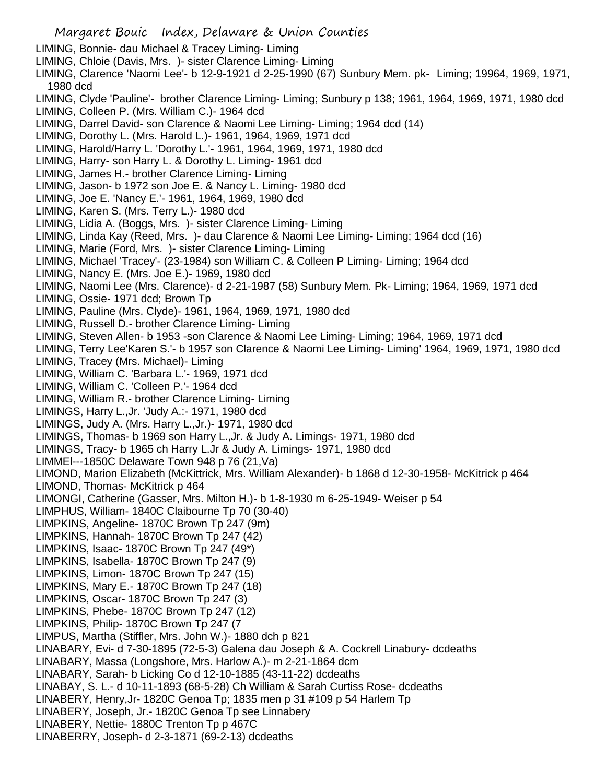- LIMING, Bonnie- dau Michael & Tracey Liming- Liming
- LIMING, Chloie (Davis, Mrs. )- sister Clarence Liming- Liming
- LIMING, Clarence 'Naomi Lee'- b 12-9-1921 d 2-25-1990 (67) Sunbury Mem. pk- Liming; 19964, 1969, 1971, 1980 dcd
- LIMING, Clyde 'Pauline'- brother Clarence Liming- Liming; Sunbury p 138; 1961, 1964, 1969, 1971, 1980 dcd
- LIMING, Colleen P. (Mrs. William C.)- 1964 dcd
- LIMING, Darrel David- son Clarence & Naomi Lee Liming- Liming; 1964 dcd (14)
- LIMING, Dorothy L. (Mrs. Harold L.)- 1961, 1964, 1969, 1971 dcd
- LIMING, Harold/Harry L. 'Dorothy L.'- 1961, 1964, 1969, 1971, 1980 dcd
- LIMING, Harry- son Harry L. & Dorothy L. Liming- 1961 dcd
- LIMING, James H.- brother Clarence Liming- Liming
- LIMING, Jason- b 1972 son Joe E. & Nancy L. Liming- 1980 dcd
- LIMING, Joe E. 'Nancy E.'- 1961, 1964, 1969, 1980 dcd
- LIMING, Karen S. (Mrs. Terry L.)- 1980 dcd
- LIMING, Lidia A. (Boggs, Mrs. )- sister Clarence Liming- Liming
- LIMING, Linda Kay (Reed, Mrs. )- dau Clarence & Naomi Lee Liming- Liming; 1964 dcd (16)
- LIMING, Marie (Ford, Mrs. )- sister Clarence Liming- Liming
- LIMING, Michael 'Tracey'- (23-1984) son William C. & Colleen P Liming- Liming; 1964 dcd
- LIMING, Nancy E. (Mrs. Joe E.)- 1969, 1980 dcd
- LIMING, Naomi Lee (Mrs. Clarence)- d 2-21-1987 (58) Sunbury Mem. Pk- Liming; 1964, 1969, 1971 dcd
- LIMING, Ossie- 1971 dcd; Brown Tp
- LIMING, Pauline (Mrs. Clyde)- 1961, 1964, 1969, 1971, 1980 dcd
- LIMING, Russell D.- brother Clarence Liming- Liming
- LIMING, Steven Allen- b 1953 -son Clarence & Naomi Lee Liming- Liming; 1964, 1969, 1971 dcd
- LIMING, Terry Lee'Karen S.'- b 1957 son Clarence & Naomi Lee Liming- Liming' 1964, 1969, 1971, 1980 dcd LIMING, Tracey (Mrs. Michael)- Liming
- LIMING, William C. 'Barbara L.'- 1969, 1971 dcd
- LIMING, William C. 'Colleen P.'- 1964 dcd
- LIMING, William R.- brother Clarence Liming- Liming
- LIMINGS, Harry L.,Jr. 'Judy A.:- 1971, 1980 dcd
- LIMINGS, Judy A. (Mrs. Harry L.,Jr.)- 1971, 1980 dcd
- LIMINGS, Thomas- b 1969 son Harry L.,Jr. & Judy A. Limings- 1971, 1980 dcd
- LIMINGS, Tracy- b 1965 ch Harry L.Jr & Judy A. Limings- 1971, 1980 dcd
- LIMMEl---1850C Delaware Town 948 p 76 (21,Va)
- LIMOND, Marion Elizabeth (McKittrick, Mrs. William Alexander)- b 1868 d 12-30-1958- McKitrick p 464
- LIMOND, Thomas- McKitrick p 464
- LIMONGI, Catherine (Gasser, Mrs. Milton H.)- b 1-8-1930 m 6-25-1949- Weiser p 54
- LIMPHUS, William- 1840C Claibourne Tp 70 (30-40)
- LIMPKINS, Angeline- 1870C Brown Tp 247 (9m)
- LIMPKINS, Hannah- 1870C Brown Tp 247 (42)
- LIMPKINS, Isaac- 1870C Brown Tp 247 (49\*)
- LIMPKINS, Isabella- 1870C Brown Tp 247 (9)
- LIMPKINS, Limon- 1870C Brown Tp 247 (15)
- LIMPKINS, Mary E.- 1870C Brown Tp 247 (18)
- LIMPKINS, Oscar- 1870C Brown Tp 247 (3)
- LIMPKINS, Phebe- 1870C Brown Tp 247 (12)
- LIMPKINS, Philip- 1870C Brown Tp 247 (7
- LIMPUS, Martha (Stiffler, Mrs. John W.)- 1880 dch p 821
- LINABARY, Evi- d 7-30-1895 (72-5-3) Galena dau Joseph & A. Cockrell Linabury- dcdeaths
- LINABARY, Massa (Longshore, Mrs. Harlow A.)- m 2-21-1864 dcm
- LINABARY, Sarah- b Licking Co d 12-10-1885 (43-11-22) dcdeaths
- LINABAY, S. L.- d 10-11-1893 (68-5-28) Ch William & Sarah Curtiss Rose- dcdeaths
- LINABERY, Henry,Jr- 1820C Genoa Tp; 1835 men p 31 #109 p 54 Harlem Tp
- LINABERY, Joseph, Jr.- 1820C Genoa Tp see Linnabery
- LINABERY, Nettie- 1880C Trenton Tp p 467C
- LINABERRY, Joseph- d 2-3-1871 (69-2-13) dcdeaths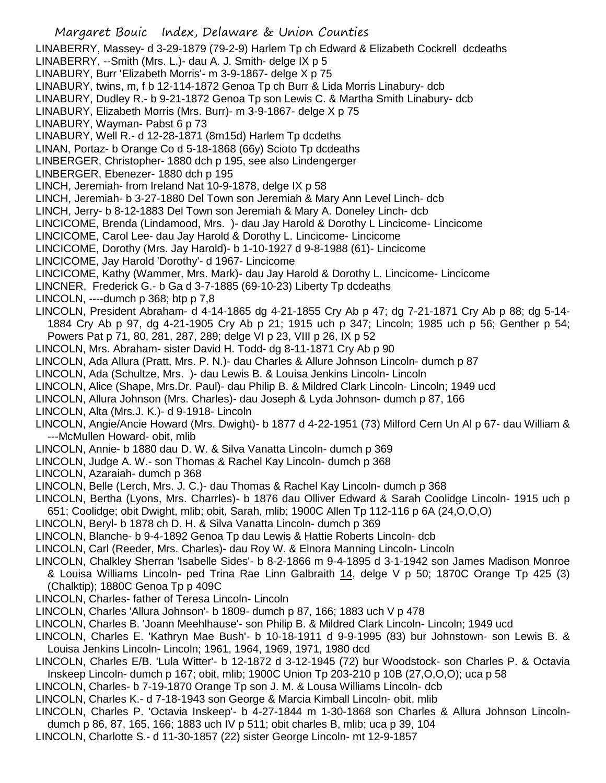Margaret Bouic Index, Delaware & Union Counties LINABERRY, Massey- d 3-29-1879 (79-2-9) Harlem Tp ch Edward & Elizabeth Cockrell dcdeaths LINABERRY, --Smith (Mrs. L.)- dau A. J. Smith- delge IX p 5 LINABURY, Burr 'Elizabeth Morris'- m 3-9-1867- delge X p 75 LINABURY, twins, m, f b 12-114-1872 Genoa Tp ch Burr & Lida Morris Linabury- dcb LINABURY, Dudley R.- b 9-21-1872 Genoa Tp son Lewis C. & Martha Smith Linabury- dcb LINABURY, Elizabeth Morris (Mrs. Burr)- m 3-9-1867- delge X p 75 LINABURY, Wayman- Pabst 6 p 73 LINABURY, Well R.- d 12-28-1871 (8m15d) Harlem Tp dcdeths LINAN, Portaz- b Orange Co d 5-18-1868 (66y) Scioto Tp dcdeaths LINBERGER, Christopher- 1880 dch p 195, see also Lindengerger LINBERGER, Ebenezer- 1880 dch p 195 LINCH, Jeremiah- from Ireland Nat 10-9-1878, delge IX p 58 LINCH, Jeremiah- b 3-27-1880 Del Town son Jeremiah & Mary Ann Level Linch- dcb LINCH, Jerry- b 8-12-1883 Del Town son Jeremiah & Mary A. Doneley Linch- dcb LINCICOME, Brenda (Lindamood, Mrs. )- dau Jay Harold & Dorothy L Lincicome- Lincicome LINCICOME, Carol Lee- dau Jay Harold & Dorothy L. Lincicome- Lincicome LINCICOME, Dorothy (Mrs. Jay Harold)- b 1-10-1927 d 9-8-1988 (61)- Lincicome LINCICOME, Jay Harold 'Dorothy'- d 1967- Lincicome LINCICOME, Kathy (Wammer, Mrs. Mark)- dau Jay Harold & Dorothy L. Lincicome- Lincicome LINCNER, Frederick G.- b Ga d 3-7-1885 (69-10-23) Liberty Tp dcdeaths LINCOLN,  $---$ dumch p 368; btp p  $7,8$ LINCOLN, President Abraham- d 4-14-1865 dg 4-21-1855 Cry Ab p 47; dg 7-21-1871 Cry Ab p 88; dg 5-14- 1884 Cry Ab p 97, dg 4-21-1905 Cry Ab p 21; 1915 uch p 347; Lincoln; 1985 uch p 56; Genther p 54; Powers Pat p 71, 80, 281, 287, 289; delge VI p 23, VIII p 26, IX p 52 LINCOLN, Mrs. Abraham- sister David H. Todd- dg 8-11-1871 Cry Ab p 90 LINCOLN, Ada Allura (Pratt, Mrs. P. N.)- dau Charles & Allure Johnson Lincoln- dumch p 87 LINCOLN, Ada (Schultze, Mrs. )- dau Lewis B. & Louisa Jenkins Lincoln- Lincoln LINCOLN, Alice (Shape, Mrs.Dr. Paul)- dau Philip B. & Mildred Clark Lincoln- Lincoln; 1949 ucd LINCOLN, Allura Johnson (Mrs. Charles)- dau Joseph & Lyda Johnson- dumch p 87, 166 LINCOLN, Alta (Mrs.J. K.)- d 9-1918- Lincoln LINCOLN, Angie/Ancie Howard (Mrs. Dwight)- b 1877 d 4-22-1951 (73) Milford Cem Un Al p 67- dau William & ---McMullen Howard- obit, mlib LINCOLN, Annie- b 1880 dau D. W. & Silva Vanatta Lincoln- dumch p 369 LINCOLN, Judge A. W.- son Thomas & Rachel Kay Lincoln- dumch p 368 LINCOLN, Azaraiah- dumch p 368 LINCOLN, Belle (Lerch, Mrs. J. C.)- dau Thomas & Rachel Kay Lincoln- dumch p 368 LINCOLN, Bertha (Lyons, Mrs. Charrles)- b 1876 dau Olliver Edward & Sarah Coolidge Lincoln- 1915 uch p 651; Coolidge; obit Dwight, mlib; obit, Sarah, mlib; 1900C Allen Tp 112-116 p 6A (24,O,O,O) LINCOLN, Beryl- b 1878 ch D. H. & Silva Vanatta Lincoln- dumch p 369 LINCOLN, Blanche- b 9-4-1892 Genoa Tp dau Lewis & Hattie Roberts Lincoln- dcb LINCOLN, Carl (Reeder, Mrs. Charles)- dau Roy W. & Elnora Manning Lincoln- Lincoln LINCOLN, Chalkley Sherran 'Isabelle Sides'- b 8-2-1866 m 9-4-1895 d 3-1-1942 son James Madison Monroe & Louisa Williams Lincoln- ped Trina Rae Linn Galbraith 14, delge V p 50; 1870C Orange Tp 425 (3) (Chalktip); 1880C Genoa Tp p 409C LINCOLN, Charles- father of Teresa Lincoln- Lincoln LINCOLN, Charles 'Allura Johnson'- b 1809- dumch p 87, 166; 1883 uch V p 478 LINCOLN, Charles B. 'Joann Meehlhause'- son Philip B. & Mildred Clark Lincoln- Lincoln; 1949 ucd LINCOLN, Charles E. 'Kathryn Mae Bush'- b 10-18-1911 d 9-9-1995 (83) bur Johnstown- son Lewis B. & Louisa Jenkins Lincoln- Lincoln; 1961, 1964, 1969, 1971, 1980 dcd LINCOLN, Charles E/B. 'Lula Witter'- b 12-1872 d 3-12-1945 (72) bur Woodstock- son Charles P. & Octavia Inskeep Lincoln- dumch p 167; obit, mlib; 1900C Union Tp 203-210 p 10B (27,O,O,O); uca p 58 LINCOLN, Charles- b 7-19-1870 Orange Tp son J. M. & Lousa Williams Lincoln- dcb

LINCOLN, Charles K.- d 7-18-1943 son George & Marcia Kimball Lincoln- obit, mlib

LINCOLN, Charles P. 'Octavia Inskeep'- b 4-27-1844 m 1-30-1868 son Charles & Allura Johnson Lincolndumch p 86, 87, 165, 166; 1883 uch IV p 511; obit charles B, mlib; uca p 39, 104

LINCOLN, Charlotte S.- d 11-30-1857 (22) sister George Lincoln- mt 12-9-1857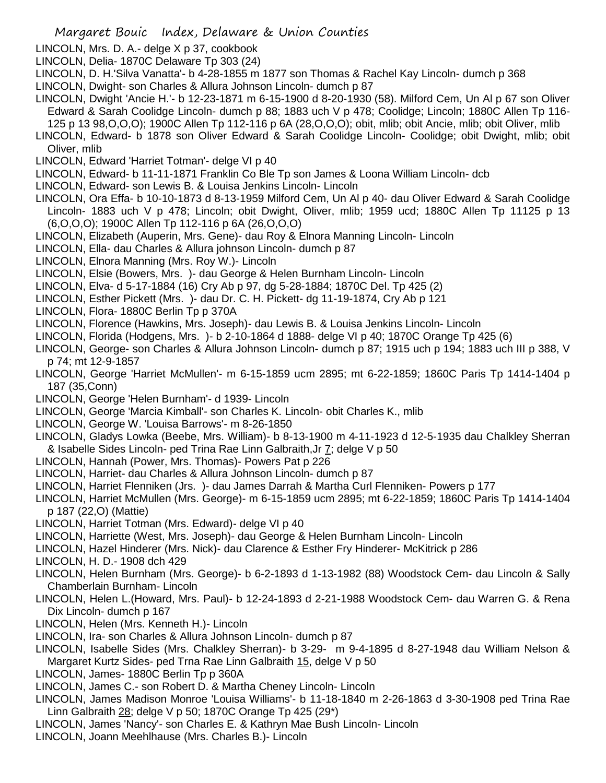- LINCOLN, Mrs. D. A.- delge X p 37, cookbook
- LINCOLN, Delia- 1870C Delaware Tp 303 (24)
- LINCOLN, D. H.'Silva Vanatta'- b 4-28-1855 m 1877 son Thomas & Rachel Kay Lincoln- dumch p 368
- LINCOLN, Dwight- son Charles & Allura Johnson Lincoln- dumch p 87
- LINCOLN, Dwight 'Ancie H.'- b 12-23-1871 m 6-15-1900 d 8-20-1930 (58). Milford Cem, Un Al p 67 son Oliver Edward & Sarah Coolidge Lincoln- dumch p 88; 1883 uch V p 478; Coolidge; Lincoln; 1880C Allen Tp 116- 125 p 13 98,O,O,O); 1900C Allen Tp 112-116 p 6A (28,O,O,O); obit, mlib; obit Ancie, mlib; obit Oliver, mlib
- LINCOLN, Edward- b 1878 son Oliver Edward & Sarah Coolidge Lincoln- Coolidge; obit Dwight, mlib; obit Oliver, mlib
- LINCOLN, Edward 'Harriet Totman'- delge VI p 40
- LINCOLN, Edward- b 11-11-1871 Franklin Co Ble Tp son James & Loona William Lincoln- dcb
- LINCOLN, Edward- son Lewis B. & Louisa Jenkins Lincoln- Lincoln
- LINCOLN, Ora Effa- b 10-10-1873 d 8-13-1959 Milford Cem, Un Al p 40- dau Oliver Edward & Sarah Coolidge Lincoln- 1883 uch V p 478; Lincoln; obit Dwight, Oliver, mlib; 1959 ucd; 1880C Allen Tp 11125 p 13 (6,O,O,O); 1900C Allen Tp 112-116 p 6A (26,O,O,O)
- LINCOLN, Elizabeth (Auperin, Mrs. Gene)- dau Roy & Elnora Manning Lincoln- Lincoln
- LINCOLN, Ella- dau Charles & Allura johnson Lincoln- dumch p 87
- LINCOLN, Elnora Manning (Mrs. Roy W.)- Lincoln
- LINCOLN, Elsie (Bowers, Mrs. )- dau George & Helen Burnham Lincoln- Lincoln
- LINCOLN, Elva- d 5-17-1884 (16) Cry Ab p 97, dg 5-28-1884; 1870C Del. Tp 425 (2)
- LINCOLN, Esther Pickett (Mrs. )- dau Dr. C. H. Pickett- dg 11-19-1874, Cry Ab p 121
- LINCOLN, Flora- 1880C Berlin Tp p 370A
- LINCOLN, Florence (Hawkins, Mrs. Joseph)- dau Lewis B. & Louisa Jenkins Lincoln- Lincoln
- LINCOLN, Florida (Hodgens, Mrs. )- b 2-10-1864 d 1888- delge VI p 40; 1870C Orange Tp 425 (6)
- LINCOLN, George- son Charles & Allura Johnson Lincoln- dumch p 87; 1915 uch p 194; 1883 uch III p 388, V p 74; mt 12-9-1857
- LINCOLN, George 'Harriet McMullen'- m 6-15-1859 ucm 2895; mt 6-22-1859; 1860C Paris Tp 1414-1404 p 187 (35,Conn)
- LINCOLN, George 'Helen Burnham'- d 1939- Lincoln
- LINCOLN, George 'Marcia Kimball'- son Charles K. Lincoln- obit Charles K., mlib
- LINCOLN, George W. 'Louisa Barrows'- m 8-26-1850
- LINCOLN, Gladys Lowka (Beebe, Mrs. William)- b 8-13-1900 m 4-11-1923 d 12-5-1935 dau Chalkley Sherran & Isabelle Sides Lincoln- ped Trina Rae Linn Galbraith,Jr 7; delge V p 50
- LINCOLN, Hannah (Power, Mrs. Thomas)- Powers Pat p 226
- LINCOLN, Harriet- dau Charles & Allura Johnson Lincoln- dumch p 87
- LINCOLN, Harriet Flenniken (Jrs. )- dau James Darrah & Martha Curl Flenniken- Powers p 177
- LINCOLN, Harriet McMullen (Mrs. George)- m 6-15-1859 ucm 2895; mt 6-22-1859; 1860C Paris Tp 1414-1404 p 187 (22,O) (Mattie)
- LINCOLN, Harriet Totman (Mrs. Edward)- delge VI p 40
- LINCOLN, Harriette (West, Mrs. Joseph)- dau George & Helen Burnham Lincoln- Lincoln
- LINCOLN, Hazel Hinderer (Mrs. Nick)- dau Clarence & Esther Fry Hinderer- McKitrick p 286
- LINCOLN, H. D.- 1908 dch 429
- LINCOLN, Helen Burnham (Mrs. George)- b 6-2-1893 d 1-13-1982 (88) Woodstock Cem- dau Lincoln & Sally Chamberlain Burnham- Lincoln
- LINCOLN, Helen L.(Howard, Mrs. Paul)- b 12-24-1893 d 2-21-1988 Woodstock Cem- dau Warren G. & Rena Dix Lincoln- dumch p 167
- LINCOLN, Helen (Mrs. Kenneth H.)- Lincoln
- LINCOLN, Ira- son Charles & Allura Johnson Lincoln- dumch p 87
- LINCOLN, Isabelle Sides (Mrs. Chalkley Sherran)- b 3-29- m 9-4-1895 d 8-27-1948 dau William Nelson & Margaret Kurtz Sides- ped Trna Rae Linn Galbraith 15, delge V p 50
- LINCOLN, James- 1880C Berlin Tp p 360A
- LINCOLN, James C.- son Robert D. & Martha Cheney Lincoln- Lincoln
- LINCOLN, James Madison Monroe 'Louisa Williams'- b 11-18-1840 m 2-26-1863 d 3-30-1908 ped Trina Rae Linn Galbraith 28; delge V p 50; 1870C Orange Tp 425 (29\*)
- LINCOLN, James 'Nancy'- son Charles E. & Kathryn Mae Bush Lincoln- Lincoln
- LINCOLN, Joann Meehlhause (Mrs. Charles B.)- Lincoln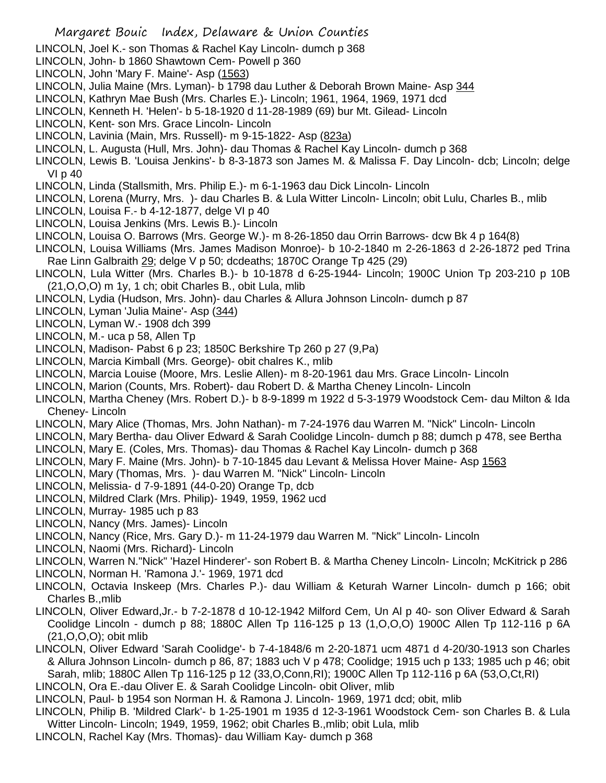- LINCOLN, Joel K.- son Thomas & Rachel Kay Lincoln- dumch p 368
- LINCOLN, John- b 1860 Shawtown Cem- Powell p 360
- LINCOLN, John 'Mary F. Maine'- Asp (1563)
- LINCOLN, Julia Maine (Mrs. Lyman)- b 1798 dau Luther & Deborah Brown Maine- Asp 344
- LINCOLN, Kathryn Mae Bush (Mrs. Charles E.)- Lincoln; 1961, 1964, 1969, 1971 dcd
- LINCOLN, Kenneth H. 'Helen'- b 5-18-1920 d 11-28-1989 (69) bur Mt. Gilead- Lincoln
- LINCOLN, Kent- son Mrs. Grace Lincoln- Lincoln
- LINCOLN, Lavinia (Main, Mrs. Russell)- m 9-15-1822- Asp (823a)
- LINCOLN, L. Augusta (Hull, Mrs. John)- dau Thomas & Rachel Kay Lincoln- dumch p 368
- LINCOLN, Lewis B. 'Louisa Jenkins'- b 8-3-1873 son James M. & Malissa F. Day Lincoln- dcb; Lincoln; delge VI p 40
- LINCOLN, Linda (Stallsmith, Mrs. Philip E.)- m 6-1-1963 dau Dick Lincoln- Lincoln
- LINCOLN, Lorena (Murry, Mrs. )- dau Charles B. & Lula Witter Lincoln- Lincoln; obit Lulu, Charles B., mlib
- LINCOLN, Louisa F.- b 4-12-1877, delge VI p 40
- LINCOLN, Louisa Jenkins (Mrs. Lewis B.)- Lincoln
- LINCOLN, Louisa O. Barrows (Mrs. George W.)- m 8-26-1850 dau Orrin Barrows- dcw Bk 4 p 164(8)
- LINCOLN, Louisa Williams (Mrs. James Madison Monroe)- b 10-2-1840 m 2-26-1863 d 2-26-1872 ped Trina Rae Linn Galbraith 29; delge V p 50; dcdeaths; 1870C Orange Tp 425 (29)
- LINCOLN, Lula Witter (Mrs. Charles B.)- b 10-1878 d 6-25-1944- Lincoln; 1900C Union Tp 203-210 p 10B (21,O,O,O) m 1y, 1 ch; obit Charles B., obit Lula, mlib
- LINCOLN, Lydia (Hudson, Mrs. John)- dau Charles & Allura Johnson Lincoln- dumch p 87
- LINCOLN, Lyman 'Julia Maine'- Asp (344)
- LINCOLN, Lyman W.- 1908 dch 399
- LINCOLN, M.- uca p 58, Allen Tp
- LINCOLN, Madison- Pabst 6 p 23; 1850C Berkshire Tp 260 p 27 (9,Pa)
- LINCOLN, Marcia Kimball (Mrs. George)- obit chalres K., mlib
- LINCOLN, Marcia Louise (Moore, Mrs. Leslie Allen)- m 8-20-1961 dau Mrs. Grace Lincoln- Lincoln
- LINCOLN, Marion (Counts, Mrs. Robert)- dau Robert D. & Martha Cheney Lincoln- Lincoln
- LINCOLN, Martha Cheney (Mrs. Robert D.)- b 8-9-1899 m 1922 d 5-3-1979 Woodstock Cem- dau Milton & Ida Cheney- Lincoln
- LINCOLN, Mary Alice (Thomas, Mrs. John Nathan)- m 7-24-1976 dau Warren M. "Nick" Lincoln- Lincoln
- LINCOLN, Mary Bertha- dau Oliver Edward & Sarah Coolidge Lincoln- dumch p 88; dumch p 478, see Bertha
- LINCOLN, Mary E. (Coles, Mrs. Thomas)- dau Thomas & Rachel Kay Lincoln- dumch p 368
- LINCOLN, Mary F. Maine (Mrs. John)- b 7-10-1845 dau Levant & Melissa Hover Maine- Asp 1563
- LINCOLN, Mary (Thomas, Mrs. )- dau Warren M. "Nick" Lincoln- Lincoln
- LINCOLN, Melissia- d 7-9-1891 (44-0-20) Orange Tp, dcb
- LINCOLN, Mildred Clark (Mrs. Philip)- 1949, 1959, 1962 ucd
- LINCOLN, Murray- 1985 uch p 83
- LINCOLN, Nancy (Mrs. James)- Lincoln
- LINCOLN, Nancy (Rice, Mrs. Gary D.)- m 11-24-1979 dau Warren M. "Nick" Lincoln- Lincoln
- LINCOLN, Naomi (Mrs. Richard)- Lincoln
- LINCOLN, Warren N."Nick" 'Hazel Hinderer'- son Robert B. & Martha Cheney Lincoln- Lincoln; McKitrick p 286
- LINCOLN, Norman H. 'Ramona J.'- 1969, 1971 dcd
- LINCOLN, Octavia Inskeep (Mrs. Charles P.)- dau William & Keturah Warner Lincoln- dumch p 166; obit Charles B.,mlib
- LINCOLN, Oliver Edward,Jr.- b 7-2-1878 d 10-12-1942 Milford Cem, Un Al p 40- son Oliver Edward & Sarah Coolidge Lincoln - dumch p 88; 1880C Allen Tp 116-125 p 13 (1,O,O,O) 1900C Allen Tp 112-116 p 6A (21,O,O,O); obit mlib
- LINCOLN, Oliver Edward 'Sarah Coolidge'- b 7-4-1848/6 m 2-20-1871 ucm 4871 d 4-20/30-1913 son Charles & Allura Johnson Lincoln- dumch p 86, 87; 1883 uch V p 478; Coolidge; 1915 uch p 133; 1985 uch p 46; obit Sarah, mlib; 1880C Allen Tp 116-125 p 12 (33,O,Conn,RI); 1900C Allen Tp 112-116 p 6A (53,O,Ct,RI)
- LINCOLN, Ora E.-dau Oliver E. & Sarah Coolidge Lincoln- obit Oliver, mlib
- LINCOLN, Paul- b 1954 son Norman H. & Ramona J. Lincoln- 1969, 1971 dcd; obit, mlib
- LINCOLN, Philip B. 'Mildred Clark'- b 1-25-1901 m 1935 d 12-3-1961 Woodstock Cem- son Charles B. & Lula Witter Lincoln- Lincoln; 1949, 1959, 1962; obit Charles B.,mlib; obit Lula, mlib
- LINCOLN, Rachel Kay (Mrs. Thomas)- dau William Kay- dumch p 368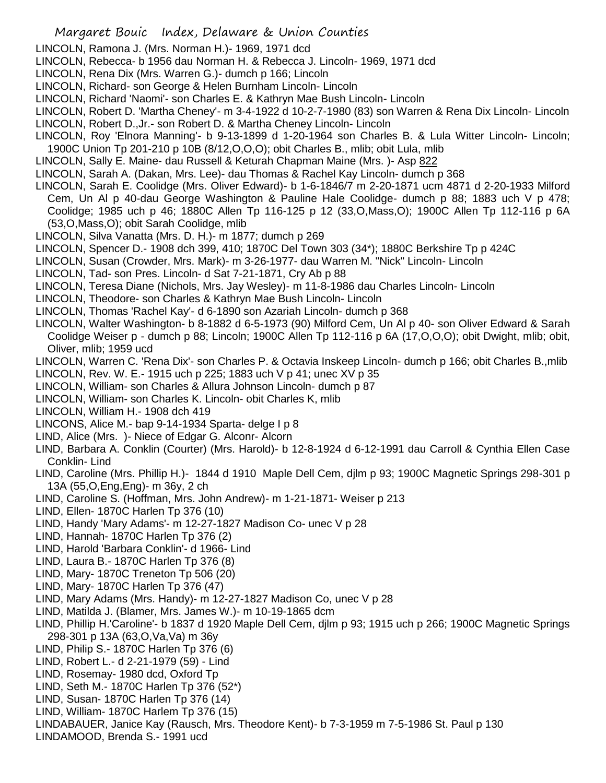- LINCOLN, Ramona J. (Mrs. Norman H.)- 1969, 1971 dcd
- LINCOLN, Rebecca- b 1956 dau Norman H. & Rebecca J. Lincoln- 1969, 1971 dcd
- LINCOLN, Rena Dix (Mrs. Warren G.)- dumch p 166; Lincoln
- LINCOLN, Richard- son George & Helen Burnham Lincoln- Lincoln
- LINCOLN, Richard 'Naomi'- son Charles E. & Kathryn Mae Bush Lincoln- Lincoln
- LINCOLN, Robert D. 'Martha Cheney'- m 3-4-1922 d 10-2-7-1980 (83) son Warren & Rena Dix Lincoln- Lincoln
- LINCOLN, Robert D.,Jr.- son Robert D. & Martha Cheney Lincoln- Lincoln
- LINCOLN, Roy 'Elnora Manning'- b 9-13-1899 d 1-20-1964 son Charles B. & Lula Witter Lincoln- Lincoln; 1900C Union Tp 201-210 p 10B (8/12,O,O,O); obit Charles B., mlib; obit Lula, mlib
- LINCOLN, Sally E. Maine- dau Russell & Keturah Chapman Maine (Mrs. )- Asp 822
- LINCOLN, Sarah A. (Dakan, Mrs. Lee)- dau Thomas & Rachel Kay Lincoln- dumch p 368
- LINCOLN, Sarah E. Coolidge (Mrs. Oliver Edward)- b 1-6-1846/7 m 2-20-1871 ucm 4871 d 2-20-1933 Milford Cem, Un Al p 40-dau George Washington & Pauline Hale Coolidge- dumch p 88; 1883 uch V p 478; Coolidge; 1985 uch p 46; 1880C Allen Tp 116-125 p 12 (33,O,Mass,O); 1900C Allen Tp 112-116 p 6A (53,O,Mass,O); obit Sarah Coolidge, mlib
- LINCOLN, Silva Vanatta (Mrs. D. H.)- m 1877; dumch p 269
- LINCOLN, Spencer D.- 1908 dch 399, 410; 1870C Del Town 303 (34\*); 1880C Berkshire Tp p 424C
- LINCOLN, Susan (Crowder, Mrs. Mark)- m 3-26-1977- dau Warren M. "Nick" Lincoln- Lincoln
- LINCOLN, Tad- son Pres. Lincoln- d Sat 7-21-1871, Cry Ab p 88
- LINCOLN, Teresa Diane (Nichols, Mrs. Jay Wesley)- m 11-8-1986 dau Charles Lincoln- Lincoln
- LINCOLN, Theodore- son Charles & Kathryn Mae Bush Lincoln- Lincoln
- LINCOLN, Thomas 'Rachel Kay'- d 6-1890 son Azariah Lincoln- dumch p 368
- LINCOLN, Walter Washington- b 8-1882 d 6-5-1973 (90) Milford Cem, Un Al p 40- son Oliver Edward & Sarah Coolidge Weiser p - dumch p 88; Lincoln; 1900C Allen Tp 112-116 p 6A (17,O,O,O); obit Dwight, mlib; obit, Oliver, mlib; 1959 ucd
- LINCOLN, Warren C. 'Rena Dix'- son Charles P. & Octavia Inskeep Lincoln- dumch p 166; obit Charles B.,mlib
- LINCOLN, Rev. W. E.- 1915 uch p 225; 1883 uch V p 41; unec XV p 35
- LINCOLN, William- son Charles & Allura Johnson Lincoln- dumch p 87
- LINCOLN, William- son Charles K. Lincoln- obit Charles K, mlib
- LINCOLN, William H.- 1908 dch 419
- LINCONS, Alice M.- bap 9-14-1934 Sparta- delge I p 8
- LIND, Alice (Mrs. )- Niece of Edgar G. Alconr- Alcorn
- LIND, Barbara A. Conklin (Courter) (Mrs. Harold)- b 12-8-1924 d 6-12-1991 dau Carroll & Cynthia Ellen Case Conklin- Lind
- LIND, Caroline (Mrs. Phillip H.)- 1844 d 1910 Maple Dell Cem, djlm p 93; 1900C Magnetic Springs 298-301 p 13A (55,O,Eng,Eng)- m 36y, 2 ch
- LIND, Caroline S. (Hoffman, Mrs. John Andrew)- m 1-21-1871- Weiser p 213
- LIND, Ellen- 1870C Harlen Tp 376 (10)
- LIND, Handy 'Mary Adams'- m 12-27-1827 Madison Co- unec V p 28
- LIND, Hannah- 1870C Harlen Tp 376 (2)
- LIND, Harold 'Barbara Conklin'- d 1966- Lind
- LIND, Laura B.- 1870C Harlen Tp 376 (8)
- LIND, Mary- 1870C Treneton Tp 506 (20)
- LIND, Mary- 1870C Harlen Tp 376 (47)
- LIND, Mary Adams (Mrs. Handy)- m 12-27-1827 Madison Co, unec V p 28
- LIND, Matilda J. (Blamer, Mrs. James W.)- m 10-19-1865 dcm
- LIND, Phillip H.'Caroline'- b 1837 d 1920 Maple Dell Cem, djlm p 93; 1915 uch p 266; 1900C Magnetic Springs 298-301 p 13A (63,O,Va,Va) m 36y
- LIND, Philip S.- 1870C Harlen Tp 376 (6)
- LIND, Robert L.- d 2-21-1979 (59) Lind
- LIND, Rosemay- 1980 dcd, Oxford Tp
- LIND, Seth M.- 1870C Harlen Tp 376 (52\*)
- LIND, Susan- 1870C Harlen Tp 376 (14)
- LIND, William- 1870C Harlem Tp 376 (15)
- LINDABAUER, Janice Kay (Rausch, Mrs. Theodore Kent)- b 7-3-1959 m 7-5-1986 St. Paul p 130
- LINDAMOOD, Brenda S.- 1991 ucd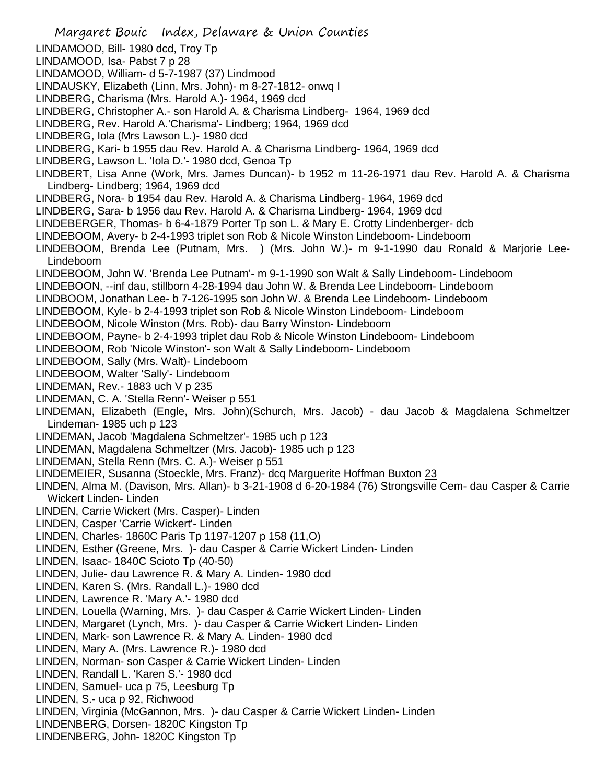Margaret Bouic Index, Delaware & Union Counties LINDAMOOD, Bill- 1980 dcd, Troy Tp LINDAMOOD, Isa- Pabst 7 p 28 LINDAMOOD, William- d 5-7-1987 (37) Lindmood LINDAUSKY, Elizabeth (Linn, Mrs. John)- m 8-27-1812- onwq I LINDBERG, Charisma (Mrs. Harold A.)- 1964, 1969 dcd LINDBERG, Christopher A.- son Harold A. & Charisma Lindberg- 1964, 1969 dcd LINDBERG, Rev. Harold A.'Charisma'- Lindberg; 1964, 1969 dcd LINDBERG, Iola (Mrs Lawson L.)- 1980 dcd LINDBERG, Kari- b 1955 dau Rev. Harold A. & Charisma Lindberg- 1964, 1969 dcd LINDBERG, Lawson L. 'Iola D.'- 1980 dcd, Genoa Tp LINDBERT, Lisa Anne (Work, Mrs. James Duncan)- b 1952 m 11-26-1971 dau Rev. Harold A. & Charisma Lindberg- Lindberg; 1964, 1969 dcd LINDBERG, Nora- b 1954 dau Rev. Harold A. & Charisma Lindberg- 1964, 1969 dcd LINDBERG, Sara- b 1956 dau Rev. Harold A. & Charisma Lindberg- 1964, 1969 dcd LINDEBERGER, Thomas- b 6-4-1879 Porter Tp son L. & Mary E. Crotty Lindenberger- dcb LINDEBOOM, Avery- b 2-4-1993 triplet son Rob & Nicole Winston Lindeboom- Lindeboom LINDEBOOM, Brenda Lee (Putnam, Mrs. ) (Mrs. John W.)- m 9-1-1990 dau Ronald & Marjorie Lee-Lindeboom LINDEBOOM, John W. 'Brenda Lee Putnam'- m 9-1-1990 son Walt & Sally Lindeboom- Lindeboom LINDEBOON, --inf dau, stillborn 4-28-1994 dau John W. & Brenda Lee Lindeboom- Lindeboom LINDBOOM, Jonathan Lee- b 7-126-1995 son John W. & Brenda Lee Lindeboom- Lindeboom LINDEBOOM, Kyle- b 2-4-1993 triplet son Rob & Nicole Winston Lindeboom- Lindeboom LINDEBOOM, Nicole Winston (Mrs. Rob)- dau Barry Winston- Lindeboom LINDEBOOM, Payne- b 2-4-1993 triplet dau Rob & Nicole Winston Lindeboom- Lindeboom LINDEBOOM, Rob 'Nicole Winston'- son Walt & Sally Lindeboom- Lindeboom LINDEBOOM, Sally (Mrs. Walt)- Lindeboom LINDEBOOM, Walter 'Sally'- Lindeboom LINDEMAN, Rev.- 1883 uch V p 235 LINDEMAN, C. A. 'Stella Renn'- Weiser p 551 LINDEMAN, Elizabeth (Engle, Mrs. John)(Schurch, Mrs. Jacob) - dau Jacob & Magdalena Schmeltzer Lindeman- 1985 uch p 123 LINDEMAN, Jacob 'Magdalena Schmeltzer'- 1985 uch p 123 LINDEMAN, Magdalena Schmeltzer (Mrs. Jacob)- 1985 uch p 123 LINDEMAN, Stella Renn (Mrs. C. A.)- Weiser p 551 LINDEMEIER, Susanna (Stoeckle, Mrs. Franz)- dcq Marguerite Hoffman Buxton 23 LINDEN, Alma M. (Davison, Mrs. Allan)- b 3-21-1908 d 6-20-1984 (76) Strongsville Cem- dau Casper & Carrie Wickert Linden- Linden LINDEN, Carrie Wickert (Mrs. Casper)- Linden LINDEN, Casper 'Carrie Wickert'- Linden LINDEN, Charles- 1860C Paris Tp 1197-1207 p 158 (11,O) LINDEN, Esther (Greene, Mrs. )- dau Casper & Carrie Wickert Linden- Linden LINDEN, Isaac- 1840C Scioto Tp (40-50) LINDEN, Julie- dau Lawrence R. & Mary A. Linden- 1980 dcd LINDEN, Karen S. (Mrs. Randall L.)- 1980 dcd LINDEN, Lawrence R. 'Mary A.'- 1980 dcd LINDEN, Louella (Warning, Mrs. )- dau Casper & Carrie Wickert Linden- Linden LINDEN, Margaret (Lynch, Mrs. )- dau Casper & Carrie Wickert Linden- Linden LINDEN, Mark- son Lawrence R. & Mary A. Linden- 1980 dcd LINDEN, Mary A. (Mrs. Lawrence R.)- 1980 dcd LINDEN, Norman- son Casper & Carrie Wickert Linden- Linden LINDEN, Randall L. 'Karen S.'- 1980 dcd LINDEN, Samuel- uca p 75, Leesburg Tp LINDEN, S.- uca p 92, Richwood LINDEN, Virginia (McGannon, Mrs. )- dau Casper & Carrie Wickert Linden- Linden LINDENBERG, Dorsen- 1820C Kingston Tp LINDENBERG, John- 1820C Kingston Tp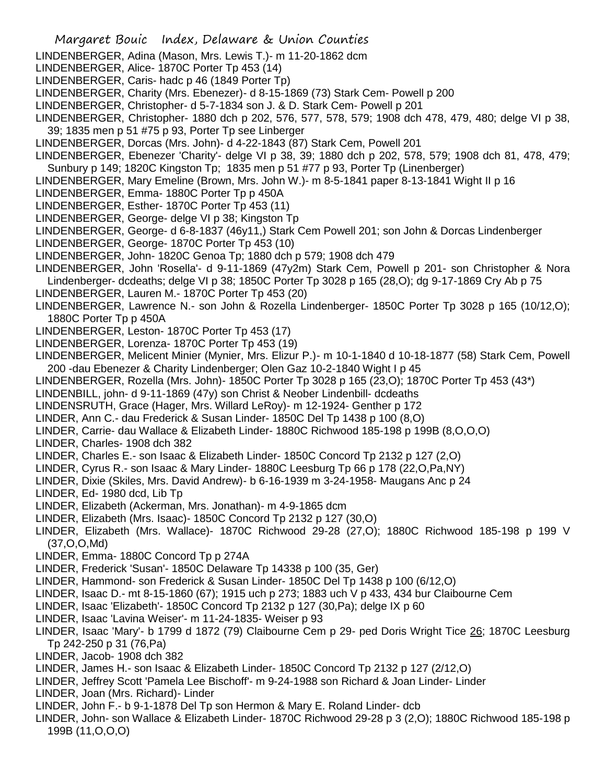- Margaret Bouic Index, Delaware & Union Counties LINDENBERGER, Adina (Mason, Mrs. Lewis T.)- m 11-20-1862 dcm LINDENBERGER, Alice- 1870C Porter Tp 453 (14) LINDENBERGER, Caris- hadc p 46 (1849 Porter Tp) LINDENBERGER, Charity (Mrs. Ebenezer)- d 8-15-1869 (73) Stark Cem- Powell p 200 LINDENBERGER, Christopher- d 5-7-1834 son J. & D. Stark Cem- Powell p 201 LINDENBERGER, Christopher- 1880 dch p 202, 576, 577, 578, 579; 1908 dch 478, 479, 480; delge VI p 38, 39; 1835 men p 51 #75 p 93, Porter Tp see Linberger LINDENBERGER, Dorcas (Mrs. John)- d 4-22-1843 (87) Stark Cem, Powell 201 LINDENBERGER, Ebenezer 'Charity'- delge VI p 38, 39; 1880 dch p 202, 578, 579; 1908 dch 81, 478, 479; Sunbury p 149; 1820C Kingston Tp; 1835 men p 51 #77 p 93, Porter Tp (Linenberger) LINDENBERGER, Mary Emeline (Brown, Mrs. John W.)- m 8-5-1841 paper 8-13-1841 Wight II p 16 LINDENBERGER, Emma- 1880C Porter Tp p 450A LINDENBERGER, Esther- 1870C Porter Tp 453 (11) LINDENBERGER, George- delge VI p 38; Kingston Tp LINDENBERGER, George- d 6-8-1837 (46y11,) Stark Cem Powell 201; son John & Dorcas Lindenberger LINDENBERGER, George- 1870C Porter Tp 453 (10) LINDENBERGER, John- 1820C Genoa Tp; 1880 dch p 579; 1908 dch 479 LINDENBERGER, John 'Rosella'- d 9-11-1869 (47y2m) Stark Cem, Powell p 201- son Christopher & Nora Lindenberger- dcdeaths; delge VI p 38; 1850C Porter Tp 3028 p 165 (28,O); dg 9-17-1869 Cry Ab p 75 LINDENBERGER, Lauren M.- 1870C Porter Tp 453 (20) LINDENBERGER, Lawrence N.- son John & Rozella Lindenberger- 1850C Porter Tp 3028 p 165 (10/12,O); 1880C Porter Tp p 450A LINDENBERGER, Leston- 1870C Porter Tp 453 (17) LINDENBERGER, Lorenza- 1870C Porter Tp 453 (19) LINDENBERGER, Melicent Minier (Mynier, Mrs. Elizur P.)- m 10-1-1840 d 10-18-1877 (58) Stark Cem, Powell 200 -dau Ebenezer & Charity Lindenberger; Olen Gaz 10-2-1840 Wight I p 45 LINDENBERGER, Rozella (Mrs. John)- 1850C Porter Tp 3028 p 165 (23,O); 1870C Porter Tp 453 (43\*) LINDENBILL, john- d 9-11-1869 (47y) son Christ & Neober Lindenbill- dcdeaths LINDENSRUTH, Grace (Hager, Mrs. Willard LeRoy)- m 12-1924- Genther p 172 LINDER, Ann C.- dau Frederick & Susan Linder- 1850C Del Tp 1438 p 100 (8,O) LINDER, Carrie- dau Wallace & Elizabeth Linder- 1880C Richwood 185-198 p 199B (8,O,O,O) LINDER, Charles- 1908 dch 382 LINDER, Charles E.- son Isaac & Elizabeth Linder- 1850C Concord Tp 2132 p 127 (2,O) LINDER, Cyrus R.- son Isaac & Mary Linder- 1880C Leesburg Tp 66 p 178 (22,O,Pa,NY) LINDER, Dixie (Skiles, Mrs. David Andrew)- b 6-16-1939 m 3-24-1958- Maugans Anc p 24 LINDER, Ed- 1980 dcd, Lib Tp LINDER, Elizabeth (Ackerman, Mrs. Jonathan)- m 4-9-1865 dcm LINDER, Elizabeth (Mrs. Isaac)- 1850C Concord Tp 2132 p 127 (30,O) LINDER, Elizabeth (Mrs. Wallace)- 1870C Richwood 29-28 (27,O); 1880C Richwood 185-198 p 199 V (37,O,O,Md) LINDER, Emma- 1880C Concord Tp p 274A LINDER, Frederick 'Susan'- 1850C Delaware Tp 14338 p 100 (35, Ger) LINDER, Hammond- son Frederick & Susan Linder- 1850C Del Tp 1438 p 100 (6/12,O) LINDER, Isaac D.- mt 8-15-1860 (67); 1915 uch p 273; 1883 uch V p 433, 434 bur Claibourne Cem LINDER, Isaac 'Elizabeth'- 1850C Concord Tp 2132 p 127 (30,Pa); delge IX p 60 LINDER, Isaac 'Lavina Weiser'- m 11-24-1835- Weiser p 93 LINDER, Isaac 'Mary'- b 1799 d 1872 (79) Claibourne Cem p 29- ped Doris Wright Tice 26; 1870C Leesburg Tp 242-250 p 31 (76,Pa) LINDER, Jacob- 1908 dch 382 LINDER, James H.- son Isaac & Elizabeth Linder- 1850C Concord Tp 2132 p 127 (2/12,O) LINDER, Jeffrey Scott 'Pamela Lee Bischoff'- m 9-24-1988 son Richard & Joan Linder- Linder LINDER, Joan (Mrs. Richard)- Linder LINDER, John F.- b 9-1-1878 Del Tp son Hermon & Mary E. Roland Linder- dcb
- LINDER, John- son Wallace & Elizabeth Linder- 1870C Richwood 29-28 p 3 (2,O); 1880C Richwood 185-198 p 199B (11,O,O,O)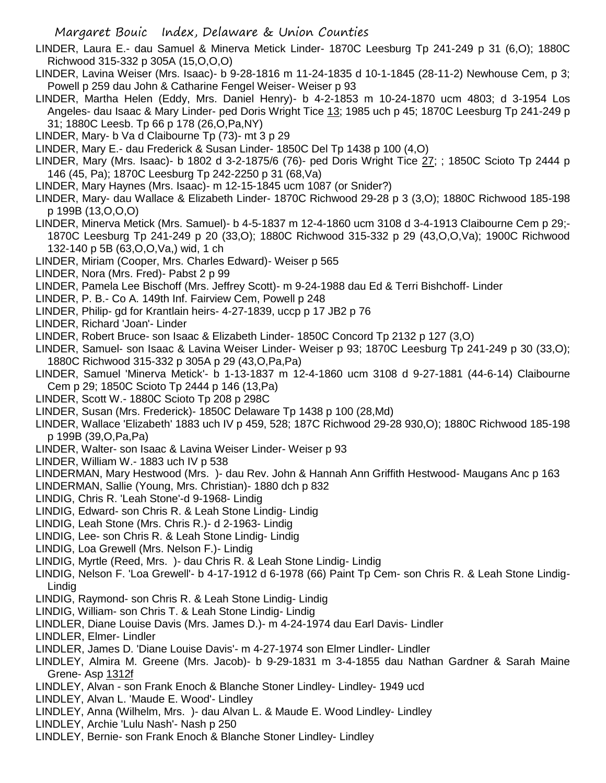- LINDER, Laura E.- dau Samuel & Minerva Metick Linder- 1870C Leesburg Tp 241-249 p 31 (6,O); 1880C Richwood 315-332 p 305A (15,O,O,O)
- LINDER, Lavina Weiser (Mrs. Isaac)- b 9-28-1816 m 11-24-1835 d 10-1-1845 (28-11-2) Newhouse Cem, p 3; Powell p 259 dau John & Catharine Fengel Weiser- Weiser p 93
- LINDER, Martha Helen (Eddy, Mrs. Daniel Henry)- b 4-2-1853 m 10-24-1870 ucm 4803; d 3-1954 Los Angeles- dau Isaac & Mary Linder- ped Doris Wright Tice 13; 1985 uch p 45; 1870C Leesburg Tp 241-249 p 31; 1880C Leesb. Tp 66 p 178 (26,O,Pa,NY)
- LINDER, Mary- b Va d Claibourne Tp (73)- mt 3 p 29
- LINDER, Mary E.- dau Frederick & Susan Linder- 1850C Del Tp 1438 p 100 (4,O)
- LINDER, Mary (Mrs. Isaac)- b 1802 d 3-2-1875/6 (76)- ped Doris Wright Tice 27; ; 1850C Scioto Tp 2444 p 146 (45, Pa); 1870C Leesburg Tp 242-2250 p 31 (68,Va)
- LINDER, Mary Haynes (Mrs. Isaac)- m 12-15-1845 ucm 1087 (or Snider?)
- LINDER, Mary- dau Wallace & Elizabeth Linder- 1870C Richwood 29-28 p 3 (3,O); 1880C Richwood 185-198 p 199B (13,O,O,O)
- LINDER, Minerva Metick (Mrs. Samuel)- b 4-5-1837 m 12-4-1860 ucm 3108 d 3-4-1913 Claibourne Cem p 29;- 1870C Leesburg Tp 241-249 p 20 (33,O); 1880C Richwood 315-332 p 29 (43,O,O,Va); 1900C Richwood 132-140 p 5B (63,O,O,Va,) wid, 1 ch
- LINDER, Miriam (Cooper, Mrs. Charles Edward)- Weiser p 565
- LINDER, Nora (Mrs. Fred)- Pabst 2 p 99
- LINDER, Pamela Lee Bischoff (Mrs. Jeffrey Scott)- m 9-24-1988 dau Ed & Terri Bishchoff- Linder
- LINDER, P. B.- Co A. 149th Inf. Fairview Cem, Powell p 248
- LINDER, Philip- gd for Krantlain heirs- 4-27-1839, uccp p 17 JB2 p 76
- LINDER, Richard 'Joan'- Linder
- LINDER, Robert Bruce- son Isaac & Elizabeth Linder- 1850C Concord Tp 2132 p 127 (3,O)
- LINDER, Samuel- son Isaac & Lavina Weiser Linder- Weiser p 93; 1870C Leesburg Tp 241-249 p 30 (33,O); 1880C Richwood 315-332 p 305A p 29 (43,O,Pa,Pa)
- LINDER, Samuel 'Minerva Metick'- b 1-13-1837 m 12-4-1860 ucm 3108 d 9-27-1881 (44-6-14) Claibourne Cem p 29; 1850C Scioto Tp 2444 p 146 (13,Pa)
- LINDER, Scott W.- 1880C Scioto Tp 208 p 298C
- LINDER, Susan (Mrs. Frederick)- 1850C Delaware Tp 1438 p 100 (28,Md)
- LINDER, Wallace 'Elizabeth' 1883 uch IV p 459, 528; 187C Richwood 29-28 930,O); 1880C Richwood 185-198 p 199B (39,O,Pa,Pa)
- LINDER, Walter- son Isaac & Lavina Weiser Linder- Weiser p 93
- LINDER, William W.- 1883 uch IV p 538
- LINDERMAN, Mary Hestwood (Mrs. )- dau Rev. John & Hannah Ann Griffith Hestwood- Maugans Anc p 163
- LINDERMAN, Sallie (Young, Mrs. Christian)- 1880 dch p 832
- LINDIG, Chris R. 'Leah Stone'-d 9-1968- Lindig
- LINDIG, Edward- son Chris R. & Leah Stone Lindig- Lindig
- LINDIG, Leah Stone (Mrs. Chris R.)- d 2-1963- Lindig
- LINDIG, Lee- son Chris R. & Leah Stone Lindig- Lindig
- LINDIG, Loa Grewell (Mrs. Nelson F.)- Lindig
- LINDIG, Myrtle (Reed, Mrs. )- dau Chris R. & Leah Stone Lindig- Lindig
- LINDIG, Nelson F. 'Loa Grewell'- b 4-17-1912 d 6-1978 (66) Paint Tp Cem- son Chris R. & Leah Stone Lindig-Lindig
- LINDIG, Raymond- son Chris R. & Leah Stone Lindig- Lindig
- LINDIG, William- son Chris T. & Leah Stone Lindig- Lindig
- LINDLER, Diane Louise Davis (Mrs. James D.)- m 4-24-1974 dau Earl Davis- Lindler
- LINDLER, Elmer- Lindler
- LINDLER, James D. 'Diane Louise Davis'- m 4-27-1974 son Elmer Lindler- Lindler
- LINDLEY, Almira M. Greene (Mrs. Jacob)- b 9-29-1831 m 3-4-1855 dau Nathan Gardner & Sarah Maine Grene- Asp 1312f
- LINDLEY, Alvan son Frank Enoch & Blanche Stoner Lindley- Lindley- 1949 ucd
- LINDLEY, Alvan L. 'Maude E. Wood'- Lindley
- LINDLEY, Anna (Wilhelm, Mrs. )- dau Alvan L. & Maude E. Wood Lindley- Lindley
- LINDLEY, Archie 'Lulu Nash'- Nash p 250
- LINDLEY, Bernie- son Frank Enoch & Blanche Stoner Lindley- Lindley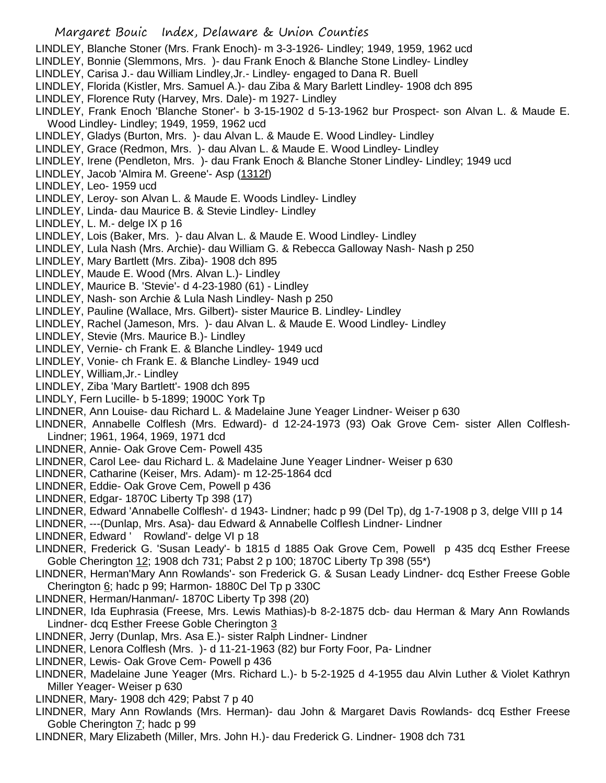- LINDLEY, Blanche Stoner (Mrs. Frank Enoch)- m 3-3-1926- Lindley; 1949, 1959, 1962 ucd
- LINDLEY, Bonnie (Slemmons, Mrs. )- dau Frank Enoch & Blanche Stone Lindley- Lindley
- LINDLEY, Carisa J.- dau William Lindley,Jr.- Lindley- engaged to Dana R. Buell
- LINDLEY, Florida (Kistler, Mrs. Samuel A.)- dau Ziba & Mary Barlett Lindley- 1908 dch 895
- LINDLEY, Florence Ruty (Harvey, Mrs. Dale)- m 1927- Lindley
- LINDLEY, Frank Enoch 'Blanche Stoner'- b 3-15-1902 d 5-13-1962 bur Prospect- son Alvan L. & Maude E. Wood Lindley- Lindley; 1949, 1959, 1962 ucd
- LINDLEY, Gladys (Burton, Mrs. )- dau Alvan L. & Maude E. Wood Lindley- Lindley
- LINDLEY, Grace (Redmon, Mrs. )- dau Alvan L. & Maude E. Wood Lindley- Lindley
- LINDLEY, Irene (Pendleton, Mrs. )- dau Frank Enoch & Blanche Stoner Lindley- Lindley; 1949 ucd
- LINDLEY, Jacob 'Almira M. Greene'- Asp (1312f)
- LINDLEY, Leo- 1959 ucd
- LINDLEY, Leroy- son Alvan L. & Maude E. Woods Lindley- Lindley
- LINDLEY, Linda- dau Maurice B. & Stevie Lindley- Lindley
- LINDLEY, L. M.- delge IX p 16
- LINDLEY, Lois (Baker, Mrs. )- dau Alvan L. & Maude E. Wood Lindley- Lindley
- LINDLEY, Lula Nash (Mrs. Archie)- dau William G. & Rebecca Galloway Nash- Nash p 250
- LINDLEY, Mary Bartlett (Mrs. Ziba)- 1908 dch 895
- LINDLEY, Maude E. Wood (Mrs. Alvan L.)- Lindley
- LINDLEY, Maurice B. 'Stevie'- d 4-23-1980 (61) Lindley
- LINDLEY, Nash- son Archie & Lula Nash Lindley- Nash p 250
- LINDLEY, Pauline (Wallace, Mrs. Gilbert)- sister Maurice B. Lindley- Lindley
- LINDLEY, Rachel (Jameson, Mrs. )- dau Alvan L. & Maude E. Wood Lindley- Lindley
- LINDLEY, Stevie (Mrs. Maurice B.)- Lindley
- LINDLEY, Vernie- ch Frank E. & Blanche Lindley- 1949 ucd
- LINDLEY, Vonie- ch Frank E. & Blanche Lindley- 1949 ucd
- LINDLEY, William,Jr.- Lindley
- LINDLEY, Ziba 'Mary Bartlett'- 1908 dch 895
- LINDLY, Fern Lucille- b 5-1899; 1900C York Tp
- LINDNER, Ann Louise- dau Richard L. & Madelaine June Yeager Lindner- Weiser p 630
- LINDNER, Annabelle Colflesh (Mrs. Edward)- d 12-24-1973 (93) Oak Grove Cem- sister Allen Colflesh-Lindner; 1961, 1964, 1969, 1971 dcd
- LINDNER, Annie- Oak Grove Cem- Powell 435
- LINDNER, Carol Lee- dau Richard L. & Madelaine June Yeager Lindner- Weiser p 630
- LINDNER, Catharine (Keiser, Mrs. Adam)- m 12-25-1864 dcd
- LINDNER, Eddie- Oak Grove Cem, Powell p 436
- LINDNER, Edgar- 1870C Liberty Tp 398 (17)
- LINDNER, Edward 'Annabelle Colflesh'- d 1943- Lindner; hadc p 99 (Del Tp), dg 1-7-1908 p 3, delge VIII p 14
- LINDNER, ---(Dunlap, Mrs. Asa)- dau Edward & Annabelle Colflesh Lindner- Lindner
- LINDNER, Edward ' Rowland'- delge VI p 18
- LINDNER, Frederick G. 'Susan Leady'- b 1815 d 1885 Oak Grove Cem, Powell p 435 dcq Esther Freese Goble Cherington 12; 1908 dch 731; Pabst 2 p 100; 1870C Liberty Tp 398 (55\*)
- LINDNER, Herman'Mary Ann Rowlands'- son Frederick G. & Susan Leady Lindner- dcq Esther Freese Goble Cherington 6; hadc p 99; Harmon- 1880C Del Tp p 330C
- LINDNER, Herman/Hanman/- 1870C Liberty Tp 398 (20)
- LINDNER, Ida Euphrasia (Freese, Mrs. Lewis Mathias)-b 8-2-1875 dcb- dau Herman & Mary Ann Rowlands Lindner- dcq Esther Freese Goble Cherington 3
- LINDNER, Jerry (Dunlap, Mrs. Asa E.)- sister Ralph Lindner- Lindner
- LINDNER, Lenora Colflesh (Mrs. )- d 11-21-1963 (82) bur Forty Foor, Pa- Lindner
- LINDNER, Lewis- Oak Grove Cem- Powell p 436
- LINDNER, Madelaine June Yeager (Mrs. Richard L.)- b 5-2-1925 d 4-1955 dau Alvin Luther & Violet Kathryn Miller Yeager- Weiser p 630
- LINDNER, Mary- 1908 dch 429; Pabst 7 p 40
- LINDNER, Mary Ann Rowlands (Mrs. Herman)- dau John & Margaret Davis Rowlands- dcq Esther Freese Goble Cherington 7; hadc p 99
- LINDNER, Mary Elizabeth (Miller, Mrs. John H.)- dau Frederick G. Lindner- 1908 dch 731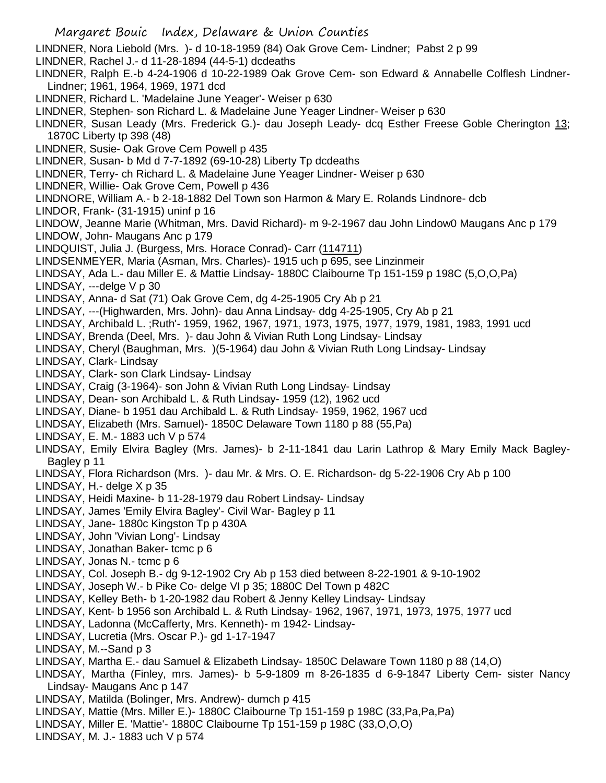Margaret Bouic Index, Delaware & Union Counties LINDNER, Nora Liebold (Mrs. )- d 10-18-1959 (84) Oak Grove Cem- Lindner; Pabst 2 p 99 LINDNER, Rachel J.- d 11-28-1894 (44-5-1) dcdeaths LINDNER, Ralph E.-b 4-24-1906 d 10-22-1989 Oak Grove Cem- son Edward & Annabelle Colflesh Lindner-Lindner; 1961, 1964, 1969, 1971 dcd LINDNER, Richard L. 'Madelaine June Yeager'- Weiser p 630 LINDNER, Stephen- son Richard L. & Madelaine June Yeager Lindner- Weiser p 630 LINDNER, Susan Leady (Mrs. Frederick G.)- dau Joseph Leady- dcq Esther Freese Goble Cherington 13; 1870C Liberty tp 398 (48) LINDNER, Susie- Oak Grove Cem Powell p 435 LINDNER, Susan- b Md d 7-7-1892 (69-10-28) Liberty Tp dcdeaths LINDNER, Terry- ch Richard L. & Madelaine June Yeager Lindner- Weiser p 630 LINDNER, Willie- Oak Grove Cem, Powell p 436 LINDNORE, William A.- b 2-18-1882 Del Town son Harmon & Mary E. Rolands Lindnore- dcb LINDOR, Frank- (31-1915) uninf p 16 LINDOW, Jeanne Marie (Whitman, Mrs. David Richard)- m 9-2-1967 dau John Lindow0 Maugans Anc p 179 LINDOW, John- Maugans Anc p 179 LINDQUIST, Julia J. (Burgess, Mrs. Horace Conrad)- Carr (114711) LINDSENMEYER, Maria (Asman, Mrs. Charles)- 1915 uch p 695, see Linzinmeir LINDSAY, Ada L.- dau Miller E. & Mattie Lindsay- 1880C Claibourne Tp 151-159 p 198C (5,O,O,Pa) LINDSAY, ---delge V p 30 LINDSAY, Anna- d Sat (71) Oak Grove Cem, dg 4-25-1905 Cry Ab p 21 LINDSAY, ---(Highwarden, Mrs. John)- dau Anna Lindsay- ddg 4-25-1905, Cry Ab p 21 LINDSAY, Archibald L. ;Ruth'- 1959, 1962, 1967, 1971, 1973, 1975, 1977, 1979, 1981, 1983, 1991 ucd LINDSAY, Brenda (Deel, Mrs. )- dau John & Vivian Ruth Long Lindsay- Lindsay LINDSAY, Cheryl (Baughman, Mrs. )(5-1964) dau John & Vivian Ruth Long Lindsay- Lindsay LINDSAY, Clark- Lindsay LINDSAY, Clark- son Clark Lindsay- Lindsay LINDSAY, Craig (3-1964)- son John & Vivian Ruth Long Lindsay- Lindsay LINDSAY, Dean- son Archibald L. & Ruth Lindsay- 1959 (12), 1962 ucd LINDSAY, Diane- b 1951 dau Archibald L. & Ruth Lindsay- 1959, 1962, 1967 ucd LINDSAY, Elizabeth (Mrs. Samuel)- 1850C Delaware Town 1180 p 88 (55,Pa) LINDSAY, E. M.- 1883 uch V p 574 LINDSAY, Emily Elvira Bagley (Mrs. James)- b 2-11-1841 dau Larin Lathrop & Mary Emily Mack Bagley-Bagley p 11 LINDSAY, Flora Richardson (Mrs. )- dau Mr. & Mrs. O. E. Richardson- dg 5-22-1906 Cry Ab p 100 LINDSAY, H.- delge X p 35 LINDSAY, Heidi Maxine- b 11-28-1979 dau Robert Lindsay- Lindsay LINDSAY, James 'Emily Elvira Bagley'- Civil War- Bagley p 11 LINDSAY, Jane- 1880c Kingston Tp p 430A LINDSAY, John 'Vivian Long'- Lindsay LINDSAY, Jonathan Baker- tcmc p 6 LINDSAY, Jonas N.- tcmc p 6 LINDSAY, Col. Joseph B.- dg 9-12-1902 Cry Ab p 153 died between 8-22-1901 & 9-10-1902 LINDSAY, Joseph W.- b Pike Co- delge VI p 35; 1880C Del Town p 482C LINDSAY, Kelley Beth- b 1-20-1982 dau Robert & Jenny Kelley Lindsay- Lindsay LINDSAY, Kent- b 1956 son Archibald L. & Ruth Lindsay- 1962, 1967, 1971, 1973, 1975, 1977 ucd LINDSAY, Ladonna (McCafferty, Mrs. Kenneth)- m 1942- Lindsay-LINDSAY, Lucretia (Mrs. Oscar P.)- gd 1-17-1947 LINDSAY, M.--Sand p 3 LINDSAY, Martha E.- dau Samuel & Elizabeth Lindsay- 1850C Delaware Town 1180 p 88 (14,O) LINDSAY, Martha (Finley, mrs. James)- b 5-9-1809 m 8-26-1835 d 6-9-1847 Liberty Cem- sister Nancy Lindsay- Maugans Anc p 147 LINDSAY, Matilda (Bolinger, Mrs. Andrew)- dumch p 415 LINDSAY, Mattie (Mrs. Miller E.)- 1880C Claibourne Tp 151-159 p 198C (33,Pa,Pa,Pa) LINDSAY, Miller E. 'Mattie'- 1880C Claibourne Tp 151-159 p 198C (33,O,O,O) LINDSAY, M. J.- 1883 uch V p 574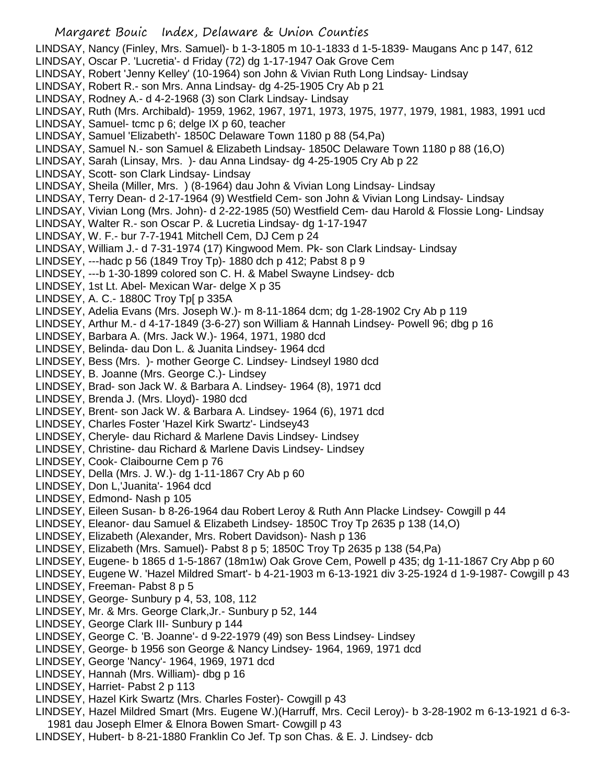- Margaret Bouic Index, Delaware & Union Counties LINDSAY, Nancy (Finley, Mrs. Samuel)- b 1-3-1805 m 10-1-1833 d 1-5-1839- Maugans Anc p 147, 612 LINDSAY, Oscar P. 'Lucretia'- d Friday (72) dg 1-17-1947 Oak Grove Cem LINDSAY, Robert 'Jenny Kelley' (10-1964) son John & Vivian Ruth Long Lindsay- Lindsay LINDSAY, Robert R.- son Mrs. Anna Lindsay- dg 4-25-1905 Cry Ab p 21 LINDSAY, Rodney A.- d 4-2-1968 (3) son Clark Lindsay- Lindsay LINDSAY, Ruth (Mrs. Archibald)- 1959, 1962, 1967, 1971, 1973, 1975, 1977, 1979, 1981, 1983, 1991 ucd LINDSAY, Samuel- tcmc p 6; delge IX p 60, teacher LINDSAY, Samuel 'Elizabeth'- 1850C Delaware Town 1180 p 88 (54,Pa) LINDSAY, Samuel N.- son Samuel & Elizabeth Lindsay- 1850C Delaware Town 1180 p 88 (16,O) LINDSAY, Sarah (Linsay, Mrs. )- dau Anna Lindsay- dg 4-25-1905 Cry Ab p 22 LINDSAY, Scott- son Clark Lindsay- Lindsay LINDSAY, Sheila (Miller, Mrs. ) (8-1964) dau John & Vivian Long Lindsay- Lindsay LINDSAY, Terry Dean- d 2-17-1964 (9) Westfield Cem- son John & Vivian Long Lindsay- Lindsay LINDSAY, Vivian Long (Mrs. John)- d 2-22-1985 (50) Westfield Cem- dau Harold & Flossie Long- Lindsay LINDSAY, Walter R.- son Oscar P. & Lucretia Lindsay- dg 1-17-1947 LINDSAY, W. F.- bur 7-7-1941 Mitchell Cem, DJ Cem p 24 LINDSAY, William J.- d 7-31-1974 (17) Kingwood Mem. Pk- son Clark Lindsay- Lindsay LINDSEY, ---hadc p 56 (1849 Troy Tp)- 1880 dch p 412; Pabst 8 p 9 LINDSEY, ---b 1-30-1899 colored son C. H. & Mabel Swayne Lindsey- dcb LINDSEY, 1st Lt. Abel- Mexican War- delge X p 35 LINDSEY, A. C.- 1880C Troy Tp[ p 335A LINDSEY, Adelia Evans (Mrs. Joseph W.)- m 8-11-1864 dcm; dg 1-28-1902 Cry Ab p 119 LINDSEY, Arthur M.- d 4-17-1849 (3-6-27) son William & Hannah Lindsey- Powell 96; dbg p 16 LINDSEY, Barbara A. (Mrs. Jack W.)- 1964, 1971, 1980 dcd LINDSEY, Belinda- dau Don L. & Juanita Lindsey- 1964 dcd LINDSEY, Bess (Mrs. )- mother George C. Lindsey- Lindseyl 1980 dcd LINDSEY, B. Joanne (Mrs. George C.)- Lindsey LINDSEY, Brad- son Jack W. & Barbara A. Lindsey- 1964 (8), 1971 dcd LINDSEY, Brenda J. (Mrs. Lloyd)- 1980 dcd LINDSEY, Brent- son Jack W. & Barbara A. Lindsey- 1964 (6), 1971 dcd LINDSEY, Charles Foster 'Hazel Kirk Swartz'- Lindsey43 LINDSEY, Cheryle- dau Richard & Marlene Davis Lindsey- Lindsey LINDSEY, Christine- dau Richard & Marlene Davis Lindsey- Lindsey LINDSEY, Cook- Claibourne Cem p 76 LINDSEY, Della (Mrs. J. W.)- dg 1-11-1867 Cry Ab p 60 LINDSEY, Don L,'Juanita'- 1964 dcd LINDSEY, Edmond- Nash p 105 LINDSEY, Eileen Susan- b 8-26-1964 dau Robert Leroy & Ruth Ann Placke Lindsey- Cowgill p 44 LINDSEY, Eleanor- dau Samuel & Elizabeth Lindsey- 1850C Troy Tp 2635 p 138 (14,O) LINDSEY, Elizabeth (Alexander, Mrs. Robert Davidson)- Nash p 136 LINDSEY, Elizabeth (Mrs. Samuel)- Pabst 8 p 5; 1850C Troy Tp 2635 p 138 (54,Pa) LINDSEY, Eugene- b 1865 d 1-5-1867 (18m1w) Oak Grove Cem, Powell p 435; dg 1-11-1867 Cry Abp p 60 LINDSEY, Eugene W. 'Hazel Mildred Smart'- b 4-21-1903 m 6-13-1921 div 3-25-1924 d 1-9-1987- Cowgill p 43 LINDSEY, Freeman- Pabst 8 p 5 LINDSEY, George- Sunbury p 4, 53, 108, 112 LINDSEY, Mr. & Mrs. George Clark,Jr.- Sunbury p 52, 144 LINDSEY, George Clark III- Sunbury p 144 LINDSEY, George C. 'B. Joanne'- d 9-22-1979 (49) son Bess Lindsey- Lindsey LINDSEY, George- b 1956 son George & Nancy Lindsey- 1964, 1969, 1971 dcd LINDSEY, George 'Nancy'- 1964, 1969, 1971 dcd LINDSEY, Hannah (Mrs. William)- dbg p 16 LINDSEY, Harriet- Pabst 2 p 113 LINDSEY, Hazel Kirk Swartz (Mrs. Charles Foster)- Cowgill p 43 LINDSEY, Hazel Mildred Smart (Mrs. Eugene W.)(Harruff, Mrs. Cecil Leroy)- b 3-28-1902 m 6-13-1921 d 6-3-
- 1981 dau Joseph Elmer & Elnora Bowen Smart- Cowgill p 43 LINDSEY, Hubert- b 8-21-1880 Franklin Co Jef. Tp son Chas. & E. J. Lindsey- dcb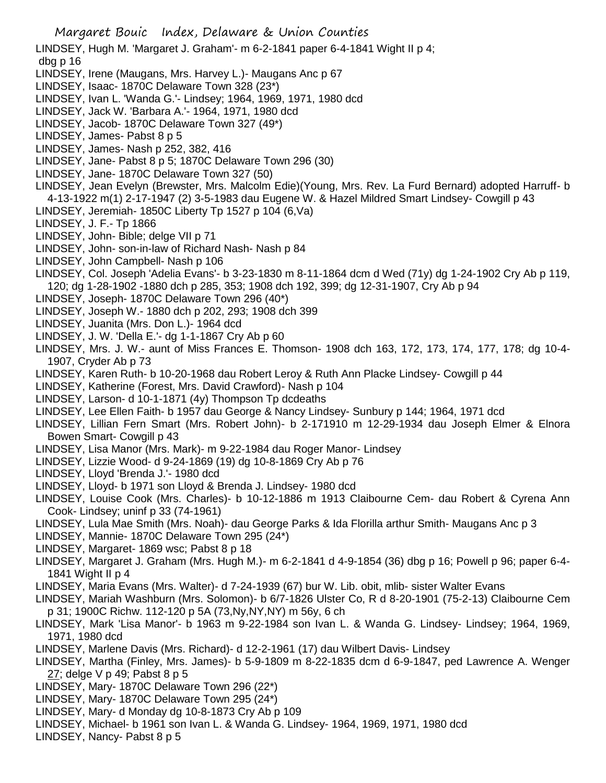LINDSEY, Hugh M. 'Margaret J. Graham'- m 6-2-1841 paper 6-4-1841 Wight II p 4; dbg p 16

- LINDSEY, Irene (Maugans, Mrs. Harvey L.)- Maugans Anc p 67
- LINDSEY, Isaac- 1870C Delaware Town 328 (23\*)
- LINDSEY, Ivan L. 'Wanda G.'- Lindsey; 1964, 1969, 1971, 1980 dcd
- LINDSEY, Jack W. 'Barbara A.'- 1964, 1971, 1980 dcd
- LINDSEY, Jacob- 1870C Delaware Town 327 (49\*)
- LINDSEY, James- Pabst 8 p 5
- LINDSEY, James- Nash p 252, 382, 416
- LINDSEY, Jane- Pabst 8 p 5; 1870C Delaware Town 296 (30)
- LINDSEY, Jane- 1870C Delaware Town 327 (50)
- LINDSEY, Jean Evelyn (Brewster, Mrs. Malcolm Edie)(Young, Mrs. Rev. La Furd Bernard) adopted Harruff- b 4-13-1922 m(1) 2-17-1947 (2) 3-5-1983 dau Eugene W. & Hazel Mildred Smart Lindsey- Cowgill p 43
- LINDSEY, Jeremiah- 1850C Liberty Tp 1527 p 104 (6,Va)
- LINDSEY, J. F.- Tp 1866
- LINDSEY, John- Bible; delge VII p 71
- LINDSEY, John- son-in-law of Richard Nash- Nash p 84
- LINDSEY, John Campbell- Nash p 106
- LINDSEY, Col. Joseph 'Adelia Evans'- b 3-23-1830 m 8-11-1864 dcm d Wed (71y) dg 1-24-1902 Cry Ab p 119, 120; dg 1-28-1902 -1880 dch p 285, 353; 1908 dch 192, 399; dg 12-31-1907, Cry Ab p 94
- LINDSEY, Joseph- 1870C Delaware Town 296 (40\*)
- LINDSEY, Joseph W.- 1880 dch p 202, 293; 1908 dch 399
- LINDSEY, Juanita (Mrs. Don L.)- 1964 dcd
- LINDSEY, J. W. 'Della E.'- dg 1-1-1867 Cry Ab p 60
- LINDSEY, Mrs. J. W.- aunt of Miss Frances E. Thomson- 1908 dch 163, 172, 173, 174, 177, 178; dg 10-4- 1907, Cryder Ab p 73
- LINDSEY, Karen Ruth- b 10-20-1968 dau Robert Leroy & Ruth Ann Placke Lindsey- Cowgill p 44
- LINDSEY, Katherine (Forest, Mrs. David Crawford)- Nash p 104
- LINDSEY, Larson- d 10-1-1871 (4y) Thompson Tp dcdeaths
- LINDSEY, Lee Ellen Faith- b 1957 dau George & Nancy Lindsey- Sunbury p 144; 1964, 1971 dcd
- LINDSEY, Lillian Fern Smart (Mrs. Robert John)- b 2-171910 m 12-29-1934 dau Joseph Elmer & Elnora Bowen Smart- Cowgill p 43
- LINDSEY, Lisa Manor (Mrs. Mark)- m 9-22-1984 dau Roger Manor- Lindsey
- LINDSEY, Lizzie Wood- d 9-24-1869 (19) dg 10-8-1869 Cry Ab p 76
- LINDSEY, Lloyd 'Brenda J.'- 1980 dcd
- LINDSEY, Lloyd- b 1971 son Lloyd & Brenda J. Lindsey- 1980 dcd
- LINDSEY, Louise Cook (Mrs. Charles)- b 10-12-1886 m 1913 Claibourne Cem- dau Robert & Cyrena Ann Cook- Lindsey; uninf p 33 (74-1961)
- LINDSEY, Lula Mae Smith (Mrs. Noah)- dau George Parks & Ida Florilla arthur Smith- Maugans Anc p 3
- LINDSEY, Mannie- 1870C Delaware Town 295 (24\*)
- LINDSEY, Margaret- 1869 wsc; Pabst 8 p 18
- LINDSEY, Margaret J. Graham (Mrs. Hugh M.)- m 6-2-1841 d 4-9-1854 (36) dbg p 16; Powell p 96; paper 6-4- 1841 Wight II p 4
- LINDSEY, Maria Evans (Mrs. Walter)- d 7-24-1939 (67) bur W. Lib. obit, mlib- sister Walter Evans
- LINDSEY, Mariah Washburn (Mrs. Solomon)- b 6/7-1826 Ulster Co, R d 8-20-1901 (75-2-13) Claibourne Cem p 31; 1900C Richw. 112-120 p 5A (73,Ny,NY,NY) m 56y, 6 ch
- LINDSEY, Mark 'Lisa Manor'- b 1963 m 9-22-1984 son Ivan L. & Wanda G. Lindsey- Lindsey; 1964, 1969, 1971, 1980 dcd
- LINDSEY, Marlene Davis (Mrs. Richard)- d 12-2-1961 (17) dau Wilbert Davis- Lindsey
- LINDSEY, Martha (Finley, Mrs. James)- b 5-9-1809 m 8-22-1835 dcm d 6-9-1847, ped Lawrence A. Wenger 27; delge V p 49; Pabst 8 p 5
- LINDSEY, Mary- 1870C Delaware Town 296 (22\*)
- LINDSEY, Mary- 1870C Delaware Town 295 (24\*)
- LINDSEY, Mary- d Monday dg 10-8-1873 Cry Ab p 109
- LINDSEY, Michael- b 1961 son Ivan L. & Wanda G. Lindsey- 1964, 1969, 1971, 1980 dcd
- LINDSEY, Nancy- Pabst 8 p 5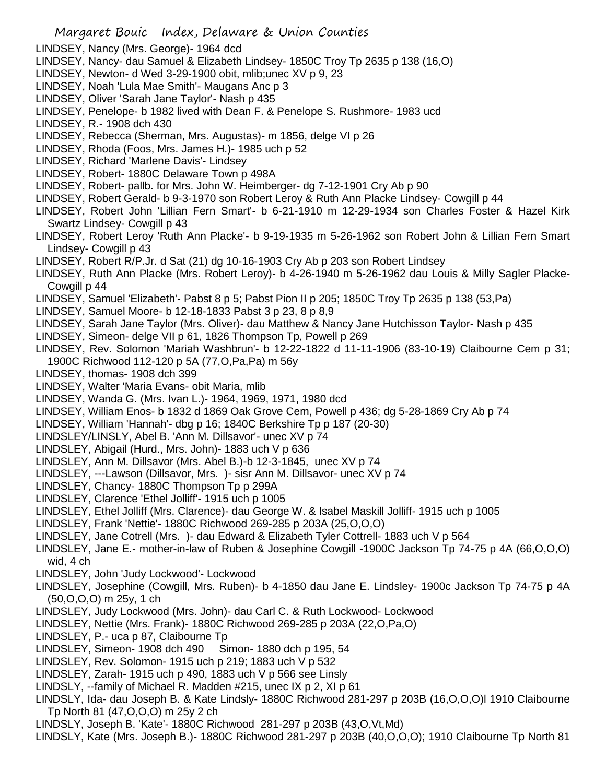- LINDSEY, Nancy (Mrs. George)- 1964 dcd
- LINDSEY, Nancy- dau Samuel & Elizabeth Lindsey- 1850C Troy Tp 2635 p 138 (16,O)
- LINDSEY, Newton- d Wed 3-29-1900 obit, mlib;unec XV p 9, 23
- LINDSEY, Noah 'Lula Mae Smith'- Maugans Anc p 3
- LINDSEY, Oliver 'Sarah Jane Taylor'- Nash p 435
- LINDSEY, Penelope- b 1982 lived with Dean F. & Penelope S. Rushmore- 1983 ucd
- LINDSEY, R.- 1908 dch 430
- LINDSEY, Rebecca (Sherman, Mrs. Augustas)- m 1856, delge VI p 26
- LINDSEY, Rhoda (Foos, Mrs. James H.)- 1985 uch p 52
- LINDSEY, Richard 'Marlene Davis'- Lindsey
- LINDSEY, Robert- 1880C Delaware Town p 498A
- LINDSEY, Robert- pallb. for Mrs. John W. Heimberger- dg 7-12-1901 Cry Ab p 90
- LINDSEY, Robert Gerald- b 9-3-1970 son Robert Leroy & Ruth Ann Placke Lindsey- Cowgill p 44
- LINDSEY, Robert John 'Lillian Fern Smart'- b 6-21-1910 m 12-29-1934 son Charles Foster & Hazel Kirk Swartz Lindsey- Cowgill p 43
- LINDSEY, Robert Leroy 'Ruth Ann Placke'- b 9-19-1935 m 5-26-1962 son Robert John & Lillian Fern Smart Lindsey- Cowgill p 43
- LINDSEY, Robert R/P.Jr. d Sat (21) dg 10-16-1903 Cry Ab p 203 son Robert Lindsey
- LINDSEY, Ruth Ann Placke (Mrs. Robert Leroy)- b 4-26-1940 m 5-26-1962 dau Louis & Milly Sagler Placke-Cowgill p 44
- LINDSEY, Samuel 'Elizabeth'- Pabst 8 p 5; Pabst Pion II p 205; 1850C Troy Tp 2635 p 138 (53,Pa)
- LINDSEY, Samuel Moore- b 12-18-1833 Pabst 3 p 23, 8 p 8,9
- LINDSEY, Sarah Jane Taylor (Mrs. Oliver)- dau Matthew & Nancy Jane Hutchisson Taylor- Nash p 435
- LINDSEY, Simeon- delge VII p 61, 1826 Thompson Tp, Powell p 269
- LINDSEY, Rev. Solomon 'Mariah Washbrun'- b 12-22-1822 d 11-11-1906 (83-10-19) Claibourne Cem p 31; 1900C Richwood 112-120 p 5A (77,O,Pa,Pa) m 56y
- LINDSEY, thomas- 1908 dch 399
- LINDSEY, Walter 'Maria Evans- obit Maria, mlib
- LINDSEY, Wanda G. (Mrs. Ivan L.)- 1964, 1969, 1971, 1980 dcd
- LINDSEY, William Enos- b 1832 d 1869 Oak Grove Cem, Powell p 436; dg 5-28-1869 Cry Ab p 74
- LINDSEY, William 'Hannah'- dbg p 16; 1840C Berkshire Tp p 187 (20-30)
- LINDSLEY/LINSLY, Abel B. 'Ann M. Dillsavor'- unec XV p 74
- LINDSLEY, Abigail (Hurd., Mrs. John)- 1883 uch V p 636
- LINDSLEY, Ann M. Dillsavor (Mrs. Abel B.)-b 12-3-1845, unec XV p 74
- LINDSLEY, ---Lawson (Dillsavor, Mrs. )- sisr Ann M. Dillsavor- unec XV p 74
- LINDSLEY, Chancy- 1880C Thompson Tp p 299A
- LINDSLEY, Clarence 'Ethel Jolliff'- 1915 uch p 1005
- LINDSLEY, Ethel Jolliff (Mrs. Clarence)- dau George W. & Isabel Maskill Jolliff- 1915 uch p 1005
- LINDSLEY, Frank 'Nettie'- 1880C Richwood 269-285 p 203A (25,O,O,O)
- LINDSLEY, Jane Cotrell (Mrs. )- dau Edward & Elizabeth Tyler Cottrell- 1883 uch V p 564
- LINDSLEY, Jane E.- mother-in-law of Ruben & Josephine Cowgill -1900C Jackson Tp 74-75 p 4A (66,O,O,O) wid, 4 ch
- LINDSLEY, John 'Judy Lockwood'- Lockwood
- LINDSLEY, Josephine (Cowgill, Mrs. Ruben)- b 4-1850 dau Jane E. Lindsley- 1900c Jackson Tp 74-75 p 4A (50,O,O,O) m 25y, 1 ch
- LINDSLEY, Judy Lockwood (Mrs. John)- dau Carl C. & Ruth Lockwood- Lockwood
- LINDSLEY, Nettie (Mrs. Frank)- 1880C Richwood 269-285 p 203A (22,O,Pa,O)
- LINDSLEY, P.- uca p 87, Claibourne Tp
- LINDSLEY, Simeon- 1908 dch 490 Simon- 1880 dch p 195, 54
- LINDSLEY, Rev. Solomon- 1915 uch p 219; 1883 uch V p 532
- LINDSLEY, Zarah- 1915 uch p 490, 1883 uch V p 566 see Linsly
- LINDSLY, --family of Michael R. Madden #215, unec IX p 2, XI p 61
- LINDSLY, Ida- dau Joseph B. & Kate Lindsly- 1880C Richwood 281-297 p 203B (16,O,O,O)l 1910 Claibourne Tp North 81 (47,O,O,O) m 25y 2 ch
- LINDSLY, Joseph B. 'Kate'- 1880C Richwood 281-297 p 203B (43,O,Vt,Md)
- LINDSLY, Kate (Mrs. Joseph B.)- 1880C Richwood 281-297 p 203B (40,O,O,O); 1910 Claibourne Tp North 81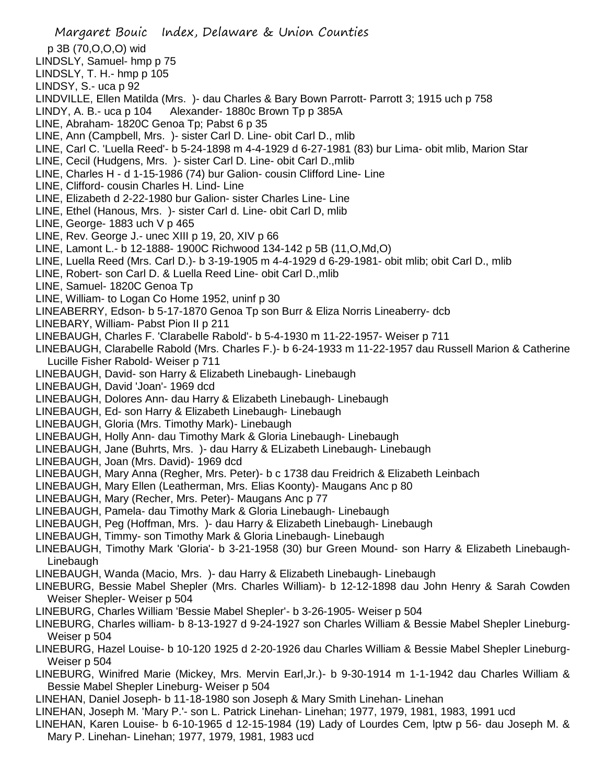Margaret Bouic Index, Delaware & Union Counties p 3B (70,O,O,O) wid LINDSLY, Samuel- hmp p 75 LINDSLY, T. H.- hmp p 105 LINDSY, S.- uca p 92 LINDVILLE, Ellen Matilda (Mrs. )- dau Charles & Bary Bown Parrott- Parrott 3; 1915 uch p 758 LINDY, A. B.- uca p 104 Alexander- 1880c Brown Tp p 385A LINE, Abraham- 1820C Genoa Tp; Pabst 6 p 35 LINE, Ann (Campbell, Mrs. )- sister Carl D. Line- obit Carl D., mlib LINE, Carl C. 'Luella Reed'- b 5-24-1898 m 4-4-1929 d 6-27-1981 (83) bur Lima- obit mlib, Marion Star LINE, Cecil (Hudgens, Mrs. )- sister Carl D. Line- obit Carl D.,mlib LINE, Charles H - d 1-15-1986 (74) bur Galion- cousin Clifford Line- Line LINE, Clifford- cousin Charles H. Lind- Line LINE, Elizabeth d 2-22-1980 bur Galion- sister Charles Line- Line LINE, Ethel (Hanous, Mrs. )- sister Carl d. Line- obit Carl D, mlib LINE, George- 1883 uch V p 465 LINE, Rev. George J.- unec XIII p 19, 20, XIV p 66 LINE, Lamont L.- b 12-1888- 1900C Richwood 134-142 p 5B (11,O,Md,O) LINE, Luella Reed (Mrs. Carl D.)- b 3-19-1905 m 4-4-1929 d 6-29-1981- obit mlib; obit Carl D., mlib LINE, Robert- son Carl D. & Luella Reed Line- obit Carl D.,mlib LINE, Samuel- 1820C Genoa Tp LINE, William- to Logan Co Home 1952, uninf p 30 LINEABERRY, Edson- b 5-17-1870 Genoa Tp son Burr & Eliza Norris Lineaberry- dcb LINEBARY, William- Pabst Pion II p 211 LINEBAUGH, Charles F. 'Clarabelle Rabold'- b 5-4-1930 m 11-22-1957- Weiser p 711 LINEBAUGH, Clarabelle Rabold (Mrs. Charles F.)- b 6-24-1933 m 11-22-1957 dau Russell Marion & Catherine Lucille Fisher Rabold- Weiser p 711 LINEBAUGH, David- son Harry & Elizabeth Linebaugh- Linebaugh LINEBAUGH, David 'Joan'- 1969 dcd LINEBAUGH, Dolores Ann- dau Harry & Elizabeth Linebaugh- Linebaugh LINEBAUGH, Ed- son Harry & Elizabeth Linebaugh- Linebaugh LINEBAUGH, Gloria (Mrs. Timothy Mark)- Linebaugh LINEBAUGH, Holly Ann- dau Timothy Mark & Gloria Linebaugh- Linebaugh LINEBAUGH, Jane (Buhrts, Mrs. )- dau Harry & ELizabeth Linebaugh- Linebaugh LINEBAUGH, Joan (Mrs. David)- 1969 dcd LINEBAUGH, Mary Anna (Regher, Mrs. Peter)- b c 1738 dau Freidrich & Elizabeth Leinbach LINEBAUGH, Mary Ellen (Leatherman, Mrs. Elias Koonty)- Maugans Anc p 80 LINEBAUGH, Mary (Recher, Mrs. Peter)- Maugans Anc p 77 LINEBAUGH, Pamela- dau Timothy Mark & Gloria Linebaugh- Linebaugh LINEBAUGH, Peg (Hoffman, Mrs. )- dau Harry & Elizabeth Linebaugh- Linebaugh LINEBAUGH, Timmy- son Timothy Mark & Gloria Linebaugh- Linebaugh LINEBAUGH, Timothy Mark 'Gloria'- b 3-21-1958 (30) bur Green Mound- son Harry & Elizabeth Linebaugh-Linebaugh LINEBAUGH, Wanda (Macio, Mrs. )- dau Harry & Elizabeth Linebaugh- Linebaugh LINEBURG, Bessie Mabel Shepler (Mrs. Charles William)- b 12-12-1898 dau John Henry & Sarah Cowden Weiser Shepler- Weiser p 504 LINEBURG, Charles William 'Bessie Mabel Shepler'- b 3-26-1905- Weiser p 504 LINEBURG, Charles william- b 8-13-1927 d 9-24-1927 son Charles William & Bessie Mabel Shepler Lineburg-Weiser p 504 LINEBURG, Hazel Louise- b 10-120 1925 d 2-20-1926 dau Charles William & Bessie Mabel Shepler Lineburg-Weiser p 504 LINEBURG, Winifred Marie (Mickey, Mrs. Mervin Earl,Jr.)- b 9-30-1914 m 1-1-1942 dau Charles William & Bessie Mabel Shepler Lineburg- Weiser p 504 LINEHAN, Daniel Joseph- b 11-18-1980 son Joseph & Mary Smith Linehan- Linehan LINEHAN, Joseph M. 'Mary P.'- son L. Patrick Linehan- Linehan; 1977, 1979, 1981, 1983, 1991 ucd LINEHAN, Karen Louise- b 6-10-1965 d 12-15-1984 (19) Lady of Lourdes Cem, lptw p 56- dau Joseph M. &

Mary P. Linehan- Linehan; 1977, 1979, 1981, 1983 ucd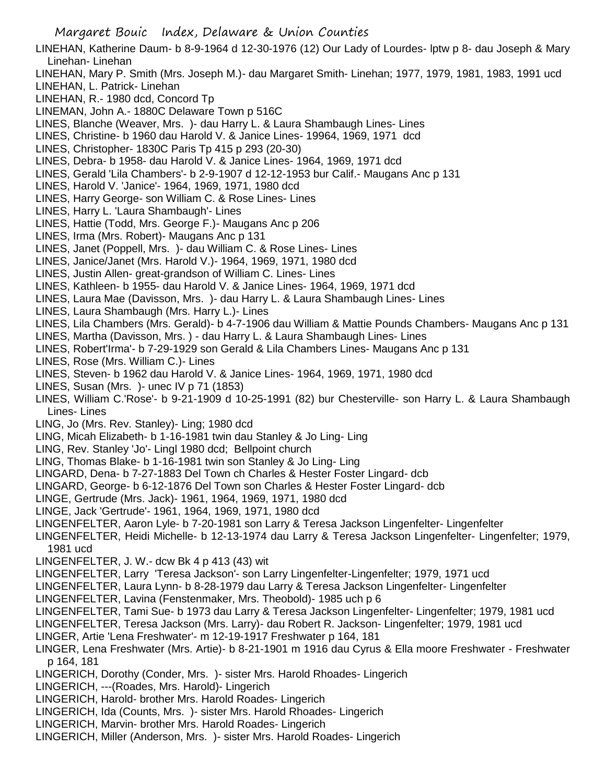- LINEHAN, Katherine Daum- b 8-9-1964 d 12-30-1976 (12) Our Lady of Lourdes- lptw p 8- dau Joseph & Mary Linehan- Linehan
- LINEHAN, Mary P. Smith (Mrs. Joseph M.)- dau Margaret Smith- Linehan; 1977, 1979, 1981, 1983, 1991 ucd
- LINEHAN, L. Patrick- Linehan
- LINEHAN, R.- 1980 dcd, Concord Tp
- LINEMAN, John A.- 1880C Delaware Town p 516C
- LINES, Blanche (Weaver, Mrs. )- dau Harry L. & Laura Shambaugh Lines- Lines
- LINES, Christine- b 1960 dau Harold V. & Janice Lines- 19964, 1969, 1971 dcd
- LINES, Christopher- 1830C Paris Tp 415 p 293 (20-30)
- LINES, Debra- b 1958- dau Harold V. & Janice Lines- 1964, 1969, 1971 dcd
- LINES, Gerald 'Lila Chambers'- b 2-9-1907 d 12-12-1953 bur Calif.- Maugans Anc p 131
- LINES, Harold V. 'Janice'- 1964, 1969, 1971, 1980 dcd
- LINES, Harry George- son William C. & Rose Lines- Lines
- LINES, Harry L. 'Laura Shambaugh'- Lines
- LINES, Hattie (Todd, Mrs. George F.)- Maugans Anc p 206
- LINES, Irma (Mrs. Robert)- Maugans Anc p 131
- LINES, Janet (Poppell, Mrs. )- dau William C. & Rose Lines- Lines
- LINES, Janice/Janet (Mrs. Harold V.)- 1964, 1969, 1971, 1980 dcd
- LINES, Justin Allen- great-grandson of William C. Lines- Lines
- LINES, Kathleen- b 1955- dau Harold V. & Janice Lines- 1964, 1969, 1971 dcd
- LINES, Laura Mae (Davisson, Mrs. )- dau Harry L. & Laura Shambaugh Lines- Lines
- LINES, Laura Shambaugh (Mrs. Harry L.)- Lines
- LINES, Lila Chambers (Mrs. Gerald)- b 4-7-1906 dau William & Mattie Pounds Chambers- Maugans Anc p 131
- LINES, Martha (Davisson, Mrs. ) dau Harry L. & Laura Shambaugh Lines- Lines
- LINES, Robert'Irma'- b 7-29-1929 son Gerald & Lila Chambers Lines- Maugans Anc p 131
- LINES, Rose (Mrs. William C.)- Lines
- LINES, Steven- b 1962 dau Harold V. & Janice Lines- 1964, 1969, 1971, 1980 dcd
- LINES, Susan (Mrs. )- unec IV p 71 (1853)
- LINES, William C.'Rose'- b 9-21-1909 d 10-25-1991 (82) bur Chesterville- son Harry L. & Laura Shambaugh Lines- Lines
- LING, Jo (Mrs. Rev. Stanley)- Ling; 1980 dcd
- LING, Micah Elizabeth- b 1-16-1981 twin dau Stanley & Jo Ling- Ling
- LING, Rev. Stanley 'Jo'- Lingl 1980 dcd; Bellpoint church
- LING, Thomas Blake- b 1-16-1981 twin son Stanley & Jo Ling- Ling
- LINGARD, Dena- b 7-27-1883 Del Town ch Charles & Hester Foster Lingard- dcb
- LINGARD, George- b 6-12-1876 Del Town son Charles & Hester Foster Lingard- dcb
- LINGE, Gertrude (Mrs. Jack)- 1961, 1964, 1969, 1971, 1980 dcd
- LINGE, Jack 'Gertrude'- 1961, 1964, 1969, 1971, 1980 dcd
- LINGENFELTER, Aaron Lyle- b 7-20-1981 son Larry & Teresa Jackson Lingenfelter- Lingenfelter
- LINGENFELTER, Heidi Michelle- b 12-13-1974 dau Larry & Teresa Jackson Lingenfelter- Lingenfelter; 1979, 1981 ucd
- LINGENFELTER, J. W.- dcw Bk 4 p 413 (43) wit
- LINGENFELTER, Larry 'Teresa Jackson'- son Larry Lingenfelter-Lingenfelter; 1979, 1971 ucd
- LINGENFELTER, Laura Lynn- b 8-28-1979 dau Larry & Teresa Jackson Lingenfelter- Lingenfelter
- LINGENFELTER, Lavina (Fenstenmaker, Mrs. Theobold)- 1985 uch p 6
- LINGENFELTER, Tami Sue- b 1973 dau Larry & Teresa Jackson Lingenfelter- Lingenfelter; 1979, 1981 ucd
- LINGENFELTER, Teresa Jackson (Mrs. Larry)- dau Robert R. Jackson- Lingenfelter; 1979, 1981 ucd
- LINGER, Artie 'Lena Freshwater'- m 12-19-1917 Freshwater p 164, 181
- LINGER, Lena Freshwater (Mrs. Artie)- b 8-21-1901 m 1916 dau Cyrus & Ella moore Freshwater Freshwater p 164, 181
- LINGERICH, Dorothy (Conder, Mrs. )- sister Mrs. Harold Rhoades- Lingerich
- LINGERICH, ---(Roades, Mrs. Harold)- Lingerich
- LINGERICH, Harold- brother Mrs. Harold Roades- Lingerich
- LINGERICH, Ida (Counts, Mrs. )- sister Mrs. Harold Rhoades- Lingerich
- LINGERICH, Marvin- brother Mrs. Harold Roades- Lingerich
- LINGERICH, Miller (Anderson, Mrs. )- sister Mrs. Harold Roades- Lingerich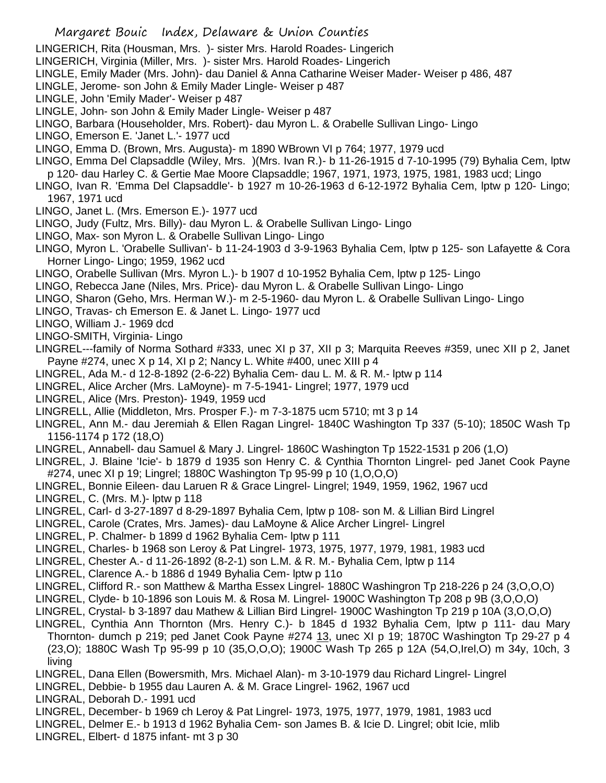- Margaret Bouic Index, Delaware & Union Counties
- LINGERICH, Rita (Housman, Mrs. )- sister Mrs. Harold Roades- Lingerich
- LINGERICH, Virginia (Miller, Mrs. )- sister Mrs. Harold Roades- Lingerich
- LINGLE, Emily Mader (Mrs. John)- dau Daniel & Anna Catharine Weiser Mader- Weiser p 486, 487
- LINGLE, Jerome- son John & Emily Mader Lingle- Weiser p 487
- LINGLE, John 'Emily Mader'- Weiser p 487
- LINGLE, John- son John & Emily Mader Lingle- Weiser p 487
- LINGO, Barbara (Householder, Mrs. Robert)- dau Myron L. & Orabelle Sullivan Lingo- Lingo
- LINGO, Emerson E. 'Janet L.'- 1977 ucd
- LINGO, Emma D. (Brown, Mrs. Augusta)- m 1890 WBrown VI p 764; 1977, 1979 ucd
- LINGO, Emma Del Clapsaddle (Wiley, Mrs. )(Mrs. Ivan R.)- b 11-26-1915 d 7-10-1995 (79) Byhalia Cem, lptw p 120- dau Harley C. & Gertie Mae Moore Clapsaddle; 1967, 1971, 1973, 1975, 1981, 1983 ucd; Lingo
- LINGO, Ivan R. 'Emma Del Clapsaddle'- b 1927 m 10-26-1963 d 6-12-1972 Byhalia Cem, lptw p 120- Lingo; 1967, 1971 ucd
- LINGO, Janet L. (Mrs. Emerson E.)- 1977 ucd
- LINGO, Judy (Fultz, Mrs. Billy)- dau Myron L. & Orabelle Sullivan Lingo- Lingo
- LINGO, Max- son Myron L. & Orabelle Sullivan Lingo- Lingo
- LINGO, Myron L. 'Orabelle Sullivan'- b 11-24-1903 d 3-9-1963 Byhalia Cem, lptw p 125- son Lafayette & Cora Horner Lingo- Lingo; 1959, 1962 ucd
- LINGO, Orabelle Sullivan (Mrs. Myron L.)- b 1907 d 10-1952 Byhalia Cem, lptw p 125- Lingo
- LINGO, Rebecca Jane (Niles, Mrs. Price)- dau Myron L. & Orabelle Sullivan Lingo- Lingo
- LINGO, Sharon (Geho, Mrs. Herman W.)- m 2-5-1960- dau Myron L. & Orabelle Sullivan Lingo- Lingo
- LINGO, Travas- ch Emerson E. & Janet L. Lingo- 1977 ucd
- LINGO, William J.- 1969 dcd
- LINGO-SMITH, Virginia- Lingo
- LINGREL---family of Norma Sothard #333, unec XI p 37, XII p 3; Marquita Reeves #359, unec XII p 2, Janet Payne #274, unec X p 14, XI p 2; Nancy L. White #400, unec XIII p 4
- LINGREL, Ada M.- d 12-8-1892 (2-6-22) Byhalia Cem- dau L. M. & R. M.- lptw p 114
- LINGREL, Alice Archer (Mrs. LaMoyne)- m 7-5-1941- Lingrel; 1977, 1979 ucd
- LINGREL, Alice (Mrs. Preston)- 1949, 1959 ucd
- LINGRELL, Allie (Middleton, Mrs. Prosper F.)- m 7-3-1875 ucm 5710; mt 3 p 14
- LINGREL, Ann M.- dau Jeremiah & Ellen Ragan Lingrel- 1840C Washington Tp 337 (5-10); 1850C Wash Tp 1156-1174 p 172 (18,O)
- LINGREL, Annabell- dau Samuel & Mary J. Lingrel- 1860C Washington Tp 1522-1531 p 206 (1,O)
- LINGREL, J. Blaine 'Icie'- b 1879 d 1935 son Henry C. & Cynthia Thornton Lingrel- ped Janet Cook Payne #274, unec XI p 19; Lingrel; 1880C Washington Tp 95-99 p 10 (1,O,O,O)
- LINGREL, Bonnie Eileen- dau Laruen R & Grace Lingrel- Lingrel; 1949, 1959, 1962, 1967 ucd
- LINGREL, C. (Mrs. M.)- lptw p 118
- LINGREL, Carl- d 3-27-1897 d 8-29-1897 Byhalia Cem, lptw p 108- son M. & Lillian Bird Lingrel
- LINGREL, Carole (Crates, Mrs. James)- dau LaMoyne & Alice Archer Lingrel- Lingrel
- LINGREL, P. Chalmer- b 1899 d 1962 Byhalia Cem- lptw p 111
- LINGREL, Charles- b 1968 son Leroy & Pat Lingrel- 1973, 1975, 1977, 1979, 1981, 1983 ucd
- LINGREL, Chester A.- d 11-26-1892 (8-2-1) son L.M. & R. M.- Byhalia Cem, lptw p 114
- LINGREL, Clarence A.- b 1886 d 1949 Byhalia Cem- lptw p 11o
- LINGREL, Clifford R.- son Matthew & Martha Essex Lingrel- 1880C Washingron Tp 218-226 p 24 (3,O,O,O)
- LINGREL, Clyde- b 10-1896 son Louis M. & Rosa M. Lingrel- 1900C Washington Tp 208 p 9B (3,O,O,O)
- LINGREL, Crystal- b 3-1897 dau Mathew & Lillian Bird Lingrel- 1900C Washington Tp 219 p 10A (3,O,O,O)
- LINGREL, Cynthia Ann Thornton (Mrs. Henry C.)- b 1845 d 1932 Byhalia Cem, lptw p 111- dau Mary Thornton- dumch p 219; ped Janet Cook Payne #274 13, unec XI p 19; 1870C Washington Tp 29-27 p 4 (23,O); 1880C Wash Tp 95-99 p 10 (35,O,O,O); 1900C Wash Tp 265 p 12A (54,O,Irel,O) m 34y, 10ch, 3 living
- LINGREL, Dana Ellen (Bowersmith, Mrs. Michael Alan)- m 3-10-1979 dau Richard Lingrel- Lingrel
- LINGREL, Debbie- b 1955 dau Lauren A. & M. Grace Lingrel- 1962, 1967 ucd
- LINGRAL, Deborah D.- 1991 ucd
- LINGREL, December- b 1969 ch Leroy & Pat Lingrel- 1973, 1975, 1977, 1979, 1981, 1983 ucd
- LINGREL, Delmer E.- b 1913 d 1962 Byhalia Cem- son James B. & Icie D. Lingrel; obit Icie, mlib
- LINGREL, Elbert- d 1875 infant- mt 3 p 30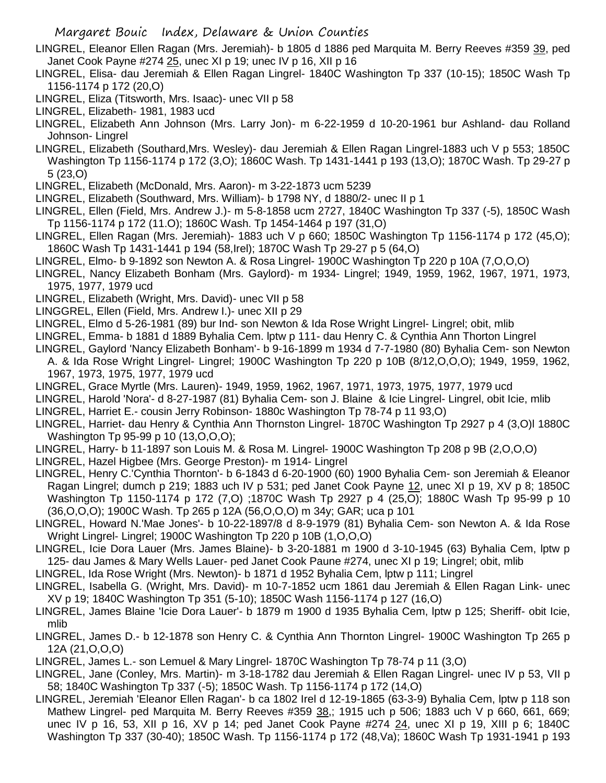- LINGREL, Eleanor Ellen Ragan (Mrs. Jeremiah)- b 1805 d 1886 ped Marquita M. Berry Reeves #359 39, ped Janet Cook Payne #274 25, unec XI p 19; unec IV p 16, XII p 16
- LINGREL, Elisa- dau Jeremiah & Ellen Ragan Lingrel- 1840C Washington Tp 337 (10-15); 1850C Wash Tp 1156-1174 p 172 (20,O)
- LINGREL, Eliza (Titsworth, Mrs. Isaac)- unec VII p 58
- LINGREL, Elizabeth- 1981, 1983 ucd
- LINGREL, Elizabeth Ann Johnson (Mrs. Larry Jon)- m 6-22-1959 d 10-20-1961 bur Ashland- dau Rolland Johnson- Lingrel
- LINGREL, Elizabeth (Southard,Mrs. Wesley)- dau Jeremiah & Ellen Ragan Lingrel-1883 uch V p 553; 1850C Washington Tp 1156-1174 p 172 (3,O); 1860C Wash. Tp 1431-1441 p 193 (13,O); 1870C Wash. Tp 29-27 p 5 (23,O)
- LINGREL, Elizabeth (McDonald, Mrs. Aaron)- m 3-22-1873 ucm 5239
- LINGREL, Elizabeth (Southward, Mrs. William)- b 1798 NY, d 1880/2- unec II p 1
- LINGREL, Ellen (Field, Mrs. Andrew J.)- m 5-8-1858 ucm 2727, 1840C Washington Tp 337 (-5), 1850C Wash Tp 1156-1174 p 172 (11.O); 1860C Wash. Tp 1454-1464 p 197 (31,O)
- LINGREL, Ellen Ragan (Mrs. Jeremiah)- 1883 uch V p 660; 1850C Washington Tp 1156-1174 p 172 (45,O); 1860C Wash Tp 1431-1441 p 194 (58,Irel); 1870C Wash Tp 29-27 p 5 (64,O)
- LINGREL, Elmo- b 9-1892 son Newton A. & Rosa Lingrel- 1900C Washington Tp 220 p 10A (7,O,O,O)
- LINGREL, Nancy Elizabeth Bonham (Mrs. Gaylord)- m 1934- Lingrel; 1949, 1959, 1962, 1967, 1971, 1973, 1975, 1977, 1979 ucd
- LINGREL, Elizabeth (Wright, Mrs. David)- unec VII p 58
- LINGGREL, Ellen (Field, Mrs. Andrew I.)- unec XII p 29
- LINGREL, Elmo d 5-26-1981 (89) bur Ind- son Newton & Ida Rose Wright Lingrel- Lingrel; obit, mlib
- LINGREL, Emma- b 1881 d 1889 Byhalia Cem. lptw p 111- dau Henry C. & Cynthia Ann Thorton Lingrel
- LINGREL, Gaylord 'Nancy Elizabeth Bonham'- b 9-16-1899 m 1934 d 7-7-1980 (80) Byhalia Cem- son Newton
- A. & Ida Rose Wright Lingrel- Lingrel; 1900C Washington Tp 220 p 10B (8/12,O,O,O); 1949, 1959, 1962, 1967, 1973, 1975, 1977, 1979 ucd
- LINGREL, Grace Myrtle (Mrs. Lauren)- 1949, 1959, 1962, 1967, 1971, 1973, 1975, 1977, 1979 ucd
- LINGREL, Harold 'Nora'- d 8-27-1987 (81) Byhalia Cem- son J. Blaine & Icie Lingrel- Lingrel, obit Icie, mlib
- LINGREL, Harriet E.- cousin Jerry Robinson- 1880c Washington Tp 78-74 p 11 93,O)
- LINGREL, Harriet- dau Henry & Cynthia Ann Thornston Lingrel- 1870C Washington Tp 2927 p 4 (3,O)l 1880C Washington Tp 95-99 p 10 (13,O,O,O);
- LINGREL, Harry- b 11-1897 son Louis M. & Rosa M. Lingrel- 1900C Washington Tp 208 p 9B (2,O,O,O)
- LINGREL, Hazel Higbee (Mrs. George Preston)- m 1914- Lingrel
- LINGREL, Henry C.'Cynthia Thornton'- b 6-1843 d 6-20-1900 (60) 1900 Byhalia Cem- son Jeremiah & Eleanor Ragan Lingrel; dumch p 219; 1883 uch IV p 531; ped Janet Cook Payne 12, unec XI p 19, XV p 8; 1850C Washington Tp 1150-1174 p 172 (7,O) ;1870C Wash Tp 2927 p 4 (25,O); 1880C Wash Tp 95-99 p 10 (36,O,O,O); 1900C Wash. Tp 265 p 12A (56,O,O,O) m 34y; GAR; uca p 101
- LINGREL, Howard N.'Mae Jones'- b 10-22-1897/8 d 8-9-1979 (81) Byhalia Cem- son Newton A. & Ida Rose Wright Lingrel- Lingrel; 1900C Washington Tp 220 p 10B (1,O,O,O)
- LINGREL, Icie Dora Lauer (Mrs. James Blaine)- b 3-20-1881 m 1900 d 3-10-1945 (63) Byhalia Cem, lptw p 125- dau James & Mary Wells Lauer- ped Janet Cook Paune #274, unec XI p 19; Lingrel; obit, mlib
- LINGREL, Ida Rose Wright (Mrs. Newton)- b 1871 d 1952 Byhalia Cem, lptw p 111; Lingrel
- LINGREL, Isabella G. (Wright, Mrs. David)- m 10-7-1852 ucm 1861 dau Jeremiah & Ellen Ragan Link- unec XV p 19; 1840C Washington Tp 351 (5-10); 1850C Wash 1156-1174 p 127 (16,O)
- LINGREL, James Blaine 'Icie Dora Lauer'- b 1879 m 1900 d 1935 Byhalia Cem, lptw p 125; Sheriff- obit Icie, mlib
- LINGREL, James D.- b 12-1878 son Henry C. & Cynthia Ann Thornton Lingrel- 1900C Washington Tp 265 p 12A (21,O,O,O)
- LINGREL, James L.- son Lemuel & Mary Lingrel- 1870C Washington Tp 78-74 p 11 (3,O)
- LINGREL, Jane (Conley, Mrs. Martin)- m 3-18-1782 dau Jeremiah & Ellen Ragan Lingrel- unec IV p 53, VII p 58; 1840C Washington Tp 337 (-5); 1850C Wash. Tp 1156-1174 p 172 (14,O)
- LINGREL, Jeremiah 'Eleanor Ellen Ragan'- b ca 1802 Irel d 12-19-1865 (63-3-9) Byhalia Cem, lptw p 118 son Mathew Lingrel- ped Marquita M. Berry Reeves #359 38,; 1915 uch p 506; 1883 uch V p 660, 661, 669; unec IV p 16, 53, XII p 16, XV p 14; ped Janet Cook Payne #274 24, unec XI p 19, XIII p 6; 1840C Washington Tp 337 (30-40); 1850C Wash. Tp 1156-1174 p 172 (48,Va); 1860C Wash Tp 1931-1941 p 193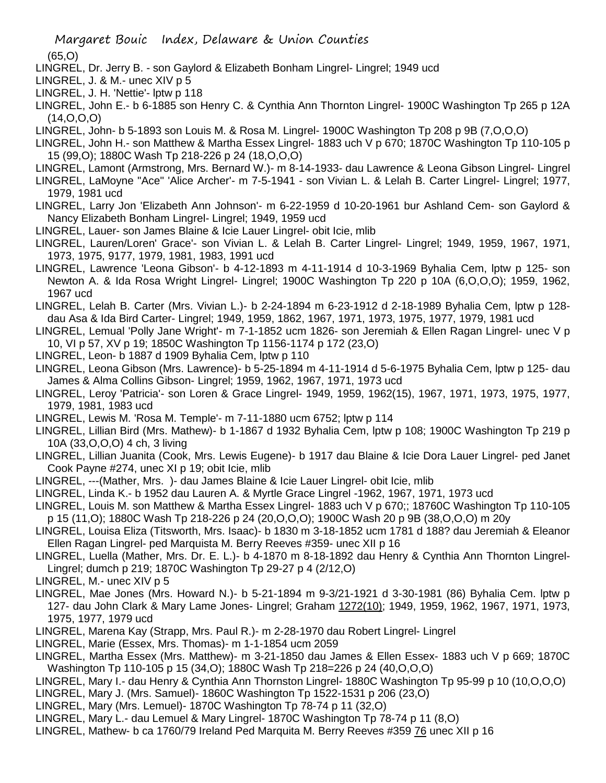(65,O)

- LINGREL, Dr. Jerry B. son Gaylord & Elizabeth Bonham Lingrel- Lingrel; 1949 ucd
- LINGREL, J. & M.- unec XIV p 5
- LINGREL, J. H. 'Nettie'- lptw p 118
- LINGREL, John E.- b 6-1885 son Henry C. & Cynthia Ann Thornton Lingrel- 1900C Washington Tp 265 p 12A (14,O,O,O)
- LINGREL, John- b 5-1893 son Louis M. & Rosa M. Lingrel- 1900C Washington Tp 208 p 9B (7,O,O,O)
- LINGREL, John H.- son Matthew & Martha Essex Lingrel- 1883 uch V p 670; 1870C Washington Tp 110-105 p 15 (99,O); 1880C Wash Tp 218-226 p 24 (18,O,O,O)
- LINGREL, Lamont (Armstrong, Mrs. Bernard W.)- m 8-14-1933- dau Lawrence & Leona Gibson Lingrel- Lingrel LINGREL, LaMoyne "Ace" 'Alice Archer'- m 7-5-1941 - son Vivian L. & Lelah B. Carter Lingrel- Lingrel; 1977,
- 1979, 1981 ucd
- LINGREL, Larry Jon 'Elizabeth Ann Johnson'- m 6-22-1959 d 10-20-1961 bur Ashland Cem- son Gaylord & Nancy Elizabeth Bonham Lingrel- Lingrel; 1949, 1959 ucd
- LINGREL, Lauer- son James Blaine & Icie Lauer Lingrel- obit Icie, mlib
- LINGREL, Lauren/Loren' Grace'- son Vivian L. & Lelah B. Carter Lingrel- Lingrel; 1949, 1959, 1967, 1971, 1973, 1975, 9177, 1979, 1981, 1983, 1991 ucd
- LINGREL, Lawrence 'Leona Gibson'- b 4-12-1893 m 4-11-1914 d 10-3-1969 Byhalia Cem, lptw p 125- son Newton A. & Ida Rosa Wright Lingrel- Lingrel; 1900C Washington Tp 220 p 10A (6,O,O,O); 1959, 1962, 1967 ucd
- LINGREL, Lelah B. Carter (Mrs. Vivian L.)- b 2-24-1894 m 6-23-1912 d 2-18-1989 Byhalia Cem, lptw p 128 dau Asa & Ida Bird Carter- Lingrel; 1949, 1959, 1862, 1967, 1971, 1973, 1975, 1977, 1979, 1981 ucd
- LINGREL, Lemual 'Polly Jane Wright'- m 7-1-1852 ucm 1826- son Jeremiah & Ellen Ragan Lingrel- unec V p 10, VI p 57, XV p 19; 1850C Washington Tp 1156-1174 p 172 (23,O)
- LINGREL, Leon- b 1887 d 1909 Byhalia Cem, lptw p 110
- LINGREL, Leona Gibson (Mrs. Lawrence)- b 5-25-1894 m 4-11-1914 d 5-6-1975 Byhalia Cem, lptw p 125- dau James & Alma Collins Gibson- Lingrel; 1959, 1962, 1967, 1971, 1973 ucd
- LINGREL, Leroy 'Patricia'- son Loren & Grace Lingrel- 1949, 1959, 1962(15), 1967, 1971, 1973, 1975, 1977, 1979, 1981, 1983 ucd
- LINGREL, Lewis M. 'Rosa M. Temple'- m 7-11-1880 ucm 6752; lptw p 114
- LINGREL, Lillian Bird (Mrs. Mathew)- b 1-1867 d 1932 Byhalia Cem, lptw p 108; 1900C Washington Tp 219 p 10A (33,O,O,O) 4 ch, 3 living
- LINGREL, Lillian Juanita (Cook, Mrs. Lewis Eugene)- b 1917 dau Blaine & Icie Dora Lauer Lingrel- ped Janet Cook Payne #274, unec XI p 19; obit Icie, mlib
- LINGREL, ---(Mather, Mrs. )- dau James Blaine & Icie Lauer Lingrel- obit Icie, mlib
- LINGREL, Linda K.- b 1952 dau Lauren A. & Myrtle Grace Lingrel -1962, 1967, 1971, 1973 ucd
- LINGREL, Louis M. son Matthew & Martha Essex Lingrel- 1883 uch V p 670;; 18760C Washington Tp 110-105 p 15 (11,O); 1880C Wash Tp 218-226 p 24 (20,O,O,O); 1900C Wash 20 p 9B (38,O,O,O) m 20y
- LINGREL, Louisa Eliza (Titsworth, Mrs. Isaac)- b 1830 m 3-18-1852 ucm 1781 d 188? dau Jeremiah & Eleanor Ellen Ragan Lingrel- ped Marquista M. Berry Reeves #359- unec XII p 16
- LINGREL, Luella (Mather, Mrs. Dr. E. L.)- b 4-1870 m 8-18-1892 dau Henry & Cynthia Ann Thornton Lingrel-Lingrel; dumch p 219; 1870C Washington Tp 29-27 p 4 (2/12,O)
- LINGREL, M.- unec XIV p 5
- LINGREL, Mae Jones (Mrs. Howard N.)- b 5-21-1894 m 9-3/21-1921 d 3-30-1981 (86) Byhalia Cem. lptw p 127- dau John Clark & Mary Lame Jones- Lingrel; Graham 1272(10); 1949, 1959, 1962, 1967, 1971, 1973, 1975, 1977, 1979 ucd
- LINGREL, Marena Kay (Strapp, Mrs. Paul R.)- m 2-28-1970 dau Robert Lingrel- Lingrel
- LINGREL, Marie (Essex, Mrs. Thomas)- m 1-1-1854 ucm 2059
- LINGREL, Martha Essex (Mrs. Matthew)- m 3-21-1850 dau James & Ellen Essex- 1883 uch V p 669; 1870C Washington Tp 110-105 p 15 (34,O); 1880C Wash Tp 218=226 p 24 (40,O,O,O)
- LINGREL, Mary I.- dau Henry & Cynthia Ann Thornston Lingrel- 1880C Washington Tp 95-99 p 10 (10,O,O,O)
- LINGREL, Mary J. (Mrs. Samuel)- 1860C Washington Tp 1522-1531 p 206 (23,O)
- LINGREL, Mary (Mrs. Lemuel)- 1870C Washington Tp 78-74 p 11 (32,O)
- LINGREL, Mary L.- dau Lemuel & Mary Lingrel- 1870C Washington Tp 78-74 p 11 (8,O)
- LINGREL, Mathew- b ca 1760/79 Ireland Ped Marquita M. Berry Reeves #359 76 unec XII p 16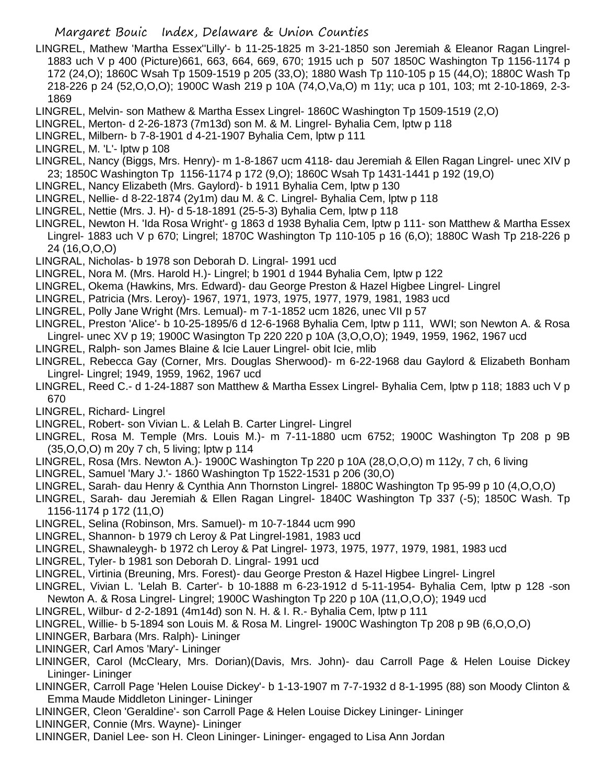- LINGREL, Mathew 'Martha Essex''Lilly'- b 11-25-1825 m 3-21-1850 son Jeremiah & Eleanor Ragan Lingrel-1883 uch V p 400 (Picture)661, 663, 664, 669, 670; 1915 uch p 507 1850C Washington Tp 1156-1174 p 172 (24,O); 1860C Wsah Tp 1509-1519 p 205 (33,O); 1880 Wash Tp 110-105 p 15 (44,O); 1880C Wash Tp 218-226 p 24 (52,O,O,O); 1900C Wash 219 p 10A (74,O,Va,O) m 11y; uca p 101, 103; mt 2-10-1869, 2-3- 1869
- LINGREL, Melvin- son Mathew & Martha Essex Lingrel- 1860C Washington Tp 1509-1519 (2,O)
- LINGREL, Merton- d 2-26-1873 (7m13d) son M. & M. Lingrel- Byhalia Cem, lptw p 118
- LINGREL, Milbern- b 7-8-1901 d 4-21-1907 Byhalia Cem, lptw p 111
- LINGREL, M. 'L'- lptw p 108
- LINGREL, Nancy (Biggs, Mrs. Henry)- m 1-8-1867 ucm 4118- dau Jeremiah & Ellen Ragan Lingrel- unec XIV p 23; 1850C Washington Tp 1156-1174 p 172 (9,O); 1860C Wsah Tp 1431-1441 p 192 (19,O)
- LINGREL, Nancy Elizabeth (Mrs. Gaylord)- b 1911 Byhalia Cem, lptw p 130
- LINGREL, Nellie- d 8-22-1874 (2y1m) dau M. & C. Lingrel- Byhalia Cem, lptw p 118
- LINGREL, Nettie (Mrs. J. H)- d 5-18-1891 (25-5-3) Byhalia Cem, lptw p 118
- LINGREL, Newton H. 'Ida Rosa Wright'- g 1863 d 1938 Byhalia Cem, lptw p 111- son Matthew & Martha Essex Lingrel- 1883 uch V p 670; Lingrel; 1870C Washington Tp 110-105 p 16 (6,O); 1880C Wash Tp 218-226 p 24 (16,O,O,O)
- LINGRAL, Nicholas- b 1978 son Deborah D. Lingral- 1991 ucd
- LINGREL, Nora M. (Mrs. Harold H.)- Lingrel; b 1901 d 1944 Byhalia Cem, lptw p 122
- LINGREL, Okema (Hawkins, Mrs. Edward)- dau George Preston & Hazel Higbee Lingrel- Lingrel
- LINGREL, Patricia (Mrs. Leroy)- 1967, 1971, 1973, 1975, 1977, 1979, 1981, 1983 ucd
- LINGREL, Polly Jane Wright (Mrs. Lemual)- m 7-1-1852 ucm 1826, unec VII p 57
- LINGREL, Preston 'Alice'- b 10-25-1895/6 d 12-6-1968 Byhalia Cem, lptw p 111, WWI; son Newton A. & Rosa Lingrel- unec XV p 19; 1900C Wasington Tp 220 220 p 10A (3,O,O,O); 1949, 1959, 1962, 1967 ucd
- LINGREL, Ralph- son James Blaine & Icie Lauer Lingrel- obit Icie, mlib
- LINGREL, Rebecca Gay (Corner, Mrs. Douglas Sherwood)- m 6-22-1968 dau Gaylord & Elizabeth Bonham Lingrel- Lingrel; 1949, 1959, 1962, 1967 ucd
- LINGREL, Reed C.- d 1-24-1887 son Matthew & Martha Essex Lingrel- Byhalia Cem, lptw p 118; 1883 uch V p 670
- LINGREL, Richard- Lingrel
- LINGREL, Robert- son Vivian L. & Lelah B. Carter Lingrel- Lingrel
- LINGREL, Rosa M. Temple (Mrs. Louis M.)- m 7-11-1880 ucm 6752; 1900C Washington Tp 208 p 9B (35,O,O,O) m 20y 7 ch, 5 living; lptw p 114
- LINGREL, Rosa (Mrs. Newton A.)- 1900C Washington Tp 220 p 10A (28,O,O,O) m 112y, 7 ch, 6 living
- LINGREL, Samuel 'Mary J.'- 1860 Washington Tp 1522-1531 p 206 (30,O)
- LINGREL, Sarah- dau Henry & Cynthia Ann Thornston Lingrel- 1880C Washington Tp 95-99 p 10 (4,O,O,O)
- LINGREL, Sarah- dau Jeremiah & Ellen Ragan Lingrel- 1840C Washington Tp 337 (-5); 1850C Wash. Tp 1156-1174 p 172 (11,O)
- LINGREL, Selina (Robinson, Mrs. Samuel)- m 10-7-1844 ucm 990
- LINGREL, Shannon- b 1979 ch Leroy & Pat Lingrel-1981, 1983 ucd
- LINGREL, Shawnaleygh- b 1972 ch Leroy & Pat Lingrel- 1973, 1975, 1977, 1979, 1981, 1983 ucd
- LINGREL, Tyler- b 1981 son Deborah D. Lingral- 1991 ucd
- LINGREL, Virtinia (Breuning, Mrs. Forest)- dau George Preston & Hazel Higbee Lingrel- Lingrel
- LINGREL, Vivian L. 'Lelah B. Carter'- b 10-1888 m 6-23-1912 d 5-11-1954- Byhalia Cem, lptw p 128 -son Newton A. & Rosa Lingrel- Lingrel; 1900C Washington Tp 220 p 10A (11,O,O,O); 1949 ucd
- LINGREL, Wilbur- d 2-2-1891 (4m14d) son N. H. & I. R.- Byhalia Cem, lptw p 111
- LINGREL, Willie- b 5-1894 son Louis M. & Rosa M. Lingrel- 1900C Washington Tp 208 p 9B (6,O,O,O)
- LININGER, Barbara (Mrs. Ralph)- Lininger
- LININGER, Carl Amos 'Mary'- Lininger
- LININGER, Carol (McCleary, Mrs. Dorian)(Davis, Mrs. John)- dau Carroll Page & Helen Louise Dickey Lininger- Lininger
- LININGER, Carroll Page 'Helen Louise Dickey'- b 1-13-1907 m 7-7-1932 d 8-1-1995 (88) son Moody Clinton & Emma Maude Middleton Lininger- Lininger
- LININGER, Cleon 'Geraldine'- son Carroll Page & Helen Louise Dickey Lininger- Lininger
- LININGER, Connie (Mrs. Wayne)- Lininger
- LININGER, Daniel Lee- son H. Cleon Lininger- Lininger- engaged to Lisa Ann Jordan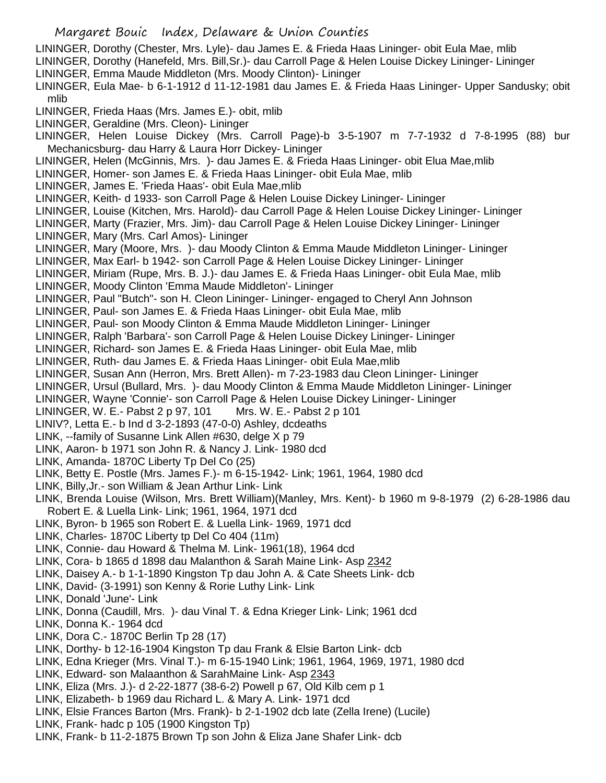Margaret Bouic Index, Delaware & Union Counties LININGER, Dorothy (Chester, Mrs. Lyle)- dau James E. & Frieda Haas Lininger- obit Eula Mae, mlib LININGER, Dorothy (Hanefeld, Mrs. Bill,Sr.)- dau Carroll Page & Helen Louise Dickey Lininger- Lininger LININGER, Emma Maude Middleton (Mrs. Moody Clinton)- Lininger LININGER, Eula Mae- b 6-1-1912 d 11-12-1981 dau James E. & Frieda Haas Lininger- Upper Sandusky; obit mlib LININGER, Frieda Haas (Mrs. James E.)- obit, mlib LININGER, Geraldine (Mrs. Cleon)- Lininger LININGER, Helen Louise Dickey (Mrs. Carroll Page)-b 3-5-1907 m 7-7-1932 d 7-8-1995 (88) bur Mechanicsburg- dau Harry & Laura Horr Dickey- Lininger LININGER, Helen (McGinnis, Mrs. )- dau James E. & Frieda Haas Lininger- obit Elua Mae,mlib LININGER, Homer- son James E. & Frieda Haas Lininger- obit Eula Mae, mlib LININGER, James E. 'Frieda Haas'- obit Eula Mae,mlib LININGER, Keith- d 1933- son Carroll Page & Helen Louise Dickey Lininger- Lininger LININGER, Louise (Kitchen, Mrs. Harold)- dau Carroll Page & Helen Louise Dickey Lininger- Lininger LININGER, Marty (Frazier, Mrs. Jim)- dau Carroll Page & Helen Louise Dickey Lininger- Lininger LININGER, Mary (Mrs. Carl Amos)- Lininger LININGER, Mary (Moore, Mrs. )- dau Moody Clinton & Emma Maude Middleton Lininger- Lininger LININGER, Max Earl- b 1942- son Carroll Page & Helen Louise Dickey Lininger- Lininger LININGER, Miriam (Rupe, Mrs. B. J.)- dau James E. & Frieda Haas Lininger- obit Eula Mae, mlib LININGER, Moody Clinton 'Emma Maude Middleton'- Lininger LININGER, Paul "Butch"- son H. Cleon Lininger- Lininger- engaged to Cheryl Ann Johnson LININGER, Paul- son James E. & Frieda Haas Lininger- obit Eula Mae, mlib LININGER, Paul- son Moody Clinton & Emma Maude Middleton Lininger- Lininger LININGER, Ralph 'Barbara'- son Carroll Page & Helen Louise Dickey Lininger- Lininger LININGER, Richard- son James E. & Frieda Haas Lininger- obit Eula Mae, mlib LININGER, Ruth- dau James E. & Frieda Haas Lininger- obit Eula Mae,mlib LININGER, Susan Ann (Herron, Mrs. Brett Allen)- m 7-23-1983 dau Cleon Lininger- Lininger LININGER, Ursul (Bullard, Mrs. )- dau Moody Clinton & Emma Maude Middleton Lininger- Lininger LININGER, Wayne 'Connie'- son Carroll Page & Helen Louise Dickey Lininger- Lininger LININGER, W. E.- Pabst 2 p 97, 101 Mrs. W. E.- Pabst 2 p 101 LINIV?, Letta E.- b Ind d 3-2-1893 (47-0-0) Ashley, dcdeaths LINK, --family of Susanne Link Allen #630, delge X p 79 LINK, Aaron- b 1971 son John R. & Nancy J. Link- 1980 dcd LINK, Amanda- 1870C Liberty Tp Del Co (25) LINK, Betty E. Postle (Mrs. James F.)- m 6-15-1942- Link; 1961, 1964, 1980 dcd LINK, Billy,Jr.- son William & Jean Arthur Link- Link LINK, Brenda Louise (Wilson, Mrs. Brett William)(Manley, Mrs. Kent)- b 1960 m 9-8-1979 (2) 6-28-1986 dau Robert E. & Luella Link- Link; 1961, 1964, 1971 dcd LINK, Byron- b 1965 son Robert E. & Luella Link- 1969, 1971 dcd LINK, Charles- 1870C Liberty tp Del Co 404 (11m) LINK, Connie- dau Howard & Thelma M. Link- 1961(18), 1964 dcd LINK, Cora- b 1865 d 1898 dau Malanthon & Sarah Maine Link- Asp 2342 LINK, Daisey A.- b 1-1-1890 Kingston Tp dau John A. & Cate Sheets Link- dcb LINK, David- (3-1991) son Kenny & Rorie Luthy Link- Link LINK, Donald 'June'- Link LINK, Donna (Caudill, Mrs. )- dau Vinal T. & Edna Krieger Link- Link; 1961 dcd LINK, Donna K.- 1964 dcd LINK, Dora C.- 1870C Berlin Tp 28 (17) LINK, Dorthy- b 12-16-1904 Kingston Tp dau Frank & Elsie Barton Link- dcb LINK, Edna Krieger (Mrs. Vinal T.)- m 6-15-1940 Link; 1961, 1964, 1969, 1971, 1980 dcd LINK, Edward- son Malaanthon & SarahMaine Link- Asp 2343 LINK, Eliza (Mrs. J.)- d 2-22-1877 (38-6-2) Powell p 67, Old Kilb cem p 1 LINK, Elizabeth- b 1969 dau Richard L. & Mary A. Link- 1971 dcd LINK, Elsie Frances Barton (Mrs. Frank)- b 2-1-1902 dcb late (Zella Irene) (Lucile) LINK, Frank- hadc p 105 (1900 Kingston Tp)

LINK, Frank- b 11-2-1875 Brown Tp son John & Eliza Jane Shafer Link- dcb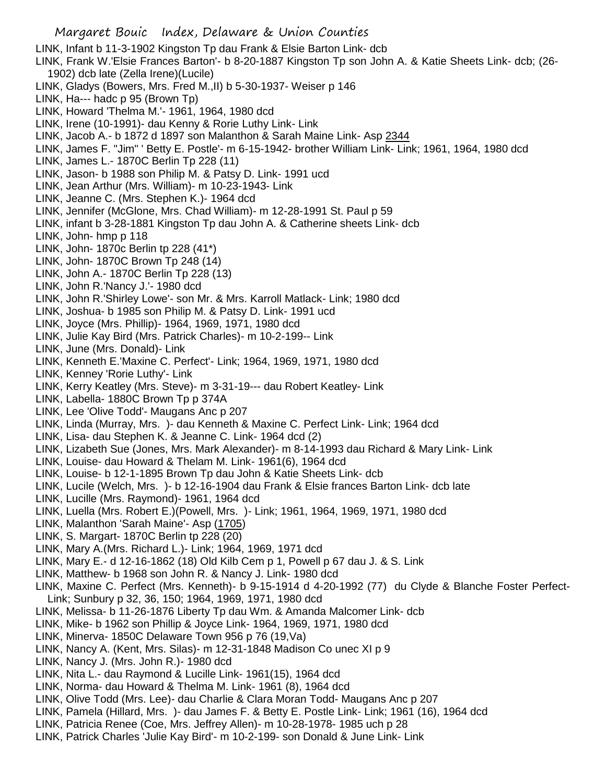Margaret Bouic Index, Delaware & Union Counties LINK, Infant b 11-3-1902 Kingston Tp dau Frank & Elsie Barton Link- dcb LINK, Frank W.'Elsie Frances Barton'- b 8-20-1887 Kingston Tp son John A. & Katie Sheets Link- dcb; (26- 1902) dcb late (Zella Irene)(Lucile) LINK, Gladys (Bowers, Mrs. Fred M.,II) b 5-30-1937- Weiser p 146 LINK, Ha--- hadc p 95 (Brown Tp) LINK, Howard 'Thelma M.'- 1961, 1964, 1980 dcd LINK, Irene (10-1991)- dau Kenny & Rorie Luthy Link- Link LINK, Jacob A.- b 1872 d 1897 son Malanthon & Sarah Maine Link- Asp 2344 LINK, James F. "Jim" ' Betty E. Postle'- m 6-15-1942- brother William Link- Link; 1961, 1964, 1980 dcd LINK, James L.- 1870C Berlin Tp 228 (11) LINK, Jason- b 1988 son Philip M. & Patsy D. Link- 1991 ucd LINK, Jean Arthur (Mrs. William)- m 10-23-1943- Link LINK, Jeanne C. (Mrs. Stephen K.)- 1964 dcd LINK, Jennifer (McGlone, Mrs. Chad William)- m 12-28-1991 St. Paul p 59 LINK, infant b 3-28-1881 Kingston Tp dau John A. & Catherine sheets Link- dcb LINK, John- hmp p 118 LINK, John- 1870c Berlin tp 228 (41\*) LINK, John- 1870C Brown Tp 248 (14) LINK, John A.- 1870C Berlin Tp 228 (13) LINK, John R.'Nancy J.'- 1980 dcd LINK, John R.'Shirley Lowe'- son Mr. & Mrs. Karroll Matlack- Link; 1980 dcd LINK, Joshua- b 1985 son Philip M. & Patsy D. Link- 1991 ucd LINK, Joyce (Mrs. Phillip)- 1964, 1969, 1971, 1980 dcd LINK, Julie Kay Bird (Mrs. Patrick Charles)- m 10-2-199-- Link LINK, June (Mrs. Donald)- Link LINK, Kenneth E.'Maxine C. Perfect'- Link; 1964, 1969, 1971, 1980 dcd LINK, Kenney 'Rorie Luthy'- Link LINK, Kerry Keatley (Mrs. Steve)- m 3-31-19--- dau Robert Keatley- Link LINK, Labella- 1880C Brown Tp p 374A LINK, Lee 'Olive Todd'- Maugans Anc p 207 LINK, Linda (Murray, Mrs. )- dau Kenneth & Maxine C. Perfect Link- Link; 1964 dcd LINK, Lisa- dau Stephen K. & Jeanne C. Link- 1964 dcd (2) LINK, Lizabeth Sue (Jones, Mrs. Mark Alexander)- m 8-14-1993 dau Richard & Mary Link- Link LINK, Louise- dau Howard & Thelam M. Link- 1961(6), 1964 dcd LINK, Louise- b 12-1-1895 Brown Tp dau John & Katie Sheets Link- dcb LINK, Lucile (Welch, Mrs. )- b 12-16-1904 dau Frank & Elsie frances Barton Link- dcb late LINK, Lucille (Mrs. Raymond)- 1961, 1964 dcd LINK, Luella (Mrs. Robert E.)(Powell, Mrs. )- Link; 1961, 1964, 1969, 1971, 1980 dcd LINK, Malanthon 'Sarah Maine'- Asp (1705) LINK, S. Margart- 1870C Berlin tp 228 (20) LINK, Mary A.(Mrs. Richard L.)- Link; 1964, 1969, 1971 dcd LINK, Mary E.- d 12-16-1862 (18) Old Kilb Cem p 1, Powell p 67 dau J. & S. Link LINK, Matthew- b 1968 son John R. & Nancy J. Link- 1980 dcd LINK, Maxine C. Perfect (Mrs. Kenneth)- b 9-15-1914 d 4-20-1992 (77) du Clyde & Blanche Foster Perfect-Link; Sunbury p 32, 36, 150; 1964, 1969, 1971, 1980 dcd LINK, Melissa- b 11-26-1876 Liberty Tp dau Wm. & Amanda Malcomer Link- dcb LINK, Mike- b 1962 son Phillip & Joyce Link- 1964, 1969, 1971, 1980 dcd LINK, Minerva- 1850C Delaware Town 956 p 76 (19,Va) LINK, Nancy A. (Kent, Mrs. Silas)- m 12-31-1848 Madison Co unec XI p 9 LINK, Nancy J. (Mrs. John R.)- 1980 dcd LINK, Nita L.- dau Raymond & Lucille Link- 1961(15), 1964 dcd LINK, Norma- dau Howard & Thelma M. Link- 1961 (8), 1964 dcd LINK, Olive Todd (Mrs. Lee)- dau Charlie & Clara Moran Todd- Maugans Anc p 207 LINK, Pamela (Hillard, Mrs. )- dau James F. & Betty E. Postle Link- Link; 1961 (16), 1964 dcd

- LINK, Patricia Renee (Coe, Mrs. Jeffrey Allen)- m 10-28-1978- 1985 uch p 28
- LINK, Patrick Charles 'Julie Kay Bird'- m 10-2-199- son Donald & June Link- Link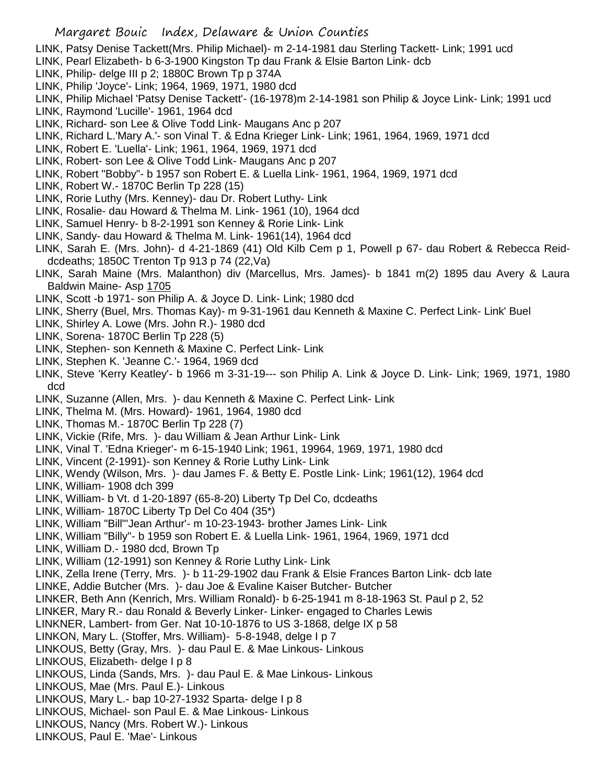- LINK, Patsy Denise Tackett(Mrs. Philip Michael)- m 2-14-1981 dau Sterling Tackett- Link; 1991 ucd
- LINK, Pearl Elizabeth- b 6-3-1900 Kingston Tp dau Frank & Elsie Barton Link- dcb
- LINK, Philip- delge III p 2; 1880C Brown Tp p 374A
- LINK, Philip 'Joyce'- Link; 1964, 1969, 1971, 1980 dcd
- LINK, Philip Michael 'Patsy Denise Tackett'- (16-1978)m 2-14-1981 son Philip & Joyce Link- Link; 1991 ucd
- LINK, Raymond 'Lucille'- 1961, 1964 dcd
- LINK, Richard- son Lee & Olive Todd Link- Maugans Anc p 207
- LINK, Richard L.'Mary A.'- son Vinal T. & Edna Krieger Link- Link; 1961, 1964, 1969, 1971 dcd
- LINK, Robert E. 'Luella'- Link; 1961, 1964, 1969, 1971 dcd
- LINK, Robert- son Lee & Olive Todd Link- Maugans Anc p 207
- LINK, Robert "Bobby"- b 1957 son Robert E. & Luella Link- 1961, 1964, 1969, 1971 dcd
- LINK, Robert W.- 1870C Berlin Tp 228 (15)
- LINK, Rorie Luthy (Mrs. Kenney)- dau Dr. Robert Luthy- Link
- LINK, Rosalie- dau Howard & Thelma M. Link- 1961 (10), 1964 dcd
- LINK, Samuel Henry- b 8-2-1991 son Kenney & Rorie Link- Link
- LINK, Sandy- dau Howard & Thelma M. Link- 1961(14), 1964 dcd
- LINK, Sarah E. (Mrs. John)- d 4-21-1869 (41) Old Kilb Cem p 1, Powell p 67- dau Robert & Rebecca Reiddcdeaths; 1850C Trenton Tp 913 p 74 (22,Va)
- LINK, Sarah Maine (Mrs. Malanthon) div (Marcellus, Mrs. James)- b 1841 m(2) 1895 dau Avery & Laura Baldwin Maine- Asp 1705
- LINK, Scott -b 1971- son Philip A. & Joyce D. Link- Link; 1980 dcd
- LINK, Sherry (Buel, Mrs. Thomas Kay)- m 9-31-1961 dau Kenneth & Maxine C. Perfect Link- Link' Buel
- LINK, Shirley A. Lowe (Mrs. John R.)- 1980 dcd
- LINK, Sorena- 1870C Berlin Tp 228 (5)
- LINK, Stephen- son Kenneth & Maxine C. Perfect Link- Link
- LINK, Stephen K. 'Jeanne C.'- 1964, 1969 dcd
- LINK, Steve 'Kerry Keatley'- b 1966 m 3-31-19--- son Philip A. Link & Joyce D. Link- Link; 1969, 1971, 1980 dcd
- LINK, Suzanne (Allen, Mrs. )- dau Kenneth & Maxine C. Perfect Link- Link
- LINK, Thelma M. (Mrs. Howard)- 1961, 1964, 1980 dcd
- LINK, Thomas M.- 1870C Berlin Tp 228 (7)
- LINK, Vickie (Rife, Mrs. )- dau William & Jean Arthur Link- Link
- LINK, Vinal T. 'Edna Krieger'- m 6-15-1940 Link; 1961, 19964, 1969, 1971, 1980 dcd
- LINK, Vincent (2-1991)- son Kenney & Rorie Luthy Link- Link
- LINK, Wendy (Wilson, Mrs. )- dau James F. & Betty E. Postle Link- Link; 1961(12), 1964 dcd
- LINK, William- 1908 dch 399
- LINK, William- b Vt. d 1-20-1897 (65-8-20) Liberty Tp Del Co, dcdeaths
- LINK, William- 1870C Liberty Tp Del Co 404 (35\*)
- LINK, William "Bill"'Jean Arthur'- m 10-23-1943- brother James Link- Link
- LINK, William "Billy"- b 1959 son Robert E. & Luella Link- 1961, 1964, 1969, 1971 dcd
- LINK, William D.- 1980 dcd, Brown Tp
- LINK, William (12-1991) son Kenney & Rorie Luthy Link- Link
- LINK, Zella Irene (Terry, Mrs. )- b 11-29-1902 dau Frank & Elsie Frances Barton Link- dcb late LINKE, Addie Butcher (Mrs. )- dau Joe & Evaline Kaiser Butcher- Butcher
- 
- LINKER, Beth Ann (Kenrich, Mrs. William Ronald)- b 6-25-1941 m 8-18-1963 St. Paul p 2, 52
- LINKER, Mary R.- dau Ronald & Beverly Linker- Linker- engaged to Charles Lewis
- LINKNER, Lambert- from Ger. Nat 10-10-1876 to US 3-1868, delge IX p 58
- LINKON, Mary L. (Stoffer, Mrs. William)- 5-8-1948, delge I p 7
- LINKOUS, Betty (Gray, Mrs. )- dau Paul E. & Mae Linkous- Linkous
- LINKOUS, Elizabeth- delge I p 8
- LINKOUS, Linda (Sands, Mrs. )- dau Paul E. & Mae Linkous- Linkous
- LINKOUS, Mae (Mrs. Paul E.)- Linkous
- LINKOUS, Mary L.- bap 10-27-1932 Sparta- delge I p 8
- LINKOUS, Michael- son Paul E. & Mae Linkous- Linkous
- LINKOUS, Nancy (Mrs. Robert W.)- Linkous
- LINKOUS, Paul E. 'Mae'- Linkous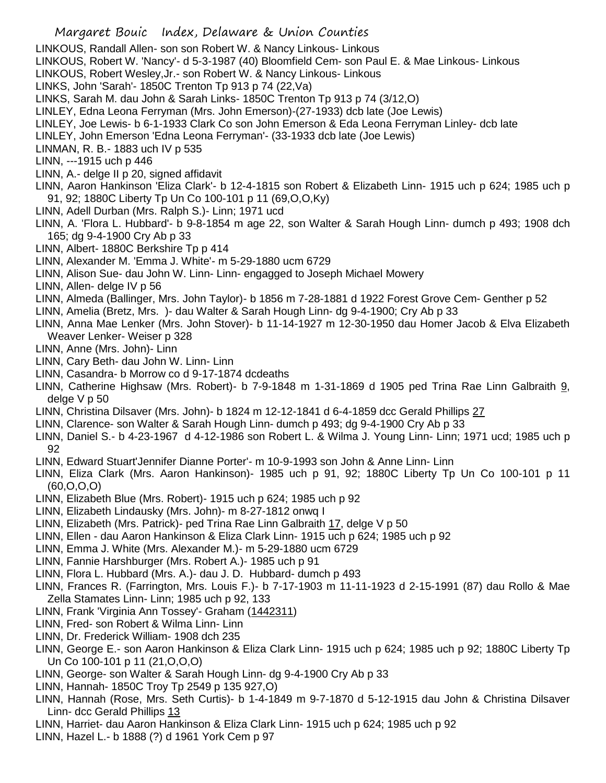- Margaret Bouic Index, Delaware & Union Counties
- LINKOUS, Randall Allen- son son Robert W. & Nancy Linkous- Linkous
- LINKOUS, Robert W. 'Nancy'- d 5-3-1987 (40) Bloomfield Cem- son Paul E. & Mae Linkous- Linkous
- LINKOUS, Robert Wesley,Jr.- son Robert W. & Nancy Linkous- Linkous
- LINKS, John 'Sarah'- 1850C Trenton Tp 913 p 74 (22,Va)
- LINKS, Sarah M. dau John & Sarah Links- 1850C Trenton Tp 913 p 74 (3/12,O)
- LINLEY, Edna Leona Ferryman (Mrs. John Emerson)-(27-1933) dcb late (Joe Lewis)
- LINLEY, Joe Lewis- b 6-1-1933 Clark Co son John Emerson & Eda Leona Ferryman Linley- dcb late
- LINLEY, John Emerson 'Edna Leona Ferryman'- (33-1933 dcb late (Joe Lewis)
- LINMAN, R. B.- 1883 uch IV p 535
- LINN, ---1915 uch p 446
- LINN, A.- delge II p 20, signed affidavit
- LINN, Aaron Hankinson 'Eliza Clark'- b 12-4-1815 son Robert & Elizabeth Linn- 1915 uch p 624; 1985 uch p 91, 92; 1880C Liberty Tp Un Co 100-101 p 11 (69,O,O,Ky)
- LINN, Adell Durban (Mrs. Ralph S.)- Linn; 1971 ucd
- LINN, A. 'Flora L. Hubbard'- b 9-8-1854 m age 22, son Walter & Sarah Hough Linn- dumch p 493; 1908 dch 165; dg 9-4-1900 Cry Ab p 33
- LINN, Albert- 1880C Berkshire Tp p 414
- LINN, Alexander M. 'Emma J. White'- m 5-29-1880 ucm 6729
- LINN, Alison Sue- dau John W. Linn- Linn- engagged to Joseph Michael Mowery
- LINN, Allen- delge IV p 56
- LINN, Almeda (Ballinger, Mrs. John Taylor)- b 1856 m 7-28-1881 d 1922 Forest Grove Cem- Genther p 52
- LINN, Amelia (Bretz, Mrs. )- dau Walter & Sarah Hough Linn- dg 9-4-1900; Cry Ab p 33
- LINN, Anna Mae Lenker (Mrs. John Stover)- b 11-14-1927 m 12-30-1950 dau Homer Jacob & Elva Elizabeth Weaver Lenker- Weiser p 328
- LINN, Anne (Mrs. John)- Linn
- LINN, Cary Beth- dau John W. Linn- Linn
- LINN, Casandra- b Morrow co d 9-17-1874 dcdeaths
- LINN, Catherine Highsaw (Mrs. Robert)- b 7-9-1848 m 1-31-1869 d 1905 ped Trina Rae Linn Galbraith 9, delge V p 50
- LINN, Christina Dilsaver (Mrs. John)- b 1824 m 12-12-1841 d 6-4-1859 dcc Gerald Phillips 27
- LINN, Clarence- son Walter & Sarah Hough Linn- dumch p 493; dg 9-4-1900 Cry Ab p 33
- LINN, Daniel S.- b 4-23-1967 d 4-12-1986 son Robert L. & Wilma J. Young Linn- Linn; 1971 ucd; 1985 uch p 92
- LINN, Edward Stuart'Jennifer Dianne Porter'- m 10-9-1993 son John & Anne Linn- Linn
- LINN, Eliza Clark (Mrs. Aaron Hankinson)- 1985 uch p 91, 92; 1880C Liberty Tp Un Co 100-101 p 11 (60,O,O,O)
- LINN, Elizabeth Blue (Mrs. Robert)- 1915 uch p 624; 1985 uch p 92
- LINN, Elizabeth Lindausky (Mrs. John)- m 8-27-1812 onwq I
- LINN, Elizabeth (Mrs. Patrick)- ped Trina Rae Linn Galbraith 17, delge V p 50
- LINN, Ellen dau Aaron Hankinson & Eliza Clark Linn- 1915 uch p 624; 1985 uch p 92
- LINN, Emma J. White (Mrs. Alexander M.)- m 5-29-1880 ucm 6729
- LINN, Fannie Harshburger (Mrs. Robert A.)- 1985 uch p 91
- LINN, Flora L. Hubbard (Mrs. A.)- dau J. D. Hubbard- dumch p 493
- LINN, Frances R. (Farrington, Mrs. Louis F.)- b 7-17-1903 m 11-11-1923 d 2-15-1991 (87) dau Rollo & Mae Zella Stamates Linn- Linn; 1985 uch p 92, 133
- LINN, Frank 'Virginia Ann Tossey'- Graham (1442311)
- LINN, Fred- son Robert & Wilma Linn- Linn
- LINN, Dr. Frederick William- 1908 dch 235
- LINN, George E.- son Aaron Hankinson & Eliza Clark Linn- 1915 uch p 624; 1985 uch p 92; 1880C Liberty Tp Un Co 100-101 p 11 (21,O,O,O)
- LINN, George- son Walter & Sarah Hough Linn- dg 9-4-1900 Cry Ab p 33
- LINN, Hannah- 1850C Troy Tp 2549 p 135 927,O)
- LINN, Hannah (Rose, Mrs. Seth Curtis)- b 1-4-1849 m 9-7-1870 d 5-12-1915 dau John & Christina Dilsaver Linn- dcc Gerald Phillips 13
- LINN, Harriet- dau Aaron Hankinson & Eliza Clark Linn- 1915 uch p 624; 1985 uch p 92
- LINN, Hazel L.- b 1888 (?) d 1961 York Cem p 97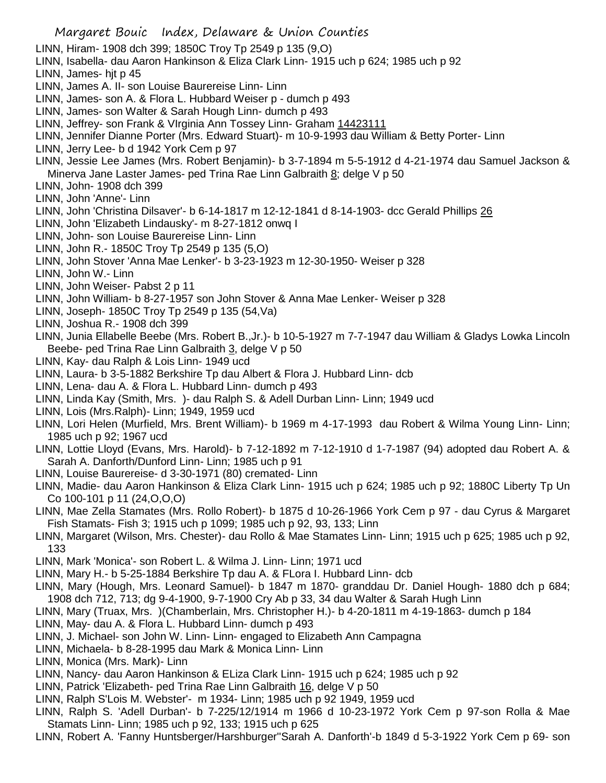- Margaret Bouic Index, Delaware & Union Counties LINN, Hiram- 1908 dch 399; 1850C Troy Tp 2549 p 135 (9,O) LINN, Isabella- dau Aaron Hankinson & Eliza Clark Linn- 1915 uch p 624; 1985 uch p 92 LINN, James- hjt p 45 LINN, James A. II- son Louise Baurereise Linn- Linn LINN, James- son A. & Flora L. Hubbard Weiser p - dumch p 493 LINN, James- son Walter & Sarah Hough Linn- dumch p 493 LINN, Jeffrey- son Frank & VIrginia Ann Tossey Linn- Graham 14423111 LINN, Jennifer Dianne Porter (Mrs. Edward Stuart)- m 10-9-1993 dau William & Betty Porter- Linn LINN, Jerry Lee- b d 1942 York Cem p 97 LINN, Jessie Lee James (Mrs. Robert Benjamin)- b 3-7-1894 m 5-5-1912 d 4-21-1974 dau Samuel Jackson & Minerva Jane Laster James- ped Trina Rae Linn Galbraith 8; delge V p 50 LINN, John- 1908 dch 399 LINN, John 'Anne'- Linn LINN, John 'Christina Dilsaver'- b 6-14-1817 m 12-12-1841 d 8-14-1903- dcc Gerald Phillips 26 LINN, John 'Elizabeth Lindausky'- m 8-27-1812 onwq I LINN, John- son Louise Baurereise Linn- Linn LINN, John R.- 1850C Troy Tp 2549 p 135 (5,O) LINN, John Stover 'Anna Mae Lenker'- b 3-23-1923 m 12-30-1950- Weiser p 328 LINN, John W.- Linn LINN, John Weiser- Pabst 2 p 11 LINN, John William- b 8-27-1957 son John Stover & Anna Mae Lenker- Weiser p 328 LINN, Joseph- 1850C Troy Tp 2549 p 135 (54,Va) LINN, Joshua R.- 1908 dch 399 LINN, Junia Ellabelle Beebe (Mrs. Robert B.,Jr.)- b 10-5-1927 m 7-7-1947 dau William & Gladys Lowka Lincoln Beebe- ped Trina Rae Linn Galbraith 3, delge V p 50 LINN, Kay- dau Ralph & Lois Linn- 1949 ucd LINN, Laura- b 3-5-1882 Berkshire Tp dau Albert & Flora J. Hubbard Linn- dcb LINN, Lena- dau A. & Flora L. Hubbard Linn- dumch p 493 LINN, Linda Kay (Smith, Mrs. )- dau Ralph S. & Adell Durban Linn- Linn; 1949 ucd LINN, Lois (Mrs.Ralph)- Linn; 1949, 1959 ucd LINN, Lori Helen (Murfield, Mrs. Brent William)- b 1969 m 4-17-1993 dau Robert & Wilma Young Linn- Linn; 1985 uch p 92; 1967 ucd LINN, Lottie Lloyd (Evans, Mrs. Harold)- b 7-12-1892 m 7-12-1910 d 1-7-1987 (94) adopted dau Robert A. & Sarah A. Danforth/Dunford Linn- Linn; 1985 uch p 91 LINN, Louise Baurereise- d 3-30-1971 (80) cremated- Linn LINN, Madie- dau Aaron Hankinson & Eliza Clark Linn- 1915 uch p 624; 1985 uch p 92; 1880C Liberty Tp Un Co 100-101 p 11 (24,O,O,O) LINN, Mae Zella Stamates (Mrs. Rollo Robert)- b 1875 d 10-26-1966 York Cem p 97 - dau Cyrus & Margaret Fish Stamats- Fish 3; 1915 uch p 1099; 1985 uch p 92, 93, 133; Linn LINN, Margaret (Wilson, Mrs. Chester)- dau Rollo & Mae Stamates Linn- Linn; 1915 uch p 625; 1985 uch p 92, 133 LINN, Mark 'Monica'- son Robert L. & Wilma J. Linn- Linn; 1971 ucd LINN, Mary H.- b 5-25-1884 Berkshire Tp dau A. & FLora I. Hubbard Linn- dcb LINN, Mary (Hough, Mrs. Leonard Samuel)- b 1847 m 1870- granddau Dr. Daniel Hough- 1880 dch p 684; 1908 dch 712, 713; dg 9-4-1900, 9-7-1900 Cry Ab p 33, 34 dau Walter & Sarah Hugh Linn
- LINN, Mary (Truax, Mrs. )(Chamberlain, Mrs. Christopher H.)- b 4-20-1811 m 4-19-1863- dumch p 184
- LINN, May- dau A. & Flora L. Hubbard Linn- dumch p 493 LINN, J. Michael- son John W. Linn- Linn- engaged to Elizabeth Ann Campagna
- LINN, Michaela- b 8-28-1995 dau Mark & Monica Linn- Linn
- LINN, Monica (Mrs. Mark)- Linn
- LINN, Nancy- dau Aaron Hankinson & ELiza Clark Linn- 1915 uch p 624; 1985 uch p 92
- LINN, Patrick 'Elizabeth- ped Trina Rae Linn Galbraith 16, delge V p 50
- LINN, Ralph S'Lois M. Webster'- m 1934- Linn; 1985 uch p 92 1949, 1959 ucd
- LINN, Ralph S. 'Adell Durban'- b 7-225/12/1914 m 1966 d 10-23-1972 York Cem p 97-son Rolla & Mae Stamats Linn- Linn; 1985 uch p 92, 133; 1915 uch p 625
- LINN, Robert A. 'Fanny Huntsberger/Harshburger''Sarah A. Danforth'-b 1849 d 5-3-1922 York Cem p 69- son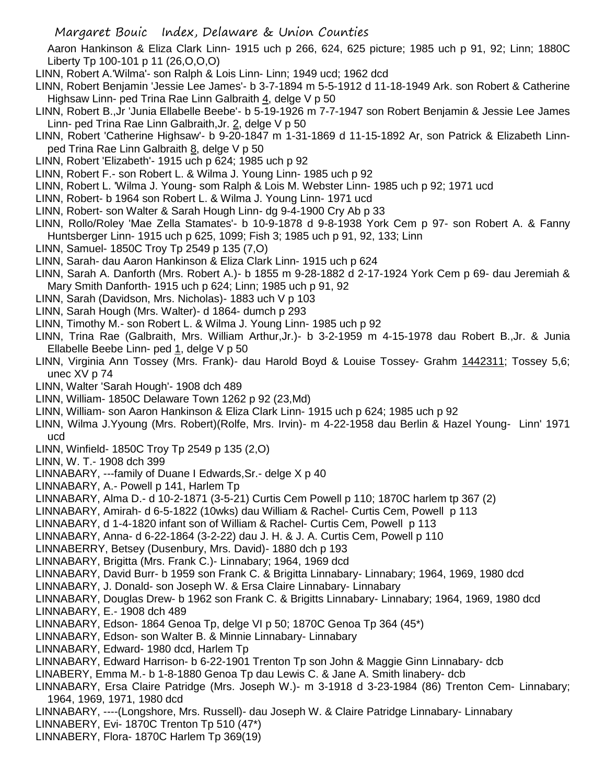Aaron Hankinson & Eliza Clark Linn- 1915 uch p 266, 624, 625 picture; 1985 uch p 91, 92; Linn; 1880C Liberty Tp 100-101 p 11 (26,O,O,O)

- LINN, Robert A.'Wilma'- son Ralph & Lois Linn- Linn; 1949 ucd; 1962 dcd
- LINN, Robert Benjamin 'Jessie Lee James'- b 3-7-1894 m 5-5-1912 d 11-18-1949 Ark. son Robert & Catherine Highsaw Linn- ped Trina Rae Linn Galbraith 4, delge V p 50
- LINN, Robert B.,Jr 'Junia Ellabelle Beebe'- b 5-19-1926 m 7-7-1947 son Robert Benjamin & Jessie Lee James Linn- ped Trina Rae Linn Galbraith, Jr. 2, delge V p 50
- LINN, Robert 'Catherine Highsaw'- b 9-20-1847 m 1-31-1869 d 11-15-1892 Ar, son Patrick & Elizabeth Linnped Trina Rae Linn Galbraith 8, delge V p 50
- LINN, Robert 'Elizabeth'- 1915 uch p 624; 1985 uch p 92
- LINN, Robert F.- son Robert L. & Wilma J. Young Linn- 1985 uch p 92
- LINN, Robert L. 'Wilma J. Young- som Ralph & Lois M. Webster Linn- 1985 uch p 92; 1971 ucd
- LINN, Robert- b 1964 son Robert L. & Wilma J. Young Linn- 1971 ucd
- LINN, Robert- son Walter & Sarah Hough Linn- dg 9-4-1900 Cry Ab p 33
- LINN, Rollo/Roley 'Mae Zella Stamates'- b 10-9-1878 d 9-8-1938 York Cem p 97- son Robert A. & Fanny Huntsberger Linn- 1915 uch p 625, 1099; Fish 3; 1985 uch p 91, 92, 133; Linn
- LINN, Samuel- 1850C Troy Tp 2549 p 135 (7,O)
- LINN, Sarah- dau Aaron Hankinson & Eliza Clark Linn- 1915 uch p 624
- LINN, Sarah A. Danforth (Mrs. Robert A.)- b 1855 m 9-28-1882 d 2-17-1924 York Cem p 69- dau Jeremiah & Mary Smith Danforth- 1915 uch p 624; Linn; 1985 uch p 91, 92
- LINN, Sarah (Davidson, Mrs. Nicholas)- 1883 uch V p 103
- LINN, Sarah Hough (Mrs. Walter)- d 1864- dumch p 293
- LINN, Timothy M.- son Robert L. & Wilma J. Young Linn- 1985 uch p 92
- LINN, Trina Rae (Galbraith, Mrs. William Arthur,Jr.)- b 3-2-1959 m 4-15-1978 dau Robert B.,Jr. & Junia Ellabelle Beebe Linn- ped 1, delge V p 50
- LINN, Virginia Ann Tossey (Mrs. Frank)- dau Harold Boyd & Louise Tossey- Grahm 1442311; Tossey 5,6; unec XV p 74
- LINN, Walter 'Sarah Hough'- 1908 dch 489
- LINN, William- 1850C Delaware Town 1262 p 92 (23,Md)
- LINN, William- son Aaron Hankinson & Eliza Clark Linn- 1915 uch p 624; 1985 uch p 92
- LINN, Wilma J.Yyoung (Mrs. Robert)(Rolfe, Mrs. Irvin)- m 4-22-1958 dau Berlin & Hazel Young- Linn' 1971 ucd
- LINN, Winfield- 1850C Troy Tp 2549 p 135 (2,O)
- LINN, W. T.- 1908 dch 399
- LINNABARY, ---family of Duane I Edwards,Sr.- delge X p 40
- LINNABARY, A.- Powell p 141, Harlem Tp
- LINNABARY, Alma D.- d 10-2-1871 (3-5-21) Curtis Cem Powell p 110; 1870C harlem tp 367 (2)
- LINNABARY, Amirah- d 6-5-1822 (10wks) dau William & Rachel- Curtis Cem, Powell p 113
- LINNABARY, d 1-4-1820 infant son of William & Rachel- Curtis Cem, Powell p 113
- LINNABARY, Anna- d 6-22-1864 (3-2-22) dau J. H. & J. A. Curtis Cem, Powell p 110
- LINNABERRY, Betsey (Dusenbury, Mrs. David)- 1880 dch p 193
- LINNABARY, Brigitta (Mrs. Frank C.)- Linnabary; 1964, 1969 dcd
- LINNABARY, David Burr- b 1959 son Frank C. & Brigitta Linnabary- Linnabary; 1964, 1969, 1980 dcd
- LINNABARY, J. Donald- son Joseph W. & Ersa Claire Linnabary- Linnabary
- LINNABARY, Douglas Drew- b 1962 son Frank C. & Brigitts Linnabary- Linnabary; 1964, 1969, 1980 dcd LINNABARY, E.- 1908 dch 489
- LINNABARY, Edson- 1864 Genoa Tp, delge VI p 50; 1870C Genoa Tp 364 (45\*)
- LINNABARY, Edson- son Walter B. & Minnie Linnabary- Linnabary
- LINNABARY, Edward- 1980 dcd, Harlem Tp
- LINNABARY, Edward Harrison- b 6-22-1901 Trenton Tp son John & Maggie Ginn Linnabary- dcb
- LINABERY, Emma M.- b 1-8-1880 Genoa Tp dau Lewis C. & Jane A. Smith linabery- dcb
- LINNABARY, Ersa Claire Patridge (Mrs. Joseph W.)- m 3-1918 d 3-23-1984 (86) Trenton Cem- Linnabary; 1964, 1969, 1971, 1980 dcd
- LINNABARY, ----(Longshore, Mrs. Russell)- dau Joseph W. & Claire Patridge Linnabary- Linnabary
- LINNABERY, Evi- 1870C Trenton Tp 510 (47\*)
- LINNABERY, Flora- 1870C Harlem Tp 369(19)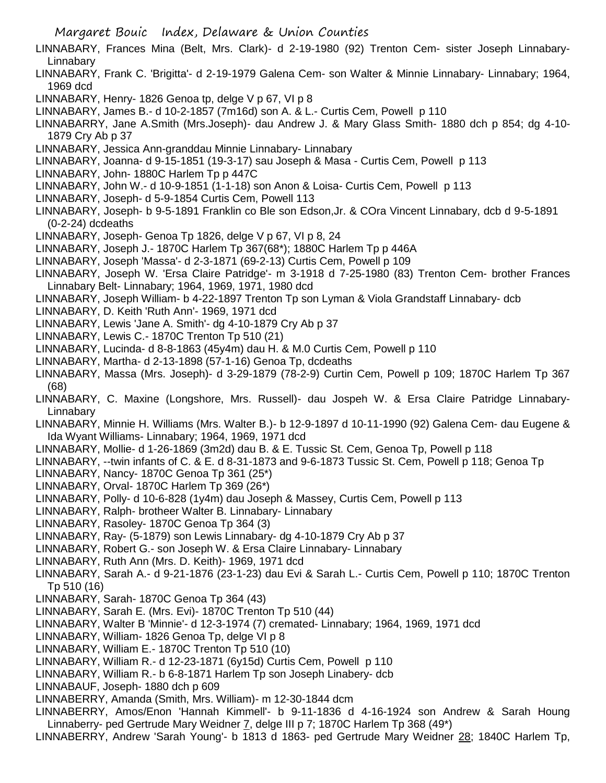- LINNABARY, Frances Mina (Belt, Mrs. Clark)- d 2-19-1980 (92) Trenton Cem- sister Joseph Linnabary-Linnabary
- LINNABARY, Frank C. 'Brigitta'- d 2-19-1979 Galena Cem- son Walter & Minnie Linnabary- Linnabary; 1964, 1969 dcd
- LINNABARY, Henry- 1826 Genoa tp, delge V p 67, VI p 8
- LINNABARY, James B.- d 10-2-1857 (7m16d) son A. & L.- Curtis Cem, Powell p 110
- LINNABARRY, Jane A.Smith (Mrs.Joseph)- dau Andrew J. & Mary Glass Smith- 1880 dch p 854; dg 4-10- 1879 Cry Ab p 37
- LINNABARY, Jessica Ann-granddau Minnie Linnabary- Linnabary
- LINNABARY, Joanna- d 9-15-1851 (19-3-17) sau Joseph & Masa Curtis Cem, Powell p 113
- LINNABARY, John- 1880C Harlem Tp p 447C
- LINNABARY, John W.- d 10-9-1851 (1-1-18) son Anon & Loisa- Curtis Cem, Powell p 113
- LINNABARY, Joseph- d 5-9-1854 Curtis Cem, Powell 113
- LINNABARY, Joseph- b 9-5-1891 Franklin co Ble son Edson,Jr. & COra Vincent Linnabary, dcb d 9-5-1891 (0-2-24) dcdeaths
- LINNABARY, Joseph- Genoa Tp 1826, delge V p 67, VI p 8, 24
- LINNABARY, Joseph J.- 1870C Harlem Tp 367(68\*); 1880C Harlem Tp p 446A
- LINNABARY, Joseph 'Massa'- d 2-3-1871 (69-2-13) Curtis Cem, Powell p 109
- LINNABARY, Joseph W. 'Ersa Claire Patridge'- m 3-1918 d 7-25-1980 (83) Trenton Cem- brother Frances Linnabary Belt- Linnabary; 1964, 1969, 1971, 1980 dcd
- LINNABARY, Joseph William- b 4-22-1897 Trenton Tp son Lyman & Viola Grandstaff Linnabary- dcb
- LINNABARY, D. Keith 'Ruth Ann'- 1969, 1971 dcd
- LINNABARY, Lewis 'Jane A. Smith'- dg 4-10-1879 Cry Ab p 37
- LINNABARY, Lewis C.- 1870C Trenton Tp 510 (21)
- LINNABARY, Lucinda- d 8-8-1863 (45y4m) dau H. & M.0 Curtis Cem, Powell p 110
- LINNABARY, Martha- d 2-13-1898 (57-1-16) Genoa Tp, dcdeaths
- LINNABARY, Massa (Mrs. Joseph)- d 3-29-1879 (78-2-9) Curtin Cem, Powell p 109; 1870C Harlem Tp 367 (68)
- LINNABARY, C. Maxine (Longshore, Mrs. Russell)- dau Jospeh W. & Ersa Claire Patridge Linnabary-Linnabary
- LINNABARY, Minnie H. Williams (Mrs. Walter B.)- b 12-9-1897 d 10-11-1990 (92) Galena Cem- dau Eugene & Ida Wyant Williams- Linnabary; 1964, 1969, 1971 dcd
- LINNABARY, Mollie- d 1-26-1869 (3m2d) dau B. & E. Tussic St. Cem, Genoa Tp, Powell p 118
- LINNABARY, --twin infants of C. & E. d 8-31-1873 and 9-6-1873 Tussic St. Cem, Powell p 118; Genoa Tp
- LINNABARY, Nancy- 1870C Genoa Tp 361 (25\*)
- LINNABARY, Orval- 1870C Harlem Tp 369 (26\*)
- LINNABARY, Polly- d 10-6-828 (1y4m) dau Joseph & Massey, Curtis Cem, Powell p 113
- LINNABARY, Ralph- brotheer Walter B. Linnabary- Linnabary
- LINNABARY, Rasoley- 1870C Genoa Tp 364 (3)
- LINNABARY, Ray- (5-1879) son Lewis Linnabary- dg 4-10-1879 Cry Ab p 37
- LINNABARY, Robert G.- son Joseph W. & Ersa Claire Linnabary- Linnabary
- LINNABARY, Ruth Ann (Mrs. D. Keith)- 1969, 1971 dcd
- LINNABARY, Sarah A.- d 9-21-1876 (23-1-23) dau Evi & Sarah L.- Curtis Cem, Powell p 110; 1870C Trenton Tp 510 (16)
- LINNABARY, Sarah- 1870C Genoa Tp 364 (43)
- LINNABARY, Sarah E. (Mrs. Evi)- 1870C Trenton Tp 510 (44)
- LINNABARY, Walter B 'Minnie'- d 12-3-1974 (7) cremated- Linnabary; 1964, 1969, 1971 dcd
- LINNABARY, William- 1826 Genoa Tp, delge VI p 8
- LINNABARY, William E.- 1870C Trenton Tp 510 (10)
- LINNABARY, William R.- d 12-23-1871 (6y15d) Curtis Cem, Powell p 110
- LINNABARY, William R.- b 6-8-1871 Harlem Tp son Joseph Linabery- dcb
- LINNABAUF, Joseph- 1880 dch p 609
- LINNABERRY, Amanda (Smith, Mrs. William)- m 12-30-1844 dcm
- LINNABERRY, Amos/Enon 'Hannah Kimmell'- b 9-11-1836 d 4-16-1924 son Andrew & Sarah Houng Linnaberry- ped Gertrude Mary Weidner 7, delge III p 7; 1870C Harlem Tp 368 (49\*)
- LINNABERRY, Andrew 'Sarah Young'- b 1813 d 1863- ped Gertrude Mary Weidner 28; 1840C Harlem Tp,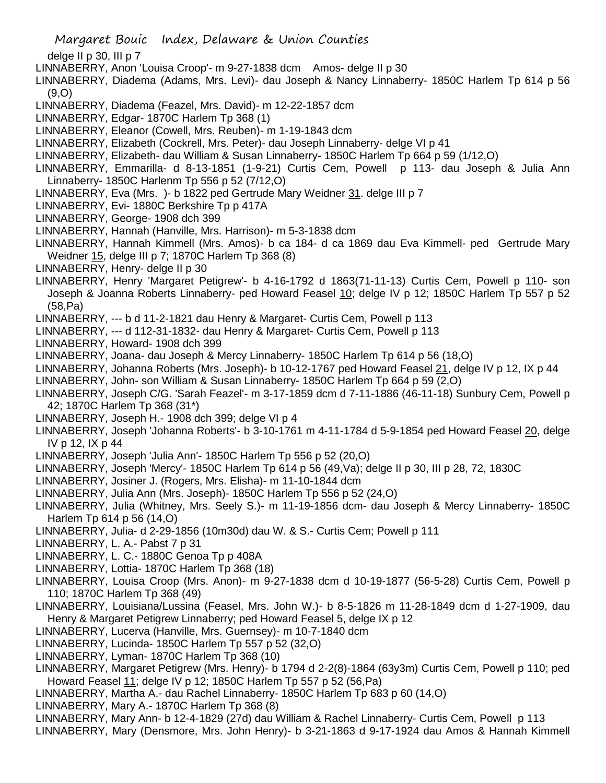- delge II p 30, III p 7
- LINNABERRY, Anon 'Louisa Croop'- m 9-27-1838 dcm Amos- delge II p 30
- LINNABERRY, Diadema (Adams, Mrs. Levi)- dau Joseph & Nancy Linnaberry- 1850C Harlem Tp 614 p 56 (9,O)
- LINNABERRY, Diadema (Feazel, Mrs. David)- m 12-22-1857 dcm
- LINNABERRY, Edgar- 1870C Harlem Tp 368 (1)
- LINNABERRY, Eleanor (Cowell, Mrs. Reuben)- m 1-19-1843 dcm
- LINNABERRY, Elizabeth (Cockrell, Mrs. Peter)- dau Joseph Linnaberry- delge VI p 41
- LINNABERRY, Elizabeth- dau William & Susan Linnaberry- 1850C Harlem Tp 664 p 59 (1/12,O)
- LINNABERRY, Emmarilla- d 8-13-1851 (1-9-21) Curtis Cem, Powell p 113- dau Joseph & Julia Ann Linnaberry- 1850C Harlenm Tp 556 p 52 (7/12,O)
- LINNABERRY, Eva (Mrs. )- b 1822 ped Gertrude Mary Weidner 31. delge III p 7
- LINNABERRY, Evi- 1880C Berkshire Tp p 417A
- LINNABERRY, George- 1908 dch 399
- LINNABERRY, Hannah (Hanville, Mrs. Harrison)- m 5-3-1838 dcm
- LINNABERRY, Hannah Kimmell (Mrs. Amos)- b ca 184- d ca 1869 dau Eva Kimmell- ped Gertrude Mary Weidner 15, delge III p 7; 1870C Harlem Tp 368 (8)
- LINNABERRY, Henry- delge II p 30
- LINNABERRY, Henry 'Margaret Petigrew'- b 4-16-1792 d 1863(71-11-13) Curtis Cem, Powell p 110- son Joseph & Joanna Roberts Linnaberry- ped Howard Feasel 10; delge IV p 12; 1850C Harlem Tp 557 p 52 (58,Pa)
- LINNABERRY, --- b d 11-2-1821 dau Henry & Margaret- Curtis Cem, Powell p 113
- LINNABERRY, --- d 112-31-1832- dau Henry & Margaret- Curtis Cem, Powell p 113
- LINNABERRY, Howard- 1908 dch 399
- LINNABERRY, Joana- dau Joseph & Mercy Linnaberry- 1850C Harlem Tp 614 p 56 (18,O)
- LINNABERRY, Johanna Roberts (Mrs. Joseph)- b 10-12-1767 ped Howard Feasel 21, delge IV p 12, IX p 44
- LINNABERRY, John- son William & Susan Linnaberry- 1850C Harlem Tp 664 p 59 (2,O)
- LINNABERRY, Joseph C/G. 'Sarah Feazel'- m 3-17-1859 dcm d 7-11-1886 (46-11-18) Sunbury Cem, Powell p 42; 1870C Harlem Tp 368 (31\*)
- LINNABERRY, Joseph H.- 1908 dch 399; delge VI p 4
- LINNABERRY, Joseph 'Johanna Roberts'- b 3-10-1761 m 4-11-1784 d 5-9-1854 ped Howard Feasel 20, delge IV p 12, IX p 44
- LINNABERRY, Joseph 'Julia Ann'- 1850C Harlem Tp 556 p 52 (20,O)
- LINNABERRY, Joseph 'Mercy'- 1850C Harlem Tp 614 p 56 (49,Va); delge II p 30, III p 28, 72, 1830C
- LINNABERRY, Josiner J. (Rogers, Mrs. Elisha)- m 11-10-1844 dcm
- LINNABERRY, Julia Ann (Mrs. Joseph)- 1850C Harlem Tp 556 p 52 (24,O)
- LINNABERRY, Julia (Whitney, Mrs. Seely S.)- m 11-19-1856 dcm- dau Joseph & Mercy Linnaberry- 1850C Harlem Tp 614 p 56 (14,O)
- LINNABERRY, Julia- d 2-29-1856 (10m30d) dau W. & S.- Curtis Cem; Powell p 111
- LINNABERRY, L. A.- Pabst 7 p 31
- LINNABERRY, L. C.- 1880C Genoa Tp p 408A
- LINNABERRY, Lottia- 1870C Harlem Tp 368 (18)
- LINNABERRY, Louisa Croop (Mrs. Anon)- m 9-27-1838 dcm d 10-19-1877 (56-5-28) Curtis Cem, Powell p 110; 1870C Harlem Tp 368 (49)
- LINNABERRY, Louisiana/Lussina (Feasel, Mrs. John W.)- b 8-5-1826 m 11-28-1849 dcm d 1-27-1909, dau Henry & Margaret Petigrew Linnaberry; ped Howard Feasel 5, delge IX p 12
- LINNABERRY, Lucerva (Hanville, Mrs. Guernsey)- m 10-7-1840 dcm
- LINNABERRY, Lucinda- 1850C Harlem Tp 557 p 52 (32,O)
- LINNABERRY, Lyman- 1870C Harlem Tp 368 (10)
- LINNABERRY, Margaret Petigrew (Mrs. Henry)- b 1794 d 2-2(8)-1864 (63y3m) Curtis Cem, Powell p 110; ped Howard Feasel 11; delge IV p 12; 1850C Harlem Tp 557 p 52 (56,Pa)
- LINNABERRY, Martha A.- dau Rachel Linnaberry- 1850C Harlem Tp 683 p 60 (14,O)
- LINNABERRY, Mary A.- 1870C Harlem Tp 368 (8)
- LINNABERRY, Mary Ann- b 12-4-1829 (27d) dau William & Rachel Linnaberry- Curtis Cem, Powell p 113 LINNABERRY, Mary (Densmore, Mrs. John Henry)- b 3-21-1863 d 9-17-1924 dau Amos & Hannah Kimmell

Margaret Bouic Index, Delaware & Union Counties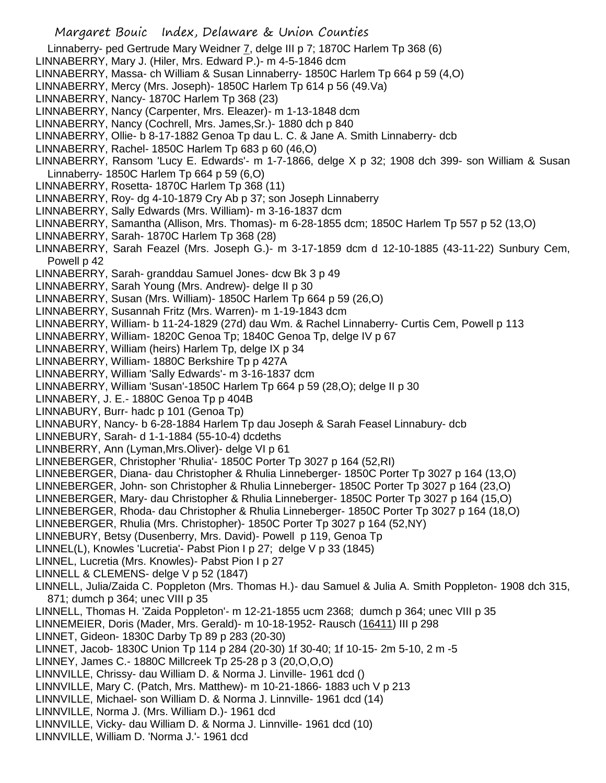Margaret Bouic Index, Delaware & Union Counties Linnaberry- ped Gertrude Mary Weidner 7, delge III p 7; 1870C Harlem Tp 368 (6) LINNABERRY, Mary J. (Hiler, Mrs. Edward P.)- m 4-5-1846 dcm LINNABERRY, Massa- ch William & Susan Linnaberry- 1850C Harlem Tp 664 p 59 (4,O) LINNABERRY, Mercy (Mrs. Joseph)- 1850C Harlem Tp 614 p 56 (49.Va) LINNABERRY, Nancy- 1870C Harlem Tp 368 (23) LINNABERRY, Nancy (Carpenter, Mrs. Eleazer)- m 1-13-1848 dcm LINNABERRY, Nancy (Cochrell, Mrs. James,Sr.)- 1880 dch p 840 LINNABERRY, Ollie- b 8-17-1882 Genoa Tp dau L. C. & Jane A. Smith Linnaberry- dcb LINNABERRY, Rachel- 1850C Harlem Tp 683 p 60 (46,O) LINNABERRY, Ransom 'Lucy E. Edwards'- m 1-7-1866, delge X p 32; 1908 dch 399- son William & Susan Linnaberry- 1850C Harlem Tp 664 p 59 (6,O) LINNABERRY, Rosetta- 1870C Harlem Tp 368 (11) LINNABERRY, Roy- dg 4-10-1879 Cry Ab p 37; son Joseph Linnaberry LINNABERRY, Sally Edwards (Mrs. William)- m 3-16-1837 dcm LINNABERRY, Samantha (Allison, Mrs. Thomas)- m 6-28-1855 dcm; 1850C Harlem Tp 557 p 52 (13,O) LINNABERRY, Sarah- 1870C Harlem Tp 368 (28) LINNABERRY, Sarah Feazel (Mrs. Joseph G.)- m 3-17-1859 dcm d 12-10-1885 (43-11-22) Sunbury Cem, Powell p 42 LINNABERRY, Sarah- granddau Samuel Jones- dcw Bk 3 p 49 LINNABERRY, Sarah Young (Mrs. Andrew)- delge II p 30 LINNABERRY, Susan (Mrs. William)- 1850C Harlem Tp 664 p 59 (26,O) LINNABERRY, Susannah Fritz (Mrs. Warren)- m 1-19-1843 dcm LINNABERRY, William- b 11-24-1829 (27d) dau Wm. & Rachel Linnaberry- Curtis Cem, Powell p 113 LINNABERRY, William- 1820C Genoa Tp; 1840C Genoa Tp, delge IV p 67 LINNABERRY, William (heirs) Harlem Tp, delge IX p 34 LINNABERRY, William- 1880C Berkshire Tp p 427A LINNABERRY, William 'Sally Edwards'- m 3-16-1837 dcm LINNABERRY, William 'Susan'-1850C Harlem Tp 664 p 59 (28,O); delge II p 30 LINNABERY, J. E.- 1880C Genoa Tp p 404B LINNABURY, Burr- hadc p 101 (Genoa Tp) LINNABURY, Nancy- b 6-28-1884 Harlem Tp dau Joseph & Sarah Feasel Linnabury- dcb LINNEBURY, Sarah- d 1-1-1884 (55-10-4) dcdeths LINNBERRY, Ann (Lyman,Mrs.Oliver)- delge VI p 61 LINNEBERGER, Christopher 'Rhulia'- 1850C Porter Tp 3027 p 164 (52,RI) LINNEBERGER, Diana- dau Christopher & Rhulia Linneberger- 1850C Porter Tp 3027 p 164 (13,O) LINNEBERGER, John- son Christopher & Rhulia Linneberger- 1850C Porter Tp 3027 p 164 (23,O) LINNEBERGER, Mary- dau Christopher & Rhulia Linneberger- 1850C Porter Tp 3027 p 164 (15,O) LINNEBERGER, Rhoda- dau Christopher & Rhulia Linneberger- 1850C Porter Tp 3027 p 164 (18,O) LINNEBERGER, Rhulia (Mrs. Christopher)- 1850C Porter Tp 3027 p 164 (52,NY) LINNEBURY, Betsy (Dusenberry, Mrs. David)- Powell p 119, Genoa Tp LINNEL(L), Knowles 'Lucretia'- Pabst Pion I p 27; delge V p 33 (1845) LINNEL, Lucretia (Mrs. Knowles)- Pabst Pion I p 27 LINNELL & CLEMENS- delge V p 52 (1847) LINNELL, Julia/Zaida C. Poppleton (Mrs. Thomas H.)- dau Samuel & Julia A. Smith Poppleton- 1908 dch 315, 871; dumch p 364; unec VIII p 35 LINNELL, Thomas H. 'Zaida Poppleton'- m 12-21-1855 ucm 2368; dumch p 364; unec VIII p 35 LINNEMEIER, Doris (Mader, Mrs. Gerald)- m 10-18-1952- Rausch (16411) III p 298 LINNET, Gideon- 1830C Darby Tp 89 p 283 (20-30) LINNET, Jacob- 1830C Union Tp 114 p 284 (20-30) 1f 30-40; 1f 10-15- 2m 5-10, 2 m -5 LINNEY, James C.- 1880C Millcreek Tp 25-28 p 3 (20,O,O,O) LINNVILLE, Chrissy- dau William D. & Norma J. Linville- 1961 dcd () LINNVILLE, Mary C. (Patch, Mrs. Matthew)- m 10-21-1866- 1883 uch V p 213 LINNVILLE, Michael- son William D. & Norma J. Linnville- 1961 dcd (14) LINNVILLE, Norma J. (Mrs. William D.)- 1961 dcd LINNVILLE, Vicky- dau William D. & Norma J. Linnville- 1961 dcd (10) LINNVILLE, William D. 'Norma J.'- 1961 dcd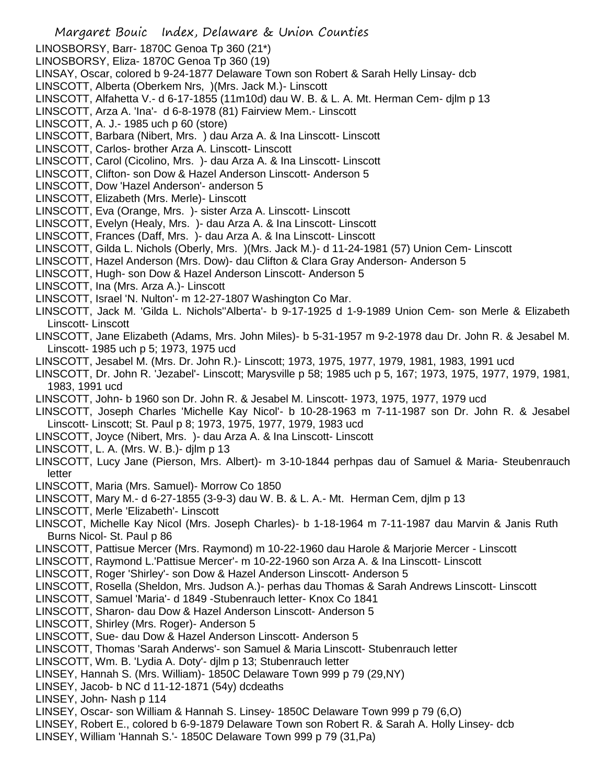- Margaret Bouic Index, Delaware & Union Counties
- LINOSBORSY, Barr- 1870C Genoa Tp 360 (21\*)
- LINOSBORSY, Eliza- 1870C Genoa Tp 360 (19)
- LINSAY, Oscar, colored b 9-24-1877 Delaware Town son Robert & Sarah Helly Linsay- dcb
- LINSCOTT, Alberta (Oberkem Nrs, )(Mrs. Jack M.)- Linscott
- LINSCOTT, Alfahetta V.- d 6-17-1855 (11m10d) dau W. B. & L. A. Mt. Herman Cem- djlm p 13
- LINSCOTT, Arza A. 'Ina'- d 6-8-1978 (81) Fairview Mem.- Linscott
- LINSCOTT, A. J.- 1985 uch p 60 (store)
- LINSCOTT, Barbara (Nibert, Mrs. ) dau Arza A. & Ina Linscott- Linscott
- LINSCOTT, Carlos- brother Arza A. Linscott- Linscott
- LINSCOTT, Carol (Cicolino, Mrs. )- dau Arza A. & Ina Linscott- Linscott
- LINSCOTT, Clifton- son Dow & Hazel Anderson Linscott- Anderson 5
- LINSCOTT, Dow 'Hazel Anderson'- anderson 5
- LINSCOTT, Elizabeth (Mrs. Merle)- Linscott
- LINSCOTT, Eva (Orange, Mrs. )- sister Arza A. Linscott- Linscott
- LINSCOTT, Evelyn (Healy, Mrs. )- dau Arza A. & Ina Linscott- Linscott
- LINSCOTT, Frances (Daff, Mrs. )- dau Arza A. & Ina Linscott- Linscott
- LINSCOTT, Gilda L. Nichols (Oberly, Mrs. )(Mrs. Jack M.)- d 11-24-1981 (57) Union Cem- Linscott
- LINSCOTT, Hazel Anderson (Mrs. Dow)- dau Clifton & Clara Gray Anderson- Anderson 5
- LINSCOTT, Hugh- son Dow & Hazel Anderson Linscott- Anderson 5
- LINSCOTT, Ina (Mrs. Arza A.)- Linscott
- LINSCOTT, Israel 'N. Nulton'- m 12-27-1807 Washington Co Mar.
- LINSCOTT, Jack M. 'Gilda L. Nichols''Alberta'- b 9-17-1925 d 1-9-1989 Union Cem- son Merle & Elizabeth Linscott- Linscott
- LINSCOTT, Jane Elizabeth (Adams, Mrs. John Miles)- b 5-31-1957 m 9-2-1978 dau Dr. John R. & Jesabel M. Linscott- 1985 uch p 5; 1973, 1975 ucd
- LINSCOTT, Jesabel M. (Mrs. Dr. John R.)- Linscott; 1973, 1975, 1977, 1979, 1981, 1983, 1991 ucd
- LINSCOTT, Dr. John R. 'Jezabel'- Linscott; Marysville p 58; 1985 uch p 5, 167; 1973, 1975, 1977, 1979, 1981, 1983, 1991 ucd
- LINSCOTT, John- b 1960 son Dr. John R. & Jesabel M. Linscott- 1973, 1975, 1977, 1979 ucd
- LINSCOTT, Joseph Charles 'Michelle Kay Nicol'- b 10-28-1963 m 7-11-1987 son Dr. John R. & Jesabel Linscott- Linscott; St. Paul p 8; 1973, 1975, 1977, 1979, 1983 ucd
- LINSCOTT, Joyce (Nibert, Mrs. )- dau Arza A. & Ina Linscott- Linscott
- LINSCOTT, L. A. (Mrs. W. B.)- djlm p 13
- LINSCOTT, Lucy Jane (Pierson, Mrs. Albert)- m 3-10-1844 perhpas dau of Samuel & Maria- Steubenrauch letter
- LINSCOTT, Maria (Mrs. Samuel)- Morrow Co 1850
- LINSCOTT, Mary M.- d 6-27-1855 (3-9-3) dau W. B. & L. A.- Mt. Herman Cem, djlm p 13
- LINSCOTT, Merle 'Elizabeth'- Linscott
- LINSCOT, Michelle Kay Nicol (Mrs. Joseph Charles)- b 1-18-1964 m 7-11-1987 dau Marvin & Janis Ruth Burns Nicol- St. Paul p 86
- LINSCOTT, Pattisue Mercer (Mrs. Raymond) m 10-22-1960 dau Harole & Marjorie Mercer Linscott
- LINSCOTT, Raymond L.'Pattisue Mercer'- m 10-22-1960 son Arza A. & Ina Linscott- Linscott
- LINSCOTT, Roger 'Shirley'- son Dow & Hazel Anderson Linscott- Anderson 5
- LINSCOTT, Rosella (Sheldon, Mrs. Judson A.)- perhas dau Thomas & Sarah Andrews Linscott- Linscott
- LINSCOTT, Samuel 'Maria'- d 1849 -Stubenrauch letter- Knox Co 1841
- LINSCOTT, Sharon- dau Dow & Hazel Anderson Linscott- Anderson 5
- LINSCOTT, Shirley (Mrs. Roger)- Anderson 5
- LINSCOTT, Sue- dau Dow & Hazel Anderson Linscott- Anderson 5
- LINSCOTT, Thomas 'Sarah Anderws'- son Samuel & Maria Linscott- Stubenrauch letter
- LINSCOTT, Wm. B. 'Lydia A. Doty'- djlm p 13; Stubenrauch letter
- LINSEY, Hannah S. (Mrs. William)- 1850C Delaware Town 999 p 79 (29,NY)
- LINSEY, Jacob- b NC d 11-12-1871 (54y) dcdeaths
- LINSEY, John- Nash p 114
- LINSEY, Oscar- son William & Hannah S. Linsey- 1850C Delaware Town 999 p 79 (6,O)
- LINSEY, Robert E., colored b 6-9-1879 Delaware Town son Robert R. & Sarah A. Holly Linsey- dcb
- LINSEY, William 'Hannah S.'- 1850C Delaware Town 999 p 79 (31,Pa)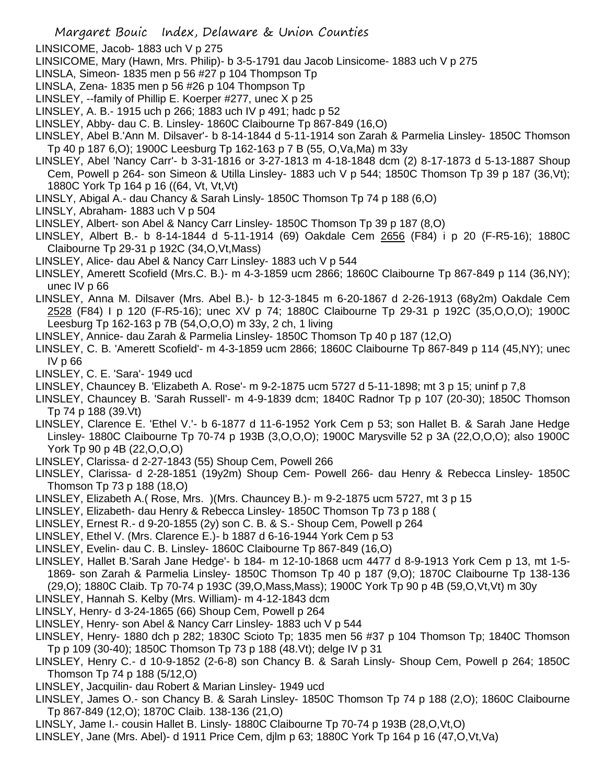- LINSICOME, Jacob- 1883 uch V p 275
- LINSICOME, Mary (Hawn, Mrs. Philip)- b 3-5-1791 dau Jacob Linsicome- 1883 uch V p 275
- LINSLA, Simeon- 1835 men p 56 #27 p 104 Thompson Tp
- LINSLA, Zena- 1835 men p 56 #26 p 104 Thompson Tp
- LINSLEY, --family of Phillip E. Koerper #277, unec X p 25
- LINSLEY, A. B.- 1915 uch p 266; 1883 uch IV p 491; hadc p 52
- LINSLEY, Abby- dau C. B. Linsley- 1860C Claibourne Tp 867-849 (16,O)
- LINSLEY, Abel B.'Ann M. Dilsaver'- b 8-14-1844 d 5-11-1914 son Zarah & Parmelia Linsley- 1850C Thomson Tp 40 p 187 6,O); 1900C Leesburg Tp 162-163 p 7 B (55, O,Va,Ma) m 33y
- LINSLEY, Abel 'Nancy Carr'- b 3-31-1816 or 3-27-1813 m 4-18-1848 dcm (2) 8-17-1873 d 5-13-1887 Shoup Cem, Powell p 264- son Simeon & Utilla Linsley- 1883 uch V p 544; 1850C Thomson Tp 39 p 187 (36, Vt); 1880C York Tp 164 p 16 ((64, Vt, Vt,Vt)
- LINSLY, Abigal A.- dau Chancy & Sarah Linsly- 1850C Thomson Tp 74 p 188 (6,O)
- LINSLY, Abraham- 1883 uch V p 504
- LINSLEY, Albert- son Abel & Nancy Carr Linsley- 1850C Thomson Tp 39 p 187 (8,O)
- LINSLEY, Albert B.- b 8-14-1844 d 5-11-1914 (69) Oakdale Cem 2656 (F84) i p 20 (F-R5-16); 1880C Claibourne Tp 29-31 p 192C (34,O,Vt,Mass)
- LINSLEY, Alice- dau Abel & Nancy Carr Linsley- 1883 uch V p 544
- LINSLEY, Amerett Scofield (Mrs.C. B.)- m 4-3-1859 ucm 2866; 1860C Claibourne Tp 867-849 p 114 (36,NY); unec IV p 66
- LINSLEY, Anna M. Dilsaver (Mrs. Abel B.)- b 12-3-1845 m 6-20-1867 d 2-26-1913 (68y2m) Oakdale Cem 2528 (F84) I p 120 (F-R5-16); unec XV p 74; 1880C Claibourne Tp 29-31 p 192C (35,O,O,O); 1900C Leesburg Tp 162-163 p 7B (54,O,O,O) m 33y, 2 ch, 1 living
- LINSLEY, Annice- dau Zarah & Parmelia Linsley- 1850C Thomson Tp 40 p 187 (12,O)
- LINSLEY, C. B. 'Amerett Scofield'- m 4-3-1859 ucm 2866; 1860C Claibourne Tp 867-849 p 114 (45,NY); unec IV p 66
- LINSLEY, C. E. 'Sara'- 1949 ucd
- LINSLEY, Chauncey B. 'Elizabeth A. Rose'- m 9-2-1875 ucm 5727 d 5-11-1898; mt 3 p 15; uninf p 7,8
- LINSLEY, Chauncey B. 'Sarah Russell'- m 4-9-1839 dcm; 1840C Radnor Tp p 107 (20-30); 1850C Thomson Tp 74 p 188 (39.Vt)
- LINSLEY, Clarence E. 'Ethel V.'- b 6-1877 d 11-6-1952 York Cem p 53; son Hallet B. & Sarah Jane Hedge Linsley- 1880C Claibourne Tp 70-74 p 193B (3,O,O,O); 1900C Marysville 52 p 3A (22,O,O,O); also 1900C York Tp 90 p 4B (22,O,O,O)
- LINSLEY, Clarissa- d 2-27-1843 (55) Shoup Cem, Powell 266
- LINSLEY, Clarissa- d 2-28-1851 (19y2m) Shoup Cem- Powell 266- dau Henry & Rebecca Linsley- 1850C Thomson Tp 73 p 188 (18,O)
- LINSLEY, Elizabeth A.( Rose, Mrs. )(Mrs. Chauncey B.)- m 9-2-1875 ucm 5727, mt 3 p 15
- LINSLEY, Elizabeth- dau Henry & Rebecca Linsley- 1850C Thomson Tp 73 p 188 (
- LINSLEY, Ernest R.- d 9-20-1855 (2y) son C. B. & S.- Shoup Cem, Powell p 264
- LINSLEY, Ethel V. (Mrs. Clarence E.)- b 1887 d 6-16-1944 York Cem p 53
- LINSLEY, Evelin- dau C. B. Linsley- 1860C Claibourne Tp 867-849 (16,O)
- LINSLEY, Hallet B.'Sarah Jane Hedge'- b 184- m 12-10-1868 ucm 4477 d 8-9-1913 York Cem p 13, mt 1-5- 1869- son Zarah & Parmelia Linsley- 1850C Thomson Tp 40 p 187 (9,O); 1870C Claibourne Tp 138-136 (29,O); 1880C Claib. Tp 70-74 p 193C (39,O,Mass,Mass); 1900C York Tp 90 p 4B (59,O,Vt,Vt) m 30y
- LINSLEY, Hannah S. Kelby (Mrs. William)- m 4-12-1843 dcm
- LINSLY, Henry- d 3-24-1865 (66) Shoup Cem, Powell p 264
- LINSLEY, Henry- son Abel & Nancy Carr Linsley- 1883 uch V p 544
- LINSLEY, Henry- 1880 dch p 282; 1830C Scioto Tp; 1835 men 56 #37 p 104 Thomson Tp; 1840C Thomson Tp p 109 (30-40); 1850C Thomson Tp 73 p 188 (48.Vt); delge IV p 31
- LINSLEY, Henry C.- d 10-9-1852 (2-6-8) son Chancy B. & Sarah Linsly- Shoup Cem, Powell p 264; 1850C Thomson Tp 74 p 188 (5/12,O)
- LINSLEY, Jacquilin- dau Robert & Marian Linsley- 1949 ucd
- LINSLEY, James O.- son Chancy B. & Sarah Linsley- 1850C Thomson Tp 74 p 188 (2,O); 1860C Claibourne Tp 867-849 (12,O); 1870C Claib. 138-136 (21,O)
- LINSLY, Jame I.- cousin Hallet B. Linsly- 1880C Claibourne Tp 70-74 p 193B (28,O,Vt,O)
- LINSLEY, Jane (Mrs. Abel)- d 1911 Price Cem, djlm p 63; 1880C York Tp 164 p 16 (47,O,Vt,Va)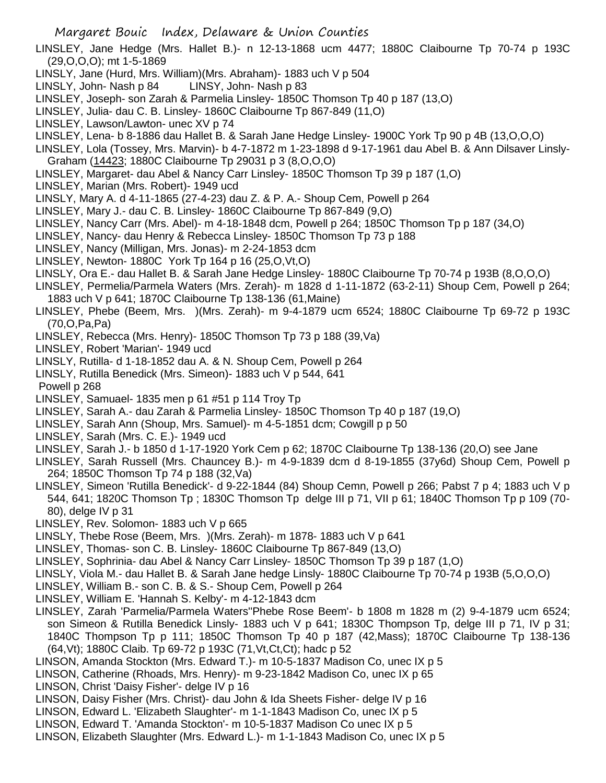LINSLEY, Jane Hedge (Mrs. Hallet B.)- n 12-13-1868 ucm 4477; 1880C Claibourne Tp 70-74 p 193C (29,O,O,O); mt 1-5-1869

- LINSLY, Jane (Hurd, Mrs. William)(Mrs. Abraham)- 1883 uch V p 504
- LINSLY, John- Nash p 84 LINSY, John- Nash p 83
- LINSLEY, Joseph- son Zarah & Parmelia Linsley- 1850C Thomson Tp 40 p 187 (13,O)
- LINSLEY, Julia- dau C. B. Linsley- 1860C Claibourne Tp 867-849 (11,O)
- LINSLEY, Lawson/Lawton- unec XV p 74
- LINSLEY, Lena- b 8-1886 dau Hallet B. & Sarah Jane Hedge Linsley- 1900C York Tp 90 p 4B (13,O,O,O)
- LINSLEY, Lola (Tossey, Mrs. Marvin)- b 4-7-1872 m 1-23-1898 d 9-17-1961 dau Abel B. & Ann Dilsaver Linsly-Graham (14423; 1880C Claibourne Tp 29031 p 3 (8,O,O,O)
- LINSLEY, Margaret- dau Abel & Nancy Carr Linsley- 1850C Thomson Tp 39 p 187 (1,O)
- LINSLEY, Marian (Mrs. Robert)- 1949 ucd
- LINSLY, Mary A. d 4-11-1865 (27-4-23) dau Z. & P. A.- Shoup Cem, Powell p 264
- LINSLEY, Mary J.- dau C. B. Linsley- 1860C Claibourne Tp 867-849 (9,O)
- LINSLEY, Nancy Carr (Mrs. Abel)- m 4-18-1848 dcm, Powell p 264; 1850C Thomson Tp p 187 (34,O)
- LINSLEY, Nancy- dau Henry & Rebecca Linsley- 1850C Thomson Tp 73 p 188
- LINSLEY, Nancy (Milligan, Mrs. Jonas)- m 2-24-1853 dcm
- LINSLEY, Newton- 1880C York Tp 164 p 16 (25,O,Vt,O)
- LINSLY, Ora E.- dau Hallet B. & Sarah Jane Hedge Linsley- 1880C Claibourne Tp 70-74 p 193B (8,O,O,O)
- LINSLEY, Permelia/Parmela Waters (Mrs. Zerah)- m 1828 d 1-11-1872 (63-2-11) Shoup Cem, Powell p 264; 1883 uch V p 641; 1870C Claibourne Tp 138-136 (61,Maine)
- LINSLEY, Phebe (Beem, Mrs. )(Mrs. Zerah)- m 9-4-1879 ucm 6524; 1880C Claibourne Tp 69-72 p 193C (70,O,Pa,Pa)
- LINSLEY, Rebecca (Mrs. Henry)- 1850C Thomson Tp 73 p 188 (39,Va)
- LINSLEY, Robert 'Marian'- 1949 ucd
- LINSLY, Rutilla- d 1-18-1852 dau A. & N. Shoup Cem, Powell p 264
- LINSLY, Rutilla Benedick (Mrs. Simeon)- 1883 uch V p 544, 641
- Powell p 268
- LINSLEY, Samuael- 1835 men p 61 #51 p 114 Troy Tp
- LINSLEY, Sarah A.- dau Zarah & Parmelia Linsley- 1850C Thomson Tp 40 p 187 (19,O)
- LINSLEY, Sarah Ann (Shoup, Mrs. Samuel)- m 4-5-1851 dcm; Cowgill p p 50
- LINSLEY, Sarah (Mrs. C. E.)- 1949 ucd
- LINSLEY, Sarah J.- b 1850 d 1-17-1920 York Cem p 62; 1870C Claibourne Tp 138-136 (20,O) see Jane
- LINSLEY, Sarah Russell (Mrs. Chauncey B.)- m 4-9-1839 dcm d 8-19-1855 (37y6d) Shoup Cem, Powell p 264; 1850C Thomson Tp 74 p 188 (32,Va)
- LINSLEY, Simeon 'Rutilla Benedick'- d 9-22-1844 (84) Shoup Cemn, Powell p 266; Pabst 7 p 4; 1883 uch V p 544, 641; 1820C Thomson Tp ; 1830C Thomson Tp delge III p 71, VII p 61; 1840C Thomson Tp p 109 (70- 80), delge IV p 31
- LINSLEY, Rev. Solomon- 1883 uch V p 665
- LINSLY, Thebe Rose (Beem, Mrs. )(Mrs. Zerah)- m 1878- 1883 uch V p 641
- LINSLEY, Thomas- son C. B. Linsley- 1860C Claibourne Tp 867-849 (13,O)
- LINSLEY, Sophrinia- dau Abel & Nancy Carr Linsley- 1850C Thomson Tp 39 p 187 (1,O)
- LINSLY, Viola M.- dau Hallet B. & Sarah Jane hedge Linsly- 1880C Claibourne Tp 70-74 p 193B (5,O,O,O)
- LINSLEY, William B.- son C. B. & S.- Shoup Cem, Powell p 264
- LINSLEY, William E. 'Hannah S. Kelby'- m 4-12-1843 dcm
- LINSLEY, Zarah 'Parmelia/Parmela Waters''Phebe Rose Beem'- b 1808 m 1828 m (2) 9-4-1879 ucm 6524; son Simeon & Rutilla Benedick Linsly- 1883 uch V p 641; 1830C Thompson Tp, delge III p 71, IV p 31; 1840C Thompson Tp p 111; 1850C Thomson Tp 40 p 187 (42,Mass); 1870C Claibourne Tp 138-136 (64,Vt); 1880C Claib. Tp 69-72 p 193C (71,Vt,Ct,Ct); hadc p 52
- LINSON, Amanda Stockton (Mrs. Edward T.)- m 10-5-1837 Madison Co, unec IX p 5
- LINSON, Catherine (Rhoads, Mrs. Henry)- m 9-23-1842 Madison Co, unec IX p 65
- LINSON, Christ 'Daisy Fisher'- delge IV p 16
- LINSON, Daisy Fisher (Mrs. Christ)- dau John & Ida Sheets Fisher- delge IV p 16
- LINSON, Edward L. 'Elizabeth Slaughter'- m 1-1-1843 Madison Co, unec IX p 5
- LINSON, Edward T. 'Amanda Stockton'- m 10-5-1837 Madison Co unec IX p 5
- LINSON, Elizabeth Slaughter (Mrs. Edward L.)- m 1-1-1843 Madison Co, unec IX p 5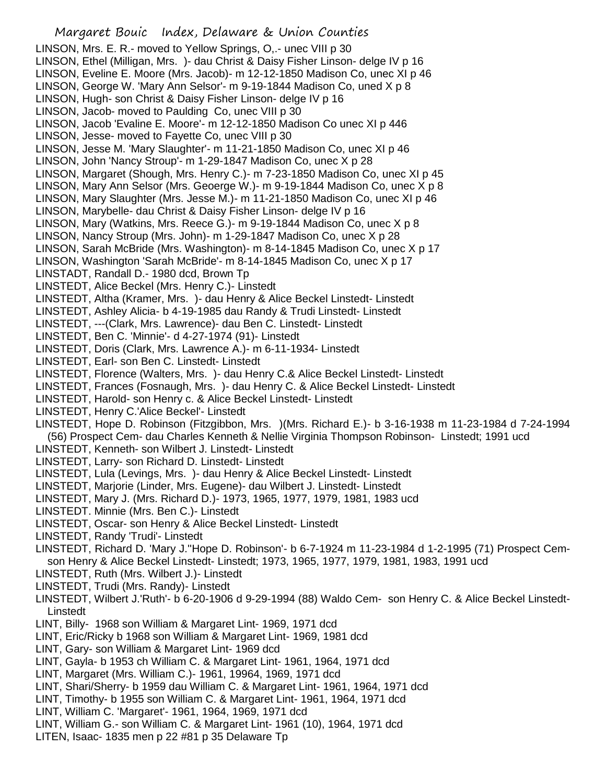## Margaret Bouic Index, Delaware & Union Counties LINSON, Mrs. E. R.- moved to Yellow Springs, O,.- unec VIII p 30 LINSON, Ethel (Milligan, Mrs. )- dau Christ & Daisy Fisher Linson- delge IV p 16 LINSON, Eveline E. Moore (Mrs. Jacob)- m 12-12-1850 Madison Co, unec XI p 46 LINSON, George W. 'Mary Ann Selsor'- m 9-19-1844 Madison Co, uned X p 8 LINSON, Hugh- son Christ & Daisy Fisher Linson- delge IV p 16 LINSON, Jacob- moved to Paulding Co, unec VIII p 30 LINSON, Jacob 'Evaline E. Moore'- m 12-12-1850 Madison Co unec XI p 446 LINSON, Jesse- moved to Fayette Co, unec VIII p 30 LINSON, Jesse M. 'Mary Slaughter'- m 11-21-1850 Madison Co, unec XI p 46 LINSON, John 'Nancy Stroup'- m 1-29-1847 Madison Co, unec X p 28 LINSON, Margaret (Shough, Mrs. Henry C.)- m 7-23-1850 Madison Co, unec XI p 45 LINSON, Mary Ann Selsor (Mrs. Geoerge W.)- m 9-19-1844 Madison Co, unec X p 8 LINSON, Mary Slaughter (Mrs. Jesse M.)- m 11-21-1850 Madison Co, unec XI p 46 LINSON, Marybelle- dau Christ & Daisy Fisher Linson- delge IV p 16 LINSON, Mary (Watkins, Mrs. Reece G.)- m 9-19-1844 Madison Co, unec X p 8 LINSON, Nancy Stroup (Mrs. John)- m 1-29-1847 Madison Co, unec X p 28 LINSON, Sarah McBride (Mrs. Washington)- m 8-14-1845 Madison Co, unec X p 17 LINSON, Washington 'Sarah McBride'- m 8-14-1845 Madison Co, unec X p 17 LINSTADT, Randall D.- 1980 dcd, Brown Tp LINSTEDT, Alice Beckel (Mrs. Henry C.)- Linstedt LINSTEDT, Altha (Kramer, Mrs. )- dau Henry & Alice Beckel Linstedt- Linstedt LINSTEDT, Ashley Alicia- b 4-19-1985 dau Randy & Trudi Linstedt- Linstedt LINSTEDT, ---(Clark, Mrs. Lawrence)- dau Ben C. Linstedt- Linstedt LINSTEDT, Ben C. 'Minnie'- d 4-27-1974 (91)- Linstedt LINSTEDT, Doris (Clark, Mrs. Lawrence A.)- m 6-11-1934- Linstedt LINSTEDT, Earl- son Ben C. Linstedt- Linstedt LINSTEDT, Florence (Walters, Mrs. )- dau Henry C.& Alice Beckel Linstedt- Linstedt LINSTEDT, Frances (Fosnaugh, Mrs. )- dau Henry C. & Alice Beckel Linstedt- Linstedt LINSTEDT, Harold- son Henry c. & Alice Beckel Linstedt- Linstedt LINSTEDT, Henry C.'Alice Beckel'- Linstedt LINSTEDT, Hope D. Robinson (Fitzgibbon, Mrs. )(Mrs. Richard E.)- b 3-16-1938 m 11-23-1984 d 7-24-1994 (56) Prospect Cem- dau Charles Kenneth & Nellie Virginia Thompson Robinson- Linstedt; 1991 ucd LINSTEDT, Kenneth- son Wilbert J. Linstedt- Linstedt LINSTEDT, Larry- son Richard D. Linstedt- Linstedt LINSTEDT, Lula (Levings, Mrs. )- dau Henry & Alice Beckel Linstedt- Linstedt LINSTEDT, Marjorie (Linder, Mrs. Eugene)- dau Wilbert J. Linstedt- Linstedt LINSTEDT, Mary J. (Mrs. Richard D.)- 1973, 1965, 1977, 1979, 1981, 1983 ucd LINSTEDT. Minnie (Mrs. Ben C.)- Linstedt LINSTEDT, Oscar- son Henry & Alice Beckel Linstedt- Linstedt LINSTEDT, Randy 'Trudi'- Linstedt LINSTEDT, Richard D. 'Mary J.''Hope D. Robinson'- b 6-7-1924 m 11-23-1984 d 1-2-1995 (71) Prospect Cemson Henry & Alice Beckel Linstedt- Linstedt; 1973, 1965, 1977, 1979, 1981, 1983, 1991 ucd LINSTEDT, Ruth (Mrs. Wilbert J.)- Linstedt LINSTEDT, Trudi (Mrs. Randy)- Linstedt LINSTEDT, Wilbert J.'Ruth'- b 6-20-1906 d 9-29-1994 (88) Waldo Cem- son Henry C. & Alice Beckel Linstedt-Linstedt LINT, Billy- 1968 son William & Margaret Lint- 1969, 1971 dcd LINT, Eric/Ricky b 1968 son William & Margaret Lint- 1969, 1981 dcd LINT, Gary- son William & Margaret Lint- 1969 dcd LINT, Gayla- b 1953 ch William C. & Margaret Lint- 1961, 1964, 1971 dcd LINT, Margaret (Mrs. William C.)- 1961, 19964, 1969, 1971 dcd LINT, Shari/Sherry- b 1959 dau William C. & Margaret Lint- 1961, 1964, 1971 dcd LINT, Timothy- b 1955 son William C. & Margaret Lint- 1961, 1964, 1971 dcd LINT, William C. 'Margaret'- 1961, 1964, 1969, 1971 dcd LINT, William G.- son William C. & Margaret Lint- 1961 (10), 1964, 1971 dcd

LITEN, Isaac- 1835 men p 22 #81 p 35 Delaware Tp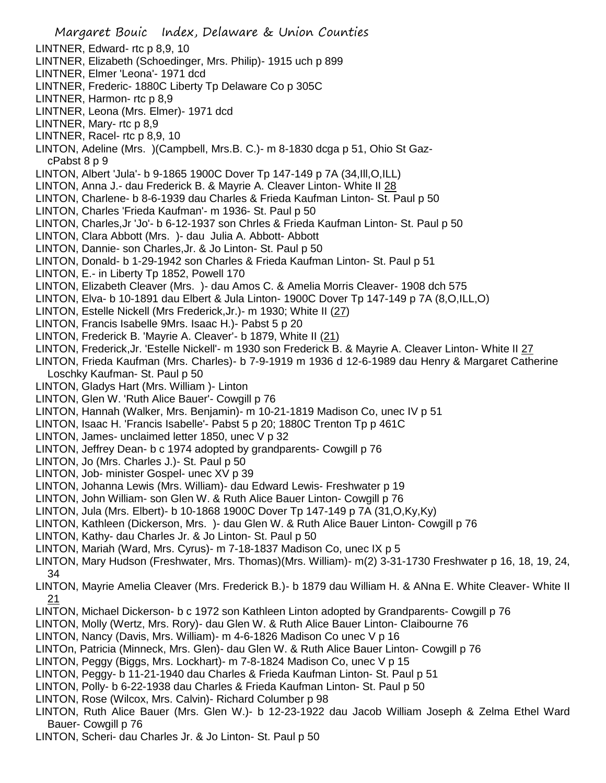- Margaret Bouic Index, Delaware & Union Counties LINTNER, Edward- rtc p 8,9, 10 LINTNER, Elizabeth (Schoedinger, Mrs. Philip)- 1915 uch p 899 LINTNER, Elmer 'Leona'- 1971 dcd LINTNER, Frederic- 1880C Liberty Tp Delaware Co p 305C LINTNER, Harmon- rtc p 8,9 LINTNER, Leona (Mrs. Elmer)- 1971 dcd LINTNER, Mary- rtc p 8,9 LINTNER, Racel- rtc p 8,9, 10 LINTON, Adeline (Mrs. )(Campbell, Mrs.B. C.)- m 8-1830 dcga p 51, Ohio St GazcPabst 8 p 9 LINTON, Albert 'Jula'- b 9-1865 1900C Dover Tp 147-149 p 7A (34,Ill,O,ILL) LINTON, Anna J.- dau Frederick B. & Mayrie A. Cleaver Linton- White II 28 LINTON, Charlene- b 8-6-1939 dau Charles & Frieda Kaufman Linton- St. Paul p 50 LINTON, Charles 'Frieda Kaufman'- m 1936- St. Paul p 50 LINTON, Charles,Jr 'Jo'- b 6-12-1937 son Chrles & Frieda Kaufman Linton- St. Paul p 50 LINTON, Clara Abbott (Mrs. )- dau Julia A. Abbott- Abbott LINTON, Dannie- son Charles,Jr. & Jo Linton- St. Paul p 50 LINTON, Donald- b 1-29-1942 son Charles & Frieda Kaufman Linton- St. Paul p 51 LINTON, E.- in Liberty Tp 1852, Powell 170 LINTON, Elizabeth Cleaver (Mrs. )- dau Amos C. & Amelia Morris Cleaver- 1908 dch 575 LINTON, Elva- b 10-1891 dau Elbert & Jula Linton- 1900C Dover Tp 147-149 p 7A (8,O,ILL,O) LINTON, Estelle Nickell (Mrs Frederick,Jr.)- m 1930; White II (27) LINTON, Francis Isabelle 9Mrs. Isaac H.)- Pabst 5 p 20 LINTON, Frederick B. 'Mayrie A. Cleaver'- b 1879, White II (21) LINTON, Frederick,Jr. 'Estelle Nickell'- m 1930 son Frederick B. & Mayrie A. Cleaver Linton- White II 27 LINTON, Frieda Kaufman (Mrs. Charles)- b 7-9-1919 m 1936 d 12-6-1989 dau Henry & Margaret Catherine Loschky Kaufman- St. Paul p 50 LINTON, Gladys Hart (Mrs. William )- Linton LINTON, Glen W. 'Ruth Alice Bauer'- Cowgill p 76 LINTON, Hannah (Walker, Mrs. Benjamin)- m 10-21-1819 Madison Co, unec IV p 51 LINTON, Isaac H. 'Francis Isabelle'- Pabst 5 p 20; 1880C Trenton Tp p 461C LINTON, James- unclaimed letter 1850, unec V p 32 LINTON, Jeffrey Dean- b c 1974 adopted by grandparents- Cowgill p 76 LINTON, Jo (Mrs. Charles J.)- St. Paul p 50 LINTON, Job- minister Gospel- unec XV p 39 LINTON, Johanna Lewis (Mrs. William)- dau Edward Lewis- Freshwater p 19 LINTON, John William- son Glen W. & Ruth Alice Bauer Linton- Cowgill p 76 LINTON, Jula (Mrs. Elbert)- b 10-1868 1900C Dover Tp 147-149 p 7A (31,O,Ky,Ky) LINTON, Kathleen (Dickerson, Mrs. )- dau Glen W. & Ruth Alice Bauer Linton- Cowgill p 76 LINTON, Kathy- dau Charles Jr. & Jo Linton- St. Paul p 50 LINTON, Mariah (Ward, Mrs. Cyrus)- m 7-18-1837 Madison Co, unec IX p 5 LINTON, Mary Hudson (Freshwater, Mrs. Thomas)(Mrs. William)- m(2) 3-31-1730 Freshwater p 16, 18, 19, 24, 34 LINTON, Mayrie Amelia Cleaver (Mrs. Frederick B.)- b 1879 dau William H. & ANna E. White Cleaver- White II 21 LINTON, Michael Dickerson- b c 1972 son Kathleen Linton adopted by Grandparents- Cowgill p 76 LINTON, Molly (Wertz, Mrs. Rory)- dau Glen W. & Ruth Alice Bauer Linton- Claibourne 76 LINTON, Nancy (Davis, Mrs. William)- m 4-6-1826 Madison Co unec V p 16 LINTOn, Patricia (Minneck, Mrs. Glen)- dau Glen W. & Ruth Alice Bauer Linton- Cowgill p 76 LINTON, Peggy (Biggs, Mrs. Lockhart)- m 7-8-1824 Madison Co, unec V p 15 LINTON, Peggy- b 11-21-1940 dau Charles & Frieda Kaufman Linton- St. Paul p 51 LINTON, Polly- b 6-22-1938 dau Charles & Frieda Kaufman Linton- St. Paul p 50 LINTON, Rose (Wilcox, Mrs. Calvin)- Richard Columber p 98 LINTON, Ruth Alice Bauer (Mrs. Glen W.)- b 12-23-1922 dau Jacob William Joseph & Zelma Ethel Ward Bauer- Cowgill p 76
- LINTON, Scheri- dau Charles Jr. & Jo Linton- St. Paul p 50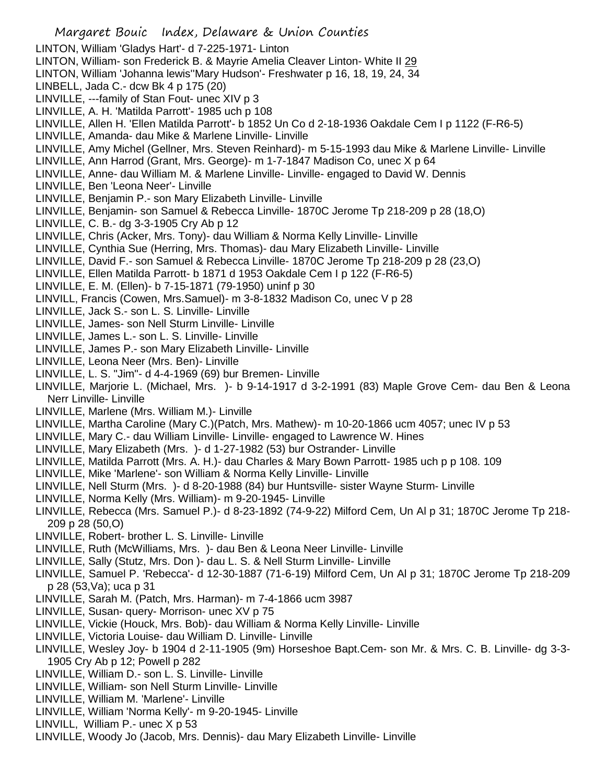- Margaret Bouic Index, Delaware & Union Counties LINTON, William 'Gladys Hart'- d 7-225-1971- Linton LINTON, William- son Frederick B. & Mayrie Amelia Cleaver Linton- White II 29 LINTON, William 'Johanna lewis''Mary Hudson'- Freshwater p 16, 18, 19, 24, 34 LINBELL, Jada C.- dcw Bk 4 p 175 (20) LINVILLE, ---family of Stan Fout- unec XIV p 3 LINVILLE, A. H. 'Matilda Parrott'- 1985 uch p 108 LINVILLE, Allen H. 'Ellen Matilda Parrott'- b 1852 Un Co d 2-18-1936 Oakdale Cem I p 1122 (F-R6-5) LINVILLE, Amanda- dau Mike & Marlene Linville- Linville LINVILLE, Amy Michel (Gellner, Mrs. Steven Reinhard)- m 5-15-1993 dau Mike & Marlene Linville- Linville LINVILLE, Ann Harrod (Grant, Mrs. George)- m 1-7-1847 Madison Co, unec X p 64 LINVILLE, Anne- dau William M. & Marlene Linville- Linville- engaged to David W. Dennis LINVILLE, Ben 'Leona Neer'- Linville LINVILLE, Benjamin P.- son Mary Elizabeth Linville- Linville LINVILLE, Benjamin- son Samuel & Rebecca Linville- 1870C Jerome Tp 218-209 p 28 (18,O) LINVILLE, C. B.- dg 3-3-1905 Cry Ab p 12 LINVILLE, Chris (Acker, Mrs. Tony)- dau William & Norma Kelly Linville- Linville LINVILLE, Cynthia Sue (Herring, Mrs. Thomas)- dau Mary Elizabeth Linville- Linville LINVILLE, David F.- son Samuel & Rebecca Linville- 1870C Jerome Tp 218-209 p 28 (23,O) LINVILLE, Ellen Matilda Parrott- b 1871 d 1953 Oakdale Cem I p 122 (F-R6-5) LINVILLE, E. M. (Ellen)- b 7-15-1871 (79-1950) uninf p 30 LINVILL, Francis (Cowen, Mrs.Samuel)- m 3-8-1832 Madison Co, unec V p 28 LINVILLE, Jack S.- son L. S. Linville- Linville LINVILLE, James- son Nell Sturm Linville- Linville LINVILLE, James L.- son L. S. Linville- Linville LINVILLE, James P.- son Mary Elizabeth Linville- Linville LINVILLE, Leona Neer (Mrs. Ben)- Linville LINVILLE, L. S. "Jim"- d 4-4-1969 (69) bur Bremen- Linville LINVILLE, Marjorie L. (Michael, Mrs. )- b 9-14-1917 d 3-2-1991 (83) Maple Grove Cem- dau Ben & Leona Nerr Linville- Linville LINVILLE, Marlene (Mrs. William M.)- Linville LINVILLE, Martha Caroline (Mary C.)(Patch, Mrs. Mathew)- m 10-20-1866 ucm 4057; unec IV p 53 LINVILLE, Mary C.- dau William Linville- Linville- engaged to Lawrence W. Hines LINVILLE, Mary Elizabeth (Mrs. )- d 1-27-1982 (53) bur Ostrander- Linville LINVILLE, Matilda Parrott (Mrs. A. H.)- dau Charles & Mary Bown Parrott- 1985 uch p p 108. 109 LINVILLE, Mike 'Marlene'- son William & Norma Kelly Linville- Linville LINVILLE, Nell Sturm (Mrs. )- d 8-20-1988 (84) bur Huntsville- sister Wayne Sturm- Linville LINVILLE, Norma Kelly (Mrs. William)- m 9-20-1945- Linville LINVILLE, Rebecca (Mrs. Samuel P.)- d 8-23-1892 (74-9-22) Milford Cem, Un Al p 31; 1870C Jerome Tp 218- 209 p 28 (50,O) LINVILLE, Robert- brother L. S. Linville- Linville LINVILLE, Ruth (McWilliams, Mrs. )- dau Ben & Leona Neer Linville- Linville LINVILLE, Sally (Stutz, Mrs. Don )- dau L. S. & Nell Sturm Linville- Linville LINVILLE, Samuel P. 'Rebecca'- d 12-30-1887 (71-6-19) Milford Cem, Un Al p 31; 1870C Jerome Tp 218-209 p 28 (53,Va); uca p 31 LINVILLE, Sarah M. (Patch, Mrs. Harman)- m 7-4-1866 ucm 3987 LINVILLE, Susan- query- Morrison- unec XV p 75 LINVILLE, Vickie (Houck, Mrs. Bob)- dau William & Norma Kelly Linville- Linville LINVILLE, Victoria Louise- dau William D. Linville- Linville LINVILLE, Wesley Joy- b 1904 d 2-11-1905 (9m) Horseshoe Bapt.Cem- son Mr. & Mrs. C. B. Linville- dg 3-3- 1905 Cry Ab p 12; Powell p 282
- LINVILLE, William D.- son L. S. Linville- Linville
- LINVILLE, William- son Nell Sturm Linville- Linville
- LINVILLE, William M. 'Marlene'- Linville
- LINVILLE, William 'Norma Kelly'- m 9-20-1945- Linville
- LINVILL, William P.- unec X p 53
- LINVILLE, Woody Jo (Jacob, Mrs. Dennis)- dau Mary Elizabeth Linville- Linville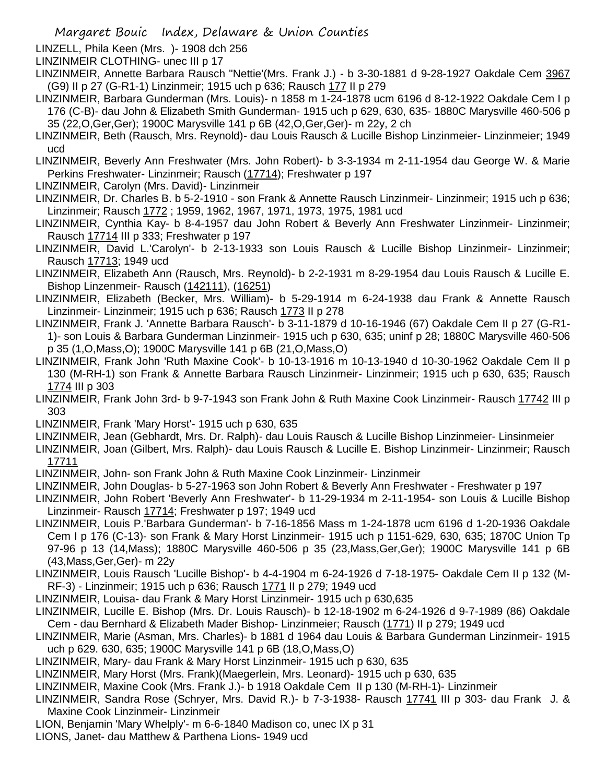- LINZELL, Phila Keen (Mrs. )- 1908 dch 256
- LINZINMEIR CLOTHING- unec III p 17
- LINZINMEIR, Annette Barbara Rausch "Nettie'(Mrs. Frank J.) b 3-30-1881 d 9-28-1927 Oakdale Cem 3967 (G9) II p 27 (G-R1-1) Linzinmeir; 1915 uch p 636; Rausch 177 II p 279
- LINZINMEIR, Barbara Gunderman (Mrs. Louis)- n 1858 m 1-24-1878 ucm 6196 d 8-12-1922 Oakdale Cem I p 176 (C-B)- dau John & Elizabeth Smith Gunderman- 1915 uch p 629, 630, 635- 1880C Marysville 460-506 p 35 (22,O,Ger,Ger); 1900C Marysville 141 p 6B (42,O,Ger,Ger)- m 22y, 2 ch
- LINZINMEIR, Beth (Rausch, Mrs. Reynold)- dau Louis Rausch & Lucille Bishop Linzinmeier- Linzinmeier; 1949 ucd
- LINZINMEIR, Beverly Ann Freshwater (Mrs. John Robert)- b 3-3-1934 m 2-11-1954 dau George W. & Marie Perkins Freshwater- Linzinmeir; Rausch (17714); Freshwater p 197
- LINZINMEIR, Carolyn (Mrs. David)- Linzinmeir
- LINZINMEIR, Dr. Charles B. b 5-2-1910 son Frank & Annette Rausch Linzinmeir- Linzinmeir; 1915 uch p 636; Linzinmeir; Rausch 1772 ; 1959, 1962, 1967, 1971, 1973, 1975, 1981 ucd
- LINZINMEIR, Cynthia Kay- b 8-4-1957 dau John Robert & Beverly Ann Freshwater Linzinmeir- Linzinmeir; Rausch 17714 III p 333; Freshwater p 197
- LINZINMEIR, David L.'Carolyn'- b 2-13-1933 son Louis Rausch & Lucille Bishop Linzinmeir- Linzinmeir; Rausch 17713; 1949 ucd
- LINZINMEIR, Elizabeth Ann (Rausch, Mrs. Reynold)- b 2-2-1931 m 8-29-1954 dau Louis Rausch & Lucille E. Bishop Linzenmeir- Rausch (142111), (16251)
- LINZINMEIR, Elizabeth (Becker, Mrs. William)- b 5-29-1914 m 6-24-1938 dau Frank & Annette Rausch Linzinmeir- Linzinmeir; 1915 uch p 636; Rausch 1773 II p 278
- LINZINMEIR, Frank J. 'Annette Barbara Rausch'- b 3-11-1879 d 10-16-1946 (67) Oakdale Cem II p 27 (G-R1- 1)- son Louis & Barbara Gunderman Linzinmeir- 1915 uch p 630, 635; uninf p 28; 1880C Marysville 460-506 p 35 (1,O,Mass,O); 1900C Marysville 141 p 6B (21,O,Mass,O)
- LINZINMEIR, Frank John 'Ruth Maxine Cook'- b 10-13-1916 m 10-13-1940 d 10-30-1962 Oakdale Cem II p 130 (M-RH-1) son Frank & Annette Barbara Rausch Linzinmeir- Linzinmeir; 1915 uch p 630, 635; Rausch 1774 III p 303
- LINZINMEIR, Frank John 3rd- b 9-7-1943 son Frank John & Ruth Maxine Cook Linzinmeir- Rausch 17742 III p 303
- LINZINMEIR, Frank 'Mary Horst'- 1915 uch p 630, 635
- LINZINMEIR, Jean (Gebhardt, Mrs. Dr. Ralph)- dau Louis Rausch & Lucille Bishop Linzinmeier- Linsinmeier
- LINZINMEIR, Joan (Gilbert, Mrs. Ralph)- dau Louis Rausch & Lucille E. Bishop Linzinmeir- Linzinmeir; Rausch 17711
- LINZINMEIR, John- son Frank John & Ruth Maxine Cook Linzinmeir- Linzinmeir
- LINZINMEIR, John Douglas- b 5-27-1963 son John Robert & Beverly Ann Freshwater Freshwater p 197
- LINZINMEIR, John Robert 'Beverly Ann Freshwater'- b 11-29-1934 m 2-11-1954- son Louis & Lucille Bishop Linzinmeir- Rausch 17714; Freshwater p 197; 1949 ucd
- LINZINMEIR, Louis P.'Barbara Gunderman'- b 7-16-1856 Mass m 1-24-1878 ucm 6196 d 1-20-1936 Oakdale Cem I p 176 (C-13)- son Frank & Mary Horst Linzinmeir- 1915 uch p 1151-629, 630, 635; 1870C Union Tp 97-96 p 13 (14,Mass); 1880C Marysville 460-506 p 35 (23,Mass,Ger,Ger); 1900C Marysville 141 p 6B (43,Mass,Ger,Ger)- m 22y
- LINZINMEIR, Louis Rausch 'Lucille Bishop'- b 4-4-1904 m 6-24-1926 d 7-18-1975- Oakdale Cem II p 132 (M-RF-3) - Linzinmeir; 1915 uch p 636; Rausch 1771 II p 279; 1949 ucd
- LINZINMEIR, Louisa- dau Frank & Mary Horst Linzinmeir- 1915 uch p 630,635
- LINZINMEIR, Lucille E. Bishop (Mrs. Dr. Louis Rausch)- b 12-18-1902 m 6-24-1926 d 9-7-1989 (86) Oakdale Cem - dau Bernhard & Elizabeth Mader Bishop- Linzinmeier; Rausch (1771) II p 279; 1949 ucd
- LINZINMEIR, Marie (Asman, Mrs. Charles)- b 1881 d 1964 dau Louis & Barbara Gunderman Linzinmeir- 1915 uch p 629. 630, 635; 1900C Marysville 141 p 6B (18,O,Mass,O)
- LINZINMEIR, Mary- dau Frank & Mary Horst Linzinmeir- 1915 uch p 630, 635
- LINZINMEIR, Mary Horst (Mrs. Frank)(Maegerlein, Mrs. Leonard)- 1915 uch p 630, 635
- LINZINMEIR, Maxine Cook (Mrs. Frank J.)- b 1918 Oakdale Cem II p 130 (M-RH-1)- Linzinmeir
- LINZINMEIR, Sandra Rose (Schryer, Mrs. David R.)- b 7-3-1938- Rausch 17741 III p 303- dau Frank J. & Maxine Cook Linzinmeir- Linzinmeir
- LION, Benjamin 'Mary Whelply'- m 6-6-1840 Madison co, unec IX p 31
- LIONS, Janet- dau Matthew & Parthena Lions- 1949 ucd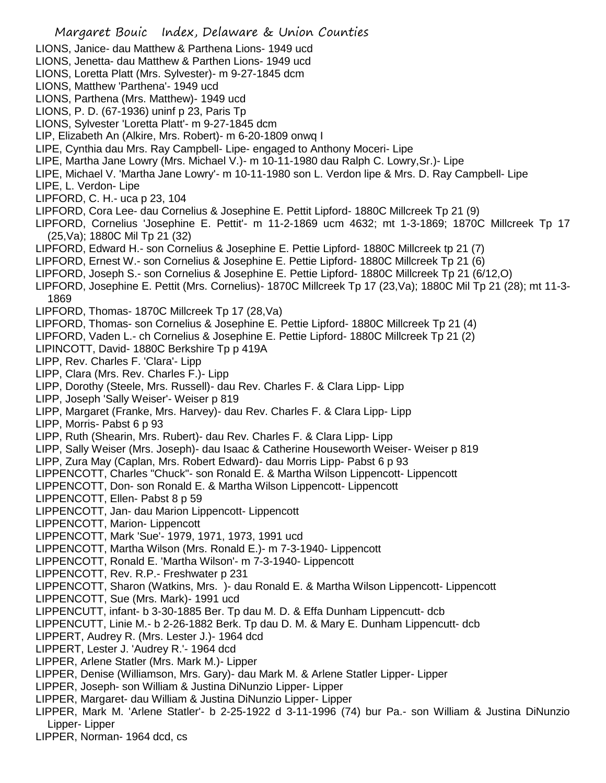- Margaret Bouic Index, Delaware & Union Counties LIONS, Janice- dau Matthew & Parthena Lions- 1949 ucd LIONS, Jenetta- dau Matthew & Parthen Lions- 1949 ucd LIONS, Loretta Platt (Mrs. Sylvester)- m 9-27-1845 dcm LIONS, Matthew 'Parthena'- 1949 ucd LIONS, Parthena (Mrs. Matthew)- 1949 ucd LIONS, P. D. (67-1936) uninf p 23, Paris Tp LIONS, Sylvester 'Loretta Platt'- m 9-27-1845 dcm LIP, Elizabeth An (Alkire, Mrs. Robert)- m 6-20-1809 onwq I LIPE, Cynthia dau Mrs. Ray Campbell- Lipe- engaged to Anthony Moceri- Lipe LIPE, Martha Jane Lowry (Mrs. Michael V.)- m 10-11-1980 dau Ralph C. Lowry,Sr.)- Lipe LIPE, Michael V. 'Martha Jane Lowry'- m 10-11-1980 son L. Verdon lipe & Mrs. D. Ray Campbell- Lipe LIPE, L. Verdon- Lipe LIPFORD, C. H.- uca p 23, 104 LIPFORD, Cora Lee- dau Cornelius & Josephine E. Pettit Lipford- 1880C Millcreek Tp 21 (9) LIPFORD, Cornelius 'Josephine E. Pettit'- m 11-2-1869 ucm 4632; mt 1-3-1869; 1870C Millcreek Tp 17 (25,Va); 1880C Mil Tp 21 (32) LIPFORD, Edward H.- son Cornelius & Josephine E. Pettie Lipford- 1880C Millcreek tp 21 (7) LIPFORD, Ernest W.- son Cornelius & Josephine E. Pettie Lipford- 1880C Millcreek Tp 21 (6) LIPFORD, Joseph S.- son Cornelius & Josephine E. Pettie Lipford- 1880C Millcreek Tp 21 (6/12,O) LIPFORD, Josephine E. Pettit (Mrs. Cornelius)- 1870C Millcreek Tp 17 (23,Va); 1880C Mil Tp 21 (28); mt 11-3- 1869 LIPFORD, Thomas- 1870C Millcreek Tp 17 (28,Va) LIPFORD, Thomas- son Cornelius & Josephine E. Pettie Lipford- 1880C Millcreek Tp 21 (4) LIPFORD, Vaden L.- ch Cornelius & Josephine E. Pettie Lipford- 1880C Millcreek Tp 21 (2) LIPINCOTT, David- 1880C Berkshire Tp p 419A LIPP, Rev. Charles F. 'Clara'- Lipp LIPP, Clara (Mrs. Rev. Charles F.)- Lipp LIPP, Dorothy (Steele, Mrs. Russell)- dau Rev. Charles F. & Clara Lipp- Lipp LIPP, Joseph 'Sally Weiser'- Weiser p 819 LIPP, Margaret (Franke, Mrs. Harvey)- dau Rev. Charles F. & Clara Lipp- Lipp LIPP, Morris- Pabst 6 p 93 LIPP, Ruth (Shearin, Mrs. Rubert)- dau Rev. Charles F. & Clara Lipp- Lipp LIPP, Sally Weiser (Mrs. Joseph)- dau Isaac & Catherine Houseworth Weiser- Weiser p 819 LIPP, Zura May (Caplan, Mrs. Robert Edward)- dau Morris Lipp- Pabst 6 p 93 LIPPENCOTT, Charles "Chuck"- son Ronald E. & Martha Wilson Lippencott- Lippencott LIPPENCOTT, Don- son Ronald E. & Martha Wilson Lippencott- Lippencott LIPPENCOTT, Ellen- Pabst 8 p 59 LIPPENCOTT, Jan- dau Marion Lippencott- Lippencott LIPPENCOTT, Marion- Lippencott LIPPENCOTT, Mark 'Sue'- 1979, 1971, 1973, 1991 ucd LIPPENCOTT, Martha Wilson (Mrs. Ronald E.)- m 7-3-1940- Lippencott LIPPENCOTT, Ronald E. 'Martha Wilson'- m 7-3-1940- Lippencott LIPPENCOTT, Rev. R.P.- Freshwater p 231 LIPPENCOTT, Sharon (Watkins, Mrs. )- dau Ronald E. & Martha Wilson Lippencott- Lippencott LIPPENCOTT, Sue (Mrs. Mark)- 1991 ucd LIPPENCUTT, infant- b 3-30-1885 Ber. Tp dau M. D. & Effa Dunham Lippencutt- dcb LIPPENCUTT, Linie M.- b 2-26-1882 Berk. Tp dau D. M. & Mary E. Dunham Lippencutt- dcb LIPPERT, Audrey R. (Mrs. Lester J.)- 1964 dcd LIPPERT, Lester J. 'Audrey R.'- 1964 dcd LIPPER, Arlene Statler (Mrs. Mark M.)- Lipper LIPPER, Denise (Williamson, Mrs. Gary)- dau Mark M. & Arlene Statler Lipper- Lipper LIPPER, Joseph- son William & Justina DiNunzio Lipper- Lipper LIPPER, Margaret- dau William & Justina DiNunzio Lipper- Lipper LIPPER, Mark M. 'Arlene Statler'- b 2-25-1922 d 3-11-1996 (74) bur Pa.- son William & Justina DiNunzio Lipper- Lipper
- LIPPER, Norman- 1964 dcd, cs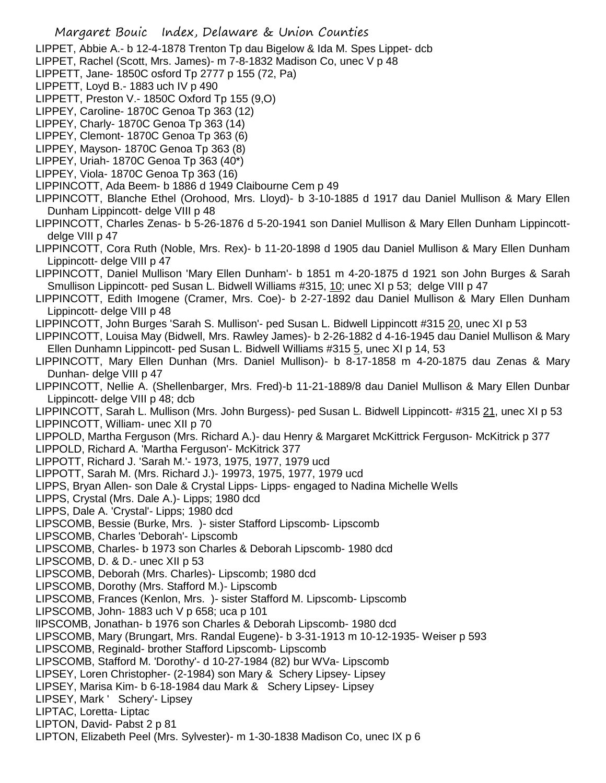Margaret Bouic Index, Delaware & Union Counties LIPPET, Abbie A.- b 12-4-1878 Trenton Tp dau Bigelow & Ida M. Spes Lippet- dcb LIPPET, Rachel (Scott, Mrs. James)- m 7-8-1832 Madison Co, unec V p 48 LIPPETT, Jane- 1850C osford Tp 2777 p 155 (72, Pa) LIPPETT, Loyd B.- 1883 uch IV p 490 LIPPETT, Preston V.- 1850C Oxford Tp 155 (9,O) LIPPEY, Caroline- 1870C Genoa Tp 363 (12) LIPPEY, Charly- 1870C Genoa Tp 363 (14) LIPPEY, Clemont- 1870C Genoa Tp 363 (6) LIPPEY, Mayson- 1870C Genoa Tp 363 (8) LIPPEY, Uriah- 1870C Genoa Tp 363 (40\*) LIPPEY, Viola- 1870C Genoa Tp 363 (16) LIPPINCOTT, Ada Beem- b 1886 d 1949 Claibourne Cem p 49 LIPPINCOTT, Blanche Ethel (Orohood, Mrs. Lloyd)- b 3-10-1885 d 1917 dau Daniel Mullison & Mary Ellen Dunham Lippincott- delge VIII p 48 LIPPINCOTT, Charles Zenas- b 5-26-1876 d 5-20-1941 son Daniel Mullison & Mary Ellen Dunham Lippincottdelge VIII p 47 LIPPINCOTT, Cora Ruth (Noble, Mrs. Rex)- b 11-20-1898 d 1905 dau Daniel Mullison & Mary Ellen Dunham Lippincott- delge VIII p 47 LIPPINCOTT, Daniel Mullison 'Mary Ellen Dunham'- b 1851 m 4-20-1875 d 1921 son John Burges & Sarah Smullison Lippincott- ped Susan L. Bidwell Williams #315, 10; unec XI p 53; delge VIII p 47 LIPPINCOTT, Edith Imogene (Cramer, Mrs. Coe)- b 2-27-1892 dau Daniel Mullison & Mary Ellen Dunham Lippincott- delge VIII p 48 LIPPINCOTT, John Burges 'Sarah S. Mullison'- ped Susan L. Bidwell Lippincott #315 20, unec XI p 53 LIPPINCOTT, Louisa May (Bidwell, Mrs. Rawley James)- b 2-26-1882 d 4-16-1945 dau Daniel Mullison & Mary Ellen Dunhamn Lippincott- ped Susan L. Bidwell Williams #315 5, unec XI p 14, 53 LIPPINCOTT, Mary Ellen Dunhan (Mrs. Daniel Mullison)- b 8-17-1858 m 4-20-1875 dau Zenas & Mary Dunhan- delge VIII p 47 LIPPINCOTT, Nellie A. (Shellenbarger, Mrs. Fred)-b 11-21-1889/8 dau Daniel Mullison & Mary Ellen Dunbar Lippincott- delge VIII p 48; dcb LIPPINCOTT, Sarah L. Mullison (Mrs. John Burgess)- ped Susan L. Bidwell Lippincott- #315 21, unec XI p 53 LIPPINCOTT, William- unec XII p 70 LIPPOLD, Martha Ferguson (Mrs. Richard A.)- dau Henry & Margaret McKittrick Ferguson- McKitrick p 377 LIPPOLD, Richard A. 'Martha Ferguson'- McKitrick 377 LIPPOTT, Richard J. 'Sarah M.'- 1973, 1975, 1977, 1979 ucd LIPPOTT, Sarah M. (Mrs. Richard J.)- 19973, 1975, 1977, 1979 ucd LIPPS, Bryan Allen- son Dale & Crystal Lipps- Lipps- engaged to Nadina Michelle Wells LIPPS, Crystal (Mrs. Dale A.)- Lipps; 1980 dcd LIPPS, Dale A. 'Crystal'- Lipps; 1980 dcd LIPSCOMB, Bessie (Burke, Mrs. )- sister Stafford Lipscomb- Lipscomb LIPSCOMB, Charles 'Deborah'- Lipscomb LIPSCOMB, Charles- b 1973 son Charles & Deborah Lipscomb- 1980 dcd LIPSCOMB, D. & D.- unec XII p 53 LIPSCOMB, Deborah (Mrs. Charles)- Lipscomb; 1980 dcd LIPSCOMB, Dorothy (Mrs. Stafford M.)- Lipscomb LIPSCOMB, Frances (Kenlon, Mrs. )- sister Stafford M. Lipscomb- Lipscomb LIPSCOMB, John- 1883 uch V p 658; uca p 101 lIPSCOMB, Jonathan- b 1976 son Charles & Deborah Lipscomb- 1980 dcd LIPSCOMB, Mary (Brungart, Mrs. Randal Eugene)- b 3-31-1913 m 10-12-1935- Weiser p 593 LIPSCOMB, Reginald- brother Stafford Lipscomb- Lipscomb LIPSCOMB, Stafford M. 'Dorothy'- d 10-27-1984 (82) bur WVa- Lipscomb LIPSEY, Loren Christopher- (2-1984) son Mary & Schery Lipsey- Lipsey LIPSEY, Marisa Kim- b 6-18-1984 dau Mark & Schery Lipsey- Lipsey LIPSEY, Mark ' Schery'- Lipsey LIPTAC, Loretta- Liptac LIPTON, David- Pabst 2 p 81 LIPTON, Elizabeth Peel (Mrs. Sylvester)- m 1-30-1838 Madison Co, unec IX p 6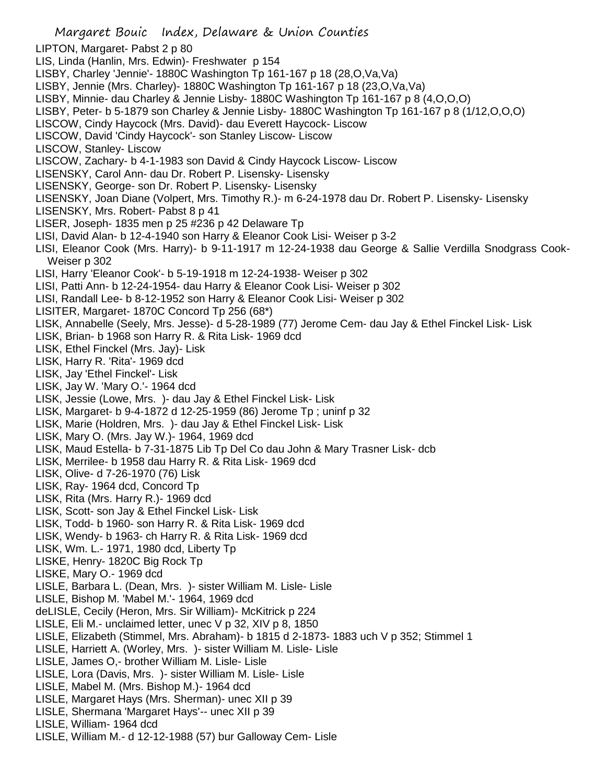Margaret Bouic Index, Delaware & Union Counties LIPTON, Margaret- Pabst 2 p 80 LIS, Linda (Hanlin, Mrs. Edwin)- Freshwater p 154 LISBY, Charley 'Jennie'- 1880C Washington Tp 161-167 p 18 (28,O,Va,Va) LISBY, Jennie (Mrs. Charley)- 1880C Washington Tp 161-167 p 18 (23,O,Va,Va) LISBY, Minnie- dau Charley & Jennie Lisby- 1880C Washington Tp 161-167 p 8 (4,O,O,O) LISBY, Peter- b 5-1879 son Charley & Jennie Lisby- 1880C Washington Tp 161-167 p 8 (1/12,O,O,O) LISCOW, Cindy Haycock (Mrs. David)- dau Everett Haycock- Liscow LISCOW, David 'Cindy Haycock'- son Stanley Liscow- Liscow LISCOW, Stanley- Liscow LISCOW, Zachary- b 4-1-1983 son David & Cindy Haycock Liscow- Liscow LISENSKY, Carol Ann- dau Dr. Robert P. Lisensky- Lisensky LISENSKY, George- son Dr. Robert P. Lisensky- Lisensky LISENSKY, Joan Diane (Volpert, Mrs. Timothy R.)- m 6-24-1978 dau Dr. Robert P. Lisensky- Lisensky LISENSKY, Mrs. Robert- Pabst 8 p 41 LISER, Joseph- 1835 men p 25 #236 p 42 Delaware Tp LISI, David Alan- b 12-4-1940 son Harry & Eleanor Cook Lisi- Weiser p 3-2 LISI, Eleanor Cook (Mrs. Harry)- b 9-11-1917 m 12-24-1938 dau George & Sallie Verdilla Snodgrass Cook-Weiser p 302 LISI, Harry 'Eleanor Cook'- b 5-19-1918 m 12-24-1938- Weiser p 302 LISI, Patti Ann- b 12-24-1954- dau Harry & Eleanor Cook Lisi- Weiser p 302 LISI, Randall Lee- b 8-12-1952 son Harry & Eleanor Cook Lisi- Weiser p 302 LISITER, Margaret- 1870C Concord Tp 256 (68\*) LISK, Annabelle (Seely, Mrs. Jesse)- d 5-28-1989 (77) Jerome Cem- dau Jay & Ethel Finckel Lisk- Lisk LISK, Brian- b 1968 son Harry R. & Rita Lisk- 1969 dcd LISK, Ethel Finckel (Mrs. Jay)- Lisk LISK, Harry R. 'Rita'- 1969 dcd LISK, Jay 'Ethel Finckel'- Lisk LISK, Jay W. 'Mary O.'- 1964 dcd LISK, Jessie (Lowe, Mrs. )- dau Jay & Ethel Finckel Lisk- Lisk LISK, Margaret- b 9-4-1872 d 12-25-1959 (86) Jerome Tp ; uninf p 32 LISK, Marie (Holdren, Mrs. )- dau Jay & Ethel Finckel Lisk- Lisk LISK, Mary O. (Mrs. Jay W.)- 1964, 1969 dcd LISK, Maud Estella- b 7-31-1875 Lib Tp Del Co dau John & Mary Trasner Lisk- dcb LISK, Merrilee- b 1958 dau Harry R. & Rita Lisk- 1969 dcd LISK, Olive- d 7-26-1970 (76) Lisk LISK, Ray- 1964 dcd, Concord Tp LISK, Rita (Mrs. Harry R.)- 1969 dcd LISK, Scott- son Jay & Ethel Finckel Lisk- Lisk LISK, Todd- b 1960- son Harry R. & Rita Lisk- 1969 dcd LISK, Wendy- b 1963- ch Harry R. & Rita Lisk- 1969 dcd LISK, Wm. L.- 1971, 1980 dcd, Liberty Tp LISKE, Henry- 1820C Big Rock Tp LISKE, Mary O.- 1969 dcd LISLE, Barbara L. (Dean, Mrs. )- sister William M. Lisle- Lisle LISLE, Bishop M. 'Mabel M.'- 1964, 1969 dcd deLISLE, Cecily (Heron, Mrs. Sir William)- McKitrick p 224 LISLE, Eli M.- unclaimed letter, unec V p 32, XIV p 8, 1850 LISLE, Elizabeth (Stimmel, Mrs. Abraham)- b 1815 d 2-1873- 1883 uch V p 352; Stimmel 1 LISLE, Harriett A. (Worley, Mrs. )- sister William M. Lisle- Lisle LISLE, James O,- brother William M. Lisle- Lisle LISLE, Lora (Davis, Mrs. )- sister William M. Lisle- Lisle LISLE, Mabel M. (Mrs. Bishop M.)- 1964 dcd LISLE, Margaret Hays (Mrs. Sherman)- unec XII p 39 LISLE, Shermana 'Margaret Hays'-- unec XII p 39 LISLE, William- 1964 dcd LISLE, William M.- d 12-12-1988 (57) bur Galloway Cem- Lisle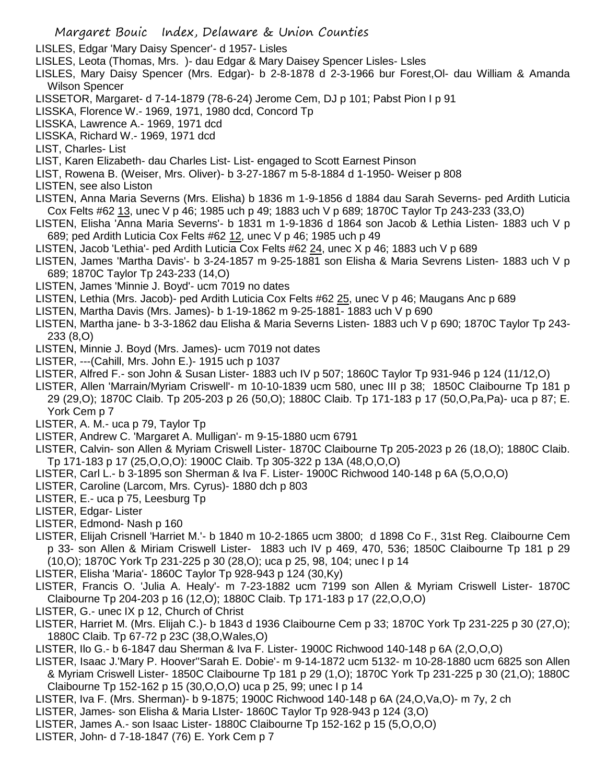- LISLES, Edgar 'Mary Daisy Spencer'- d 1957- Lisles
- LISLES, Leota (Thomas, Mrs. )- dau Edgar & Mary Daisey Spencer Lisles- Lsles
- LISLES, Mary Daisy Spencer (Mrs. Edgar)- b 2-8-1878 d 2-3-1966 bur Forest,Ol- dau William & Amanda Wilson Spencer
- LISSETOR, Margaret- d 7-14-1879 (78-6-24) Jerome Cem, DJ p 101; Pabst Pion I p 91
- LISSKA, Florence W.- 1969, 1971, 1980 dcd, Concord Tp
- LISSKA, Lawrence A.- 1969, 1971 dcd
- LISSKA, Richard W.- 1969, 1971 dcd
- LIST, Charles- List
- LIST, Karen Elizabeth- dau Charles List- List- engaged to Scott Earnest Pinson
- LIST, Rowena B. (Weiser, Mrs. Oliver)- b 3-27-1867 m 5-8-1884 d 1-1950- Weiser p 808
- LISTEN, see also Liston
- LISTEN, Anna Maria Severns (Mrs. Elisha) b 1836 m 1-9-1856 d 1884 dau Sarah Severns- ped Ardith Luticia Cox Felts #62 13, unec V p 46; 1985 uch p 49; 1883 uch V p 689; 1870C Taylor Tp 243-233 (33,O)
- LISTEN, Elisha 'Anna Maria Severns'- b 1831 m 1-9-1836 d 1864 son Jacob & Lethia Listen- 1883 uch V p 689; ped Ardith Luticia Cox Felts #62 12, unec V p 46; 1985 uch p 49
- LISTEN, Jacob 'Lethia'- ped Ardith Luticia Cox Felts #62 24, unec X p 46; 1883 uch V p 689
- LISTEN, James 'Martha Davis'- b 3-24-1857 m 9-25-1881 son Elisha & Maria Sevrens Listen- 1883 uch V p 689; 1870C Taylor Tp 243-233 (14,O)
- LISTEN, James 'Minnie J. Boyd'- ucm 7019 no dates
- LISTEN, Lethia (Mrs. Jacob)- ped Ardith Luticia Cox Felts #62 25, unec V p 46; Maugans Anc p 689
- LISTEN, Martha Davis (Mrs. James)- b 1-19-1862 m 9-25-1881- 1883 uch V p 690
- LISTEN, Martha jane- b 3-3-1862 dau Elisha & Maria Severns Listen- 1883 uch V p 690; 1870C Taylor Tp 243- 233 (8,O)
- LISTEN, Minnie J. Boyd (Mrs. James)- ucm 7019 not dates
- LISTER, ---(Cahill, Mrs. John E.)- 1915 uch p 1037
- LISTER, Alfred F.- son John & Susan Lister- 1883 uch IV p 507; 1860C Taylor Tp 931-946 p 124 (11/12,O)
- LISTER, Allen 'Marrain/Myriam Criswell'- m 10-10-1839 ucm 580, unec III p 38; 1850C Claibourne Tp 181 p 29 (29,O); 1870C Claib. Tp 205-203 p 26 (50,O); 1880C Claib. Tp 171-183 p 17 (50,O,Pa,Pa)- uca p 87; E. York Cem p 7
- LISTER, A. M.- uca p 79, Taylor Tp
- LISTER, Andrew C. 'Margaret A. Mulligan'- m 9-15-1880 ucm 6791
- LISTER, Calvin- son Allen & Myriam Criswell Lister- 1870C Claibourne Tp 205-2023 p 26 (18,O); 1880C Claib. Tp 171-183 p 17 (25,O,O,O): 1900C Claib. Tp 305-322 p 13A (48,O,O,O)
- LISTER, Carl L.- b 3-1895 son Sherman & Iva F. Lister- 1900C Richwood 140-148 p 6A (5,O,O,O)
- LISTER, Caroline (Larcom, Mrs. Cyrus)- 1880 dch p 803
- LISTER, E.- uca p 75, Leesburg Tp
- LISTER, Edgar- Lister
- LISTER, Edmond- Nash p 160
- LISTER, Elijah Crisnell 'Harriet M.'- b 1840 m 10-2-1865 ucm 3800; d 1898 Co F., 31st Reg. Claibourne Cem p 33- son Allen & Miriam Criswell Lister- 1883 uch IV p 469, 470, 536; 1850C Claibourne Tp 181 p 29 (10,O); 1870C York Tp 231-225 p 30 (28,O); uca p 25, 98, 104; unec I p 14
- LISTER, Elisha 'Maria'- 1860C Taylor Tp 928-943 p 124 (30,Ky)
- LISTER, Francis O. 'Julia A. Healy'- m 7-23-1882 ucm 7199 son Allen & Myriam Criswell Lister- 1870C Claibourne Tp 204-203 p 16 (12,O); 1880C Claib. Tp 171-183 p 17 (22,O,O,O)
- LISTER, G.- unec IX p 12, Church of Christ
- LISTER, Harriet M. (Mrs. Elijah C.)- b 1843 d 1936 Claibourne Cem p 33; 1870C York Tp 231-225 p 30 (27,O); 1880C Claib. Tp 67-72 p 23C (38,O,Wales,O)
- LISTER, Ilo G.- b 6-1847 dau Sherman & Iva F. Lister- 1900C Richwood 140-148 p 6A (2,O,O,O)
- LISTER, Isaac J.'Mary P. Hoover''Sarah E. Dobie'- m 9-14-1872 ucm 5132- m 10-28-1880 ucm 6825 son Allen & Myriam Criswell Lister- 1850C Claibourne Tp 181 p 29 (1,O); 1870C York Tp 231-225 p 30 (21,O); 1880C Claibourne Tp 152-162 p 15 (30,O,O,O) uca p 25, 99; unec I p 14
- LISTER, Iva F. (Mrs. Sherman)- b 9-1875; 1900C Richwood 140-148 p 6A (24,O,Va,O)- m 7y, 2 ch
- LISTER, James- son Elisha & Maria LIster- 1860C Taylor Tp 928-943 p 124 (3,O)
- LISTER, James A.- son Isaac Lister- 1880C Claibourne Tp 152-162 p 15 (5,O,O,O)
- LISTER, John- d 7-18-1847 (76) E. York Cem p 7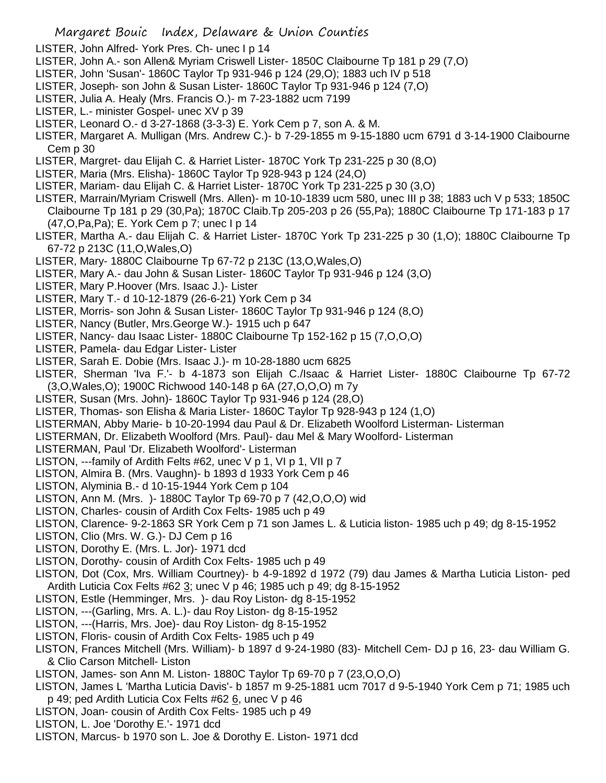- LISTER, John Alfred- York Pres. Ch- unec I p 14
- LISTER, John A.- son Allen& Myriam Criswell Lister- 1850C Claibourne Tp 181 p 29 (7,O)
- LISTER, John 'Susan'- 1860C Taylor Tp 931-946 p 124 (29,O); 1883 uch IV p 518
- LISTER, Joseph- son John & Susan Lister- 1860C Taylor Tp 931-946 p 124 (7,O)
- LISTER, Julia A. Healy (Mrs. Francis O.)- m 7-23-1882 ucm 7199
- LISTER, L.- minister Gospel- unec XV p 39
- LISTER, Leonard O.- d 3-27-1868 (3-3-3) E. York Cem p 7, son A. & M.
- LISTER, Margaret A. Mulligan (Mrs. Andrew C.)- b 7-29-1855 m 9-15-1880 ucm 6791 d 3-14-1900 Claibourne Cem p 30
- LISTER, Margret- dau Elijah C. & Harriet Lister- 1870C York Tp 231-225 p 30 (8,O)
- LISTER, Maria (Mrs. Elisha)- 1860C Taylor Tp 928-943 p 124 (24,O)
- LISTER, Mariam- dau Elijah C. & Harriet Lister- 1870C York Tp 231-225 p 30 (3,O)
- LISTER, Marrain/Myriam Criswell (Mrs. Allen)- m 10-10-1839 ucm 580, unec III p 38; 1883 uch V p 533; 1850C Claibourne Tp 181 p 29 (30,Pa); 1870C Claib.Tp 205-203 p 26 (55,Pa); 1880C Claibourne Tp 171-183 p 17 (47,O,Pa,Pa); E. York Cem p 7; unec I p 14
- LISTER, Martha A.- dau Elijah C. & Harriet Lister- 1870C York Tp 231-225 p 30 (1,O); 1880C Claibourne Tp 67-72 p 213C (11,O,Wales,O)
- LISTER, Mary- 1880C Claibourne Tp 67-72 p 213C (13,O,Wales,O)
- LISTER, Mary A.- dau John & Susan Lister- 1860C Taylor Tp 931-946 p 124 (3,O)
- LISTER, Mary P.Hoover (Mrs. Isaac J.)- Lister
- LISTER, Mary T.- d 10-12-1879 (26-6-21) York Cem p 34
- LISTER, Morris- son John & Susan Lister- 1860C Taylor Tp 931-946 p 124 (8,O)
- LISTER, Nancy (Butler, Mrs.George W.)- 1915 uch p 647
- LISTER, Nancy- dau Isaac Lister- 1880C Claibourne Tp 152-162 p 15 (7,O,O,O)
- LISTER, Pamela- dau Edgar Lister- Lister
- LISTER, Sarah E. Dobie (Mrs. Isaac J.)- m 10-28-1880 ucm 6825
- LISTER, Sherman 'Iva F.'- b 4-1873 son Elijah C./Isaac & Harriet Lister- 1880C Claibourne Tp 67-72 (3,O,Wales,O); 1900C Richwood 140-148 p 6A (27,O,O,O) m 7y
- LISTER, Susan (Mrs. John)- 1860C Taylor Tp 931-946 p 124 (28,O)
- LISTER, Thomas- son Elisha & Maria Lister- 1860C Taylor Tp 928-943 p 124 (1,O)
- LISTERMAN, Abby Marie- b 10-20-1994 dau Paul & Dr. Elizabeth Woolford Listerman- Listerman
- LISTERMAN, Dr. Elizabeth Woolford (Mrs. Paul)- dau Mel & Mary Woolford- Listerman
- LISTERMAN, Paul 'Dr. Elizabeth Woolford'- Listerman
- LISTON, ---family of Ardith Felts #62, unec V p 1, VI p 1, VII p 7
- LISTON, Almira B. (Mrs. Vaughn)- b 1893 d 1933 York Cem p 46
- LISTON, Alyminia B.- d 10-15-1944 York Cem p 104
- LISTON, Ann M. (Mrs. )- 1880C Taylor Tp 69-70 p 7 (42,O,O,O) wid
- LISTON, Charles- cousin of Ardith Cox Felts- 1985 uch p 49
- LISTON, Clarence- 9-2-1863 SR York Cem p 71 son James L. & Luticia liston- 1985 uch p 49; dg 8-15-1952
- LISTON, Clio (Mrs. W. G.)- DJ Cem p 16
- LISTON, Dorothy E. (Mrs. L. Jor)- 1971 dcd
- LISTON, Dorothy- cousin of Ardith Cox Felts- 1985 uch p 49
- LISTON, Dot (Cox, Mrs. William Courtney)- b 4-9-1892 d 1972 (79) dau James & Martha Luticia Liston- ped Ardith Luticia Cox Felts #62 3; unec V p 46; 1985 uch p 49; dg 8-15-1952
- LISTON, Estle (Hemminger, Mrs. )- dau Roy Liston- dg 8-15-1952
- LISTON, ---(Garling, Mrs. A. L.)- dau Roy Liston- dg 8-15-1952
- LISTON, ---(Harris, Mrs. Joe)- dau Roy Liston- dg 8-15-1952
- LISTON, Floris- cousin of Ardith Cox Felts- 1985 uch p 49
- LISTON, Frances Mitchell (Mrs. William)- b 1897 d 9-24-1980 (83)- Mitchell Cem- DJ p 16, 23- dau William G. & Clio Carson Mitchell- Liston
- LISTON, James- son Ann M. Liston- 1880C Taylor Tp 69-70 p 7 (23,O,O,O)
- LISTON, James L 'Martha Luticia Davis'- b 1857 m 9-25-1881 ucm 7017 d 9-5-1940 York Cem p 71; 1985 uch p 49; ped Ardith Luticia Cox Felts #62 6, unec V p 46
- LISTON, Joan- cousin of Ardith Cox Felts- 1985 uch p 49
- LISTON, L. Joe 'Dorothy E.'- 1971 dcd
- LISTON, Marcus- b 1970 son L. Joe & Dorothy E. Liston- 1971 dcd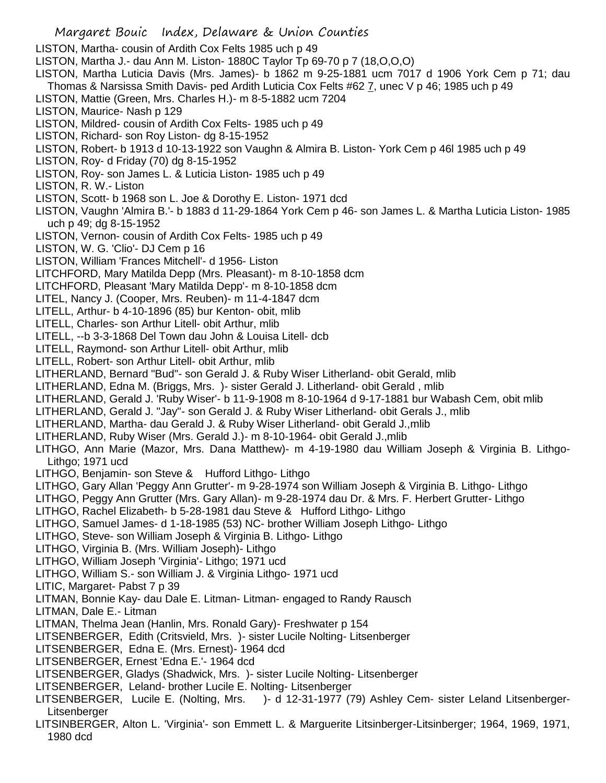LISTON, Martha- cousin of Ardith Cox Felts 1985 uch p 49

LISTON, Martha J.- dau Ann M. Liston- 1880C Taylor Tp 69-70 p 7 (18,O,O,O)

LISTON, Martha Luticia Davis (Mrs. James)- b 1862 m 9-25-1881 ucm 7017 d 1906 York Cem p 71; dau Thomas & Narsissa Smith Davis- ped Ardith Luticia Cox Felts #62 7, unec V p 46; 1985 uch p 49

LISTON, Mattie (Green, Mrs. Charles H.)- m 8-5-1882 ucm 7204

LISTON, Maurice- Nash p 129

LISTON, Mildred- cousin of Ardith Cox Felts- 1985 uch p 49

- LISTON, Richard- son Roy Liston- dg 8-15-1952
- LISTON, Robert- b 1913 d 10-13-1922 son Vaughn & Almira B. Liston- York Cem p 46l 1985 uch p 49
- LISTON, Roy- d Friday (70) dg 8-15-1952
- LISTON, Roy- son James L. & Luticia Liston- 1985 uch p 49
- LISTON, R. W.- Liston
- LISTON, Scott- b 1968 son L. Joe & Dorothy E. Liston- 1971 dcd
- LISTON, Vaughn 'Almira B.'- b 1883 d 11-29-1864 York Cem p 46- son James L. & Martha Luticia Liston- 1985 uch p 49; dg 8-15-1952
- LISTON, Vernon- cousin of Ardith Cox Felts- 1985 uch p 49
- LISTON, W. G. 'Clio'- DJ Cem p 16
- LISTON, William 'Frances Mitchell'- d 1956- Liston
- LITCHFORD, Mary Matilda Depp (Mrs. Pleasant)- m 8-10-1858 dcm
- LITCHFORD, Pleasant 'Mary Matilda Depp'- m 8-10-1858 dcm
- LITEL, Nancy J. (Cooper, Mrs. Reuben)- m 11-4-1847 dcm
- LITELL, Arthur- b 4-10-1896 (85) bur Kenton- obit, mlib
- LITELL, Charles- son Arthur Litell- obit Arthur, mlib
- LITELL, --b 3-3-1868 Del Town dau John & Louisa Litell- dcb
- LITELL, Raymond- son Arthur Litell- obit Arthur, mlib
- LITELL, Robert- son Arthur Litell- obit Arthur, mlib
- LITHERLAND, Bernard "Bud"- son Gerald J. & Ruby Wiser Litherland- obit Gerald, mlib
- LITHERLAND, Edna M. (Briggs, Mrs. )- sister Gerald J. Litherland- obit Gerald , mlib
- LITHERLAND, Gerald J. 'Ruby Wiser'- b 11-9-1908 m 8-10-1964 d 9-17-1881 bur Wabash Cem, obit mlib
- LITHERLAND, Gerald J. "Jay"- son Gerald J. & Ruby Wiser Litherland- obit Gerals J., mlib
- LITHERLAND, Martha- dau Gerald J. & Ruby Wiser Litherland- obit Gerald J.,mlib
- LITHERLAND, Ruby Wiser (Mrs. Gerald J.)- m 8-10-1964- obit Gerald J.,mlib
- LITHGO, Ann Marie (Mazor, Mrs. Dana Matthew)- m 4-19-1980 dau William Joseph & Virginia B. Lithgo-Lithgo; 1971 ucd
- LITHGO, Benjamin- son Steve & Hufford Lithgo- Lithgo
- LITHGO, Gary Allan 'Peggy Ann Grutter'- m 9-28-1974 son William Joseph & Virginia B. Lithgo- Lithgo
- LITHGO, Peggy Ann Grutter (Mrs. Gary Allan)- m 9-28-1974 dau Dr. & Mrs. F. Herbert Grutter- Lithgo
- LITHGO, Rachel Elizabeth- b 5-28-1981 dau Steve & Hufford Lithgo- Lithgo
- LITHGO, Samuel James- d 1-18-1985 (53) NC- brother William Joseph Lithgo- Lithgo
- LITHGO, Steve- son William Joseph & Virginia B. Lithgo- Lithgo
- LITHGO, Virginia B. (Mrs. William Joseph)- Lithgo
- LITHGO, William Joseph 'Virginia'- Lithgo; 1971 ucd
- LITHGO, William S.- son William J. & Virginia Lithgo- 1971 ucd
- LITIC, Margaret- Pabst 7 p 39
- LITMAN, Bonnie Kay- dau Dale E. Litman- Litman- engaged to Randy Rausch
- LITMAN, Dale E.- Litman
- LITMAN, Thelma Jean (Hanlin, Mrs. Ronald Gary)- Freshwater p 154
- LITSENBERGER, Edith (Critsvield, Mrs. )- sister Lucile Nolting- Litsenberger
- LITSENBERGER, Edna E. (Mrs. Ernest)- 1964 dcd
- LITSENBERGER, Ernest 'Edna E.'- 1964 dcd
- LITSENBERGER, Gladys (Shadwick, Mrs. )- sister Lucile Nolting- Litsenberger
- LITSENBERGER, Leland- brother Lucile E. Nolting- Litsenberger
- LITSENBERGER, Lucile E. (Nolting, Mrs. )- d 12-31-1977 (79) Ashley Cem- sister Leland Litsenberger-Litsenberger
- LITSINBERGER, Alton L. 'Virginia'- son Emmett L. & Marguerite Litsinberger-Litsinberger; 1964, 1969, 1971, 1980 dcd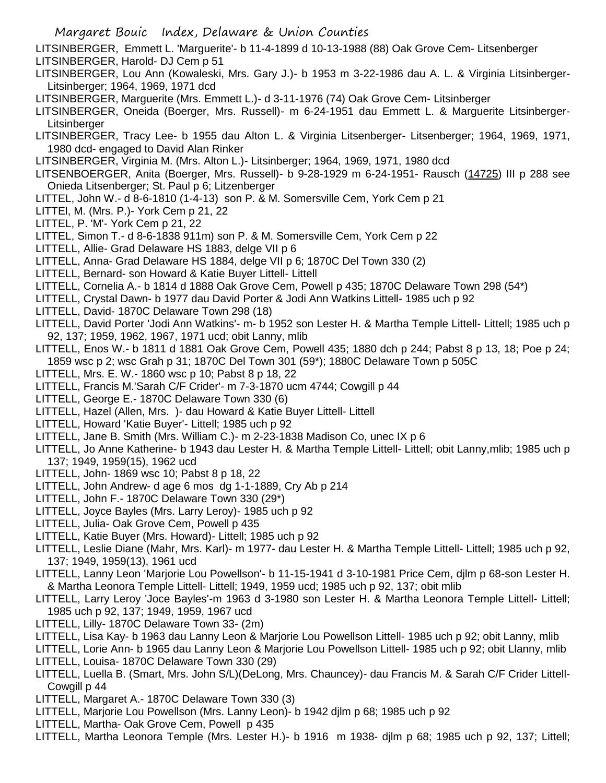LITSINBERGER, Emmett L. 'Marguerite'- b 11-4-1899 d 10-13-1988 (88) Oak Grove Cem- Litsenberger LITSINBERGER, Harold- DJ Cem p 51

- LITSINBERGER, Lou Ann (Kowaleski, Mrs. Gary J.)- b 1953 m 3-22-1986 dau A. L. & Virginia Litsinberger-Litsinberger; 1964, 1969, 1971 dcd
- LITSINBERGER, Marguerite (Mrs. Emmett L.)- d 3-11-1976 (74) Oak Grove Cem- Litsinberger
- LITSINBERGER, Oneida (Boerger, Mrs. Russell)- m 6-24-1951 dau Emmett L. & Marguerite Litsinberger-**Litsinberger**
- LITSINBERGER, Tracy Lee- b 1955 dau Alton L. & Virginia Litsenberger- Litsenberger; 1964, 1969, 1971, 1980 dcd- engaged to David Alan Rinker
- LITSINBERGER, Virginia M. (Mrs. Alton L.)- Litsinberger; 1964, 1969, 1971, 1980 dcd
- LITSENBOERGER, Anita (Boerger, Mrs. Russell)- b 9-28-1929 m 6-24-1951- Rausch (14725) III p 288 see Onieda Litsenberger; St. Paul p 6; Litzenberger
- LITTEL, John W.- d 8-6-1810 (1-4-13) son P. & M. Somersville Cem, York Cem p 21
- LITTEl, M. (Mrs. P.)- York Cem p 21, 22
- LITTEL, P. 'M'- York Cem p 21, 22
- LITTEL, Simon T.- d 8-6-1838 911m) son P. & M. Somersville Cem, York Cem p 22
- LITTELL, Allie- Grad Delaware HS 1883, delge VII p 6
- LITTELL, Anna- Grad Delaware HS 1884, delge VII p 6; 1870C Del Town 330 (2)
- LITTELL, Bernard- son Howard & Katie Buyer Littell- Littell
- LITTELL, Cornelia A.- b 1814 d 1888 Oak Grove Cem, Powell p 435; 1870C Delaware Town 298 (54\*)
- LITTELL, Crystal Dawn- b 1977 dau David Porter & Jodi Ann Watkins Littell- 1985 uch p 92
- LITTELL, David- 1870C Delaware Town 298 (18)
- LITTELL, David Porter 'Jodi Ann Watkins'- m- b 1952 son Lester H. & Martha Temple Littell- Littell; 1985 uch p 92, 137; 1959, 1962, 1967, 1971 ucd; obit Lanny, mlib
- LITTELL, Enos W.- b 1811 d 1881 Oak Grove Cem, Powell 435; 1880 dch p 244; Pabst 8 p 13, 18; Poe p 24; 1859 wsc p 2; wsc Grah p 31; 1870C Del Town 301 (59\*); 1880C Delaware Town p 505C
- LITTELL, Mrs. E. W.- 1860 wsc p 10; Pabst 8 p 18, 22
- LITTELL, Francis M.'Sarah C/F Crider'- m 7-3-1870 ucm 4744; Cowgill p 44
- LITTELL, George E.- 1870C Delaware Town 330 (6)
- LITTELL, Hazel (Allen, Mrs. )- dau Howard & Katie Buyer Littell- Littell
- LITTELL, Howard 'Katie Buyer'- Littell; 1985 uch p 92
- LITTELL, Jane B. Smith (Mrs. William C.)- m 2-23-1838 Madison Co, unec IX p 6
- LITTELL, Jo Anne Katherine- b 1943 dau Lester H. & Martha Temple Littell- Littell; obit Lanny,mlib; 1985 uch p 137; 1949, 1959(15), 1962 ucd
- LITTELL, John- 1869 wsc 10; Pabst 8 p 18, 22
- LITTELL, John Andrew- d age 6 mos dg 1-1-1889, Cry Ab p 214
- LITTELL, John F.- 1870C Delaware Town 330 (29\*)
- LITTELL, Joyce Bayles (Mrs. Larry Leroy)- 1985 uch p 92
- LITTELL, Julia- Oak Grove Cem, Powell p 435
- LITTELL, Katie Buyer (Mrs. Howard)- Littell; 1985 uch p 92
- LITTELL, Leslie Diane (Mahr, Mrs. Karl)- m 1977- dau Lester H. & Martha Temple Littell- Littell; 1985 uch p 92, 137; 1949, 1959(13), 1961 ucd
- LITTELL, Lanny Leon 'Marjorie Lou Powellson'- b 11-15-1941 d 3-10-1981 Price Cem, djlm p 68-son Lester H. & Martha Leonora Temple Littell- Littell; 1949, 1959 ucd; 1985 uch p 92, 137; obit mlib
- LITTELL, Larry Leroy 'Joce Bayles'-m 1963 d 3-1980 son Lester H. & Martha Leonora Temple Littell- Littell; 1985 uch p 92, 137; 1949, 1959, 1967 ucd
- LITTELL, Lilly- 1870C Delaware Town 33- (2m)
- LITTELL, Lisa Kay- b 1963 dau Lanny Leon & Marjorie Lou Powellson Littell- 1985 uch p 92; obit Lanny, mlib
- LITTELL, Lorie Ann- b 1965 dau Lanny Leon & Marjorie Lou Powellson Littell- 1985 uch p 92; obit Llanny, mlib
- LITTELL, Louisa- 1870C Delaware Town 330 (29)
- LITTELL, Luella B. (Smart, Mrs. John S/L)(DeLong, Mrs. Chauncey)- dau Francis M. & Sarah C/F Crider Littell-Cowgill p 44
- LITTELL, Margaret A.- 1870C Delaware Town 330 (3)
- LITTELL, Marjorie Lou Powellson (Mrs. Lanny Leon)- b 1942 djlm p 68; 1985 uch p 92
- LITTELL, Martha- Oak Grove Cem, Powell p 435
- LITTELL, Martha Leonora Temple (Mrs. Lester H.)- b 1916 m 1938- djlm p 68; 1985 uch p 92, 137; Littell;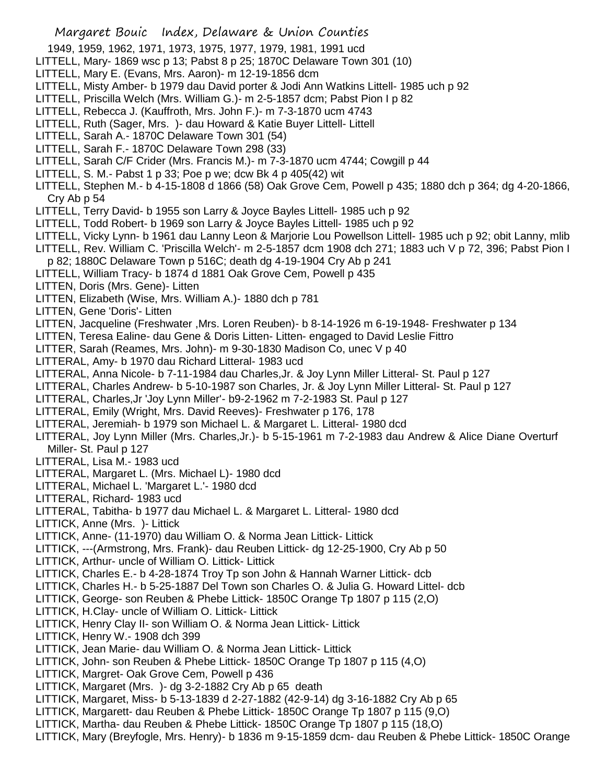- 1949, 1959, 1962, 1971, 1973, 1975, 1977, 1979, 1981, 1991 ucd
- LITTELL, Mary- 1869 wsc p 13; Pabst 8 p 25; 1870C Delaware Town 301 (10)
- LITTELL, Mary E. (Evans, Mrs. Aaron)- m 12-19-1856 dcm
- LITTELL, Misty Amber- b 1979 dau David porter & Jodi Ann Watkins Littell- 1985 uch p 92
- LITTELL, Priscilla Welch (Mrs. William G.)- m 2-5-1857 dcm; Pabst Pion I p 82
- LITTELL, Rebecca J. (Kauffroth, Mrs. John F.)- m 7-3-1870 ucm 4743
- LITTELL, Ruth (Sager, Mrs. )- dau Howard & Katie Buyer Littell- Littell
- LITTELL, Sarah A.- 1870C Delaware Town 301 (54)
- LITTELL, Sarah F.- 1870C Delaware Town 298 (33)
- LITTELL, Sarah C/F Crider (Mrs. Francis M.)- m 7-3-1870 ucm 4744; Cowgill p 44
- LITTELL, S. M.- Pabst 1 p 33; Poe p we; dcw Bk 4 p 405(42) wit
- LITTELL, Stephen M.- b 4-15-1808 d 1866 (58) Oak Grove Cem, Powell p 435; 1880 dch p 364; dg 4-20-1866, Cry Ab p 54
- LITTELL, Terry David- b 1955 son Larry & Joyce Bayles Littell- 1985 uch p 92
- LITTELL, Todd Robert- b 1969 son Larry & Joyce Bayles Littell- 1985 uch p 92
- LITTELL, Vicky Lynn- b 1961 dau Lanny Leon & Marjorie Lou Powellson Littell- 1985 uch p 92; obit Lanny, mlib
- LITTELL, Rev. William C. 'Priscilla Welch'- m 2-5-1857 dcm 1908 dch 271; 1883 uch V p 72, 396; Pabst Pion I p 82; 1880C Delaware Town p 516C; death dg 4-19-1904 Cry Ab p 241
- LITTELL, William Tracy- b 1874 d 1881 Oak Grove Cem, Powell p 435
- LITTEN, Doris (Mrs. Gene)- Litten
- LITTEN, Elizabeth (Wise, Mrs. William A.)- 1880 dch p 781
- LITTEN, Gene 'Doris'- Litten
- LITTEN, Jacqueline (Freshwater ,Mrs. Loren Reuben)- b 8-14-1926 m 6-19-1948- Freshwater p 134
- LITTEN, Teresa Ealine- dau Gene & Doris Litten- Litten- engaged to David Leslie Fittro
- LITTER, Sarah (Reames, Mrs. John)- m 9-30-1830 Madison Co, unec V p 40
- LITTERAL, Amy- b 1970 dau Richard Litteral- 1983 ucd
- LITTERAL, Anna Nicole- b 7-11-1984 dau Charles,Jr. & Joy Lynn Miller Litteral- St. Paul p 127
- LITTERAL, Charles Andrew- b 5-10-1987 son Charles, Jr. & Joy Lynn Miller Litteral- St. Paul p 127
- LITTERAL, Charles,Jr 'Joy Lynn Miller'- b9-2-1962 m 7-2-1983 St. Paul p 127
- LITTERAL, Emily (Wright, Mrs. David Reeves)- Freshwater p 176, 178
- LITTERAL, Jeremiah- b 1979 son Michael L. & Margaret L. Litteral- 1980 dcd
- LITTERAL, Joy Lynn Miller (Mrs. Charles,Jr.)- b 5-15-1961 m 7-2-1983 dau Andrew & Alice Diane Overturf Miller- St. Paul p 127
- LITTERAL, Lisa M.- 1983 ucd
- LITTERAL, Margaret L. (Mrs. Michael L)- 1980 dcd
- LITTERAL, Michael L. 'Margaret L.'- 1980 dcd
- LITTERAL, Richard- 1983 ucd
- LITTERAL, Tabitha- b 1977 dau Michael L. & Margaret L. Litteral- 1980 dcd
- LITTICK, Anne (Mrs. )- Littick
- LITTICK, Anne- (11-1970) dau William O. & Norma Jean Littick- Littick
- LITTICK, ---(Armstrong, Mrs. Frank)- dau Reuben Littick- dg 12-25-1900, Cry Ab p 50
- LITTICK, Arthur- uncle of William O. Littick- Littick
- LITTICK, Charles E.- b 4-28-1874 Troy Tp son John & Hannah Warner Littick- dcb
- LITTICK, Charles H.- b 5-25-1887 Del Town son Charles O. & Julia G. Howard Littel- dcb
- LITTICK, George- son Reuben & Phebe Littick- 1850C Orange Tp 1807 p 115 (2,O)
- LITTICK, H.Clay- uncle of William O. Littick- Littick
- LITTICK, Henry Clay II- son William O. & Norma Jean Littick- Littick
- LITTICK, Henry W.- 1908 dch 399
- LITTICK, Jean Marie- dau William O. & Norma Jean Littick- Littick
- LITTICK, John- son Reuben & Phebe Littick- 1850C Orange Tp 1807 p 115 (4,O)
- LITTICK, Margret- Oak Grove Cem, Powell p 436
- LITTICK, Margaret (Mrs. )- dg 3-2-1882 Cry Ab p 65 death
- LITTICK, Margaret, Miss- b 5-13-1839 d 2-27-1882 (42-9-14) dg 3-16-1882 Cry Ab p 65
- LITTICK, Margarett- dau Reuben & Phebe Littick- 1850C Orange Tp 1807 p 115 (9,O)
- LITTICK, Martha- dau Reuben & Phebe Littick- 1850C Orange Tp 1807 p 115 (18,O)
- LITTICK, Mary (Breyfogle, Mrs. Henry)- b 1836 m 9-15-1859 dcm- dau Reuben & Phebe Littick- 1850C Orange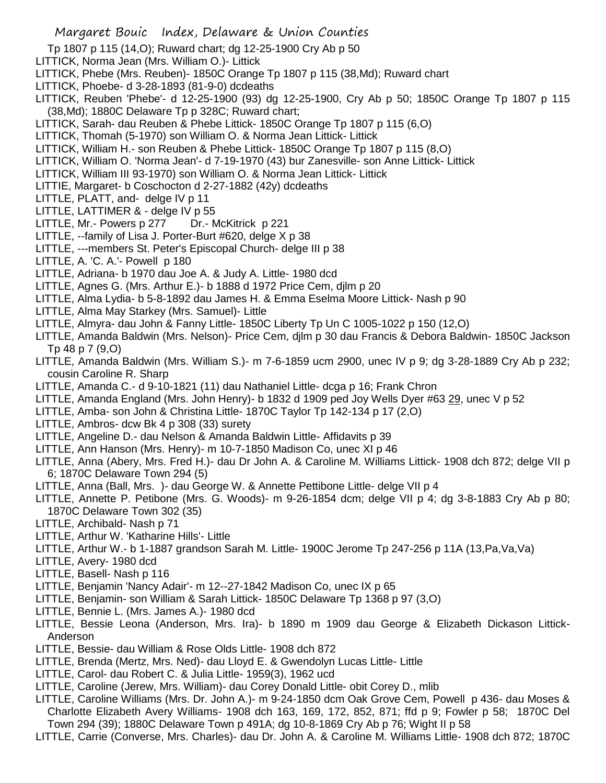- Tp 1807 p 115 (14,O); Ruward chart; dg 12-25-1900 Cry Ab p 50
- LITTICK, Norma Jean (Mrs. William O.)- Littick
- LITTICK, Phebe (Mrs. Reuben)- 1850C Orange Tp 1807 p 115 (38,Md); Ruward chart
- LITTICK, Phoebe- d 3-28-1893 (81-9-0) dcdeaths
- LITTICK, Reuben 'Phebe'- d 12-25-1900 (93) dg 12-25-1900, Cry Ab p 50; 1850C Orange Tp 1807 p 115 (38,Md); 1880C Delaware Tp p 328C; Ruward chart;
- LITTICK, Sarah- dau Reuben & Phebe Littick- 1850C Orange Tp 1807 p 115 (6,O)
- LITTICK, Thomah (5-1970) son William O. & Norma Jean Littick- Littick
- LITTICK, William H.- son Reuben & Phebe Littick- 1850C Orange Tp 1807 p 115 (8,O)
- LITTICK, William O. 'Norma Jean'- d 7-19-1970 (43) bur Zanesville- son Anne Littick- Littick
- LITTICK, William III 93-1970) son William O. & Norma Jean Littick- Littick
- LITTIE, Margaret- b Coschocton d 2-27-1882 (42y) dcdeaths
- LITTLE, PLATT, and- delge IV p 11
- LITTLE, LATTIMER & delge IV p 55
- LITTLE, Mr.- Powers p 277 Dr.- McKitrick p 221
- LITTLE, --family of Lisa J. Porter-Burt #620, delge X p 38
- LITTLE, ---members St. Peter's Episcopal Church- delge III p 38
- LITTLE, A. 'C. A.'- Powell p 180
- LITTLE, Adriana- b 1970 dau Joe A. & Judy A. Little- 1980 dcd
- LITTLE, Agnes G. (Mrs. Arthur E.)- b 1888 d 1972 Price Cem, djlm p 20
- LITTLE, Alma Lydia- b 5-8-1892 dau James H. & Emma Eselma Moore Littick- Nash p 90
- LITTLE, Alma May Starkey (Mrs. Samuel)- Little
- LITTLE, Almyra- dau John & Fanny Little- 1850C Liberty Tp Un C 1005-1022 p 150 (12,O)
- LITTLE, Amanda Baldwin (Mrs. Nelson)- Price Cem, djlm p 30 dau Francis & Debora Baldwin- 1850C Jackson Tp 48 p 7 (9,O)
- LITTLE, Amanda Baldwin (Mrs. William S.)- m 7-6-1859 ucm 2900, unec IV p 9; dg 3-28-1889 Cry Ab p 232; cousin Caroline R. Sharp
- LITTLE, Amanda C.- d 9-10-1821 (11) dau Nathaniel Little- dcga p 16; Frank Chron
- LITTLE, Amanda England (Mrs. John Henry)- b 1832 d 1909 ped Joy Wells Dyer #63 29, unec V p 52
- LITTLE, Amba- son John & Christina Little- 1870C Taylor Tp 142-134 p 17 (2,O)
- LITTLE, Ambros- dcw Bk 4 p 308 (33) surety
- LITTLE, Angeline D.- dau Nelson & Amanda Baldwin Little- Affidavits p 39
- LITTLE, Ann Hanson (Mrs. Henry)- m 10-7-1850 Madison Co, unec XI p 46
- LITTLE, Anna (Abery, Mrs. Fred H.)- dau Dr John A. & Caroline M. Williams Littick- 1908 dch 872; delge VII p 6; 1870C Delaware Town 294 (5)
- LITTLE, Anna (Ball, Mrs. )- dau George W. & Annette Pettibone Little- delge VII p 4
- LITTLE, Annette P. Petibone (Mrs. G. Woods)- m 9-26-1854 dcm; delge VII p 4; dg 3-8-1883 Cry Ab p 80; 1870C Delaware Town 302 (35)
- LITTLE, Archibald- Nash p 71
- LITTLE, Arthur W. 'Katharine Hills'- Little
- LITTLE, Arthur W.- b 1-1887 grandson Sarah M. Little- 1900C Jerome Tp 247-256 p 11A (13,Pa,Va,Va)
- LITTLE, Avery- 1980 dcd
- LITTLE, Basell- Nash p 116
- LITTLE, Benjamin 'Nancy Adair'- m 12--27-1842 Madison Co, unec IX p 65
- LITTLE, Benjamin- son William & Sarah Littick- 1850C Delaware Tp 1368 p 97 (3,O)
- LITTLE, Bennie L. (Mrs. James A.)- 1980 dcd
- LITTLE, Bessie Leona (Anderson, Mrs. Ira)- b 1890 m 1909 dau George & Elizabeth Dickason Littick-Anderson
- LITTLE, Bessie- dau William & Rose Olds Little- 1908 dch 872
- LITTLE, Brenda (Mertz, Mrs. Ned)- dau Lloyd E. & Gwendolyn Lucas Little- Little
- LITTLE, Carol- dau Robert C. & Julia Little- 1959(3), 1962 ucd
- LITTLE, Caroline (Jerew, Mrs. William)- dau Corey Donald Little- obit Corey D., mlib
- LITTLE, Caroline Williams (Mrs. Dr. John A.)- m 9-24-1850 dcm Oak Grove Cem, Powell p 436- dau Moses & Charlotte Elizabeth Avery Williams- 1908 dch 163, 169, 172, 852, 871; ffd p 9; Fowler p 58; 1870C Del Town 294 (39); 1880C Delaware Town p 491A; dg 10-8-1869 Cry Ab p 76; Wight II p 58
- LITTLE, Carrie (Converse, Mrs. Charles)- dau Dr. John A. & Caroline M. Williams Little- 1908 dch 872; 1870C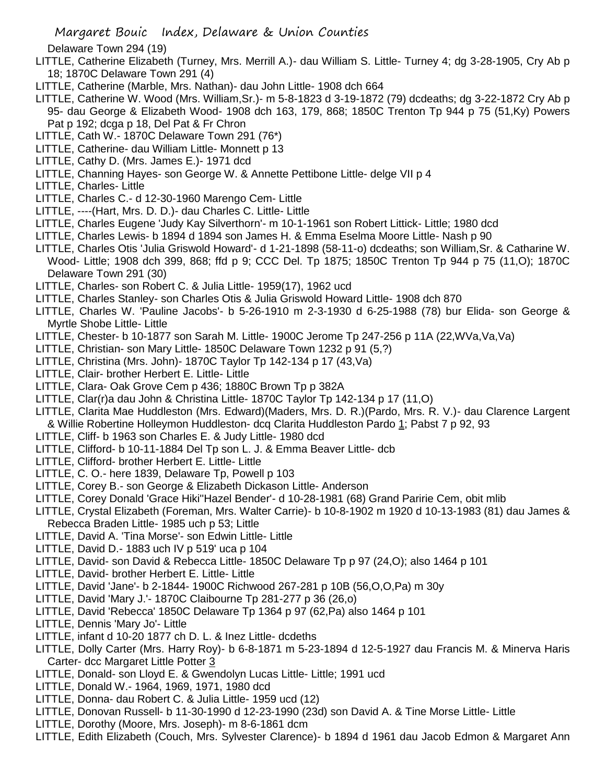Delaware Town 294 (19)

- LITTLE, Catherine Elizabeth (Turney, Mrs. Merrill A.)- dau William S. Little- Turney 4; dg 3-28-1905, Cry Ab p 18; 1870C Delaware Town 291 (4)
- LITTLE, Catherine (Marble, Mrs. Nathan)- dau John Little- 1908 dch 664
- LITTLE, Catherine W. Wood (Mrs. William,Sr.)- m 5-8-1823 d 3-19-1872 (79) dcdeaths; dg 3-22-1872 Cry Ab p 95- dau George & Elizabeth Wood- 1908 dch 163, 179, 868; 1850C Trenton Tp 944 p 75 (51,Ky) Powers Pat p 192; dcga p 18, Del Pat & Fr Chron
- LITTLE, Cath W.- 1870C Delaware Town 291 (76\*)
- LITTLE, Catherine- dau William Little- Monnett p 13
- LITTLE, Cathy D. (Mrs. James E.)- 1971 dcd
- LITTLE, Channing Hayes- son George W. & Annette Pettibone Little- delge VII p 4
- LITTLE, Charles- Little
- LITTLE, Charles C.- d 12-30-1960 Marengo Cem- Little
- LITTLE, ----(Hart, Mrs. D. D.)- dau Charles C. Little- Little
- LITTLE, Charles Eugene 'Judy Kay Silverthorn'- m 10-1-1961 son Robert Littick- Little; 1980 dcd
- LITTLE, Charles Lewis- b 1894 d 1894 son James H. & Emma Eselma Moore Little- Nash p 90
- LITTLE, Charles Otis 'Julia Griswold Howard'- d 1-21-1898 (58-11-o) dcdeaths; son William,Sr. & Catharine W.
- Wood- Little; 1908 dch 399, 868; ffd p 9; CCC Del. Tp 1875; 1850C Trenton Tp 944 p 75 (11,O); 1870C Delaware Town 291 (30)
- LITTLE, Charles- son Robert C. & Julia Little- 1959(17), 1962 ucd
- LITTLE, Charles Stanley- son Charles Otis & Julia Griswold Howard Little- 1908 dch 870
- LITTLE, Charles W. 'Pauline Jacobs'- b 5-26-1910 m 2-3-1930 d 6-25-1988 (78) bur Elida- son George & Myrtle Shobe Little- Little
- LITTLE, Chester- b 10-1877 son Sarah M. Little- 1900C Jerome Tp 247-256 p 11A (22,WVa,Va,Va)
- LITTLE, Christian- son Mary Little- 1850C Delaware Town 1232 p 91 (5,?)
- LITTLE, Christina (Mrs. John)- 1870C Taylor Tp 142-134 p 17 (43,Va)
- LITTLE, Clair- brother Herbert E. Little- Little
- LITTLE, Clara- Oak Grove Cem p 436; 1880C Brown Tp p 382A
- LITTLE, Clar(r)a dau John & Christina Little- 1870C Taylor Tp 142-134 p 17 (11,O)
- LITTLE, Clarita Mae Huddleston (Mrs. Edward)(Maders, Mrs. D. R.)(Pardo, Mrs. R. V.)- dau Clarence Largent & Willie Robertine Holleymon Huddleston- dcq Clarita Huddleston Pardo 1; Pabst 7 p 92, 93
- LITTLE, Cliff- b 1963 son Charles E. & Judy Little- 1980 dcd
- LITTLE, Clifford- b 10-11-1884 Del Tp son L. J. & Emma Beaver Little- dcb
- LITTLE, Clifford- brother Herbert E. Little- Little
- LITTLE, C. O.- here 1839, Delaware Tp, Powell p 103
- LITTLE, Corey B.- son George & Elizabeth Dickason Little- Anderson
- LITTLE, Corey Donald 'Grace Hiki''Hazel Bender'- d 10-28-1981 (68) Grand Paririe Cem, obit mlib
- LITTLE, Crystal Elizabeth (Foreman, Mrs. Walter Carrie)- b 10-8-1902 m 1920 d 10-13-1983 (81) dau James & Rebecca Braden Little- 1985 uch p 53; Little
- LITTLE, David A. 'Tina Morse'- son Edwin Little- Little
- LITTLE, David D.- 1883 uch IV p 519' uca p 104
- LITTLE, David- son David & Rebecca Little- 1850C Delaware Tp p 97 (24,O); also 1464 p 101
- LITTLE, David- brother Herbert E. Little- Little
- LITTLE, David 'Jane'- b 2-1844- 1900C Richwood 267-281 p 10B (56,O,O,Pa) m 30y
- LITTLE, David 'Mary J.'- 1870C Claibourne Tp 281-277 p 36 (26,o)
- LITTLE, David 'Rebecca' 1850C Delaware Tp 1364 p 97 (62,Pa) also 1464 p 101
- LITTLE, Dennis 'Mary Jo'- Little
- LITTLE, infant d 10-20 1877 ch D. L. & Inez Little- dcdeths
- LITTLE, Dolly Carter (Mrs. Harry Roy)- b 6-8-1871 m 5-23-1894 d 12-5-1927 dau Francis M. & Minerva Haris Carter- dcc Margaret Little Potter 3
- LITTLE, Donald- son Lloyd E. & Gwendolyn Lucas Little- Little; 1991 ucd
- LITTLE, Donald W.- 1964, 1969, 1971, 1980 dcd
- LITTLE, Donna- dau Robert C. & Julia Little- 1959 ucd (12)
- LITTLE, Donovan Russell- b 11-30-1990 d 12-23-1990 (23d) son David A. & Tine Morse Little- Little
- LITTLE, Dorothy (Moore, Mrs. Joseph)- m 8-6-1861 dcm
- LITTLE, Edith Elizabeth (Couch, Mrs. Sylvester Clarence)- b 1894 d 1961 dau Jacob Edmon & Margaret Ann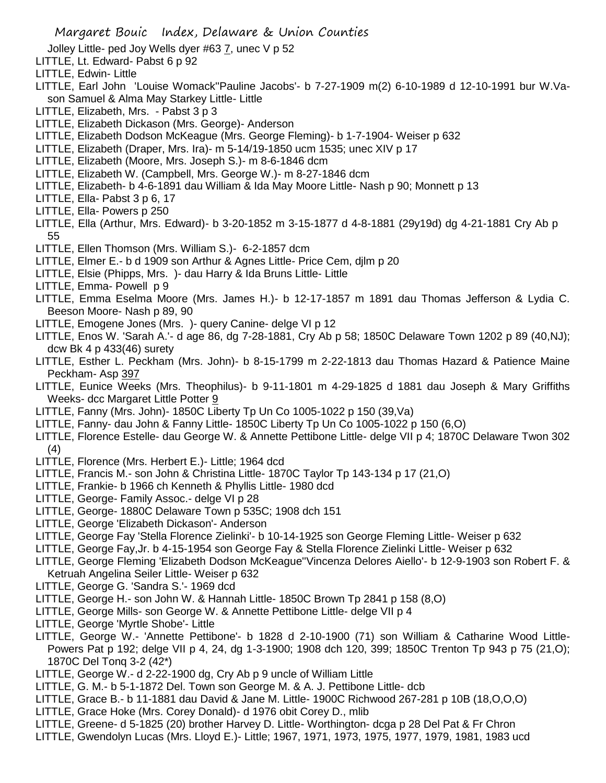Jolley Little- ped Joy Wells dyer #63  $Z$ , unec V p 52

- LITTLE, Lt. Edward- Pabst 6 p 92
- LITTLE, Edwin- Little
- LITTLE, Earl John 'Louise Womack''Pauline Jacobs'- b 7-27-1909 m(2) 6-10-1989 d 12-10-1991 bur W.Vason Samuel & Alma May Starkey Little- Little
- LITTLE, Elizabeth, Mrs. Pabst 3 p 3
- LITTLE, Elizabeth Dickason (Mrs. George)- Anderson
- LITTLE, Elizabeth Dodson McKeague (Mrs. George Fleming)- b 1-7-1904- Weiser p 632
- LITTLE, Elizabeth (Draper, Mrs. Ira)- m 5-14/19-1850 ucm 1535; unec XIV p 17
- LITTLE, Elizabeth (Moore, Mrs. Joseph S.)- m 8-6-1846 dcm
- LITTLE, Elizabeth W. (Campbell, Mrs. George W.)- m 8-27-1846 dcm
- LITTLE, Elizabeth- b 4-6-1891 dau William & Ida May Moore Little- Nash p 90; Monnett p 13
- LITTLE, Ella- Pabst 3 p 6, 17
- LITTLE, Ella- Powers p 250
- LITTLE, Ella (Arthur, Mrs. Edward)- b 3-20-1852 m 3-15-1877 d 4-8-1881 (29y19d) dg 4-21-1881 Cry Ab p 55
- LITTLE, Ellen Thomson (Mrs. William S.)- 6-2-1857 dcm
- LITTLE, Elmer E.- b d 1909 son Arthur & Agnes Little- Price Cem, djlm p 20
- LITTLE, Elsie (Phipps, Mrs. )- dau Harry & Ida Bruns Little- Little
- LITTLE, Emma- Powell p 9
- LITTLE, Emma Eselma Moore (Mrs. James H.)- b 12-17-1857 m 1891 dau Thomas Jefferson & Lydia C. Beeson Moore- Nash p 89, 90
- LITTLE, Emogene Jones (Mrs. )- query Canine- delge VI p 12
- LITTLE, Enos W. 'Sarah A.'- d age 86, dg 7-28-1881, Cry Ab p 58; 1850C Delaware Town 1202 p 89 (40,NJ); dcw Bk 4 p 433(46) surety
- LITTLE, Esther L. Peckham (Mrs. John)- b 8-15-1799 m 2-22-1813 dau Thomas Hazard & Patience Maine Peckham- Asp 397
- LITTLE, Eunice Weeks (Mrs. Theophilus)- b 9-11-1801 m 4-29-1825 d 1881 dau Joseph & Mary Griffiths Weeks- dcc Margaret Little Potter 9
- LITTLE, Fanny (Mrs. John)- 1850C Liberty Tp Un Co 1005-1022 p 150 (39,Va)
- LITTLE, Fanny- dau John & Fanny Little- 1850C Liberty Tp Un Co 1005-1022 p 150 (6,O)
- LITTLE, Florence Estelle- dau George W. & Annette Pettibone Little- delge VII p 4; 1870C Delaware Twon 302 (4)
- LITTLE, Florence (Mrs. Herbert E.)- Little; 1964 dcd
- LITTLE, Francis M.- son John & Christina Little- 1870C Taylor Tp 143-134 p 17 (21,O)
- LITTLE, Frankie- b 1966 ch Kenneth & Phyllis Little- 1980 dcd
- LITTLE, George- Family Assoc.- delge VI p 28
- LITTLE, George- 1880C Delaware Town p 535C; 1908 dch 151
- LITTLE, George 'Elizabeth Dickason'- Anderson
- LITTLE, George Fay 'Stella Florence Zielinki'- b 10-14-1925 son George Fleming Little- Weiser p 632
- LITTLE, George Fay,Jr. b 4-15-1954 son George Fay & Stella Florence Zielinki Little- Weiser p 632
- LITTLE, George Fleming 'Elizabeth Dodson McKeague''Vincenza Delores Aiello'- b 12-9-1903 son Robert F. & Ketruah Angelina Seiler Little- Weiser p 632
- LITTLE, George G. 'Sandra S.'- 1969 dcd
- LITTLE, George H.- son John W. & Hannah Little- 1850C Brown Tp 2841 p 158 (8,O)
- LITTLE, George Mills- son George W. & Annette Pettibone Little- delge VII p 4
- LITTLE, George 'Myrtle Shobe'- Little
- LITTLE, George W.- 'Annette Pettibone'- b 1828 d 2-10-1900 (71) son William & Catharine Wood Little-Powers Pat p 192; delge VII p 4, 24, dg 1-3-1900; 1908 dch 120, 399; 1850C Trenton Tp 943 p 75 (21,O); 1870C Del Tonq 3-2 (42\*)
- LITTLE, George W.- d 2-22-1900 dg, Cry Ab p 9 uncle of William Little
- LITTLE, G. M.- b 5-1-1872 Del. Town son George M. & A. J. Pettibone Little- dcb
- LITTLE, Grace B.- b 11-1881 dau David & Jane M. Little- 1900C Richwood 267-281 p 10B (18,O,O,O)
- LITTLE, Grace Hoke (Mrs. Corey Donald)- d 1976 obit Corey D., mlib
- LITTLE, Greene- d 5-1825 (20) brother Harvey D. Little- Worthington- dcga p 28 Del Pat & Fr Chron
- LITTLE, Gwendolyn Lucas (Mrs. Lloyd E.)- Little; 1967, 1971, 1973, 1975, 1977, 1979, 1981, 1983 ucd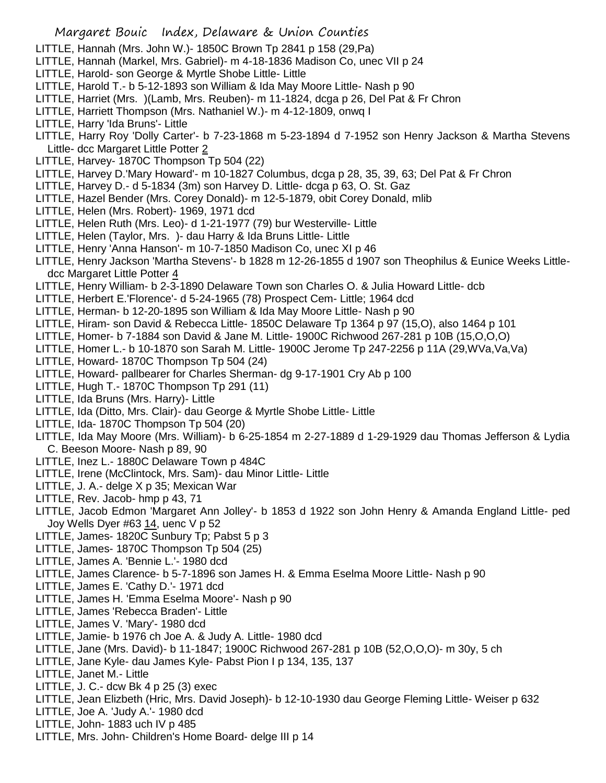- LITTLE, Hannah (Mrs. John W.)- 1850C Brown Tp 2841 p 158 (29,Pa)
- LITTLE, Hannah (Markel, Mrs. Gabriel)- m 4-18-1836 Madison Co, unec VII p 24
- LITTLE, Harold- son George & Myrtle Shobe Little- Little
- LITTLE, Harold T.- b 5-12-1893 son William & Ida May Moore Little- Nash p 90
- LITTLE, Harriet (Mrs. )(Lamb, Mrs. Reuben)- m 11-1824, dcga p 26, Del Pat & Fr Chron
- LITTLE, Harriett Thompson (Mrs. Nathaniel W.)- m 4-12-1809, onwq I
- LITTLE, Harry 'Ida Bruns'- Little
- LITTLE, Harry Roy 'Dolly Carter'- b 7-23-1868 m 5-23-1894 d 7-1952 son Henry Jackson & Martha Stevens Little- dcc Margaret Little Potter 2
- LITTLE, Harvey- 1870C Thompson Tp 504 (22)
- LITTLE, Harvey D.'Mary Howard'- m 10-1827 Columbus, dcga p 28, 35, 39, 63; Del Pat & Fr Chron
- LITTLE, Harvey D.- d 5-1834 (3m) son Harvey D. Little- dcga p 63, O. St. Gaz
- LITTLE, Hazel Bender (Mrs. Corey Donald)- m 12-5-1879, obit Corey Donald, mlib
- LITTLE, Helen (Mrs. Robert)- 1969, 1971 dcd
- LITTLE, Helen Ruth (Mrs. Leo)- d 1-21-1977 (79) bur Westerville- Little
- LITTLE, Helen (Taylor, Mrs. )- dau Harry & Ida Bruns Little- Little
- LITTLE, Henry 'Anna Hanson'- m 10-7-1850 Madison Co, unec XI p 46
- LITTLE, Henry Jackson 'Martha Stevens'- b 1828 m 12-26-1855 d 1907 son Theophilus & Eunice Weeks Littledcc Margaret Little Potter 4
- LITTLE, Henry William- b 2-3-1890 Delaware Town son Charles O. & Julia Howard Little- dcb
- LITTLE, Herbert E.'Florence'- d 5-24-1965 (78) Prospect Cem- Little; 1964 dcd
- LITTLE, Herman- b 12-20-1895 son William & Ida May Moore Little- Nash p 90
- LITTLE, Hiram- son David & Rebecca Little- 1850C Delaware Tp 1364 p 97 (15,O), also 1464 p 101
- LITTLE, Homer- b 7-1884 son David & Jane M. Little- 1900C Richwood 267-281 p 10B (15,O,O,O)
- LITTLE, Homer L.- b 10-1870 son Sarah M. Little- 1900C Jerome Tp 247-2256 p 11A (29,WVa,Va,Va)
- LITTLE, Howard- 1870C Thompson Tp 504 (24)
- LITTLE, Howard- pallbearer for Charles Sherman- dg 9-17-1901 Cry Ab p 100
- LITTLE, Hugh T.- 1870C Thompson Tp 291 (11)
- LITTLE, Ida Bruns (Mrs. Harry)- Little
- LITTLE, Ida (Ditto, Mrs. Clair)- dau George & Myrtle Shobe Little- Little
- LITTLE, Ida- 1870C Thompson Tp 504 (20)
- LITTLE, Ida May Moore (Mrs. William)- b 6-25-1854 m 2-27-1889 d 1-29-1929 dau Thomas Jefferson & Lydia C. Beeson Moore- Nash p 89, 90
- LITTLE, Inez L.- 1880C Delaware Town p 484C
- LITTLE, Irene (McClintock, Mrs. Sam)- dau Minor Little- Little
- LITTLE, J. A.- delge X p 35; Mexican War
- LITTLE, Rev. Jacob- hmp p 43, 71
- LITTLE, Jacob Edmon 'Margaret Ann Jolley'- b 1853 d 1922 son John Henry & Amanda England Little- ped Joy Wells Dyer #63 14, uenc V p 52
- LITTLE, James- 1820C Sunbury Tp; Pabst 5 p 3
- LITTLE, James- 1870C Thompson Tp 504 (25)
- LITTLE, James A. 'Bennie L.'- 1980 dcd
- LITTLE, James Clarence- b 5-7-1896 son James H. & Emma Eselma Moore Little- Nash p 90
- LITTLE, James E. 'Cathy D.'- 1971 dcd
- LITTLE, James H. 'Emma Eselma Moore'- Nash p 90
- LITTLE, James 'Rebecca Braden'- Little
- LITTLE, James V. 'Mary'- 1980 dcd
- LITTLE, Jamie- b 1976 ch Joe A. & Judy A. Little- 1980 dcd
- LITTLE, Jane (Mrs. David)- b 11-1847; 1900C Richwood 267-281 p 10B (52,O,O,O)- m 30y, 5 ch
- LITTLE, Jane Kyle- dau James Kyle- Pabst Pion I p 134, 135, 137
- LITTLE, Janet M.- Little
- LITTLE, J. C.- dcw Bk 4 p 25 (3) exec
- LITTLE, Jean Elizbeth (Hric, Mrs. David Joseph)- b 12-10-1930 dau George Fleming Little- Weiser p 632
- LITTLE, Joe A. 'Judy A.'- 1980 dcd
- LITTLE, John- 1883 uch IV p 485
- LITTLE, Mrs. John- Children's Home Board- delge III p 14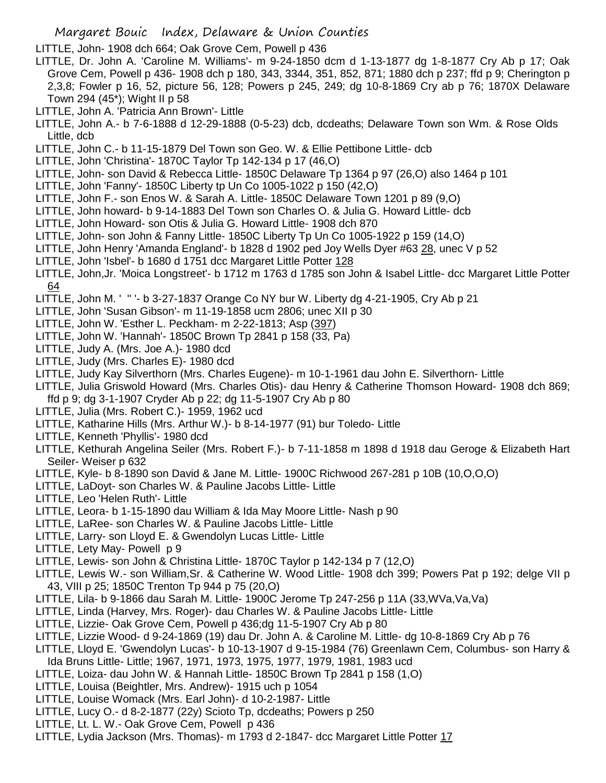LITTLE, John- 1908 dch 664; Oak Grove Cem, Powell p 436

- LITTLE, Dr. John A. 'Caroline M. Williams'- m 9-24-1850 dcm d 1-13-1877 dg 1-8-1877 Cry Ab p 17; Oak Grove Cem, Powell p 436- 1908 dch p 180, 343, 3344, 351, 852, 871; 1880 dch p 237; ffd p 9; Cherington p 2,3,8; Fowler p 16, 52, picture 56, 128; Powers p 245, 249; dg 10-8-1869 Cry ab p 76; 1870X Delaware Town 294 (45\*); Wight II p 58
- LITTLE, John A. 'Patricia Ann Brown'- Little
- LITTLE, John A.- b 7-6-1888 d 12-29-1888 (0-5-23) dcb, dcdeaths; Delaware Town son Wm. & Rose Olds Little, dcb
- LITTLE, John C.- b 11-15-1879 Del Town son Geo. W. & Ellie Pettibone Little- dcb
- LITTLE, John 'Christina'- 1870C Taylor Tp 142-134 p 17 (46,O)
- LITTLE, John- son David & Rebecca Little- 1850C Delaware Tp 1364 p 97 (26,O) also 1464 p 101
- LITTLE, John 'Fanny'- 1850C Liberty tp Un Co 1005-1022 p 150 (42,O)
- LITTLE, John F.- son Enos W. & Sarah A. Little- 1850C Delaware Town 1201 p 89 (9,O)
- LITTLE, John howard- b 9-14-1883 Del Town son Charles O. & Julia G. Howard Little- dcb
- LITTLE, John Howard- son Otis & Julia G. Howard Little- 1908 dch 870
- LITTLE, John- son John & Fanny Little- 1850C Liberty Tp Un Co 1005-1922 p 159 (14,O)
- LITTLE, John Henry 'Amanda England'- b 1828 d 1902 ped Joy Wells Dyer #63 28, unec V p 52
- LITTLE, John 'Isbel'- b 1680 d 1751 dcc Margaret Little Potter 128
- LITTLE, John,Jr. 'Moica Longstreet'- b 1712 m 1763 d 1785 son John & Isabel Little- dcc Margaret Little Potter 64
- LITTLE, John M. ' '' '- b 3-27-1837 Orange Co NY bur W. Liberty dg 4-21-1905, Cry Ab p 21
- LITTLE, John 'Susan Gibson'- m 11-19-1858 ucm 2806; unec XII p 30
- LITTLE, John W. 'Esther L. Peckham- m 2-22-1813; Asp (397)
- LITTLE, John W. 'Hannah'- 1850C Brown Tp 2841 p 158 (33, Pa)
- LITTLE, Judy A. (Mrs. Joe A.)- 1980 dcd
- LITTLE, Judy (Mrs. Charles E)- 1980 dcd
- LITTLE, Judy Kay Silverthorn (Mrs. Charles Eugene)- m 10-1-1961 dau John E. Silverthorn- Little
- LITTLE, Julia Griswold Howard (Mrs. Charles Otis)- dau Henry & Catherine Thomson Howard- 1908 dch 869;
- ffd p 9; dg 3-1-1907 Cryder Ab p 22; dg 11-5-1907 Cry Ab p 80
- LITTLE, Julia (Mrs. Robert C.)- 1959, 1962 ucd
- LITTLE, Katharine Hills (Mrs. Arthur W.)- b 8-14-1977 (91) bur Toledo- Little
- LITTLE, Kenneth 'Phyllis'- 1980 dcd
- LITTLE, Kethurah Angelina Seiler (Mrs. Robert F.)- b 7-11-1858 m 1898 d 1918 dau Geroge & Elizabeth Hart Seiler- Weiser p 632
- LITTLE, Kyle- b 8-1890 son David & Jane M. Little- 1900C Richwood 267-281 p 10B (10,O,O,O)
- LITTLE, LaDoyt- son Charles W. & Pauline Jacobs Little- Little
- LITTLE, Leo 'Helen Ruth'- Little
- LITTLE, Leora- b 1-15-1890 dau William & Ida May Moore Little- Nash p 90
- LITTLE, LaRee- son Charles W. & Pauline Jacobs Little- Little
- LITTLE, Larry- son Lloyd E. & Gwendolyn Lucas Little- Little
- LITTLE, Lety May- Powell p 9
- LITTLE, Lewis- son John & Christina Little- 1870C Taylor p 142-134 p 7 (12,O)
- LITTLE, Lewis W.- son William,Sr. & Catherine W. Wood Little- 1908 dch 399; Powers Pat p 192; delge VII p 43, VIII p 25; 1850C Trenton Tp 944 p 75 (20,O)
- LITTLE, Lila- b 9-1866 dau Sarah M. Little- 1900C Jerome Tp 247-256 p 11A (33,WVa,Va,Va)
- LITTLE, Linda (Harvey, Mrs. Roger)- dau Charles W. & Pauline Jacobs Little- Little
- LITTLE, Lizzie- Oak Grove Cem, Powell p 436;dg 11-5-1907 Cry Ab p 80
- LITTLE, Lizzie Wood- d 9-24-1869 (19) dau Dr. John A. & Caroline M. Little- dg 10-8-1869 Cry Ab p 76
- LITTLE, Lloyd E. 'Gwendolyn Lucas'- b 10-13-1907 d 9-15-1984 (76) Greenlawn Cem, Columbus- son Harry &
- Ida Bruns Little- Little; 1967, 1971, 1973, 1975, 1977, 1979, 1981, 1983 ucd
- LITTLE, Loiza- dau John W. & Hannah Little- 1850C Brown Tp 2841 p 158 (1,O)
- LITTLE, Louisa (Beightler, Mrs. Andrew)- 1915 uch p 1054
- LITTLE, Louise Womack (Mrs. Earl John)- d 10-2-1987- Little
- LITTLE, Lucy O.- d 8-2-1877 (22y) Scioto Tp, dcdeaths; Powers p 250
- LITTLE, Lt. L. W.- Oak Grove Cem, Powell p 436
- LITTLE, Lydia Jackson (Mrs. Thomas)- m 1793 d 2-1847- dcc Margaret Little Potter 17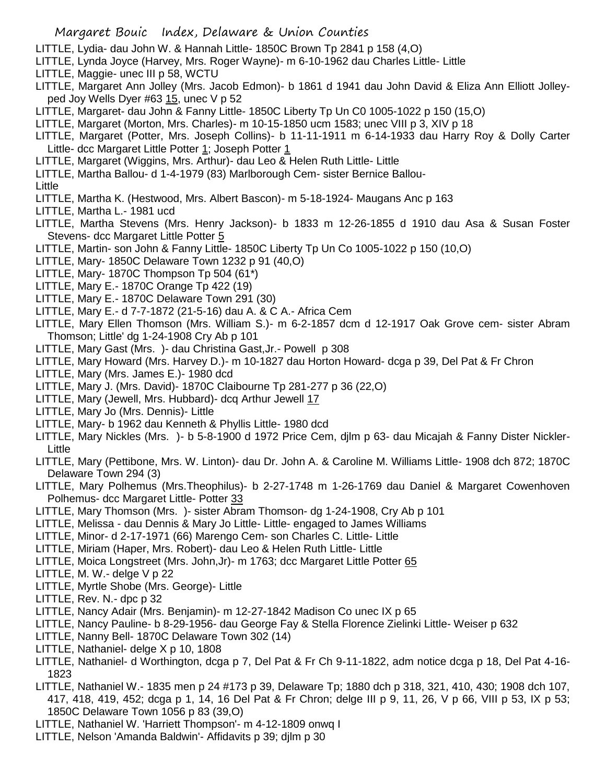- LITTLE, Lydia- dau John W. & Hannah Little- 1850C Brown Tp 2841 p 158 (4,O)
- LITTLE, Lynda Joyce (Harvey, Mrs. Roger Wayne)- m 6-10-1962 dau Charles Little- Little
- LITTLE, Maggie- unec III p 58, WCTU
- LITTLE, Margaret Ann Jolley (Mrs. Jacob Edmon)- b 1861 d 1941 dau John David & Eliza Ann Elliott Jolleyped Joy Wells Dyer #63 15, unec V p 52
- LITTLE, Margaret- dau John & Fanny Little- 1850C Liberty Tp Un C0 1005-1022 p 150 (15,O)
- LITTLE, Margaret (Morton, Mrs. Charles)- m 10-15-1850 ucm 1583; unec VIII p 3, XIV p 18
- LITTLE, Margaret (Potter, Mrs. Joseph Collins)- b 11-11-1911 m 6-14-1933 dau Harry Roy & Dolly Carter Little- dcc Margaret Little Potter 1; Joseph Potter 1
- LITTLE, Margaret (Wiggins, Mrs. Arthur)- dau Leo & Helen Ruth Little- Little
- LITTLE, Martha Ballou- d 1-4-1979 (83) Marlborough Cem- sister Bernice Ballou-
- Little
- LITTLE, Martha K. (Hestwood, Mrs. Albert Bascon)- m 5-18-1924- Maugans Anc p 163
- LITTLE, Martha L.- 1981 ucd
- LITTLE, Martha Stevens (Mrs. Henry Jackson)- b 1833 m 12-26-1855 d 1910 dau Asa & Susan Foster Stevens- dcc Margaret Little Potter 5
- LITTLE, Martin- son John & Fanny Little- 1850C Liberty Tp Un Co 1005-1022 p 150 (10,O)
- LITTLE, Mary- 1850C Delaware Town 1232 p 91 (40,O)
- LITTLE, Mary- 1870C Thompson Tp 504 (61\*)
- LITTLE, Mary E.- 1870C Orange Tp 422 (19)
- LITTLE, Mary E.- 1870C Delaware Town 291 (30)
- LITTLE, Mary E.- d 7-7-1872 (21-5-16) dau A. & C A.- Africa Cem
- LITTLE, Mary Ellen Thomson (Mrs. William S.)- m 6-2-1857 dcm d 12-1917 Oak Grove cem- sister Abram Thomson; Little' dg 1-24-1908 Cry Ab p 101
- LITTLE, Mary Gast (Mrs. )- dau Christina Gast,Jr.- Powell p 308
- LITTLE, Mary Howard (Mrs. Harvey D.)- m 10-1827 dau Horton Howard- dcga p 39, Del Pat & Fr Chron
- LITTLE, Mary (Mrs. James E.)- 1980 dcd
- LITTLE, Mary J. (Mrs. David)- 1870C Claibourne Tp 281-277 p 36 (22,O)
- LITTLE, Mary (Jewell, Mrs. Hubbard)- dcq Arthur Jewell 17
- LITTLE, Mary Jo (Mrs. Dennis)- Little
- LITTLE, Mary- b 1962 dau Kenneth & Phyllis Little- 1980 dcd
- LITTLE, Mary Nickles (Mrs. )- b 5-8-1900 d 1972 Price Cem, djlm p 63- dau Micajah & Fanny Dister Nickler-Little
- LITTLE, Mary (Pettibone, Mrs. W. Linton)- dau Dr. John A. & Caroline M. Williams Little- 1908 dch 872; 1870C Delaware Town 294 (3)
- LITTLE, Mary Polhemus (Mrs.Theophilus)- b 2-27-1748 m 1-26-1769 dau Daniel & Margaret Cowenhoven Polhemus- dcc Margaret Little- Potter 33
- LITTLE, Mary Thomson (Mrs. )- sister Abram Thomson- dg 1-24-1908, Cry Ab p 101
- LITTLE, Melissa dau Dennis & Mary Jo Little- Little- engaged to James Williams
- LITTLE, Minor- d 2-17-1971 (66) Marengo Cem- son Charles C. Little- Little
- LITTLE, Miriam (Haper, Mrs. Robert)- dau Leo & Helen Ruth Little- Little
- LITTLE, Moica Longstreet (Mrs. John,Jr)- m 1763; dcc Margaret Little Potter 65
- LITTLE, M. W.- delge V p 22
- LITTLE, Myrtle Shobe (Mrs. George)- Little
- LITTLE, Rev. N.- dpc p 32
- LITTLE, Nancy Adair (Mrs. Benjamin)- m 12-27-1842 Madison Co unec IX p 65
- LITTLE, Nancy Pauline- b 8-29-1956- dau George Fay & Stella Florence Zielinki Little- Weiser p 632
- LITTLE, Nanny Bell- 1870C Delaware Town 302 (14)
- LITTLE, Nathaniel- delge X p 10, 1808
- LITTLE, Nathaniel- d Worthington, dcga p 7, Del Pat & Fr Ch 9-11-1822, adm notice dcga p 18, Del Pat 4-16- 1823
- LITTLE, Nathaniel W.- 1835 men p 24 #173 p 39, Delaware Tp; 1880 dch p 318, 321, 410, 430; 1908 dch 107, 417, 418, 419, 452; dcga p 1, 14, 16 Del Pat & Fr Chron; delge III p 9, 11, 26, V p 66, VIII p 53, IX p 53; 1850C Delaware Town 1056 p 83 (39,O)
- LITTLE, Nathaniel W. 'Harriett Thompson'- m 4-12-1809 onwq I
- LITTLE, Nelson 'Amanda Baldwin'- Affidavits p 39; djlm p 30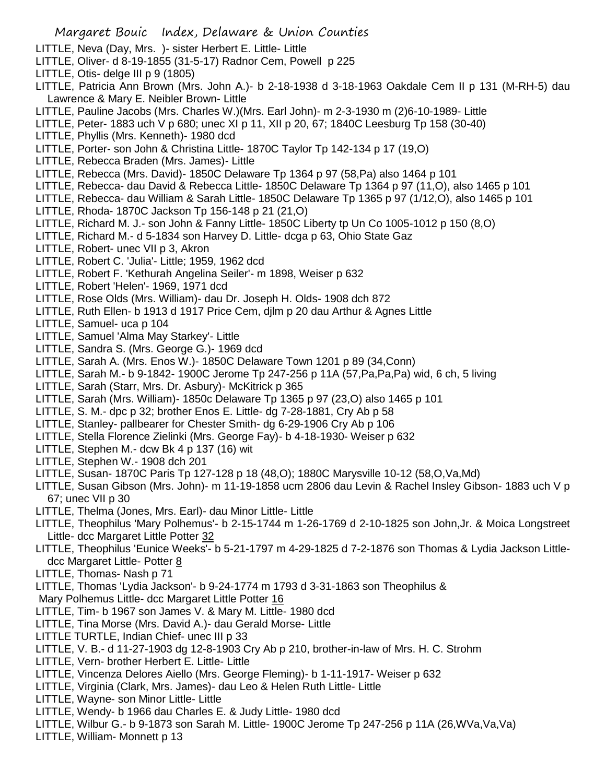- LITTLE, Neva (Day, Mrs. )- sister Herbert E. Little- Little
- LITTLE, Oliver- d 8-19-1855 (31-5-17) Radnor Cem, Powell p 225
- LITTLE, Otis- delge III p 9 (1805)
- LITTLE, Patricia Ann Brown (Mrs. John A.)- b 2-18-1938 d 3-18-1963 Oakdale Cem II p 131 (M-RH-5) dau Lawrence & Mary E. Neibler Brown- Little
- LITTLE, Pauline Jacobs (Mrs. Charles W.)(Mrs. Earl John)- m 2-3-1930 m (2)6-10-1989- Little
- LITTLE, Peter- 1883 uch V p 680; unec XI p 11, XII p 20, 67; 1840C Leesburg Tp 158 (30-40)
- LITTLE, Phyllis (Mrs. Kenneth)- 1980 dcd
- LITTLE, Porter- son John & Christina Little- 1870C Taylor Tp 142-134 p 17 (19,O)
- LITTLE, Rebecca Braden (Mrs. James)- Little
- LITTLE, Rebecca (Mrs. David)- 1850C Delaware Tp 1364 p 97 (58,Pa) also 1464 p 101
- LITTLE, Rebecca- dau David & Rebecca Little- 1850C Delaware Tp 1364 p 97 (11,O), also 1465 p 101
- LITTLE, Rebecca- dau William & Sarah Little- 1850C Delaware Tp 1365 p 97 (1/12,O), also 1465 p 101
- LITTLE, Rhoda- 1870C Jackson Tp 156-148 p 21 (21,O)
- LITTLE, Richard M. J.- son John & Fanny Little- 1850C Liberty tp Un Co 1005-1012 p 150 (8,O)
- LITTLE, Richard M.- d 5-1834 son Harvey D. Little- dcga p 63, Ohio State Gaz
- LITTLE, Robert- unec VII p 3, Akron
- LITTLE, Robert C. 'Julia'- Little; 1959, 1962 dcd
- LITTLE, Robert F. 'Kethurah Angelina Seiler'- m 1898, Weiser p 632
- LITTLE, Robert 'Helen'- 1969, 1971 dcd
- LITTLE, Rose Olds (Mrs. William)- dau Dr. Joseph H. Olds- 1908 dch 872
- LITTLE, Ruth Ellen- b 1913 d 1917 Price Cem, djlm p 20 dau Arthur & Agnes Little
- LITTLE, Samuel- uca p 104
- LITTLE, Samuel 'Alma May Starkey'- Little
- LITTLE, Sandra S. (Mrs. George G.)- 1969 dcd
- LITTLE, Sarah A. (Mrs. Enos W.)- 1850C Delaware Town 1201 p 89 (34,Conn)
- LITTLE, Sarah M.- b 9-1842- 1900C Jerome Tp 247-256 p 11A (57,Pa,Pa,Pa) wid, 6 ch, 5 living
- LITTLE, Sarah (Starr, Mrs. Dr. Asbury)- McKitrick p 365
- LITTLE, Sarah (Mrs. William)- 1850c Delaware Tp 1365 p 97 (23,O) also 1465 p 101
- LITTLE, S. M.- dpc p 32; brother Enos E. Little- dg 7-28-1881, Cry Ab p 58
- LITTLE, Stanley- pallbearer for Chester Smith- dg 6-29-1906 Cry Ab p 106
- LITTLE, Stella Florence Zielinki (Mrs. George Fay)- b 4-18-1930- Weiser p 632
- LITTLE, Stephen M.- dcw Bk 4 p 137 (16) wit
- LITTLE, Stephen W.- 1908 dch 201
- LITTLE, Susan- 1870C Paris Tp 127-128 p 18 (48,O); 1880C Marysville 10-12 (58,O,Va,Md)
- LITTLE, Susan Gibson (Mrs. John)- m 11-19-1858 ucm 2806 dau Levin & Rachel Insley Gibson- 1883 uch V p 67; unec VII p 30
- LITTLE, Thelma (Jones, Mrs. Earl)- dau Minor Little- Little
- LITTLE, Theophilus 'Mary Polhemus'- b 2-15-1744 m 1-26-1769 d 2-10-1825 son John,Jr. & Moica Longstreet Little- dcc Margaret Little Potter 32
- LITTLE, Theophilus 'Eunice Weeks'- b 5-21-1797 m 4-29-1825 d 7-2-1876 son Thomas & Lydia Jackson Littledcc Margaret Little- Potter 8
- LITTLE, Thomas- Nash p 71
- LITTLE, Thomas 'Lydia Jackson'- b 9-24-1774 m 1793 d 3-31-1863 son Theophilus &
- Mary Polhemus Little- dcc Margaret Little Potter 16
- LITTLE, Tim- b 1967 son James V. & Mary M. Little- 1980 dcd
- LITTLE, Tina Morse (Mrs. David A.)- dau Gerald Morse- Little
- LITTLE TURTLE, Indian Chief- unec III p 33
- LITTLE, V. B.- d 11-27-1903 dg 12-8-1903 Cry Ab p 210, brother-in-law of Mrs. H. C. Strohm
- LITTLE, Vern- brother Herbert E. Little- Little
- LITTLE, Vincenza Delores Aiello (Mrs. George Fleming)- b 1-11-1917- Weiser p 632
- LITTLE, Virginia (Clark, Mrs. James)- dau Leo & Helen Ruth Little- Little
- LITTLE, Wayne- son Minor Little- Little
- LITTLE, Wendy- b 1966 dau Charles E. & Judy Little- 1980 dcd
- LITTLE, Wilbur G.- b 9-1873 son Sarah M. Little- 1900C Jerome Tp 247-256 p 11A (26,WVa,Va,Va)
- LITTLE, William- Monnett p 13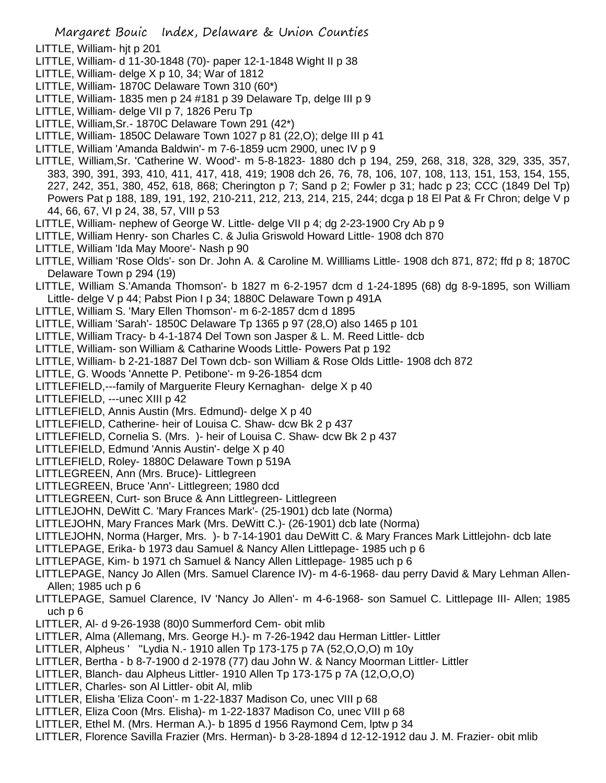- LITTLE, William- hjt p 201
- LITTLE, William- d 11-30-1848 (70)- paper 12-1-1848 Wight II p 38
- LITTLE, William- delge X p 10, 34; War of 1812
- LITTLE, William- 1870C Delaware Town 310 (60\*)
- LITTLE, William- 1835 men p 24 #181 p 39 Delaware Tp, delge III p 9
- LITTLE, William- delge VII p 7, 1826 Peru Tp
- LITTLE, William,Sr.- 1870C Delaware Town 291 (42\*)
- LITTLE, William- 1850C Delaware Town 1027 p 81 (22,O); delge III p 41
- LITTLE, William 'Amanda Baldwin'- m 7-6-1859 ucm 2900, unec IV p 9
- LITTLE, William,Sr. 'Catherine W. Wood'- m 5-8-1823- 1880 dch p 194, 259, 268, 318, 328, 329, 335, 357, 383, 390, 391, 393, 410, 411, 417, 418, 419; 1908 dch 26, 76, 78, 106, 107, 108, 113, 151, 153, 154, 155, 227, 242, 351, 380, 452, 618, 868; Cherington p 7; Sand p 2; Fowler p 31; hadc p 23; CCC (1849 Del Tp) Powers Pat p 188, 189, 191, 192, 210-211, 212, 213, 214, 215, 244; dcga p 18 El Pat & Fr Chron; delge V p 44, 66, 67, VI p 24, 38, 57, VIII p 53
- LITTLE, William- nephew of George W. Little- delge VII p 4; dg 2-23-1900 Cry Ab p 9
- LITTLE, William Henry- son Charles C. & Julia Griswold Howard Little- 1908 dch 870
- LITTLE, William 'Ida May Moore'- Nash p 90
- LITTLE, William 'Rose Olds'- son Dr. John A. & Caroline M. Willliams Little- 1908 dch 871, 872; ffd p 8; 1870C Delaware Town p 294 (19)
- LITTLE, William S.'Amanda Thomson'- b 1827 m 6-2-1957 dcm d 1-24-1895 (68) dg 8-9-1895, son William Little- delge V p 44; Pabst Pion I p 34; 1880C Delaware Town p 491A
- LITTLE, William S. 'Mary Ellen Thomson'- m 6-2-1857 dcm d 1895
- LITTLE, William 'Sarah'- 1850C Delaware Tp 1365 p 97 (28,O) also 1465 p 101
- LITTLE, William Tracy- b 4-1-1874 Del Town son Jasper & L. M. Reed Little- dcb
- LITTLE, William- son William & Catharine Woods Little- Powers Pat p 192
- LITTLE, William- b 2-21-1887 Del Town dcb- son William & Rose Olds Little- 1908 dch 872
- LITTLE, G. Woods 'Annette P. Petibone'- m 9-26-1854 dcm
- LITTLEFIELD,---family of Marguerite Fleury Kernaghan- delge X p 40
- LITTLEFIELD, ---unec XIII p 42
- LITTLEFIELD, Annis Austin (Mrs. Edmund)- delge X p 40
- LITTLEFIELD, Catherine- heir of Louisa C. Shaw- dcw Bk 2 p 437
- LITTLEFIELD, Cornelia S. (Mrs. )- heir of Louisa C. Shaw- dcw Bk 2 p 437
- LITTLEFIELD, Edmund 'Annis Austin'- delge X p 40
- LITTLEFIELD, Roley- 1880C Delaware Town p 519A
- LITTLEGREEN, Ann (Mrs. Bruce)- Littlegreen
- LITTLEGREEN, Bruce 'Ann'- Littlegreen; 1980 dcd
- LITTLEGREEN, Curt- son Bruce & Ann Littlegreen- Littlegreen
- LITTLEJOHN, DeWitt C. 'Mary Frances Mark'- (25-1901) dcb late (Norma)
- LITTLEJOHN, Mary Frances Mark (Mrs. DeWitt C.)- (26-1901) dcb late (Norma)
- LITTLEJOHN, Norma (Harger, Mrs. )- b 7-14-1901 dau DeWitt C. & Mary Frances Mark Littlejohn- dcb late
- LITTLEPAGE, Erika- b 1973 dau Samuel & Nancy Allen Littlepage- 1985 uch p 6
- LITTLEPAGE, Kim- b 1971 ch Samuel & Nancy Allen Littlepage- 1985 uch p 6
- LITTLEPAGE, Nancy Jo Allen (Mrs. Samuel Clarence IV)- m 4-6-1968- dau perry David & Mary Lehman Allen-Allen; 1985 uch p 6
- LITTLEPAGE, Samuel Clarence, IV 'Nancy Jo Allen'- m 4-6-1968- son Samuel C. Littlepage III- Allen; 1985 uch p 6
- LITTLER, Al- d 9-26-1938 (80)0 Summerford Cem- obit mlib
- LITTLER, Alma (Allemang, Mrs. George H.)- m 7-26-1942 dau Herman Littler- Littler
- LITTLER, Alpheus ' ''Lydia N.- 1910 allen Tp 173-175 p 7A (52,O,O,O) m 10y
- LITTLER, Bertha b 8-7-1900 d 2-1978 (77) dau John W. & Nancy Moorman Littler- Littler
- LITTLER, Blanch- dau Alpheus Littler- 1910 Allen Tp 173-175 p 7A (12,O,O,O)
- LITTLER, Charles- son Al Littler- obit Al, mlib
- LITTLER, Elisha 'Eliza Coon'- m 1-22-1837 Madison Co, unec VIII p 68
- LITTLER, Eliza Coon (Mrs. Elisha)- m 1-22-1837 Madison Co, unec VIII p 68
- LITTLER, Ethel M. (Mrs. Herman A.)- b 1895 d 1956 Raymond Cem, lptw p 34
- LITTLER, Florence Savilla Frazier (Mrs. Herman)- b 3-28-1894 d 12-12-1912 dau J. M. Frazier- obit mlib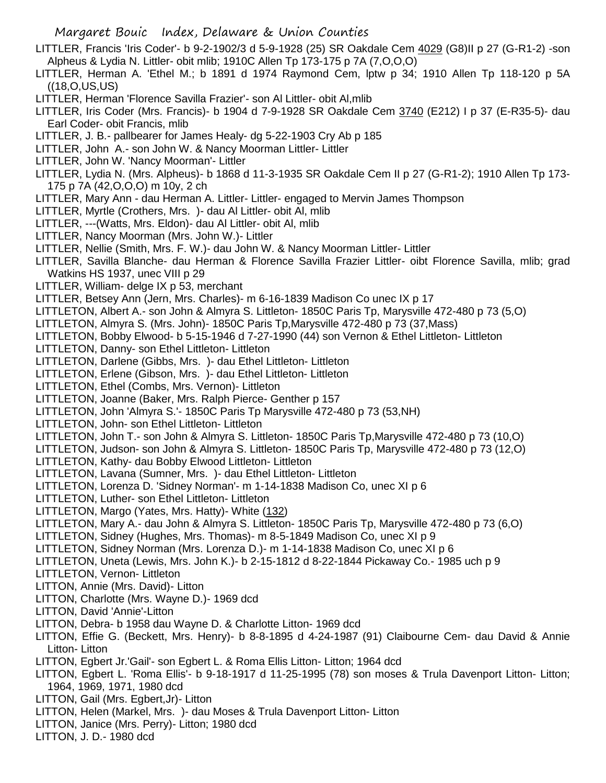- LITTLER, Francis 'Iris Coder'- b 9-2-1902/3 d 5-9-1928 (25) SR Oakdale Cem 4029 (G8)II p 27 (G-R1-2) -son Alpheus & Lydia N. Littler- obit mlib; 1910C Allen Tp 173-175 p 7A (7,O,O,O)
- LITTLER, Herman A. 'Ethel M.; b 1891 d 1974 Raymond Cem, lptw p 34; 1910 Allen Tp 118-120 p 5A ((18,O,US,US)

LITTLER, Herman 'Florence Savilla Frazier'- son Al Littler- obit Al,mlib

- LITTLER, Iris Coder (Mrs. Francis)- b 1904 d 7-9-1928 SR Oakdale Cem 3740 (E212) I p 37 (E-R35-5)- dau Earl Coder- obit Francis, mlib
- LITTLER, J. B.- pallbearer for James Healy- dg 5-22-1903 Cry Ab p 185
- LITTLER, John A.- son John W. & Nancy Moorman Littler- Littler
- LITTLER, John W. 'Nancy Moorman'- Littler
- LITTLER, Lydia N. (Mrs. Alpheus)- b 1868 d 11-3-1935 SR Oakdale Cem II p 27 (G-R1-2); 1910 Allen Tp 173- 175 p 7A (42,O,O,O) m 10y, 2 ch
- LITTLER, Mary Ann dau Herman A. Littler- Littler- engaged to Mervin James Thompson
- LITTLER, Myrtle (Crothers, Mrs. )- dau Al Littler- obit Al, mlib
- LITTLER, ---(Watts, Mrs. Eldon)- dau Al Littler- obit Al, mlib
- LITTLER, Nancy Moorman (Mrs. John W.)- Littler
- LITTLER, Nellie (Smith, Mrs. F. W.)- dau John W. & Nancy Moorman Littler- Littler
- LITTLER, Savilla Blanche- dau Herman & Florence Savilla Frazier Littler- oibt Florence Savilla, mlib; grad Watkins HS 1937, unec VIII p 29
- LITTLER, William- delge IX p 53, merchant
- LITTLER, Betsey Ann (Jern, Mrs. Charles)- m 6-16-1839 Madison Co unec IX p 17
- LITTLETON, Albert A.- son John & Almyra S. Littleton- 1850C Paris Tp, Marysville 472-480 p 73 (5,O)
- LITTLETON, Almyra S. (Mrs. John)- 1850C Paris Tp,Marysville 472-480 p 73 (37,Mass)
- LITTLETON, Bobby Elwood- b 5-15-1946 d 7-27-1990 (44) son Vernon & Ethel Littleton- Littleton
- LITTLETON, Danny- son Ethel Littleton- Littleton
- LITTLETON, Darlene (Gibbs, Mrs. )- dau Ethel Littleton- Littleton
- LITTLETON, Erlene (Gibson, Mrs. )- dau Ethel Littleton- Littleton
- LITTLETON, Ethel (Combs, Mrs. Vernon)- Littleton
- LITTLETON, Joanne (Baker, Mrs. Ralph Pierce- Genther p 157
- LITTLETON, John 'Almyra S.'- 1850C Paris Tp Marysville 472-480 p 73 (53,NH)
- LITTLETON, John- son Ethel Littleton- Littleton
- LITTLETON, John T.- son John & Almyra S. Littleton- 1850C Paris Tp,Marysville 472-480 p 73 (10,O)
- LITTLETON, Judson- son John & Almyra S. Littleton- 1850C Paris Tp, Marysville 472-480 p 73 (12,O)
- LITTLETON, Kathy- dau Bobby Elwood Littleton- Littleton
- LITTLETON, Lavana (Sumner, Mrs. )- dau Ethel Littleton- Littleton
- LITTLETON, Lorenza D. 'Sidney Norman'- m 1-14-1838 Madison Co, unec XI p 6
- LITTLETON, Luther- son Ethel Littleton- Littleton
- LITTLETON, Margo (Yates, Mrs. Hatty)- White (132)
- LITTLETON, Mary A.- dau John & Almyra S. Littleton- 1850C Paris Tp, Marysville 472-480 p 73 (6,O)
- LITTLETON, Sidney (Hughes, Mrs. Thomas)- m 8-5-1849 Madison Co, unec XI p 9
- LITTLETON, Sidney Norman (Mrs. Lorenza D.)- m 1-14-1838 Madison Co, unec XI p 6
- LITTLETON, Uneta (Lewis, Mrs. John K.)- b 2-15-1812 d 8-22-1844 Pickaway Co.- 1985 uch p 9
- LITTLETON, Vernon- Littleton
- LITTON, Annie (Mrs. David)- Litton
- LITTON, Charlotte (Mrs. Wayne D.)- 1969 dcd
- LITTON, David 'Annie'-Litton
- LITTON, Debra- b 1958 dau Wayne D. & Charlotte Litton- 1969 dcd
- LITTON, Effie G. (Beckett, Mrs. Henry)- b 8-8-1895 d 4-24-1987 (91) Claibourne Cem- dau David & Annie Litton- Litton
- LITTON, Egbert Jr.'Gail'- son Egbert L. & Roma Ellis Litton- Litton; 1964 dcd
- LITTON, Egbert L. 'Roma Ellis'- b 9-18-1917 d 11-25-1995 (78) son moses & Trula Davenport Litton- Litton; 1964, 1969, 1971, 1980 dcd
- LITTON, Gail (Mrs. Egbert,Jr)- Litton
- LITTON, Helen (Markel, Mrs. )- dau Moses & Trula Davenport Litton- Litton
- LITTON, Janice (Mrs. Perry)- Litton; 1980 dcd
- LITTON, J. D.- 1980 dcd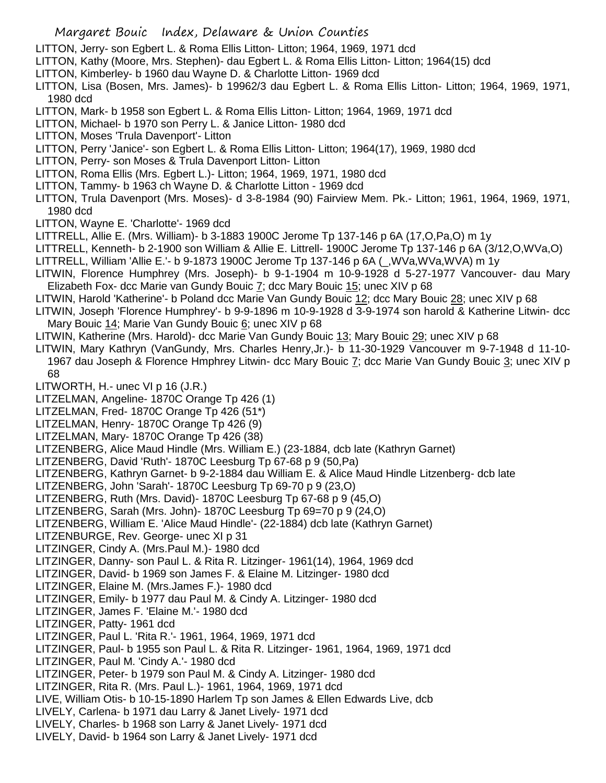- LITTON, Jerry- son Egbert L. & Roma Ellis Litton- Litton; 1964, 1969, 1971 dcd
- LITTON, Kathy (Moore, Mrs. Stephen)- dau Egbert L. & Roma Ellis Litton- Litton; 1964(15) dcd
- LITTON, Kimberley- b 1960 dau Wayne D. & Charlotte Litton- 1969 dcd
- LITTON, Lisa (Bosen, Mrs. James)- b 19962/3 dau Egbert L. & Roma Ellis Litton- Litton; 1964, 1969, 1971, 1980 dcd
- LITTON, Mark- b 1958 son Egbert L. & Roma Ellis Litton- Litton; 1964, 1969, 1971 dcd
- LITTON, Michael- b 1970 son Perry L. & Janice Litton- 1980 dcd
- LITTON, Moses 'Trula Davenport'- Litton
- LITTON, Perry 'Janice'- son Egbert L. & Roma Ellis Litton- Litton; 1964(17), 1969, 1980 dcd
- LITTON, Perry- son Moses & Trula Davenport Litton- Litton
- LITTON, Roma Ellis (Mrs. Egbert L.)- Litton; 1964, 1969, 1971, 1980 dcd
- LITTON, Tammy- b 1963 ch Wayne D. & Charlotte Litton 1969 dcd
- LITTON, Trula Davenport (Mrs. Moses)- d 3-8-1984 (90) Fairview Mem. Pk.- Litton; 1961, 1964, 1969, 1971, 1980 dcd
- LITTON, Wayne E. 'Charlotte'- 1969 dcd
- LITTRELL, Allie E. (Mrs. William)- b 3-1883 1900C Jerome Tp 137-146 p 6A (17,O,Pa,O) m 1y
- LITTRELL, Kenneth- b 2-1900 son William & Allie E. Littrell- 1900C Jerome Tp 137-146 p 6A (3/12,O,WVa,O)
- LITTRELL, William 'Allie E.'- b 9-1873 1900C Jerome Tp 137-146 p 6A (\_,WVa,WVa,WVA) m 1y
- LITWIN, Florence Humphrey (Mrs. Joseph)- b 9-1-1904 m 10-9-1928 d 5-27-1977 Vancouver- dau Mary Elizabeth Fox- dcc Marie van Gundy Bouic  $\overline{I}$ ; dcc Mary Bouic  $\overline{15}$ ; unec XIV p 68
- LITWIN, Harold 'Katherine'- b Poland dcc Marie Van Gundy Bouic 12; dcc Mary Bouic 28; unec XIV p 68
- LITWIN, Joseph 'Florence Humphrey'- b 9-9-1896 m 10-9-1928 d 3-9-1974 son harold & Katherine Litwin- dcc Mary Bouic 14; Marie Van Gundy Bouic 6; unec XIV p 68
- LITWIN, Katherine (Mrs. Harold)- dcc Marie Van Gundy Bouic 13; Mary Bouic 29; unec XIV p 68
- LITWIN, Mary Kathryn (VanGundy, Mrs. Charles Henry,Jr.)- b 11-30-1929 Vancouver m 9-7-1948 d 11-10-
- 1967 dau Joseph & Florence Hmphrey Litwin- dcc Mary Bouic 7; dcc Marie Van Gundy Bouic 3; unec XIV p 68
- LITWORTH, H.- unec VI p 16 (J.R.)
- LITZELMAN, Angeline- 1870C Orange Tp 426 (1)
- LITZELMAN, Fred- 1870C Orange Tp 426 (51\*)
- LITZELMAN, Henry- 1870C Orange Tp 426 (9)
- LITZELMAN, Mary- 1870C Orange Tp 426 (38)
- LITZENBERG, Alice Maud Hindle (Mrs. William E.) (23-1884, dcb late (Kathryn Garnet)
- LITZENBERG, David 'Ruth'- 1870C Leesburg Tp 67-68 p 9 (50,Pa)
- LITZENBERG, Kathryn Garnet- b 9-2-1884 dau William E. & Alice Maud Hindle Litzenberg- dcb late
- LITZENBERG, John 'Sarah'- 1870C Leesburg Tp 69-70 p 9 (23,O)
- LITZENBERG, Ruth (Mrs. David)- 1870C Leesburg Tp 67-68 p 9 (45,O)
- LITZENBERG, Sarah (Mrs. John)- 1870C Leesburg Tp 69=70 p 9 (24,O)
- LITZENBERG, William E. 'Alice Maud Hindle'- (22-1884) dcb late (Kathryn Garnet)
- LITZENBURGE, Rev. George- unec XI p 31
- LITZINGER, Cindy A. (Mrs.Paul M.)- 1980 dcd
- LITZINGER, Danny- son Paul L. & Rita R. Litzinger- 1961(14), 1964, 1969 dcd
- LITZINGER, David- b 1969 son James F. & Elaine M. Litzinger- 1980 dcd
- LITZINGER, Elaine M. (Mrs.James F.)- 1980 dcd
- LITZINGER, Emily- b 1977 dau Paul M. & Cindy A. Litzinger- 1980 dcd
- LITZINGER, James F. 'Elaine M.'- 1980 dcd
- LITZINGER, Patty- 1961 dcd
- LITZINGER, Paul L. 'Rita R.'- 1961, 1964, 1969, 1971 dcd
- LITZINGER, Paul- b 1955 son Paul L. & Rita R. Litzinger- 1961, 1964, 1969, 1971 dcd
- LITZINGER, Paul M. 'Cindy A.'- 1980 dcd
- LITZINGER, Peter- b 1979 son Paul M. & Cindy A. Litzinger- 1980 dcd
- LITZINGER, Rita R. (Mrs. Paul L.)- 1961, 1964, 1969, 1971 dcd
- LIVE, William Otis- b 10-15-1890 Harlem Tp son James & Ellen Edwards Live, dcb
- LIVELY, Carlena- b 1971 dau Larry & Janet Lively- 1971 dcd
- LIVELY, Charles- b 1968 son Larry & Janet Lively- 1971 dcd
- LIVELY, David- b 1964 son Larry & Janet Lively- 1971 dcd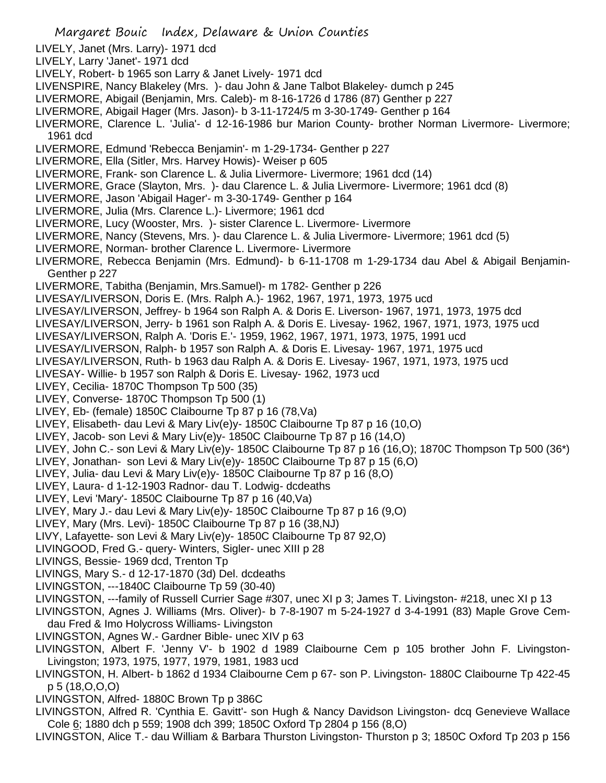- Margaret Bouic Index, Delaware & Union Counties LIVELY, Janet (Mrs. Larry)- 1971 dcd LIVELY, Larry 'Janet'- 1971 dcd LIVELY, Robert- b 1965 son Larry & Janet Lively- 1971 dcd LIVENSPIRE, Nancy Blakeley (Mrs. )- dau John & Jane Talbot Blakeley- dumch p 245 LIVERMORE, Abigail (Benjamin, Mrs. Caleb)- m 8-16-1726 d 1786 (87) Genther p 227 LIVERMORE, Abigail Hager (Mrs. Jason)- b 3-11-1724/5 m 3-30-1749- Genther p 164 LIVERMORE, Clarence L. 'Julia'- d 12-16-1986 bur Marion County- brother Norman Livermore- Livermore; 1961 dcd LIVERMORE, Edmund 'Rebecca Benjamin'- m 1-29-1734- Genther p 227 LIVERMORE, Ella (Sitler, Mrs. Harvey Howis)- Weiser p 605 LIVERMORE, Frank- son Clarence L. & Julia Livermore- Livermore; 1961 dcd (14) LIVERMORE, Grace (Slayton, Mrs. )- dau Clarence L. & Julia Livermore- Livermore; 1961 dcd (8) LIVERMORE, Jason 'Abigail Hager'- m 3-30-1749- Genther p 164 LIVERMORE, Julia (Mrs. Clarence L.)- Livermore; 1961 dcd LIVERMORE, Lucy (Wooster, Mrs. )- sister Clarence L. Livermore- Livermore LIVERMORE, Nancy (Stevens, Mrs. )- dau Clarence L. & Julia Livermore- Livermore; 1961 dcd (5) LIVERMORE, Norman- brother Clarence L. Livermore- Livermore LIVERMORE, Rebecca Benjamin (Mrs. Edmund)- b 6-11-1708 m 1-29-1734 dau Abel & Abigail Benjamin-Genther p 227 LIVERMORE, Tabitha (Benjamin, Mrs.Samuel)- m 1782- Genther p 226 LIVESAY/LIVERSON, Doris E. (Mrs. Ralph A.)- 1962, 1967, 1971, 1973, 1975 ucd LIVESAY/LIVERSON, Jeffrey- b 1964 son Ralph A. & Doris E. Liverson- 1967, 1971, 1973, 1975 dcd LIVESAY/LIVERSON, Jerry- b 1961 son Ralph A. & Doris E. Livesay- 1962, 1967, 1971, 1973, 1975 ucd LIVESAY/LIVERSON, Ralph A. 'Doris E.'- 1959, 1962, 1967, 1971, 1973, 1975, 1991 ucd LIVESAY/LIVERSON, Ralph- b 1957 son Ralph A. & Doris E. Livesay- 1967, 1971, 1975 ucd LIVESAY/LIVERSON, Ruth- b 1963 dau Ralph A. & Doris E. Livesay- 1967, 1971, 1973, 1975 ucd LIVESAY- Willie- b 1957 son Ralph & Doris E. Livesay- 1962, 1973 ucd LIVEY, Cecilia- 1870C Thompson Tp 500 (35) LIVEY, Converse- 1870C Thompson Tp 500 (1) LIVEY, Eb- (female) 1850C Claibourne Tp 87 p 16 (78,Va) LIVEY, Elisabeth- dau Levi & Mary Liv(e)y- 1850C Claibourne Tp 87 p 16 (10,O) LIVEY, Jacob- son Levi & Mary Liv(e)y- 1850C Claibourne Tp 87 p 16 (14,O) LIVEY, John C.- son Levi & Mary Liv(e)y- 1850C Claibourne Tp 87 p 16 (16,O); 1870C Thompson Tp 500 (36\*) LIVEY, Jonathan- son Levi & Mary Liv(e)y- 1850C Claibourne Tp 87 p 15 (6,O) LIVEY, Julia- dau Levi & Mary Liv(e)y- 1850C Claibourne Tp 87 p 16 (8,O) LIVEY, Laura- d 1-12-1903 Radnor- dau T. Lodwig- dcdeaths LIVEY, Levi 'Mary'- 1850C Claibourne Tp 87 p 16 (40,Va) LIVEY, Mary J.- dau Levi & Mary Liv(e)y- 1850C Claibourne Tp 87 p 16 (9,O) LIVEY, Mary (Mrs. Levi)- 1850C Claibourne Tp 87 p 16 (38,NJ) LIVY, Lafayette- son Levi & Mary Liv(e)y- 1850C Claibourne Tp 87 92,O) LIVINGOOD, Fred G.- query- Winters, Sigler- unec XIII p 28 LIVINGS, Bessie- 1969 dcd, Trenton Tp LIVINGS, Mary S.- d 12-17-1870 (3d) Del. dcdeaths LIVINGSTON, ---1840C Claibourne Tp 59 (30-40) LIVINGSTON, ---family of Russell Currier Sage #307, unec XI p 3; James T. Livingston- #218, unec XI p 13 LIVINGSTON, Agnes J. Williams (Mrs. Oliver)- b 7-8-1907 m 5-24-1927 d 3-4-1991 (83) Maple Grove Cemdau Fred & Imo Holycross Williams- Livingston LIVINGSTON, Agnes W.- Gardner Bible- unec XIV p 63 LIVINGSTON, Albert F. 'Jenny V'- b 1902 d 1989 Claibourne Cem p 105 brother John F. Livingston-Livingston; 1973, 1975, 1977, 1979, 1981, 1983 ucd LIVINGSTON, H. Albert- b 1862 d 1934 Claibourne Cem p 67- son P. Livingston- 1880C Claibourne Tp 422-45 p 5 (18,O,O,O) LIVINGSTON, Alfred- 1880C Brown Tp p 386C
- LIVINGSTON, Alfred R. 'Cynthia E. Gavitt'- son Hugh & Nancy Davidson Livingston- dcq Genevieve Wallace Cole 6; 1880 dch p 559; 1908 dch 399; 1850C Oxford Tp 2804 p 156 (8,O)
- LIVINGSTON, Alice T.- dau William & Barbara Thurston Livingston- Thurston p 3; 1850C Oxford Tp 203 p 156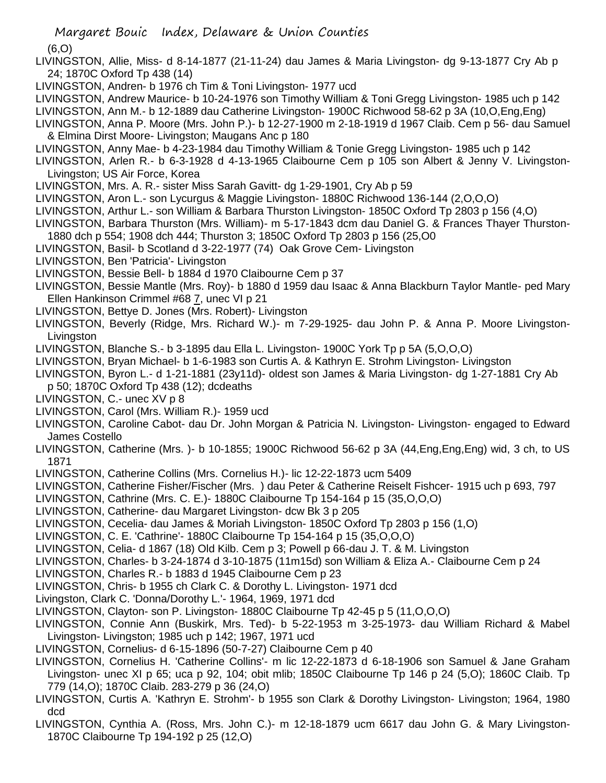(6,O)

- LIVINGSTON, Allie, Miss- d 8-14-1877 (21-11-24) dau James & Maria Livingston- dg 9-13-1877 Cry Ab p 24; 1870C Oxford Tp 438 (14)
- LIVINGSTON, Andren- b 1976 ch Tim & Toni Livingston- 1977 ucd
- LIVINGSTON, Andrew Maurice- b 10-24-1976 son Timothy William & Toni Gregg Livingston- 1985 uch p 142
- LIVINGSTON, Ann M.- b 12-1889 dau Catherine Livingston- 1900C Richwood 58-62 p 3A (10,O,Eng,Eng)
- LIVINGSTON, Anna P. Moore (Mrs. John P.)- b 12-27-1900 m 2-18-1919 d 1967 Claib. Cem p 56- dau Samuel & Elmina Dirst Moore- Livingston; Maugans Anc p 180
- LIVINGSTON, Anny Mae- b 4-23-1984 dau Timothy William & Tonie Gregg Livingston- 1985 uch p 142
- LIVINGSTON, Arlen R.- b 6-3-1928 d 4-13-1965 Claibourne Cem p 105 son Albert & Jenny V. Livingston-Livingston; US Air Force, Korea
- LIVINGSTON, Mrs. A. R.- sister Miss Sarah Gavitt- dg 1-29-1901, Cry Ab p 59
- LIVINGSTON, Aron L.- son Lycurgus & Maggie Livingston- 1880C Richwood 136-144 (2,O,O,O)
- LIVINGSTON, Arthur L.- son William & Barbara Thurston Livingston- 1850C Oxford Tp 2803 p 156 (4,O)
- LIVINGSTON, Barbara Thurston (Mrs. William)- m 5-17-1843 dcm dau Daniel G. & Frances Thayer Thurston-
- 1880 dch p 554; 1908 dch 444; Thurston 3; 1850C Oxford Tp 2803 p 156 (25,O0 LIVINGSTON, Basil- b Scotland d 3-22-1977 (74) Oak Grove Cem- Livingston
- LIVINGSTON, Ben 'Patricia'- Livingston
- LIVINGSTON, Bessie Bell- b 1884 d 1970 Claibourne Cem p 37
- LIVINGSTON, Bessie Mantle (Mrs. Roy)- b 1880 d 1959 dau Isaac & Anna Blackburn Taylor Mantle- ped Mary Ellen Hankinson Crimmel #68 7, unec VI p 21
- LIVINGSTON, Bettye D. Jones (Mrs. Robert)- Livingston
- LIVINGSTON, Beverly (Ridge, Mrs. Richard W.)- m 7-29-1925- dau John P. & Anna P. Moore Livingston-**Livingston**
- LIVINGSTON, Blanche S.- b 3-1895 dau Ella L. Livingston- 1900C York Tp p 5A (5,O,O,O)
- LIVINGSTON, Bryan Michael- b 1-6-1983 son Curtis A. & Kathryn E. Strohm Livingston- Livingston
- LIVINGSTON, Byron L.- d 1-21-1881 (23y11d)- oldest son James & Maria Livingston- dg 1-27-1881 Cry Ab
- p 50; 1870C Oxford Tp 438 (12); dcdeaths
- LIVINGSTON, C.- unec XV p 8
- LIVINGSTON, Carol (Mrs. William R.)- 1959 ucd
- LIVINGSTON, Caroline Cabot- dau Dr. John Morgan & Patricia N. Livingston- Livingston- engaged to Edward James Costello
- LIVINGSTON, Catherine (Mrs. )- b 10-1855; 1900C Richwood 56-62 p 3A (44,Eng,Eng,Eng) wid, 3 ch, to US 1871
- LIVINGSTON, Catherine Collins (Mrs. Cornelius H.)- lic 12-22-1873 ucm 5409
- LIVINGSTON, Catherine Fisher/Fischer (Mrs. ) dau Peter & Catherine Reiselt Fishcer- 1915 uch p 693, 797
- LIVINGSTON, Cathrine (Mrs. C. E.)- 1880C Claibourne Tp 154-164 p 15 (35,O,O,O)
- LIVINGSTON, Catherine- dau Margaret Livingston- dcw Bk 3 p 205
- LIVINGSTON, Cecelia- dau James & Moriah Livingston- 1850C Oxford Tp 2803 p 156 (1,O)
- LIVINGSTON, C. E. 'Cathrine'- 1880C Claibourne Tp 154-164 p 15 (35,O,O,O)
- LIVINGSTON, Celia- d 1867 (18) Old Kilb. Cem p 3; Powell p 66-dau J. T. & M. Livingston
- LIVINGSTON, Charles- b 3-24-1874 d 3-10-1875 (11m15d) son William & Eliza A.- Claibourne Cem p 24
- LIVINGSTON, Charles R.- b 1883 d 1945 Claibourne Cem p 23
- LIVINGSTON, Chris- b 1955 ch Clark C. & Dorothy L. Livingston- 1971 dcd
- Livingston, Clark C. 'Donna/Dorothy L.'- 1964, 1969, 1971 dcd
- LIVINGSTON, Clayton- son P. Livingston- 1880C Claibourne Tp 42-45 p 5 (11,O,O,O)
- LIVINGSTON, Connie Ann (Buskirk, Mrs. Ted)- b 5-22-1953 m 3-25-1973- dau William Richard & Mabel Livingston- Livingston; 1985 uch p 142; 1967, 1971 ucd
- LIVINGSTON, Cornelius- d 6-15-1896 (50-7-27) Claibourne Cem p 40
- LIVINGSTON, Cornelius H. 'Catherine Collins'- m lic 12-22-1873 d 6-18-1906 son Samuel & Jane Graham Livingston- unec XI p 65; uca p 92, 104; obit mlib; 1850C Claibourne Tp 146 p 24 (5,O); 1860C Claib. Tp 779 (14,O); 1870C Claib. 283-279 p 36 (24,O)
- LIVINGSTON, Curtis A. 'Kathryn E. Strohm'- b 1955 son Clark & Dorothy Livingston- Livingston; 1964, 1980 dcd
- LIVINGSTON, Cynthia A. (Ross, Mrs. John C.)- m 12-18-1879 ucm 6617 dau John G. & Mary Livingston-1870C Claibourne Tp 194-192 p 25 (12,O)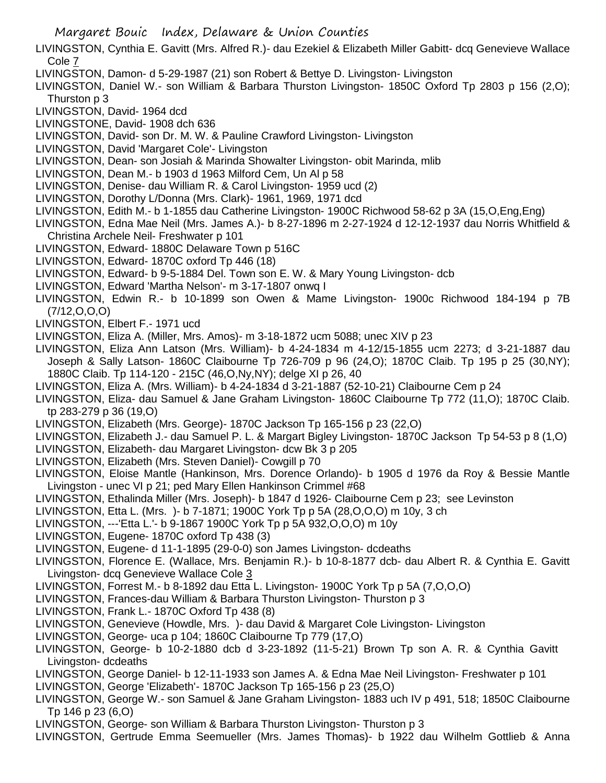- LIVINGSTON, Cynthia E. Gavitt (Mrs. Alfred R.)- dau Ezekiel & Elizabeth Miller Gabitt- dcq Genevieve Wallace Cole 7
- LIVINGSTON, Damon- d 5-29-1987 (21) son Robert & Bettye D. Livingston- Livingston
- LIVINGSTON, Daniel W.- son William & Barbara Thurston Livingston- 1850C Oxford Tp 2803 p 156 (2,O); Thurston p 3
- LIVINGSTON, David- 1964 dcd
- LIVINGSTONE, David- 1908 dch 636
- LIVINGSTON, David- son Dr. M. W. & Pauline Crawford Livingston- Livingston
- LIVINGSTON, David 'Margaret Cole'- Livingston
- LIVINGSTON, Dean- son Josiah & Marinda Showalter Livingston- obit Marinda, mlib
- LIVINGSTON, Dean M.- b 1903 d 1963 Milford Cem, Un Al p 58
- LIVINGSTON, Denise- dau William R. & Carol Livingston- 1959 ucd (2)
- LIVINGSTON, Dorothy L/Donna (Mrs. Clark)- 1961, 1969, 1971 dcd
- LIVINGSTON, Edith M.- b 1-1855 dau Catherine Livingston- 1900C Richwood 58-62 p 3A (15,O,Eng,Eng)
- LIVINGSTON, Edna Mae Neil (Mrs. James A.)- b 8-27-1896 m 2-27-1924 d 12-12-1937 dau Norris Whitfield & Christina Archele Neil- Freshwater p 101
- LIVINGSTON, Edward- 1880C Delaware Town p 516C
- LIVINGSTON, Edward- 1870C oxford Tp 446 (18)
- LIVINGSTON, Edward- b 9-5-1884 Del. Town son E. W. & Mary Young Livingston- dcb
- LIVINGSTON, Edward 'Martha Nelson'- m 3-17-1807 onwq I
- LIVINGSTON, Edwin R.- b 10-1899 son Owen & Mame Livingston- 1900c Richwood 184-194 p 7B (7/12,O,O,O)
- LIVINGSTON, Elbert F.- 1971 ucd
- LIVINGSTON, Eliza A. (Miller, Mrs. Amos)- m 3-18-1872 ucm 5088; unec XIV p 23
- LIVINGSTON, Eliza Ann Latson (Mrs. William)- b 4-24-1834 m 4-12/15-1855 ucm 2273; d 3-21-1887 dau Joseph & Sally Latson- 1860C Claibourne Tp 726-709 p 96 (24,O); 1870C Claib. Tp 195 p 25 (30,NY); 1880C Claib. Tp 114-120 - 215C (46,O,Ny,NY); delge XI p 26, 40
- LIVINGSTON, Eliza A. (Mrs. William)- b 4-24-1834 d 3-21-1887 (52-10-21) Claibourne Cem p 24
- LIVINGSTON, Eliza- dau Samuel & Jane Graham Livingston- 1860C Claibourne Tp 772 (11,O); 1870C Claib. tp 283-279 p 36 (19,O)
- LIVINGSTON, Elizabeth (Mrs. George)- 1870C Jackson Tp 165-156 p 23 (22,O)
- LIVINGSTON, Elizabeth J.- dau Samuel P. L. & Margart Bigley Livingston- 1870C Jackson Tp 54-53 p 8 (1,O)
- LIVINGSTON, Elizabeth- dau Margaret Livingston- dcw Bk 3 p 205
- LIVINGSTON, Elizabeth (Mrs. Steven Daniel)- Cowgill p 70
- LIVINGSTON, Eloise Mantle (Hankinson, Mrs. Dorence Orlando)- b 1905 d 1976 da Roy & Bessie Mantle Livingston - unec VI p 21; ped Mary Ellen Hankinson Crimmel #68
- LIVINGSTON, Ethalinda Miller (Mrs. Joseph)- b 1847 d 1926- Claibourne Cem p 23; see Levinston
- LIVINGSTON, Etta L. (Mrs. )- b 7-1871; 1900C York Tp p 5A (28,O,O,O) m 10y, 3 ch
- LIVINGSTON, ---'Etta L.'- b 9-1867 1900C York Tp p 5A 932,O,O,O) m 10y
- LIVINGSTON, Eugene- 1870C oxford Tp 438 (3)
- LIVINGSTON, Eugene- d 11-1-1895 (29-0-0) son James Livingston- dcdeaths
- LIVINGSTON, Florence E. (Wallace, Mrs. Benjamin R.)- b 10-8-1877 dcb- dau Albert R. & Cynthia E. Gavitt Livingston- dcq Genevieve Wallace Cole 3
- LIVINGSTON, Forrest M.- b 8-1892 dau Etta L. Livingston- 1900C York Tp p 5A (7,O,O,O)
- LIVINGSTON, Frances-dau William & Barbara Thurston Livingston- Thurston p 3
- LIVINGSTON, Frank L.- 1870C Oxford Tp 438 (8)
- LIVINGSTON, Genevieve (Howdle, Mrs. )- dau David & Margaret Cole Livingston- Livingston
- LIVINGSTON, George- uca p 104; 1860C Claibourne Tp 779 (17,O)
- LIVINGSTON, George- b 10-2-1880 dcb d 3-23-1892 (11-5-21) Brown Tp son A. R. & Cynthia Gavitt Livingston- dcdeaths
- LIVINGSTON, George Daniel- b 12-11-1933 son James A. & Edna Mae Neil Livingston- Freshwater p 101
- LIVINGSTON, George 'Elizabeth'- 1870C Jackson Tp 165-156 p 23 (25,O)
- LIVINGSTON, George W.- son Samuel & Jane Graham Livingston- 1883 uch IV p 491, 518; 1850C Claibourne Tp 146 p 23 (6,O)
- LIVINGSTON, George- son William & Barbara Thurston Livingston- Thurston p 3
- LIVINGSTON, Gertrude Emma Seemueller (Mrs. James Thomas)- b 1922 dau Wilhelm Gottlieb & Anna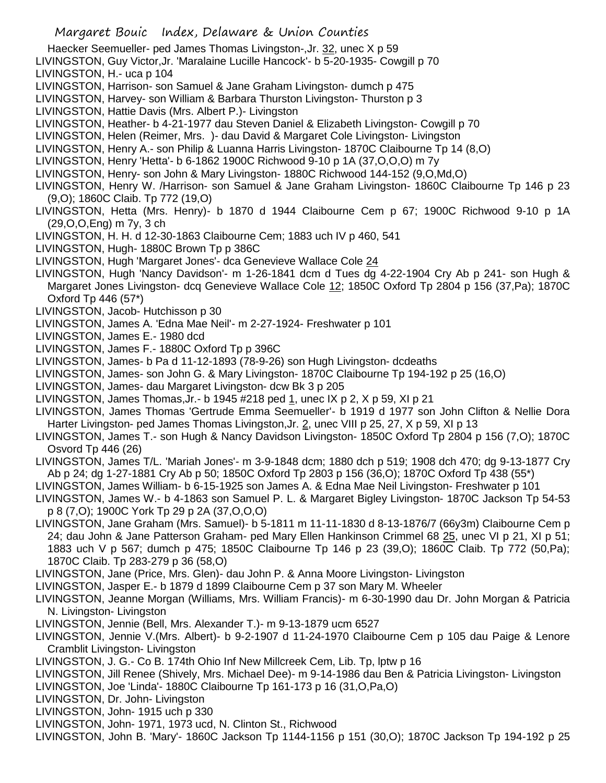Haecker Seemueller- ped James Thomas Livingston-,Jr. 32, unec X p 59

LIVINGSTON, Guy Victor,Jr. 'Maralaine Lucille Hancock'- b 5-20-1935- Cowgill p 70 LIVINGSTON, H.- uca p 104

LIVINGSTON, Harrison- son Samuel & Jane Graham Livingston- dumch p 475

LIVINGSTON, Harvey- son William & Barbara Thurston Livingston- Thurston p 3

LIVINGSTON, Hattie Davis (Mrs. Albert P.)- Livingston

LIVINGSTON, Heather- b 4-21-1977 dau Steven Daniel & Elizabeth Livingston- Cowgill p 70

LIVINGSTON, Helen (Reimer, Mrs. )- dau David & Margaret Cole Livingston- Livingston

LIVINGSTON, Henry A.- son Philip & Luanna Harris Livingston- 1870C Claibourne Tp 14 (8,O)

LIVINGSTON, Henry 'Hetta'- b 6-1862 1900C Richwood 9-10 p 1A (37,O,O,O) m 7y

LIVINGSTON, Henry- son John & Mary Livingston- 1880C Richwood 144-152 (9,O,Md,O)

LIVINGSTON, Henry W. /Harrison- son Samuel & Jane Graham Livingston- 1860C Claibourne Tp 146 p 23 (9,O); 1860C Claib. Tp 772 (19,O)

LIVINGSTON, Hetta (Mrs. Henry)- b 1870 d 1944 Claibourne Cem p 67; 1900C Richwood 9-10 p 1A (29,O,O,Eng) m 7y, 3 ch

LIVINGSTON, H. H. d 12-30-1863 Claibourne Cem; 1883 uch IV p 460, 541

LIVINGSTON, Hugh- 1880C Brown Tp p 386C

LIVINGSTON, Hugh 'Margaret Jones'- dca Genevieve Wallace Cole 24

LIVINGSTON, Hugh 'Nancy Davidson'- m 1-26-1841 dcm d Tues dg 4-22-1904 Cry Ab p 241- son Hugh & Margaret Jones Livingston- dcq Genevieve Wallace Cole 12; 1850C Oxford Tp 2804 p 156 (37, Pa); 1870C Oxford Tp 446 (57\*)

LIVINGSTON, Jacob- Hutchisson p 30

LIVINGSTON, James A. 'Edna Mae Neil'- m 2-27-1924- Freshwater p 101

LIVINGSTON, James E.- 1980 dcd

LIVINGSTON, James F.- 1880C Oxford Tp p 396C

LIVINGSTON, James- b Pa d 11-12-1893 (78-9-26) son Hugh Livingston- dcdeaths

LIVINGSTON, James- son John G. & Mary Livingston- 1870C Claibourne Tp 194-192 p 25 (16,O)

LIVINGSTON, James- dau Margaret Livingston- dcw Bk 3 p 205

LIVINGSTON, James Thomas,Jr.- b 1945 #218 ped 1, unec IX p 2, X p 59, XI p 21

LIVINGSTON, James Thomas 'Gertrude Emma Seemueller'- b 1919 d 1977 son John Clifton & Nellie Dora Harter Livingston- ped James Thomas Livingston, Jr. 2, unec VIII p 25, 27, X p 59, XI p 13

LIVINGSTON, James T.- son Hugh & Nancy Davidson Livingston- 1850C Oxford Tp 2804 p 156 (7,O); 1870C Osvord Tp 446 (26)

LIVINGSTON, James T/L. 'Mariah Jones'- m 3-9-1848 dcm; 1880 dch p 519; 1908 dch 470; dg 9-13-1877 Cry Ab p 24; dg 1-27-1881 Cry Ab p 50; 1850C Oxford Tp 2803 p 156 (36,O); 1870C Oxford Tp 438 (55\*)

LIVINGSTON, James William- b 6-15-1925 son James A. & Edna Mae Neil Livingston- Freshwater p 101

LIVINGSTON, James W.- b 4-1863 son Samuel P. L. & Margaret Bigley Livingston- 1870C Jackson Tp 54-53 p 8 (7,O); 1900C York Tp 29 p 2A (37,O,O,O)

LIVINGSTON, Jane Graham (Mrs. Samuel)- b 5-1811 m 11-11-1830 d 8-13-1876/7 (66y3m) Claibourne Cem p 24; dau John & Jane Patterson Graham- ped Mary Ellen Hankinson Crimmel 68 25, unec VI p 21, XI p 51; 1883 uch V p 567; dumch p 475; 1850C Claibourne Tp 146 p 23 (39,O); 1860C Claib. Tp 772 (50,Pa); 1870C Claib. Tp 283-279 p 36 (58,O)

LIVINGSTON, Jane (Price, Mrs. Glen)- dau John P. & Anna Moore Livingston- Livingston

LIVINGSTON, Jasper E.- b 1879 d 1899 Claibourne Cem p 37 son Mary M. Wheeler

LIVINGSTON, Jeanne Morgan (Williams, Mrs. William Francis)- m 6-30-1990 dau Dr. John Morgan & Patricia N. Livingston- Livingston

LIVINGSTON, Jennie (Bell, Mrs. Alexander T.)- m 9-13-1879 ucm 6527

LIVINGSTON, Jennie V.(Mrs. Albert)- b 9-2-1907 d 11-24-1970 Claibourne Cem p 105 dau Paige & Lenore Cramblit Livingston- Livingston

LIVINGSTON, J. G.- Co B. 174th Ohio Inf New Millcreek Cem, Lib. Tp, lptw p 16

LIVINGSTON, Jill Renee (Shively, Mrs. Michael Dee)- m 9-14-1986 dau Ben & Patricia Livingston- Livingston

LIVINGSTON, Joe 'Linda'- 1880C Claibourne Tp 161-173 p 16 (31,O,Pa,O)

LIVINGSTON, Dr. John- Livingston

LIVINGSTON, John- 1915 uch p 330

LIVINGSTON, John- 1971, 1973 ucd, N. Clinton St., Richwood

LIVINGSTON, John B. 'Mary'- 1860C Jackson Tp 1144-1156 p 151 (30,O); 1870C Jackson Tp 194-192 p 25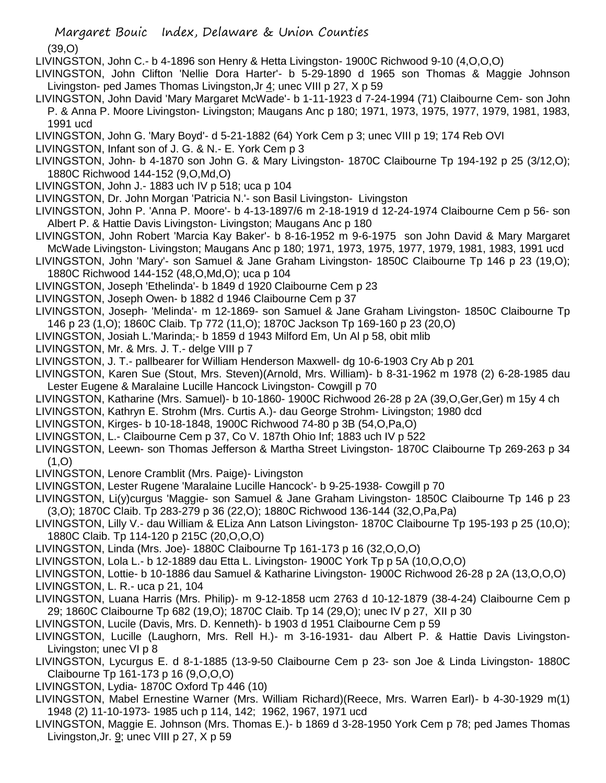(39,O)

- LIVINGSTON, John C.- b 4-1896 son Henry & Hetta Livingston- 1900C Richwood 9-10 (4,O,O,O)
- LIVINGSTON, John Clifton 'Nellie Dora Harter'- b 5-29-1890 d 1965 son Thomas & Maggie Johnson Livingston- ped James Thomas Livingston, Jr  $4$ ; unec VIII p 27, X p 59
- LIVINGSTON, John David 'Mary Margaret McWade'- b 1-11-1923 d 7-24-1994 (71) Claibourne Cem- son John P. & Anna P. Moore Livingston- Livingston; Maugans Anc p 180; 1971, 1973, 1975, 1977, 1979, 1981, 1983, 1991 ucd
- LIVINGSTON, John G. 'Mary Boyd'- d 5-21-1882 (64) York Cem p 3; unec VIII p 19; 174 Reb OVI
- LIVINGSTON, Infant son of J. G. & N.- E. York Cem p 3
- LIVINGSTON, John- b 4-1870 son John G. & Mary Livingston- 1870C Claibourne Tp 194-192 p 25 (3/12,O); 1880C Richwood 144-152 (9,O,Md,O)
- LIVINGSTON, John J.- 1883 uch IV p 518; uca p 104
- LIVINGSTON, Dr. John Morgan 'Patricia N.'- son Basil Livingston- Livingston
- LIVINGSTON, John P. 'Anna P. Moore'- b 4-13-1897/6 m 2-18-1919 d 12-24-1974 Claibourne Cem p 56- son Albert P. & Hattie Davis Livingston- Livingston; Maugans Anc p 180
- LIVINGSTON, John Robert 'Marcia Kay Baker'- b 8-16-1952 m 9-6-1975 son John David & Mary Margaret McWade Livingston- Livingston; Maugans Anc p 180; 1971, 1973, 1975, 1977, 1979, 1981, 1983, 1991 ucd
- LIVINGSTON, John 'Mary'- son Samuel & Jane Graham Livingston- 1850C Claibourne Tp 146 p 23 (19,O); 1880C Richwood 144-152 (48,O,Md,O); uca p 104
- LIVINGSTON, Joseph 'Ethelinda'- b 1849 d 1920 Claibourne Cem p 23
- LIVINGSTON, Joseph Owen- b 1882 d 1946 Claibourne Cem p 37
- LIVINGSTON, Joseph- 'Melinda'- m 12-1869- son Samuel & Jane Graham Livingston- 1850C Claibourne Tp 146 p 23 (1,O); 1860C Claib. Tp 772 (11,O); 1870C Jackson Tp 169-160 p 23 (20,O)
- LIVINGSTON, Josiah L.'Marinda;- b 1859 d 1943 Milford Em, Un Al p 58, obit mlib
- LIVINGSTON, Mr. & Mrs. J. T.- delge VIII p 7
- LIVINGSTON, J. T.- pallbearer for William Henderson Maxwell- dg 10-6-1903 Cry Ab p 201
- LIVINGSTON, Karen Sue (Stout, Mrs. Steven)(Arnold, Mrs. William)- b 8-31-1962 m 1978 (2) 6-28-1985 dau Lester Eugene & Maralaine Lucille Hancock Livingston- Cowgill p 70
- LIVINGSTON, Katharine (Mrs. Samuel)- b 10-1860- 1900C Richwood 26-28 p 2A (39,O,Ger,Ger) m 15y 4 ch
- LIVINGSTON, Kathryn E. Strohm (Mrs. Curtis A.)- dau George Strohm- Livingston; 1980 dcd
- LIVINGSTON, Kirges- b 10-18-1848, 1900C Richwood 74-80 p 3B (54,O,Pa,O)
- LIVINGSTON, L.- Claibourne Cem p 37, Co V. 187th Ohio Inf; 1883 uch IV p 522
- LIVINGSTON, Leewn- son Thomas Jefferson & Martha Street Livingston- 1870C Claibourne Tp 269-263 p 34  $(1,0)$
- LIVINGSTON, Lenore Cramblit (Mrs. Paige)- Livingston
- LIVINGSTON, Lester Rugene 'Maralaine Lucille Hancock'- b 9-25-1938- Cowgill p 70
- LIVINGSTON, Li(y)curgus 'Maggie- son Samuel & Jane Graham Livingston- 1850C Claibourne Tp 146 p 23 (3,O); 1870C Claib. Tp 283-279 p 36 (22,O); 1880C Richwood 136-144 (32,O,Pa,Pa)
- LIVINGSTON, Lilly V.- dau William & ELiza Ann Latson Livingston- 1870C Claibourne Tp 195-193 p 25 (10,O); 1880C Claib. Tp 114-120 p 215C (20,O,O,O)
- LIVINGSTON, Linda (Mrs. Joe)- 1880C Claibourne Tp 161-173 p 16 (32,O,O,O)
- LIVINGSTON, Lola L.- b 12-1889 dau Etta L. Livingston- 1900C York Tp p 5A (10,O,O,O)
- LIVINGSTON, Lottie- b 10-1886 dau Samuel & Katharine Livingston- 1900C Richwood 26-28 p 2A (13,O,O,O)
- LIVINGSTON, L. R.- uca p 21, 104
- LIVINGSTON, Luana Harris (Mrs. Philip)- m 9-12-1858 ucm 2763 d 10-12-1879 (38-4-24) Claibourne Cem p 29; 1860C Claibourne Tp 682 (19,O); 1870C Claib. Tp 14 (29,O); unec IV p 27, XII p 30
- LIVINGSTON, Lucile (Davis, Mrs. D. Kenneth)- b 1903 d 1951 Claibourne Cem p 59
- LIVINGSTON, Lucille (Laughorn, Mrs. Rell H.)- m 3-16-1931- dau Albert P. & Hattie Davis Livingston-Livingston; unec VI p 8
- LIVINGSTON, Lycurgus E. d 8-1-1885 (13-9-50 Claibourne Cem p 23- son Joe & Linda Livingston- 1880C Claibourne Tp 161-173 p 16 (9,O,O,O)
- LIVINGSTON, Lydia- 1870C Oxford Tp 446 (10)
- LIVINGSTON, Mabel Ernestine Warner (Mrs. William Richard)(Reece, Mrs. Warren Earl)- b 4-30-1929 m(1) 1948 (2) 11-10-1973- 1985 uch p 114, 142; 1962, 1967, 1971 ucd
- LIVINGSTON, Maggie E. Johnson (Mrs. Thomas E.)- b 1869 d 3-28-1950 York Cem p 78; ped James Thomas Livingston,Jr. 9; unec VIII p 27, X p 59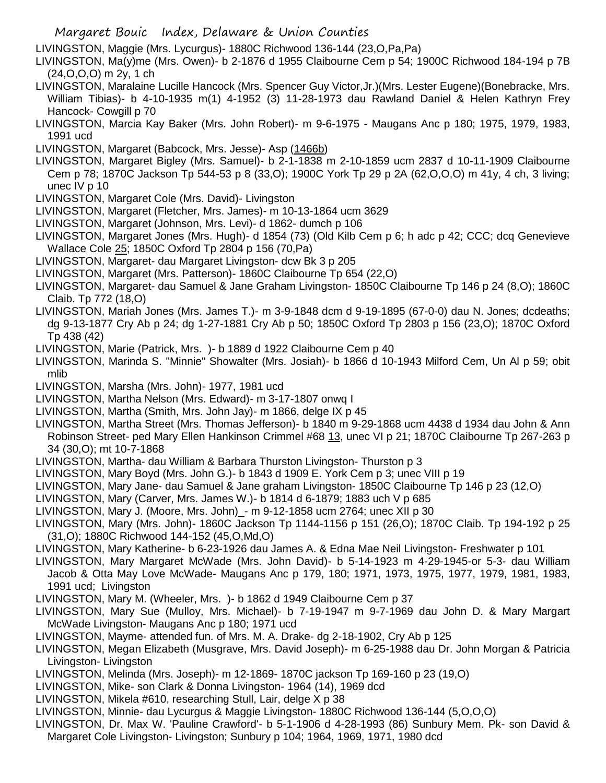LIVINGSTON, Maggie (Mrs. Lycurgus)- 1880C Richwood 136-144 (23,O,Pa,Pa)

LIVINGSTON, Ma(y)me (Mrs. Owen)- b 2-1876 d 1955 Claibourne Cem p 54; 1900C Richwood 184-194 p 7B (24,O,O,O) m 2y, 1 ch

- LIVINGSTON, Maralaine Lucille Hancock (Mrs. Spencer Guy Victor,Jr.)(Mrs. Lester Eugene)(Bonebracke, Mrs. William Tibias)- b 4-10-1935 m(1) 4-1952 (3) 11-28-1973 dau Rawland Daniel & Helen Kathryn Frey Hancock- Cowgill p 70
- LIVINGSTON, Marcia Kay Baker (Mrs. John Robert)- m 9-6-1975 Maugans Anc p 180; 1975, 1979, 1983, 1991 ucd
- LIVINGSTON, Margaret (Babcock, Mrs. Jesse)- Asp (1466b)
- LIVINGSTON, Margaret Bigley (Mrs. Samuel)- b 2-1-1838 m 2-10-1859 ucm 2837 d 10-11-1909 Claibourne Cem p 78; 1870C Jackson Tp 544-53 p 8 (33,O); 1900C York Tp 29 p 2A (62,O,O,O) m 41y, 4 ch, 3 living; unec IV p 10
- LIVINGSTON, Margaret Cole (Mrs. David)- Livingston
- LIVINGSTON, Margaret (Fletcher, Mrs. James)- m 10-13-1864 ucm 3629
- LIVINGSTON, Margaret (Johnson, Mrs. Levi)- d 1862- dumch p 106
- LIVINGSTON, Margaret Jones (Mrs. Hugh)- d 1854 (73) (Old Kilb Cem p 6; h adc p 42; CCC; dcq Genevieve Wallace Cole 25; 1850C Oxford Tp 2804 p 156 (70,Pa)
- LIVINGSTON, Margaret- dau Margaret Livingston- dcw Bk 3 p 205
- LIVINGSTON, Margaret (Mrs. Patterson)- 1860C Claibourne Tp 654 (22,O)
- LIVINGSTON, Margaret- dau Samuel & Jane Graham Livingston- 1850C Claibourne Tp 146 p 24 (8,O); 1860C Claib. Tp 772 (18,O)
- LIVINGSTON, Mariah Jones (Mrs. James T.)- m 3-9-1848 dcm d 9-19-1895 (67-0-0) dau N. Jones; dcdeaths; dg 9-13-1877 Cry Ab p 24; dg 1-27-1881 Cry Ab p 50; 1850C Oxford Tp 2803 p 156 (23,O); 1870C Oxford Tp 438 (42)
- LIVINGSTON, Marie (Patrick, Mrs. )- b 1889 d 1922 Claibourne Cem p 40
- LIVINGSTON, Marinda S. "Minnie" Showalter (Mrs. Josiah)- b 1866 d 10-1943 Milford Cem, Un Al p 59; obit mlib
- LIVINGSTON, Marsha (Mrs. John)- 1977, 1981 ucd
- LIVINGSTON, Martha Nelson (Mrs. Edward)- m 3-17-1807 onwq I
- LIVINGSTON, Martha (Smith, Mrs. John Jay)- m 1866, delge IX p 45
- LIVINGSTON, Martha Street (Mrs. Thomas Jefferson)- b 1840 m 9-29-1868 ucm 4438 d 1934 dau John & Ann Robinson Street- ped Mary Ellen Hankinson Crimmel #68 13, unec VI p 21; 1870C Claibourne Tp 267-263 p 34 (30,O); mt 10-7-1868
- LIVINGSTON, Martha- dau William & Barbara Thurston Livingston- Thurston p 3
- LIVINGSTON, Mary Boyd (Mrs. John G.)- b 1843 d 1909 E. York Cem p 3; unec VIII p 19
- LIVINGSTON, Mary Jane- dau Samuel & Jane graham Livingston- 1850C Claibourne Tp 146 p 23 (12,O)
- LIVINGSTON, Mary (Carver, Mrs. James W.)- b 1814 d 6-1879; 1883 uch V p 685
- LIVINGSTON, Mary J. (Moore, Mrs. John)\_- m 9-12-1858 ucm 2764; unec XII p 30
- LIVINGSTON, Mary (Mrs. John)- 1860C Jackson Tp 1144-1156 p 151 (26,O); 1870C Claib. Tp 194-192 p 25 (31,O); 1880C Richwood 144-152 (45,O,Md,O)
- LIVINGSTON, Mary Katherine- b 6-23-1926 dau James A. & Edna Mae Neil Livingston- Freshwater p 101
- LIVINGSTON, Mary Margaret McWade (Mrs. John David)- b 5-14-1923 m 4-29-1945-or 5-3- dau William Jacob & Otta May Love McWade- Maugans Anc p 179, 180; 1971, 1973, 1975, 1977, 1979, 1981, 1983, 1991 ucd; Livingston
- LIVINGSTON, Mary M. (Wheeler, Mrs. )- b 1862 d 1949 Claibourne Cem p 37
- LIVINGSTON, Mary Sue (Mulloy, Mrs. Michael)- b 7-19-1947 m 9-7-1969 dau John D. & Mary Margart McWade Livingston- Maugans Anc p 180; 1971 ucd
- LIVINGSTON, Mayme- attended fun. of Mrs. M. A. Drake- dg 2-18-1902, Cry Ab p 125
- LIVINGSTON, Megan Elizabeth (Musgrave, Mrs. David Joseph)- m 6-25-1988 dau Dr. John Morgan & Patricia Livingston- Livingston
- LIVINGSTON, Melinda (Mrs. Joseph)- m 12-1869- 1870C jackson Tp 169-160 p 23 (19,O)
- LIVINGSTON, Mike- son Clark & Donna Livingston- 1964 (14), 1969 dcd
- LIVINGSTON, Mikela #610, researching Stull, Lair, delge X p 38
- LIVINGSTON, Minnie- dau Lycurgus & Maggie Livingston- 1880C Richwood 136-144 (5,O,O,O)
- LIVINGSTON, Dr. Max W. 'Pauline Crawford'- b 5-1-1906 d 4-28-1993 (86) Sunbury Mem. Pk- son David & Margaret Cole Livingston- Livingston; Sunbury p 104; 1964, 1969, 1971, 1980 dcd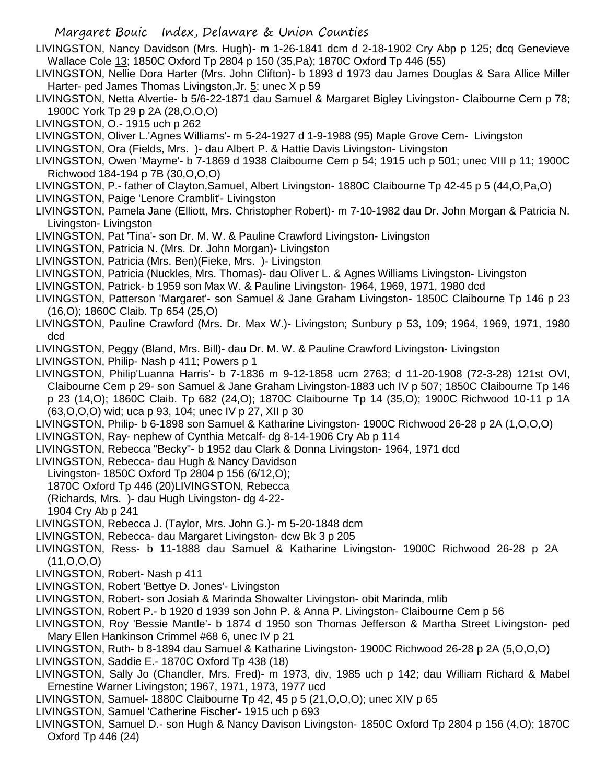LIVINGSTON, Nancy Davidson (Mrs. Hugh)- m 1-26-1841 dcm d 2-18-1902 Cry Abp p 125; dcq Genevieve Wallace Cole 13; 1850C Oxford Tp 2804 p 150 (35,Pa); 1870C Oxford Tp 446 (55)

LIVINGSTON, Nellie Dora Harter (Mrs. John Clifton)- b 1893 d 1973 dau James Douglas & Sara Allice Miller Harter- ped James Thomas Livingston, Jr. 5; unec X p 59

LIVINGSTON, Netta Alvertie- b 5/6-22-1871 dau Samuel & Margaret Bigley Livingston- Claibourne Cem p 78; 1900C York Tp 29 p 2A (28,O,O,O)

LIVINGSTON, O.- 1915 uch p 262

LIVINGSTON, Oliver L.'Agnes Williams'- m 5-24-1927 d 1-9-1988 (95) Maple Grove Cem- Livingston

LIVINGSTON, Ora (Fields, Mrs. )- dau Albert P. & Hattie Davis Livingston- Livingston

LIVINGSTON, Owen 'Mayme'- b 7-1869 d 1938 Claibourne Cem p 54; 1915 uch p 501; unec VIII p 11; 1900C Richwood 184-194 p 7B (30,O,O,O)

- LIVINGSTON, P.- father of Clayton,Samuel, Albert Livingston- 1880C Claibourne Tp 42-45 p 5 (44,O,Pa,O)
- LIVINGSTON, Paige 'Lenore Cramblit'- Livingston
- LIVINGSTON, Pamela Jane (Elliott, Mrs. Christopher Robert)- m 7-10-1982 dau Dr. John Morgan & Patricia N. Livingston- Livingston
- LIVINGSTON, Pat 'Tina'- son Dr. M. W. & Pauline Crawford Livingston- Livingston
- LIVINGSTON, Patricia N. (Mrs. Dr. John Morgan)- Livingston
- LIVINGSTON, Patricia (Mrs. Ben)(Fieke, Mrs. )- Livingston
- LIVINGSTON, Patricia (Nuckles, Mrs. Thomas)- dau Oliver L. & Agnes Williams Livingston- Livingston
- LIVINGSTON, Patrick- b 1959 son Max W. & Pauline Livingston- 1964, 1969, 1971, 1980 dcd
- LIVINGSTON, Patterson 'Margaret'- son Samuel & Jane Graham Livingston- 1850C Claibourne Tp 146 p 23 (16,O); 1860C Claib. Tp 654 (25,O)
- LIVINGSTON, Pauline Crawford (Mrs. Dr. Max W.)- Livingston; Sunbury p 53, 109; 1964, 1969, 1971, 1980 dcd
- LIVINGSTON, Peggy (Bland, Mrs. Bill)- dau Dr. M. W. & Pauline Crawford Livingston- Livingston
- LIVINGSTON, Philip- Nash p 411; Powers p 1

LIVINGSTON, Philip'Luanna Harris'- b 7-1836 m 9-12-1858 ucm 2763; d 11-20-1908 (72-3-28) 121st OVI, Claibourne Cem p 29- son Samuel & Jane Graham Livingston-1883 uch IV p 507; 1850C Claibourne Tp 146 p 23 (14,O); 1860C Claib. Tp 682 (24,O); 1870C Claibourne Tp 14 (35,O); 1900C Richwood 10-11 p 1A (63,O,O,O) wid; uca p 93, 104; unec IV p 27, XII p 30

LIVINGSTON, Philip- b 6-1898 son Samuel & Katharine Livingston- 1900C Richwood 26-28 p 2A (1,O,O,O)

LIVINGSTON, Ray- nephew of Cynthia Metcalf- dg 8-14-1906 Cry Ab p 114

- LIVINGSTON, Rebecca "Becky"- b 1952 dau Clark & Donna Livingston- 1964, 1971 dcd
- LIVINGSTON, Rebecca- dau Hugh & Nancy Davidson
- Livingston- 1850C Oxford Tp 2804 p 156 (6/12,O);
- 1870C Oxford Tp 446 (20)LIVINGSTON, Rebecca
- (Richards, Mrs. )- dau Hugh Livingston- dg 4-22-

1904 Cry Ab p 241

- LIVINGSTON, Rebecca J. (Taylor, Mrs. John G.)- m 5-20-1848 dcm
- LIVINGSTON, Rebecca- dau Margaret Livingston- dcw Bk 3 p 205
- LIVINGSTON, Ress- b 11-1888 dau Samuel & Katharine Livingston- 1900C Richwood 26-28 p 2A (11,O,O,O)
- LIVINGSTON, Robert- Nash p 411
- LIVINGSTON, Robert 'Bettye D. Jones'- Livingston
- LIVINGSTON, Robert- son Josiah & Marinda Showalter Livingston- obit Marinda, mlib
- LIVINGSTON, Robert P.- b 1920 d 1939 son John P. & Anna P. Livingston- Claibourne Cem p 56
- LIVINGSTON, Roy 'Bessie Mantle'- b 1874 d 1950 son Thomas Jefferson & Martha Street Livingston- ped Mary Ellen Hankinson Crimmel #68 6, unec IV p 21
- LIVINGSTON, Ruth- b 8-1894 dau Samuel & Katharine Livingston- 1900C Richwood 26-28 p 2A (5,O,O,O)
- LIVINGSTON, Saddie E.- 1870C Oxford Tp 438 (18)
- LIVINGSTON, Sally Jo (Chandler, Mrs. Fred)- m 1973, div, 1985 uch p 142; dau William Richard & Mabel Ernestine Warner Livingston; 1967, 1971, 1973, 1977 ucd
- LIVINGSTON, Samuel- 1880C Claibourne Tp 42, 45 p 5 (21,O,O,O); unec XIV p 65
- LIVINGSTON, Samuel 'Catherine Fischer'- 1915 uch p 693
- LIVINGSTON, Samuel D.- son Hugh & Nancy Davison Livingston- 1850C Oxford Tp 2804 p 156 (4,O); 1870C Oxford Tp 446 (24)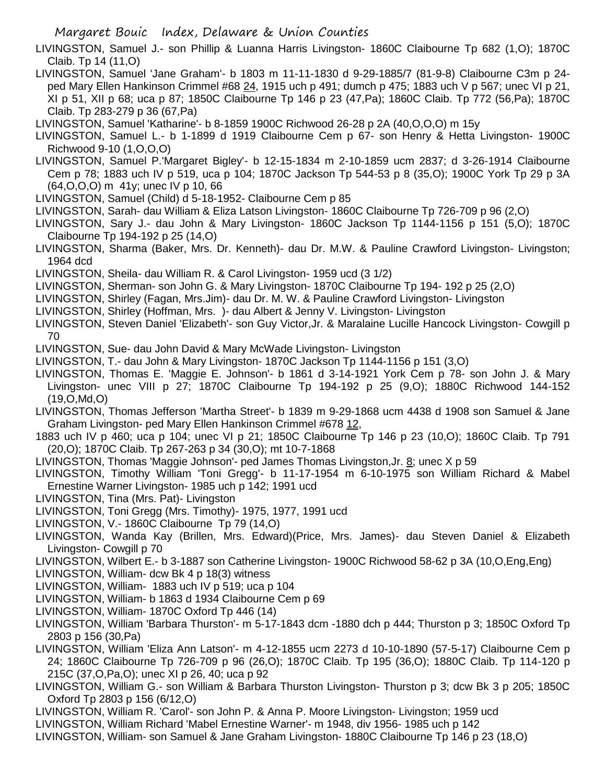LIVINGSTON, Samuel J.- son Phillip & Luanna Harris Livingston- 1860C Claibourne Tp 682 (1,O); 1870C Claib. Tp 14 (11,O)

LIVINGSTON, Samuel 'Jane Graham'- b 1803 m 11-11-1830 d 9-29-1885/7 (81-9-8) Claibourne C3m p 24 ped Mary Ellen Hankinson Crimmel #68 24, 1915 uch p 491; dumch p 475; 1883 uch V p 567; unec VI p 21, XI p 51, XII p 68; uca p 87; 1850C Claibourne Tp 146 p 23 (47,Pa); 1860C Claib. Tp 772 (56,Pa); 1870C Claib. Tp 283-279 p 36 (67,Pa)

LIVINGSTON, Samuel 'Katharine'- b 8-1859 1900C Richwood 26-28 p 2A (40,O,O,O) m 15y

- LIVINGSTON, Samuel L.- b 1-1899 d 1919 Claibourne Cem p 67- son Henry & Hetta Livingston- 1900C Richwood 9-10 (1,O,O,O)
- LIVINGSTON, Samuel P.'Margaret Bigley'- b 12-15-1834 m 2-10-1859 ucm 2837; d 3-26-1914 Claibourne Cem p 78; 1883 uch IV p 519, uca p 104; 1870C Jackson Tp 544-53 p 8 (35,O); 1900C York Tp 29 p 3A (64,O,O,O) m 41y; unec IV p 10, 66
- LIVINGSTON, Samuel (Child) d 5-18-1952- Claibourne Cem p 85
- LIVINGSTON, Sarah- dau William & Eliza Latson Livingston- 1860C Claibourne Tp 726-709 p 96 (2,O)
- LIVINGSTON, Sary J.- dau John & Mary Livingston- 1860C Jackson Tp 1144-1156 p 151 (5,O); 1870C Claibourne Tp 194-192 p 25 (14,O)
- LIVINGSTON, Sharma (Baker, Mrs. Dr. Kenneth)- dau Dr. M.W. & Pauline Crawford Livingston- Livingston; 1964 dcd
- LIVINGSTON, Sheila- dau William R. & Carol Livingston- 1959 ucd (3 1/2)
- LIVINGSTON, Sherman- son John G. & Mary Livingston- 1870C Claibourne Tp 194- 192 p 25 (2,O)
- LIVINGSTON, Shirley (Fagan, Mrs.Jim)- dau Dr. M. W. & Pauline Crawford Livingston- Livingston
- LIVINGSTON, Shirley (Hoffman, Mrs. )- dau Albert & Jenny V. Livingston- Livingston
- LIVINGSTON, Steven Daniel 'Elizabeth'- son Guy Victor,Jr. & Maralaine Lucille Hancock Livingston- Cowgill p 70
- LIVINGSTON, Sue- dau John David & Mary McWade Livingston- Livingston
- LIVINGSTON, T.- dau John & Mary Livingston- 1870C Jackson Tp 1144-1156 p 151 (3,O)
- LIVINGSTON, Thomas E. 'Maggie E. Johnson'- b 1861 d 3-14-1921 York Cem p 78- son John J. & Mary Livingston- unec VIII p 27; 1870C Claibourne Tp 194-192 p 25 (9,O); 1880C Richwood 144-152 (19,O,Md,O)
- LIVINGSTON, Thomas Jefferson 'Martha Street'- b 1839 m 9-29-1868 ucm 4438 d 1908 son Samuel & Jane Graham Livingston- ped Mary Ellen Hankinson Crimmel #678 12,
- 1883 uch IV p 460; uca p 104; unec VI p 21; 1850C Claibourne Tp 146 p 23 (10,O); 1860C Claib. Tp 791 (20,O); 1870C Claib. Tp 267-263 p 34 (30,O); mt 10-7-1868
- LIVINGSTON, Thomas 'Maggie Johnson'- ped James Thomas Livingston,Jr. 8; unec X p 59
- LIVINGSTON, Timothy William 'Toni Gregg'- b 11-17-1954 m 6-10-1975 son William Richard & Mabel Ernestine Warner Livingston- 1985 uch p 142; 1991 ucd
- LIVINGSTON, Tina (Mrs. Pat)- Livingston
- LIVINGSTON, Toni Gregg (Mrs. Timothy)- 1975, 1977, 1991 ucd
- LIVINGSTON, V.- 1860C Claibourne Tp 79 (14,O)
- LIVINGSTON, Wanda Kay (Brillen, Mrs. Edward)(Price, Mrs. James)- dau Steven Daniel & Elizabeth Livingston- Cowgill p 70
- LIVINGSTON, Wilbert E.- b 3-1887 son Catherine Livingston- 1900C Richwood 58-62 p 3A (10,O,Eng,Eng)
- LIVINGSTON, William- dcw Bk 4 p 18(3) witness
- LIVINGSTON, William- 1883 uch IV p 519; uca p 104
- LIVINGSTON, William- b 1863 d 1934 Claibourne Cem p 69
- LIVINGSTON, William- 1870C Oxford Tp 446 (14)
- LIVINGSTON, William 'Barbara Thurston'- m 5-17-1843 dcm -1880 dch p 444; Thurston p 3; 1850C Oxford Tp 2803 p 156 (30,Pa)
- LIVINGSTON, William 'Eliza Ann Latson'- m 4-12-1855 ucm 2273 d 10-10-1890 (57-5-17) Claibourne Cem p 24; 1860C Claibourne Tp 726-709 p 96 (26,O); 1870C Claib. Tp 195 (36,O); 1880C Claib. Tp 114-120 p 215C (37,O,Pa,O); unec XI p 26, 40; uca p 92
- LIVINGSTON, William G.- son William & Barbara Thurston Livingston- Thurston p 3; dcw Bk 3 p 205; 1850C Oxford Tp 2803 p 156 (6/12,O)
- LIVINGSTON, William R. 'Carol'- son John P. & Anna P. Moore Livingston- Livingston; 1959 ucd
- LIVINGSTON, William Richard 'Mabel Ernestine Warner'- m 1948, div 1956- 1985 uch p 142
- LIVINGSTON, William- son Samuel & Jane Graham Livingston- 1880C Claibourne Tp 146 p 23 (18,O)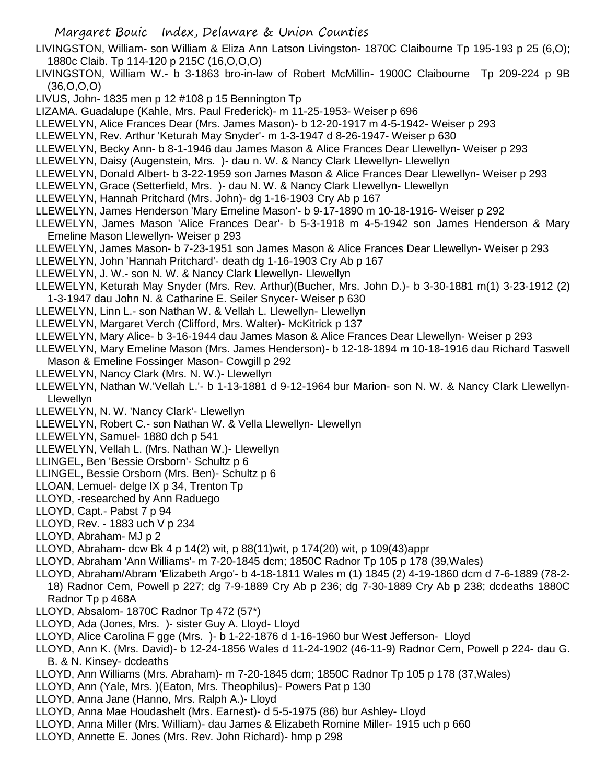- Margaret Bouic Index, Delaware & Union Counties
- LIVINGSTON, William- son William & Eliza Ann Latson Livingston- 1870C Claibourne Tp 195-193 p 25 (6,O); 1880c Claib. Tp 114-120 p 215C (16,O,O,O)
- LIVINGSTON, William W.- b 3-1863 bro-in-law of Robert McMillin- 1900C Claibourne Tp 209-224 p 9B (36,O,O,O)
- LIVUS, John- 1835 men p 12 #108 p 15 Bennington Tp
- LIZAMA. Guadalupe (Kahle, Mrs. Paul Frederick)- m 11-25-1953- Weiser p 696
- LLEWELYN, Alice Frances Dear (Mrs. James Mason)- b 12-20-1917 m 4-5-1942- Weiser p 293
- LLEWELYN, Rev. Arthur 'Keturah May Snyder'- m 1-3-1947 d 8-26-1947- Weiser p 630
- LLEWELYN, Becky Ann- b 8-1-1946 dau James Mason & Alice Frances Dear Llewellyn- Weiser p 293
- LLEWELYN, Daisy (Augenstein, Mrs. )- dau n. W. & Nancy Clark Llewellyn- Llewellyn
- LLEWELYN, Donald Albert- b 3-22-1959 son James Mason & Alice Frances Dear Llewellyn- Weiser p 293
- LLEWELYN, Grace (Setterfield, Mrs. )- dau N. W. & Nancy Clark Llewellyn- Llewellyn
- LLEWELYN, Hannah Pritchard (Mrs. John)- dg 1-16-1903 Cry Ab p 167
- LLEWELYN, James Henderson 'Mary Emeline Mason'- b 9-17-1890 m 10-18-1916- Weiser p 292
- LLEWELYN, James Mason 'Alice Frances Dear'- b 5-3-1918 m 4-5-1942 son James Henderson & Mary Emeline Mason Llewellyn- Weiser p 293
- LLEWELYN, James Mason- b 7-23-1951 son James Mason & Alice Frances Dear Llewellyn- Weiser p 293
- LLEWELYN, John 'Hannah Pritchard'- death dg 1-16-1903 Cry Ab p 167
- LLEWELYN, J. W.- son N. W. & Nancy Clark Llewellyn- Llewellyn
- LLEWELYN, Keturah May Snyder (Mrs. Rev. Arthur)(Bucher, Mrs. John D.)- b 3-30-1881 m(1) 3-23-1912 (2) 1-3-1947 dau John N. & Catharine E. Seiler Snycer- Weiser p 630
- LLEWELYN, Linn L.- son Nathan W. & Vellah L. Llewellyn- Llewellyn
- LLEWELYN, Margaret Verch (Clifford, Mrs. Walter)- McKitrick p 137
- LLEWELYN, Mary Alice- b 3-16-1944 dau James Mason & Alice Frances Dear Llewellyn- Weiser p 293
- LLEWELYN, Mary Emeline Mason (Mrs. James Henderson)- b 12-18-1894 m 10-18-1916 dau Richard Taswell Mason & Emeline Fossinger Mason- Cowgill p 292
- LLEWELYN, Nancy Clark (Mrs. N. W.)- Llewellyn
- LLEWELYN, Nathan W.'Vellah L.'- b 1-13-1881 d 9-12-1964 bur Marion- son N. W. & Nancy Clark Llewellyn-Llewellyn
- LLEWELYN, N. W. 'Nancy Clark'- Llewellyn
- LLEWELYN, Robert C.- son Nathan W. & Vella Llewellyn- Llewellyn
- LLEWELYN, Samuel- 1880 dch p 541
- LLEWELYN, Vellah L. (Mrs. Nathan W.)- Llewellyn
- LLINGEL, Ben 'Bessie Orsborn'- Schultz p 6
- LLINGEL, Bessie Orsborn (Mrs. Ben)- Schultz p 6
- LLOAN, Lemuel- delge IX p 34, Trenton Tp
- LLOYD, -researched by Ann Raduego
- LLOYD, Capt.- Pabst 7 p 94
- LLOYD, Rev. 1883 uch V p 234
- LLOYD, Abraham- MJ p 2
- LLOYD, Abraham- dcw Bk 4 p 14(2) wit, p 88(11)wit, p 174(20) wit, p 109(43)appr
- LLOYD, Abraham 'Ann Williams'- m 7-20-1845 dcm; 1850C Radnor Tp 105 p 178 (39,Wales)
- LLOYD, Abraham/Abram 'Elizabeth Argo'- b 4-18-1811 Wales m (1) 1845 (2) 4-19-1860 dcm d 7-6-1889 (78-2- 18) Radnor Cem, Powell p 227; dg 7-9-1889 Cry Ab p 236; dg 7-30-1889 Cry Ab p 238; dcdeaths 1880C Radnor Tp p 468A
- LLOYD, Absalom- 1870C Radnor Tp 472 (57\*)
- LLOYD, Ada (Jones, Mrs. )- sister Guy A. Lloyd- Lloyd
- LLOYD, Alice Carolina F gge (Mrs. )- b 1-22-1876 d 1-16-1960 bur West Jefferson- Lloyd
- LLOYD, Ann K. (Mrs. David)- b 12-24-1856 Wales d 11-24-1902 (46-11-9) Radnor Cem, Powell p 224- dau G. B. & N. Kinsey- dcdeaths
- LLOYD, Ann Williams (Mrs. Abraham)- m 7-20-1845 dcm; 1850C Radnor Tp 105 p 178 (37,Wales)
- LLOYD, Ann (Yale, Mrs. )(Eaton, Mrs. Theophilus)- Powers Pat p 130
- LLOYD, Anna Jane (Hanno, Mrs. Ralph A.)- Lloyd
- LLOYD, Anna Mae Houdashelt (Mrs. Earnest)- d 5-5-1975 (86) bur Ashley- Lloyd
- LLOYD, Anna Miller (Mrs. William)- dau James & Elizabeth Romine Miller- 1915 uch p 660
- LLOYD, Annette E. Jones (Mrs. Rev. John Richard)- hmp p 298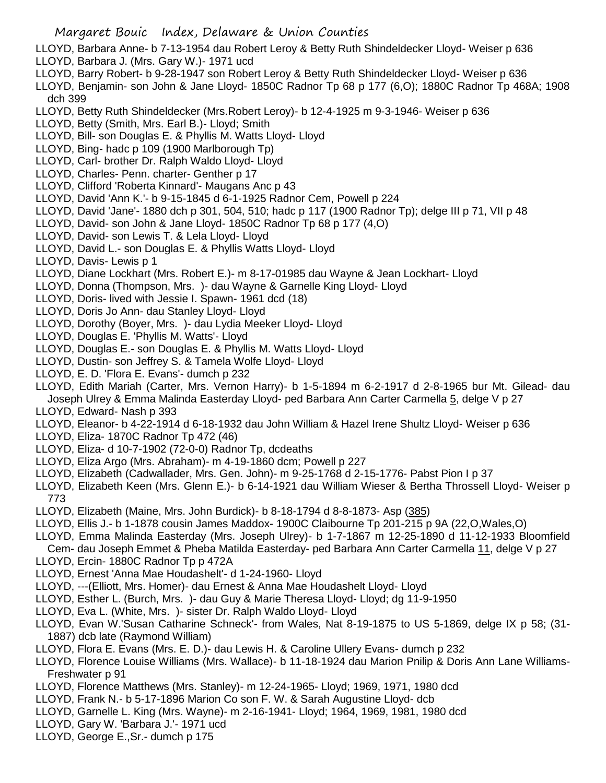- LLOYD, Barbara Anne- b 7-13-1954 dau Robert Leroy & Betty Ruth Shindeldecker Lloyd- Weiser p 636
- LLOYD, Barbara J. (Mrs. Gary W.)- 1971 ucd
- LLOYD, Barry Robert- b 9-28-1947 son Robert Leroy & Betty Ruth Shindeldecker Lloyd- Weiser p 636
- LLOYD, Benjamin- son John & Jane Lloyd- 1850C Radnor Tp 68 p 177 (6,O); 1880C Radnor Tp 468A; 1908 dch 399
- LLOYD, Betty Ruth Shindeldecker (Mrs.Robert Leroy)- b 12-4-1925 m 9-3-1946- Weiser p 636
- LLOYD, Betty (Smith, Mrs. Earl B.)- Lloyd; Smith
- LLOYD, Bill- son Douglas E. & Phyllis M. Watts Lloyd- Lloyd
- LLOYD, Bing- hadc p 109 (1900 Marlborough Tp)
- LLOYD, Carl- brother Dr. Ralph Waldo Lloyd- Lloyd
- LLOYD, Charles- Penn. charter- Genther p 17
- LLOYD, Clifford 'Roberta Kinnard'- Maugans Anc p 43
- LLOYD, David 'Ann K.'- b 9-15-1845 d 6-1-1925 Radnor Cem, Powell p 224
- LLOYD, David 'Jane'- 1880 dch p 301, 504, 510; hadc p 117 (1900 Radnor Tp); delge III p 71, VII p 48
- LLOYD, David- son John & Jane Lloyd- 1850C Radnor Tp 68 p 177 (4,O)
- LLOYD, David- son Lewis T. & Lela Lloyd- Lloyd
- LLOYD, David L.- son Douglas E. & Phyllis Watts Lloyd- Lloyd
- LLOYD, Davis- Lewis p 1
- LLOYD, Diane Lockhart (Mrs. Robert E.)- m 8-17-01985 dau Wayne & Jean Lockhart- Lloyd
- LLOYD, Donna (Thompson, Mrs. )- dau Wayne & Garnelle King Lloyd- Lloyd
- LLOYD, Doris- lived with Jessie I. Spawn- 1961 dcd (18)
- LLOYD, Doris Jo Ann- dau Stanley Lloyd- Lloyd
- LLOYD, Dorothy (Boyer, Mrs. )- dau Lydia Meeker Lloyd- Lloyd
- LLOYD, Douglas E. 'Phyllis M. Watts'- Lloyd
- LLOYD, Douglas E.- son Douglas E. & Phyllis M. Watts Lloyd- Lloyd
- LLOYD, Dustin- son Jeffrey S. & Tamela Wolfe Lloyd- Lloyd
- LLOYD, E. D. 'Flora E. Evans'- dumch p 232
- LLOYD, Edith Mariah (Carter, Mrs. Vernon Harry)- b 1-5-1894 m 6-2-1917 d 2-8-1965 bur Mt. Gilead- dau Joseph Ulrey & Emma Malinda Easterday Lloyd- ped Barbara Ann Carter Carmella 5, delge V p 27
- LLOYD, Edward- Nash p 393
- LLOYD, Eleanor- b 4-22-1914 d 6-18-1932 dau John William & Hazel Irene Shultz Lloyd- Weiser p 636
- LLOYD, Eliza- 1870C Radnor Tp 472 (46)
- LLOYD, Eliza- d 10-7-1902 (72-0-0) Radnor Tp, dcdeaths
- LLOYD, Eliza Argo (Mrs. Abraham)- m 4-19-1860 dcm; Powell p 227
- LLOYD, Elizabeth (Cadwallader, Mrs. Gen. John)- m 9-25-1768 d 2-15-1776- Pabst Pion I p 37
- LLOYD, Elizabeth Keen (Mrs. Glenn E.)- b 6-14-1921 dau William Wieser & Bertha Throssell Lloyd- Weiser p 773
- LLOYD, Elizabeth (Maine, Mrs. John Burdick)- b 8-18-1794 d 8-8-1873- Asp (385)
- LLOYD, Ellis J.- b 1-1878 cousin James Maddox- 1900C Claibourne Tp 201-215 p 9A (22,O,Wales,O)
- LLOYD, Emma Malinda Easterday (Mrs. Joseph Ulrey)- b 1-7-1867 m 12-25-1890 d 11-12-1933 Bloomfield Cem- dau Joseph Emmet & Pheba Matilda Easterday- ped Barbara Ann Carter Carmella 11, delge V p 27
- LLOYD, Ercin- 1880C Radnor Tp p 472A
- LLOYD, Ernest 'Anna Mae Houdashelt'- d 1-24-1960- Lloyd
- LLOYD, ---(Elliott, Mrs. Homer)- dau Ernest & Anna Mae Houdashelt Lloyd- Lloyd
- LLOYD, Esther L. (Burch, Mrs. )- dau Guy & Marie Theresa Lloyd- Lloyd; dg 11-9-1950
- LLOYD, Eva L. (White, Mrs. )- sister Dr. Ralph Waldo Lloyd- Lloyd
- LLOYD, Evan W.'Susan Catharine Schneck'- from Wales, Nat 8-19-1875 to US 5-1869, delge IX p 58; (31- 1887) dcb late (Raymond William)
- LLOYD, Flora E. Evans (Mrs. E. D.)- dau Lewis H. & Caroline Ullery Evans- dumch p 232
- LLOYD, Florence Louise Williams (Mrs. Wallace)- b 11-18-1924 dau Marion Pnilip & Doris Ann Lane Williams-Freshwater p 91
- LLOYD, Florence Matthews (Mrs. Stanley)- m 12-24-1965- Lloyd; 1969, 1971, 1980 dcd
- LLOYD, Frank N.- b 5-17-1896 Marion Co son F. W. & Sarah Augustine Lloyd- dcb
- LLOYD, Garnelle L. King (Mrs. Wayne)- m 2-16-1941- Lloyd; 1964, 1969, 1981, 1980 dcd
- LLOYD, Gary W. 'Barbara J.'- 1971 ucd
- LLOYD, George E.,Sr.- dumch p 175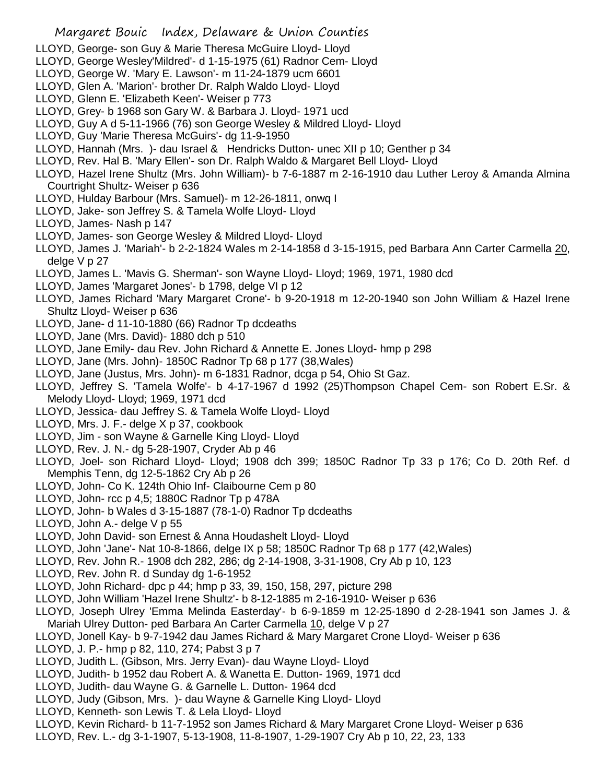- LLOYD, George- son Guy & Marie Theresa McGuire Lloyd- Lloyd
- LLOYD, George Wesley'Mildred'- d 1-15-1975 (61) Radnor Cem- Lloyd
- LLOYD, George W. 'Mary E. Lawson'- m 11-24-1879 ucm 6601
- LLOYD, Glen A. 'Marion'- brother Dr. Ralph Waldo Lloyd- Lloyd
- LLOYD, Glenn E. 'Elizabeth Keen'- Weiser p 773
- LLOYD, Grey- b 1968 son Gary W. & Barbara J. Lloyd- 1971 ucd
- LLOYD, Guy A d 5-11-1966 (76) son George Wesley & Mildred Lloyd- Lloyd
- LLOYD, Guy 'Marie Theresa McGuirs'- dg 11-9-1950
- LLOYD, Hannah (Mrs. )- dau Israel & Hendricks Dutton- unec XII p 10; Genther p 34
- LLOYD, Rev. Hal B. 'Mary Ellen'- son Dr. Ralph Waldo & Margaret Bell Lloyd- Lloyd
- LLOYD, Hazel Irene Shultz (Mrs. John William)- b 7-6-1887 m 2-16-1910 dau Luther Leroy & Amanda Almina Courtright Shultz- Weiser p 636
- LLOYD, Hulday Barbour (Mrs. Samuel)- m 12-26-1811, onwq I
- LLOYD, Jake- son Jeffrey S. & Tamela Wolfe Lloyd- Lloyd
- LLOYD, James- Nash p 147
- LLOYD, James- son George Wesley & Mildred Lloyd- Lloyd
- LLOYD, James J. 'Mariah'- b 2-2-1824 Wales m 2-14-1858 d 3-15-1915, ped Barbara Ann Carter Carmella 20, delge V p 27
- LLOYD, James L. 'Mavis G. Sherman'- son Wayne Lloyd- Lloyd; 1969, 1971, 1980 dcd
- LLOYD, James 'Margaret Jones'- b 1798, delge VI p 12
- LLOYD, James Richard 'Mary Margaret Crone'- b 9-20-1918 m 12-20-1940 son John William & Hazel Irene Shultz Lloyd- Weiser p 636
- LLOYD, Jane- d 11-10-1880 (66) Radnor Tp dcdeaths
- LLOYD, Jane (Mrs. David)- 1880 dch p 510
- LLOYD, Jane Emily- dau Rev. John Richard & Annette E. Jones Lloyd- hmp p 298
- LLOYD, Jane (Mrs. John)- 1850C Radnor Tp 68 p 177 (38,Wales)
- LLOYD, Jane (Justus, Mrs. John)- m 6-1831 Radnor, dcga p 54, Ohio St Gaz.
- LLOYD, Jeffrey S. 'Tamela Wolfe'- b 4-17-1967 d 1992 (25)Thompson Chapel Cem- son Robert E.Sr. & Melody Lloyd- Lloyd; 1969, 1971 dcd
- LLOYD, Jessica- dau Jeffrey S. & Tamela Wolfe Lloyd- Lloyd
- LLOYD, Mrs. J. F.- delge X p 37, cookbook
- LLOYD, Jim son Wayne & Garnelle King Lloyd- Lloyd
- LLOYD, Rev. J. N.- dg 5-28-1907, Cryder Ab p 46
- LLOYD, Joel- son Richard Lloyd- Lloyd; 1908 dch 399; 1850C Radnor Tp 33 p 176; Co D. 20th Ref. d Memphis Tenn, dg 12-5-1862 Cry Ab p 26
- LLOYD, John- Co K. 124th Ohio Inf- Claibourne Cem p 80
- LLOYD, John- rcc p 4,5; 1880C Radnor Tp p 478A
- LLOYD, John- b Wales d 3-15-1887 (78-1-0) Radnor Tp dcdeaths
- LLOYD, John A.- delge V p 55
- LLOYD, John David- son Ernest & Anna Houdashelt Lloyd- Lloyd
- LLOYD, John 'Jane'- Nat 10-8-1866, delge IX p 58; 1850C Radnor Tp 68 p 177 (42,Wales)
- LLOYD, Rev. John R.- 1908 dch 282, 286; dg 2-14-1908, 3-31-1908, Cry Ab p 10, 123
- LLOYD, Rev. John R. d Sunday dg 1-6-1952
- LLOYD, John Richard- dpc p 44; hmp p 33, 39, 150, 158, 297, picture 298
- LLOYD, John William 'Hazel Irene Shultz'- b 8-12-1885 m 2-16-1910- Weiser p 636
- LLOYD, Joseph Ulrey 'Emma Melinda Easterday'- b 6-9-1859 m 12-25-1890 d 2-28-1941 son James J. & Mariah Ulrey Dutton- ped Barbara An Carter Carmella 10, delge V p 27
- LLOYD, Jonell Kay- b 9-7-1942 dau James Richard & Mary Margaret Crone Lloyd- Weiser p 636
- LLOYD, J. P.- hmp p 82, 110, 274; Pabst 3 p 7
- LLOYD, Judith L. (Gibson, Mrs. Jerry Evan)- dau Wayne Lloyd- Lloyd
- LLOYD, Judith- b 1952 dau Robert A. & Wanetta E. Dutton- 1969, 1971 dcd
- LLOYD, Judith- dau Wayne G. & Garnelle L. Dutton- 1964 dcd
- LLOYD, Judy (Gibson, Mrs. )- dau Wayne & Garnelle King Lloyd- Lloyd
- LLOYD, Kenneth- son Lewis T. & Lela Lloyd- Lloyd
- LLOYD, Kevin Richard- b 11-7-1952 son James Richard & Mary Margaret Crone Lloyd- Weiser p 636
- LLOYD, Rev. L.- dg 3-1-1907, 5-13-1908, 11-8-1907, 1-29-1907 Cry Ab p 10, 22, 23, 133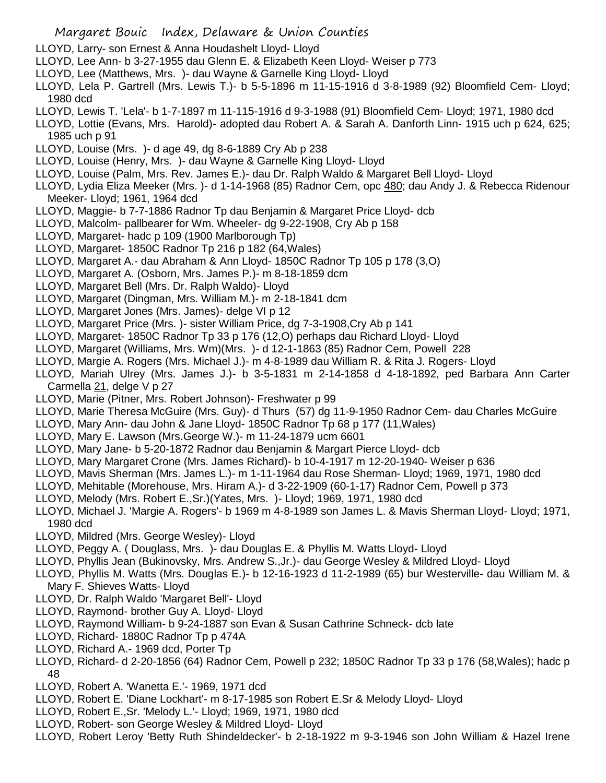- LLOYD, Larry- son Ernest & Anna Houdashelt Lloyd- Lloyd
- LLOYD, Lee Ann- b 3-27-1955 dau Glenn E. & Elizabeth Keen Lloyd- Weiser p 773
- LLOYD, Lee (Matthews, Mrs. )- dau Wayne & Garnelle King Lloyd- Lloyd
- LLOYD, Lela P. Gartrell (Mrs. Lewis T.)- b 5-5-1896 m 11-15-1916 d 3-8-1989 (92) Bloomfield Cem- Lloyd; 1980 dcd
- LLOYD, Lewis T. 'Lela'- b 1-7-1897 m 11-115-1916 d 9-3-1988 (91) Bloomfield Cem- Lloyd; 1971, 1980 dcd
- LLOYD, Lottie (Evans, Mrs. Harold)- adopted dau Robert A. & Sarah A. Danforth Linn- 1915 uch p 624, 625; 1985 uch p 91
- LLOYD, Louise (Mrs. )- d age 49, dg 8-6-1889 Cry Ab p 238
- LLOYD, Louise (Henry, Mrs. )- dau Wayne & Garnelle King Lloyd- Lloyd
- LLOYD, Louise (Palm, Mrs. Rev. James E.)- dau Dr. Ralph Waldo & Margaret Bell Lloyd- Lloyd
- LLOYD, Lydia Eliza Meeker (Mrs. )- d 1-14-1968 (85) Radnor Cem, opc 480; dau Andy J. & Rebecca Ridenour Meeker- Lloyd; 1961, 1964 dcd
- LLOYD, Maggie- b 7-7-1886 Radnor Tp dau Benjamin & Margaret Price Lloyd- dcb
- LLOYD, Malcolm- pallbearer for Wm. Wheeler- dg 9-22-1908, Cry Ab p 158
- LLOYD, Margaret- hadc p 109 (1900 Marlborough Tp)
- LLOYD, Margaret- 1850C Radnor Tp 216 p 182 (64,Wales)
- LLOYD, Margaret A.- dau Abraham & Ann Lloyd- 1850C Radnor Tp 105 p 178 (3,O)
- LLOYD, Margaret A. (Osborn, Mrs. James P.)- m 8-18-1859 dcm
- LLOYD, Margaret Bell (Mrs. Dr. Ralph Waldo)- Lloyd
- LLOYD, Margaret (Dingman, Mrs. William M.)- m 2-18-1841 dcm
- LLOYD, Margaret Jones (Mrs. James)- delge VI p 12
- LLOYD, Margaret Price (Mrs. )- sister William Price, dg 7-3-1908,Cry Ab p 141
- LLOYD, Margaret- 1850C Radnor Tp 33 p 176 (12,O) perhaps dau Richard Lloyd- Lloyd
- LLOYD, Margaret (Williams, Mrs. Wm)(Mrs. )- d 12-1-1863 (85) Radnor Cem, Powell 228
- LLOYD, Margie A. Rogers (Mrs. Michael J.)- m 4-8-1989 dau William R. & Rita J. Rogers- Lloyd
- LLOYD, Mariah Ulrey (Mrs. James J.)- b 3-5-1831 m 2-14-1858 d 4-18-1892, ped Barbara Ann Carter Carmella 21, delge V p 27
- LLOYD, Marie (Pitner, Mrs. Robert Johnson)- Freshwater p 99
- LLOYD, Marie Theresa McGuire (Mrs. Guy)- d Thurs (57) dg 11-9-1950 Radnor Cem- dau Charles McGuire
- LLOYD, Mary Ann- dau John & Jane Lloyd- 1850C Radnor Tp 68 p 177 (11,Wales)
- LLOYD, Mary E. Lawson (Mrs.George W.)- m 11-24-1879 ucm 6601
- LLOYD, Mary Jane- b 5-20-1872 Radnor dau Benjamin & Margart Pierce Lloyd- dcb
- LLOYD, Mary Margaret Crone (Mrs. James Richard)- b 10-4-1917 m 12-20-1940- Weiser p 636
- LLOYD, Mavis Sherman (Mrs. James L.)- m 1-11-1964 dau Rose Sherman- Lloyd; 1969, 1971, 1980 dcd
- LLOYD, Mehitable (Morehouse, Mrs. Hiram A.)- d 3-22-1909 (60-1-17) Radnor Cem, Powell p 373
- LLOYD, Melody (Mrs. Robert E.,Sr.)(Yates, Mrs. )- Lloyd; 1969, 1971, 1980 dcd
- LLOYD, Michael J. 'Margie A. Rogers'- b 1969 m 4-8-1989 son James L. & Mavis Sherman Lloyd- Lloyd; 1971, 1980 dcd
- LLOYD, Mildred (Mrs. George Wesley)- Lloyd
- LLOYD, Peggy A. ( Douglass, Mrs. )- dau Douglas E. & Phyllis M. Watts Lloyd- Lloyd
- LLOYD, Phyllis Jean (Bukinovsky, Mrs. Andrew S.,Jr.)- dau George Wesley & Mildred Lloyd- Lloyd
- LLOYD, Phyllis M. Watts (Mrs. Douglas E.)- b 12-16-1923 d 11-2-1989 (65) bur Westerville- dau William M. & Mary F. Shieves Watts- Lloyd
- LLOYD, Dr. Ralph Waldo 'Margaret Bell'- Lloyd
- LLOYD, Raymond- brother Guy A. Lloyd- Lloyd
- LLOYD, Raymond William- b 9-24-1887 son Evan & Susan Cathrine Schneck- dcb late
- LLOYD, Richard- 1880C Radnor Tp p 474A
- LLOYD, Richard A.- 1969 dcd, Porter Tp
- LLOYD, Richard- d 2-20-1856 (64) Radnor Cem, Powell p 232; 1850C Radnor Tp 33 p 176 (58,Wales); hadc p 48
- LLOYD, Robert A. 'Wanetta E.'- 1969, 1971 dcd
- LLOYD, Robert E. 'Diane Lockhart'- m 8-17-1985 son Robert E.Sr & Melody Lloyd- Lloyd
- LLOYD, Robert E.,Sr. 'Melody L.'- Lloyd; 1969, 1971, 1980 dcd
- LLOYD, Robert- son George Wesley & Mildred Lloyd- Lloyd
- LLOYD, Robert Leroy 'Betty Ruth Shindeldecker'- b 2-18-1922 m 9-3-1946 son John William & Hazel Irene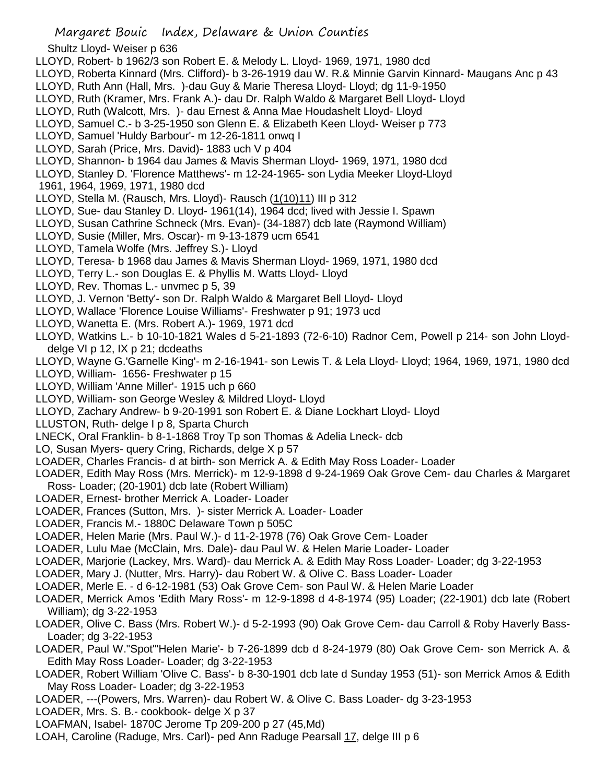- Shultz Lloyd- Weiser p 636
- LLOYD, Robert- b 1962/3 son Robert E. & Melody L. Lloyd- 1969, 1971, 1980 dcd
- LLOYD, Roberta Kinnard (Mrs. Clifford)- b 3-26-1919 dau W. R.& Minnie Garvin Kinnard- Maugans Anc p 43
- LLOYD, Ruth Ann (Hall, Mrs. )-dau Guy & Marie Theresa Lloyd- Lloyd; dg 11-9-1950
- LLOYD, Ruth (Kramer, Mrs. Frank A.)- dau Dr. Ralph Waldo & Margaret Bell Lloyd- Lloyd
- LLOYD, Ruth (Walcott, Mrs. )- dau Ernest & Anna Mae Houdashelt Lloyd- Lloyd
- LLOYD, Samuel C.- b 3-25-1950 son Glenn E. & Elizabeth Keen Lloyd- Weiser p 773
- LLOYD, Samuel 'Huldy Barbour'- m 12-26-1811 onwq I
- LLOYD, Sarah (Price, Mrs. David)- 1883 uch V p 404
- LLOYD, Shannon- b 1964 dau James & Mavis Sherman Lloyd- 1969, 1971, 1980 dcd
- LLOYD, Stanley D. 'Florence Matthews'- m 12-24-1965- son Lydia Meeker Lloyd-Lloyd
- 1961, 1964, 1969, 1971, 1980 dcd
- LLOYD, Stella M. (Rausch, Mrs. Lloyd)- Rausch (1(10)11) III p 312
- LLOYD, Sue- dau Stanley D. Lloyd- 1961(14), 1964 dcd; lived with Jessie I. Spawn
- LLOYD, Susan Cathrine Schneck (Mrs. Evan)- (34-1887) dcb late (Raymond William)
- LLOYD, Susie (Miller, Mrs. Oscar)- m 9-13-1879 ucm 6541
- LLOYD, Tamela Wolfe (Mrs. Jeffrey S.)- Lloyd
- LLOYD, Teresa- b 1968 dau James & Mavis Sherman Lloyd- 1969, 1971, 1980 dcd
- LLOYD, Terry L.- son Douglas E. & Phyllis M. Watts Lloyd- Lloyd
- LLOYD, Rev. Thomas L.- unvmec p 5, 39
- LLOYD, J. Vernon 'Betty'- son Dr. Ralph Waldo & Margaret Bell Lloyd- Lloyd
- LLOYD, Wallace 'Florence Louise Williams'- Freshwater p 91; 1973 ucd
- LLOYD, Wanetta E. (Mrs. Robert A.)- 1969, 1971 dcd
- LLOYD, Watkins L.- b 10-10-1821 Wales d 5-21-1893 (72-6-10) Radnor Cem, Powell p 214- son John Lloyddelge VI p 12, IX p 21; dcdeaths
- LLOYD, Wayne G.'Garnelle King'- m 2-16-1941- son Lewis T. & Lela Lloyd- Lloyd; 1964, 1969, 1971, 1980 dcd
- LLOYD, William- 1656- Freshwater p 15
- LLOYD, William 'Anne Miller'- 1915 uch p 660
- LLOYD, William- son George Wesley & Mildred Lloyd- Lloyd
- LLOYD, Zachary Andrew- b 9-20-1991 son Robert E. & Diane Lockhart Lloyd- Lloyd
- LLUSTON, Ruth- delge I p 8, Sparta Church
- LNECK, Oral Franklin- b 8-1-1868 Troy Tp son Thomas & Adelia Lneck- dcb
- LO, Susan Myers- query Cring, Richards, delge X p 57
- LOADER, Charles Francis- d at birth- son Merrick A. & Edith May Ross Loader- Loader
- LOADER, Edith May Ross (Mrs. Merrick)- m 12-9-1898 d 9-24-1969 Oak Grove Cem- dau Charles & Margaret Ross- Loader; (20-1901) dcb late (Robert William)
- LOADER, Ernest- brother Merrick A. Loader- Loader
- LOADER, Frances (Sutton, Mrs. )- sister Merrick A. Loader- Loader
- LOADER, Francis M.- 1880C Delaware Town p 505C
- LOADER, Helen Marie (Mrs. Paul W.)- d 11-2-1978 (76) Oak Grove Cem- Loader
- LOADER, Lulu Mae (McClain, Mrs. Dale)- dau Paul W. & Helen Marie Loader- Loader
- LOADER, Marjorie (Lackey, Mrs. Ward)- dau Merrick A. & Edith May Ross Loader- Loader; dg 3-22-1953
- LOADER, Mary J. (Nutter, Mrs. Harry)- dau Robert W. & Olive C. Bass Loader- Loader
- LOADER, Merle E. d 6-12-1981 (53) Oak Grove Cem- son Paul W. & Helen Marie Loader
- LOADER, Merrick Amos 'Edith Mary Ross'- m 12-9-1898 d 4-8-1974 (95) Loader; (22-1901) dcb late (Robert William); dg 3-22-1953
- LOADER, Olive C. Bass (Mrs. Robert W.)- d 5-2-1993 (90) Oak Grove Cem- dau Carroll & Roby Haverly Bass-Loader; dg 3-22-1953
- LOADER, Paul W."Spot"'Helen Marie'- b 7-26-1899 dcb d 8-24-1979 (80) Oak Grove Cem- son Merrick A. & Edith May Ross Loader- Loader; dg 3-22-1953
- LOADER, Robert William 'Olive C. Bass'- b 8-30-1901 dcb late d Sunday 1953 (51)- son Merrick Amos & Edith May Ross Loader- Loader; dg 3-22-1953
- LOADER, ---(Powers, Mrs. Warren)- dau Robert W. & Olive C. Bass Loader- dg 3-23-1953
- LOADER, Mrs. S. B.- cookbook- delge X p 37
- LOAFMAN, Isabel- 1870C Jerome Tp 209-200 p 27 (45,Md)
- LOAH, Caroline (Raduge, Mrs. Carl)- ped Ann Raduge Pearsall 17, delge III p 6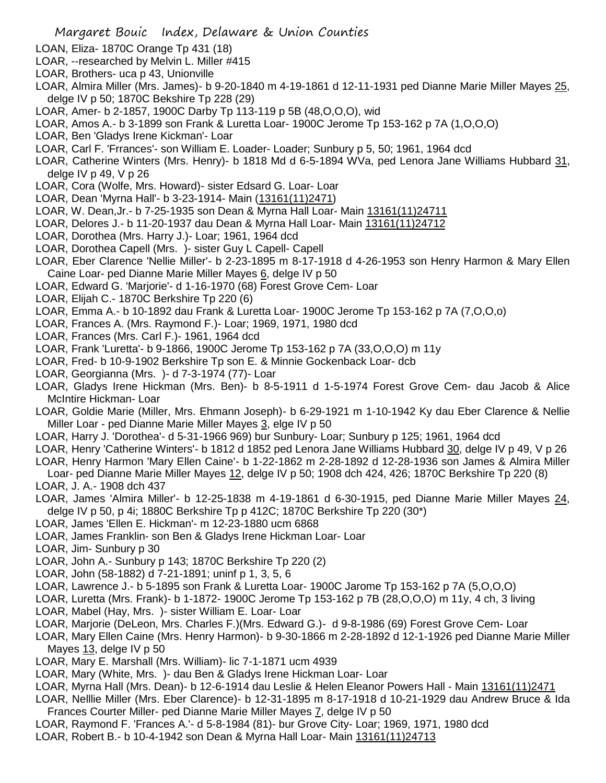- LOAN, Eliza- 1870C Orange Tp 431 (18)
- LOAR, --researched by Melvin L. Miller #415
- LOAR, Brothers- uca p 43, Unionville
- LOAR, Almira Miller (Mrs. James)- b 9-20-1840 m 4-19-1861 d 12-11-1931 ped Dianne Marie Miller Mayes 25, delge IV p 50; 1870C Bekshire Tp 228 (29)
- LOAR, Amer- b 2-1857, 1900C Darby Tp 113-119 p 5B (48,O,O,O), wid
- LOAR, Amos A.- b 3-1899 son Frank & Luretta Loar- 1900C Jerome Tp 153-162 p 7A (1,O,O,O)
- LOAR, Ben 'Gladys Irene Kickman'- Loar
- LOAR, Carl F. 'Frrances'- son William E. Loader- Loader; Sunbury p 5, 50; 1961, 1964 dcd
- LOAR, Catherine Winters (Mrs. Henry)- b 1818 Md d 6-5-1894 WVa, ped Lenora Jane Williams Hubbard 31, delge IV p 49, V p 26
- LOAR, Cora (Wolfe, Mrs. Howard)- sister Edsard G. Loar- Loar
- LOAR, Dean 'Myrna Hall'- b 3-23-1914- Main (13161(11)2471)
- LOAR, W. Dean,Jr.- b 7-25-1935 son Dean & Myrna Hall Loar- Main 13161(11)24711
- LOAR, Delores J.- b 11-20-1937 dau Dean & Myrna Hall Loar- Main 13161(11)24712
- LOAR, Dorothea (Mrs. Harry J.)- Loar; 1961, 1964 dcd
- LOAR, Dorothea Capell (Mrs. )- sister Guy L Capell- Capell
- LOAR, Eber Clarence 'Nellie Miller'- b 2-23-1895 m 8-17-1918 d 4-26-1953 son Henry Harmon & Mary Ellen Caine Loar- ped Dianne Marie Miller Mayes 6, delge IV p 50
- LOAR, Edward G. 'Marjorie'- d 1-16-1970 (68) Forest Grove Cem- Loar
- LOAR, Elijah C.- 1870C Berkshire Tp 220 (6)
- LOAR, Emma A.- b 10-1892 dau Frank & Luretta Loar- 1900C Jerome Tp 153-162 p 7A (7,O,O,o)
- LOAR, Frances A. (Mrs. Raymond F.)- Loar; 1969, 1971, 1980 dcd
- LOAR, Frances (Mrs. Carl F.)- 1961, 1964 dcd
- LOAR, Frank 'Luretta'- b 9-1866, 1900C Jerome Tp 153-162 p 7A (33,O,O,O) m 11y
- LOAR, Fred- b 10-9-1902 Berkshire Tp son E. & Minnie Gockenback Loar- dcb
- LOAR, Georgianna (Mrs. )- d 7-3-1974 (77)- Loar
- LOAR, Gladys Irene Hickman (Mrs. Ben)- b 8-5-1911 d 1-5-1974 Forest Grove Cem- dau Jacob & Alice McIntire Hickman- Loar
- LOAR, Goldie Marie (Miller, Mrs. Ehmann Joseph)- b 6-29-1921 m 1-10-1942 Ky dau Eber Clarence & Nellie Miller Loar - ped Dianne Marie Miller Mayes 3, elge IV p 50
- LOAR, Harry J. 'Dorothea'- d 5-31-1966 969) bur Sunbury- Loar; Sunbury p 125; 1961, 1964 dcd
- LOAR, Henry 'Catherine Winters'- b 1812 d 1852 ped Lenora Jane Williams Hubbard 30, delge IV p 49, V p 26
- LOAR, Henry Harmon 'Mary Ellen Caine'- b 1-22-1862 m 2-28-1892 d 12-28-1936 son James & Almira Miller Loar- ped Dianne Marie Miller Mayes 12, delge IV p 50; 1908 dch 424, 426; 1870C Berkshire Tp 220 (8) LOAR, J. A.- 1908 dch 437
- LOAR, James 'Almira Miller'- b 12-25-1838 m 4-19-1861 d 6-30-1915, ped Dianne Marie Miller Mayes 24, delge IV p 50, p 4i; 1880C Berkshire Tp p 412C; 1870C Berkshire Tp 220 (30\*)
- LOAR, James 'Ellen E. Hickman'- m 12-23-1880 ucm 6868
- LOAR, James Franklin- son Ben & Gladys Irene Hickman Loar- Loar
- LOAR, Jim- Sunbury p 30
- LOAR, John A.- Sunbury p 143; 1870C Berkshire Tp 220 (2)
- LOAR, John (58-1882) d 7-21-1891; uninf p 1, 3, 5, 6
- LOAR, Lawrence J.- b 5-1895 son Frank & Luretta Loar- 1900C Jarome Tp 153-162 p 7A (5,O,O,O)
- LOAR, Luretta (Mrs. Frank)- b 1-1872- 1900C Jerome Tp 153-162 p 7B (28,O,O,O) m 11y, 4 ch, 3 living
- LOAR, Mabel (Hay, Mrs. )- sister William E. Loar- Loar
- LOAR, Marjorie (DeLeon, Mrs. Charles F.)(Mrs. Edward G.)- d 9-8-1986 (69) Forest Grove Cem- Loar
- LOAR, Mary Ellen Caine (Mrs. Henry Harmon)- b 9-30-1866 m 2-28-1892 d 12-1-1926 ped Dianne Marie Miller Mayes 13, delge IV p 50
- LOAR, Mary E. Marshall (Mrs. William)- lic 7-1-1871 ucm 4939
- LOAR, Mary (White, Mrs. )- dau Ben & Gladys Irene Hickman Loar- Loar
- LOAR, Myrna Hall (Mrs. Dean)- b 12-6-1914 dau Leslie & Helen Eleanor Powers Hall Main 13161(11)2471
- LOAR, Nelllie Miller (Mrs. Eber Clarence)- b 12-31-1895 m 8-17-1918 d 10-21-1929 dau Andrew Bruce & Ida Frances Courter Miller- ped Dianne Marie Miller Mayes 7, delge IV p 50
- LOAR, Raymond F. 'Frances A.'- d 5-8-1984 (81)- bur Grove City- Loar; 1969, 1971, 1980 dcd
- LOAR, Robert B.- b 10-4-1942 son Dean & Myrna Hall Loar- Main 13161(11)24713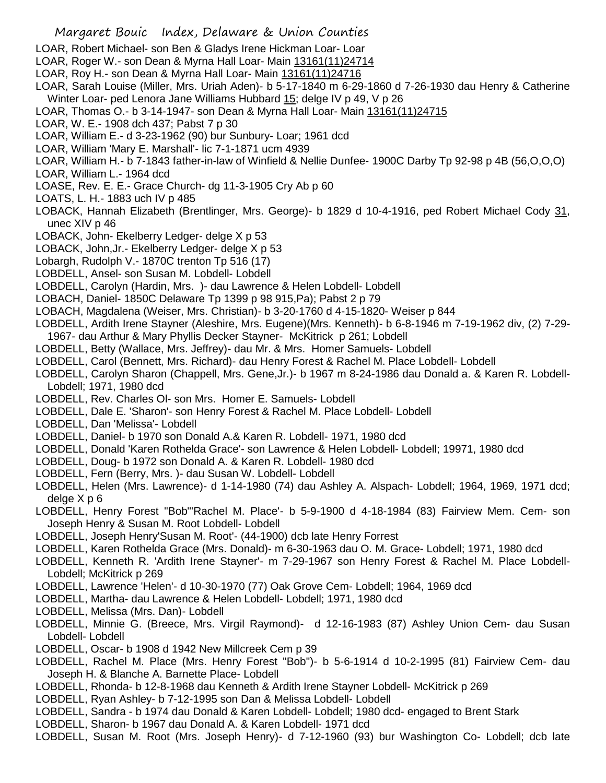- LOAR, Robert Michael- son Ben & Gladys Irene Hickman Loar- Loar
- LOAR, Roger W.- son Dean & Myrna Hall Loar- Main 13161(11)24714
- LOAR, Roy H.- son Dean & Myrna Hall Loar- Main 13161(11)24716
- LOAR, Sarah Louise (Miller, Mrs. Uriah Aden)- b 5-17-1840 m 6-29-1860 d 7-26-1930 dau Henry & Catherine Winter Loar- ped Lenora Jane Williams Hubbard 15; delge IV p 49, V p 26
- LOAR, Thomas O.- b 3-14-1947- son Dean & Myrna Hall Loar- Main 13161(11)24715
- LOAR, W. E.- 1908 dch 437; Pabst 7 p 30
- LOAR, William E.- d 3-23-1962 (90) bur Sunbury- Loar; 1961 dcd
- LOAR, William 'Mary E. Marshall'- lic 7-1-1871 ucm 4939
- LOAR, William H.- b 7-1843 father-in-law of Winfield & Nellie Dunfee- 1900C Darby Tp 92-98 p 4B (56,O,O,O)
- LOAR, William L.- 1964 dcd
- LOASE, Rev. E. E.- Grace Church- dg 11-3-1905 Cry Ab p 60
- LOATS, L. H.- 1883 uch IV p 485
- LOBACK, Hannah Elizabeth (Brentlinger, Mrs. George)- b 1829 d 10-4-1916, ped Robert Michael Cody 31, unec XIV p 46
- LOBACK, John- Ekelberry Ledger- delge X p 53
- LOBACK, John,Jr.- Ekelberry Ledger- delge X p 53
- Lobargh, Rudolph V.- 1870C trenton Tp 516 (17)
- LOBDELL, Ansel- son Susan M. Lobdell- Lobdell
- LOBDELL, Carolyn (Hardin, Mrs. )- dau Lawrence & Helen Lobdell- Lobdell
- LOBACH, Daniel- 1850C Delaware Tp 1399 p 98 915,Pa); Pabst 2 p 79
- LOBACH, Magdalena (Weiser, Mrs. Christian)- b 3-20-1760 d 4-15-1820- Weiser p 844
- LOBDELL, Ardith Irene Stayner (Aleshire, Mrs. Eugene)(Mrs. Kenneth)- b 6-8-1946 m 7-19-1962 div, (2) 7-29- 1967- dau Arthur & Mary Phyllis Decker Stayner- McKitrick p 261; Lobdell
- LOBDELL, Betty (Wallace, Mrs. Jeffrey)- dau Mr. & Mrs. Homer Samuels- Lobdell
- LOBDELL, Carol (Bennett, Mrs. Richard)- dau Henry Forest & Rachel M. Place Lobdell- Lobdell
- LOBDELL, Carolyn Sharon (Chappell, Mrs. Gene,Jr.)- b 1967 m 8-24-1986 dau Donald a. & Karen R. Lobdell-Lobdell; 1971, 1980 dcd
- LOBDELL, Rev. Charles Ol- son Mrs. Homer E. Samuels- Lobdell
- LOBDELL, Dale E. 'Sharon'- son Henry Forest & Rachel M. Place Lobdell- Lobdell
- LOBDELL, Dan 'Melissa'- Lobdell
- LOBDELL, Daniel- b 1970 son Donald A.& Karen R. Lobdell- 1971, 1980 dcd
- LOBDELL, Donald 'Karen Rothelda Grace'- son Lawrence & Helen Lobdell- Lobdell; 19971, 1980 dcd
- LOBDELL, Doug- b 1972 son Donald A. & Karen R. Lobdell- 1980 dcd
- LOBDELL, Fern (Berry, Mrs. )- dau Susan W. Lobdell- Lobdell
- LOBDELL, Helen (Mrs. Lawrence)- d 1-14-1980 (74) dau Ashley A. Alspach- Lobdell; 1964, 1969, 1971 dcd; delge X p 6
- LOBDELL, Henry Forest "Bob"'Rachel M. Place'- b 5-9-1900 d 4-18-1984 (83) Fairview Mem. Cem- son Joseph Henry & Susan M. Root Lobdell- Lobdell
- LOBDELL, Joseph Henry'Susan M. Root'- (44-1900) dcb late Henry Forrest
- LOBDELL, Karen Rothelda Grace (Mrs. Donald)- m 6-30-1963 dau O. M. Grace- Lobdell; 1971, 1980 dcd
- LOBDELL, Kenneth R. 'Ardith Irene Stayner'- m 7-29-1967 son Henry Forest & Rachel M. Place Lobdell-Lobdell; McKitrick p 269
- LOBDELL, Lawrence 'Helen'- d 10-30-1970 (77) Oak Grove Cem- Lobdell; 1964, 1969 dcd
- LOBDELL, Martha- dau Lawrence & Helen Lobdell- Lobdell; 1971, 1980 dcd
- LOBDELL, Melissa (Mrs. Dan)- Lobdell
- LOBDELL, Minnie G. (Breece, Mrs. Virgil Raymond)- d 12-16-1983 (87) Ashley Union Cem- dau Susan Lobdell- Lobdell
- LOBDELL, Oscar- b 1908 d 1942 New Millcreek Cem p 39
- LOBDELL, Rachel M. Place (Mrs. Henry Forest "Bob")- b 5-6-1914 d 10-2-1995 (81) Fairview Cem- dau Joseph H. & Blanche A. Barnette Place- Lobdell
- LOBDELL, Rhonda- b 12-8-1968 dau Kenneth & Ardith Irene Stayner Lobdell- McKitrick p 269
- LOBDELL, Ryan Ashley- b 7-12-1995 son Dan & Melissa Lobdell- Lobdell
- LOBDELL, Sandra b 1974 dau Donald & Karen Lobdell- Lobdell; 1980 dcd- engaged to Brent Stark
- LOBDELL, Sharon- b 1967 dau Donald A. & Karen Lobdell- 1971 dcd
- LOBDELL, Susan M. Root (Mrs. Joseph Henry)- d 7-12-1960 (93) bur Washington Co- Lobdell; dcb late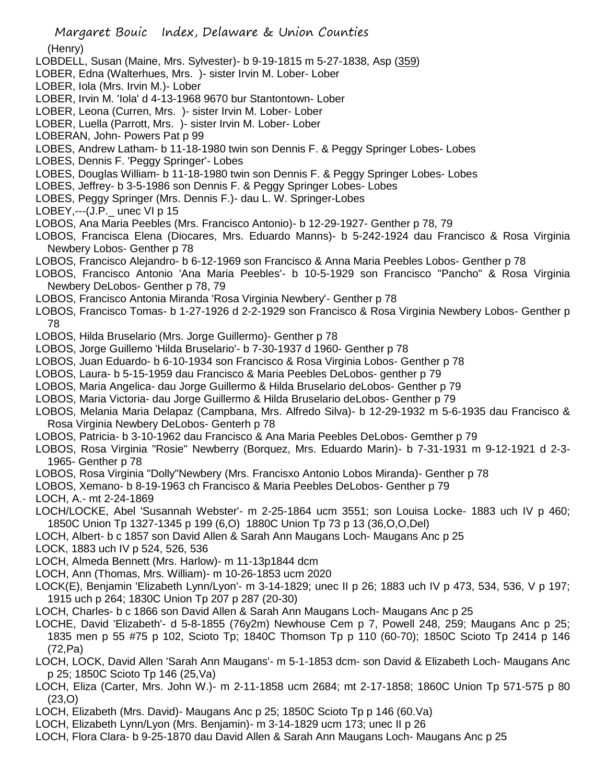(Henry)

- LOBDELL, Susan (Maine, Mrs. Sylvester)- b 9-19-1815 m 5-27-1838, Asp (359)
- LOBER, Edna (Walterhues, Mrs. )- sister Irvin M. Lober- Lober
- LOBER, Iola (Mrs. Irvin M.)- Lober
- LOBER, Irvin M. 'Iola' d 4-13-1968 9670 bur Stantontown- Lober
- LOBER, Leona (Curren, Mrs. )- sister Irvin M. Lober- Lober
- LOBER, Luella (Parrott, Mrs. )- sister Irvin M. Lober- Lober
- LOBERAN, John- Powers Pat p 99
- LOBES, Andrew Latham- b 11-18-1980 twin son Dennis F. & Peggy Springer Lobes- Lobes
- LOBES, Dennis F. 'Peggy Springer'- Lobes
- LOBES, Douglas William- b 11-18-1980 twin son Dennis F. & Peggy Springer Lobes- Lobes
- LOBES, Jeffrey- b 3-5-1986 son Dennis F. & Peggy Springer Lobes- Lobes
- LOBES, Peggy Springer (Mrs. Dennis F.)- dau L. W. Springer-Lobes

LOBEY,--- $(J.P.$  unec VI p 15

- LOBOS, Ana Maria Peebles (Mrs. Francisco Antonio)- b 12-29-1927- Genther p 78, 79
- LOBOS, Francisca Elena (Diocares, Mrs. Eduardo Manns)- b 5-242-1924 dau Francisco & Rosa Virginia Newbery Lobos- Genther p 78
- LOBOS, Francisco Alejandro- b 6-12-1969 son Francisco & Anna Maria Peebles Lobos- Genther p 78
- LOBOS, Francisco Antonio 'Ana Maria Peebles'- b 10-5-1929 son Francisco "Pancho" & Rosa Virginia Newbery DeLobos- Genther p 78, 79
- LOBOS, Francisco Antonia Miranda 'Rosa Virginia Newbery'- Genther p 78
- LOBOS, Francisco Tomas- b 1-27-1926 d 2-2-1929 son Francisco & Rosa Virginia Newbery Lobos- Genther p 78
- LOBOS, Hilda Bruselario (Mrs. Jorge Guillermo)- Genther p 78
- LOBOS, Jorge Guillemo 'Hilda Bruselario'- b 7-30-1937 d 1960- Genther p 78
- LOBOS, Juan Eduardo- b 6-10-1934 son Francisco & Rosa Virginia Lobos- Genther p 78
- LOBOS, Laura- b 5-15-1959 dau Francisco & Maria Peebles DeLobos- genther p 79
- LOBOS, Maria Angelica- dau Jorge Guillermo & Hilda Bruselario deLobos- Genther p 79
- LOBOS, Maria Victoria- dau Jorge Guillermo & Hilda Bruselario deLobos- Genther p 79
- LOBOS, Melania Maria Delapaz (Campbana, Mrs. Alfredo Silva)- b 12-29-1932 m 5-6-1935 dau Francisco & Rosa Virginia Newbery DeLobos- Genterh p 78
- LOBOS, Patricia- b 3-10-1962 dau Francisco & Ana Maria Peebles DeLobos- Gemther p 79
- LOBOS, Rosa Virginia "Rosie" Newberry (Borquez, Mrs. Eduardo Marin)- b 7-31-1931 m 9-12-1921 d 2-3- 1965- Genther p 78
- LOBOS, Rosa Virginia "Dolly"Newbery (Mrs. Francisxo Antonio Lobos Miranda)- Genther p 78
- LOBOS, Xemano- b 8-19-1963 ch Francisco & Maria Peebles DeLobos- Genther p 79
- LOCH, A.- mt 2-24-1869
- LOCH/LOCKE, Abel 'Susannah Webster'- m 2-25-1864 ucm 3551; son Louisa Locke- 1883 uch IV p 460; 1850C Union Tp 1327-1345 p 199 (6,O) 1880C Union Tp 73 p 13 (36,O,O,Del)
- LOCH, Albert- b c 1857 son David Allen & Sarah Ann Maugans Loch- Maugans Anc p 25
- LOCK, 1883 uch IV p 524, 526, 536
- LOCH, Almeda Bennett (Mrs. Harlow)- m 11-13p1844 dcm
- LOCH, Ann (Thomas, Mrs. William)- m 10-26-1853 ucm 2020
- LOCK(E), Benjamin 'Elizabeth Lynn/Lyon'- m 3-14-1829; unec II p 26; 1883 uch IV p 473, 534, 536, V p 197; 1915 uch p 264; 1830C Union Tp 207 p 287 (20-30)
- LOCH, Charles- b c 1866 son David Allen & Sarah Ann Maugans Loch- Maugans Anc p 25
- LOCHE, David 'Elizabeth'- d 5-8-1855 (76y2m) Newhouse Cem p 7, Powell 248, 259; Maugans Anc p 25; 1835 men p 55 #75 p 102, Scioto Tp; 1840C Thomson Tp p 110 (60-70); 1850C Scioto Tp 2414 p 146 (72,Pa)
- LOCH, LOCK, David Allen 'Sarah Ann Maugans'- m 5-1-1853 dcm- son David & Elizabeth Loch- Maugans Anc p 25; 1850C Scioto Tp 146 (25,Va)
- LOCH, Eliza (Carter, Mrs. John W.)- m 2-11-1858 ucm 2684; mt 2-17-1858; 1860C Union Tp 571-575 p 80 (23,O)
- LOCH, Elizabeth (Mrs. David)- Maugans Anc p 25; 1850C Scioto Tp p 146 (60.Va)
- LOCH, Elizabeth Lynn/Lyon (Mrs. Benjamin)- m 3-14-1829 ucm 173; unec II p 26
- LOCH, Flora Clara- b 9-25-1870 dau David Allen & Sarah Ann Maugans Loch- Maugans Anc p 25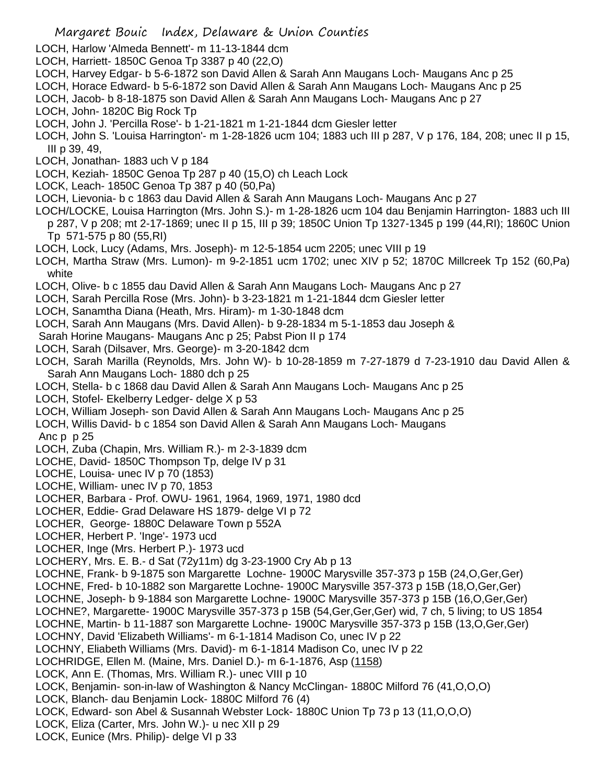- LOCH, Harlow 'Almeda Bennett'- m 11-13-1844 dcm
- LOCH, Harriett- 1850C Genoa Tp 3387 p 40 (22,O)
- LOCH, Harvey Edgar- b 5-6-1872 son David Allen & Sarah Ann Maugans Loch- Maugans Anc p 25
- LOCH, Horace Edward- b 5-6-1872 son David Allen & Sarah Ann Maugans Loch- Maugans Anc p 25
- LOCH, Jacob- b 8-18-1875 son David Allen & Sarah Ann Maugans Loch- Maugans Anc p 27
- LOCH, John- 1820C Big Rock Tp
- LOCH, John J. 'Percilla Rose'- b 1-21-1821 m 1-21-1844 dcm Giesler letter
- LOCH, John S. 'Louisa Harrington'- m 1-28-1826 ucm 104; 1883 uch III p 287, V p 176, 184, 208; unec II p 15, III p 39, 49,
- LOCH, Jonathan- 1883 uch V p 184
- LOCH, Keziah- 1850C Genoa Tp 287 p 40 (15,O) ch Leach Lock
- LOCK, Leach- 1850C Genoa Tp 387 p 40 (50,Pa)
- LOCH, Lievonia- b c 1863 dau David Allen & Sarah Ann Maugans Loch- Maugans Anc p 27
- LOCH/LOCKE, Louisa Harrington (Mrs. John S.)- m 1-28-1826 ucm 104 dau Benjamin Harrington- 1883 uch III p 287, V p 208; mt 2-17-1869; unec II p 15, III p 39; 1850C Union Tp 1327-1345 p 199 (44,RI); 1860C Union Tp 571-575 p 80 (55,RI)
- LOCH, Lock, Lucy (Adams, Mrs. Joseph)- m 12-5-1854 ucm 2205; unec VIII p 19
- LOCH, Martha Straw (Mrs. Lumon)- m 9-2-1851 ucm 1702; unec XIV p 52; 1870C Millcreek Tp 152 (60,Pa) white
- LOCH, Olive- b c 1855 dau David Allen & Sarah Ann Maugans Loch- Maugans Anc p 27
- LOCH, Sarah Percilla Rose (Mrs. John)- b 3-23-1821 m 1-21-1844 dcm Giesler letter
- LOCH, Sanamtha Diana (Heath, Mrs. Hiram)- m 1-30-1848 dcm
- LOCH, Sarah Ann Maugans (Mrs. David Allen)- b 9-28-1834 m 5-1-1853 dau Joseph &
- Sarah Horine Maugans- Maugans Anc p 25; Pabst Pion II p 174
- LOCH, Sarah (Dilsaver, Mrs. George)- m 3-20-1842 dcm
- LOCH, Sarah Marilla (Reynolds, Mrs. John W)- b 10-28-1859 m 7-27-1879 d 7-23-1910 dau David Allen & Sarah Ann Maugans Loch- 1880 dch p 25
- LOCH, Stella- b c 1868 dau David Allen & Sarah Ann Maugans Loch- Maugans Anc p 25
- LOCH, Stofel- Ekelberry Ledger- delge X p 53
- LOCH, William Joseph- son David Allen & Sarah Ann Maugans Loch- Maugans Anc p 25
- LOCH, Willis David- b c 1854 son David Allen & Sarah Ann Maugans Loch- Maugans
- Anc p p 25
- LOCH, Zuba (Chapin, Mrs. William R.)- m 2-3-1839 dcm
- LOCHE, David- 1850C Thompson Tp, delge IV p 31
- LOCHE, Louisa- unec IV p 70 (1853)
- LOCHE, William- unec IV p 70, 1853
- LOCHER, Barbara Prof. OWU- 1961, 1964, 1969, 1971, 1980 dcd
- LOCHER, Eddie- Grad Delaware HS 1879- delge VI p 72
- LOCHER, George- 1880C Delaware Town p 552A
- LOCHER, Herbert P. 'Inge'- 1973 ucd
- LOCHER, Inge (Mrs. Herbert P.)- 1973 ucd
- LOCHERY, Mrs. E. B.- d Sat (72y11m) dg 3-23-1900 Cry Ab p 13
- LOCHNE, Frank- b 9-1875 son Margarette Lochne- 1900C Marysville 357-373 p 15B (24,O,Ger,Ger)
- LOCHNE, Fred- b 10-1882 son Margarette Lochne- 1900C Marysville 357-373 p 15B (18,O,Ger,Ger)
- LOCHNE, Joseph- b 9-1884 son Margarette Lochne- 1900C Marysville 357-373 p 15B (16,O,Ger,Ger)
- LOCHNE?, Margarette- 1900C Marysville 357-373 p 15B (54,Ger,Ger,Ger) wid, 7 ch, 5 living; to US 1854
- LOCHNE, Martin- b 11-1887 son Margarette Lochne- 1900C Marysville 357-373 p 15B (13,O,Ger,Ger)
- LOCHNY, David 'Elizabeth Williams'- m 6-1-1814 Madison Co, unec IV p 22
- LOCHNY, Eliabeth Williams (Mrs. David)- m 6-1-1814 Madison Co, unec IV p 22
- LOCHRIDGE, Ellen M. (Maine, Mrs. Daniel D.)- m 6-1-1876, Asp (1158)
- LOCK, Ann E. (Thomas, Mrs. William R.)- unec VIII p 10
- LOCK, Benjamin- son-in-law of Washington & Nancy McClingan- 1880C Milford 76 (41,O,O,O)
- LOCK, Blanch- dau Benjamin Lock- 1880C Milford 76 (4)
- LOCK, Edward- son Abel & Susannah Webster Lock- 1880C Union Tp 73 p 13 (11,O,O,O)
- LOCK, Eliza (Carter, Mrs. John W.)- u nec XII p 29
- LOCK, Eunice (Mrs. Philip)- delge VI p 33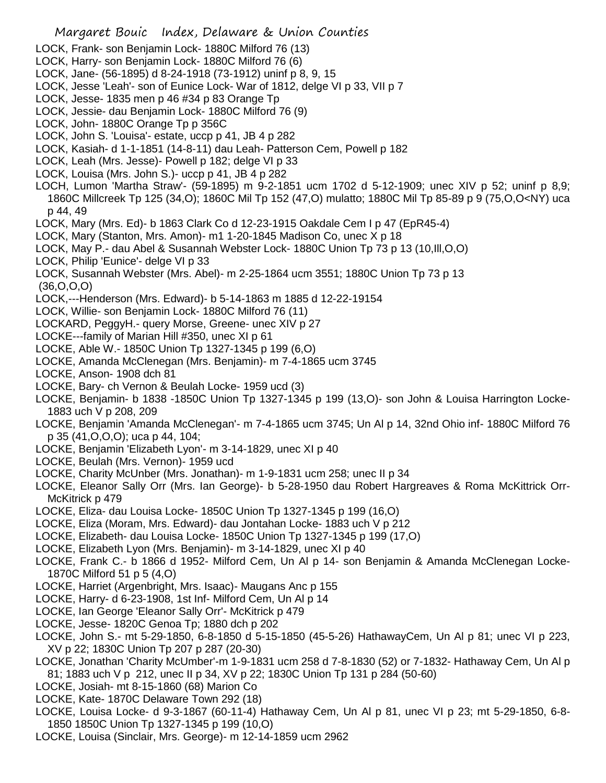- LOCK, Frank- son Benjamin Lock- 1880C Milford 76 (13)
- LOCK, Harry- son Benjamin Lock- 1880C Milford 76 (6)
- LOCK, Jane- (56-1895) d 8-24-1918 (73-1912) uninf p 8, 9, 15
- LOCK, Jesse 'Leah'- son of Eunice Lock- War of 1812, delge VI p 33, VII p 7
- LOCK, Jesse- 1835 men p 46 #34 p 83 Orange Tp
- LOCK, Jessie- dau Benjamin Lock- 1880C Milford 76 (9)
- LOCK, John- 1880C Orange Tp p 356C
- LOCK, John S. 'Louisa'- estate, uccp p 41, JB 4 p 282
- LOCK, Kasiah- d 1-1-1851 (14-8-11) dau Leah- Patterson Cem, Powell p 182
- LOCK, Leah (Mrs. Jesse)- Powell p 182; delge VI p 33
- LOCK, Louisa (Mrs. John S.)- uccp p 41, JB 4 p 282
- LOCH, Lumon 'Martha Straw'- (59-1895) m 9-2-1851 ucm 1702 d 5-12-1909; unec XIV p 52; uninf p 8,9; 1860C Millcreek Tp 125 (34,O); 1860C Mil Tp 152 (47,O) mulatto; 1880C Mil Tp 85-89 p 9 (75,O,O<NY) uca p 44, 49
- LOCK, Mary (Mrs. Ed)- b 1863 Clark Co d 12-23-1915 Oakdale Cem I p 47 (EpR45-4)
- LOCK, Mary (Stanton, Mrs. Amon)- m1 1-20-1845 Madison Co, unec X p 18
- LOCK, May P.- dau Abel & Susannah Webster Lock- 1880C Union Tp 73 p 13 (10,Ill,O,O)
- LOCK, Philip 'Eunice'- delge VI p 33
- LOCK, Susannah Webster (Mrs. Abel)- m 2-25-1864 ucm 3551; 1880C Union Tp 73 p 13 (36,O,O,O)
- LOCK,---Henderson (Mrs. Edward)- b 5-14-1863 m 1885 d 12-22-19154
- LOCK, Willie- son Benjamin Lock- 1880C Milford 76 (11)
- LOCKARD, PeggyH.- query Morse, Greene- unec XIV p 27
- LOCKE---family of Marian Hill #350, unec XI p 61
- LOCKE, Able W.- 1850C Union Tp 1327-1345 p 199 (6,O)
- LOCKE, Amanda McClenegan (Mrs. Benjamin)- m 7-4-1865 ucm 3745
- LOCKE, Anson- 1908 dch 81
- LOCKE, Bary- ch Vernon & Beulah Locke- 1959 ucd (3)
- LOCKE, Benjamin- b 1838 -1850C Union Tp 1327-1345 p 199 (13,O)- son John & Louisa Harrington Locke-1883 uch V p 208, 209
- LOCKE, Benjamin 'Amanda McClenegan'- m 7-4-1865 ucm 3745; Un Al p 14, 32nd Ohio inf- 1880C Milford 76 p 35 (41,O,O,O); uca p 44, 104;
- LOCKE, Benjamin 'Elizabeth Lyon'- m 3-14-1829, unec XI p 40
- LOCKE, Beulah (Mrs. Vernon)- 1959 ucd
- LOCKE, Charity McUnber (Mrs. Jonathan)- m 1-9-1831 ucm 258; unec II p 34
- LOCKE, Eleanor Sally Orr (Mrs. Ian George)- b 5-28-1950 dau Robert Hargreaves & Roma McKittrick Orr-McKitrick p 479
- LOCKE, Eliza- dau Louisa Locke- 1850C Union Tp 1327-1345 p 199 (16,O)
- LOCKE, Eliza (Moram, Mrs. Edward)- dau Jontahan Locke- 1883 uch V p 212
- LOCKE, Elizabeth- dau Louisa Locke- 1850C Union Tp 1327-1345 p 199 (17,O)
- LOCKE, Elizabeth Lyon (Mrs. Benjamin)- m 3-14-1829, unec XI p 40
- LOCKE, Frank C.- b 1866 d 1952- Milford Cem, Un Al p 14- son Benjamin & Amanda McClenegan Locke-1870C Milford 51 p 5 (4,O)
- LOCKE, Harriet (Argenbright, Mrs. Isaac)- Maugans Anc p 155
- LOCKE, Harry- d 6-23-1908, 1st Inf- Milford Cem, Un Al p 14
- LOCKE, Ian George 'Eleanor Sally Orr'- McKitrick p 479
- LOCKE, Jesse- 1820C Genoa Tp; 1880 dch p 202
- LOCKE, John S.- mt 5-29-1850, 6-8-1850 d 5-15-1850 (45-5-26) HathawayCem, Un Al p 81; unec VI p 223, XV p 22; 1830C Union Tp 207 p 287 (20-30)
- LOCKE, Jonathan 'Charity McUmber'-m 1-9-1831 ucm 258 d 7-8-1830 (52) or 7-1832- Hathaway Cem, Un Al p 81; 1883 uch V p 212, unec II p 34, XV p 22; 1830C Union Tp 131 p 284 (50-60)
- LOCKE, Josiah- mt 8-15-1860 (68) Marion Co
- LOCKE, Kate- 1870C Delaware Town 292 (18)
- LOCKE, Louisa Locke- d 9-3-1867 (60-11-4) Hathaway Cem, Un Al p 81, unec VI p 23; mt 5-29-1850, 6-8- 1850 1850C Union Tp 1327-1345 p 199 (10,O)
- LOCKE, Louisa (Sinclair, Mrs. George)- m 12-14-1859 ucm 2962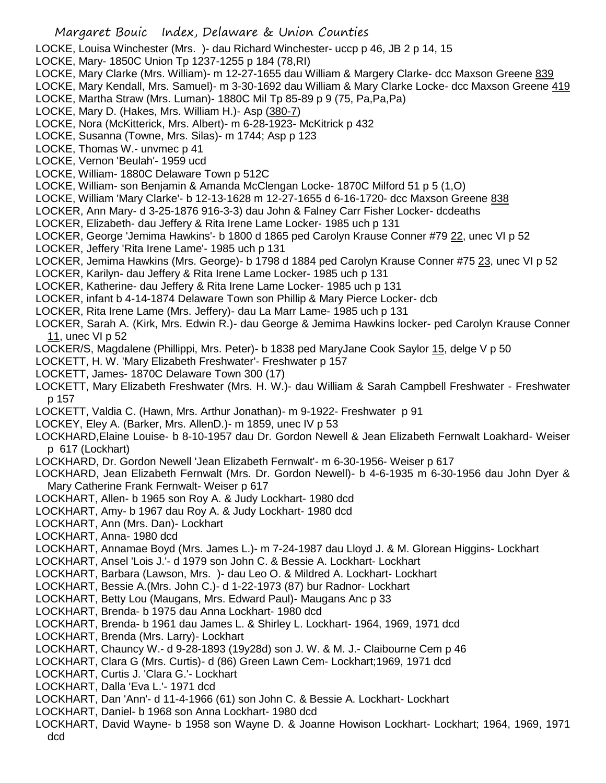LOCKE, Louisa Winchester (Mrs. )- dau Richard Winchester- uccp p 46, JB 2 p 14, 15

- LOCKE, Mary- 1850C Union Tp 1237-1255 p 184 (78,RI)
- LOCKE, Mary Clarke (Mrs. William)- m 12-27-1655 dau William & Margery Clarke- dcc Maxson Greene 839
- LOCKE, Mary Kendall, Mrs. Samuel)- m 3-30-1692 dau William & Mary Clarke Locke- dcc Maxson Greene 419
- LOCKE, Martha Straw (Mrs. Luman)- 1880C Mil Tp 85-89 p 9 (75, Pa,Pa,Pa)
- LOCKE, Mary D. (Hakes, Mrs. William H.)- Asp (380-7)
- LOCKE, Nora (McKitterick, Mrs. Albert)- m 6-28-1923- McKitrick p 432
- LOCKE, Susanna (Towne, Mrs. Silas)- m 1744; Asp p 123
- LOCKE, Thomas W.- unvmec p 41
- LOCKE, Vernon 'Beulah'- 1959 ucd
- LOCKE, William- 1880C Delaware Town p 512C
- LOCKE, William- son Benjamin & Amanda McClengan Locke- 1870C Milford 51 p 5 (1,O)
- LOCKE, William 'Mary Clarke'- b 12-13-1628 m 12-27-1655 d 6-16-1720- dcc Maxson Greene 838
- LOCKER, Ann Mary- d 3-25-1876 916-3-3) dau John & Falney Carr Fisher Locker- dcdeaths
- LOCKER, Elizabeth- dau Jeffery & Rita Irene Lame Locker- 1985 uch p 131
- LOCKER, George 'Jemima Hawkins'- b 1800 d 1865 ped Carolyn Krause Conner #79 22, unec VI p 52
- LOCKER, Jeffery 'Rita Irene Lame'- 1985 uch p 131
- LOCKER, Jemima Hawkins (Mrs. George)- b 1798 d 1884 ped Carolyn Krause Conner #75 23, unec VI p 52
- LOCKER, Karilyn- dau Jeffery & Rita Irene Lame Locker- 1985 uch p 131
- LOCKER, Katherine- dau Jeffery & Rita Irene Lame Locker- 1985 uch p 131
- LOCKER, infant b 4-14-1874 Delaware Town son Phillip & Mary Pierce Locker- dcb
- LOCKER, Rita Irene Lame (Mrs. Jeffery)- dau La Marr Lame- 1985 uch p 131

LOCKER, Sarah A. (Kirk, Mrs. Edwin R.)- dau George & Jemima Hawkins locker- ped Carolyn Krause Conner 11, unec VI p 52

- LOCKER/S, Magdalene (Phillippi, Mrs. Peter)- b 1838 ped MaryJane Cook Saylor 15, delge V p 50
- LOCKETT, H. W. 'Mary Elizabeth Freshwater'- Freshwater p 157
- LOCKETT, James- 1870C Delaware Town 300 (17)
- LOCKETT, Mary Elizabeth Freshwater (Mrs. H. W.)- dau William & Sarah Campbell Freshwater Freshwater p 157
- LOCKETT, Valdia C. (Hawn, Mrs. Arthur Jonathan)- m 9-1922- Freshwater p 91
- LOCKEY, Eley A. (Barker, Mrs. AllenD.)- m 1859, unec IV p 53
- LOCKHARD,Elaine Louise- b 8-10-1957 dau Dr. Gordon Newell & Jean Elizabeth Fernwalt Loakhard- Weiser p 617 (Lockhart)
- LOCKHARD, Dr. Gordon Newell 'Jean Elizabeth Fernwalt'- m 6-30-1956- Weiser p 617

LOCKHARD, Jean Elizabeth Fernwalt (Mrs. Dr. Gordon Newell)- b 4-6-1935 m 6-30-1956 dau John Dyer & Mary Catherine Frank Fernwalt- Weiser p 617

- LOCKHART, Allen- b 1965 son Roy A. & Judy Lockhart- 1980 dcd
- LOCKHART, Amy- b 1967 dau Roy A. & Judy Lockhart- 1980 dcd
- LOCKHART, Ann (Mrs. Dan)- Lockhart
- LOCKHART, Anna- 1980 dcd
- LOCKHART, Annamae Boyd (Mrs. James L.)- m 7-24-1987 dau Lloyd J. & M. Glorean Higgins- Lockhart
- LOCKHART, Ansel 'Lois J.'- d 1979 son John C. & Bessie A. Lockhart- Lockhart
- LOCKHART, Barbara (Lawson, Mrs. )- dau Leo O. & Mildred A. Lockhart- Lockhart
- LOCKHART, Bessie A.(Mrs. John C.)- d 1-22-1973 (87) bur Radnor- Lockhart
- LOCKHART, Betty Lou (Maugans, Mrs. Edward Paul)- Maugans Anc p 33
- LOCKHART, Brenda- b 1975 dau Anna Lockhart- 1980 dcd
- LOCKHART, Brenda- b 1961 dau James L. & Shirley L. Lockhart- 1964, 1969, 1971 dcd
- LOCKHART, Brenda (Mrs. Larry)- Lockhart
- LOCKHART, Chauncy W.- d 9-28-1893 (19y28d) son J. W. & M. J.- Claibourne Cem p 46
- LOCKHART, Clara G (Mrs. Curtis)- d (86) Green Lawn Cem- Lockhart;1969, 1971 dcd
- LOCKHART, Curtis J. 'Clara G.'- Lockhart
- LOCKHART, Dalla 'Eva L.'- 1971 dcd
- LOCKHART, Dan 'Ann'- d 11-4-1966 (61) son John C. & Bessie A. Lockhart- Lockhart
- LOCKHART, Daniel- b 1968 son Anna Lockhart- 1980 dcd
- LOCKHART, David Wayne- b 1958 son Wayne D. & Joanne Howison Lockhart- Lockhart; 1964, 1969, 1971 dcd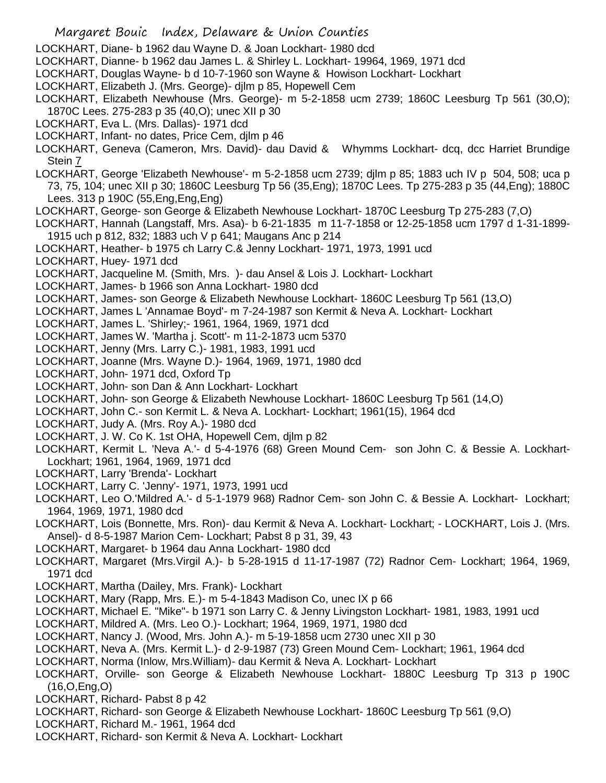- Margaret Bouic Index, Delaware & Union Counties
- LOCKHART, Diane- b 1962 dau Wayne D. & Joan Lockhart- 1980 dcd
- LOCKHART, Dianne- b 1962 dau James L. & Shirley L. Lockhart- 19964, 1969, 1971 dcd
- LOCKHART, Douglas Wayne- b d 10-7-1960 son Wayne & Howison Lockhart- Lockhart
- LOCKHART, Elizabeth J. (Mrs. George)- djlm p 85, Hopewell Cem
- LOCKHART, Elizabeth Newhouse (Mrs. George)- m 5-2-1858 ucm 2739; 1860C Leesburg Tp 561 (30,O); 1870C Lees. 275-283 p 35 (40,O); unec XII p 30
- LOCKHART, Eva L. (Mrs. Dallas)- 1971 dcd
- LOCKHART, Infant- no dates, Price Cem, djlm p 46
- LOCKHART, Geneva (Cameron, Mrs. David)- dau David & Whymms Lockhart- dcq, dcc Harriet Brundige Stein 7
- LOCKHART, George 'Elizabeth Newhouse'- m 5-2-1858 ucm 2739; djlm p 85; 1883 uch IV p 504, 508; uca p 73, 75, 104; unec XII p 30; 1860C Leesburg Tp 56 (35,Eng); 1870C Lees. Tp 275-283 p 35 (44,Eng); 1880C Lees. 313 p 190C (55,Eng,Eng,Eng)
- LOCKHART, George- son George & Elizabeth Newhouse Lockhart- 1870C Leesburg Tp 275-283 (7,O)
- LOCKHART, Hannah (Langstaff, Mrs. Asa)- b 6-21-1835 m 11-7-1858 or 12-25-1858 ucm 1797 d 1-31-1899- 1915 uch p 812, 832; 1883 uch V p 641; Maugans Anc p 214
- LOCKHART, Heather- b 1975 ch Larry C.& Jenny Lockhart- 1971, 1973, 1991 ucd
- LOCKHART, Huey- 1971 dcd
- LOCKHART, Jacqueline M. (Smith, Mrs. )- dau Ansel & Lois J. Lockhart- Lockhart
- LOCKHART, James- b 1966 son Anna Lockhart- 1980 dcd
- LOCKHART, James- son George & Elizabeth Newhouse Lockhart- 1860C Leesburg Tp 561 (13,O)
- LOCKHART, James L 'Annamae Boyd'- m 7-24-1987 son Kermit & Neva A. Lockhart- Lockhart
- LOCKHART, James L. 'Shirley;- 1961, 1964, 1969, 1971 dcd
- LOCKHART, James W. 'Martha j. Scott'- m 11-2-1873 ucm 5370
- LOCKHART, Jenny (Mrs. Larry C.)- 1981, 1983, 1991 ucd
- LOCKHART, Joanne (Mrs. Wayne D.)- 1964, 1969, 1971, 1980 dcd
- LOCKHART, John- 1971 dcd, Oxford Tp
- LOCKHART, John- son Dan & Ann Lockhart- Lockhart
- LOCKHART, John- son George & Elizabeth Newhouse Lockhart- 1860C Leesburg Tp 561 (14,O)
- LOCKHART, John C.- son Kermit L. & Neva A. Lockhart- Lockhart; 1961(15), 1964 dcd
- LOCKHART, Judy A. (Mrs. Roy A.)- 1980 dcd
- LOCKHART, J. W. Co K. 1st OHA, Hopewell Cem, djlm p 82
- LOCKHART, Kermit L. 'Neva A.'- d 5-4-1976 (68) Green Mound Cem- son John C. & Bessie A. Lockhart-Lockhart; 1961, 1964, 1969, 1971 dcd
- LOCKHART, Larry 'Brenda'- Lockhart
- LOCKHART, Larry C. 'Jenny'- 1971, 1973, 1991 ucd
- LOCKHART, Leo O.'Mildred A.'- d 5-1-1979 968) Radnor Cem- son John C. & Bessie A. Lockhart- Lockhart; 1964, 1969, 1971, 1980 dcd
- LOCKHART, Lois (Bonnette, Mrs. Ron)- dau Kermit & Neva A. Lockhart- Lockhart; LOCKHART, Lois J. (Mrs. Ansel)- d 8-5-1987 Marion Cem- Lockhart; Pabst 8 p 31, 39, 43
- LOCKHART, Margaret- b 1964 dau Anna Lockhart- 1980 dcd
- LOCKHART, Margaret (Mrs.Virgil A.)- b 5-28-1915 d 11-17-1987 (72) Radnor Cem- Lockhart; 1964, 1969, 1971 dcd
- LOCKHART, Martha (Dailey, Mrs. Frank)- Lockhart
- LOCKHART, Mary (Rapp, Mrs. E.)- m 5-4-1843 Madison Co, unec IX p 66
- LOCKHART, Michael E. "Mike"- b 1971 son Larry C. & Jenny Livingston Lockhart- 1981, 1983, 1991 ucd
- LOCKHART, Mildred A. (Mrs. Leo O.)- Lockhart; 1964, 1969, 1971, 1980 dcd
- LOCKHART, Nancy J. (Wood, Mrs. John A.)- m 5-19-1858 ucm 2730 unec XII p 30
- LOCKHART, Neva A. (Mrs. Kermit L.)- d 2-9-1987 (73) Green Mound Cem- Lockhart; 1961, 1964 dcd
- LOCKHART, Norma (Inlow, Mrs.William)- dau Kermit & Neva A. Lockhart- Lockhart
- LOCKHART, Orville- son George & Elizabeth Newhouse Lockhart- 1880C Leesburg Tp 313 p 190C (16,O,Eng,O)
- LOCKHART, Richard- Pabst 8 p 42
- LOCKHART, Richard- son George & Elizabeth Newhouse Lockhart- 1860C Leesburg Tp 561 (9,O)
- LOCKHART, Richard M.- 1961, 1964 dcd
- LOCKHART, Richard- son Kermit & Neva A. Lockhart- Lockhart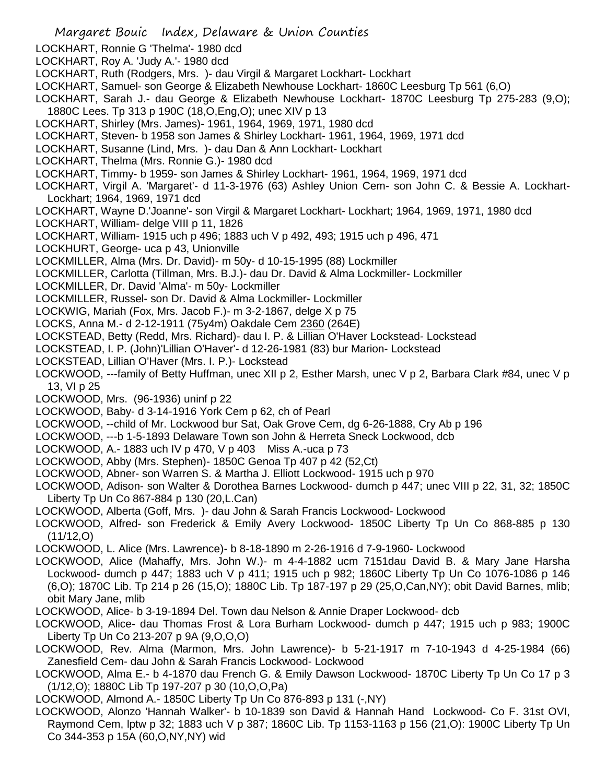- LOCKHART, Ronnie G 'Thelma'- 1980 dcd
- LOCKHART, Roy A. 'Judy A.'- 1980 dcd
- LOCKHART, Ruth (Rodgers, Mrs. )- dau Virgil & Margaret Lockhart- Lockhart
- LOCKHART, Samuel- son George & Elizabeth Newhouse Lockhart- 1860C Leesburg Tp 561 (6,O)
- LOCKHART, Sarah J.- dau George & Elizabeth Newhouse Lockhart- 1870C Leesburg Tp 275-283 (9,O); 1880C Lees. Tp 313 p 190C (18,O,Eng,O); unec XIV p 13
- LOCKHART, Shirley (Mrs. James)- 1961, 1964, 1969, 1971, 1980 dcd
- LOCKHART, Steven- b 1958 son James & Shirley Lockhart- 1961, 1964, 1969, 1971 dcd
- LOCKHART, Susanne (Lind, Mrs. )- dau Dan & Ann Lockhart- Lockhart
- LOCKHART, Thelma (Mrs. Ronnie G.)- 1980 dcd
- LOCKHART, Timmy- b 1959- son James & Shirley Lockhart- 1961, 1964, 1969, 1971 dcd
- LOCKHART, Virgil A. 'Margaret'- d 11-3-1976 (63) Ashley Union Cem- son John C. & Bessie A. Lockhart-Lockhart; 1964, 1969, 1971 dcd
- LOCKHART, Wayne D.'Joanne'- son Virgil & Margaret Lockhart- Lockhart; 1964, 1969, 1971, 1980 dcd
- LOCKHART, William- delge VIII p 11, 1826
- LOCKHART, William- 1915 uch p 496; 1883 uch V p 492, 493; 1915 uch p 496, 471
- LOCKHURT, George- uca p 43, Unionville
- LOCKMILLER, Alma (Mrs. Dr. David)- m 50y- d 10-15-1995 (88) Lockmiller
- LOCKMILLER, Carlotta (Tillman, Mrs. B.J.)- dau Dr. David & Alma Lockmiller- Lockmiller
- LOCKMILLER, Dr. David 'Alma'- m 50y- Lockmiller
- LOCKMILLER, Russel- son Dr. David & Alma Lockmiller- Lockmiller
- LOCKWIG, Mariah (Fox, Mrs. Jacob F.)- m 3-2-1867, delge X p 75
- LOCKS, Anna M.- d 2-12-1911 (75y4m) Oakdale Cem 2360 (264E)
- LOCKSTEAD, Betty (Redd, Mrs. Richard)- dau I. P. & Lillian O'Haver Lockstead- Lockstead
- LOCKSTEAD, I. P. (John)'Lillian O'Haver'- d 12-26-1981 (83) bur Marion- Lockstead
- LOCKSTEAD, Lillian O'Haver (Mrs. I. P.)- Lockstead
- LOCKWOOD, ---family of Betty Huffman, unec XII p 2, Esther Marsh, unec V p 2, Barbara Clark #84, unec V p 13, VI p 25
- LOCKWOOD, Mrs. (96-1936) uninf p 22
- LOCKWOOD, Baby- d 3-14-1916 York Cem p 62, ch of Pearl
- LOCKWOOD, --child of Mr. Lockwood bur Sat, Oak Grove Cem, dg 6-26-1888, Cry Ab p 196
- LOCKWOOD, ---b 1-5-1893 Delaware Town son John & Herreta Sneck Lockwood, dcb
- LOCKWOOD, A.- 1883 uch IV p 470, V p 403 Miss A.-uca p 73
- LOCKWOOD, Abby (Mrs. Stephen)- 1850C Genoa Tp 407 p 42 (52,Ct)
- LOCKWOOD, Abner- son Warren S. & Martha J. Elliott Lockwood- 1915 uch p 970
- LOCKWOOD, Adison- son Walter & Dorothea Barnes Lockwood- dumch p 447; unec VIII p 22, 31, 32; 1850C Liberty Tp Un Co 867-884 p 130 (20,L.Can)
- LOCKWOOD, Alberta (Goff, Mrs. )- dau John & Sarah Francis Lockwood- Lockwood
- LOCKWOOD, Alfred- son Frederick & Emily Avery Lockwood- 1850C Liberty Tp Un Co 868-885 p 130 (11/12,O)
- LOCKWOOD, L. Alice (Mrs. Lawrence)- b 8-18-1890 m 2-26-1916 d 7-9-1960- Lockwood
- LOCKWOOD, Alice (Mahaffy, Mrs. John W.)- m 4-4-1882 ucm 7151dau David B. & Mary Jane Harsha Lockwood- dumch p 447; 1883 uch V p 411; 1915 uch p 982; 1860C Liberty Tp Un Co 1076-1086 p 146 (6,O); 1870C Lib. Tp 214 p 26 (15,O); 1880C Lib. Tp 187-197 p 29 (25,O,Can,NY); obit David Barnes, mlib; obit Mary Jane, mlib
- LOCKWOOD, Alice- b 3-19-1894 Del. Town dau Nelson & Annie Draper Lockwood- dcb
- LOCKWOOD, Alice- dau Thomas Frost & Lora Burham Lockwood- dumch p 447; 1915 uch p 983; 1900C Liberty Tp Un Co 213-207 p 9A (9,O,O,O)
- LOCKWOOD, Rev. Alma (Marmon, Mrs. John Lawrence)- b 5-21-1917 m 7-10-1943 d 4-25-1984 (66) Zanesfield Cem- dau John & Sarah Francis Lockwood- Lockwood
- LOCKWOOD, Alma E.- b 4-1870 dau French G. & Emily Dawson Lockwood- 1870C Liberty Tp Un Co 17 p 3 (1/12,O); 1880C Lib Tp 197-207 p 30 (10,O,O,Pa)
- LOCKWOOD, Almond A.- 1850C Liberty Tp Un Co 876-893 p 131 (-,NY)
- LOCKWOOD, Alonzo 'Hannah Walker'- b 10-1839 son David & Hannah Hand Lockwood- Co F. 31st OVI, Raymond Cem, lptw p 32; 1883 uch V p 387; 1860C Lib. Tp 1153-1163 p 156 (21,O): 1900C Liberty Tp Un Co 344-353 p 15A (60,O,NY,NY) wid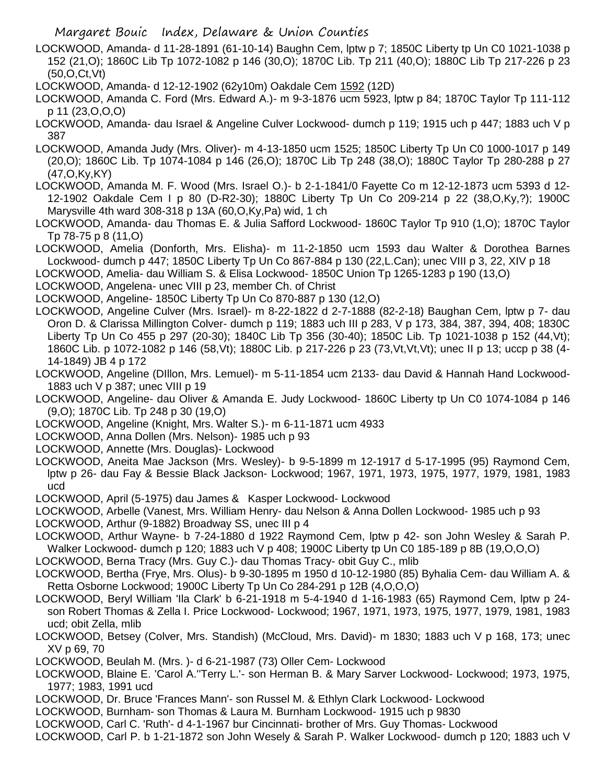- LOCKWOOD, Amanda- d 11-28-1891 (61-10-14) Baughn Cem, lptw p 7; 1850C Liberty tp Un C0 1021-1038 p 152 (21,O); 1860C Lib Tp 1072-1082 p 146 (30,O); 1870C Lib. Tp 211 (40,O); 1880C Lib Tp 217-226 p 23 (50,O,Ct,Vt)
- LOCKWOOD, Amanda- d 12-12-1902 (62y10m) Oakdale Cem 1592 (12D)
- LOCKWOOD, Amanda C. Ford (Mrs. Edward A.)- m 9-3-1876 ucm 5923, lptw p 84; 1870C Taylor Tp 111-112 p 11 (23,O,O,O)
- LOCKWOOD, Amanda- dau Israel & Angeline Culver Lockwood- dumch p 119; 1915 uch p 447; 1883 uch V p 387
- LOCKWOOD, Amanda Judy (Mrs. Oliver)- m 4-13-1850 ucm 1525; 1850C Liberty Tp Un C0 1000-1017 p 149 (20,O); 1860C Lib. Tp 1074-1084 p 146 (26,O); 1870C Lib Tp 248 (38,O); 1880C Taylor Tp 280-288 p 27 (47,O,Ky,KY)
- LOCKWOOD, Amanda M. F. Wood (Mrs. Israel O.)- b 2-1-1841/0 Fayette Co m 12-12-1873 ucm 5393 d 12- 12-1902 Oakdale Cem I p 80 (D-R2-30); 1880C Liberty Tp Un Co 209-214 p 22 (38,O,Ky,?); 1900C Marysville 4th ward 308-318 p 13A (60,O,Ky,Pa) wid, 1 ch
- LOCKWOOD, Amanda- dau Thomas E. & Julia Safford Lockwood- 1860C Taylor Tp 910 (1,O); 1870C Taylor Tp 78-75 p 8 (11,O)
- LOCKWOOD, Amelia (Donforth, Mrs. Elisha)- m 11-2-1850 ucm 1593 dau Walter & Dorothea Barnes Lockwood- dumch p 447; 1850C Liberty Tp Un Co 867-884 p 130 (22,L.Can); unec VIII p 3, 22, XIV p 18
- LOCKWOOD, Amelia- dau William S. & Elisa Lockwood- 1850C Union Tp 1265-1283 p 190 (13,O)
- LOCKWOOD, Angelena- unec VIII p 23, member Ch. of Christ
- LOCKWOOD, Angeline- 1850C Liberty Tp Un Co 870-887 p 130 (12,O)
- LOCKWOOD, Angeline Culver (Mrs. Israel)- m 8-22-1822 d 2-7-1888 (82-2-18) Baughan Cem, lptw p 7- dau Oron D. & Clarissa Millington Colver- dumch p 119; 1883 uch III p 283, V p 173, 384, 387, 394, 408; 1830C Liberty Tp Un Co 455 p 297 (20-30); 1840C Lib Tp 356 (30-40); 1850C Lib. Tp 1021-1038 p 152 (44,Vt); 1860C Lib. p 1072-1082 p 146 (58,Vt); 1880C Lib. p 217-226 p 23 (73,Vt,Vt,Vt); unec II p 13; uccp p 38 (4- 14-1849) JB 4 p 172
- LOCKWOOD, Angeline (DIllon, Mrs. Lemuel)- m 5-11-1854 ucm 2133- dau David & Hannah Hand Lockwood-1883 uch V p 387; unec VIII p 19
- LOCKWOOD, Angeline- dau Oliver & Amanda E. Judy Lockwood- 1860C Liberty tp Un C0 1074-1084 p 146 (9,O); 1870C Lib. Tp 248 p 30 (19,O)
- LOCKWOOD, Angeline (Knight, Mrs. Walter S.)- m 6-11-1871 ucm 4933
- LOCKWOOD, Anna Dollen (Mrs. Nelson)- 1985 uch p 93
- LOCKWOOD, Annette (Mrs. Douglas)- Lockwood
- LOCKWOOD, Aneita Mae Jackson (Mrs. Wesley)- b 9-5-1899 m 12-1917 d 5-17-1995 (95) Raymond Cem, lptw p 26- dau Fay & Bessie Black Jackson- Lockwood; 1967, 1971, 1973, 1975, 1977, 1979, 1981, 1983 ucd
- LOCKWOOD, April (5-1975) dau James & Kasper Lockwood- Lockwood
- LOCKWOOD, Arbelle (Vanest, Mrs. William Henry- dau Nelson & Anna Dollen Lockwood- 1985 uch p 93
- LOCKWOOD, Arthur (9-1882) Broadway SS, unec III p 4
- LOCKWOOD, Arthur Wayne- b 7-24-1880 d 1922 Raymond Cem, lptw p 42- son John Wesley & Sarah P. Walker Lockwood- dumch p 120; 1883 uch V p 408; 1900C Liberty tp Un C0 185-189 p 8B (19,O,O,O)
- LOCKWOOD, Berna Tracy (Mrs. Guy C.)- dau Thomas Tracy- obit Guy C., mlib
- LOCKWOOD, Bertha (Frye, Mrs. Olus)- b 9-30-1895 m 1950 d 10-12-1980 (85) Byhalia Cem- dau William A. & Retta Osborne Lockwood; 1900C Liberty Tp Un Co 284-291 p 12B (4,O,O,O)
- LOCKWOOD, Beryl William 'Ila Clark' b 6-21-1918 m 5-4-1940 d 1-16-1983 (65) Raymond Cem, lptw p 24 son Robert Thomas & Zella I. Price Lockwood- Lockwood; 1967, 1971, 1973, 1975, 1977, 1979, 1981, 1983 ucd; obit Zella, mlib
- LOCKWOOD, Betsey (Colver, Mrs. Standish) (McCloud, Mrs. David)- m 1830; 1883 uch V p 168, 173; unec XV p 69, 70
- LOCKWOOD, Beulah M. (Mrs. )- d 6-21-1987 (73) Oller Cem- Lockwood
- LOCKWOOD, Blaine E. 'Carol A.''Terry L.'- son Herman B. & Mary Sarver Lockwood- Lockwood; 1973, 1975, 1977; 1983, 1991 ucd
- LOCKWOOD, Dr. Bruce 'Frances Mann'- son Russel M. & Ethlyn Clark Lockwood- Lockwood
- LOCKWOOD, Burnham- son Thomas & Laura M. Burnham Lockwood- 1915 uch p 9830
- LOCKWOOD, Carl C. 'Ruth'- d 4-1-1967 bur Cincinnati- brother of Mrs. Guy Thomas- Lockwood
- LOCKWOOD, Carl P. b 1-21-1872 son John Wesely & Sarah P. Walker Lockwood- dumch p 120; 1883 uch V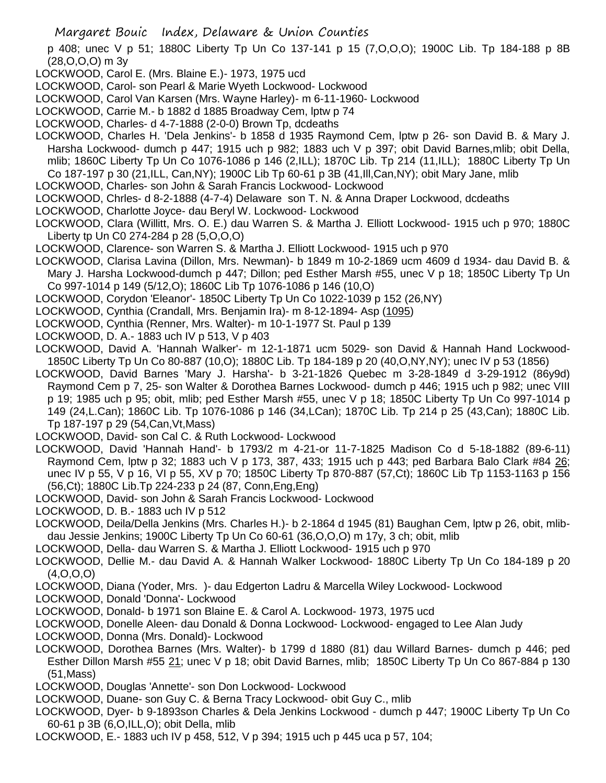p 408; unec V p 51; 1880C Liberty Tp Un Co 137-141 p 15 (7,O,O,O); 1900C Lib. Tp 184-188 p 8B (28,O,O,O) m 3y

- LOCKWOOD, Carol E. (Mrs. Blaine E.)- 1973, 1975 ucd
- LOCKWOOD, Carol- son Pearl & Marie Wyeth Lockwood- Lockwood
- LOCKWOOD, Carol Van Karsen (Mrs. Wayne Harley)- m 6-11-1960- Lockwood
- LOCKWOOD, Carrie M.- b 1882 d 1885 Broadway Cem, lptw p 74
- LOCKWOOD, Charles- d 4-7-1888 (2-0-0) Brown Tp, dcdeaths
- LOCKWOOD, Charles H. 'Dela Jenkins'- b 1858 d 1935 Raymond Cem, lptw p 26- son David B. & Mary J. Harsha Lockwood- dumch p 447; 1915 uch p 982; 1883 uch V p 397; obit David Barnes,mlib; obit Della, mlib; 1860C Liberty Tp Un Co 1076-1086 p 146 (2,ILL); 1870C Lib. Tp 214 (11,ILL); 1880C Liberty Tp Un Co 187-197 p 30 (21,ILL, Can,NY); 1900C Lib Tp 60-61 p 3B (41,Ill,Can,NY); obit Mary Jane, mlib
- LOCKWOOD, Charles- son John & Sarah Francis Lockwood- Lockwood
- LOCKWOOD, Chrles- d 8-2-1888 (4-7-4) Delaware son T. N. & Anna Draper Lockwood, dcdeaths
- LOCKWOOD, Charlotte Joyce- dau Beryl W. Lockwood- Lockwood
- LOCKWOOD, Clara (Willitt, Mrs. O. E.) dau Warren S. & Martha J. Elliott Lockwood- 1915 uch p 970; 1880C Liberty tp Un C0 274-284 p 28 (5,O,O,O)
- LOCKWOOD, Clarence- son Warren S. & Martha J. Elliott Lockwood- 1915 uch p 970
- LOCKWOOD, Clarisa Lavina (Dillon, Mrs. Newman)- b 1849 m 10-2-1869 ucm 4609 d 1934- dau David B. & Mary J. Harsha Lockwood-dumch p 447; Dillon; ped Esther Marsh #55, unec V p 18; 1850C Liberty Tp Un Co 997-1014 p 149 (5/12,O); 1860C Lib Tp 1076-1086 p 146 (10,O)
- LOCKWOOD, Corydon 'Eleanor'- 1850C Liberty Tp Un Co 1022-1039 p 152 (26,NY)
- LOCKWOOD, Cynthia (Crandall, Mrs. Benjamin Ira)- m 8-12-1894- Asp (1095)
- LOCKWOOD, Cynthia (Renner, Mrs. Walter)- m 10-1-1977 St. Paul p 139
- LOCKWOOD, D. A.- 1883 uch IV p 513, V p 403
- LOCKWOOD, David A. 'Hannah Walker'- m 12-1-1871 ucm 5029- son David & Hannah Hand Lockwood-1850C Liberty Tp Un Co 80-887 (10,O); 1880C Lib. Tp 184-189 p 20 (40,O,NY,NY); unec IV p 53 (1856)
- LOCKWOOD, David Barnes 'Mary J. Harsha'- b 3-21-1826 Quebec m 3-28-1849 d 3-29-1912 (86y9d) Raymond Cem p 7, 25- son Walter & Dorothea Barnes Lockwood- dumch p 446; 1915 uch p 982; unec VIII p 19; 1985 uch p 95; obit, mlib; ped Esther Marsh #55, unec V p 18; 1850C Liberty Tp Un Co 997-1014 p 149 (24,L.Can); 1860C Lib. Tp 1076-1086 p 146 (34,LCan); 1870C Lib. Tp 214 p 25 (43,Can); 1880C Lib. Tp 187-197 p 29 (54,Can,Vt,Mass)
- LOCKWOOD, David- son Cal C. & Ruth Lockwood- Lockwood
- LOCKWOOD, David 'Hannah Hand'- b 1793/2 m 4-21-or 11-7-1825 Madison Co d 5-18-1882 (89-6-11) Raymond Cem, lptw p 32; 1883 uch V p 173, 387, 433; 1915 uch p 443; ped Barbara Balo Clark #84 26; unec IV p 55, V p 16, VI p 55, XV p 70; 1850C Liberty Tp 870-887 (57,Ct); 1860C Lib Tp 1153-1163 p 156 (56,Ct); 1880C Lib.Tp 224-233 p 24 (87, Conn,Eng,Eng)
- LOCKWOOD, David- son John & Sarah Francis Lockwood- Lockwood
- LOCKWOOD, D. B.- 1883 uch IV p 512
- LOCKWOOD, Deila/Della Jenkins (Mrs. Charles H.)- b 2-1864 d 1945 (81) Baughan Cem, lptw p 26, obit, mlibdau Jessie Jenkins; 1900C Liberty Tp Un Co 60-61 (36,O,O,O) m 17y, 3 ch; obit, mlib
- LOCKWOOD, Della- dau Warren S. & Martha J. Elliott Lockwood- 1915 uch p 970
- LOCKWOOD, Dellie M.- dau David A. & Hannah Walker Lockwood- 1880C Liberty Tp Un Co 184-189 p 20  $(4,0,0,0)$
- LOCKWOOD, Diana (Yoder, Mrs. )- dau Edgerton Ladru & Marcella Wiley Lockwood- Lockwood
- LOCKWOOD, Donald 'Donna'- Lockwood
- LOCKWOOD, Donald- b 1971 son Blaine E. & Carol A. Lockwood- 1973, 1975 ucd
- LOCKWOOD, Donelle Aleen- dau Donald & Donna Lockwood- Lockwood- engaged to Lee Alan Judy
- LOCKWOOD, Donna (Mrs. Donald)- Lockwood
- LOCKWOOD, Dorothea Barnes (Mrs. Walter)- b 1799 d 1880 (81) dau Willard Barnes- dumch p 446; ped Esther Dillon Marsh #55 21; unec V p 18; obit David Barnes, mlib; 1850C Liberty Tp Un Co 867-884 p 130 (51,Mass)
- LOCKWOOD, Douglas 'Annette'- son Don Lockwood- Lockwood
- LOCKWOOD, Duane- son Guy C. & Berna Tracy Lockwood- obit Guy C., mlib
- LOCKWOOD, Dyer- b 9-1893son Charles & Dela Jenkins Lockwood dumch p 447; 1900C Liberty Tp Un Co 60-61 p 3B (6,O,ILL,O); obit Della, mlib
- LOCKWOOD, E.- 1883 uch IV p 458, 512, V p 394; 1915 uch p 445 uca p 57, 104;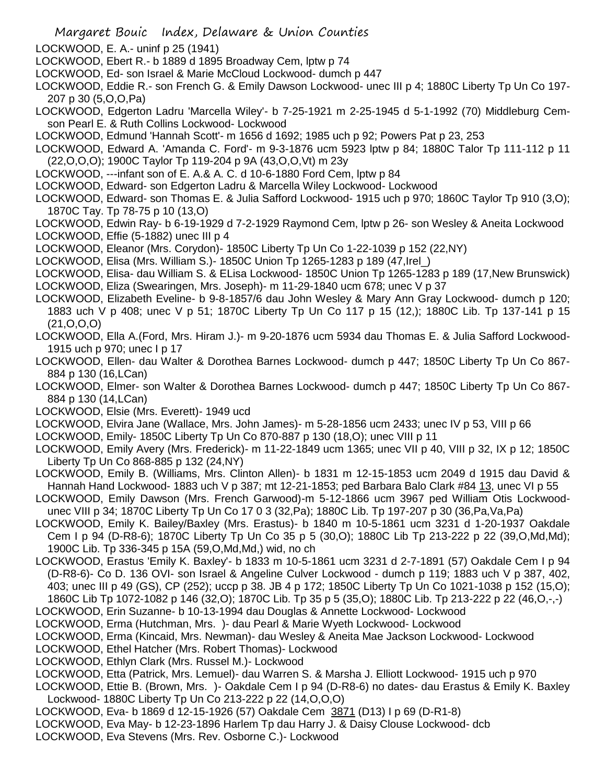- LOCKWOOD, E. A.- uninf p 25 (1941)
- LOCKWOOD, Ebert R.- b 1889 d 1895 Broadway Cem, lptw p 74
- LOCKWOOD, Ed- son Israel & Marie McCloud Lockwood- dumch p 447
- LOCKWOOD, Eddie R.- son French G. & Emily Dawson Lockwood- unec III p 4; 1880C Liberty Tp Un Co 197- 207 p 30 (5,O,O,Pa)
- LOCKWOOD, Edgerton Ladru 'Marcella Wiley'- b 7-25-1921 m 2-25-1945 d 5-1-1992 (70) Middleburg Cemson Pearl E. & Ruth Collins Lockwood- Lockwood
- LOCKWOOD, Edmund 'Hannah Scott'- m 1656 d 1692; 1985 uch p 92; Powers Pat p 23, 253
- LOCKWOOD, Edward A. 'Amanda C. Ford'- m 9-3-1876 ucm 5923 lptw p 84; 1880C Talor Tp 111-112 p 11 (22,O,O,O); 1900C Taylor Tp 119-204 p 9A (43,O,O,Vt) m 23y
- LOCKWOOD, ---infant son of E. A.& A. C. d 10-6-1880 Ford Cem, lptw p 84
- LOCKWOOD, Edward- son Edgerton Ladru & Marcella Wiley Lockwood- Lockwood
- LOCKWOOD, Edward- son Thomas E. & Julia Safford Lockwood- 1915 uch p 970; 1860C Taylor Tp 910 (3,O); 1870C Tay. Tp 78-75 p 10 (13,O)
- LOCKWOOD, Edwin Ray- b 6-19-1929 d 7-2-1929 Raymond Cem, lptw p 26- son Wesley & Aneita Lockwood LOCKWOOD, Effie (5-1882) unec III p 4
- LOCKWOOD, Eleanor (Mrs. Corydon)- 1850C Liberty Tp Un Co 1-22-1039 p 152 (22,NY)
- LOCKWOOD, Elisa (Mrs. William S.)- 1850C Union Tp 1265-1283 p 189 (47,Irel\_)
- LOCKWOOD, Elisa- dau William S. & ELisa Lockwood- 1850C Union Tp 1265-1283 p 189 (17,New Brunswick)
- LOCKWOOD, Eliza (Swearingen, Mrs. Joseph)- m 11-29-1840 ucm 678; unec V p 37
- LOCKWOOD, Elizabeth Eveline- b 9-8-1857/6 dau John Wesley & Mary Ann Gray Lockwood- dumch p 120; 1883 uch V p 408; unec V p 51; 1870C Liberty Tp Un Co 117 p 15 (12,); 1880C Lib. Tp 137-141 p 15 (21,O,O,O)
- LOCKWOOD, Ella A.(Ford, Mrs. Hiram J.)- m 9-20-1876 ucm 5934 dau Thomas E. & Julia Safford Lockwood-1915 uch p 970; unec I p 17
- LOCKWOOD, Ellen- dau Walter & Dorothea Barnes Lockwood- dumch p 447; 1850C Liberty Tp Un Co 867- 884 p 130 (16,LCan)
- LOCKWOOD, Elmer- son Walter & Dorothea Barnes Lockwood- dumch p 447; 1850C Liberty Tp Un Co 867- 884 p 130 (14,LCan)
- LOCKWOOD, Elsie (Mrs. Everett)- 1949 ucd
- LOCKWOOD, Elvira Jane (Wallace, Mrs. John James)- m 5-28-1856 ucm 2433; unec IV p 53, VIII p 66
- LOCKWOOD, Emily- 1850C Liberty Tp Un Co 870-887 p 130 (18,O); unec VIII p 11
- LOCKWOOD, Emily Avery (Mrs. Frederick)- m 11-22-1849 ucm 1365; unec VII p 40, VIII p 32, IX p 12; 1850C Liberty Tp Un Co 868-885 p 132 (24,NY)
- LOCKWOOD, Emily B. (Williams, Mrs. Clinton Allen)- b 1831 m 12-15-1853 ucm 2049 d 1915 dau David & Hannah Hand Lockwood- 1883 uch V p 387; mt 12-21-1853; ped Barbara Balo Clark #84 13, unec VI p 55
- LOCKWOOD, Emily Dawson (Mrs. French Garwood)-m 5-12-1866 ucm 3967 ped William Otis Lockwoodunec VIII p 34; 1870C Liberty Tp Un Co 17 0 3 (32,Pa); 1880C Lib. Tp 197-207 p 30 (36,Pa,Va,Pa)
- LOCKWOOD, Emily K. Bailey/Baxley (Mrs. Erastus)- b 1840 m 10-5-1861 ucm 3231 d 1-20-1937 Oakdale Cem I p 94 (D-R8-6); 1870C Liberty Tp Un Co 35 p 5 (30,O); 1880C Lib Tp 213-222 p 22 (39,O,Md,Md); 1900C Lib. Tp 336-345 p 15A (59,O,Md,Md,) wid, no ch
- LOCKWOOD, Erastus 'Emily K. Baxley'- b 1833 m 10-5-1861 ucm 3231 d 2-7-1891 (57) Oakdale Cem I p 94 (D-R8-6)- Co D. 136 OVI- son Israel & Angeline Culver Lockwood - dumch p 119; 1883 uch V p 387, 402, 403; unec III p 49 (GS), CP (252); uccp p 38. JB 4 p 172; 1850C Liberty Tp Un Co 1021-1038 p 152 (15,O); 1860C Lib Tp 1072-1082 p 146 (32,O); 1870C Lib. Tp 35 p 5 (35,O); 1880C Lib. Tp 213-222 p 22 (46,O,-,-)
- LOCKWOOD, Erin Suzanne- b 10-13-1994 dau Douglas & Annette Lockwood- Lockwood
- LOCKWOOD, Erma (Hutchman, Mrs. )- dau Pearl & Marie Wyeth Lockwood- Lockwood
- LOCKWOOD, Erma (Kincaid, Mrs. Newman)- dau Wesley & Aneita Mae Jackson Lockwood- Lockwood
- LOCKWOOD, Ethel Hatcher (Mrs. Robert Thomas)- Lockwood
- LOCKWOOD, Ethlyn Clark (Mrs. Russel M.)- Lockwood
- LOCKWOOD, Etta (Patrick, Mrs. Lemuel)- dau Warren S. & Marsha J. Elliott Lockwood- 1915 uch p 970
- LOCKWOOD, Ettie B. (Brown, Mrs. )- Oakdale Cem I p 94 (D-R8-6) no dates- dau Erastus & Emily K. Baxley Lockwood- 1880C Liberty Tp Un Co 213-222 p 22 (14,O,O,O)
- LOCKWOOD, Eva- b 1869 d 12-15-1926 (57) Oakdale Cem 3871 (D13) I p 69 (D-R1-8)
- LOCKWOOD, Eva May- b 12-23-1896 Harlem Tp dau Harry J. & Daisy Clouse Lockwood- dcb
- LOCKWOOD, Eva Stevens (Mrs. Rev. Osborne C.)- Lockwood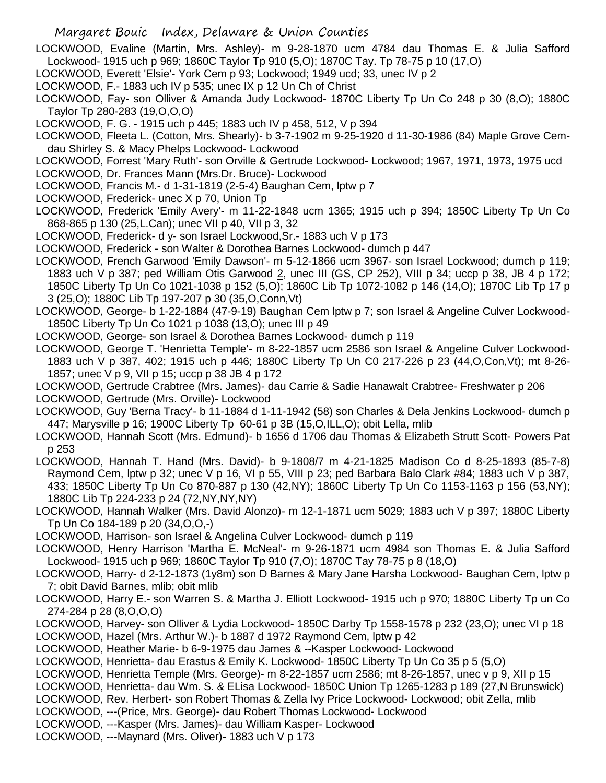- LOCKWOOD, Evaline (Martin, Mrs. Ashley)- m 9-28-1870 ucm 4784 dau Thomas E. & Julia Safford Lockwood- 1915 uch p 969; 1860C Taylor Tp 910 (5,O); 1870C Tay. Tp 78-75 p 10 (17,O)
- LOCKWOOD, Everett 'Elsie'- York Cem p 93; Lockwood; 1949 ucd; 33, unec IV p 2
- LOCKWOOD, F.- 1883 uch IV p 535; unec IX p 12 Un Ch of Christ
- LOCKWOOD, Fay- son Olliver & Amanda Judy Lockwood- 1870C Liberty Tp Un Co 248 p 30 (8,O); 1880C Taylor Tp 280-283 (19,O,O,O)
- LOCKWOOD, F. G. 1915 uch p 445; 1883 uch IV p 458, 512, V p 394
- LOCKWOOD, Fleeta L. (Cotton, Mrs. Shearly)- b 3-7-1902 m 9-25-1920 d 11-30-1986 (84) Maple Grove Cemdau Shirley S. & Macy Phelps Lockwood- Lockwood
- LOCKWOOD, Forrest 'Mary Ruth'- son Orville & Gertrude Lockwood- Lockwood; 1967, 1971, 1973, 1975 ucd
- LOCKWOOD, Dr. Frances Mann (Mrs.Dr. Bruce)- Lockwood
- LOCKWOOD, Francis M.- d 1-31-1819 (2-5-4) Baughan Cem, lptw p 7
- LOCKWOOD, Frederick- unec X p 70, Union Tp
- LOCKWOOD, Frederick 'Emily Avery'- m 11-22-1848 ucm 1365; 1915 uch p 394; 1850C Liberty Tp Un Co 868-865 p 130 (25,L.Can); unec VII p 40, VII p 3, 32
- LOCKWOOD, Frederick- d y- son Israel Lockwood,Sr.- 1883 uch V p 173
- LOCKWOOD, Frederick son Walter & Dorothea Barnes Lockwood- dumch p 447
- LOCKWOOD, French Garwood 'Emily Dawson'- m 5-12-1866 ucm 3967- son Israel Lockwood; dumch p 119; 1883 uch V p 387; ped William Otis Garwood 2, unec III (GS, CP 252), VIII p 34; uccp p 38, JB 4 p 172; 1850C Liberty Tp Un Co 1021-1038 p 152 (5,O); 1860C Lib Tp 1072-1082 p 146 (14,O); 1870C Lib Tp 17 p 3 (25,O); 1880C Lib Tp 197-207 p 30 (35,O,Conn,Vt)
- LOCKWOOD, George- b 1-22-1884 (47-9-19) Baughan Cem lptw p 7; son Israel & Angeline Culver Lockwood-1850C Liberty Tp Un Co 1021 p 1038 (13,O); unec III p 49
- LOCKWOOD, George- son Israel & Dorothea Barnes Lockwood- dumch p 119
- LOCKWOOD, George T. 'Henrietta Temple'- m 8-22-1857 ucm 2586 son Israel & Angeline Culver Lockwood-1883 uch V p 387, 402; 1915 uch p 446; 1880C Liberty Tp Un C0 217-226 p 23 (44,O,Con,Vt); mt 8-26- 1857; unec V p 9, VII p 15; uccp p 38 JB 4 p 172
- LOCKWOOD, Gertrude Crabtree (Mrs. James)- dau Carrie & Sadie Hanawalt Crabtree- Freshwater p 206 LOCKWOOD, Gertrude (Mrs. Orville)- Lockwood
- LOCKWOOD, Guy 'Berna Tracy'- b 11-1884 d 1-11-1942 (58) son Charles & Dela Jenkins Lockwood- dumch p 447; Marysville p 16; 1900C Liberty Tp 60-61 p 3B (15,O,ILL,O); obit Lella, mlib
- LOCKWOOD, Hannah Scott (Mrs. Edmund)- b 1656 d 1706 dau Thomas & Elizabeth Strutt Scott- Powers Pat p 253
- LOCKWOOD, Hannah T. Hand (Mrs. David)- b 9-1808/7 m 4-21-1825 Madison Co d 8-25-1893 (85-7-8) Raymond Cem, lptw p 32; unec V p 16, VI p 55, VIII p 23; ped Barbara Balo Clark #84; 1883 uch V p 387, 433; 1850C Liberty Tp Un Co 870-887 p 130 (42,NY); 1860C Liberty Tp Un Co 1153-1163 p 156 (53,NY); 1880C Lib Tp 224-233 p 24 (72,NY,NY,NY)
- LOCKWOOD, Hannah Walker (Mrs. David Alonzo)- m 12-1-1871 ucm 5029; 1883 uch V p 397; 1880C Liberty Tp Un Co 184-189 p 20 (34,O,O,-)
- LOCKWOOD, Harrison- son Israel & Angelina Culver Lockwood- dumch p 119
- LOCKWOOD, Henry Harrison 'Martha E. McNeal'- m 9-26-1871 ucm 4984 son Thomas E. & Julia Safford Lockwood- 1915 uch p 969; 1860C Taylor Tp 910 (7,O); 1870C Tay 78-75 p 8 (18,O)
- LOCKWOOD, Harry- d 2-12-1873 (1y8m) son D Barnes & Mary Jane Harsha Lockwood- Baughan Cem, lptw p 7; obit David Barnes, mlib; obit mlib
- LOCKWOOD, Harry E.- son Warren S. & Martha J. Elliott Lockwood- 1915 uch p 970; 1880C Liberty Tp un Co 274-284 p 28 (8,O,O,O)
- LOCKWOOD, Harvey- son Olliver & Lydia Lockwood- 1850C Darby Tp 1558-1578 p 232 (23,O); unec VI p 18 LOCKWOOD, Hazel (Mrs. Arthur W.)- b 1887 d 1972 Raymond Cem, lptw p 42
- LOCKWOOD, Heather Marie- b 6-9-1975 dau James & --Kasper Lockwood- Lockwood
- LOCKWOOD, Henrietta- dau Erastus & Emily K. Lockwood- 1850C Liberty Tp Un Co 35 p 5 (5,O)
- LOCKWOOD, Henrietta Temple (Mrs. George)- m 8-22-1857 ucm 2586; mt 8-26-1857, unec v p 9, XII p 15
- LOCKWOOD, Henrietta- dau Wm. S. & ELisa Lockwood- 1850C Union Tp 1265-1283 p 189 (27,N Brunswick)
- LOCKWOOD, Rev. Herbert- son Robert Thomas & Zella Ivy Price Lockwood- Lockwood; obit Zella, mlib
- LOCKWOOD, ---(Price, Mrs. George)- dau Robert Thomas Lockwood- Lockwood
- LOCKWOOD, ---Kasper (Mrs. James)- dau William Kasper- Lockwood
- LOCKWOOD, ---Maynard (Mrs. Oliver)- 1883 uch V p 173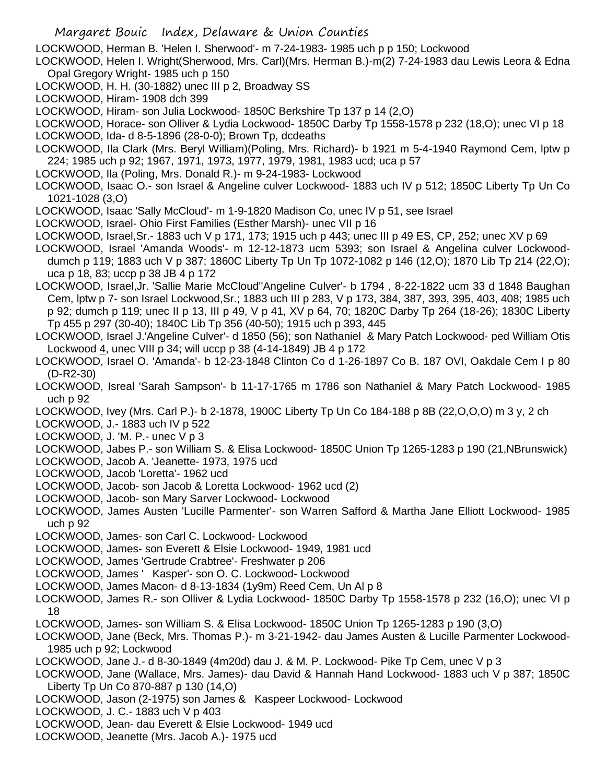- Margaret Bouic Index, Delaware & Union Counties
- LOCKWOOD, Herman B. 'Helen I. Sherwood'- m 7-24-1983- 1985 uch p p 150; Lockwood
- LOCKWOOD, Helen I. Wright(Sherwood, Mrs. Carl)(Mrs. Herman B.)-m(2) 7-24-1983 dau Lewis Leora & Edna Opal Gregory Wright- 1985 uch p 150
- LOCKWOOD, H. H. (30-1882) unec III p 2, Broadway SS
- LOCKWOOD, Hiram- 1908 dch 399
- LOCKWOOD, Hiram- son Julia Lockwood- 1850C Berkshire Tp 137 p 14 (2,O)
- LOCKWOOD, Horace- son Olliver & Lydia Lockwood- 1850C Darby Tp 1558-1578 p 232 (18,O); unec VI p 18 LOCKWOOD, Ida- d 8-5-1896 (28-0-0); Brown Tp, dcdeaths
- LOCKWOOD, Ila Clark (Mrs. Beryl William)(Poling, Mrs. Richard)- b 1921 m 5-4-1940 Raymond Cem, lptw p 224; 1985 uch p 92; 1967, 1971, 1973, 1977, 1979, 1981, 1983 ucd; uca p 57
- LOCKWOOD, Ila (Poling, Mrs. Donald R.)- m 9-24-1983- Lockwood
- LOCKWOOD, Isaac O.- son Israel & Angeline culver Lockwood- 1883 uch IV p 512; 1850C Liberty Tp Un Co 1021-1028 (3,O)
- LOCKWOOD, Isaac 'Sally McCloud'- m 1-9-1820 Madison Co, unec IV p 51, see Israel
- LOCKWOOD, Israel- Ohio First Families (Esther Marsh)- unec VII p 16
- LOCKWOOD, Israel,Sr.- 1883 uch V p 171, 173; 1915 uch p 443; unec III p 49 ES, CP, 252; unec XV p 69
- LOCKWOOD, Israel 'Amanda Woods'- m 12-12-1873 ucm 5393; son Israel & Angelina culver Lockwooddumch p 119; 1883 uch V p 387; 1860C Liberty Tp Un Tp 1072-1082 p 146 (12,O); 1870 Lib Tp 214 (22,O); uca p 18, 83; uccp p 38 JB 4 p 172
- LOCKWOOD, Israel,Jr. 'Sallie Marie McCloud''Angeline Culver'- b 1794 , 8-22-1822 ucm 33 d 1848 Baughan Cem, lptw p 7- son Israel Lockwood,Sr.; 1883 uch III p 283, V p 173, 384, 387, 393, 395, 403, 408; 1985 uch p 92; dumch p 119; unec II p 13, III p 49, V p 41, XV p 64, 70; 1820C Darby Tp 264 (18-26); 1830C Liberty Tp 455 p 297 (30-40); 1840C Lib Tp 356 (40-50); 1915 uch p 393, 445
- LOCKWOOD, Israel J.'Angeline Culver'- d 1850 (56); son Nathaniel & Mary Patch Lockwood- ped William Otis Lockwood 4, unec VIII p 34; will uccp p 38 (4-14-1849) JB 4 p 172
- LOCKWOOD, Israel O. 'Amanda'- b 12-23-1848 Clinton Co d 1-26-1897 Co B. 187 OVI, Oakdale Cem I p 80 (D-R2-30)
- LOCKWOOD, Isreal 'Sarah Sampson'- b 11-17-1765 m 1786 son Nathaniel & Mary Patch Lockwood- 1985 uch p 92
- LOCKWOOD, Ivey (Mrs. Carl P.)- b 2-1878, 1900C Liberty Tp Un Co 184-188 p 8B (22,O,O,O) m 3 y, 2 ch
- LOCKWOOD, J.- 1883 uch IV p 522
- LOCKWOOD, J. 'M. P.- unec V p 3
- LOCKWOOD, Jabes P.- son William S. & Elisa Lockwood- 1850C Union Tp 1265-1283 p 190 (21,NBrunswick)
- LOCKWOOD, Jacob A. 'Jeanette- 1973, 1975 ucd
- LOCKWOOD, Jacob 'Loretta'- 1962 ucd
- LOCKWOOD, Jacob- son Jacob & Loretta Lockwood- 1962 ucd (2)
- LOCKWOOD, Jacob- son Mary Sarver Lockwood- Lockwood
- LOCKWOOD, James Austen 'Lucille Parmenter'- son Warren Safford & Martha Jane Elliott Lockwood- 1985 uch p 92
- LOCKWOOD, James- son Carl C. Lockwood- Lockwood
- LOCKWOOD, James- son Everett & Elsie Lockwood- 1949, 1981 ucd
- LOCKWOOD, James 'Gertrude Crabtree'- Freshwater p 206
- LOCKWOOD, James ' Kasper'- son O. C. Lockwood- Lockwood
- LOCKWOOD, James Macon- d 8-13-1834 (1y9m) Reed Cem, Un Al p 8
- LOCKWOOD, James R.- son Olliver & Lydia Lockwood- 1850C Darby Tp 1558-1578 p 232 (16,O); unec VI p 18
- LOCKWOOD, James- son William S. & Elisa Lockwood- 1850C Union Tp 1265-1283 p 190 (3,O)
- LOCKWOOD, Jane (Beck, Mrs. Thomas P.)- m 3-21-1942- dau James Austen & Lucille Parmenter Lockwood-1985 uch p 92; Lockwood
- LOCKWOOD, Jane J.- d 8-30-1849 (4m20d) dau J. & M. P. Lockwood- Pike Tp Cem, unec V p 3
- LOCKWOOD, Jane (Wallace, Mrs. James)- dau David & Hannah Hand Lockwood- 1883 uch V p 387; 1850C Liberty Tp Un Co 870-887 p 130 (14,O)
- LOCKWOOD, Jason (2-1975) son James & Kaspeer Lockwood- Lockwood
- LOCKWOOD, J. C.- 1883 uch V p 403
- LOCKWOOD, Jean- dau Everett & Elsie Lockwood- 1949 ucd
- LOCKWOOD, Jeanette (Mrs. Jacob A.)- 1975 ucd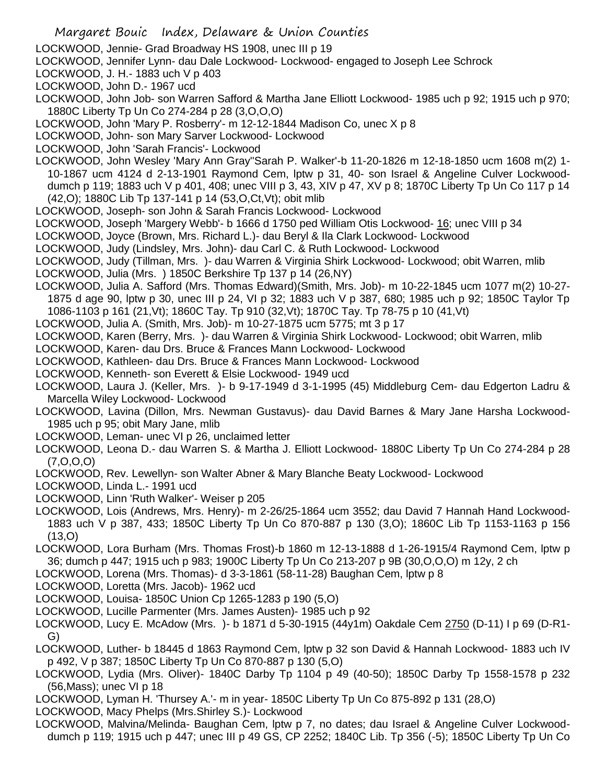LOCKWOOD, Jennie- Grad Broadway HS 1908, unec III p 19

- LOCKWOOD, Jennifer Lynn- dau Dale Lockwood- Lockwood- engaged to Joseph Lee Schrock
- LOCKWOOD, J. H.- 1883 uch V p 403
- LOCKWOOD, John D.- 1967 ucd
- LOCKWOOD, John Job- son Warren Safford & Martha Jane Elliott Lockwood- 1985 uch p 92; 1915 uch p 970; 1880C Liberty Tp Un Co 274-284 p 28 (3,O,O,O)
- LOCKWOOD, John 'Mary P. Rosberry'- m 12-12-1844 Madison Co, unec X p 8
- LOCKWOOD, John- son Mary Sarver Lockwood- Lockwood
- LOCKWOOD, John 'Sarah Francis'- Lockwood
- LOCKWOOD, John Wesley 'Mary Ann Gray''Sarah P. Walker'-b 11-20-1826 m 12-18-1850 ucm 1608 m(2) 1- 10-1867 ucm 4124 d 2-13-1901 Raymond Cem, lptw p 31, 40- son Israel & Angeline Culver Lockwooddumch p 119; 1883 uch V p 401, 408; unec VIII p 3, 43, XIV p 47, XV p 8; 1870C Liberty Tp Un Co 117 p 14 (42,O); 1880C Lib Tp 137-141 p 14 (53,O,Ct,Vt); obit mlib
- LOCKWOOD, Joseph- son John & Sarah Francis Lockwood- Lockwood
- LOCKWOOD, Joseph 'Margery Webb'- b 1666 d 1750 ped William Otis Lockwood- 16; unec VIII p 34
- LOCKWOOD, Joyce (Brown, Mrs. Richard L.)- dau Beryl & Ila Clark Lockwood- Lockwood
- LOCKWOOD, Judy (Lindsley, Mrs. John)- dau Carl C. & Ruth Lockwood- Lockwood
- LOCKWOOD, Judy (Tillman, Mrs. )- dau Warren & Virginia Shirk Lockwood- Lockwood; obit Warren, mlib
- LOCKWOOD, Julia (Mrs. ) 1850C Berkshire Tp 137 p 14 (26,NY)
- LOCKWOOD, Julia A. Safford (Mrs. Thomas Edward)(Smith, Mrs. Job)- m 10-22-1845 ucm 1077 m(2) 10-27- 1875 d age 90, lptw p 30, unec III p 24, VI p 32; 1883 uch V p 387, 680; 1985 uch p 92; 1850C Taylor Tp 1086-1103 p 161 (21,Vt); 1860C Tay. Tp 910 (32,Vt); 1870C Tay. Tp 78-75 p 10 (41,Vt)
- LOCKWOOD, Julia A. (Smith, Mrs. Job)- m 10-27-1875 ucm 5775; mt 3 p 17
- LOCKWOOD, Karen (Berry, Mrs. )- dau Warren & Virginia Shirk Lockwood- Lockwood; obit Warren, mlib
- LOCKWOOD, Karen- dau Drs. Bruce & Frances Mann Lockwood- Lockwood
- LOCKWOOD, Kathleen- dau Drs. Bruce & Frances Mann Lockwood- Lockwood
- LOCKWOOD, Kenneth- son Everett & Elsie Lockwood- 1949 ucd
- LOCKWOOD, Laura J. (Keller, Mrs. )- b 9-17-1949 d 3-1-1995 (45) Middleburg Cem- dau Edgerton Ladru & Marcella Wiley Lockwood- Lockwood
- LOCKWOOD, Lavina (Dillon, Mrs. Newman Gustavus)- dau David Barnes & Mary Jane Harsha Lockwood-1985 uch p 95; obit Mary Jane, mlib
- LOCKWOOD, Leman- unec VI p 26, unclaimed letter
- LOCKWOOD, Leona D.- dau Warren S. & Martha J. Elliott Lockwood- 1880C Liberty Tp Un Co 274-284 p 28  $(7, 0, 0, 0)$
- LOCKWOOD, Rev. Lewellyn- son Walter Abner & Mary Blanche Beaty Lockwood- Lockwood
- LOCKWOOD, Linda L.- 1991 ucd
- LOCKWOOD, Linn 'Ruth Walker'- Weiser p 205
- LOCKWOOD, Lois (Andrews, Mrs. Henry)- m 2-26/25-1864 ucm 3552; dau David 7 Hannah Hand Lockwood-1883 uch V p 387, 433; 1850C Liberty Tp Un Co 870-887 p 130 (3,O); 1860C Lib Tp 1153-1163 p 156 (13,O)
- LOCKWOOD, Lora Burham (Mrs. Thomas Frost)-b 1860 m 12-13-1888 d 1-26-1915/4 Raymond Cem, lptw p 36; dumch p 447; 1915 uch p 983; 1900C Liberty Tp Un Co 213-207 p 9B (30,O,O,O) m 12y, 2 ch
- LOCKWOOD, Lorena (Mrs. Thomas)- d 3-3-1861 (58-11-28) Baughan Cem, lptw p 8
- LOCKWOOD, Loretta (Mrs. Jacob)- 1962 ucd
- LOCKWOOD, Louisa- 1850C Union Cp 1265-1283 p 190 (5,O)
- LOCKWOOD, Lucille Parmenter (Mrs. James Austen)- 1985 uch p 92
- LOCKWOOD, Lucy E. McAdow (Mrs. )- b 1871 d 5-30-1915 (44y1m) Oakdale Cem 2750 (D-11) I p 69 (D-R1- G)
- LOCKWOOD, Luther- b 18445 d 1863 Raymond Cem, lptw p 32 son David & Hannah Lockwood- 1883 uch IV p 492, V p 387; 1850C Liberty Tp Un Co 870-887 p 130 (5,O)
- LOCKWOOD, Lydia (Mrs. Oliver)- 1840C Darby Tp 1104 p 49 (40-50); 1850C Darby Tp 1558-1578 p 232 (56,Mass); unec VI p 18
- LOCKWOOD, Lyman H. 'Thursey A.'- m in year- 1850C Liberty Tp Un Co 875-892 p 131 (28,O)
- LOCKWOOD, Macy Phelps (Mrs.Shirley S.)- Lockwood
- LOCKWOOD, Malvina/Melinda- Baughan Cem, lptw p 7, no dates; dau Israel & Angeline Culver Lockwooddumch p 119; 1915 uch p 447; unec III p 49 GS, CP 2252; 1840C Lib. Tp 356 (-5); 1850C Liberty Tp Un Co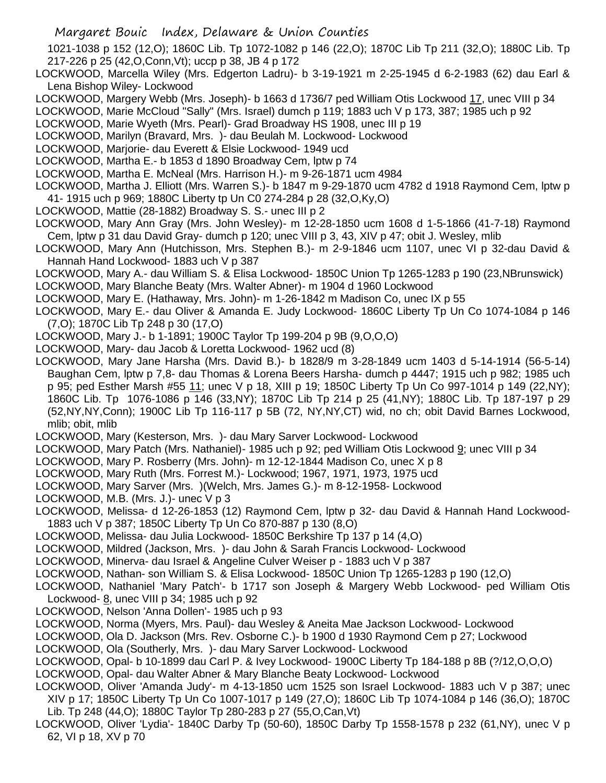Margaret Bouic Index, Delaware & Union Counties

1021-1038 p 152 (12,O); 1860C Lib. Tp 1072-1082 p 146 (22,O); 1870C Lib Tp 211 (32,O); 1880C Lib. Tp 217-226 p 25 (42,O,Conn,Vt); uccp p 38, JB 4 p 172

- LOCKWOOD, Marcella Wiley (Mrs. Edgerton Ladru)- b 3-19-1921 m 2-25-1945 d 6-2-1983 (62) dau Earl & Lena Bishop Wiley- Lockwood
- LOCKWOOD, Margery Webb (Mrs. Joseph)- b 1663 d 1736/7 ped William Otis Lockwood 17, unec VIII p 34
- LOCKWOOD, Marie McCloud "Sally" (Mrs. Israel) dumch p 119; 1883 uch V p 173, 387; 1985 uch p 92
- LOCKWOOD, Marie Wyeth (Mrs. Pearl)- Grad Broadway HS 1908, unec III p 19
- LOCKWOOD, Marilyn (Bravard, Mrs. )- dau Beulah M. Lockwood- Lockwood
- LOCKWOOD, Marjorie- dau Everett & Elsie Lockwood- 1949 ucd
- LOCKWOOD, Martha E.- b 1853 d 1890 Broadway Cem, lptw p 74
- LOCKWOOD, Martha E. McNeal (Mrs. Harrison H.)- m 9-26-1871 ucm 4984
- LOCKWOOD, Martha J. Elliott (Mrs. Warren S.)- b 1847 m 9-29-1870 ucm 4782 d 1918 Raymond Cem, lptw p 41- 1915 uch p 969; 1880C Liberty tp Un C0 274-284 p 28 (32,O,Ky,O)
- LOCKWOOD, Mattie (28-1882) Broadway S. S.- unec III p 2
- LOCKWOOD, Mary Ann Gray (Mrs. John Wesley)- m 12-28-1850 ucm 1608 d 1-5-1866 (41-7-18) Raymond Cem, lptw p 31 dau David Gray- dumch p 120; unec VIII p 3, 43, XIV p 47; obit J. Wesley, mlib
- LOCKWOOD, Mary Ann (Hutchisson, Mrs. Stephen B.)- m 2-9-1846 ucm 1107, unec VI p 32-dau David & Hannah Hand Lockwood- 1883 uch V p 387
- LOCKWOOD, Mary A.- dau William S. & Elisa Lockwood- 1850C Union Tp 1265-1283 p 190 (23,NBrunswick)
- LOCKWOOD, Mary Blanche Beaty (Mrs. Walter Abner)- m 1904 d 1960 Lockwood
- LOCKWOOD, Mary E. (Hathaway, Mrs. John)- m 1-26-1842 m Madison Co, unec IX p 55
- LOCKWOOD, Mary E.- dau Oliver & Amanda E. Judy Lockwood- 1860C Liberty Tp Un Co 1074-1084 p 146 (7,O); 1870C Lib Tp 248 p 30 (17,O)
- LOCKWOOD, Mary J.- b 1-1891; 1900C Taylor Tp 199-204 p 9B (9,O,O,O)
- LOCKWOOD, Mary- dau Jacob & Loretta Lockwood- 1962 ucd (8)
- LOCKWOOD, Mary Jane Harsha (Mrs. David B.)- b 1828/9 m 3-28-1849 ucm 1403 d 5-14-1914 (56-5-14) Baughan Cem, lptw p 7,8- dau Thomas & Lorena Beers Harsha- dumch p 4447; 1915 uch p 982; 1985 uch p 95; ped Esther Marsh #55 11; unec V p 18, XIII p 19; 1850C Liberty Tp Un Co 997-1014 p 149 (22,NY); 1860C Lib. Tp 1076-1086 p 146 (33,NY); 1870C Lib Tp 214 p 25 (41,NY); 1880C Lib. Tp 187-197 p 29 (52,NY,NY,Conn); 1900C Lib Tp 116-117 p 5B (72, NY,NY,CT) wid, no ch; obit David Barnes Lockwood, mlib; obit, mlib
- LOCKWOOD, Mary (Kesterson, Mrs. )- dau Mary Sarver Lockwood- Lockwood
- LOCKWOOD, Mary Patch (Mrs. Nathaniel)- 1985 uch p 92; ped William Otis Lockwood 9; unec VIII p 34
- LOCKWOOD, Mary P. Rosberry (Mrs. John)- m 12-12-1844 Madison Co, unec X p 8
- LOCKWOOD, Mary Ruth (Mrs. Forrest M.)- Lockwood; 1967, 1971, 1973, 1975 ucd
- LOCKWOOD, Mary Sarver (Mrs. )(Welch, Mrs. James G.)- m 8-12-1958- Lockwood
- LOCKWOOD, M.B. (Mrs. J.)- unec V p 3
- LOCKWOOD, Melissa- d 12-26-1853 (12) Raymond Cem, lptw p 32- dau David & Hannah Hand Lockwood-1883 uch V p 387; 1850C Liberty Tp Un Co 870-887 p 130 (8,O)
- LOCKWOOD, Melissa- dau Julia Lockwood- 1850C Berkshire Tp 137 p 14 (4,O)
- LOCKWOOD, Mildred (Jackson, Mrs. )- dau John & Sarah Francis Lockwood- Lockwood
- LOCKWOOD, Minerva- dau Israel & Angeline Culver Weiser p 1883 uch V p 387
- LOCKWOOD, Nathan- son William S. & Elisa Lockwood- 1850C Union Tp 1265-1283 p 190 (12,O)
- LOCKWOOD, Nathaniel 'Mary Patch'- b 1717 son Joseph & Margery Webb Lockwood- ped William Otis Lockwood- 8, unec VIII p 34; 1985 uch p 92
- LOCKWOOD, Nelson 'Anna Dollen'- 1985 uch p 93
- LOCKWOOD, Norma (Myers, Mrs. Paul)- dau Wesley & Aneita Mae Jackson Lockwood- Lockwood
- LOCKWOOD, Ola D. Jackson (Mrs. Rev. Osborne C.)- b 1900 d 1930 Raymond Cem p 27; Lockwood
- LOCKWOOD, Ola (Southerly, Mrs. )- dau Mary Sarver Lockwood- Lockwood
- LOCKWOOD, Opal- b 10-1899 dau Carl P. & Ivey Lockwood- 1900C Liberty Tp 184-188 p 8B (?/12,O,O,O)
- LOCKWOOD, Opal- dau Walter Abner & Mary Blanche Beaty Lockwood- Lockwood
- LOCKWOOD, Oliver 'Amanda Judy'- m 4-13-1850 ucm 1525 son Israel Lockwood- 1883 uch V p 387; unec XIV p 17; 1850C Liberty Tp Un Co 1007-1017 p 149 (27,O); 1860C Lib Tp 1074-1084 p 146 (36,O); 1870C Lib. Tp 248 (44,O); 1880C Taylor Tp 280-283 p 27 (55,O,Can,Vt)
- LOCKWOOD, Oliver 'Lydia'- 1840C Darby Tp (50-60), 1850C Darby Tp 1558-1578 p 232 (61,NY), unec V p 62, VI p 18, XV p 70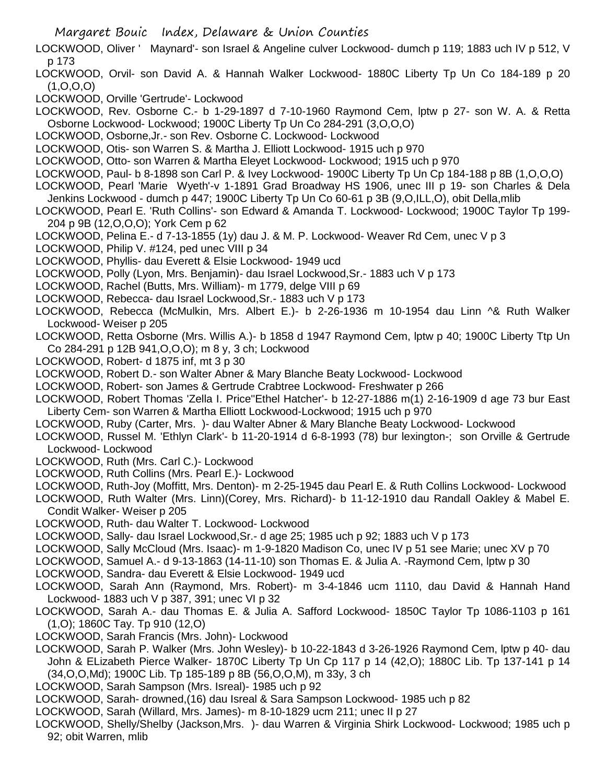- Margaret Bouic Index, Delaware & Union Counties
- LOCKWOOD, Oliver ' Maynard'- son Israel & Angeline culver Lockwood- dumch p 119; 1883 uch IV p 512, V p 173
- LOCKWOOD, Orvil- son David A. & Hannah Walker Lockwood- 1880C Liberty Tp Un Co 184-189 p 20  $(1, 0, 0, 0)$
- LOCKWOOD, Orville 'Gertrude'- Lockwood
- LOCKWOOD, Rev. Osborne C.- b 1-29-1897 d 7-10-1960 Raymond Cem, lptw p 27- son W. A. & Retta Osborne Lockwood- Lockwood; 1900C Liberty Tp Un Co 284-291 (3,O,O,O)
- LOCKWOOD, Osborne,Jr.- son Rev. Osborne C. Lockwood- Lockwood
- LOCKWOOD, Otis- son Warren S. & Martha J. Elliott Lockwood- 1915 uch p 970
- LOCKWOOD, Otto- son Warren & Martha Eleyet Lockwood- Lockwood; 1915 uch p 970
- LOCKWOOD, Paul- b 8-1898 son Carl P. & Ivey Lockwood- 1900C Liberty Tp Un Cp 184-188 p 8B (1,O,O,O)
- LOCKWOOD, Pearl 'Marie Wyeth'-v 1-1891 Grad Broadway HS 1906, unec III p 19- son Charles & Dela Jenkins Lockwood - dumch p 447; 1900C Liberty Tp Un Co 60-61 p 3B (9,O,ILL,O), obit Della,mlib
- LOCKWOOD, Pearl E. 'Ruth Collins'- son Edward & Amanda T. Lockwood- Lockwood; 1900C Taylor Tp 199- 204 p 9B (12,O,O,O); York Cem p 62
- LOCKWOOD, Pelina E.- d 7-13-1855 (1y) dau J. & M. P. Lockwood- Weaver Rd Cem, unec V p 3
- LOCKWOOD, Philip V. #124, ped unec VIII p 34
- LOCKWOOD, Phyllis- dau Everett & Elsie Lockwood- 1949 ucd
- LOCKWOOD, Polly (Lyon, Mrs. Benjamin)- dau Israel Lockwood,Sr.- 1883 uch V p 173
- LOCKWOOD, Rachel (Butts, Mrs. William)- m 1779, delge VIII p 69
- LOCKWOOD, Rebecca- dau Israel Lockwood,Sr.- 1883 uch V p 173
- LOCKWOOD, Rebecca (McMulkin, Mrs. Albert E.)- b 2-26-1936 m 10-1954 dau Linn ^& Ruth Walker Lockwood- Weiser p 205
- LOCKWOOD, Retta Osborne (Mrs. Willis A.)- b 1858 d 1947 Raymond Cem, lptw p 40; 1900C Liberty Ttp Un Co 284-291 p 12B 941,O,O,O); m 8 y, 3 ch; Lockwood
- LOCKWOOD, Robert- d 1875 inf, mt 3 p 30
- LOCKWOOD, Robert D.- son Walter Abner & Mary Blanche Beaty Lockwood- Lockwood
- LOCKWOOD, Robert- son James & Gertrude Crabtree Lockwood- Freshwater p 266
- LOCKWOOD, Robert Thomas 'Zella I. Price''Ethel Hatcher'- b 12-27-1886 m(1) 2-16-1909 d age 73 bur East Liberty Cem- son Warren & Martha Elliott Lockwood-Lockwood; 1915 uch p 970
- LOCKWOOD, Ruby (Carter, Mrs. )- dau Walter Abner & Mary Blanche Beaty Lockwood- Lockwood
- LOCKWOOD, Russel M. 'Ethlyn Clark'- b 11-20-1914 d 6-8-1993 (78) bur lexington-; son Orville & Gertrude Lockwood- Lockwood
- LOCKWOOD, Ruth (Mrs. Carl C.)- Lockwood
- LOCKWOOD, Ruth Collins (Mrs. Pearl E.)- Lockwood
- LOCKWOOD, Ruth-Joy (Moffitt, Mrs. Denton)- m 2-25-1945 dau Pearl E. & Ruth Collins Lockwood- Lockwood
- LOCKWOOD, Ruth Walter (Mrs. Linn)(Corey, Mrs. Richard)- b 11-12-1910 dau Randall Oakley & Mabel E. Condit Walker- Weiser p 205
- LOCKWOOD, Ruth- dau Walter T. Lockwood- Lockwood
- LOCKWOOD, Sally- dau Israel Lockwood,Sr.- d age 25; 1985 uch p 92; 1883 uch V p 173
- LOCKWOOD, Sally McCloud (Mrs. Isaac)- m 1-9-1820 Madison Co, unec IV p 51 see Marie; unec XV p 70
- LOCKWOOD, Samuel A.- d 9-13-1863 (14-11-10) son Thomas E. & Julia A. -Raymond Cem, lptw p 30
- LOCKWOOD, Sandra- dau Everett & Elsie Lockwood- 1949 ucd
- LOCKWOOD, Sarah Ann (Raymond, Mrs. Robert)- m 3-4-1846 ucm 1110, dau David & Hannah Hand Lockwood- 1883 uch V p 387, 391; unec VI p 32
- LOCKWOOD, Sarah A.- dau Thomas E. & Julia A. Safford Lockwood- 1850C Taylor Tp 1086-1103 p 161 (1,O); 1860C Tay. Tp 910 (12,O)
- LOCKWOOD, Sarah Francis (Mrs. John)- Lockwood
- LOCKWOOD, Sarah P. Walker (Mrs. John Wesley)- b 10-22-1843 d 3-26-1926 Raymond Cem, lptw p 40- dau John & ELizabeth Pierce Walker- 1870C Liberty Tp Un Cp 117 p 14 (42,O); 1880C Lib. Tp 137-141 p 14 (34,O,O,Md); 1900C Lib. Tp 185-189 p 8B (56,O,O,M), m 33y, 3 ch
- LOCKWOOD, Sarah Sampson (Mrs. Isreal)- 1985 uch p 92
- LOCKWOOD, Sarah- drowned,(16) dau Isreal & Sara Sampson Lockwood- 1985 uch p 82
- LOCKWOOD, Sarah (Willard, Mrs. James)- m 8-10-1829 ucm 211; unec II p 27
- LOCKWOOD, Shelly/Shelby (Jackson,Mrs. )- dau Warren & Virginia Shirk Lockwood- Lockwood; 1985 uch p 92; obit Warren, mlib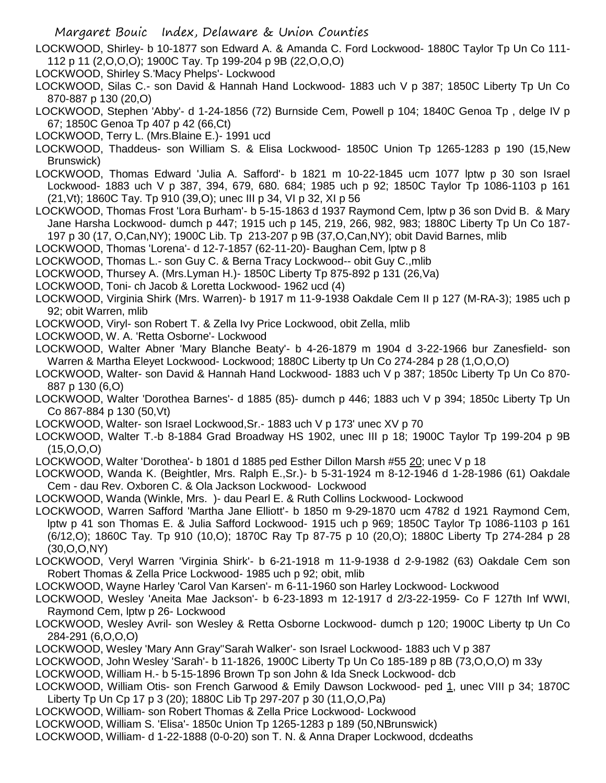Margaret Bouic Index, Delaware & Union Counties

LOCKWOOD, Shirley- b 10-1877 son Edward A. & Amanda C. Ford Lockwood- 1880C Taylor Tp Un Co 111- 112 p 11 (2,O,O,O); 1900C Tay. Tp 199-204 p 9B (22,O,O,O)

LOCKWOOD, Shirley S.'Macy Phelps'- Lockwood

LOCKWOOD, Silas C.- son David & Hannah Hand Lockwood- 1883 uch V p 387; 1850C Liberty Tp Un Co 870-887 p 130 (20,O)

LOCKWOOD, Stephen 'Abby'- d 1-24-1856 (72) Burnside Cem, Powell p 104; 1840C Genoa Tp , delge IV p 67; 1850C Genoa Tp 407 p 42 (66,Ct)

LOCKWOOD, Terry L. (Mrs.Blaine E.)- 1991 ucd

LOCKWOOD, Thaddeus- son William S. & Elisa Lockwood- 1850C Union Tp 1265-1283 p 190 (15,New Brunswick)

LOCKWOOD, Thomas Edward 'Julia A. Safford'- b 1821 m 10-22-1845 ucm 1077 lptw p 30 son Israel Lockwood- 1883 uch V p 387, 394, 679, 680. 684; 1985 uch p 92; 1850C Taylor Tp 1086-1103 p 161 (21,Vt); 1860C Tay. Tp 910 (39,O); unec III p 34, VI p 32, XI p 56

LOCKWOOD, Thomas Frost 'Lora Burham'- b 5-15-1863 d 1937 Raymond Cem, lptw p 36 son Dvid B. & Mary Jane Harsha Lockwood- dumch p 447; 1915 uch p 145, 219, 266, 982, 983; 1880C Liberty Tp Un Co 187- 197 p 30 (17, O,Can,NY); 1900C Lib. Tp 213-207 p 9B (37,O,Can,NY); obit David Barnes, mlib

LOCKWOOD, Thomas 'Lorena'- d 12-7-1857 (62-11-20)- Baughan Cem, lptw p 8

LOCKWOOD, Thomas L.- son Guy C. & Berna Tracy Lockwood-- obit Guy C.,mlib

LOCKWOOD, Thursey A. (Mrs.Lyman H.)- 1850C Liberty Tp 875-892 p 131 (26,Va)

LOCKWOOD, Toni- ch Jacob & Loretta Lockwood- 1962 ucd (4)

LOCKWOOD, Virginia Shirk (Mrs. Warren)- b 1917 m 11-9-1938 Oakdale Cem II p 127 (M-RA-3); 1985 uch p 92; obit Warren, mlib

LOCKWOOD, Viryl- son Robert T. & Zella Ivy Price Lockwood, obit Zella, mlib

LOCKWOOD, W. A. 'Retta Osborne'- Lockwood

LOCKWOOD, Walter Abner 'Mary Blanche Beaty'- b 4-26-1879 m 1904 d 3-22-1966 bur Zanesfield- son Warren & Martha Eleyet Lockwood- Lockwood; 1880C Liberty tp Un Co 274-284 p 28 (1,O,O,O)

- LOCKWOOD, Walter- son David & Hannah Hand Lockwood- 1883 uch V p 387; 1850c Liberty Tp Un Co 870- 887 p 130 (6,O)
- LOCKWOOD, Walter 'Dorothea Barnes'- d 1885 (85)- dumch p 446; 1883 uch V p 394; 1850c Liberty Tp Un Co 867-884 p 130 (50,Vt)
- LOCKWOOD, Walter- son Israel Lockwood,Sr.- 1883 uch V p 173' unec XV p 70
- LOCKWOOD, Walter T.-b 8-1884 Grad Broadway HS 1902, unec III p 18; 1900C Taylor Tp 199-204 p 9B (15,O,O,O)

LOCKWOOD, Walter 'Dorothea'- b 1801 d 1885 ped Esther Dillon Marsh #55 20; unec V p 18

LOCKWOOD, Wanda K. (Beightler, Mrs. Ralph E.,Sr.)- b 5-31-1924 m 8-12-1946 d 1-28-1986 (61) Oakdale Cem - dau Rev. Oxboren C. & Ola Jackson Lockwood- Lockwood

LOCKWOOD, Wanda (Winkle, Mrs. )- dau Pearl E. & Ruth Collins Lockwood- Lockwood

LOCKWOOD, Warren Safford 'Martha Jane Elliott'- b 1850 m 9-29-1870 ucm 4782 d 1921 Raymond Cem, lptw p 41 son Thomas E. & Julia Safford Lockwood- 1915 uch p 969; 1850C Taylor Tp 1086-1103 p 161 (6/12,O); 1860C Tay. Tp 910 (10,O); 1870C Ray Tp 87-75 p 10 (20,O); 1880C Liberty Tp 274-284 p 28 (30,O,O,NY)

LOCKWOOD, Veryl Warren 'Virginia Shirk'- b 6-21-1918 m 11-9-1938 d 2-9-1982 (63) Oakdale Cem son Robert Thomas & Zella Price Lockwood- 1985 uch p 92; obit, mlib

LOCKWOOD, Wayne Harley 'Carol Van Karsen'- m 6-11-1960 son Harley Lockwood- Lockwood

LOCKWOOD, Wesley 'Aneita Mae Jackson'- b 6-23-1893 m 12-1917 d 2/3-22-1959- Co F 127th Inf WWI, Raymond Cem, lptw p 26- Lockwood

LOCKWOOD, Wesley Avril- son Wesley & Retta Osborne Lockwood- dumch p 120; 1900C Liberty tp Un Co 284-291 (6,O,O,O)

LOCKWOOD, Wesley 'Mary Ann Gray''Sarah Walker'- son Israel Lockwood- 1883 uch V p 387

LOCKWOOD, John Wesley 'Sarah'- b 11-1826, 1900C Liberty Tp Un Co 185-189 p 8B (73,O,O,O) m 33y

LOCKWOOD, William H.- b 5-15-1896 Brown Tp son John & Ida Sneck Lockwood- dcb

LOCKWOOD, William Otis- son French Garwood & Emily Dawson Lockwood- ped 1, unec VIII p 34; 1870C Liberty Tp Un Cp 17 p 3 (20); 1880C Lib Tp 297-207 p 30 (11,O,O,Pa)

LOCKWOOD, William- son Robert Thomas & Zella Price Lockwood- Lockwood

LOCKWOOD, William S. 'Elisa'- 1850c Union Tp 1265-1283 p 189 (50,NBrunswick)

LOCKWOOD, William- d 1-22-1888 (0-0-20) son T. N. & Anna Draper Lockwood, dcdeaths